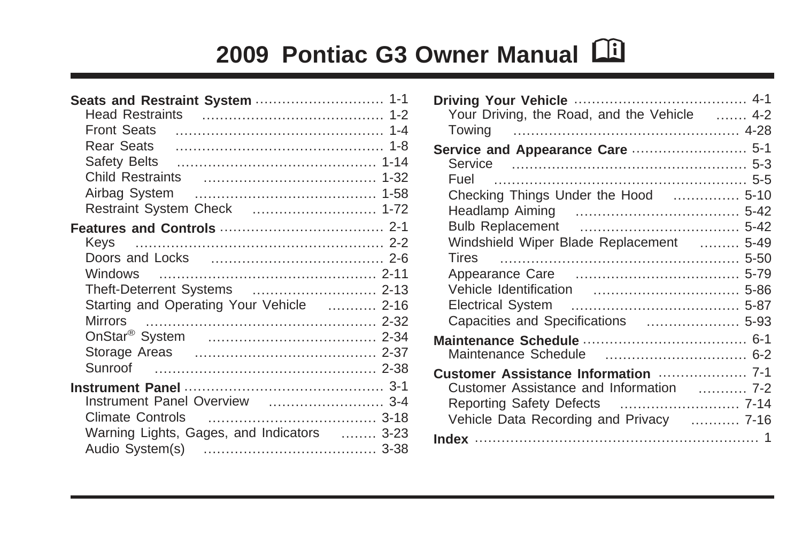# **2009 Pontiac G3 Owner Manual** M

| Seats and Restraint System  1-1                  |  |
|--------------------------------------------------|--|
|                                                  |  |
|                                                  |  |
|                                                  |  |
| Safety Belts ( <i>machainmachery cately 1-14</i> |  |
|                                                  |  |
|                                                  |  |
| Restraint System Check  1-72                     |  |
|                                                  |  |
| Kevs                                             |  |
|                                                  |  |
| Windows                                          |  |
| Theft-Deterrent Systems  2-13                    |  |
| Starting and Operating Your Vehicle  2-16        |  |
|                                                  |  |
|                                                  |  |
|                                                  |  |
|                                                  |  |
|                                                  |  |
| Instrument Panel Overview  3-4                   |  |
|                                                  |  |
| Warning Lights, Gages, and Indicators  3-23      |  |
|                                                  |  |

| Your Driving, the Road, and the Vehicle  4-2                                                                                          |  |
|---------------------------------------------------------------------------------------------------------------------------------------|--|
| Service and Appearance Care  5-1<br>Fuel<br>Checking Things Under the Hood  5-10<br>Windshield Wiper Blade Replacement  5-49<br>Tires |  |
|                                                                                                                                       |  |
| Customer Assistance and Information  7-2<br>Reporting Safety Defects  7-14<br>Vehicle Data Recording and Privacy  7-16                |  |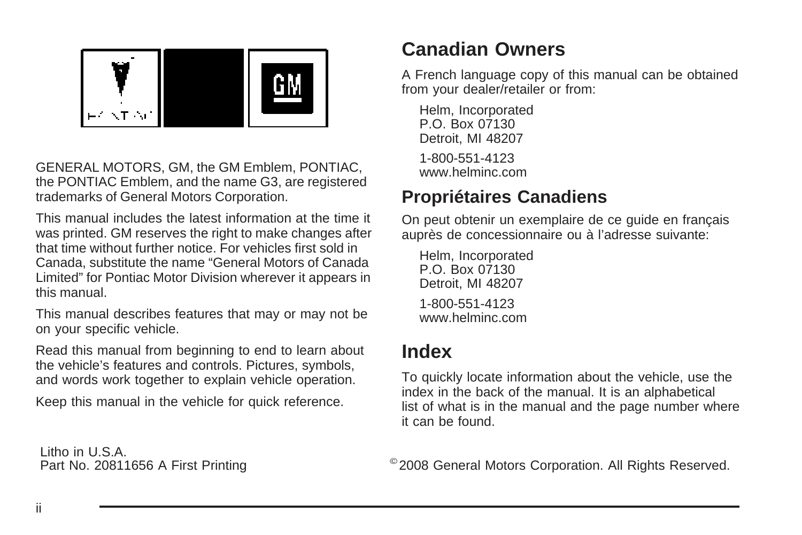

GENERAL MOTORS, GM, the GM Emblem, PONTIAC, the PONTIAC Emblem, and the name G3, are registered trademarks of General Motors Corporation.

This manual includes the latest information at the time it was printed. GM reserves the right to make changes after that time without further notice. For vehicles first sold in Canada, substitute the name "General Motors of Canada Limited" for Pontiac Motor Division wherever it appears in this manual.

This manual describes features that may or may not be on your specific vehicle.

Read this manual from beginning to end to learn about the vehicle's features and controls. Pictures, symbols, and words work together to explain vehicle operation.

Keep this manual in the vehicle for quick reference.

Litho in U.S.A.

### **Canadian Owners**

A French language copy of this manual can be obtained from your dealer/retailer or from:

Helm, Incorporated P.O. Box 07130 Detroit, MI 48207 1-800-551-4123 www.helminc.com

### **Propriétaires Canadiens**

On peut obtenir un exemplaire de ce guide en français auprès de concessionnaire ou à l'adresse suivante:

Helm, Incorporated P.O. Box 07130 Detroit, MI 48207 1-800-551-4123 www.helminc.com

### **Index**

To quickly locate information about the vehicle, use the index in the back of the manual. It is an alphabetical list of what is in the manual and the page number where it can be found.

Part No. 20811656 A First Printing <sup>©</sup>2008 General Motors Corporation. All Rights Reserved.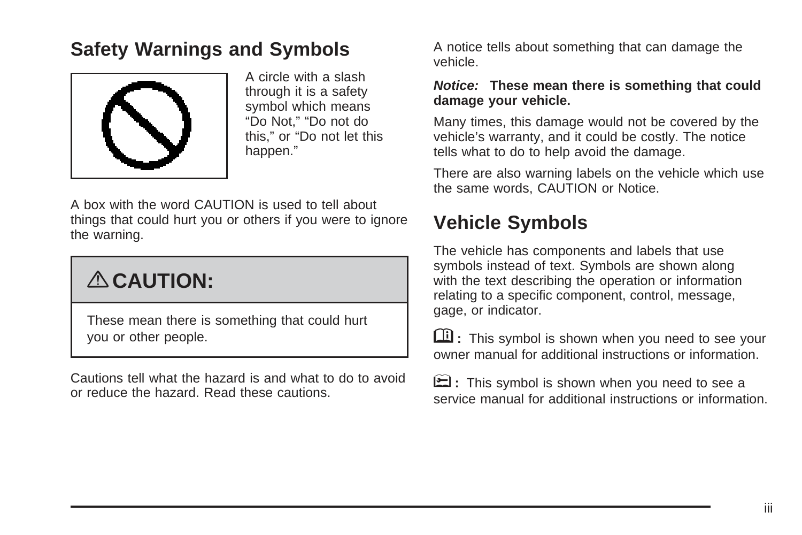### **Safety Warnings and Symbols**



A circle with a slash through it is a safety symbol which means "Do Not," "Do not do this," or "Do not let this happen."

A box with the word CAUTION is used to tell about things that could hurt you or others if you were to ignore the warning.

# { **CAUTION:**

These mean there is something that could hurt you or other people.

Cautions tell what the hazard is and what to do to avoid or reduce the hazard. Read these cautions.

A notice tells about something that can damage the vehicle.

#### **Notice: These mean there is something that could damage your vehicle.**

Many times, this damage would not be covered by the vehicle's warranty, and it could be costly. The notice tells what to do to help avoid the damage.

There are also warning labels on the vehicle which use the same words, CAUTION or Notice.

### **Vehicle Symbols**

The vehicle has components and labels that use symbols instead of text. Symbols are shown along with the text describing the operation or information relating to a specific component, control, message, gage, or indicator.

M **:** This symbol is shown when you need to see your owner manual for additional instructions or information.

**E**: This symbol is shown when you need to see a service manual for additional instructions or information.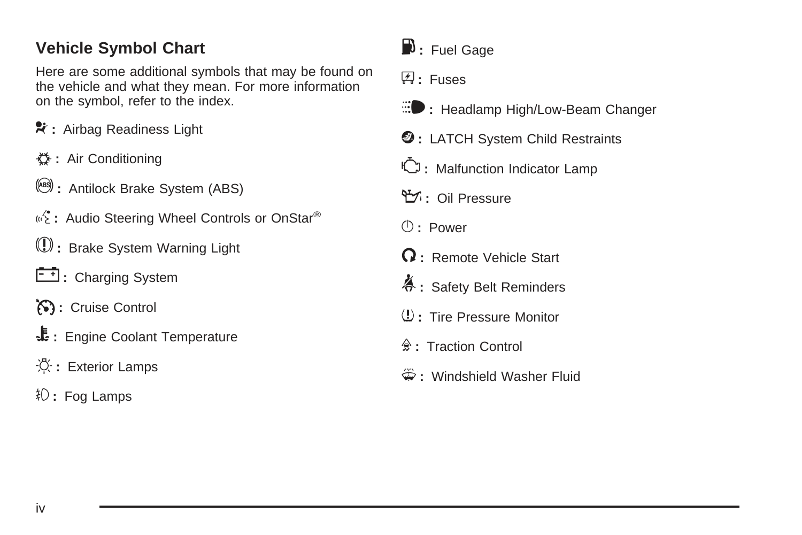#### **Vehicle Symbol Chart**

Here are some additional symbols that may be found on the vehicle and what they mean. For more information on the symbol, refer to the index.

- **\*** : Airbag Readiness Light
- # **:** Air Conditioning
- ! **:** Antilock Brake System (ABS)
- «<sup>2</sup>: Audio Steering Wheel Controls or OnStar<sup>®</sup>
- $\circledR$  : Brake System Warning Light
- **F**: Charging System
- I **:** Cruise Control
- B **:** Engine Coolant Temperature
- · **①** : Exterior Lamps
- # **:** Fog Lamps
- $\mathbf{D}$  : Fuel Gage
- + **:** Fuses
- **iii** : Headlamp High/Low-Beam Changer
- **2** : LATCH System Child Restraints
- \* **:** Malfunction Indicator Lamp
- : **:** Oil Pressure
- } **:** Power
- / **:** Remote Vehicle Start
- > **:** Safety Belt Reminders
- 7 **:** Tire Pressure Monitor
- F **:** Traction Control
- M **:** Windshield Washer Fluid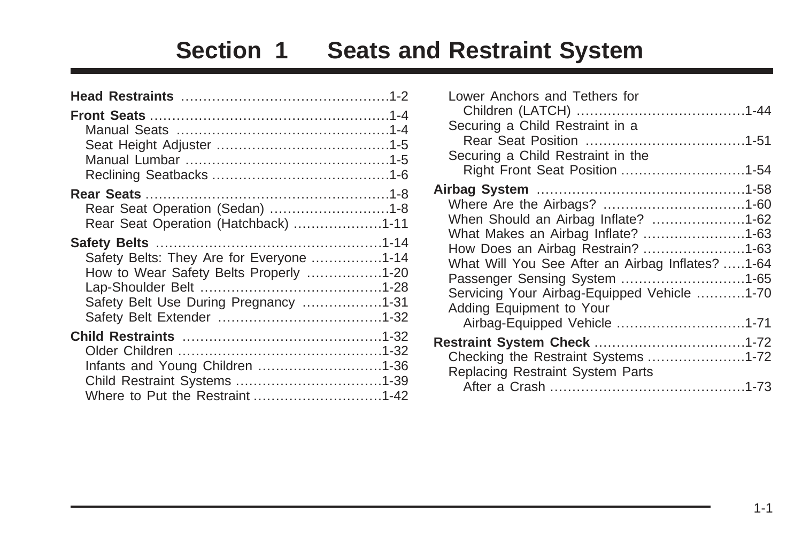## **Section 1 Seats and Restraint System**

<span id="page-4-0"></span>

| Rear Seat Operation (Sedan) 1-8          |  |
|------------------------------------------|--|
| Rear Seat Operation (Hatchback) 1-11     |  |
|                                          |  |
| Safety Belts: They Are for Everyone 1-14 |  |
| How to Wear Safety Belts Properly 1-20   |  |
|                                          |  |
| Safety Belt Use During Pregnancy 1-31    |  |
|                                          |  |
|                                          |  |
|                                          |  |
| Infants and Young Children 1-36          |  |
|                                          |  |
| Where to Put the Restraint 1-42          |  |
|                                          |  |

| Lower Anchors and Tethers for                    |  |
|--------------------------------------------------|--|
|                                                  |  |
| Securing a Child Restraint in a                  |  |
|                                                  |  |
| Securing a Child Restraint in the                |  |
| Right Front Seat Position 1-54                   |  |
|                                                  |  |
|                                                  |  |
| When Should an Airbag Inflate? 1-62              |  |
| What Makes an Airbag Inflate? 1-63               |  |
| How Does an Airbag Restrain? 1-63                |  |
| What Will You See After an Airbag Inflates? 1-64 |  |
| Passenger Sensing System 1-65                    |  |
| Servicing Your Airbag-Equipped Vehicle 1-70      |  |
| Adding Equipment to Your                         |  |
| Airbag-Equipped Vehicle 1-71                     |  |
|                                                  |  |
| Checking the Restraint Systems 1-72              |  |
| Replacing Restraint System Parts                 |  |
|                                                  |  |
|                                                  |  |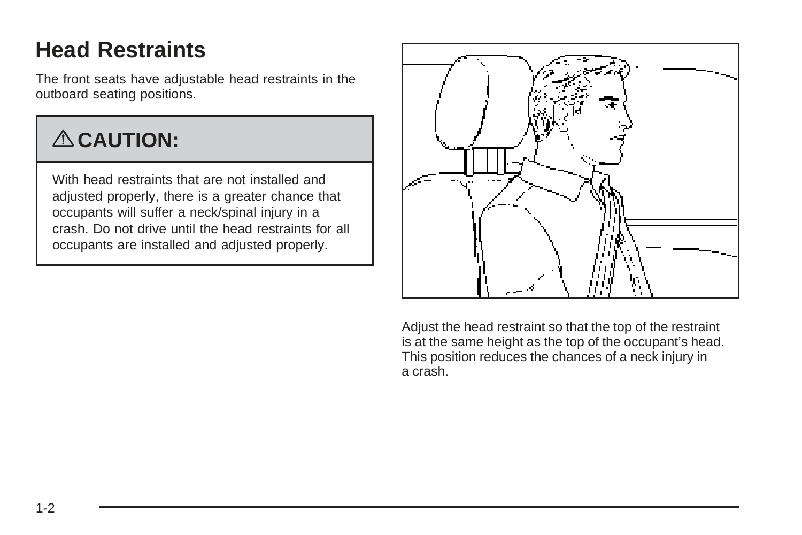### <span id="page-5-0"></span>**Head Restraints**

The front seats have adjustable head restraints in the outboard seating positions.

# { **CAUTION:**

With head restraints that are not installed and adjusted properly, there is a greater chance that occupants will suffer a neck/spinal injury in a crash. Do not drive until the head restraints for all occupants are installed and adjusted properly.



Adjust the head restraint so that the top of the restraint is at the same height as the top of the occupant's head. This position reduces the chances of a neck injury in a crash.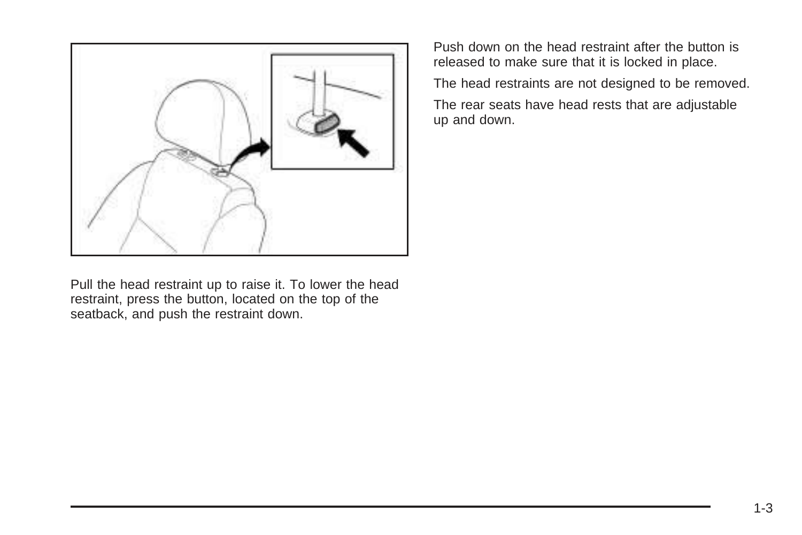

Push down on the head restraint after the button is released to make sure that it is locked in place.

The head restraints are not designed to be removed.

The rear seats have head rests that are adjustable up and down.

Pull the head restraint up to raise it. To lower the head restraint, press the button, located on the top of the seatback, and push the restraint down.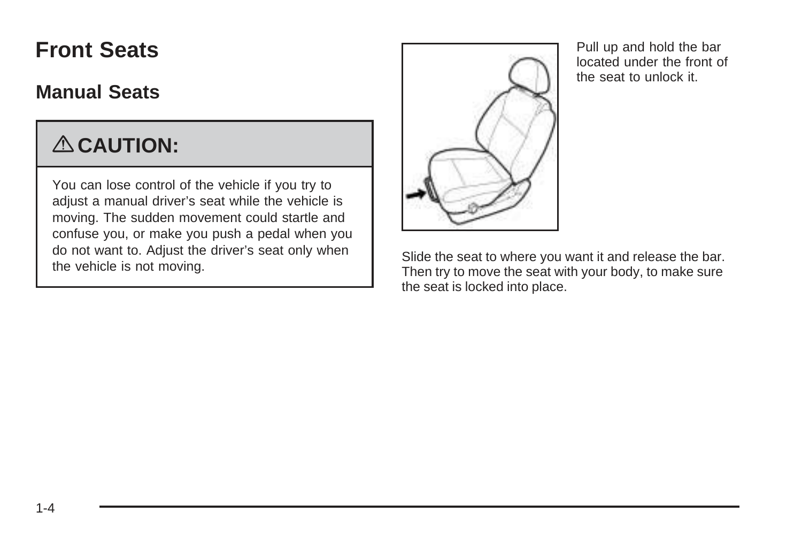### <span id="page-7-0"></span>**Front Seats**

### **Manual Seats**

# { **CAUTION:**

You can lose control of the vehicle if you try to adjust a manual driver's seat while the vehicle is moving. The sudden movement could startle and confuse you, or make you push a pedal when you do not want to. Adjust the driver's seat only when the vehicle is not moving.



Pull up and hold the bar located under the front of the seat to unlock it.

Slide the seat to where you want it and release the bar. Then try to move the seat with your body, to make sure the seat is locked into place.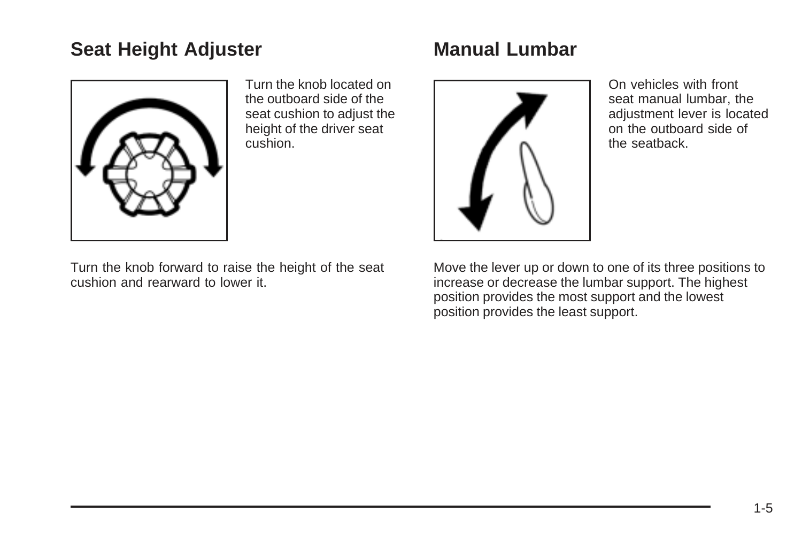### <span id="page-8-0"></span>**Seat Height Adjuster**



Turn the knob located on the outboard side of the seat cushion to adjust the height of the driver seat cushion.

Turn the knob forward to raise the height of the seat cushion and rearward to lower it.

### **Manual Lumbar**



On vehicles with front seat manual lumbar, the adjustment lever is located on the outboard side of the seatback.

Move the lever up or down to one of its three positions to increase or decrease the lumbar support. The highest position provides the most support and the lowest position provides the least support.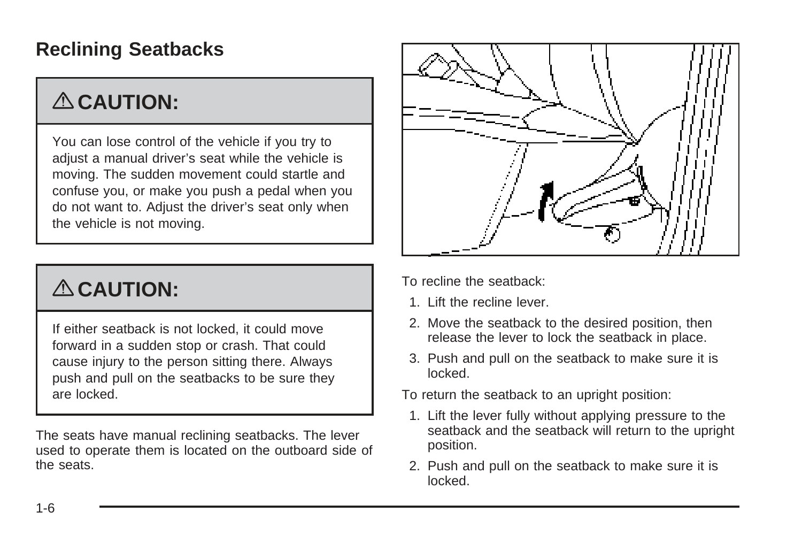### <span id="page-9-0"></span>**Reclining Seatbacks**

# { **CAUTION:**

You can lose control of the vehicle if you try to adjust a manual driver's seat while the vehicle is moving. The sudden movement could startle and confuse you, or make you push a pedal when you do not want to. Adjust the driver's seat only when the vehicle is not moving.

# { **CAUTION:**

If either seatback is not locked, it could move forward in a sudden stop or crash. That could cause injury to the person sitting there. Always push and pull on the seatbacks to be sure they are locked.

The seats have manual reclining seatbacks. The lever used to operate them is located on the outboard side of the seats.



To recline the seatback:

- 1. Lift the recline lever.
- 2. Move the seatback to the desired position, then release the lever to lock the seatback in place.
- 3. Push and pull on the seatback to make sure it is locked.

To return the seatback to an upright position:

- 1. Lift the lever fully without applying pressure to the seatback and the seatback will return to the upright position.
- 2. Push and pull on the seatback to make sure it is locked.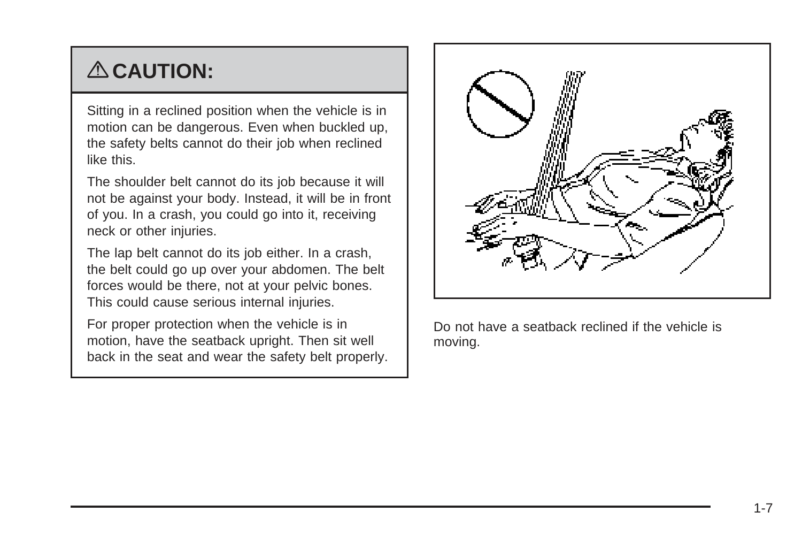# { **CAUTION:**

Sitting in a reclined position when the vehicle is in motion can be dangerous. Even when buckled up, the safety belts cannot do their job when reclined like this.

The shoulder belt cannot do its job because it will not be against your body. Instead, it will be in front of you. In a crash, you could go into it, receiving neck or other injuries.

The lap belt cannot do its job either. In a crash, the belt could go up over your abdomen. The belt forces would be there, not at your pelvic bones. This could cause serious internal injuries.

For proper protection when the vehicle is in motion, have the seatback upright. Then sit well back in the seat and wear the safety belt properly.



Do not have a seatback reclined if the vehicle is moving.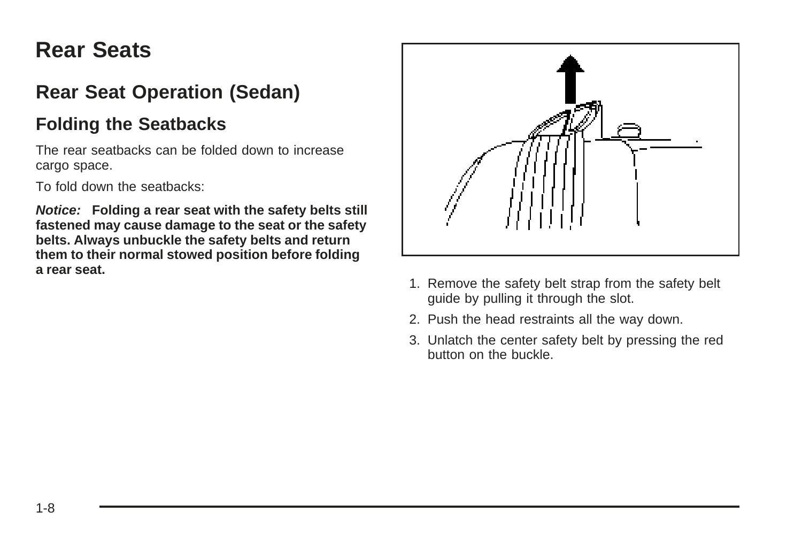### <span id="page-11-0"></span>**Rear Seats**

### **Rear Seat Operation (Sedan)**

#### **Folding the Seatbacks**

The rear seatbacks can be folded down to increase cargo space.

To fold down the seatbacks:

**Notice: Folding a rear seat with the safety belts still fastened may cause damage to the seat or the safety belts. Always unbuckle the safety belts and return them to their normal stowed position before folding a rear seat.**



- 1. Remove the safety belt strap from the safety belt guide by pulling it through the slot.
- 2. Push the head restraints all the way down.
- 3. Unlatch the center safety belt by pressing the red button on the buckle.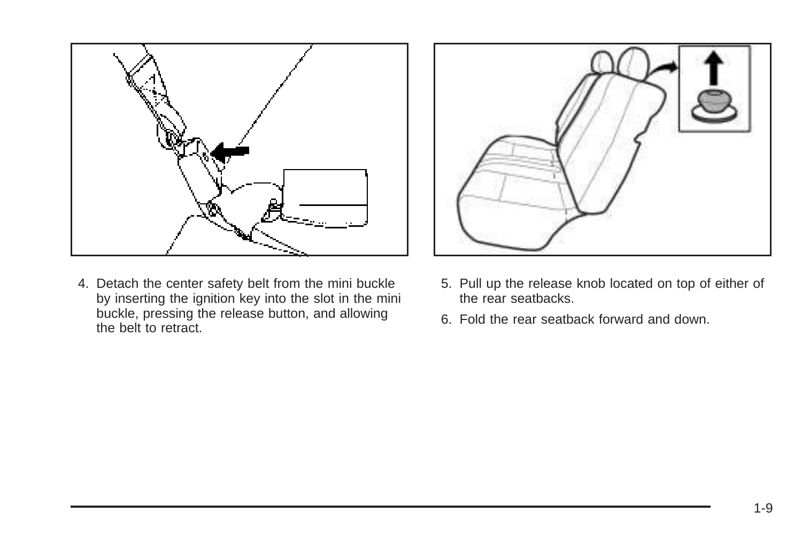

4. Detach the center safety belt from the mini buckle by inserting the ignition key into the slot in the mini buckle, pressing the release button, and allowing the belt to retract.



- 5. Pull up the release knob located on top of either of the rear seatbacks.
- 6. Fold the rear seatback forward and down.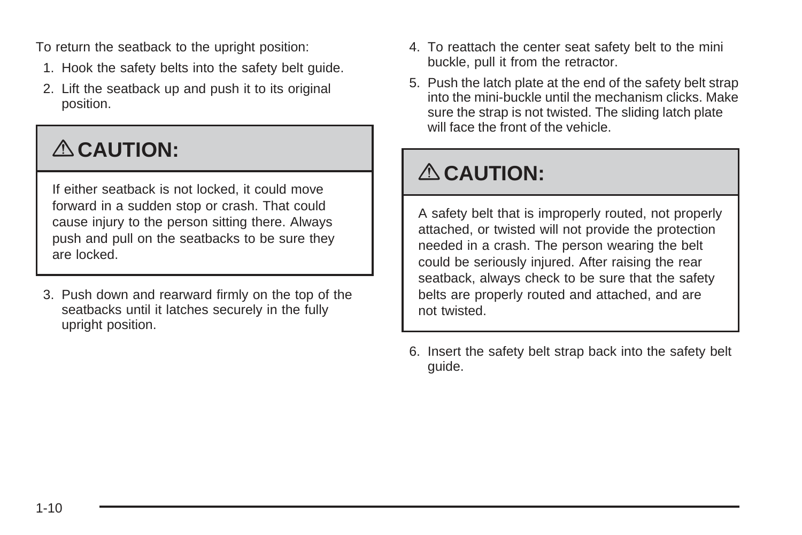To return the seatback to the upright position:

- 1. Hook the safety belts into the safety belt guide.
- 2. Lift the seatback up and push it to its original position.

# { **CAUTION:**

If either seatback is not locked, it could move forward in a sudden stop or crash. That could cause injury to the person sitting there. Always push and pull on the seatbacks to be sure they are locked.

3. Push down and rearward firmly on the top of the seatbacks until it latches securely in the fully upright position.

- 4. To reattach the center seat safety belt to the mini buckle, pull it from the retractor.
- 5. Push the latch plate at the end of the safety belt strap into the mini-buckle until the mechanism clicks. Make sure the strap is not twisted. The sliding latch plate will face the front of the vehicle.

# { **CAUTION:**

A safety belt that is improperly routed, not properly attached, or twisted will not provide the protection needed in a crash. The person wearing the belt could be seriously injured. After raising the rear seatback, always check to be sure that the safety belts are properly routed and attached, and are not twisted.

6. Insert the safety belt strap back into the safety belt guide.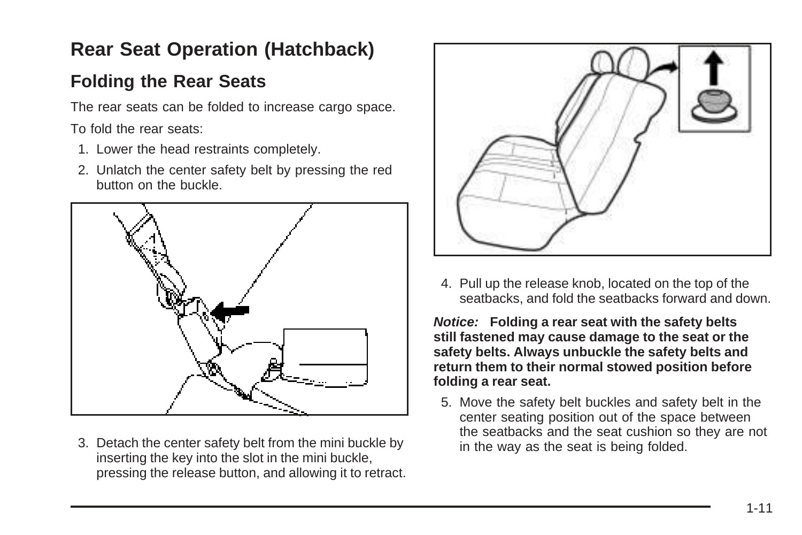### <span id="page-14-0"></span>**Rear Seat Operation (Hatchback)**

### **Folding the Rear Seats**

The rear seats can be folded to increase cargo space.

To fold the rear seats:

- 1. Lower the head restraints completely.
- 2. Unlatch the center safety belt by pressing the red button on the buckle.



3. Detach the center safety belt from the mini buckle by inserting the key into the slot in the mini buckle, pressing the release button, and allowing it to retract.



4. Pull up the release knob, located on the top of the seatbacks, and fold the seatbacks forward and down.

**Notice: Folding a rear seat with the safety belts still fastened may cause damage to the seat or the safety belts. Always unbuckle the safety belts and return them to their normal stowed position before folding a rear seat.**

5. Move the safety belt buckles and safety belt in the center seating position out of the space between the seatbacks and the seat cushion so they are not in the way as the seat is being folded.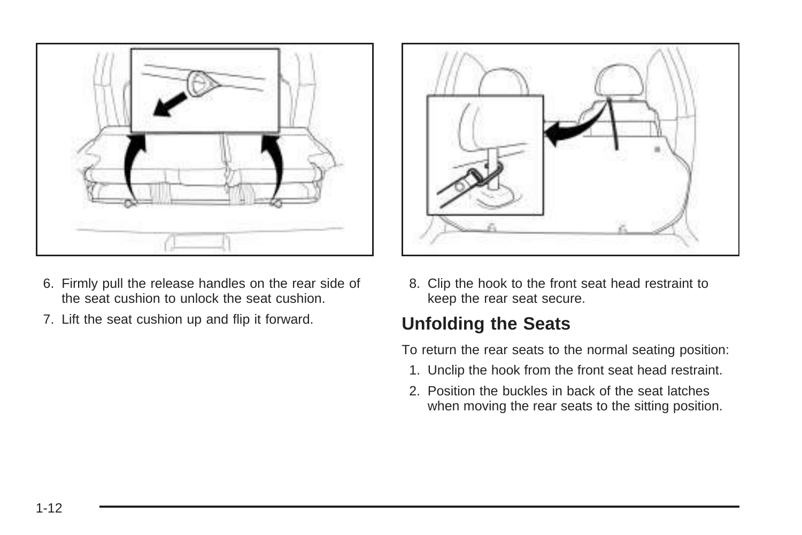

- 6. Firmly pull the release handles on the rear side of the seat cushion to unlock the seat cushion.
- 7. Lift the seat cushion up and flip it forward.



8. Clip the hook to the front seat head restraint to keep the rear seat secure.

### **Unfolding the Seats**

To return the rear seats to the normal seating position:

- 1. Unclip the hook from the front seat head restraint.
- 2. Position the buckles in back of the seat latches when moving the rear seats to the sitting position.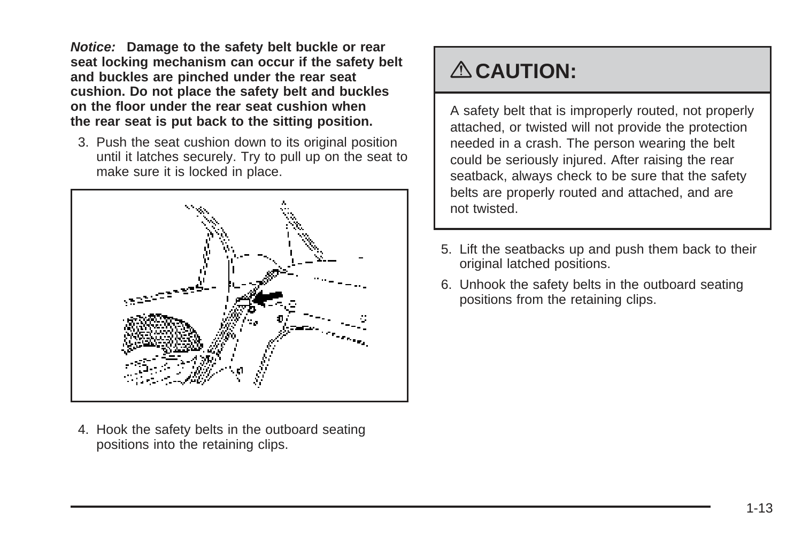**Notice: Damage to the safety belt buckle or rear seat locking mechanism can occur if the safety belt and buckles are pinched under the rear seat cushion. Do not place the safety belt and buckles on the floor under the rear seat cushion when the rear seat is put back to the sitting position.**

3. Push the seat cushion down to its original position until it latches securely. Try to pull up on the seat to make sure it is locked in place.



4. Hook the safety belts in the outboard seating positions into the retaining clips.

### { **CAUTION:**

A safety belt that is improperly routed, not properly attached, or twisted will not provide the protection needed in a crash. The person wearing the belt could be seriously injured. After raising the rear seatback, always check to be sure that the safety belts are properly routed and attached, and are not twisted.

- 5. Lift the seatbacks up and push them back to their original latched positions.
- 6. Unhook the safety belts in the outboard seating positions from the retaining clips.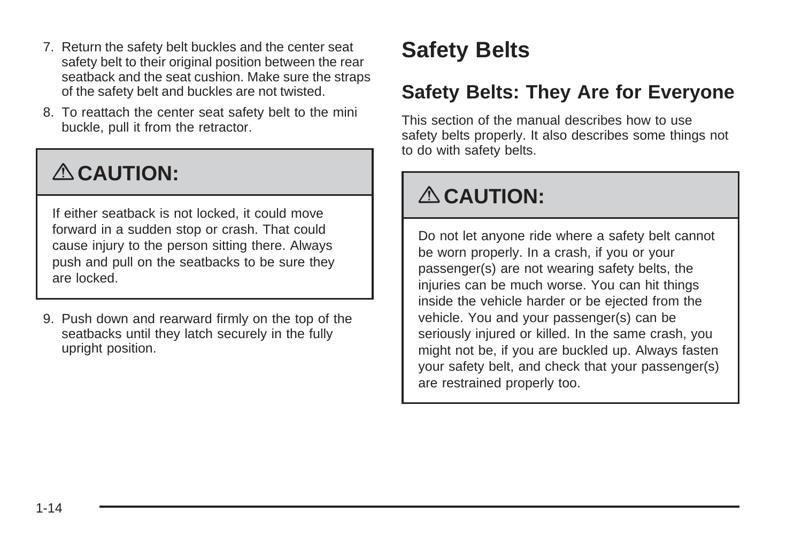- <span id="page-17-0"></span>7. Return the safety belt buckles and the center seat safety belt to their original position between the rear seatback and the seat cushion. Make sure the straps of the safety belt and buckles are not twisted.
- 8. To reattach the center seat safety belt to the mini buckle, pull it from the retractor.

# { **CAUTION:**

If either seatback is not locked, it could move forward in a sudden stop or crash. That could cause injury to the person sitting there. Always push and pull on the seatbacks to be sure they are locked.

9. Push down and rearward firmly on the top of the seatbacks until they latch securely in the fully upright position.

### **Safety Belts**

### **Safety Belts: They Are for Everyone**

This section of the manual describes how to use safety belts properly. It also describes some things not to do with safety belts.

# { **CAUTION:**

Do not let anyone ride where a safety belt cannot be worn properly. In a crash, if you or your passenger(s) are not wearing safety belts, the injuries can be much worse. You can hit things inside the vehicle harder or be ejected from the vehicle. You and your passenger(s) can be seriously injured or killed. In the same crash, you might not be, if you are buckled up. Always fasten your safety belt, and check that your passenger(s) are restrained properly too.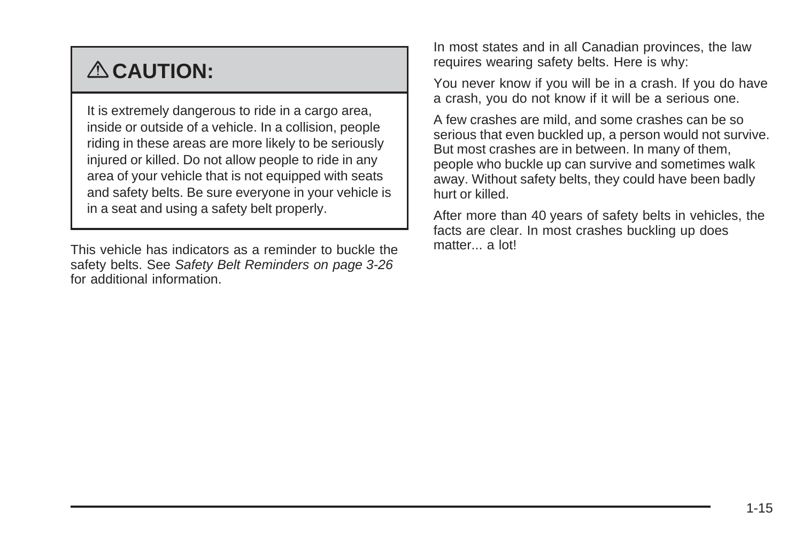# { **CAUTION:**

It is extremely dangerous to ride in a cargo area, inside or outside of a vehicle. In a collision, people riding in these areas are more likely to be seriously injured or killed. Do not allow people to ride in any area of your vehicle that is not equipped with seats and safety belts. Be sure everyone in your vehicle is in a seat and using a safety belt properly.

This vehicle has indicators as a reminder to buckle the safety belts. See [Safety Belt Reminders](#page-141-0) on page 3-26 for additional information.

In most states and in all Canadian provinces, the law requires wearing safety belts. Here is why:

You never know if you will be in a crash. If you do have a crash, you do not know if it will be a serious one.

A few crashes are mild, and some crashes can be so serious that even buckled up, a person would not survive. But most crashes are in between. In many of them, people who buckle up can survive and sometimes walk away. Without safety belts, they could have been badly hurt or killed.

After more than 40 years of safety belts in vehicles, the facts are clear. In most crashes buckling up does matter... a lot!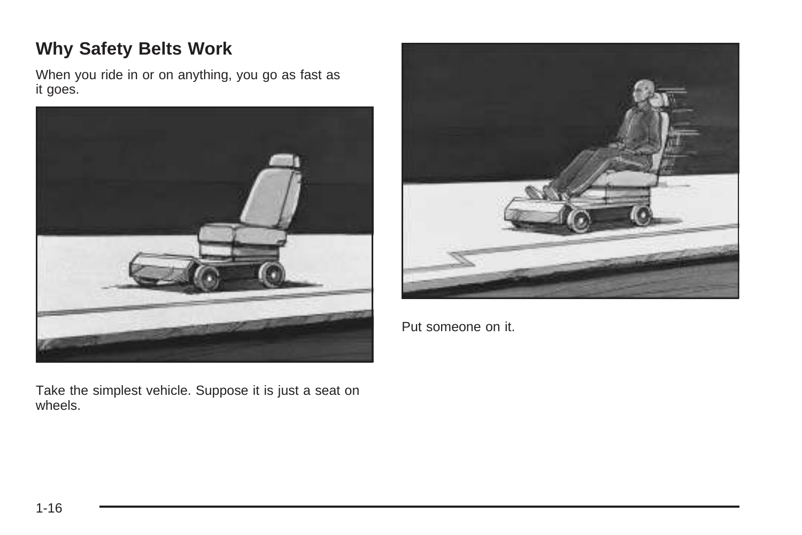#### **Why Safety Belts Work**

When you ride in or on anything, you go as fast as it goes.



Take the simplest vehicle. Suppose it is just a seat on wheels.



Put someone on it.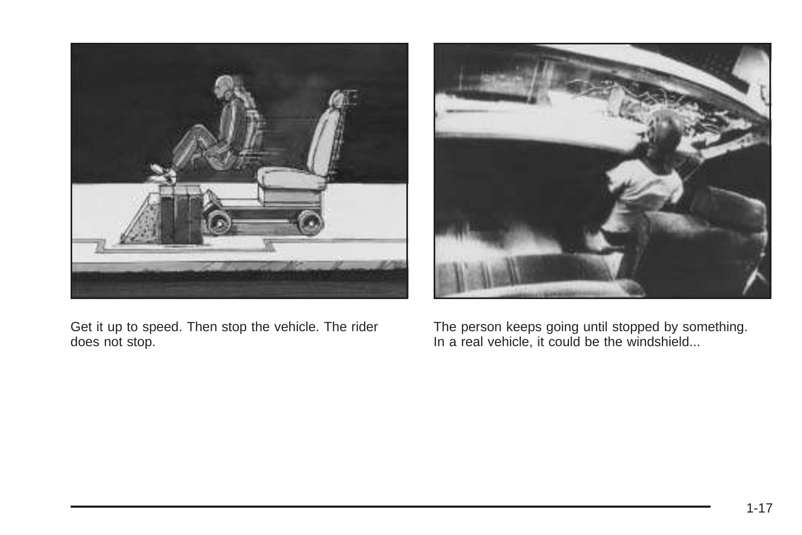

Get it up to speed. Then stop the vehicle. The rider does not stop.



The person keeps going until stopped by something. In a real vehicle, it could be the windshield...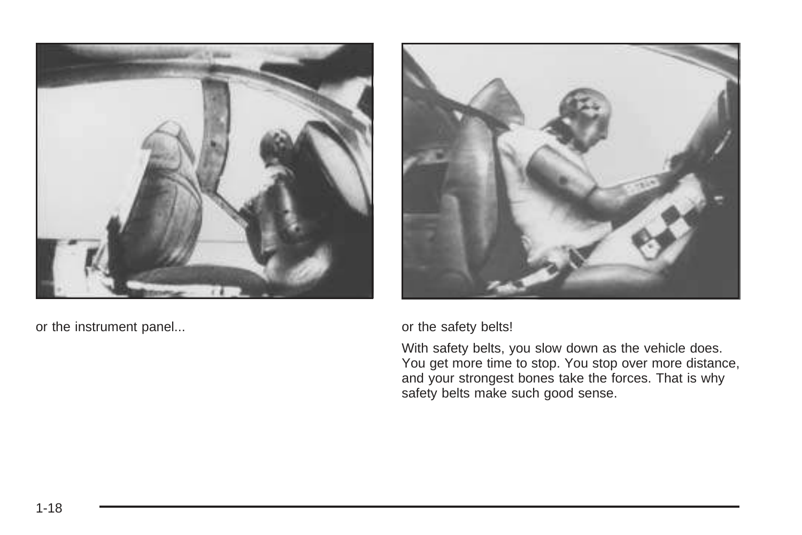

or the instrument panel... **but all the safety belts!** or the safety belts!



With safety belts, you slow down as the vehicle does. You get more time to stop. You stop over more distance, and your strongest bones take the forces. That is why safety belts make such good sense.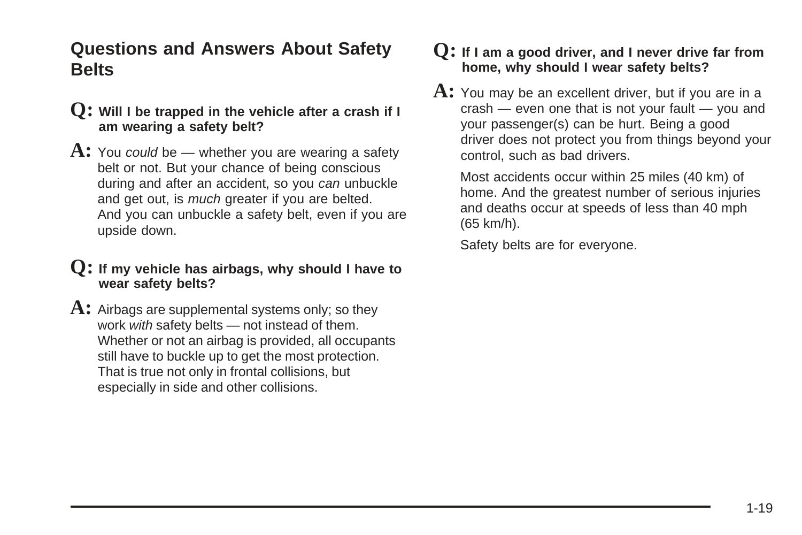#### **Questions and Answers About Safety Belts**

- **Q: Will I be trapped in the vehicle after a crash if I am wearing a safety belt?**
- **A:** You could be whether you are wearing a safety belt or not. But your chance of being conscious during and after an accident, so you can unbuckle and get out, is much greater if you are belted. And you can unbuckle a safety belt, even if you are upside down.

#### **Q: If my vehicle has airbags, why should I have to wear safety belts?**

A: Airbags are supplemental systems only; so they work with safety belts — not instead of them. Whether or not an airbag is provided, all occupants still have to buckle up to get the most protection. That is true not only in frontal collisions, but especially in side and other collisions.

#### **Q: If I am a good driver, and I never drive far from home, why should I wear safety belts?**

**A:** You may be an excellent driver, but if you are in a crash — even one that is not your fault — you and your passenger(s) can be hurt. Being a good driver does not protect you from things beyond your control, such as bad drivers.

Most accidents occur within 25 miles (40 km) of home. And the greatest number of serious injuries and deaths occur at speeds of less than 40 mph (65 km/h).

Safety belts are for everyone.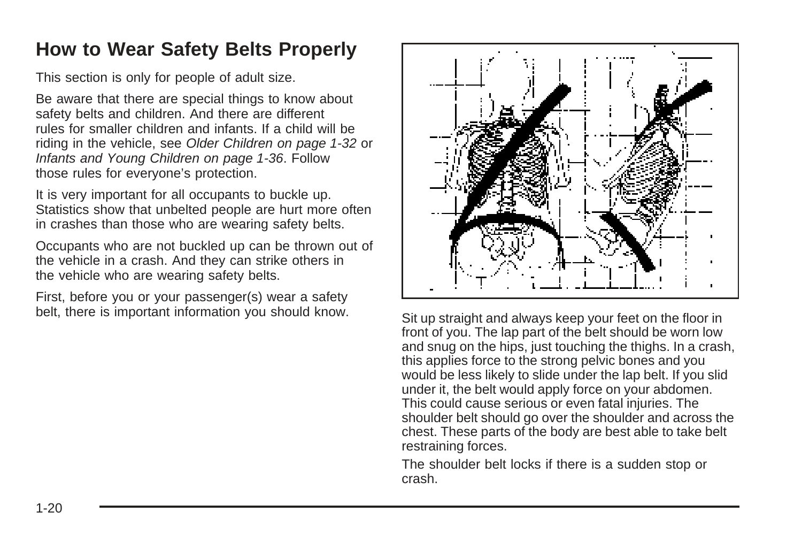### <span id="page-23-0"></span>**How to Wear Safety Belts Properly**

This section is only for people of adult size.

Be aware that there are special things to know about safety belts and children. And there are different rules for smaller children and infants. If a child will be riding in the vehicle, see [Older Children](#page-35-0) on page 1-32 or [Infants and Young Children](#page-39-0) on page 1-36. Follow those rules for everyone's protection.

It is very important for all occupants to buckle up. Statistics show that unbelted people are hurt more often in crashes than those who are wearing safety belts.

Occupants who are not buckled up can be thrown out of the vehicle in a crash. And they can strike others in the vehicle who are wearing safety belts.

First, before you or your passenger(s) wear a safety belt, there is important information you should know.<br>Sit up straight and always keep your feet on the floor in



front of you. The lap part of the belt should be worn low and snug on the hips, just touching the thighs. In a crash, this applies force to the strong pelvic bones and you would be less likely to slide under the lap belt. If you slid under it, the belt would apply force on your abdomen. This could cause serious or even fatal injuries. The shoulder belt should go over the shoulder and across the chest. These parts of the body are best able to take belt restraining forces.

The shoulder belt locks if there is a sudden stop or crash.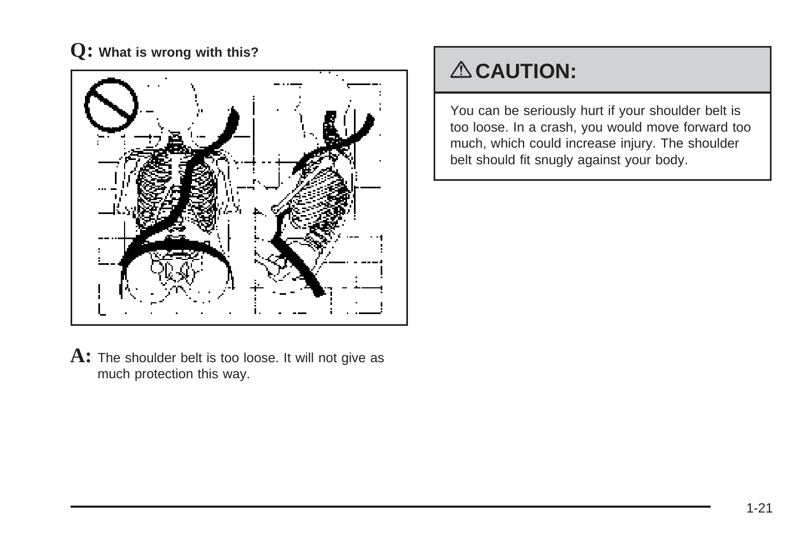

### { **CAUTION:**

You can be seriously hurt if your shoulder belt is too loose. In a crash, you would move forward too much, which could increase injury. The shoulder belt should fit snugly against your body.

**A:** The shoulder belt is too loose. It will not give as much protection this way.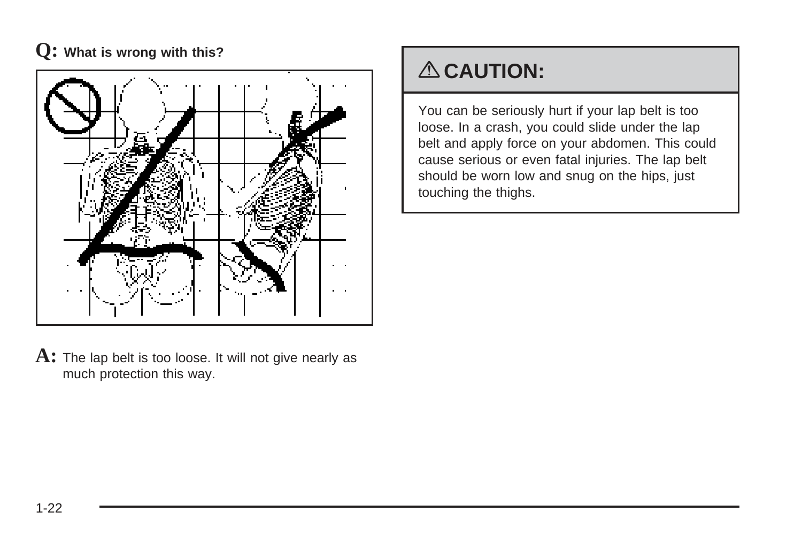

**A:** The lap belt is too loose. It will not give nearly as much protection this way.

### { **CAUTION:**

You can be seriously hurt if your lap belt is too loose. In a crash, you could slide under the lap belt and apply force on your abdomen. This could cause serious or even fatal injuries. The lap belt should be worn low and snug on the hips, just touching the thighs.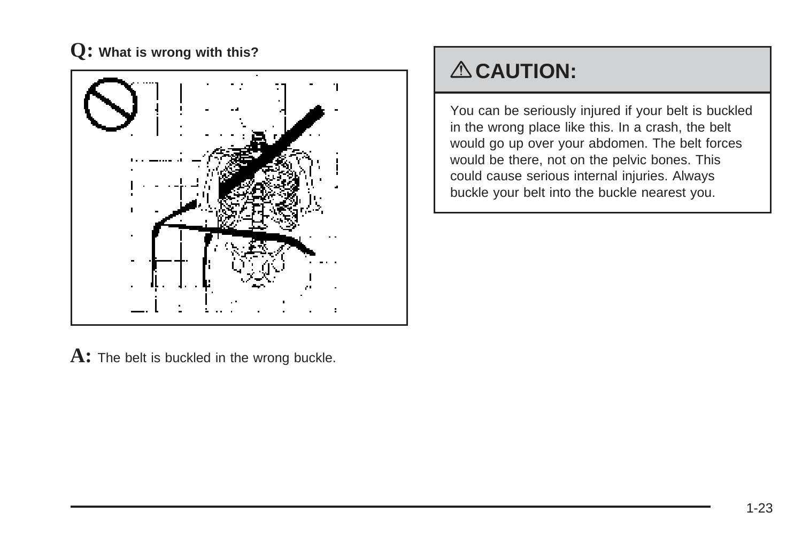

## { **CAUTION:**

You can be seriously injured if your belt is buckled in the wrong place like this. In a crash, the belt would go up over your abdomen. The belt forces would be there, not on the pelvic bones. This could cause serious internal injuries. Always buckle your belt into the buckle nearest you.

**A:** The belt is buckled in the wrong buckle.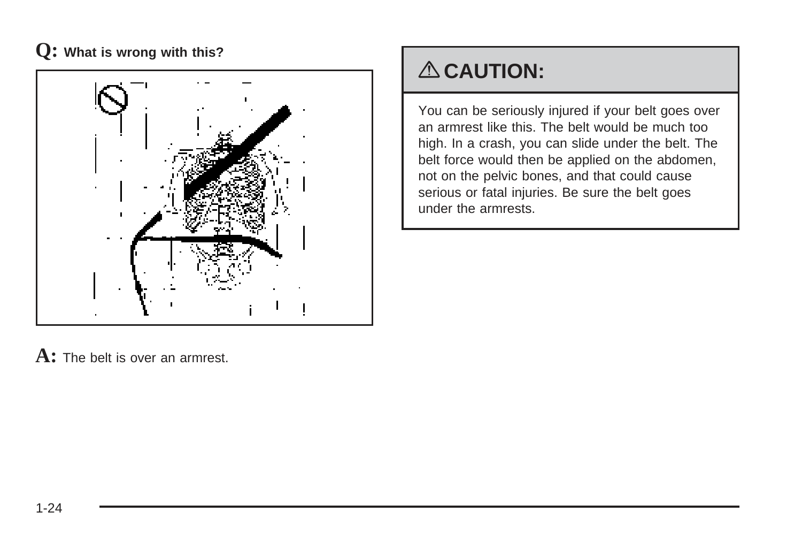

## { **CAUTION:**

You can be seriously injured if your belt goes over an armrest like this. The belt would be much too high. In a crash, you can slide under the belt. The belt force would then be applied on the abdomen, not on the pelvic bones, and that could cause serious or fatal injuries. Be sure the belt goes under the armrests.

**A:** The belt is over an armrest.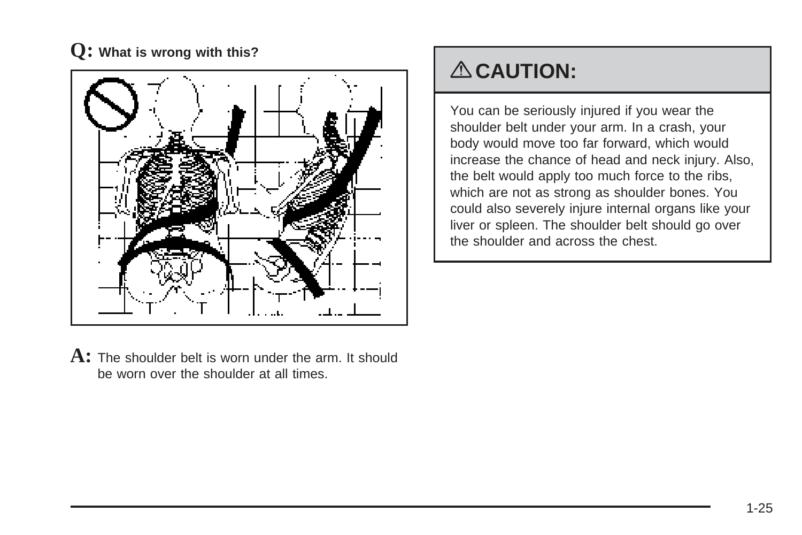

**A:** The shoulder belt is worn under the arm. It should be worn over the shoulder at all times.

## { **CAUTION:**

You can be seriously injured if you wear the shoulder belt under your arm. In a crash, your body would move too far forward, which would increase the chance of head and neck injury. Also, the belt would apply too much force to the ribs, which are not as strong as shoulder bones. You could also severely injure internal organs like your liver or spleen. The shoulder belt should go over the shoulder and across the chest.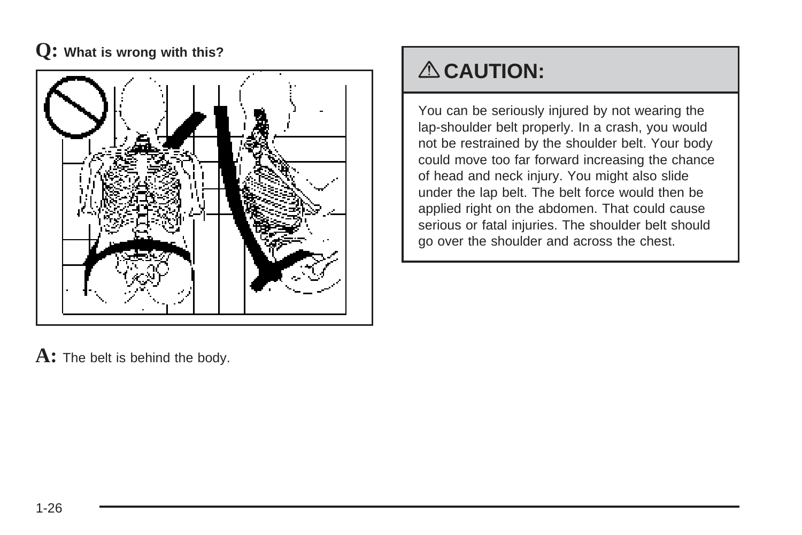

## { **CAUTION:**

You can be seriously injured by not wearing the lap-shoulder belt properly. In a crash, you would not be restrained by the shoulder belt. Your body could move too far forward increasing the chance of head and neck injury. You might also slide under the lap belt. The belt force would then be applied right on the abdomen. That could cause serious or fatal injuries. The shoulder belt should go over the shoulder and across the chest.

A: The belt is behind the body.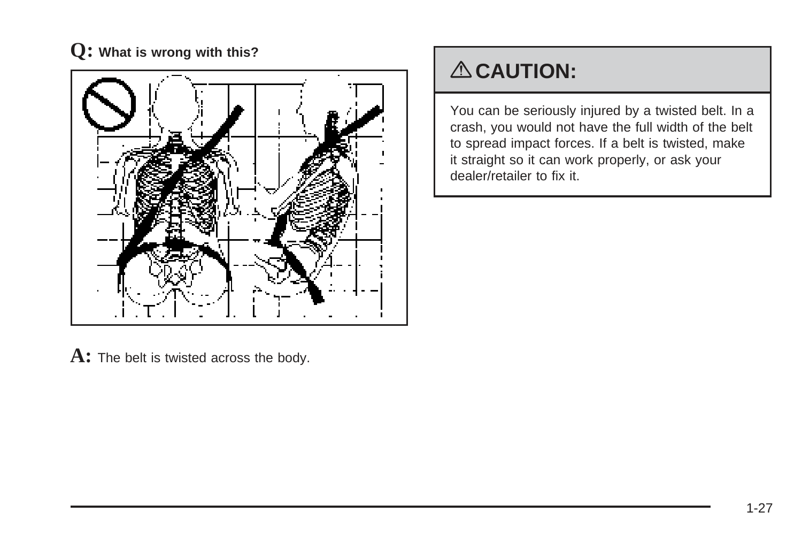

## { **CAUTION:**

You can be seriously injured by a twisted belt. In a crash, you would not have the full width of the belt to spread impact forces. If a belt is twisted, make it straight so it can work properly, or ask your dealer/retailer to fix it.

A: The belt is twisted across the body.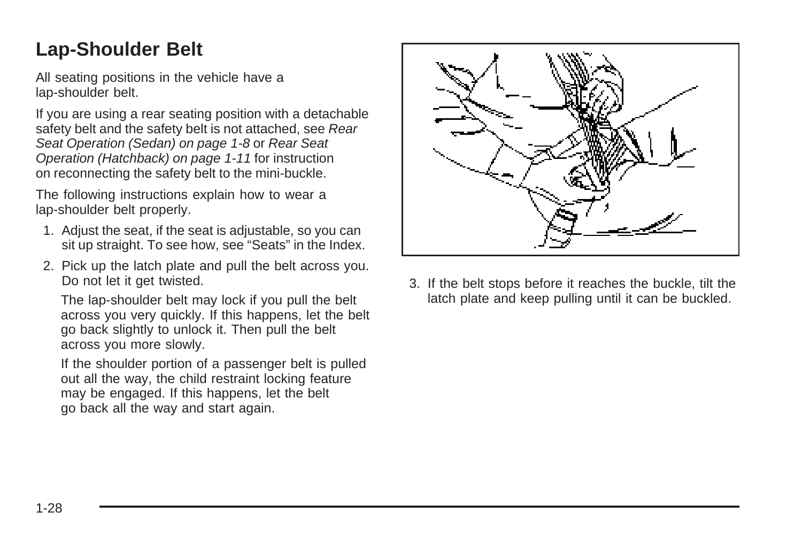### <span id="page-31-0"></span>**Lap-Shoulder Belt**

All seating positions in the vehicle have a lap-shoulder belt.

If you are using a rear seating position with a detachable safety belt and the safety belt is not attached, see [Rear](#page-11-0) [Seat Operation \(Sedan\)](#page-11-0) on page 1-8 or [Rear Seat](#page-14-0) [Operation \(Hatchback\)](#page-14-0) on page 1-11 for instruction on reconnecting the safety belt to the mini-buckle.

The following instructions explain how to wear a lap-shoulder belt properly.

- 1. Adjust the seat, if the seat is adjustable, so you can sit up straight. To see how, see "Seats" in the Index.
- 2. Pick up the latch plate and pull the belt across you. Do not let it get twisted.

The lap-shoulder belt may lock if you pull the belt across you very quickly. If this happens, let the belt go back slightly to unlock it. Then pull the belt across you more slowly.

If the shoulder portion of a passenger belt is pulled out all the way, the child restraint locking feature may be engaged. If this happens, let the belt go back all the way and start again.



3. If the belt stops before it reaches the buckle, tilt the latch plate and keep pulling until it can be buckled.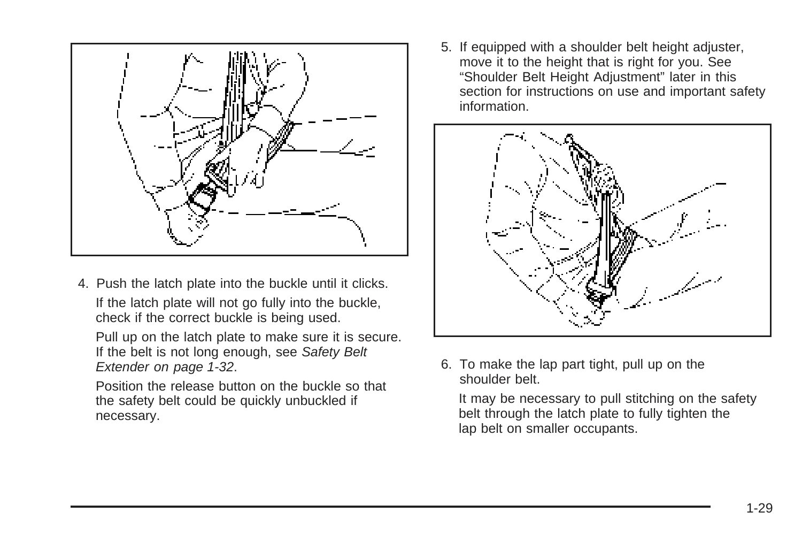

4. Push the latch plate into the buckle until it clicks. If the latch plate will not go fully into the buckle, check if the correct buckle is being used.

Pull up on the latch plate to make sure it is secure. If the belt is not long enough, see [Safety Belt](#page-35-0) [Extender](#page-35-0) on page 1-32.

Position the release button on the buckle so that the safety belt could be quickly unbuckled if necessary.

5. If equipped with a shoulder belt height adjuster, move it to the height that is right for you. See "Shoulder Belt Height Adjustment" later in this section for instructions on use and important safety information.



6. To make the lap part tight, pull up on the shoulder belt.

It may be necessary to pull stitching on the safety belt through the latch plate to fully tighten the lap belt on smaller occupants.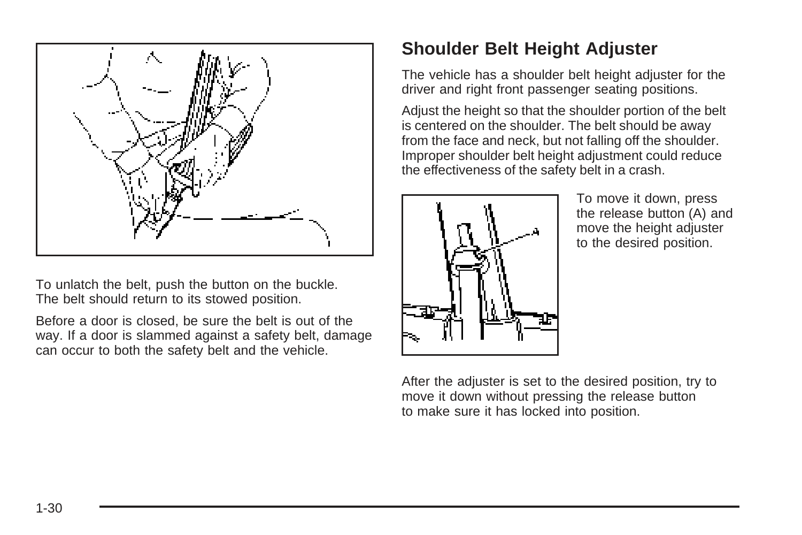

To unlatch the belt, push the button on the buckle. The belt should return to its stowed position.

Before a door is closed, be sure the belt is out of the way. If a door is slammed against a safety belt, damage can occur to both the safety belt and the vehicle.

### **Shoulder Belt Height Adjuster**

The vehicle has a shoulder belt height adjuster for the driver and right front passenger seating positions.

Adjust the height so that the shoulder portion of the belt is centered on the shoulder. The belt should be away from the face and neck, but not falling off the shoulder. Improper shoulder belt height adjustment could reduce the effectiveness of the safety belt in a crash.



To move it down, press the release button (A) and move the height adjuster to the desired position.

After the adjuster is set to the desired position, try to move it down without pressing the release button to make sure it has locked into position.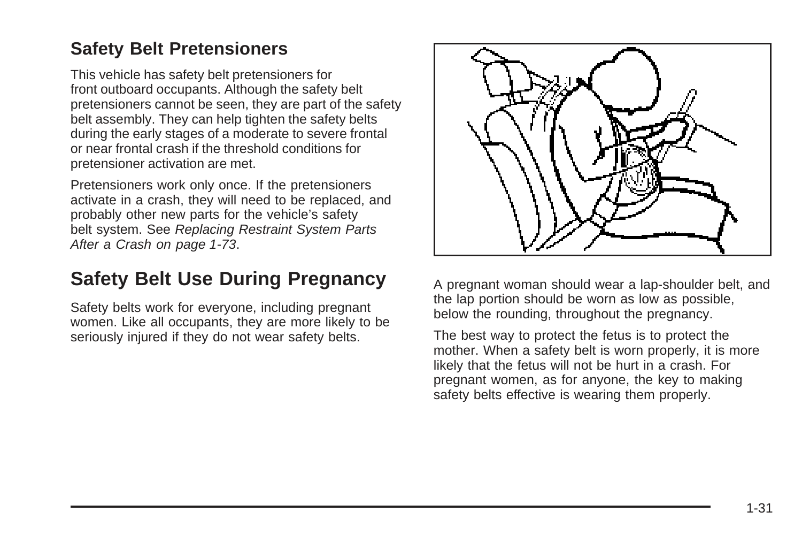#### <span id="page-34-0"></span>**Safety Belt Pretensioners**

This vehicle has safety belt pretensioners for front outboard occupants. Although the safety belt pretensioners cannot be seen, they are part of the safety belt assembly. They can help tighten the safety belts during the early stages of a moderate to severe frontal or near frontal crash if the threshold conditions for pretensioner activation are met.

Pretensioners work only once. If the pretensioners activate in a crash, they will need to be replaced, and probably other new parts for the vehicle's safety belt system. See [Replacing Restraint System Parts](#page-76-0) [After a Crash](#page-76-0) on page 1-73.

### **Safety Belt Use During Pregnancy**

Safety belts work for everyone, including pregnant women. Like all occupants, they are more likely to be seriously injured if they do not wear safety belts.



A pregnant woman should wear a lap-shoulder belt, and the lap portion should be worn as low as possible, below the rounding, throughout the pregnancy.

The best way to protect the fetus is to protect the mother. When a safety belt is worn properly, it is more likely that the fetus will not be hurt in a crash. For pregnant women, as for anyone, the key to making safety belts effective is wearing them properly.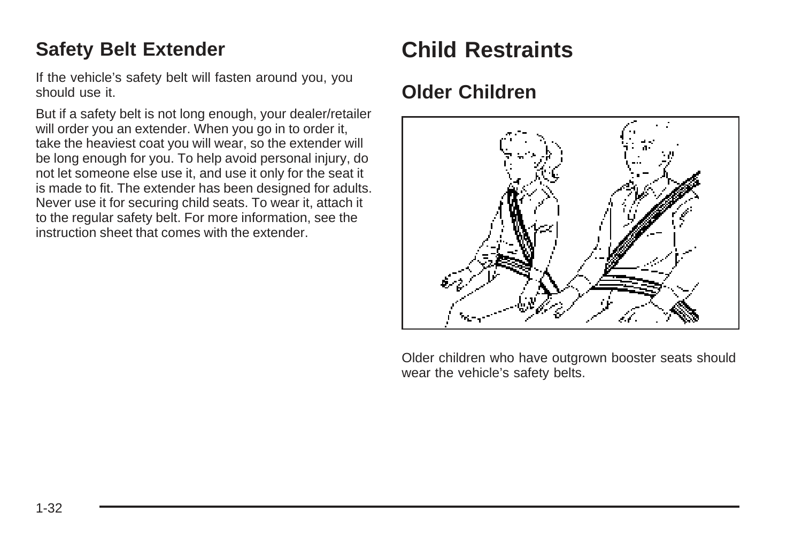### <span id="page-35-0"></span>**Safety Belt Extender**

If the vehicle's safety belt will fasten around you, you should use it.

But if a safety belt is not long enough, your dealer/retailer will order you an extender. When you go in to order it, take the heaviest coat you will wear, so the extender will be long enough for you. To help avoid personal injury, do not let someone else use it, and use it only for the seat it is made to fit. The extender has been designed for adults. Never use it for securing child seats. To wear it, attach it to the regular safety belt. For more information, see the instruction sheet that comes with the extender.

### **Child Restraints**

### **Older Children**



Older children who have outgrown booster seats should wear the vehicle's safety belts.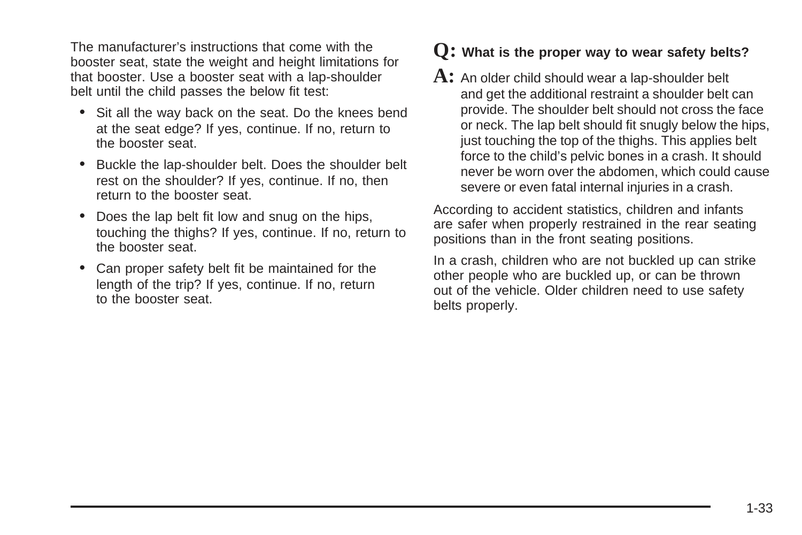The manufacturer's instructions that come with the booster seat, state the weight and height limitations for that booster. Use a booster seat with a lap-shoulder belt until the child passes the below fit test:

- Sit all the way back on the seat. Do the knees bend at the seat edge? If yes, continue. If no, return to the booster seat.
- Buckle the lap-shoulder belt. Does the shoulder belt rest on the shoulder? If yes, continue. If no, then return to the booster seat.
- Does the lap belt fit low and snug on the hips, touching the thighs? If yes, continue. If no, return to the booster seat.
- Can proper safety belt fit be maintained for the length of the trip? If yes, continue. If no, return to the booster seat.

#### **Q: What is the proper way to wear safety belts?**

**A:** An older child should wear a lap-shoulder belt and get the additional restraint a shoulder belt can provide. The shoulder belt should not cross the face or neck. The lap belt should fit snugly below the hips, just touching the top of the thighs. This applies belt force to the child's pelvic bones in a crash. It should never be worn over the abdomen, which could cause severe or even fatal internal injuries in a crash.

According to accident statistics, children and infants are safer when properly restrained in the rear seating positions than in the front seating positions.

In a crash, children who are not buckled up can strike other people who are buckled up, or can be thrown out of the vehicle. Older children need to use safety belts properly.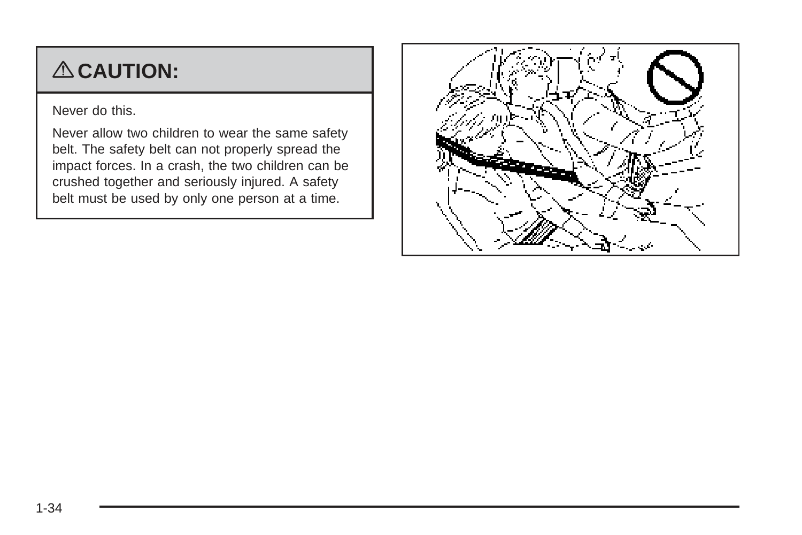# { **CAUTION:**

Never do this.

Never allow two children to wear the same safety belt. The safety belt can not properly spread the impact forces. In a crash, the two children can be crushed together and seriously injured. A safety belt must be used by only one person at a time.

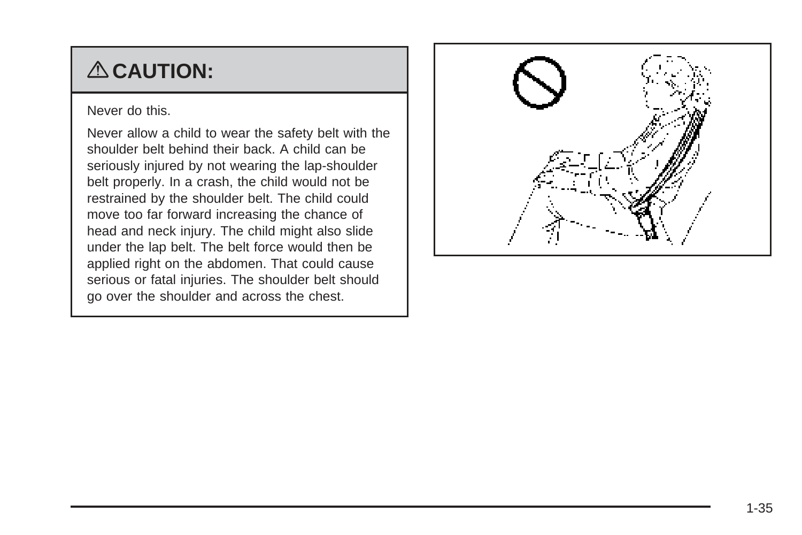# { **CAUTION:**

Never do this.

Never allow a child to wear the safety belt with the shoulder belt behind their back. A child can be seriously injured by not wearing the lap-shoulder belt properly. In a crash, the child would not be restrained by the shoulder belt. The child could move too far forward increasing the chance of head and neck injury. The child might also slide under the lap belt. The belt force would then be applied right on the abdomen. That could cause serious or fatal injuries. The shoulder belt should go over the shoulder and across the chest.

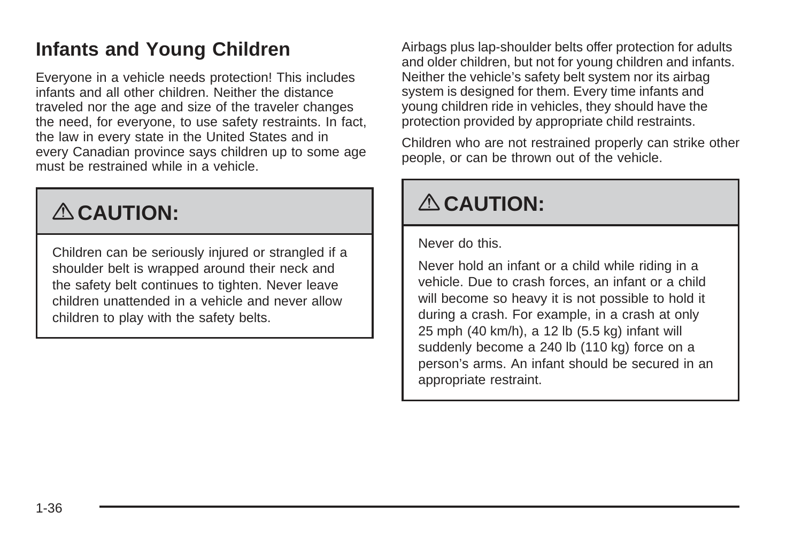### <span id="page-39-0"></span>**Infants and Young Children**

Everyone in a vehicle needs protection! This includes infants and all other children. Neither the distance traveled nor the age and size of the traveler changes the need, for everyone, to use safety restraints. In fact, the law in every state in the United States and in every Canadian province says children up to some age must be restrained while in a vehicle.

# { **CAUTION:**

Children can be seriously injured or strangled if a shoulder belt is wrapped around their neck and the safety belt continues to tighten. Never leave children unattended in a vehicle and never allow children to play with the safety belts.

Airbags plus lap-shoulder belts offer protection for adults and older children, but not for young children and infants. Neither the vehicle's safety belt system nor its airbag system is designed for them. Every time infants and young children ride in vehicles, they should have the protection provided by appropriate child restraints.

Children who are not restrained properly can strike other people, or can be thrown out of the vehicle.

# { **CAUTION:**

Never do this.

Never hold an infant or a child while riding in a vehicle. Due to crash forces, an infant or a child will become so heavy it is not possible to hold it during a crash. For example, in a crash at only 25 mph (40 km/h), a 12 lb (5.5 kg) infant will suddenly become a 240 lb (110 kg) force on a person's arms. An infant should be secured in an appropriate restraint.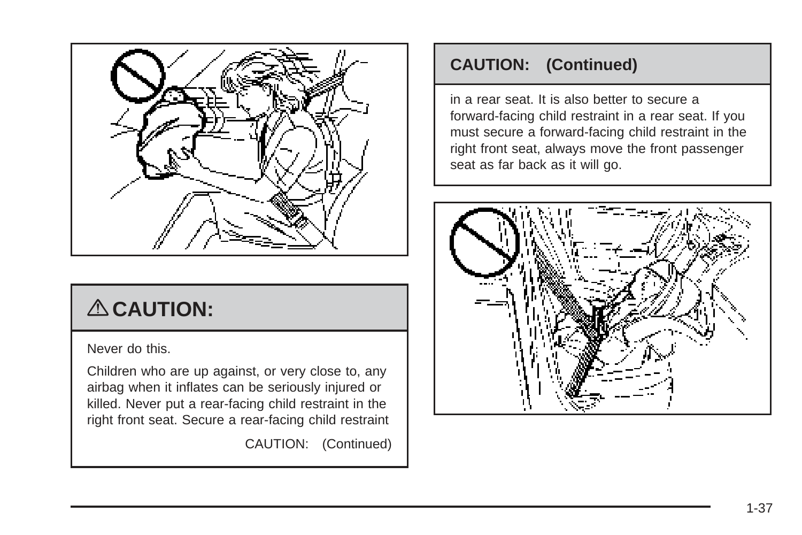

# { **CAUTION:**

Never do this.

Children who are up against, or very close to, any airbag when it inflates can be seriously injured or killed. Never put a rear-facing child restraint in the right front seat. Secure a rear-facing child restraint

CAUTION: (Continued)

#### **CAUTION: (Continued)**

in a rear seat. It is also better to secure a forward-facing child restraint in a rear seat. If you must secure a forward-facing child restraint in the right front seat, always move the front passenger seat as far back as it will go.

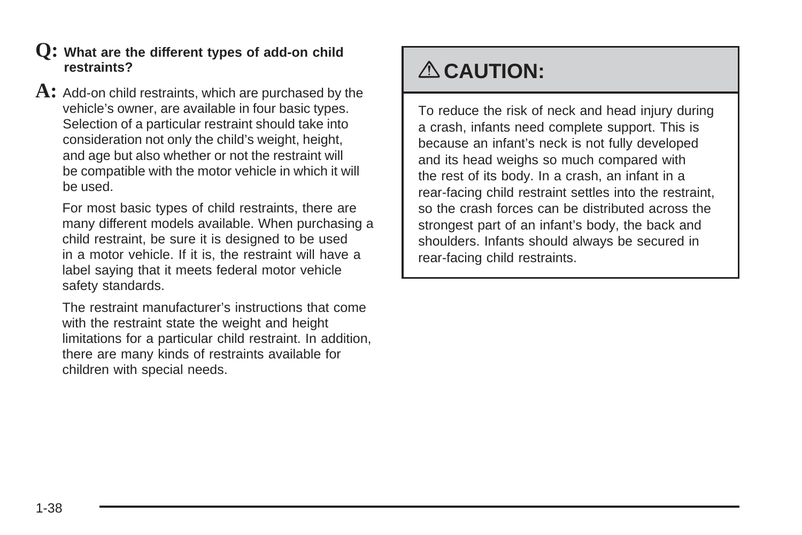- **Q: What are the different types of add-on child restraints?**
- **A:** Add-on child restraints, which are purchased by the vehicle's owner, are available in four basic types. Selection of a particular restraint should take into consideration not only the child's weight, height, and age but also whether or not the restraint will be compatible with the motor vehicle in which it will be used.

For most basic types of child restraints, there are many different models available. When purchasing a child restraint, be sure it is designed to be used in a motor vehicle. If it is, the restraint will have a label saying that it meets federal motor vehicle safety standards.

The restraint manufacturer's instructions that come with the restraint state the weight and height limitations for a particular child restraint. In addition, there are many kinds of restraints available for children with special needs.

## { **CAUTION:**

To reduce the risk of neck and head injury during a crash, infants need complete support. This is because an infant's neck is not fully developed and its head weighs so much compared with the rest of its body. In a crash, an infant in a rear-facing child restraint settles into the restraint, so the crash forces can be distributed across the strongest part of an infant's body, the back and shoulders. Infants should always be secured in rear-facing child restraints.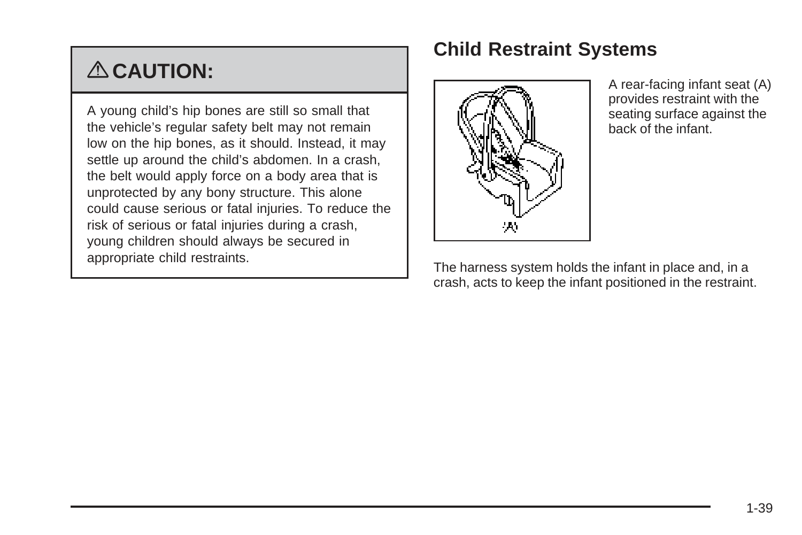# { **CAUTION:**

A young child's hip bones are still so small that the vehicle's regular safety belt may not remain low on the hip bones, as it should. Instead, it may settle up around the child's abdomen. In a crash, the belt would apply force on a body area that is unprotected by any bony structure. This alone could cause serious or fatal injuries. To reduce the risk of serious or fatal injuries during a crash, young children should always be secured in appropriate child restraints.

### **Child Restraint Systems**



A rear-facing infant seat (A) provides restraint with the seating surface against the back of the infant.

The harness system holds the infant in place and, in a crash, acts to keep the infant positioned in the restraint.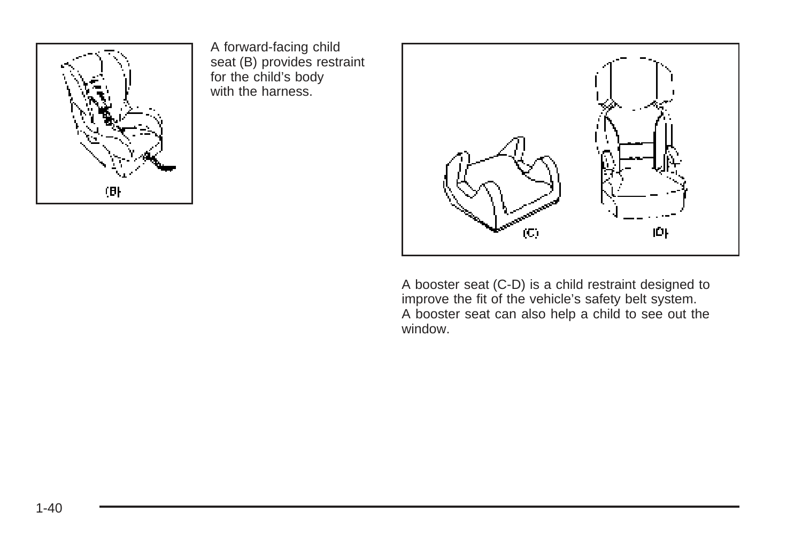

A forward-facing child seat (B) provides restraint for the child's body with the harness.



A booster seat (C-D) is a child restraint designed to improve the fit of the vehicle's safety belt system. A booster seat can also help a child to see out the window.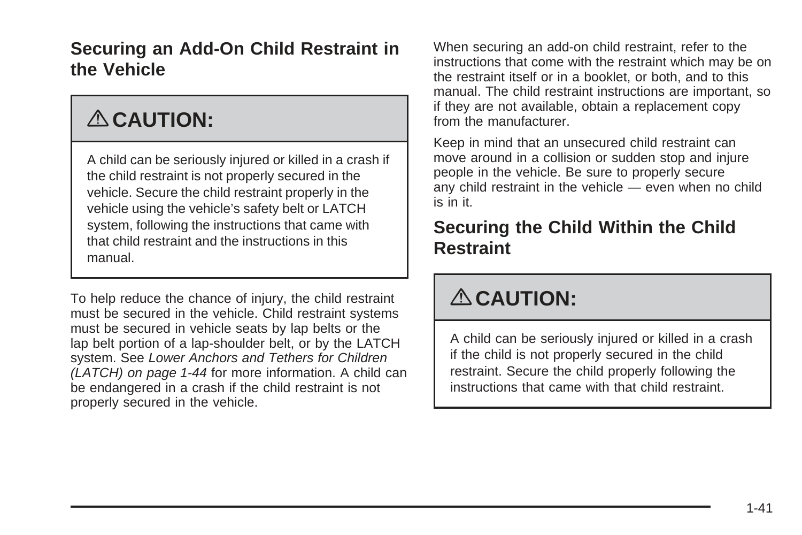#### **Securing an Add-On Child Restraint in the Vehicle**

# { **CAUTION:**

A child can be seriously injured or killed in a crash if the child restraint is not properly secured in the vehicle. Secure the child restraint properly in the vehicle using the vehicle's safety belt or LATCH system, following the instructions that came with that child restraint and the instructions in this manual.

To help reduce the chance of injury, the child restraint must be secured in the vehicle. Child restraint systems must be secured in vehicle seats by lap belts or the lap belt portion of a lap-shoulder belt, or by the LATCH system. See [Lower Anchors and Tethers for Children](#page-47-0) [\(LATCH\)](#page-47-0) on page 1-44 for more information. A child can be endangered in a crash if the child restraint is not properly secured in the vehicle.

When securing an add-on child restraint, refer to the instructions that come with the restraint which may be on the restraint itself or in a booklet, or both, and to this manual. The child restraint instructions are important, so if they are not available, obtain a replacement copy from the manufacturer.

Keep in mind that an unsecured child restraint can move around in a collision or sudden stop and injure people in the vehicle. Be sure to properly secure any child restraint in the vehicle — even when no child is in it.

#### **Securing the Child Within the Child Restraint**

# { **CAUTION:**

A child can be seriously injured or killed in a crash if the child is not properly secured in the child restraint. Secure the child properly following the instructions that came with that child restraint.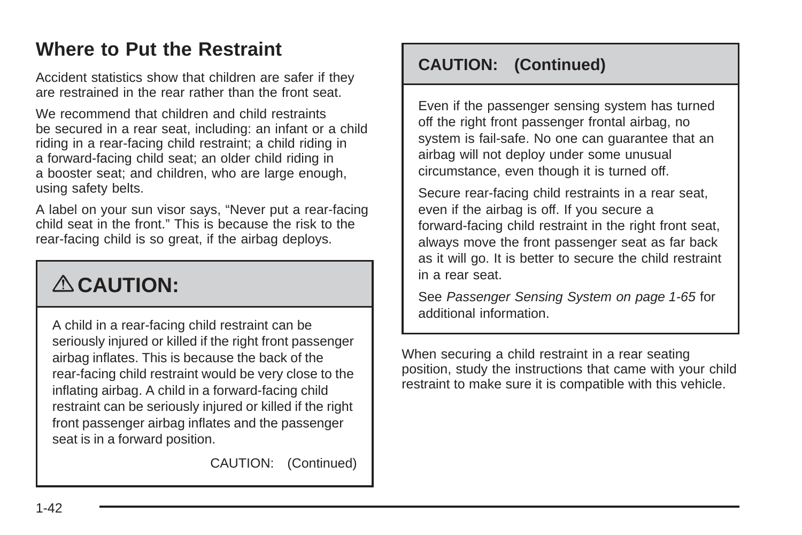### <span id="page-45-0"></span>**Where to Put the Restraint**

Accident statistics show that children are safer if they are restrained in the rear rather than the front seat.

We recommend that children and child restraints be secured in a rear seat, including: an infant or a child riding in a rear-facing child restraint; a child riding in a forward-facing child seat; an older child riding in a booster seat; and children, who are large enough, using safety belts.

A label on your sun visor says, "Never put a rear-facing child seat in the front." This is because the risk to the rear-facing child is so great, if the airbag deploys.

# { **CAUTION:**

A child in a rear-facing child restraint can be seriously injured or killed if the right front passenger airbag inflates. This is because the back of the rear-facing child restraint would be very close to the inflating airbag. A child in a forward-facing child restraint can be seriously injured or killed if the right front passenger airbag inflates and the passenger seat is in a forward position.

CAUTION: (Continued)

#### **CAUTION: (Continued)**

Even if the passenger sensing system has turned off the right front passenger frontal airbag, no system is fail-safe. No one can guarantee that an airbag will not deploy under some unusual circumstance, even though it is turned off.

Secure rear-facing child restraints in a rear seat, even if the airbag is off. If you secure a forward-facing child restraint in the right front seat, always move the front passenger seat as far back as it will go. It is better to secure the child restraint in a rear seat.

See [Passenger Sensing System](#page-68-0) on page 1-65 for additional information.

When securing a child restraint in a rear seating position, study the instructions that came with your child restraint to make sure it is compatible with this vehicle.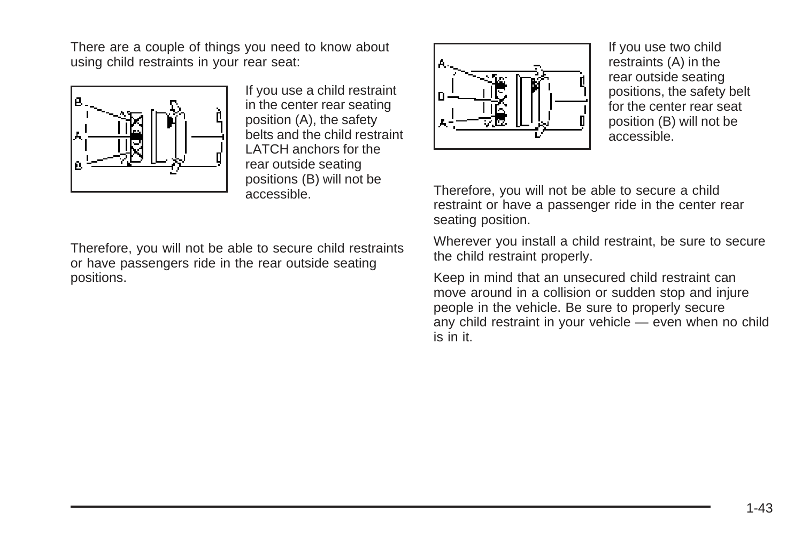There are a couple of things you need to know about using child restraints in your rear seat:



If you use a child restraint in the center rear seating position (A), the safety belts and the child restraint LATCH anchors for the rear outside seating positions (B) will not be accessible.

Therefore, you will not be able to secure child restraints or have passengers ride in the rear outside seating positions.



If you use two child restraints (A) in the rear outside seating positions, the safety belt for the center rear seat position (B) will not be accessible.

Therefore, you will not be able to secure a child restraint or have a passenger ride in the center rear seating position.

Wherever you install a child restraint, be sure to secure the child restraint properly.

Keep in mind that an unsecured child restraint can move around in a collision or sudden stop and injure people in the vehicle. Be sure to properly secure any child restraint in your vehicle — even when no child is in it.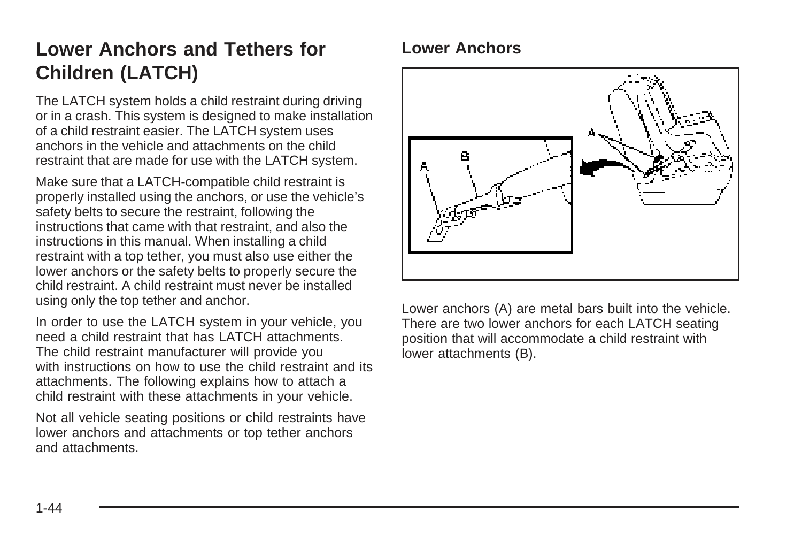## <span id="page-47-0"></span>**Lower Anchors and Tethers for Children (LATCH)**

The LATCH system holds a child restraint during driving or in a crash. This system is designed to make installation of a child restraint easier. The LATCH system uses anchors in the vehicle and attachments on the child restraint that are made for use with the LATCH system.

Make sure that a LATCH-compatible child restraint is properly installed using the anchors, or use the vehicle's safety belts to secure the restraint, following the instructions that came with that restraint, and also the instructions in this manual. When installing a child restraint with a top tether, you must also use either the lower anchors or the safety belts to properly secure the child restraint. A child restraint must never be installed using only the top tether and anchor.

In order to use the LATCH system in your vehicle, you need a child restraint that has LATCH attachments. The child restraint manufacturer will provide you with instructions on how to use the child restraint and its attachments. The following explains how to attach a child restraint with these attachments in your vehicle.

Not all vehicle seating positions or child restraints have lower anchors and attachments or top tether anchors and attachments.

#### **Lower Anchors**



Lower anchors (A) are metal bars built into the vehicle. There are two lower anchors for each LATCH seating position that will accommodate a child restraint with lower attachments (B).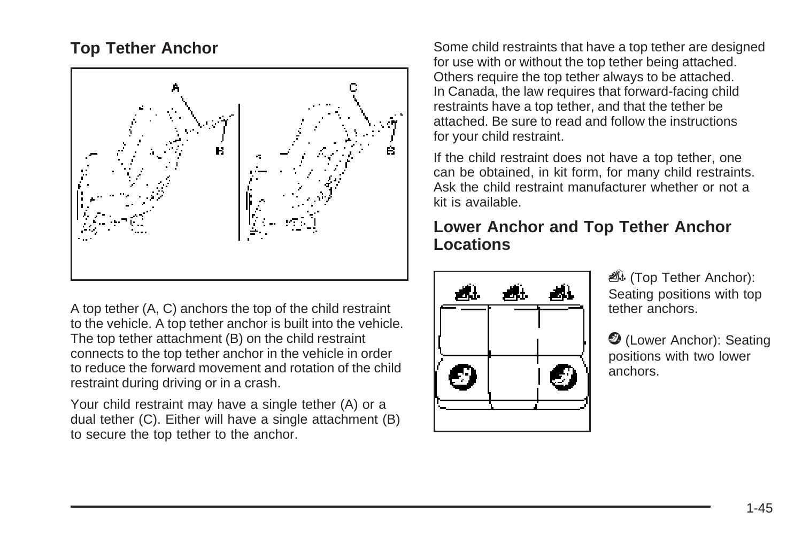#### **Top Tether Anchor**



A top tether (A, C) anchors the top of the child restraint to the vehicle. A top tether anchor is built into the vehicle. The top tether attachment (B) on the child restraint connects to the top tether anchor in the vehicle in order to reduce the forward movement and rotation of the child restraint during driving or in a crash.

Your child restraint may have a single tether (A) or a dual tether (C). Either will have a single attachment (B) to secure the top tether to the anchor.

Some child restraints that have a top tether are designed for use with or without the top tether being attached. Others require the top tether always to be attached. In Canada, the law requires that forward-facing child restraints have a top tether, and that the tether be attached. Be sure to read and follow the instructions for your child restraint.

If the child restraint does not have a top tether, one can be obtained, in kit form, for many child restraints. Ask the child restraint manufacturer whether or not a kit is available.

#### **Lower Anchor and Top Tether Anchor Locations**



*i***l** (Top Tether Anchor): Seating positions with top tether anchors.

**2** (Lower Anchor): Seating positions with two lower anchors.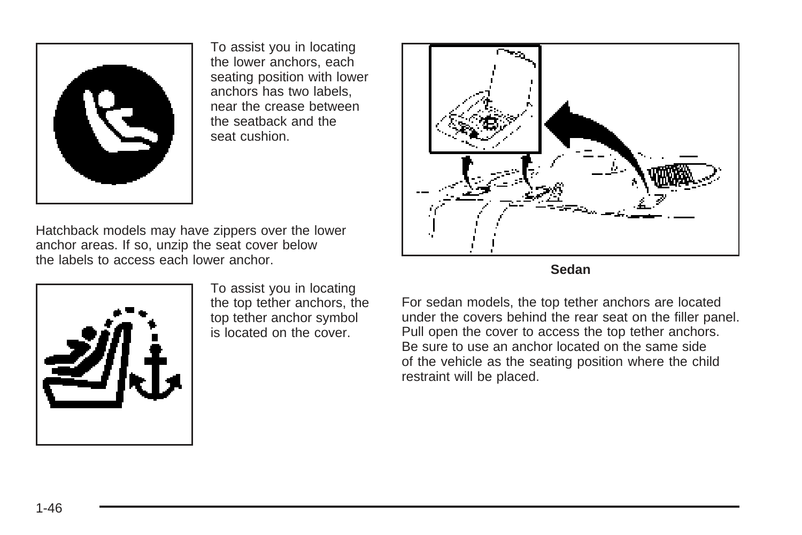

To assist you in locating the lower anchors, each seating position with lower anchors has two labels, near the crease between the seatback and the seat cushion.

Hatchback models may have zippers over the lower anchor areas. If so, unzip the seat cover below the labels to access each lower anchor.



To assist you in locating the top tether anchors, the top tether anchor symbol is located on the cover.





For sedan models, the top tether anchors are located under the covers behind the rear seat on the filler panel. Pull open the cover to access the top tether anchors. Be sure to use an anchor located on the same side of the vehicle as the seating position where the child restraint will be placed.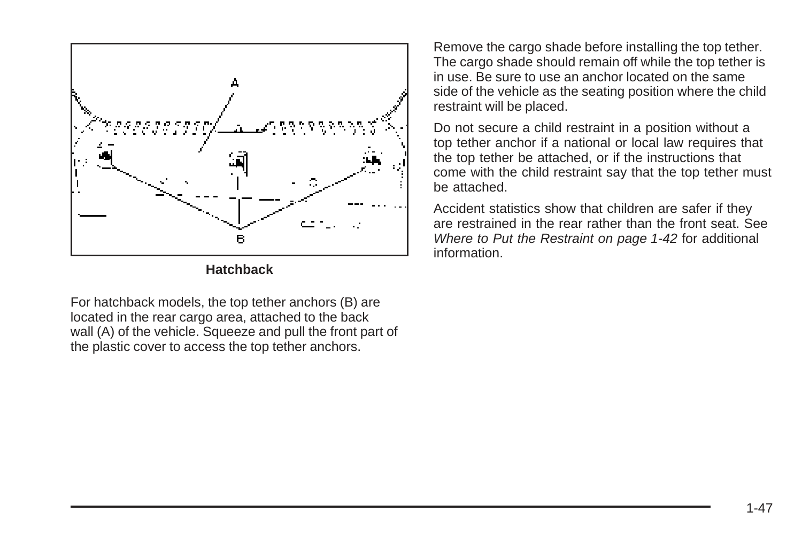

**Hatchback**

For hatchback models, the top tether anchors (B) are located in the rear cargo area, attached to the back wall (A) of the vehicle. Squeeze and pull the front part of the plastic cover to access the top tether anchors.

Remove the cargo shade before installing the top tether. The cargo shade should remain off while the top tether is in use. Be sure to use an anchor located on the same side of the vehicle as the seating position where the child restraint will be placed.

Do not secure a child restraint in a position without a top tether anchor if a national or local law requires that the top tether be attached, or if the instructions that come with the child restraint say that the top tether must be attached.

Accident statistics show that children are safer if they are restrained in the rear rather than the front seat. See [Where to Put the Restraint](#page-45-0) on page 1-42 for additional information.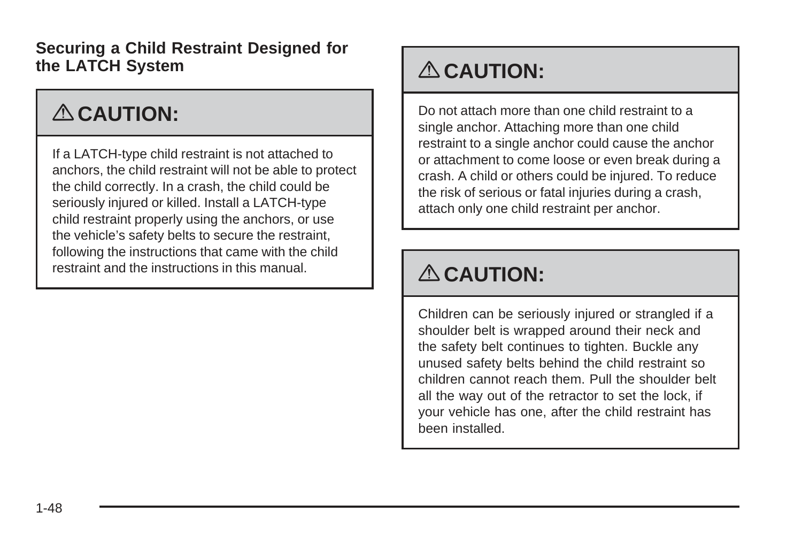**Securing a Child Restraint Designed for the LATCH System**

# { **CAUTION:**

If a LATCH-type child restraint is not attached to anchors, the child restraint will not be able to protect the child correctly. In a crash, the child could be seriously injured or killed. Install a LATCH-type child restraint properly using the anchors, or use the vehicle's safety belts to secure the restraint, following the instructions that came with the child restraint and the instructions in this manual.

# { **CAUTION:**

Do not attach more than one child restraint to a single anchor. Attaching more than one child restraint to a single anchor could cause the anchor or attachment to come loose or even break during a crash. A child or others could be injured. To reduce the risk of serious or fatal injuries during a crash, attach only one child restraint per anchor.

# { **CAUTION:**

Children can be seriously injured or strangled if a shoulder belt is wrapped around their neck and the safety belt continues to tighten. Buckle any unused safety belts behind the child restraint so children cannot reach them. Pull the shoulder belt all the way out of the retractor to set the lock, if your vehicle has one, after the child restraint has been installed.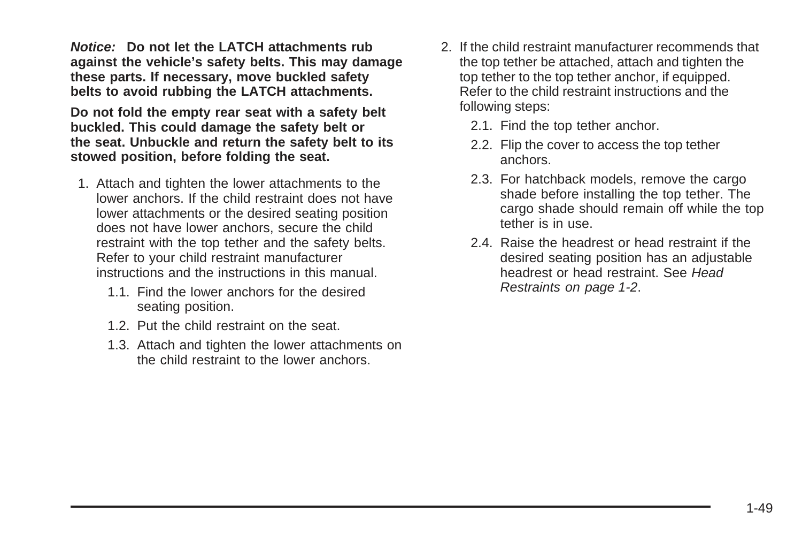**Notice: Do not let the LATCH attachments rub against the vehicle's safety belts. This may damage these parts. If necessary, move buckled safety belts to avoid rubbing the LATCH attachments.**

**Do not fold the empty rear seat with a safety belt buckled. This could damage the safety belt or the seat. Unbuckle and return the safety belt to its stowed position, before folding the seat.**

- 1. Attach and tighten the lower attachments to the lower anchors. If the child restraint does not have lower attachments or the desired seating position does not have lower anchors, secure the child restraint with the top tether and the safety belts. Refer to your child restraint manufacturer instructions and the instructions in this manual.
	- 1.1. Find the lower anchors for the desired seating position.
	- 1.2. Put the child restraint on the seat.
	- 1.3. Attach and tighten the lower attachments on the child restraint to the lower anchors.
- 2. If the child restraint manufacturer recommends that the top tether be attached, attach and tighten the top tether to the top tether anchor, if equipped. Refer to the child restraint instructions and the following steps:
	- 2.1. Find the top tether anchor.
	- 2.2. Flip the cover to access the top tether anchors.
	- 2.3. For hatchback models, remove the cargo shade before installing the top tether. The cargo shade should remain off while the top tether is in use.
	- 2.4. Raise the headrest or head restraint if the desired seating position has an adjustable headrest or head restraint. See [Head](#page-5-0) [Restraints](#page-5-0) on page 1-2.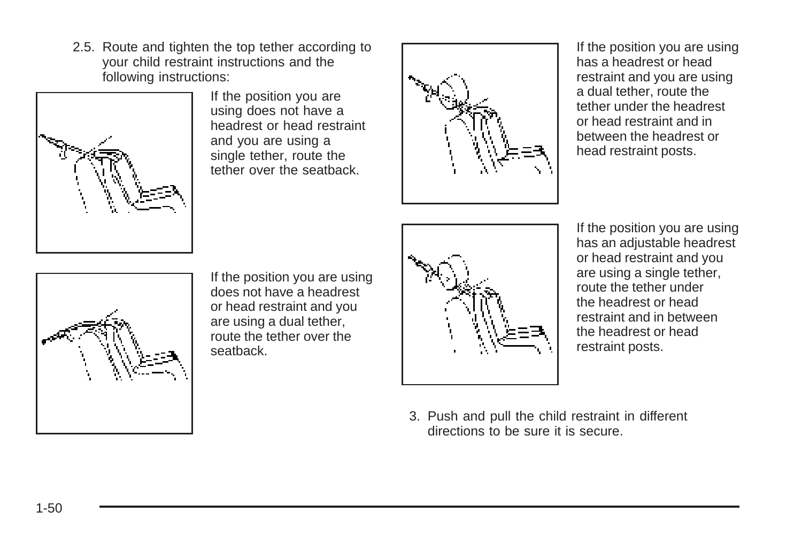2.5. Route and tighten the top tether according to your child restraint instructions and the following instructions:



If the position you are using does not have a headrest or head restraint and you are using a single tether, route the tether over the seatback.



If the position you are using has a headrest or head restraint and you are using a dual tether, route the tether under the headrest or head restraint and in between the headrest or head restraint posts.



If the position you are using does not have a headrest or head restraint and you are using a dual tether, route the tether over the seatback.



If the position you are using has an adjustable headrest or head restraint and you are using a single tether, route the tether under the headrest or head restraint and in between the headrest or head restraint posts.

3. Push and pull the child restraint in different directions to be sure it is secure.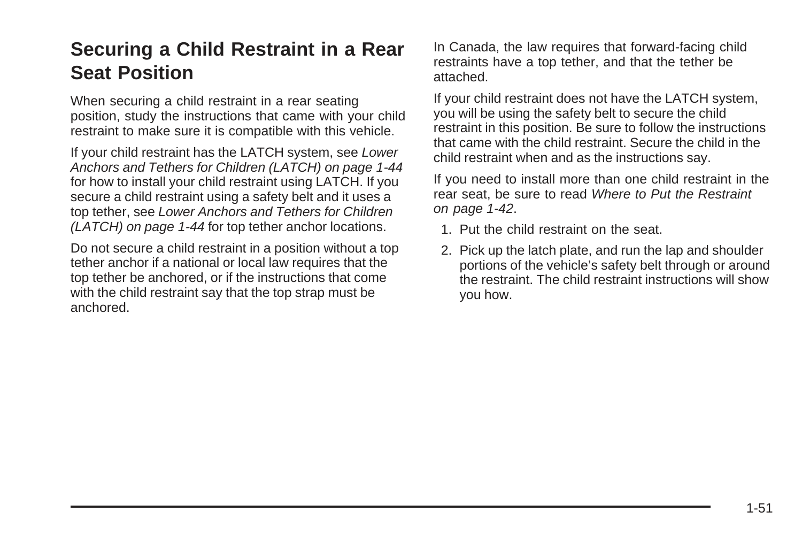### **Securing a Child Restraint in a Rear Seat Position**

When securing a child restraint in a rear seating position, study the instructions that came with your child restraint to make sure it is compatible with this vehicle.

If your child restraint has the LATCH system, see [Lower](#page-47-0) [Anchors and Tethers for Children \(LATCH\)](#page-47-0) on page 1-44 for how to install your child restraint using LATCH. If you secure a child restraint using a safety belt and it uses a top tether, see [Lower Anchors and Tethers for Children](#page-47-0) [\(LATCH\)](#page-47-0) on page 1-44 for top tether anchor locations.

Do not secure a child restraint in a position without a top tether anchor if a national or local law requires that the top tether be anchored, or if the instructions that come with the child restraint say that the top strap must be anchored.

In Canada, the law requires that forward-facing child restraints have a top tether, and that the tether be attached.

If your child restraint does not have the LATCH system, you will be using the safety belt to secure the child restraint in this position. Be sure to follow the instructions that came with the child restraint. Secure the child in the child restraint when and as the instructions say.

If you need to install more than one child restraint in the rear seat, be sure to read [Where to Put the Restraint](#page-45-0) on page 1-42.

- 1. Put the child restraint on the seat.
- 2. Pick up the latch plate, and run the lap and shoulder portions of the vehicle's safety belt through or around the restraint. The child restraint instructions will show you how.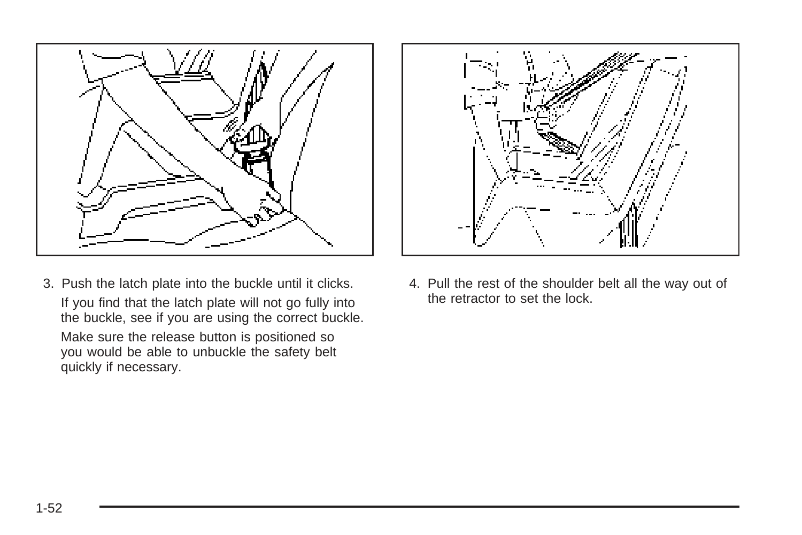

3. Push the latch plate into the buckle until it clicks. If you find that the latch plate will not go fully into the buckle, see if you are using the correct buckle.

Make sure the release button is positioned so you would be able to unbuckle the safety belt quickly if necessary.



4. Pull the rest of the shoulder belt all the way out of the retractor to set the lock.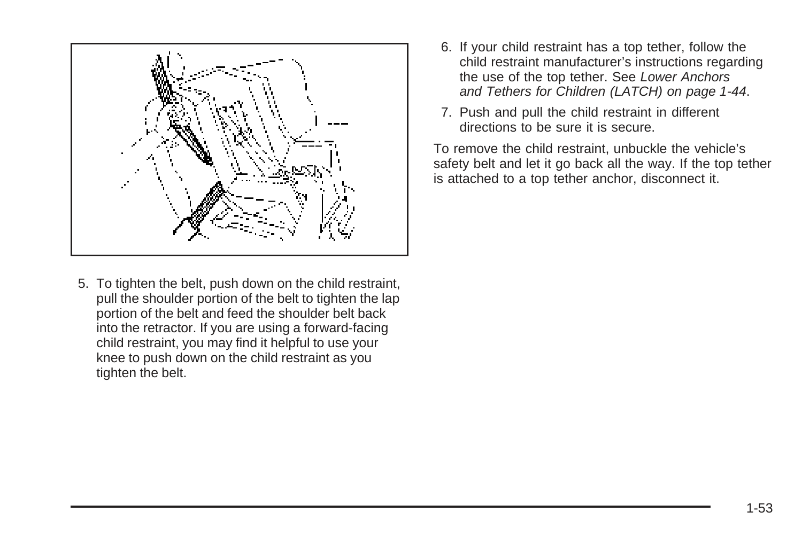

5. To tighten the belt, push down on the child restraint, pull the shoulder portion of the belt to tighten the lap portion of the belt and feed the shoulder belt back into the retractor. If you are using a forward-facing child restraint, you may find it helpful to use your knee to push down on the child restraint as you tighten the belt.

- 6. If your child restraint has a top tether, follow the child restraint manufacturer's instructions regarding the use of the top tether. See [Lower Anchors](#page-47-0) [and Tethers for Children \(LATCH\)](#page-47-0) on page 1-44.
- 7. Push and pull the child restraint in different directions to be sure it is secure.

To remove the child restraint, unbuckle the vehicle's safety belt and let it go back all the way. If the top tether is attached to a top tether anchor, disconnect it.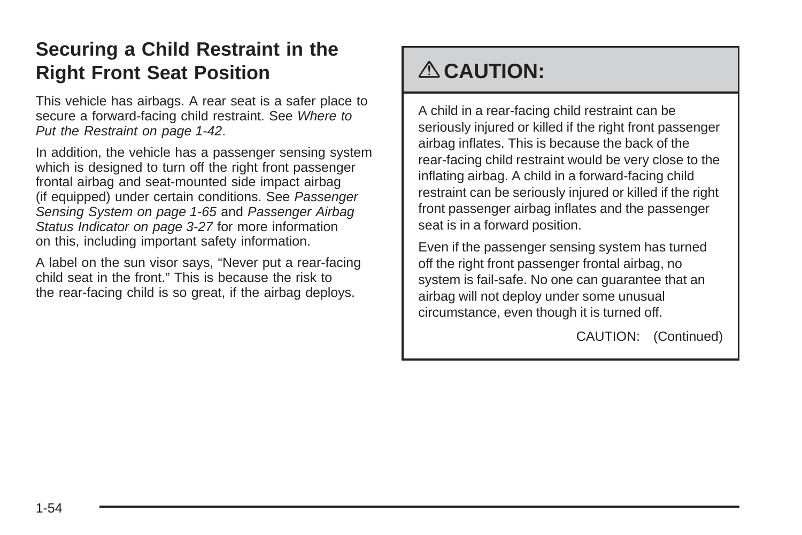### <span id="page-57-0"></span>**Securing a Child Restraint in the Right Front Seat Position**

This vehicle has airbags. A rear seat is a safer place to secure a forward-facing child restraint. See [Where to](#page-45-0) [Put the Restraint](#page-45-0) on page 1-42.

In addition, the vehicle has a passenger sensing system which is designed to turn off the right front passenger frontal airbag and seat-mounted side impact airbag (if equipped) under certain conditions. See [Passenger](#page-68-0) [Sensing System](#page-68-0) on page 1-65 and [Passenger Airbag](#page-142-0) [Status Indicator](#page-142-0) on page 3-27 for more information on this, including important safety information.

A label on the sun visor says, "Never put a rear-facing child seat in the front." This is because the risk to the rear-facing child is so great, if the airbag deploys.

## { **CAUTION:**

A child in a rear-facing child restraint can be seriously injured or killed if the right front passenger airbag inflates. This is because the back of the rear-facing child restraint would be very close to the inflating airbag. A child in a forward-facing child restraint can be seriously injured or killed if the right front passenger airbag inflates and the passenger seat is in a forward position.

Even if the passenger sensing system has turned off the right front passenger frontal airbag, no system is fail-safe. No one can guarantee that an airbag will not deploy under some unusual circumstance, even though it is turned off.

CAUTION: (Continued)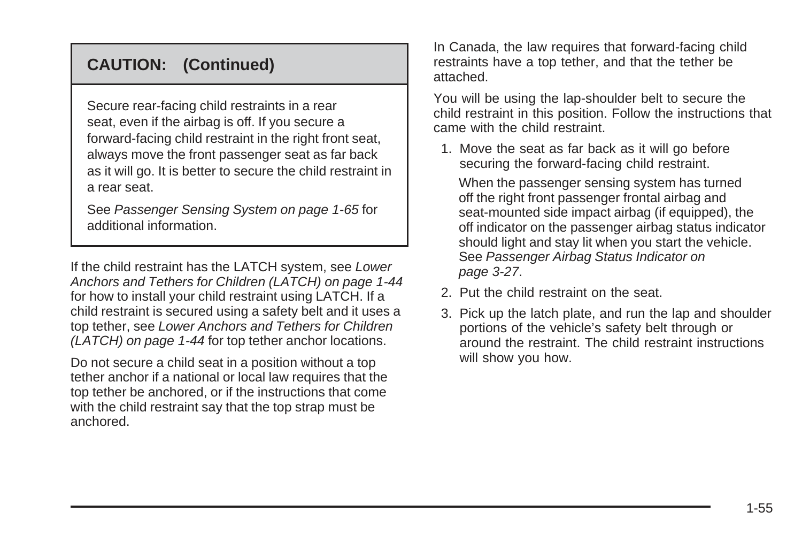#### **CAUTION: (Continued)**

Secure rear-facing child restraints in a rear seat, even if the airbag is off. If you secure a forward-facing child restraint in the right front seat, always move the front passenger seat as far back as it will go. It is better to secure the child restraint in a rear seat.

See [Passenger Sensing System](#page-68-0) on page 1-65 for additional information.

If the child restraint has the LATCH system, see [Lower](#page-47-0) [Anchors and Tethers for Children \(LATCH\)](#page-47-0) on page 1-44 for how to install your child restraint using LATCH. If a child restraint is secured using a safety belt and it uses a top tether, see [Lower Anchors and Tethers for Children](#page-47-0) [\(LATCH\)](#page-47-0) on page 1-44 for top tether anchor locations.

Do not secure a child seat in a position without a top tether anchor if a national or local law requires that the top tether be anchored, or if the instructions that come with the child restraint say that the top strap must be anchored.

In Canada, the law requires that forward-facing child restraints have a top tether, and that the tether be attached.

You will be using the lap-shoulder belt to secure the child restraint in this position. Follow the instructions that came with the child restraint.

1. Move the seat as far back as it will go before securing the forward-facing child restraint.

When the passenger sensing system has turned off the right front passenger frontal airbag and seat-mounted side impact airbag (if equipped), the off indicator on the passenger airbag status indicator should light and stay lit when you start the vehicle. See [Passenger Airbag Status Indicator](#page-142-0) on page 3-27.

- 2. Put the child restraint on the seat.
- 3. Pick up the latch plate, and run the lap and shoulder portions of the vehicle's safety belt through or around the restraint. The child restraint instructions will show you how.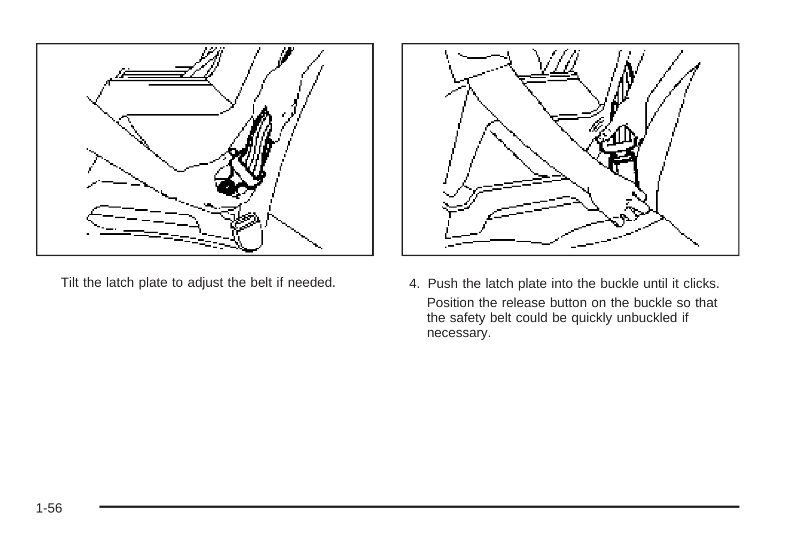



Tilt the latch plate to adjust the belt if needed. 4. Push the latch plate into the buckle until it clicks. Position the release button on the buckle so that the safety belt could be quickly unbuckled if necessary.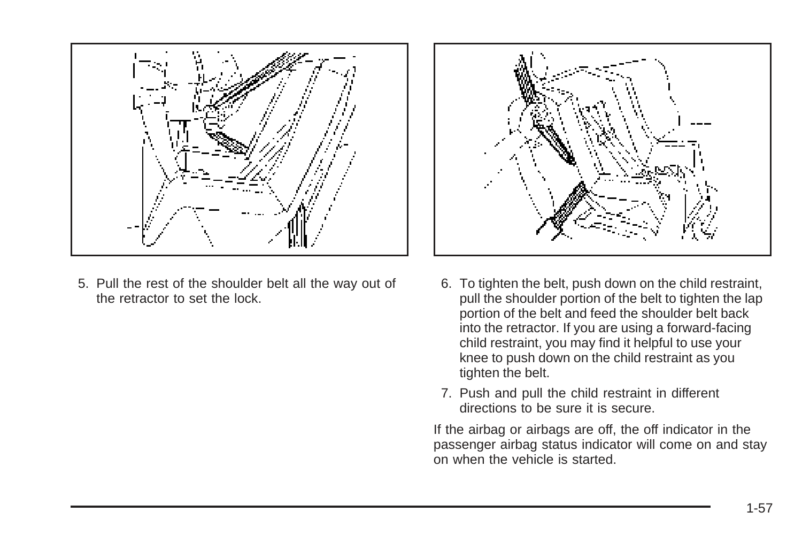

5. Pull the rest of the shoulder belt all the way out of the retractor to set the lock.



- 6. To tighten the belt, push down on the child restraint, pull the shoulder portion of the belt to tighten the lap portion of the belt and feed the shoulder belt back into the retractor. If you are using a forward-facing child restraint, you may find it helpful to use your knee to push down on the child restraint as you tighten the belt.
- 7. Push and pull the child restraint in different directions to be sure it is secure.

If the airbag or airbags are off, the off indicator in the passenger airbag status indicator will come on and stay on when the vehicle is started.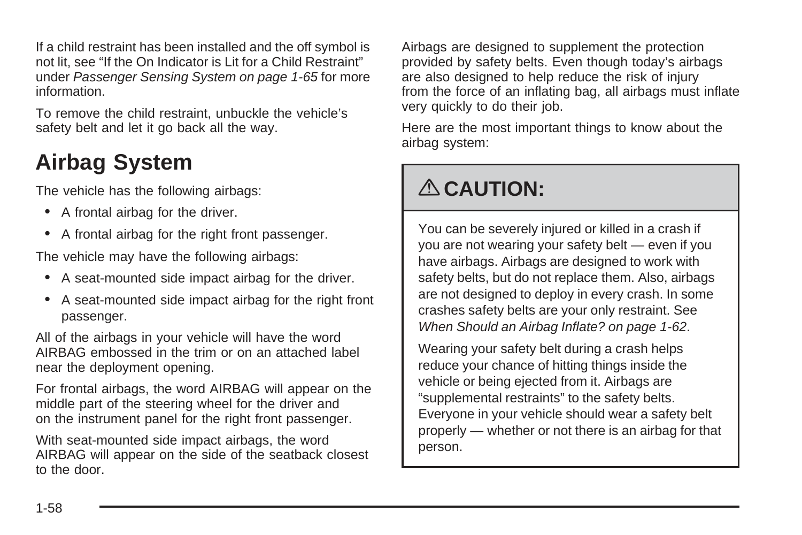<span id="page-61-0"></span>If a child restraint has been installed and the off symbol is not lit, see "If the On Indicator is Lit for a Child Restraint" under [Passenger Sensing System](#page-68-0) on page 1-65 for more information.

To remove the child restraint, unbuckle the vehicle's safety belt and let it go back all the way.

## **Airbag System**

The vehicle has the following airbags:

- A frontal airbag for the driver.
- A frontal airbag for the right front passenger.

The vehicle may have the following airbags:

- A seat-mounted side impact airbag for the driver.
- A seat-mounted side impact airbag for the right front passenger.

All of the airbags in your vehicle will have the word AIRBAG embossed in the trim or on an attached label near the deployment opening.

For frontal airbags, the word AIRBAG will appear on the middle part of the steering wheel for the driver and on the instrument panel for the right front passenger.

With seat-mounted side impact airbags, the word AIRBAG will appear on the side of the seatback closest to the door.

Airbags are designed to supplement the protection provided by safety belts. Even though today's airbags are also designed to help reduce the risk of injury from the force of an inflating bag, all airbags must inflate very quickly to do their job.

Here are the most important things to know about the airbag system:

## { **CAUTION:**

You can be severely injured or killed in a crash if you are not wearing your safety belt — even if you have airbags. Airbags are designed to work with safety belts, but do not replace them. Also, airbags are not designed to deploy in every crash. In some crashes safety belts are your only restraint. See [When Should an Airbag Inflate?](#page-65-0) on page 1-62.

Wearing your safety belt during a crash helps reduce your chance of hitting things inside the vehicle or being ejected from it. Airbags are "supplemental restraints" to the safety belts. Everyone in your vehicle should wear a safety belt properly — whether or not there is an airbag for that person.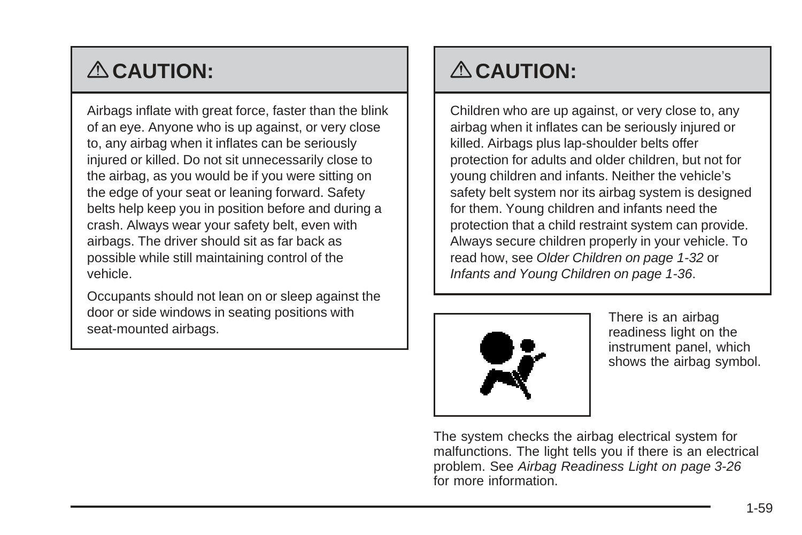# { **CAUTION:**

Airbags inflate with great force, faster than the blink of an eye. Anyone who is up against, or very close to, any airbag when it inflates can be seriously injured or killed. Do not sit unnecessarily close to the airbag, as you would be if you were sitting on the edge of your seat or leaning forward. Safety belts help keep you in position before and during a crash. Always wear your safety belt, even with airbags. The driver should sit as far back as possible while still maintaining control of the vehicle.

Occupants should not lean on or sleep against the door or side windows in seating positions with seat-mounted airbags.

## { **CAUTION:**

Children who are up against, or very close to, any airbag when it inflates can be seriously injured or killed. Airbags plus lap-shoulder belts offer protection for adults and older children, but not for young children and infants. Neither the vehicle's safety belt system nor its airbag system is designed for them. Young children and infants need the protection that a child restraint system can provide. Always secure children properly in your vehicle. To read how, see [Older Children](#page-35-0) on page 1-32 or [Infants and Young Children](#page-39-0) on page 1-36.



There is an airbag readiness light on the instrument panel, which shows the airbag symbol.

The system checks the airbag electrical system for malfunctions. The light tells you if there is an electrical problem. See [Airbag Readiness Light](#page-141-0) on page 3-26 for more information.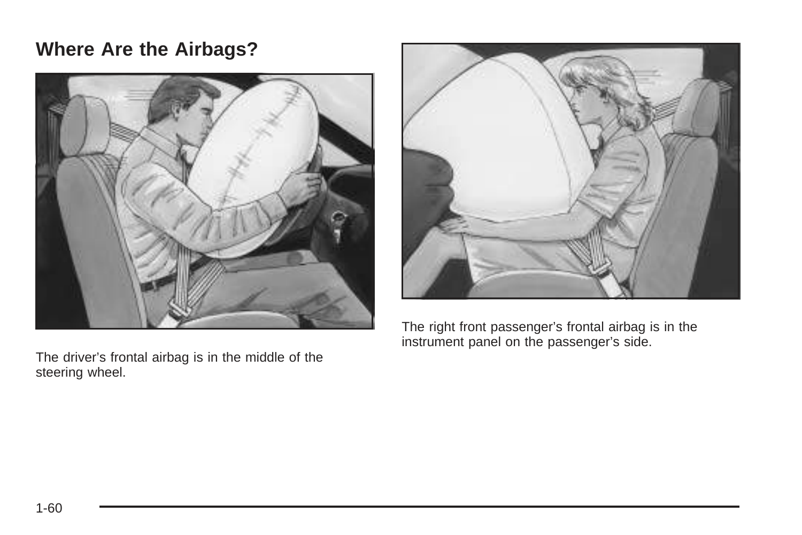### **Where Are the Airbags?**



The driver's frontal airbag is in the middle of the steering wheel.



The right front passenger's frontal airbag is in the instrument panel on the passenger's side.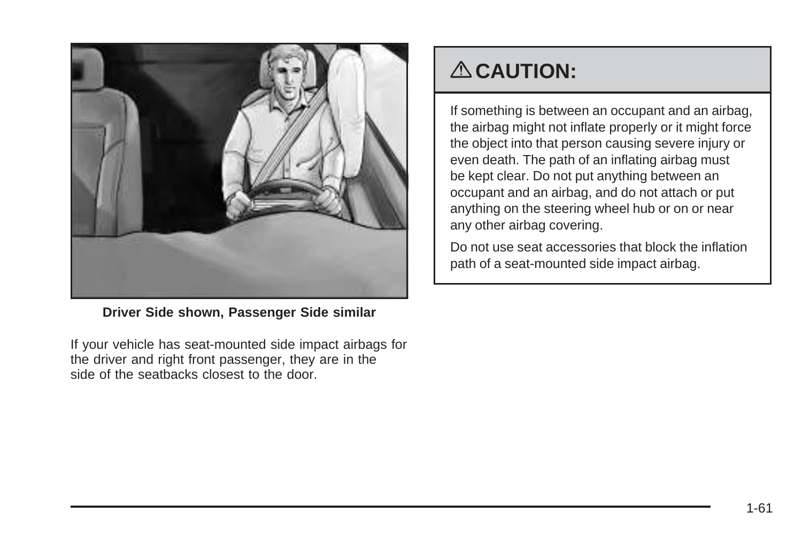

**Driver Side shown, Passenger Side similar**

If your vehicle has seat-mounted side impact airbags for the driver and right front passenger, they are in the side of the seatbacks closest to the door.

## { **CAUTION:**

If something is between an occupant and an airbag, the airbag might not inflate properly or it might force the object into that person causing severe injury or even death. The path of an inflating airbag must be kept clear. Do not put anything between an occupant and an airbag, and do not attach or put anything on the steering wheel hub or on or near any other airbag covering.

Do not use seat accessories that block the inflation path of a seat-mounted side impact airbag.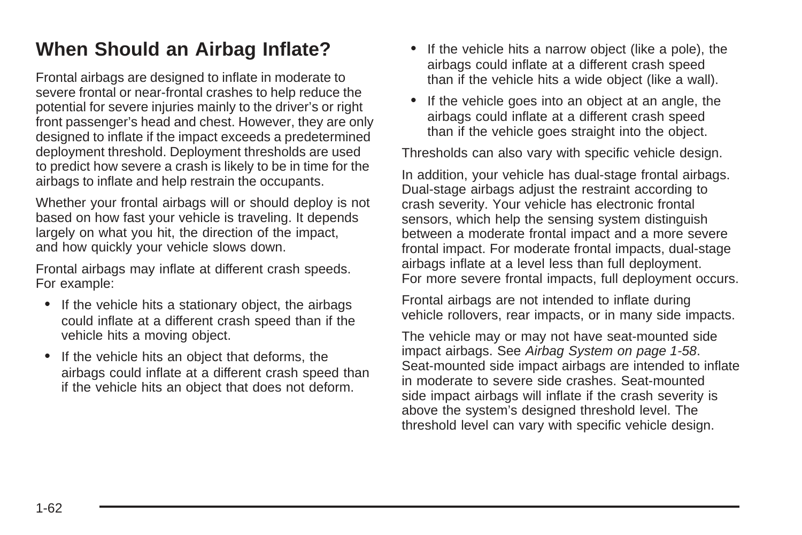### <span id="page-65-0"></span>**When Should an Airbag Inflate?**

Frontal airbags are designed to inflate in moderate to severe frontal or near-frontal crashes to help reduce the potential for severe injuries mainly to the driver's or right front passenger's head and chest. However, they are only designed to inflate if the impact exceeds a predetermined deployment threshold. Deployment thresholds are used to predict how severe a crash is likely to be in time for the airbags to inflate and help restrain the occupants.

Whether your frontal airbags will or should deploy is not based on how fast your vehicle is traveling. It depends largely on what you hit, the direction of the impact, and how quickly your vehicle slows down.

Frontal airbags may inflate at different crash speeds. For example:

- If the vehicle hits a stationary object, the airbags could inflate at a different crash speed than if the vehicle hits a moving object.
- If the vehicle hits an object that deforms, the airbags could inflate at a different crash speed than if the vehicle hits an object that does not deform.
- If the vehicle hits a narrow object (like a pole), the airbags could inflate at a different crash speed than if the vehicle hits a wide object (like a wall).
- If the vehicle goes into an object at an angle, the airbags could inflate at a different crash speed than if the vehicle goes straight into the object.

Thresholds can also vary with specific vehicle design.

In addition, your vehicle has dual-stage frontal airbags. Dual-stage airbags adjust the restraint according to crash severity. Your vehicle has electronic frontal sensors, which help the sensing system distinguish between a moderate frontal impact and a more severe frontal impact. For moderate frontal impacts, dual-stage airbags inflate at a level less than full deployment. For more severe frontal impacts, full deployment occurs.

Frontal airbags are not intended to inflate during vehicle rollovers, rear impacts, or in many side impacts.

The vehicle may or may not have seat-mounted side impact airbags. See [Airbag System](#page-61-0) on page 1-58. Seat-mounted side impact airbags are intended to inflate in moderate to severe side crashes. Seat-mounted side impact airbags will inflate if the crash severity is above the system's designed threshold level. The threshold level can vary with specific vehicle design.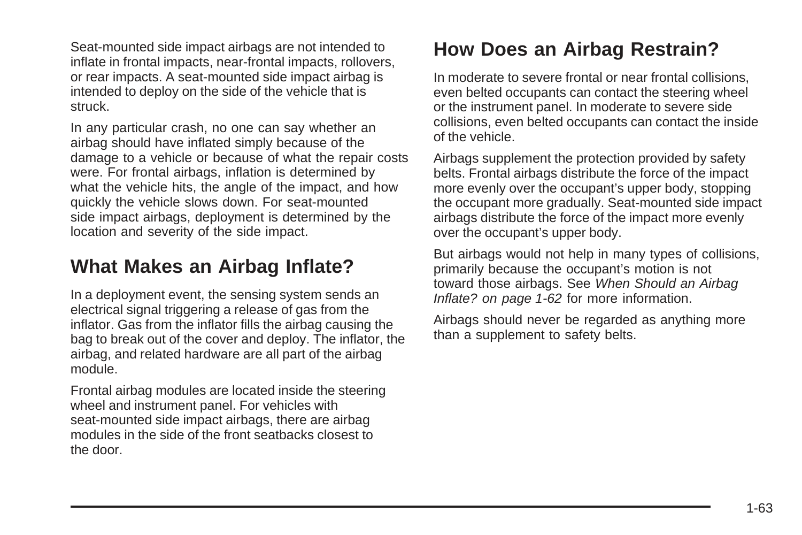<span id="page-66-0"></span>Seat-mounted side impact airbags are not intended to inflate in frontal impacts, near-frontal impacts, rollovers, or rear impacts. A seat-mounted side impact airbag is intended to deploy on the side of the vehicle that is struck.

In any particular crash, no one can say whether an airbag should have inflated simply because of the damage to a vehicle or because of what the repair costs were. For frontal airbags, inflation is determined by what the vehicle hits, the angle of the impact, and how quickly the vehicle slows down. For seat-mounted side impact airbags, deployment is determined by the location and severity of the side impact.

### **What Makes an Airbag Inflate?**

In a deployment event, the sensing system sends an electrical signal triggering a release of gas from the inflator. Gas from the inflator fills the airbag causing the bag to break out of the cover and deploy. The inflator, the airbag, and related hardware are all part of the airbag module.

Frontal airbag modules are located inside the steering wheel and instrument panel. For vehicles with seat-mounted side impact airbags, there are airbag modules in the side of the front seatbacks closest to the door.

### **How Does an Airbag Restrain?**

In moderate to severe frontal or near frontal collisions, even belted occupants can contact the steering wheel or the instrument panel. In moderate to severe side collisions, even belted occupants can contact the inside of the vehicle.

Airbags supplement the protection provided by safety belts. Frontal airbags distribute the force of the impact more evenly over the occupant's upper body, stopping the occupant more gradually. Seat-mounted side impact airbags distribute the force of the impact more evenly over the occupant's upper body.

But airbags would not help in many types of collisions, primarily because the occupant's motion is not toward those airbags. See [When Should an Airbag](#page-65-0) [Inflate?](#page-65-0) on page 1-62 for more information.

Airbags should never be regarded as anything more than a supplement to safety belts.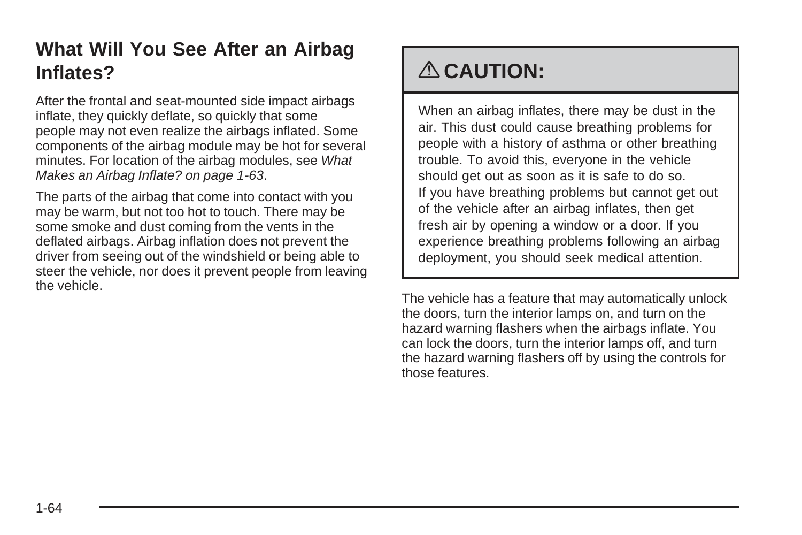### **What Will You See After an Airbag Inflates?**

After the frontal and seat-mounted side impact airbags inflate, they quickly deflate, so quickly that some people may not even realize the airbags inflated. Some components of the airbag module may be hot for several minutes. For location of the airbag modules, see [What](#page-66-0) [Makes an Airbag Inflate?](#page-66-0) on page 1-63.

The parts of the airbag that come into contact with you may be warm, but not too hot to touch. There may be some smoke and dust coming from the vents in the deflated airbags. Airbag inflation does not prevent the driver from seeing out of the windshield or being able to steer the vehicle, nor does it prevent people from leaving the vehicle.

## { **CAUTION:**

When an airbag inflates, there may be dust in the air. This dust could cause breathing problems for people with a history of asthma or other breathing trouble. To avoid this, everyone in the vehicle should get out as soon as it is safe to do so. If you have breathing problems but cannot get out of the vehicle after an airbag inflates, then get fresh air by opening a window or a door. If you experience breathing problems following an airbag deployment, you should seek medical attention.

The vehicle has a feature that may automatically unlock the doors, turn the interior lamps on, and turn on the hazard warning flashers when the airbags inflate. You can lock the doors, turn the interior lamps off, and turn the hazard warning flashers off by using the controls for those features.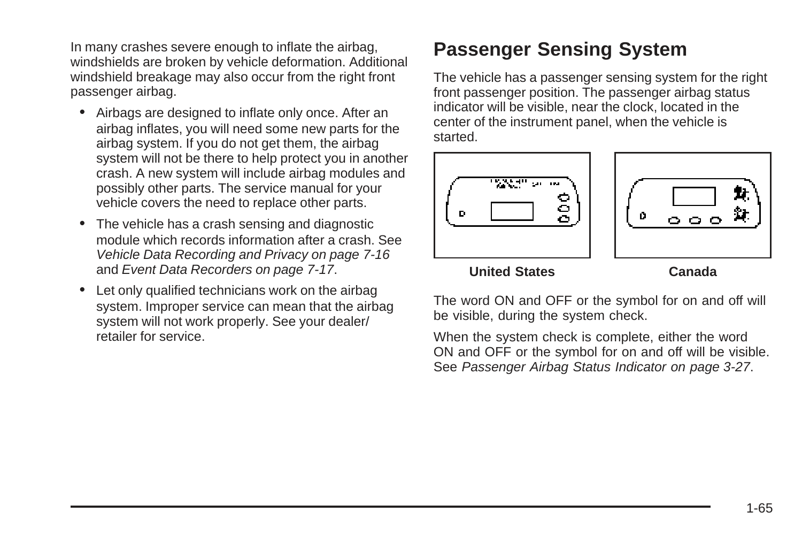<span id="page-68-0"></span>In many crashes severe enough to inflate the airbag, windshields are broken by vehicle deformation. Additional windshield breakage may also occur from the right front passenger airbag.

- Airbags are designed to inflate only once. After an airbag inflates, you will need some new parts for the airbag system. If you do not get them, the airbag system will not be there to help protect you in another crash. A new system will include airbag modules and possibly other parts. The service manual for your vehicle covers the need to replace other parts.
- The vehicle has a crash sensing and diagnostic module which records information after a crash. See [Vehicle Data Recording and Privacy](#page-331-0) on page 7-16 and [Event Data Recorders](#page-332-0) on page 7-17.
- Let only qualified technicians work on the airbag system. Improper service can mean that the airbag system will not work properly. See your dealer/ retailer for service.

### **Passenger Sensing System**

The vehicle has a passenger sensing system for the right front passenger position. The passenger airbag status indicator will be visible, near the clock, located in the center of the instrument panel, when the vehicle is started.



**United States Canada**

The word ON and OFF or the symbol for on and off will be visible, during the system check.

When the system check is complete, either the word ON and OFF or the symbol for on and off will be visible. See [Passenger Airbag Status Indicator](#page-142-0) on page 3-27.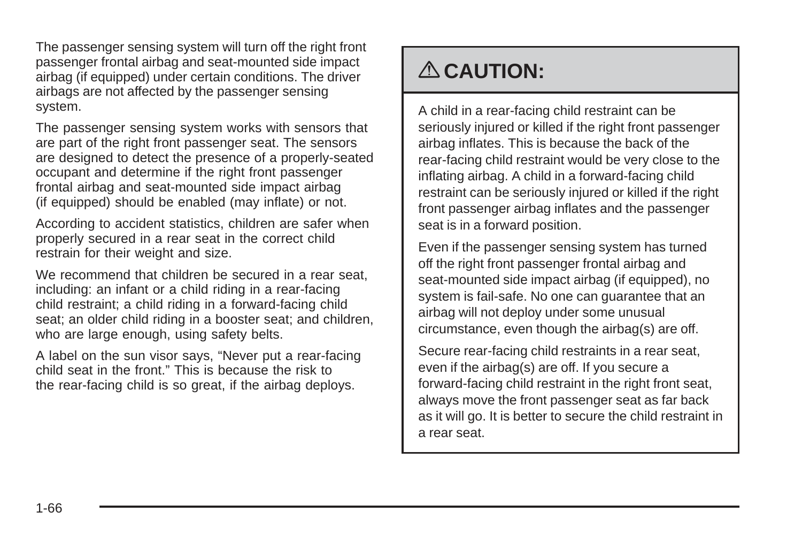The passenger sensing system will turn off the right front passenger frontal airbag and seat-mounted side impact airbag (if equipped) under certain conditions. The driver airbags are not affected by the passenger sensing system.

The passenger sensing system works with sensors that are part of the right front passenger seat. The sensors are designed to detect the presence of a properly-seated occupant and determine if the right front passenger frontal airbag and seat-mounted side impact airbag (if equipped) should be enabled (may inflate) or not.

According to accident statistics, children are safer when properly secured in a rear seat in the correct child restrain for their weight and size.

We recommend that children be secured in a rear seat, including: an infant or a child riding in a rear-facing child restraint; a child riding in a forward-facing child seat; an older child riding in a booster seat; and children, who are large enough, using safety belts.

A label on the sun visor says, "Never put a rear-facing child seat in the front." This is because the risk to the rear-facing child is so great, if the airbag deploys.

# { **CAUTION:**

A child in a rear-facing child restraint can be seriously injured or killed if the right front passenger airbag inflates. This is because the back of the rear-facing child restraint would be very close to the inflating airbag. A child in a forward-facing child restraint can be seriously injured or killed if the right front passenger airbag inflates and the passenger seat is in a forward position.

Even if the passenger sensing system has turned off the right front passenger frontal airbag and seat-mounted side impact airbag (if equipped), no system is fail-safe. No one can guarantee that an airbag will not deploy under some unusual circumstance, even though the airbag(s) are off.

Secure rear-facing child restraints in a rear seat, even if the airbag(s) are off. If you secure a forward-facing child restraint in the right front seat, always move the front passenger seat as far back as it will go. It is better to secure the child restraint in a rear seat.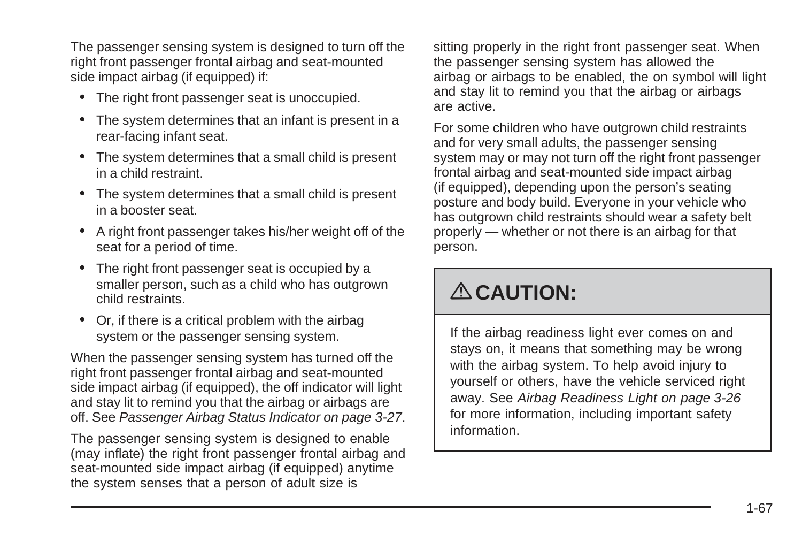The passenger sensing system is designed to turn off the right front passenger frontal airbag and seat-mounted side impact airbag (if equipped) if:

- The right front passenger seat is unoccupied.
- The system determines that an infant is present in a rear-facing infant seat.
- The system determines that a small child is present in a child restraint.
- The system determines that a small child is present in a booster seat.
- A right front passenger takes his/her weight off of the seat for a period of time.
- The right front passenger seat is occupied by a smaller person, such as a child who has outgrown child restraints.
- Or, if there is a critical problem with the airbag system or the passenger sensing system.

When the passenger sensing system has turned off the right front passenger frontal airbag and seat-mounted side impact airbag (if equipped), the off indicator will light and stay lit to remind you that the airbag or airbags are off. See [Passenger Airbag Status Indicator](#page-142-0) on page 3-27.

The passenger sensing system is designed to enable (may inflate) the right front passenger frontal airbag and seat-mounted side impact airbag (if equipped) anytime the system senses that a person of adult size is

sitting properly in the right front passenger seat. When the passenger sensing system has allowed the airbag or airbags to be enabled, the on symbol will light and stay lit to remind you that the airbag or airbags are active.

For some children who have outgrown child restraints and for very small adults, the passenger sensing system may or may not turn off the right front passenger frontal airbag and seat-mounted side impact airbag (if equipped), depending upon the person's seating posture and body build. Everyone in your vehicle who has outgrown child restraints should wear a safety belt properly — whether or not there is an airbag for that person.

## { **CAUTION:**

If the airbag readiness light ever comes on and stays on, it means that something may be wrong with the airbag system. To help avoid injury to yourself or others, have the vehicle serviced right away. See [Airbag Readiness Light](#page-141-0) on page 3-26 for more information, including important safety information.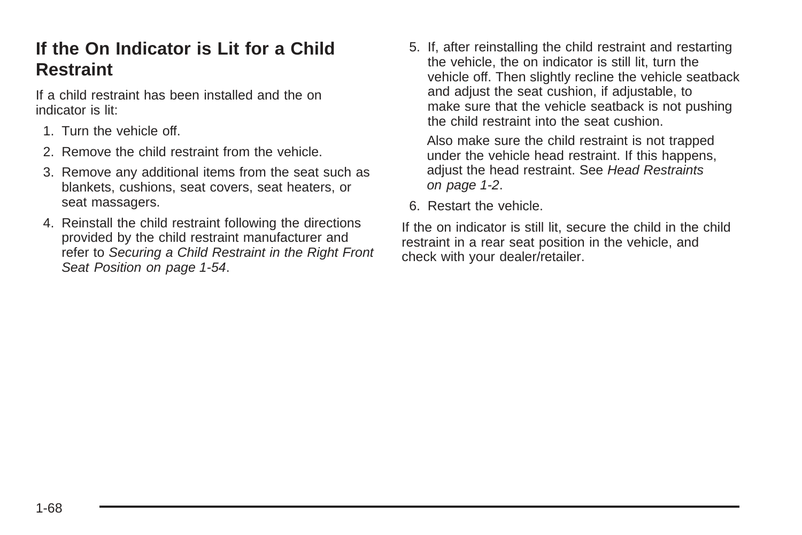### **If the On Indicator is Lit for a Child Restraint**

If a child restraint has been installed and the on indicator is lit:

- 1. Turn the vehicle off.
- 2. Remove the child restraint from the vehicle.
- 3. Remove any additional items from the seat such as blankets, cushions, seat covers, seat heaters, or seat massagers.
- 4. Reinstall the child restraint following the directions provided by the child restraint manufacturer and refer to [Securing a Child Restraint in the Right Front](#page-57-0) [Seat Position](#page-57-0) on page 1-54.

5. If, after reinstalling the child restraint and restarting the vehicle, the on indicator is still lit, turn the vehicle off. Then slightly recline the vehicle seatback and adjust the seat cushion, if adjustable, to make sure that the vehicle seatback is not pushing the child restraint into the seat cushion.

Also make sure the child restraint is not trapped under the vehicle head restraint. If this happens, adjust the head restraint. See [Head Restraints](#page-5-0) on page 1-2.

6. Restart the vehicle.

If the on indicator is still lit, secure the child in the child restraint in a rear seat position in the vehicle, and check with your dealer/retailer.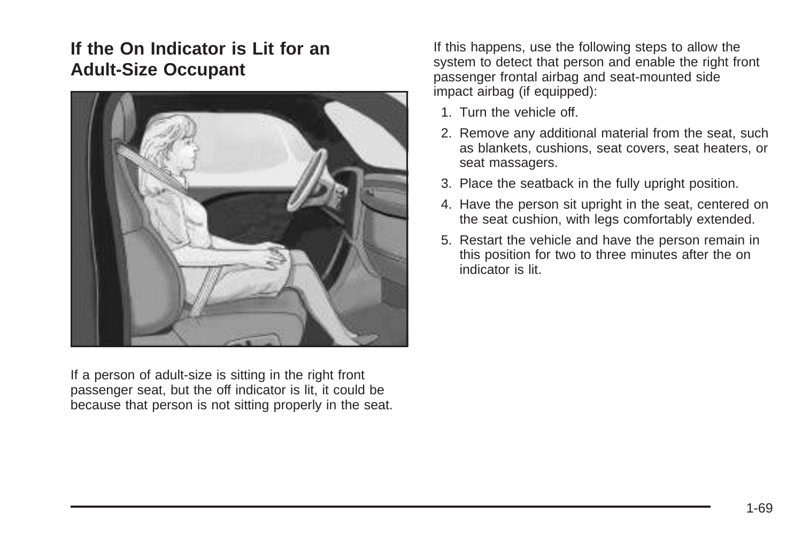#### **If the On Indicator is Lit for an Adult-Size Occupant**



If a person of adult-size is sitting in the right front passenger seat, but the off indicator is lit, it could be because that person is not sitting properly in the seat. If this happens, use the following steps to allow the system to detect that person and enable the right front passenger frontal airbag and seat-mounted side impact airbag (if equipped):

- 1. Turn the vehicle off.
- 2. Remove any additional material from the seat, such as blankets, cushions, seat covers, seat heaters, or seat massagers.
- 3. Place the seatback in the fully upright position.
- 4. Have the person sit upright in the seat, centered on the seat cushion, with legs comfortably extended.
- 5. Restart the vehicle and have the person remain in this position for two to three minutes after the on indicator is lit.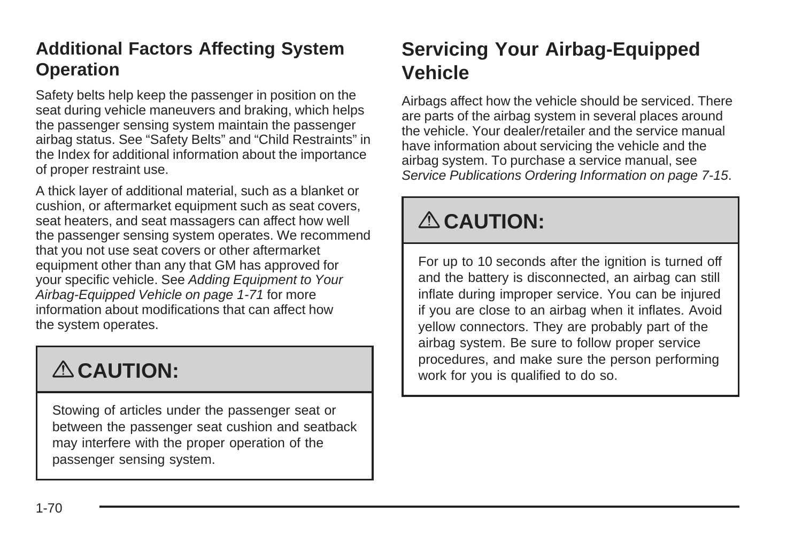### **Additional Factors Affecting System Operation**

Safety belts help keep the passenger in position on the seat during vehicle maneuvers and braking, which helps the passenger sensing system maintain the passenger airbag status. See "Safety Belts" and "Child Restraints" in the Index for additional information about the importance of proper restraint use.

A thick layer of additional material, such as a blanket or cushion, or aftermarket equipment such as seat covers, seat heaters, and seat massagers can affect how well the passenger sensing system operates. We recommend that you not use seat covers or other aftermarket equipment other than any that GM has approved for your specific vehicle. See [Adding Equipment to Your](#page-74-0) [Airbag-Equipped Vehicle](#page-74-0) on page 1-71 for more information about modifications that can affect how the system operates.

# { **CAUTION:**

Stowing of articles under the passenger seat or between the passenger seat cushion and seatback may interfere with the proper operation of the passenger sensing system.

### **Servicing Your Airbag-Equipped Vehicle**

Airbags affect how the vehicle should be serviced. There are parts of the airbag system in several places around the vehicle. Your dealer/retailer and the service manual have information about servicing the vehicle and the airbag system. To purchase a service manual, see [Service Publications Ordering Information](#page-330-0) on page 7-15.

# { **CAUTION:**

For up to 10 seconds after the ignition is turned off and the battery is disconnected, an airbag can still inflate during improper service. You can be injured if you are close to an airbag when it inflates. Avoid yellow connectors. They are probably part of the airbag system. Be sure to follow proper service procedures, and make sure the person performing work for you is qualified to do so.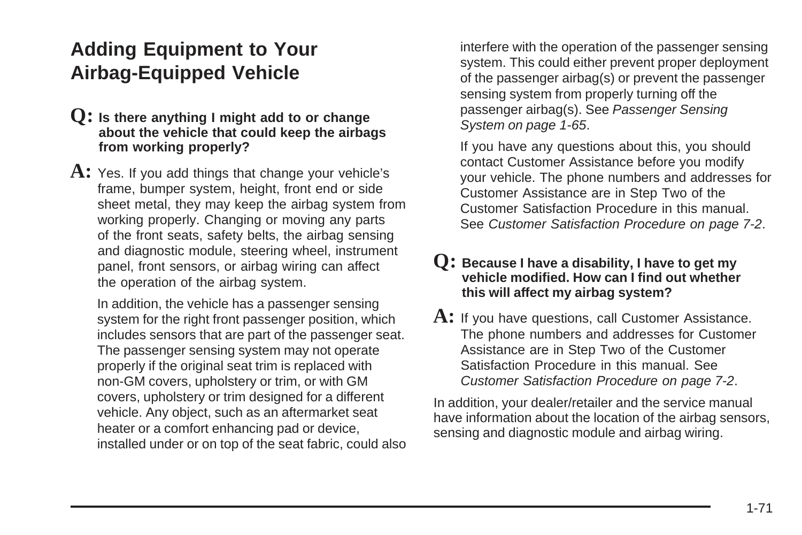### <span id="page-74-0"></span>**Adding Equipment to Your Airbag-Equipped Vehicle**

- **Q: Is there anything I might add to or change about the vehicle that could keep the airbags from working properly?**
- A: Yes. If you add things that change your vehicle's frame, bumper system, height, front end or side sheet metal, they may keep the airbag system from working properly. Changing or moving any parts of the front seats, safety belts, the airbag sensing and diagnostic module, steering wheel, instrument panel, front sensors, or airbag wiring can affect the operation of the airbag system.

In addition, the vehicle has a passenger sensing system for the right front passenger position, which includes sensors that are part of the passenger seat. The passenger sensing system may not operate properly if the original seat trim is replaced with non-GM covers, upholstery or trim, or with GM covers, upholstery or trim designed for a different vehicle. Any object, such as an aftermarket seat heater or a comfort enhancing pad or device, installed under or on top of the seat fabric, could also interfere with the operation of the passenger sensing system. This could either prevent proper deployment of the passenger airbag(s) or prevent the passenger sensing system from properly turning off the passenger airbag(s). See [Passenger Sensing](#page-68-0) [System](#page-68-0) on page 1-65.

If you have any questions about this, you should contact Customer Assistance before you modify your vehicle. The phone numbers and addresses for Customer Assistance are in Step Two of the Customer Satisfaction Procedure in this manual. See [Customer Satisfaction Procedure](#page-317-0) on page 7-2.

#### **Q: Because I have a disability, I have to get my vehicle modified. How can I find out whether this will affect my airbag system?**

A: If you have questions, call Customer Assistance. The phone numbers and addresses for Customer Assistance are in Step Two of the Customer Satisfaction Procedure in this manual. See [Customer Satisfaction Procedure](#page-317-0) on page 7-2.

In addition, your dealer/retailer and the service manual have information about the location of the airbag sensors, sensing and diagnostic module and airbag wiring.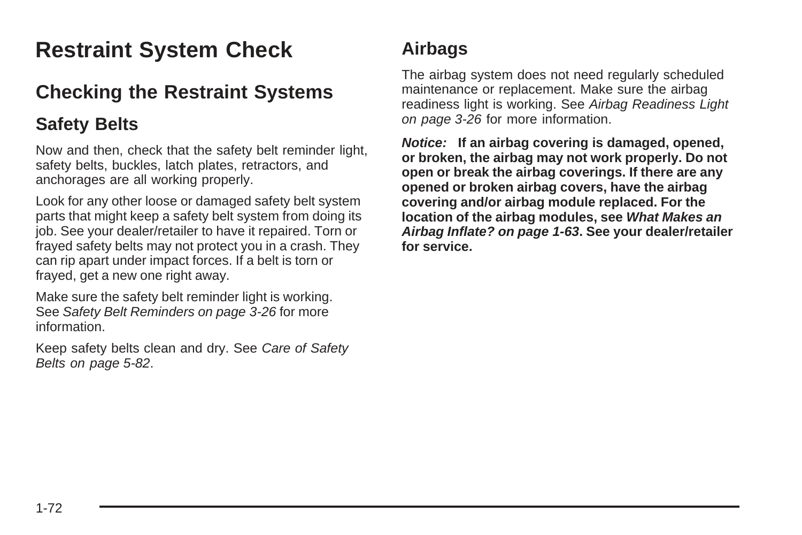# **Restraint System Check**

### **Checking the Restraint Systems**

#### **Safety Belts**

Now and then, check that the safety belt reminder light, safety belts, buckles, latch plates, retractors, and anchorages are all working properly.

Look for any other loose or damaged safety belt system parts that might keep a safety belt system from doing its job. See your dealer/retailer to have it repaired. Torn or frayed safety belts may not protect you in a crash. They can rip apart under impact forces. If a belt is torn or frayed, get a new one right away.

Make sure the safety belt reminder light is working. See [Safety Belt Reminders](#page-141-0) on page 3-26 for more information.

Keep safety belts clean and dry. See [Care of Safety](#page-285-0) [Belts](#page-285-0) on page 5-82.

### **Airbags**

The airbag system does not need regularly scheduled maintenance or replacement. Make sure the airbag readiness light is working. See [Airbag Readiness Light](#page-141-0) on page 3-26 for more information.

**Notice: If an airbag covering is damaged, opened, or broken, the airbag may not work properly. Do not open or break the airbag coverings. If there are any opened or broken airbag covers, have the airbag covering and/or airbag module replaced. For the location of the airbag modules, see [What Makes an](#page-66-0) [Airbag Inflate?](#page-66-0) on page 1-63. See your dealer/retailer for service.**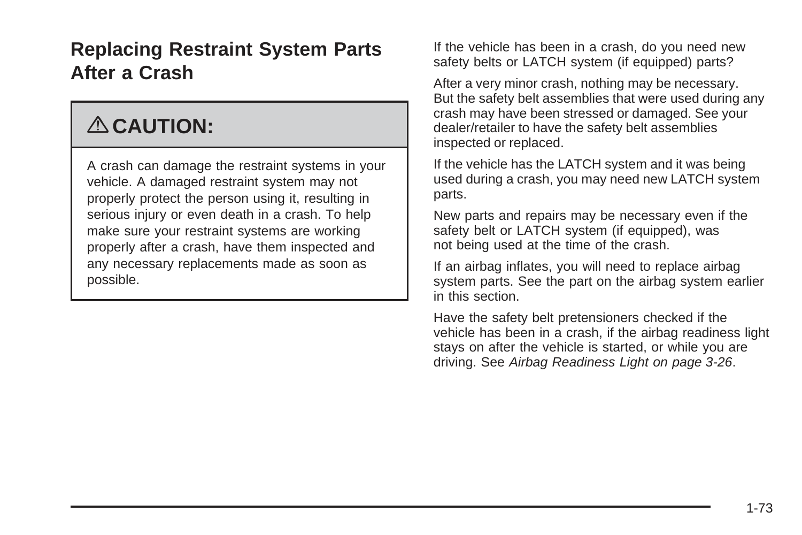### **Replacing Restraint System Parts After a Crash**

# { **CAUTION:**

A crash can damage the restraint systems in your vehicle. A damaged restraint system may not properly protect the person using it, resulting in serious injury or even death in a crash. To help make sure your restraint systems are working properly after a crash, have them inspected and any necessary replacements made as soon as possible.

If the vehicle has been in a crash, do you need new safety belts or LATCH system (if equipped) parts?

After a very minor crash, nothing may be necessary. But the safety belt assemblies that were used during any crash may have been stressed or damaged. See your dealer/retailer to have the safety belt assemblies inspected or replaced.

If the vehicle has the LATCH system and it was being used during a crash, you may need new LATCH system parts.

New parts and repairs may be necessary even if the safety belt or LATCH system (if equipped), was not being used at the time of the crash.

If an airbag inflates, you will need to replace airbag system parts. See the part on the airbag system earlier in this section.

Have the safety belt pretensioners checked if the vehicle has been in a crash, if the airbag readiness light stays on after the vehicle is started, or while you are driving. See [Airbag Readiness Light](#page-141-0) on page 3-26.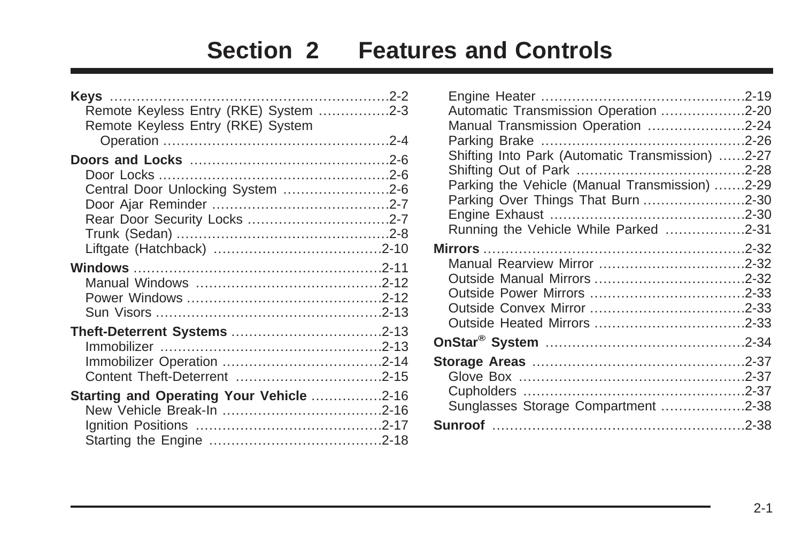# **Section 2 Features and Controls**

| Remote Keyless Entry (RKE) System 2-3    |  |
|------------------------------------------|--|
| Remote Keyless Entry (RKE) System        |  |
|                                          |  |
|                                          |  |
| Central Door Unlocking System 2-6        |  |
|                                          |  |
|                                          |  |
|                                          |  |
|                                          |  |
|                                          |  |
|                                          |  |
|                                          |  |
|                                          |  |
|                                          |  |
|                                          |  |
|                                          |  |
|                                          |  |
| Starting and Operating Your Vehicle 2-16 |  |
|                                          |  |
|                                          |  |
|                                          |  |

| Automatic Transmission Operation 2-20            |  |
|--------------------------------------------------|--|
| Manual Transmission Operation 2-24               |  |
|                                                  |  |
| Shifting Into Park (Automatic Transmission) 2-27 |  |
|                                                  |  |
| Parking the Vehicle (Manual Transmission) 2-29   |  |
| Parking Over Things That Burn 2-30               |  |
|                                                  |  |
| Running the Vehicle While Parked 2-31            |  |
| <b>Mirrors</b> ……………………………………………………2-32          |  |
|                                                  |  |
|                                                  |  |
|                                                  |  |
|                                                  |  |
|                                                  |  |
|                                                  |  |
|                                                  |  |
|                                                  |  |
|                                                  |  |
| Sunglasses Storage Compartment 2-38              |  |
|                                                  |  |
|                                                  |  |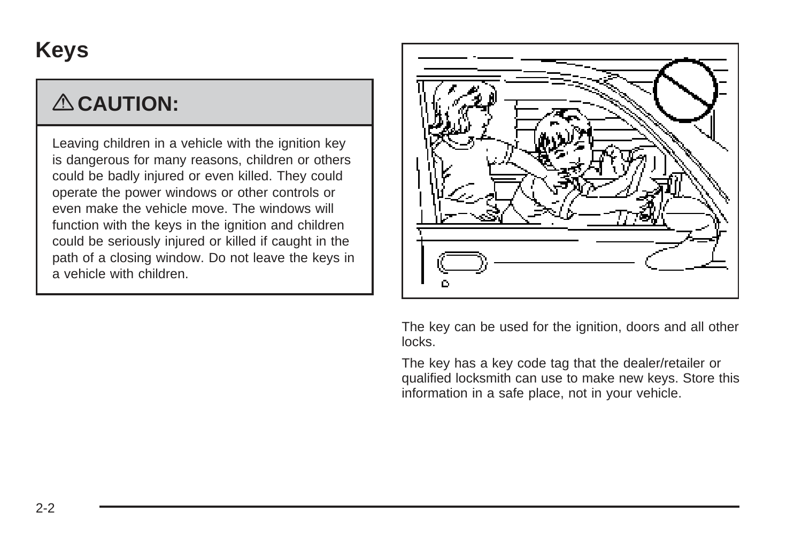# <span id="page-79-0"></span>**Keys**

# { **CAUTION:**

Leaving children in a vehicle with the ignition key is dangerous for many reasons, children or others could be badly injured or even killed. They could operate the power windows or other controls or even make the vehicle move. The windows will function with the keys in the ignition and children could be seriously injured or killed if caught in the path of a closing window. Do not leave the keys in a vehicle with children.



The key can be used for the ignition, doors and all other locks.

The key has a key code tag that the dealer/retailer or qualified locksmith can use to make new keys. Store this information in a safe place, not in your vehicle.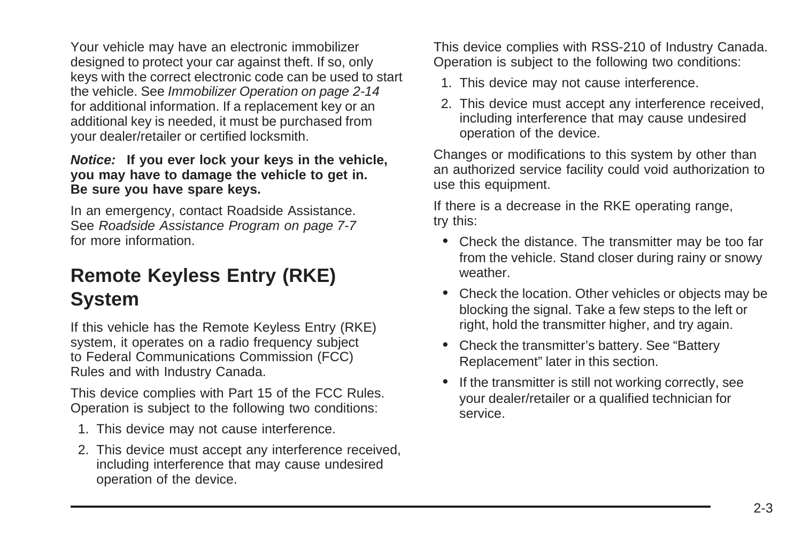<span id="page-80-0"></span>Your vehicle may have an electronic immobilizer designed to protect your car against theft. If so, only keys with the correct electronic code can be used to start the vehicle. See [Immobilizer Operation](#page-91-0) on page 2-14 for additional information. If a replacement key or an additional key is needed, it must be purchased from your dealer/retailer or certified locksmith.

#### **Notice: If you ever lock your keys in the vehicle, you may have to damage the vehicle to get in. Be sure you have spare keys.**

In an emergency, contact Roadside Assistance. See [Roadside Assistance Program](#page-322-0) on page 7-7 for more information.

### **Remote Keyless Entry (RKE) System**

If this vehicle has the Remote Keyless Entry (RKE) system, it operates on a radio frequency subject to Federal Communications Commission (FCC) Rules and with Industry Canada.

This device complies with Part 15 of the FCC Rules. Operation is subject to the following two conditions:

- 1. This device may not cause interference.
- 2. This device must accept any interference received, including interference that may cause undesired operation of the device.

This device complies with RSS-210 of Industry Canada. Operation is subject to the following two conditions:

- 1. This device may not cause interference.
- 2. This device must accept any interference received, including interference that may cause undesired operation of the device.

Changes or modifications to this system by other than an authorized service facility could void authorization to use this equipment.

If there is a decrease in the RKE operating range, try this:

- Check the distance. The transmitter may be too far from the vehicle. Stand closer during rainy or snowy weather.
- Check the location. Other vehicles or objects may be blocking the signal. Take a few steps to the left or right, hold the transmitter higher, and try again.
- Check the transmitter's battery. See "Battery Replacement" later in this section.
- If the transmitter is still not working correctly, see your dealer/retailer or a qualified technician for service.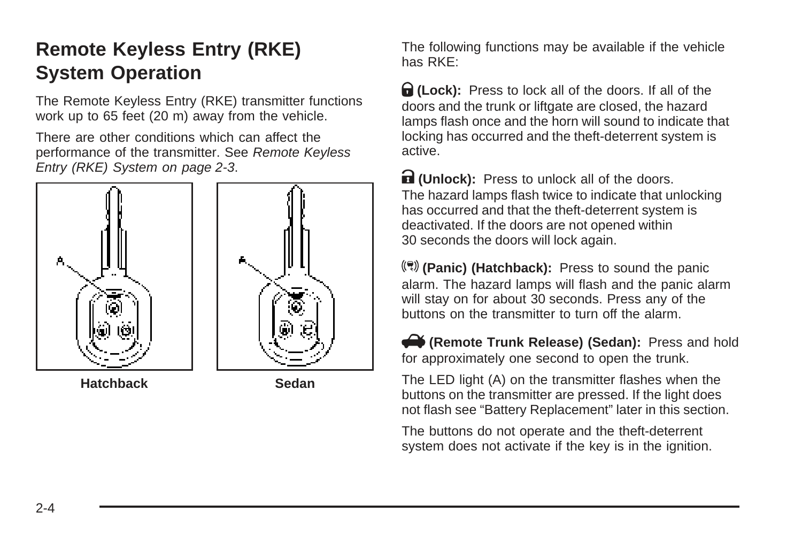# <span id="page-81-0"></span>**Remote Keyless Entry (RKE) System Operation**

The Remote Keyless Entry (RKE) transmitter functions work up to 65 feet (20 m) away from the vehicle.

There are other conditions which can affect the performance of the transmitter. See [Remote Keyless](#page-80-0) [Entry \(RKE\) System](#page-80-0) on page 2-3.



The following functions may be available if the vehicle has RKE:

Q **(Lock):** Press to lock all of the doors. If all of the doors and the trunk or liftgate are closed, the hazard lamps flash once and the horn will sound to indicate that locking has occurred and the theft-deterrent system is active.

**R** (Unlock): Press to unlock all of the doors. The hazard lamps flash twice to indicate that unlocking has occurred and that the theft-deterrent system is deactivated. If the doors are not opened within 30 seconds the doors will lock again.

**() (Panic) (Hatchback):** Press to sound the panic alarm. The hazard lamps will flash and the panic alarm will stay on for about 30 seconds. Press any of the buttons on the transmitter to turn off the alarm.

V**(Remote Trunk Release) (Sedan):** Press and hold for approximately one second to open the trunk.

The LED light (A) on the transmitter flashes when the buttons on the transmitter are pressed. If the light does not flash see "Battery Replacement" later in this section.

The buttons do not operate and the theft-deterrent system does not activate if the key is in the ignition.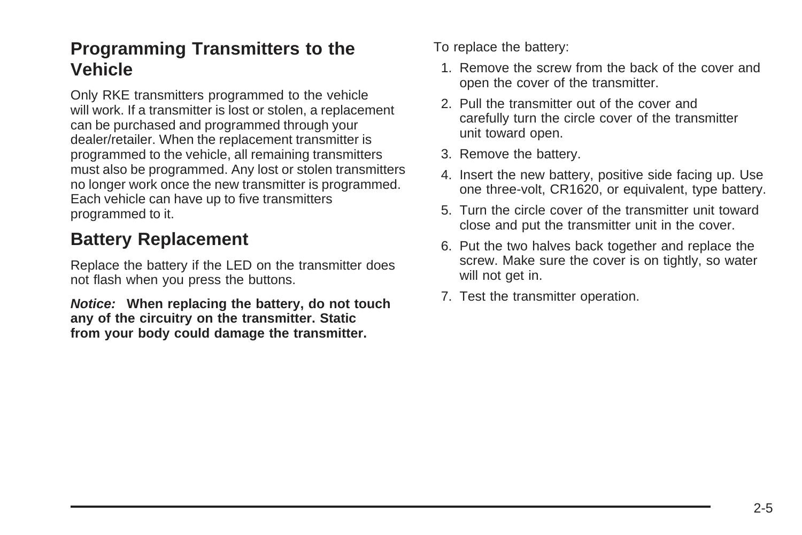#### **Programming Transmitters to the Vehicle**

Only RKE transmitters programmed to the vehicle will work. If a transmitter is lost or stolen, a replacement can be purchased and programmed through your dealer/retailer. When the replacement transmitter is programmed to the vehicle, all remaining transmitters must also be programmed. Any lost or stolen transmitters no longer work once the new transmitter is programmed. Each vehicle can have up to five transmitters programmed to it.

#### **Battery Replacement**

Replace the battery if the LED on the transmitter does not flash when you press the buttons.

**Notice: When replacing the battery, do not touch any of the circuitry on the transmitter. Static from your body could damage the transmitter.**

To replace the battery:

- 1. Remove the screw from the back of the cover and open the cover of the transmitter.
- 2. Pull the transmitter out of the cover and carefully turn the circle cover of the transmitter unit toward open.
- 3. Remove the battery.
- 4. Insert the new battery, positive side facing up. Use one three-volt, CR1620, or equivalent, type battery.
- 5. Turn the circle cover of the transmitter unit toward close and put the transmitter unit in the cover.
- 6. Put the two halves back together and replace the screw. Make sure the cover is on tightly, so water will not get in.
- 7. Test the transmitter operation.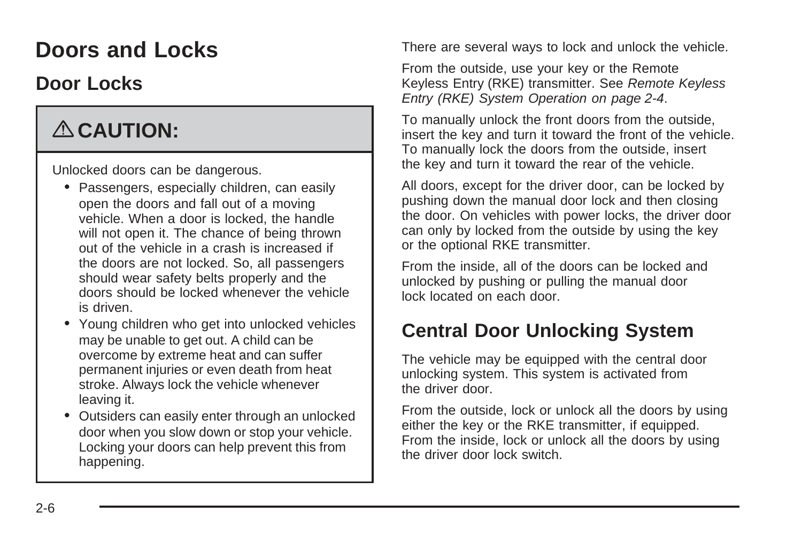# <span id="page-83-0"></span>**Doors and Locks**

### **Door Locks**

# { **CAUTION:**

Unlocked doors can be dangerous.

- Passengers, especially children, can easily open the doors and fall out of a moving vehicle. When a door is locked, the handle will not open it. The chance of being thrown out of the vehicle in a crash is increased if the doors are not locked. So, all passengers should wear safety belts properly and the doors should be locked whenever the vehicle is driven.
- Young children who get into unlocked vehicles may be unable to get out. A child can be overcome by extreme heat and can suffer permanent injuries or even death from heat stroke. Always lock the vehicle whenever leaving it.
- Outsiders can easily enter through an unlocked door when you slow down or stop your vehicle. Locking your doors can help prevent this from happening.

There are several ways to lock and unlock the vehicle.

From the outside, use your key or the Remote Keyless Entry (RKE) transmitter. See [Remote Keyless](#page-81-0) [Entry \(RKE\) System Operation](#page-81-0) on page 2-4.

To manually unlock the front doors from the outside, insert the key and turn it toward the front of the vehicle. To manually lock the doors from the outside, insert the key and turn it toward the rear of the vehicle.

All doors, except for the driver door, can be locked by pushing down the manual door lock and then closing the door. On vehicles with power locks, the driver door can only by locked from the outside by using the key or the optional RKE transmitter.

From the inside, all of the doors can be locked and unlocked by pushing or pulling the manual door lock located on each door.

# **Central Door Unlocking System**

The vehicle may be equipped with the central door unlocking system. This system is activated from the driver door.

From the outside, lock or unlock all the doors by using either the key or the RKE transmitter, if equipped. From the inside, lock or unlock all the doors by using the driver door lock switch.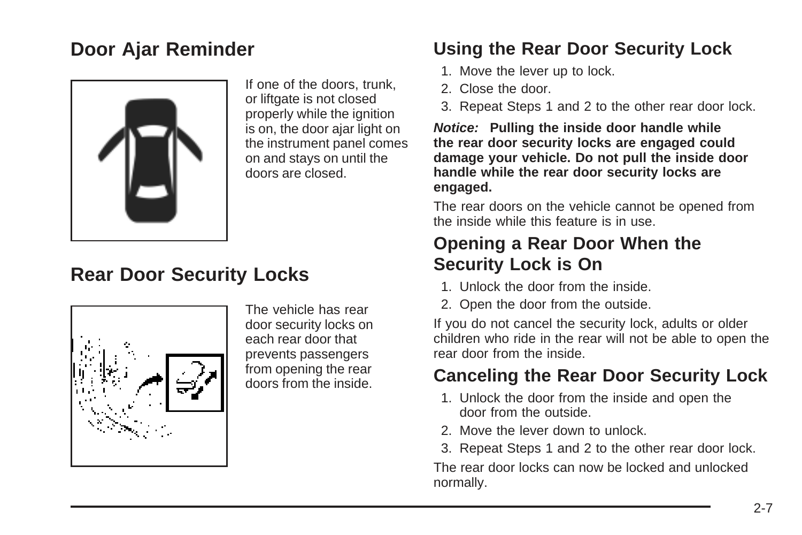### <span id="page-84-0"></span>**Door Ajar Reminder**



If one of the doors, trunk, or liftgate is not closed properly while the ignition is on, the door ajar light on the instrument panel comes on and stays on until the doors are closed.

### **Rear Door Security Locks**



The vehicle has rear door security locks on each rear door that prevents passengers from opening the rear doors from the inside.

#### **Using the Rear Door Security Lock**

- 1. Move the lever up to lock.
- 2. Close the door.
- 3. Repeat Steps 1 and 2 to the other rear door lock.

**Notice: Pulling the inside door handle while the rear door security locks are engaged could damage your vehicle. Do not pull the inside door handle while the rear door security locks are engaged.**

The rear doors on the vehicle cannot be opened from the inside while this feature is in use.

#### **Opening a Rear Door When the Security Lock is On**

- 1. Unlock the door from the inside.
- 2. Open the door from the outside.

If you do not cancel the security lock, adults or older children who ride in the rear will not be able to open the rear door from the inside.

#### **Canceling the Rear Door Security Lock**

- 1. Unlock the door from the inside and open the door from the outside.
- 2. Move the lever down to unlock.
- 3. Repeat Steps 1 and 2 to the other rear door lock.

The rear door locks can now be locked and unlocked normally.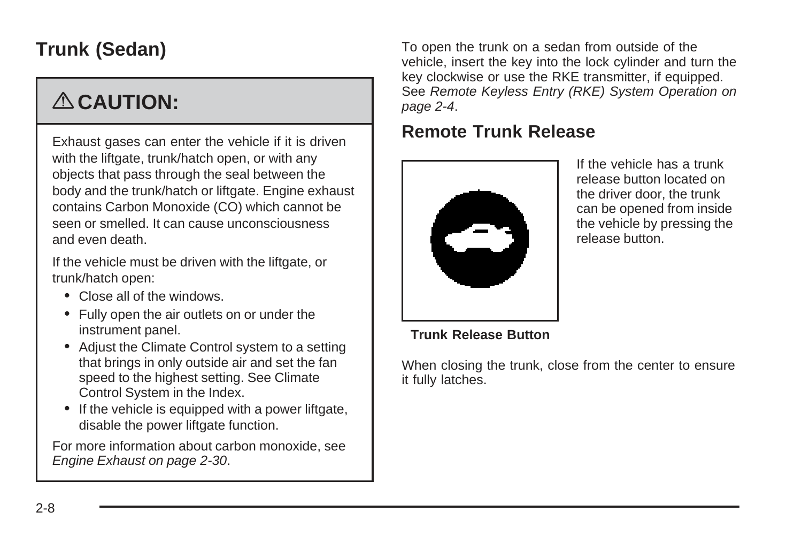# <span id="page-85-0"></span>**Trunk (Sedan)**

# { **CAUTION:**

Exhaust gases can enter the vehicle if it is driven with the liftgate, trunk/hatch open, or with any objects that pass through the seal between the body and the trunk/hatch or liftgate. Engine exhaust contains Carbon Monoxide (CO) which cannot be seen or smelled. It can cause unconsciousness and even death.

If the vehicle must be driven with the liftgate, or trunk/hatch open:

- Close all of the windows.
- Fully open the air outlets on or under the instrument panel.
- Adjust the Climate Control system to a setting that brings in only outside air and set the fan speed to the highest setting. See Climate Control System in the Index.
- If the vehicle is equipped with a power liftgate, disable the power liftgate function.

For more information about carbon monoxide, see [Engine Exhaust](#page-107-0) on page 2-30.

To open the trunk on a sedan from outside of the vehicle, insert the key into the lock cylinder and turn the key clockwise or use the RKE transmitter, if equipped. See [Remote Keyless Entry \(RKE\) System Operation](#page-81-0) on page 2-4.

#### **Remote Trunk Release**



If the vehicle has a trunk release button located on the driver door, the trunk can be opened from inside the vehicle by pressing the release button.

#### **Trunk Release Button**

When closing the trunk, close from the center to ensure it fully latches.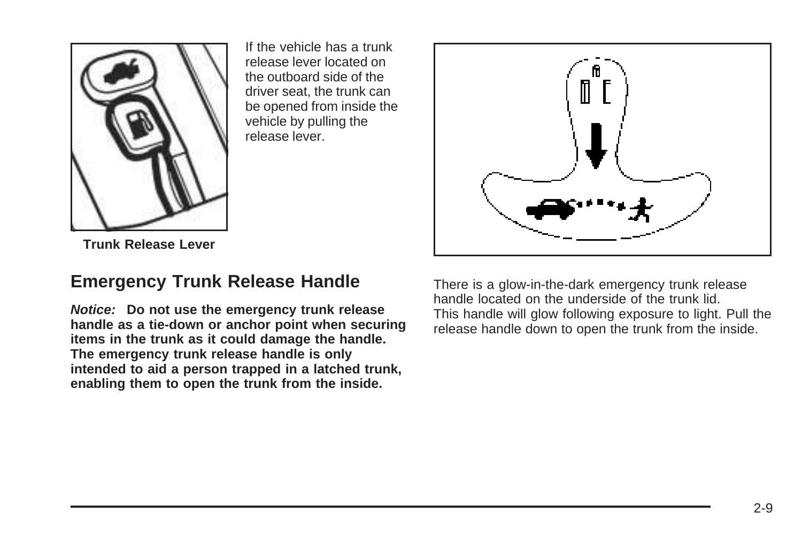

If the vehicle has a trunk release lever located on the outboard side of the driver seat, the trunk can be opened from inside the vehicle by pulling the release lever.

**Trunk Release Lever**

#### **Emergency Trunk Release Handle**

**Notice: Do not use the emergency trunk release handle as a tie-down or anchor point when securing items in the trunk as it could damage the handle. The emergency trunk release handle is only intended to aid a person trapped in a latched trunk, enabling them to open the trunk from the inside.**

There is a glow-in-the-dark emergency trunk release handle located on the underside of the trunk lid. This handle will glow following exposure to light. Pull the release handle down to open the trunk from the inside.

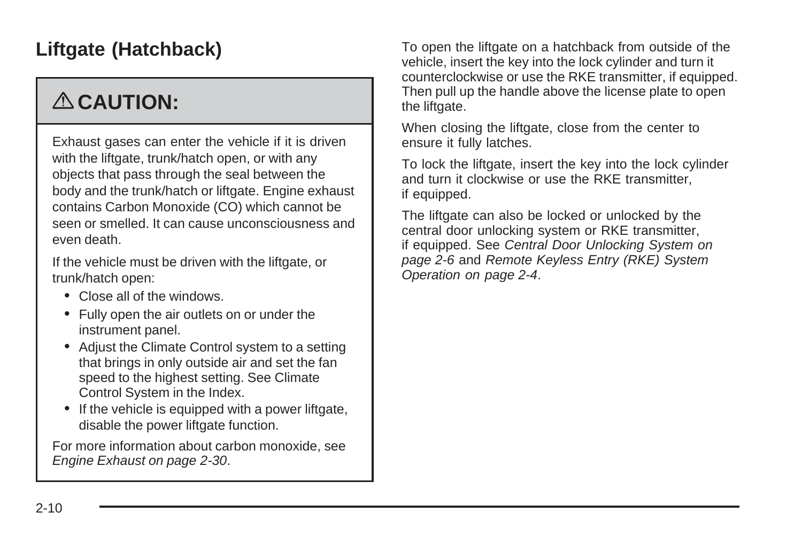# <span id="page-87-0"></span>**Liftgate (Hatchback)**

# { **CAUTION:**

Exhaust gases can enter the vehicle if it is driven with the liftgate, trunk/hatch open, or with any objects that pass through the seal between the body and the trunk/hatch or liftgate. Engine exhaust contains Carbon Monoxide (CO) which cannot be seen or smelled. It can cause unconsciousness and even death.

If the vehicle must be driven with the liftgate, or trunk/hatch open:

- Close all of the windows.
- Fully open the air outlets on or under the instrument panel.
- Adjust the Climate Control system to a setting that brings in only outside air and set the fan speed to the highest setting. See Climate Control System in the Index.
- If the vehicle is equipped with a power liftgate, disable the power liftgate function.

For more information about carbon monoxide, see [Engine Exhaust](#page-107-0) on page 2-30.

To open the liftgate on a hatchback from outside of the vehicle, insert the key into the lock cylinder and turn it counterclockwise or use the RKE transmitter, if equipped. Then pull up the handle above the license plate to open the liftgate.

When closing the liftgate, close from the center to ensure it fully latches.

To lock the liftgate, insert the key into the lock cylinder and turn it clockwise or use the RKE transmitter, if equipped.

The liftgate can also be locked or unlocked by the central door unlocking system or RKE transmitter, if equipped. See [Central Door Unlocking System](#page-83-0) on page 2-6 and [Remote Keyless Entry \(RKE\) System](#page-81-0) [Operation](#page-81-0) on page 2-4.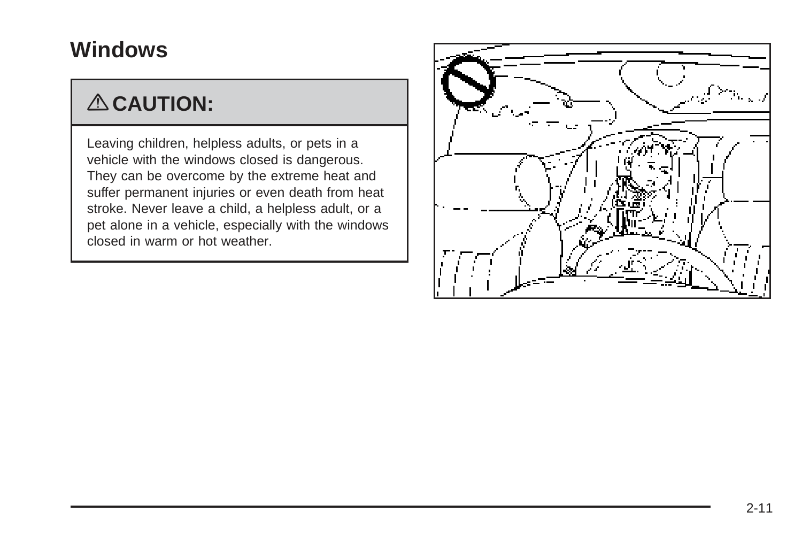# <span id="page-88-0"></span>**Windows**

# { **CAUTION:**

Leaving children, helpless adults, or pets in a vehicle with the windows closed is dangerous. They can be overcome by the extreme heat and suffer permanent injuries or even death from heat stroke. Never leave a child, a helpless adult, or a pet alone in a vehicle, especially with the windows closed in warm or hot weather.

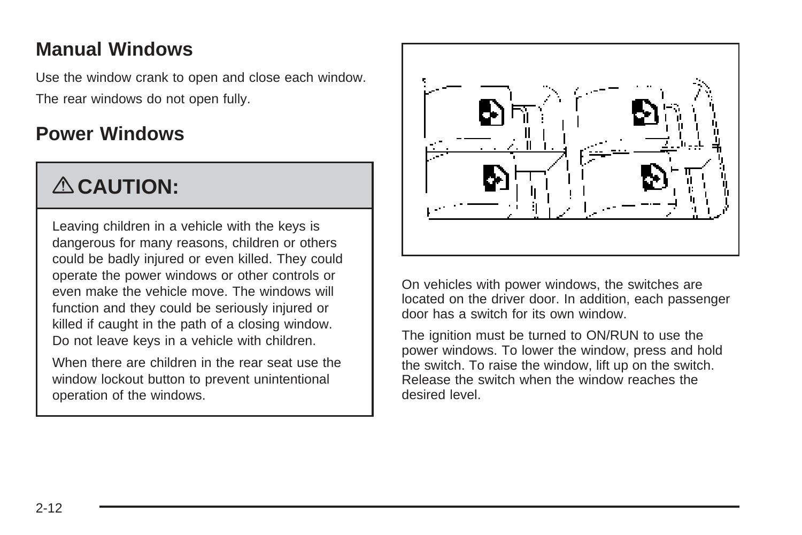### <span id="page-89-0"></span>**Manual Windows**

Use the window crank to open and close each window. The rear windows do not open fully.

### **Power Windows**

# { **CAUTION:**

Leaving children in a vehicle with the keys is dangerous for many reasons, children or others could be badly injured or even killed. They could operate the power windows or other controls or even make the vehicle move. The windows will function and they could be seriously injured or killed if caught in the path of a closing window. Do not leave keys in a vehicle with children.

When there are children in the rear seat use the window lockout button to prevent unintentional operation of the windows.



On vehicles with power windows, the switches are located on the driver door. In addition, each passenger door has a switch for its own window.

The ignition must be turned to ON/RUN to use the power windows. To lower the window, press and hold the switch. To raise the window, lift up on the switch. Release the switch when the window reaches the desired level.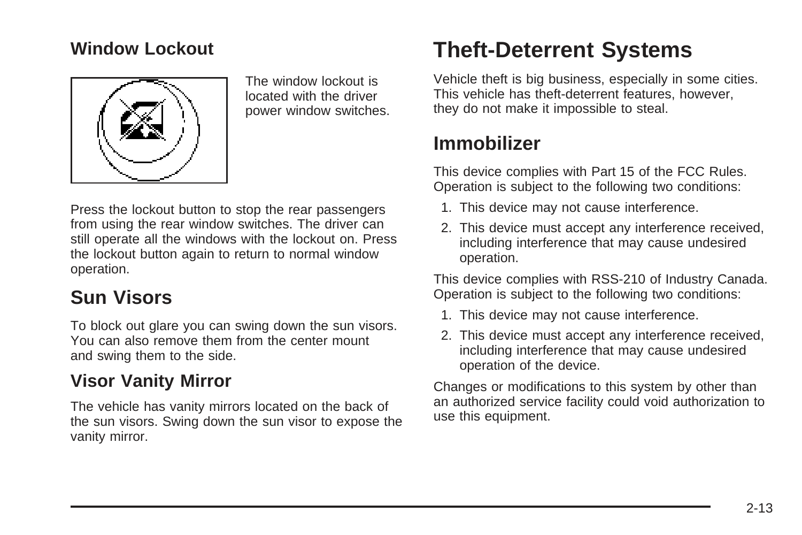#### <span id="page-90-0"></span>**Window Lockout**



The window lockout is located with the driver power window switches.

Press the lockout button to stop the rear passengers from using the rear window switches. The driver can still operate all the windows with the lockout on. Press the lockout button again to return to normal window operation.

## **Sun Visors**

To block out glare you can swing down the sun visors. You can also remove them from the center mount and swing them to the side.

#### **Visor Vanity Mirror**

The vehicle has vanity mirrors located on the back of the sun visors. Swing down the sun visor to expose the vanity mirror.

# **Theft-Deterrent Systems**

Vehicle theft is big business, especially in some cities. This vehicle has theft-deterrent features, however, they do not make it impossible to steal.

### **Immobilizer**

This device complies with Part 15 of the FCC Rules. Operation is subject to the following two conditions:

- 1. This device may not cause interference.
- 2. This device must accept any interference received, including interference that may cause undesired operation.

This device complies with RSS-210 of Industry Canada. Operation is subject to the following two conditions:

- 1. This device may not cause interference.
- 2. This device must accept any interference received, including interference that may cause undesired operation of the device.

Changes or modifications to this system by other than an authorized service facility could void authorization to use this equipment.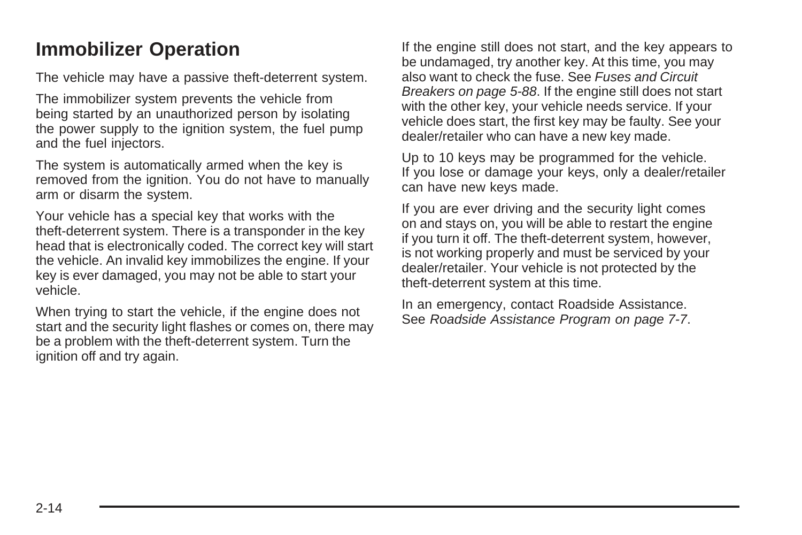### <span id="page-91-0"></span>**Immobilizer Operation**

The vehicle may have a passive theft-deterrent system.

The immobilizer system prevents the vehicle from being started by an unauthorized person by isolating the power supply to the ignition system, the fuel pump and the fuel injectors.

The system is automatically armed when the key is removed from the ignition. You do not have to manually arm or disarm the system.

Your vehicle has a special key that works with the theft-deterrent system. There is a transponder in the key head that is electronically coded. The correct key will start the vehicle. An invalid key immobilizes the engine. If your key is ever damaged, you may not be able to start your vehicle.

When trying to start the vehicle, if the engine does not start and the security light flashes or comes on, there may be a problem with the theft-deterrent system. Turn the ignition off and try again.

If the engine still does not start, and the key appears to be undamaged, try another key. At this time, you may also want to check the fuse. See [Fuses and Circuit](#page-291-0) [Breakers](#page-291-0) on page 5-88. If the engine still does not start with the other key, your vehicle needs service. If your vehicle does start, the first key may be faulty. See your dealer/retailer who can have a new key made.

Up to 10 keys may be programmed for the vehicle. If you lose or damage your keys, only a dealer/retailer can have new keys made.

If you are ever driving and the security light comes on and stays on, you will be able to restart the engine if you turn it off. The theft-deterrent system, however, is not working properly and must be serviced by your dealer/retailer. Your vehicle is not protected by the theft-deterrent system at this time.

In an emergency, contact Roadside Assistance. See [Roadside Assistance Program](#page-322-0) on page 7-7.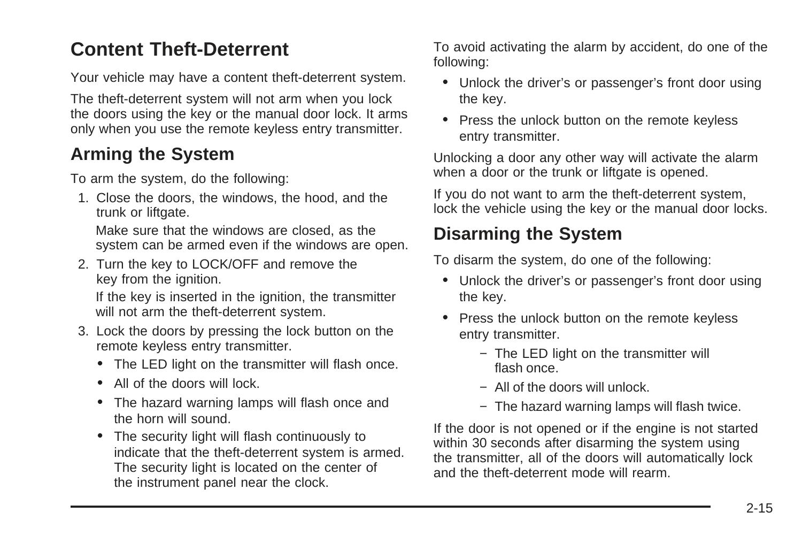## <span id="page-92-0"></span>**Content Theft-Deterrent**

Your vehicle may have a content theft-deterrent system.

The theft-deterrent system will not arm when you lock the doors using the key or the manual door lock. It arms only when you use the remote keyless entry transmitter.

#### **Arming the System**

To arm the system, do the following:

1. Close the doors, the windows, the hood, and the trunk or liftgate.

Make sure that the windows are closed, as the system can be armed even if the windows are open.

2. Turn the key to LOCK/OFF and remove the key from the ignition.

If the key is inserted in the ignition, the transmitter will not arm the theft-deterrent system.

- 3. Lock the doors by pressing the lock button on the remote keyless entry transmitter.
	- The LED light on the transmitter will flash once.
	- All of the doors will lock.
	- The hazard warning lamps will flash once and the horn will sound.
	- The security light will flash continuously to indicate that the theft-deterrent system is armed. The security light is located on the center of the instrument panel near the clock.

To avoid activating the alarm by accident, do one of the following:

- Unlock the driver's or passenger's front door using the key.
- Press the unlock button on the remote keyless entry transmitter.

Unlocking a door any other way will activate the alarm when a door or the trunk or liftgate is opened.

If you do not want to arm the theft-deterrent system, lock the vehicle using the key or the manual door locks.

### **Disarming the System**

To disarm the system, do one of the following:

- Unlock the driver's or passenger's front door using the key.
- Press the unlock button on the remote keyless entry transmitter.
	- − The LED light on the transmitter will flash once.
	- − All of the doors will unlock.
	- − The hazard warning lamps will flash twice.

If the door is not opened or if the engine is not started within 30 seconds after disarming the system using the transmitter, all of the doors will automatically lock and the theft-deterrent mode will rearm.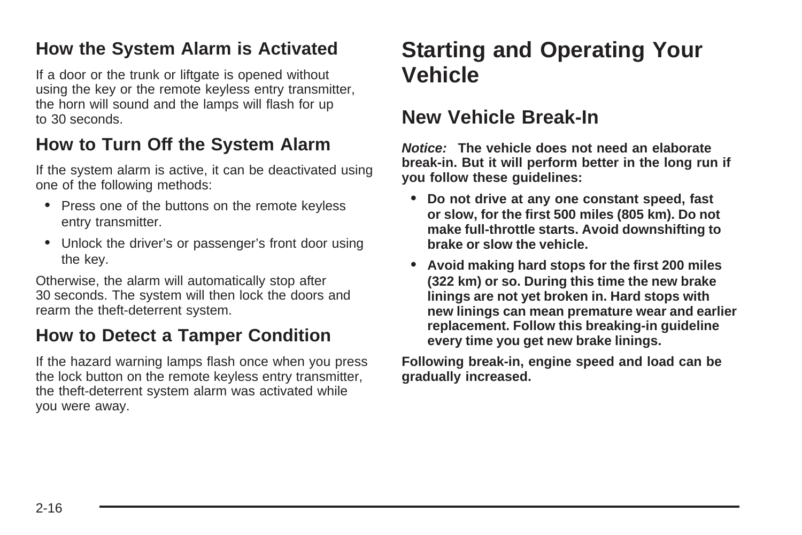#### <span id="page-93-0"></span>**How the System Alarm is Activated**

If a door or the trunk or liftgate is opened without using the key or the remote keyless entry transmitter, the horn will sound and the lamps will flash for up to 30 seconds.

#### **How to Turn Off the System Alarm**

If the system alarm is active, it can be deactivated using one of the following methods:

- Press one of the buttons on the remote keyless entry transmitter.
- Unlock the driver's or passenger's front door using the key.

Otherwise, the alarm will automatically stop after 30 seconds. The system will then lock the doors and rearm the theft-deterrent system.

#### **How to Detect a Tamper Condition**

If the hazard warning lamps flash once when you press the lock button on the remote keyless entry transmitter, the theft-deterrent system alarm was activated while you were away.

# **Starting and Operating Your Vehicle**

#### **New Vehicle Break-In**

**Notice: The vehicle does not need an elaborate break-in. But it will perform better in the long run if you follow these guidelines:**

- **• Do not drive at any one constant speed, fast or slow, for the first 500 miles (805 km). Do not make full-throttle starts. Avoid downshifting to brake or slow the vehicle.**
- **• Avoid making hard stops for the first 200 miles (322 km) or so. During this time the new brake linings are not yet broken in. Hard stops with new linings can mean premature wear and earlier replacement. Follow this breaking-in guideline every time you get new brake linings.**

**Following break-in, engine speed and load can be gradually increased.**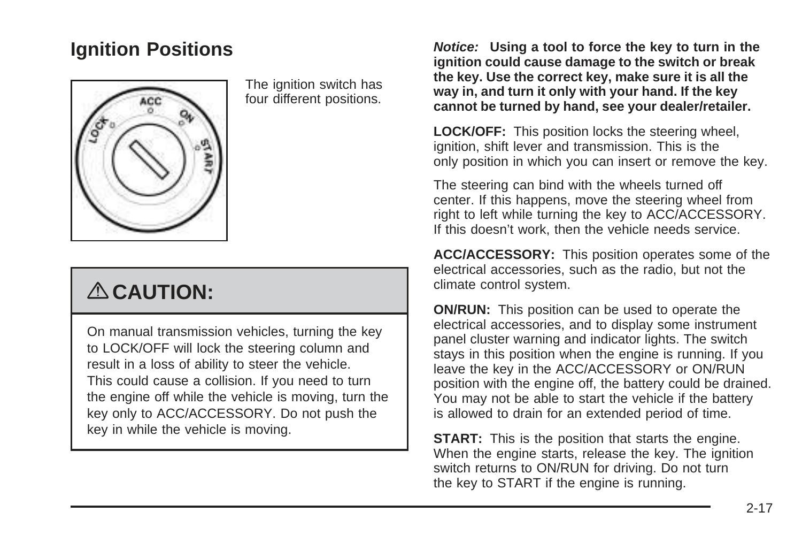### <span id="page-94-0"></span>**Ignition Positions**



The ignition switch has four different positions.

# { **CAUTION:**

On manual transmission vehicles, turning the key to LOCK/OFF will lock the steering column and result in a loss of ability to steer the vehicle. This could cause a collision. If you need to turn the engine off while the vehicle is moving, turn the key only to ACC/ACCESSORY. Do not push the key in while the vehicle is moving.

**Notice: Using a tool to force the key to turn in the ignition could cause damage to the switch or break the key. Use the correct key, make sure it is all the way in, and turn it only with your hand. If the key cannot be turned by hand, see your dealer/retailer.**

**LOCK/OFF:** This position locks the steering wheel, ignition, shift lever and transmission. This is the only position in which you can insert or remove the key.

The steering can bind with the wheels turned off center. If this happens, move the steering wheel from right to left while turning the key to ACC/ACCESSORY. If this doesn't work, then the vehicle needs service.

**ACC/ACCESSORY:** This position operates some of the electrical accessories, such as the radio, but not the climate control system.

**ON/RUN:** This position can be used to operate the electrical accessories, and to display some instrument panel cluster warning and indicator lights. The switch stays in this position when the engine is running. If you leave the key in the ACC/ACCESSORY or ON/RUN position with the engine off, the battery could be drained. You may not be able to start the vehicle if the battery is allowed to drain for an extended period of time.

**START:** This is the position that starts the engine. When the engine starts, release the key. The ignition switch returns to ON/RUN for driving. Do not turn the key to START if the engine is running.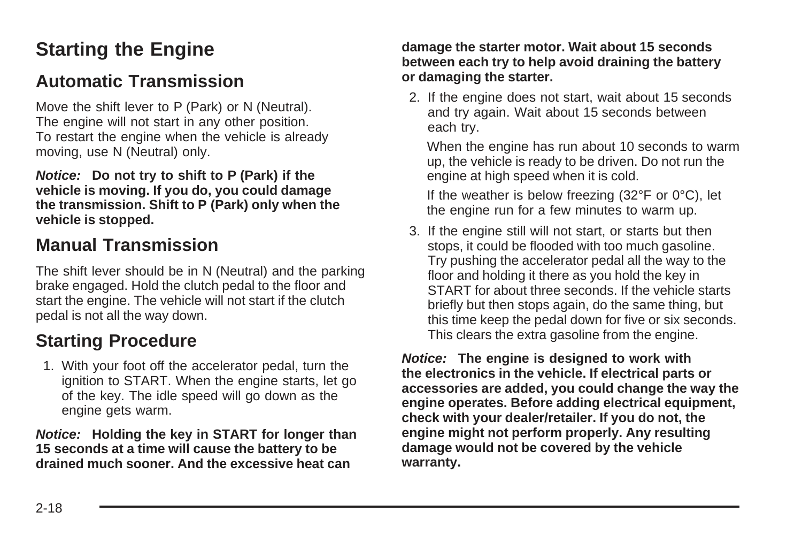# <span id="page-95-0"></span>**Starting the Engine**

#### **Automatic Transmission**

Move the shift lever to P (Park) or N (Neutral). The engine will not start in any other position. To restart the engine when the vehicle is already moving, use N (Neutral) only.

**Notice: Do not try to shift to P (Park) if the vehicle is moving. If you do, you could damage the transmission. Shift to P (Park) only when the vehicle is stopped.**

### **Manual Transmission**

The shift lever should be in N (Neutral) and the parking brake engaged. Hold the clutch pedal to the floor and start the engine. The vehicle will not start if the clutch pedal is not all the way down.

### **Starting Procedure**

1. With your foot off the accelerator pedal, turn the ignition to START. When the engine starts, let go of the key. The idle speed will go down as the engine gets warm.

**Notice: Holding the key in START for longer than 15 seconds at a time will cause the battery to be drained much sooner. And the excessive heat can**

#### **damage the starter motor. Wait about 15 seconds between each try to help avoid draining the battery or damaging the starter.**

2. If the engine does not start, wait about 15 seconds and try again. Wait about 15 seconds between each try.

When the engine has run about 10 seconds to warm up, the vehicle is ready to be driven. Do not run the engine at high speed when it is cold.

If the weather is below freezing (32°F or 0°C), let the engine run for a few minutes to warm up.

3. If the engine still will not start, or starts but then stops, it could be flooded with too much gasoline. Try pushing the accelerator pedal all the way to the floor and holding it there as you hold the key in START for about three seconds. If the vehicle starts briefly but then stops again, do the same thing, but this time keep the pedal down for five or six seconds. This clears the extra gasoline from the engine.

**Notice: The engine is designed to work with the electronics in the vehicle. If electrical parts or accessories are added, you could change the way the engine operates. Before adding electrical equipment, check with your dealer/retailer. If you do not, the engine might not perform properly. Any resulting damage would not be covered by the vehicle warranty.**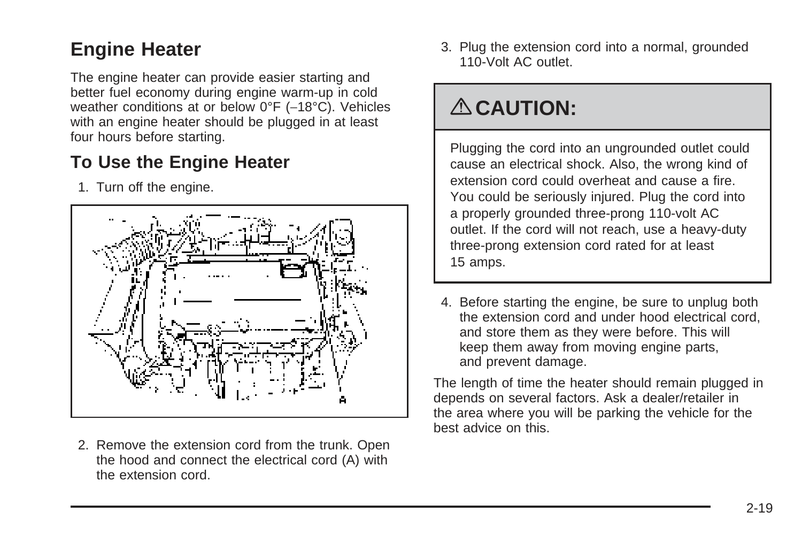## <span id="page-96-0"></span>**Engine Heater**

The engine heater can provide easier starting and better fuel economy during engine warm-up in cold weather conditions at or below 0°F (-18°C). Vehicles with an engine heater should be plugged in at least four hours before starting.

### **To Use the Engine Heater**

1. Turn off the engine.



2. Remove the extension cord from the trunk. Open the hood and connect the electrical cord (A) with the extension cord.

3. Plug the extension cord into a normal, grounded 110-Volt AC outlet.

# { **CAUTION:**

Plugging the cord into an ungrounded outlet could cause an electrical shock. Also, the wrong kind of extension cord could overheat and cause a fire. You could be seriously injured. Plug the cord into a properly grounded three-prong 110-volt AC outlet. If the cord will not reach, use a heavy-duty three-prong extension cord rated for at least 15 amps.

4. Before starting the engine, be sure to unplug both the extension cord and under hood electrical cord, and store them as they were before. This will keep them away from moving engine parts, and prevent damage.

The length of time the heater should remain plugged in depends on several factors. Ask a dealer/retailer in the area where you will be parking the vehicle for the best advice on this.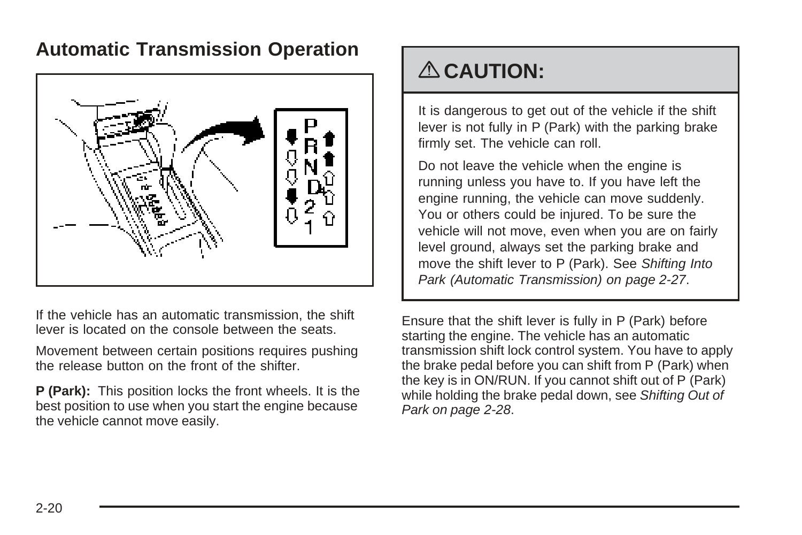### <span id="page-97-0"></span>**Automatic Transmission Operation**



If the vehicle has an automatic transmission, the shift lever is located on the console between the seats.

Movement between certain positions requires pushing the release button on the front of the shifter.

**P (Park):** This position locks the front wheels. It is the best position to use when you start the engine because the vehicle cannot move easily.

# { **CAUTION:**

It is dangerous to get out of the vehicle if the shift lever is not fully in P (Park) with the parking brake firmly set. The vehicle can roll.

Do not leave the vehicle when the engine is running unless you have to. If you have left the engine running, the vehicle can move suddenly. You or others could be injured. To be sure the vehicle will not move, even when you are on fairly level ground, always set the parking brake and move the shift lever to P (Park). See [Shifting Into](#page-104-0) [Park \(Automatic Transmission\)](#page-104-0) on page 2-27.

Ensure that the shift lever is fully in P (Park) before starting the engine. The vehicle has an automatic transmission shift lock control system. You have to apply the brake pedal before you can shift from P (Park) when the key is in ON/RUN. If you cannot shift out of P (Park) while holding the brake pedal down, see [Shifting Out of](#page-105-0) [Park](#page-105-0) on page 2-28.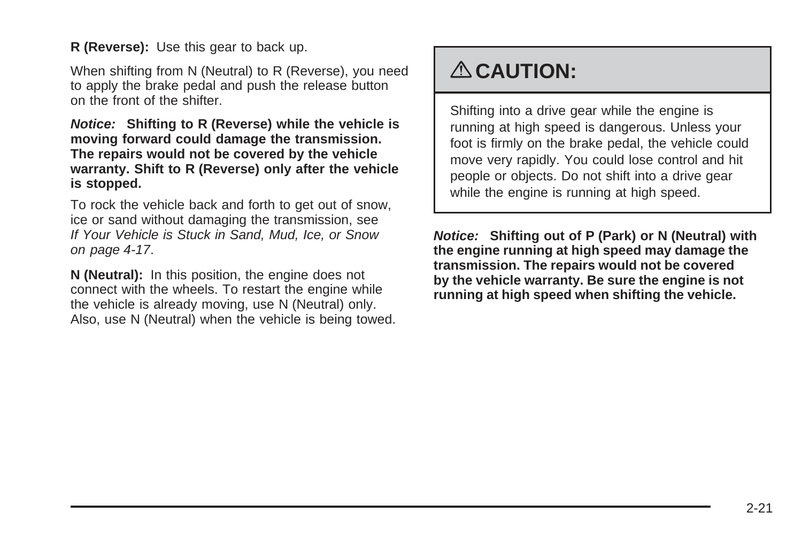**R (Reverse):** Use this gear to back up.

When shifting from N (Neutral) to R (Reverse), you need to apply the brake pedal and push the release button on the front of the shifter.

**Notice: Shifting to R (Reverse) while the vehicle is moving forward could damage the transmission. The repairs would not be covered by the vehicle warranty. Shift to R (Reverse) only after the vehicle is stopped.**

To rock the vehicle back and forth to get out of snow, ice or sand without damaging the transmission, see [If Your Vehicle is Stuck in Sand, Mud, Ice, or Snow](#page-190-0) on page 4-17.

**N (Neutral):** In this position, the engine does not connect with the wheels. To restart the engine while the vehicle is already moving, use N (Neutral) only. Also, use N (Neutral) when the vehicle is being towed.

# { **CAUTION:**

Shifting into a drive gear while the engine is running at high speed is dangerous. Unless your foot is firmly on the brake pedal, the vehicle could move very rapidly. You could lose control and hit people or objects. Do not shift into a drive gear while the engine is running at high speed.

**Notice: Shifting out of P (Park) or N (Neutral) with the engine running at high speed may damage the transmission. The repairs would not be covered by the vehicle warranty. Be sure the engine is not running at high speed when shifting the vehicle.**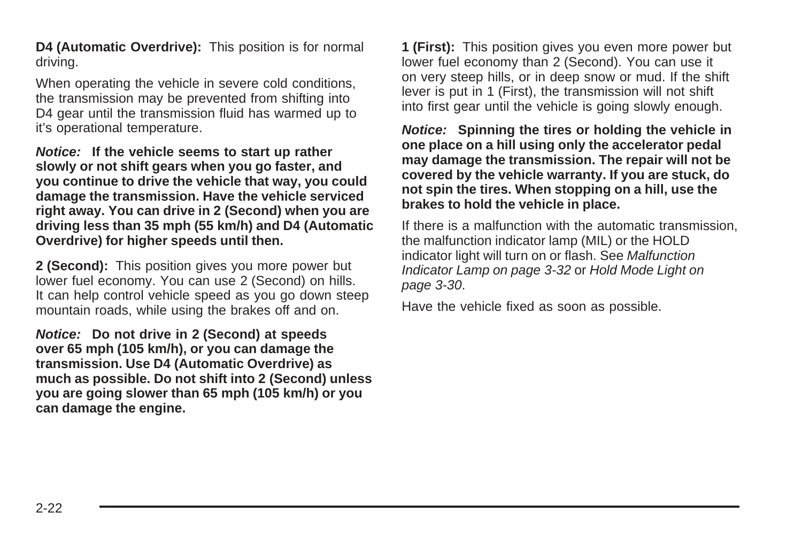**D4 (Automatic Overdrive):** This position is for normal driving.

When operating the vehicle in severe cold conditions, the transmission may be prevented from shifting into D4 gear until the transmission fluid has warmed up to it's operational temperature.

**Notice: If the vehicle seems to start up rather slowly or not shift gears when you go faster, and you continue to drive the vehicle that way, you could damage the transmission. Have the vehicle serviced right away. You can drive in 2 (Second) when you are driving less than 35 mph (55 km/h) and D4 (Automatic Overdrive) for higher speeds until then.**

**2 (Second):** This position gives you more power but lower fuel economy. You can use 2 (Second) on hills. It can help control vehicle speed as you go down steep mountain roads, while using the brakes off and on.

**Notice: Do not drive in 2 (Second) at speeds over 65 mph (105 km/h), or you can damage the transmission. Use D4 (Automatic Overdrive) as much as possible. Do not shift into 2 (Second) unless you are going slower than 65 mph (105 km/h) or you can damage the engine.**

**1 (First):** This position gives you even more power but lower fuel economy than 2 (Second). You can use it on very steep hills, or in deep snow or mud. If the shift lever is put in 1 (First), the transmission will not shift into first gear until the vehicle is going slowly enough.

**Notice: Spinning the tires or holding the vehicle in one place on a hill using only the accelerator pedal may damage the transmission. The repair will not be covered by the vehicle warranty. If you are stuck, do not spin the tires. When stopping on a hill, use the brakes to hold the vehicle in place.**

If there is a malfunction with the automatic transmission, the malfunction indicator lamp (MIL) or the HOLD indicator light will turn on or flash. See [Malfunction](#page-147-0) [Indicator Lamp](#page-147-0) on page 3-32 or [Hold Mode Light](#page-145-0) on page 3-30.

Have the vehicle fixed as soon as possible.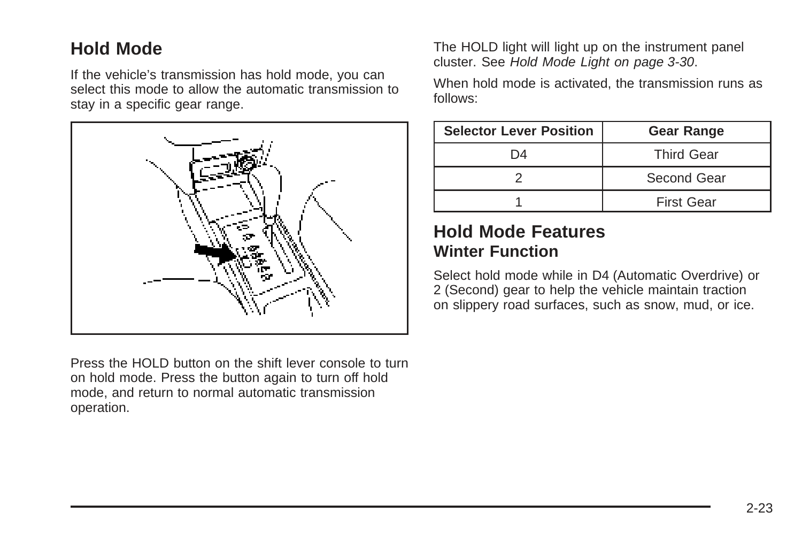#### **Hold Mode**

If the vehicle's transmission has hold mode, you can select this mode to allow the automatic transmission to stay in a specific gear range.



Press the HOLD button on the shift lever console to turn on hold mode. Press the button again to turn off hold mode, and return to normal automatic transmission operation.

The HOLD light will light up on the instrument panel cluster. See [Hold Mode Light](#page-145-0) on page 3-30.

When hold mode is activated, the transmission runs as follows:

| <b>Selector Lever Position</b> | <b>Gear Range</b> |  |
|--------------------------------|-------------------|--|
| D4                             | <b>Third Gear</b> |  |
|                                | Second Gear       |  |
|                                | <b>First Gear</b> |  |

#### **Hold Mode Features Winter Function**

Select hold mode while in D4 (Automatic Overdrive) or 2 (Second) gear to help the vehicle maintain traction on slippery road surfaces, such as snow, mud, or ice.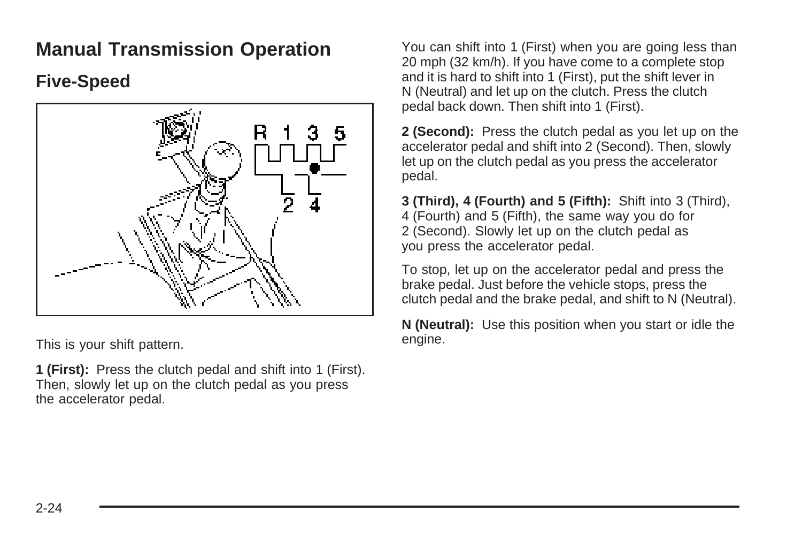### <span id="page-101-0"></span>**Manual Transmission Operation**

#### **Five-Speed**



This is your shift pattern.

**1 (First):** Press the clutch pedal and shift into 1 (First). Then, slowly let up on the clutch pedal as you press the accelerator pedal.

You can shift into 1 (First) when you are going less than 20 mph (32 km/h). If you have come to a complete stop and it is hard to shift into 1 (First), put the shift lever in N (Neutral) and let up on the clutch. Press the clutch pedal back down. Then shift into 1 (First).

**2 (Second):** Press the clutch pedal as you let up on the accelerator pedal and shift into 2 (Second). Then, slowly let up on the clutch pedal as you press the accelerator pedal.

**3 (Third), 4 (Fourth) and 5 (Fifth):** Shift into 3 (Third), 4 (Fourth) and 5 (Fifth), the same way you do for 2 (Second). Slowly let up on the clutch pedal as you press the accelerator pedal.

To stop, let up on the accelerator pedal and press the brake pedal. Just before the vehicle stops, press the clutch pedal and the brake pedal, and shift to N (Neutral).

**N (Neutral):** Use this position when you start or idle the engine.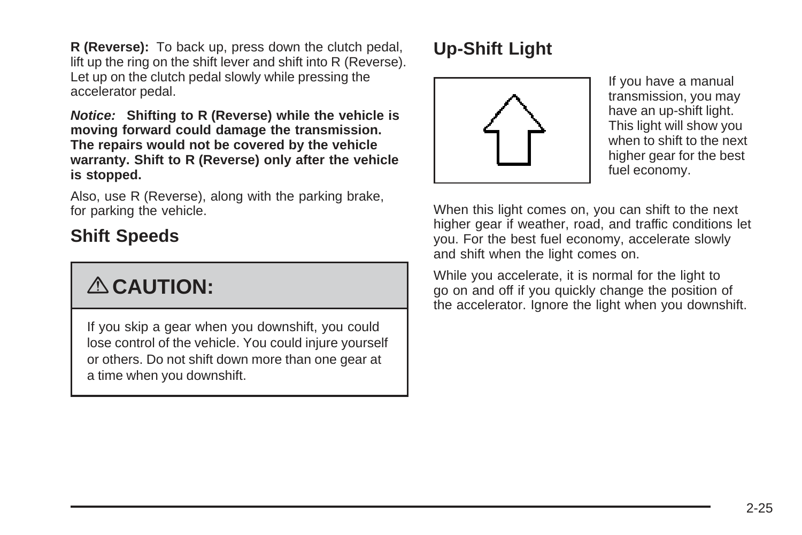**R (Reverse):** To back up, press down the clutch pedal, lift up the ring on the shift lever and shift into R (Reverse). Let up on the clutch pedal slowly while pressing the accelerator pedal.

**Notice: Shifting to R (Reverse) while the vehicle is moving forward could damage the transmission. The repairs would not be covered by the vehicle warranty. Shift to R (Reverse) only after the vehicle is stopped.**

Also, use R (Reverse), along with the parking brake, for parking the vehicle.

### **Shift Speeds**

# { **CAUTION:**

If you skip a gear when you downshift, you could lose control of the vehicle. You could injure yourself or others. Do not shift down more than one gear at a time when you downshift.

# **Up-Shift Light**



If you have a manual transmission, you may have an up-shift light. This light will show you when to shift to the next higher gear for the best fuel economy.

When this light comes on, you can shift to the next higher gear if weather, road, and traffic conditions let you. For the best fuel economy, accelerate slowly and shift when the light comes on.

While you accelerate, it is normal for the light to go on and off if you quickly change the position of the accelerator. Ignore the light when you downshift.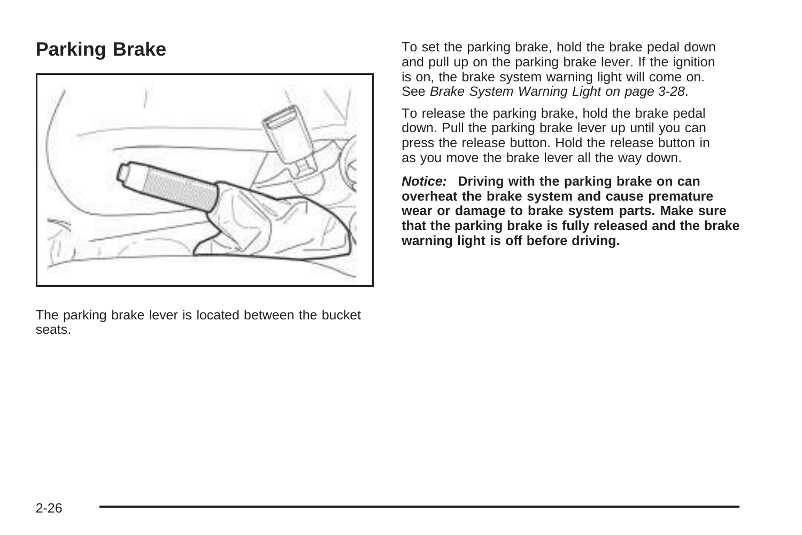### <span id="page-103-0"></span>**Parking Brake**



The parking brake lever is located between the bucket seats.

To set the parking brake, hold the brake pedal down and pull up on the parking brake lever. If the ignition is on, the brake system warning light will come on. See [Brake System Warning Light](#page-143-0) on page 3-28.

To release the parking brake, hold the brake pedal down. Pull the parking brake lever up until you can press the release button. Hold the release button in as you move the brake lever all the way down.

**Notice: Driving with the parking brake on can overheat the brake system and cause premature wear or damage to brake system parts. Make sure that the parking brake is fully released and the brake warning light is off before driving.**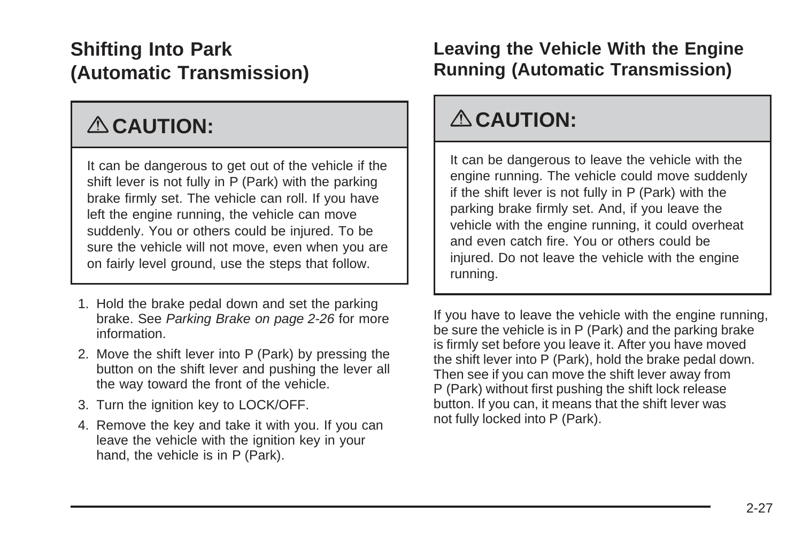# <span id="page-104-0"></span>**Shifting Into Park (Automatic Transmission)**

# { **CAUTION:**

It can be dangerous to get out of the vehicle if the shift lever is not fully in P (Park) with the parking brake firmly set. The vehicle can roll. If you have left the engine running, the vehicle can move suddenly. You or others could be injured. To be sure the vehicle will not move, even when you are on fairly level ground, use the steps that follow.

- 1. Hold the brake pedal down and set the parking brake. See [Parking Brake](#page-103-0) on page 2-26 for more information.
- 2. Move the shift lever into P (Park) by pressing the button on the shift lever and pushing the lever all the way toward the front of the vehicle.
- 3. Turn the ignition key to LOCK/OFF.
- 4. Remove the key and take it with you. If you can leave the vehicle with the ignition key in your hand, the vehicle is in P (Park).

### **Leaving the Vehicle With the Engine Running (Automatic Transmission)**

# { **CAUTION:**

It can be dangerous to leave the vehicle with the engine running. The vehicle could move suddenly if the shift lever is not fully in P (Park) with the parking brake firmly set. And, if you leave the vehicle with the engine running, it could overheat and even catch fire. You or others could be injured. Do not leave the vehicle with the engine running.

If you have to leave the vehicle with the engine running, be sure the vehicle is in P (Park) and the parking brake is firmly set before you leave it. After you have moved the shift lever into P (Park), hold the brake pedal down. Then see if you can move the shift lever away from P (Park) without first pushing the shift lock release button. If you can, it means that the shift lever was not fully locked into P (Park).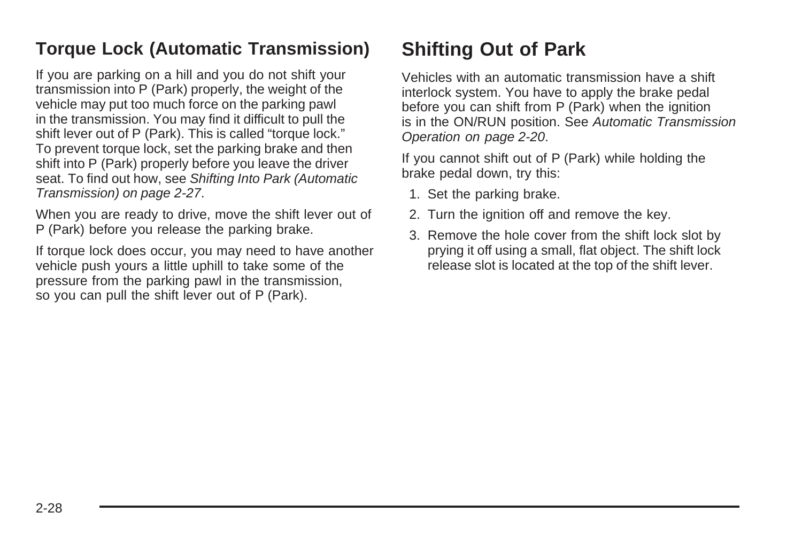### <span id="page-105-0"></span>**Torque Lock (Automatic Transmission)**

If you are parking on a hill and you do not shift your transmission into P (Park) properly, the weight of the vehicle may put too much force on the parking pawl in the transmission. You may find it difficult to pull the shift lever out of P (Park). This is called "torque lock." To prevent torque lock, set the parking brake and then shift into P (Park) properly before you leave the driver seat. To find out how, see [Shifting Into Park \(Automatic](#page-104-0) [Transmission\)](#page-104-0) on page 2-27.

When you are ready to drive, move the shift lever out of P (Park) before you release the parking brake.

If torque lock does occur, you may need to have another vehicle push yours a little uphill to take some of the pressure from the parking pawl in the transmission, so you can pull the shift lever out of P (Park).

# **Shifting Out of Park**

Vehicles with an automatic transmission have a shift interlock system. You have to apply the brake pedal before you can shift from P (Park) when the ignition is in the ON/RUN position. See [Automatic Transmission](#page-97-0) [Operation](#page-97-0) on page 2-20.

If you cannot shift out of P (Park) while holding the brake pedal down, try this:

- 1. Set the parking brake.
- 2. Turn the ignition off and remove the key.
- 3. Remove the hole cover from the shift lock slot by prying it off using a small, flat object. The shift lock release slot is located at the top of the shift lever.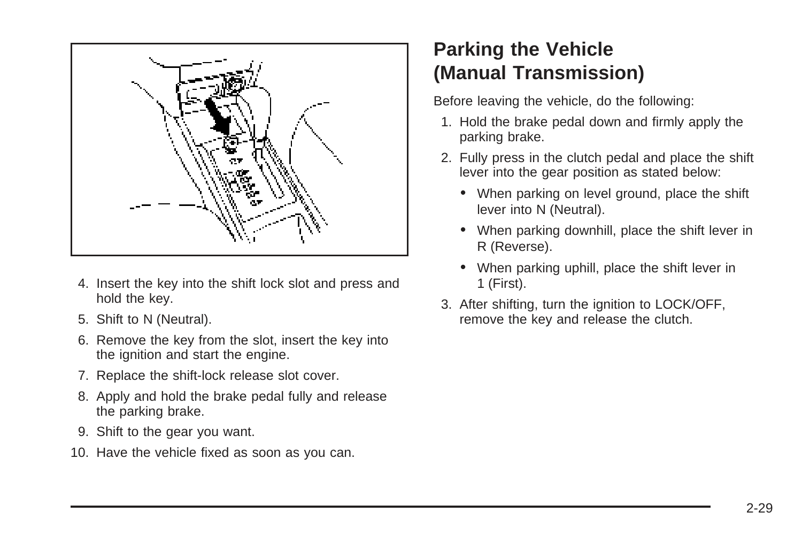<span id="page-106-0"></span>

- 4. Insert the key into the shift lock slot and press and hold the key.
- 5. Shift to N (Neutral).
- 6. Remove the key from the slot, insert the key into the ignition and start the engine.
- 7. Replace the shift-lock release slot cover.
- 8. Apply and hold the brake pedal fully and release the parking brake.
- 9. Shift to the gear you want.
- 10. Have the vehicle fixed as soon as you can.

# **Parking the Vehicle (Manual Transmission)**

Before leaving the vehicle, do the following:

- 1. Hold the brake pedal down and firmly apply the parking brake.
- 2. Fully press in the clutch pedal and place the shift lever into the gear position as stated below:
	- When parking on level ground, place the shift lever into N (Neutral).
	- When parking downhill, place the shift lever in R (Reverse).
	- When parking uphill, place the shift lever in 1 (First).
- 3. After shifting, turn the ignition to LOCK/OFF, remove the key and release the clutch.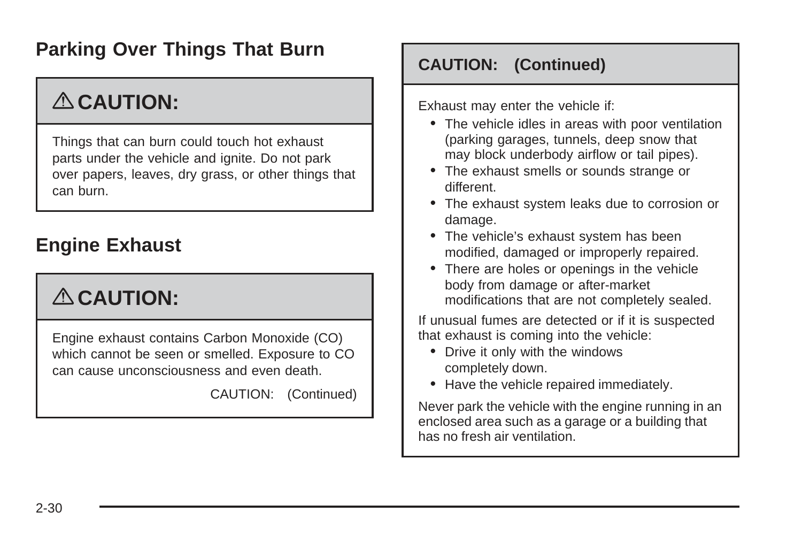### <span id="page-107-0"></span>**Parking Over Things That Burn**

# { **CAUTION:**

Things that can burn could touch hot exhaust parts under the vehicle and ignite. Do not park over papers, leaves, dry grass, or other things that can burn.

### **Engine Exhaust**

# { **CAUTION:**

Engine exhaust contains Carbon Monoxide (CO) which cannot be seen or smelled. Exposure to CO can cause unconsciousness and even death.

CAUTION: (Continued)

#### **CAUTION: (Continued)**

Exhaust may enter the vehicle if:

- The vehicle idles in areas with poor ventilation (parking garages, tunnels, deep snow that may block underbody airflow or tail pipes).
- The exhaust smells or sounds strange or different.
- The exhaust system leaks due to corrosion or damage.
- The vehicle's exhaust system has been modified, damaged or improperly repaired.
- There are holes or openings in the vehicle body from damage or after-market modifications that are not completely sealed.

If unusual fumes are detected or if it is suspected that exhaust is coming into the vehicle:

- Drive it only with the windows completely down.
- Have the vehicle repaired immediately.

Never park the vehicle with the engine running in an enclosed area such as a garage or a building that has no fresh air ventilation.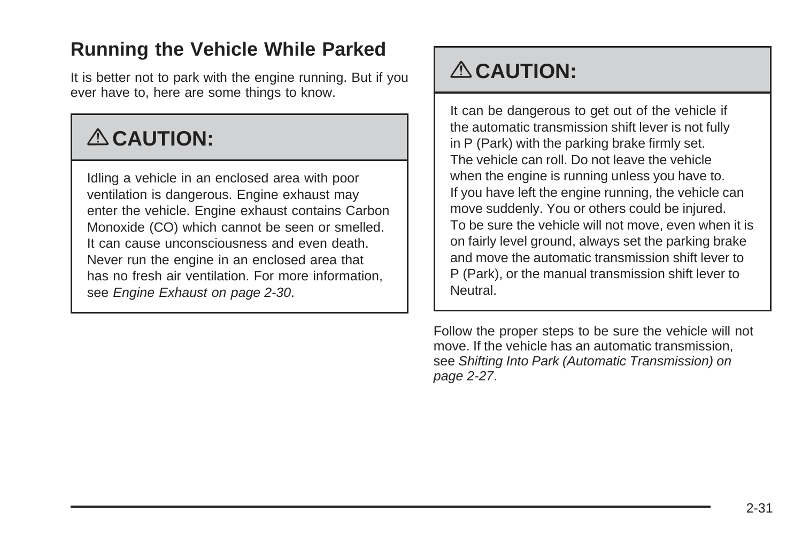## **Running the Vehicle While Parked**

It is better not to park with the engine running. But if you ever have to, here are some things to know.

# { **CAUTION:**

Idling a vehicle in an enclosed area with poor ventilation is dangerous. Engine exhaust may enter the vehicle. Engine exhaust contains Carbon Monoxide (CO) which cannot be seen or smelled. It can cause unconsciousness and even death. Never run the engine in an enclosed area that has no fresh air ventilation. For more information, see [Engine Exhaust](#page-107-0) on page 2-30.

# { **CAUTION:**

It can be dangerous to get out of the vehicle if the automatic transmission shift lever is not fully in P (Park) with the parking brake firmly set. The vehicle can roll. Do not leave the vehicle when the engine is running unless you have to. If you have left the engine running, the vehicle can move suddenly. You or others could be injured. To be sure the vehicle will not move, even when it is on fairly level ground, always set the parking brake and move the automatic transmission shift lever to P (Park), or the manual transmission shift lever to Neutral.

Follow the proper steps to be sure the vehicle will not move. If the vehicle has an automatic transmission, see [Shifting Into Park \(Automatic Transmission\)](#page-104-0) on page 2-27.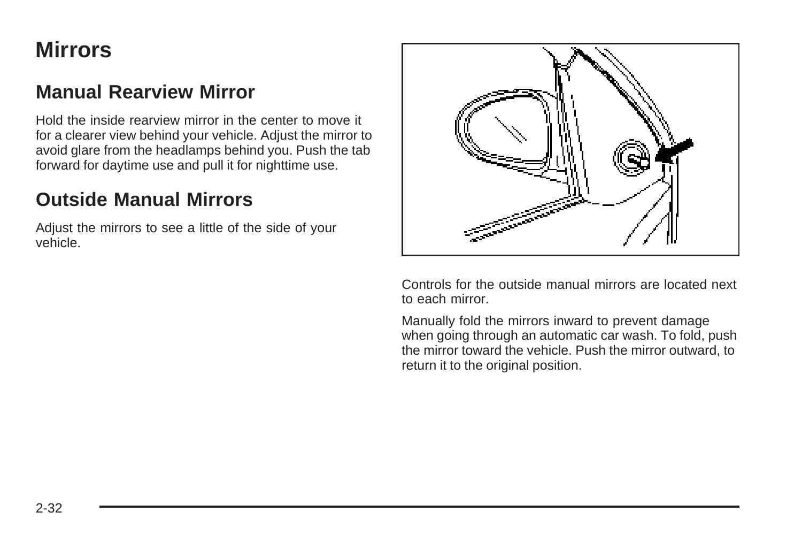## **Mirrors**

### **Manual Rearview Mirror**

Hold the inside rearview mirror in the center to move it for a clearer view behind your vehicle. Adjust the mirror to avoid glare from the headlamps behind you. Push the tab forward for daytime use and pull it for nighttime use.

### **Outside Manual Mirrors**

Adjust the mirrors to see a little of the side of your vehicle.



Controls for the outside manual mirrors are located next to each mirror.

Manually fold the mirrors inward to prevent damage when going through an automatic car wash. To fold, push the mirror toward the vehicle. Push the mirror outward, to return it to the original position.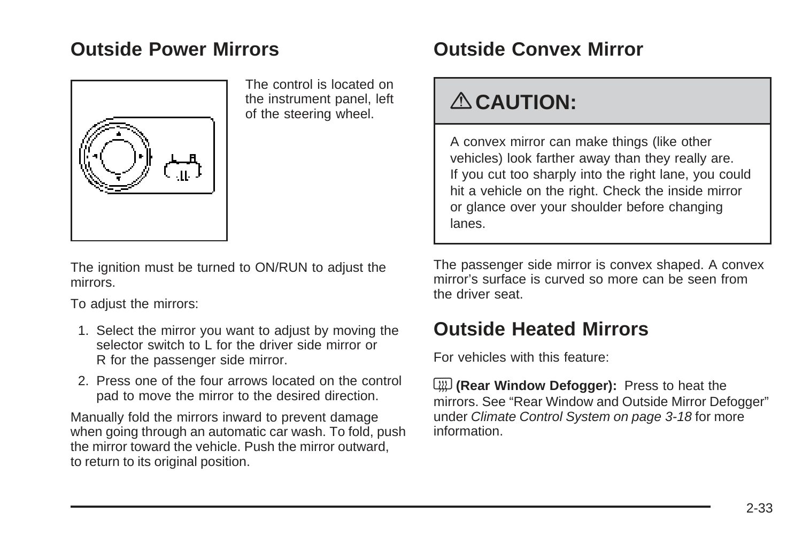### **Outside Power Mirrors**



The control is located on the instrument panel, left of the steering wheel.

The ignition must be turned to ON/RUN to adjust the mirrors.

To adjust the mirrors:

- 1. Select the mirror you want to adjust by moving the selector switch to L for the driver side mirror or R for the passenger side mirror.
- 2. Press one of the four arrows located on the control pad to move the mirror to the desired direction.

Manually fold the mirrors inward to prevent damage when going through an automatic car wash. To fold, push the mirror toward the vehicle. Push the mirror outward, to return to its original position.

## **Outside Convex Mirror**

# { **CAUTION:**

A convex mirror can make things (like other vehicles) look farther away than they really are. If you cut too sharply into the right lane, you could hit a vehicle on the right. Check the inside mirror or glance over your shoulder before changing lanes.

The passenger side mirror is convex shaped. A convex mirror's surface is curved so more can be seen from the driver seat.

## **Outside Heated Mirrors**

For vehicles with this feature:

< **(Rear Window Defogger):** Press to heat the mirrors. See "Rear Window and Outside Mirror Defogger" under [Climate Control System](#page-133-0) on page 3-18 for more information.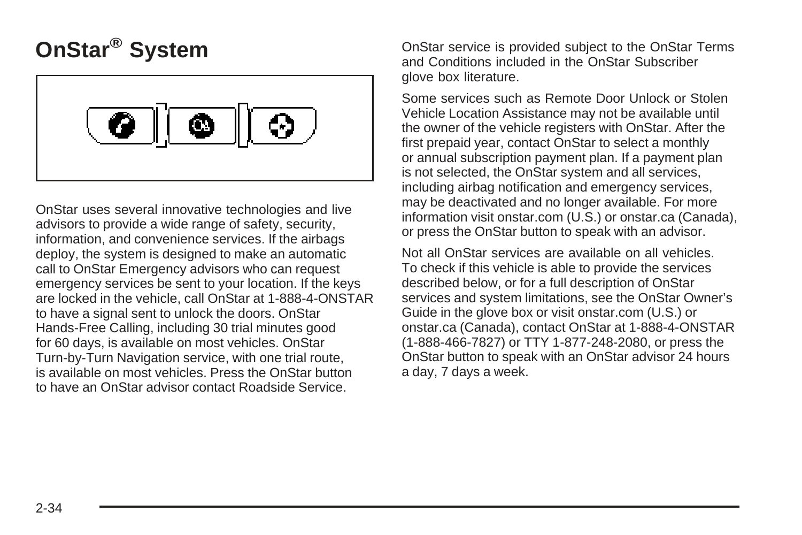# **OnStar® System**



OnStar uses several innovative technologies and live advisors to provide a wide range of safety, security, information, and convenience services. If the airbags deploy, the system is designed to make an automatic call to OnStar Emergency advisors who can request emergency services be sent to your location. If the keys are locked in the vehicle, call OnStar at 1-888-4-ONSTAR to have a signal sent to unlock the doors. OnStar Hands-Free Calling, including 30 trial minutes good for 60 days, is available on most vehicles. OnStar Turn-by-Turn Navigation service, with one trial route, is available on most vehicles. Press the OnStar button to have an OnStar advisor contact Roadside Service.

OnStar service is provided subject to the OnStar Terms and Conditions included in the OnStar Subscriber glove box literature.

Some services such as Remote Door Unlock or Stolen Vehicle Location Assistance may not be available until the owner of the vehicle registers with OnStar. After the first prepaid year, contact OnStar to select a monthly or annual subscription payment plan. If a payment plan is not selected, the OnStar system and all services, including airbag notification and emergency services, may be deactivated and no longer available. For more information visit onstar.com (U.S.) or onstar.ca (Canada), or press the OnStar button to speak with an advisor.

Not all OnStar services are available on all vehicles. To check if this vehicle is able to provide the services described below, or for a full description of OnStar services and system limitations, see the OnStar Owner's Guide in the glove box or visit onstar.com (U.S.) or onstar.ca (Canada), contact OnStar at 1-888-4-ONSTAR (1-888-466-7827) or TTY 1-877-248-2080, or press the OnStar button to speak with an OnStar advisor 24 hours a day, 7 days a week.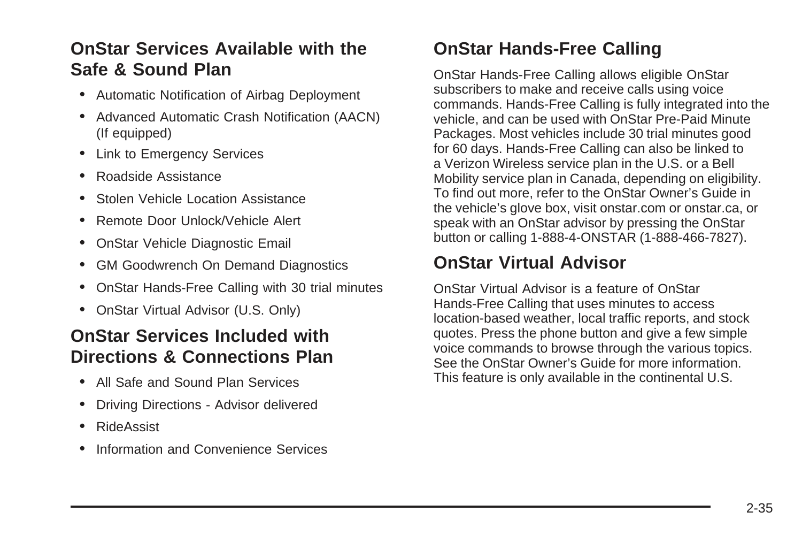### **OnStar Services Available with the Safe & Sound Plan**

- Automatic Notification of Airbag Deployment
- Advanced Automatic Crash Notification (AACN) (If equipped)
- Link to Emergency Services
- Roadside Assistance
- Stolen Vehicle Location Assistance
- Remote Door Unlock/Vehicle Alert
- OnStar Vehicle Diagnostic Email
- GM Goodwrench On Demand Diagnostics
- OnStar Hands-Free Calling with 30 trial minutes
- OnStar Virtual Advisor (U.S. Only)

### **OnStar Services Included with Directions & Connections Plan**

- All Safe and Sound Plan Services
- Driving Directions Advisor delivered
- RideAssist
- Information and Convenience Services

## **OnStar Hands-Free Calling**

OnStar Hands-Free Calling allows eligible OnStar subscribers to make and receive calls using voice commands. Hands-Free Calling is fully integrated into the vehicle, and can be used with OnStar Pre-Paid Minute Packages. Most vehicles include 30 trial minutes good for 60 days. Hands-Free Calling can also be linked to a Verizon Wireless service plan in the U.S. or a Bell Mobility service plan in Canada, depending on eligibility. To find out more, refer to the OnStar Owner's Guide in the vehicle's glove box, visit onstar.com or onstar.ca, or speak with an OnStar advisor by pressing the OnStar button or calling 1-888-4-ONSTAR (1-888-466-7827).

### **OnStar Virtual Advisor**

OnStar Virtual Advisor is a feature of OnStar Hands-Free Calling that uses minutes to access location-based weather, local traffic reports, and stock quotes. Press the phone button and give a few simple voice commands to browse through the various topics. See the OnStar Owner's Guide for more information. This feature is only available in the continental U.S.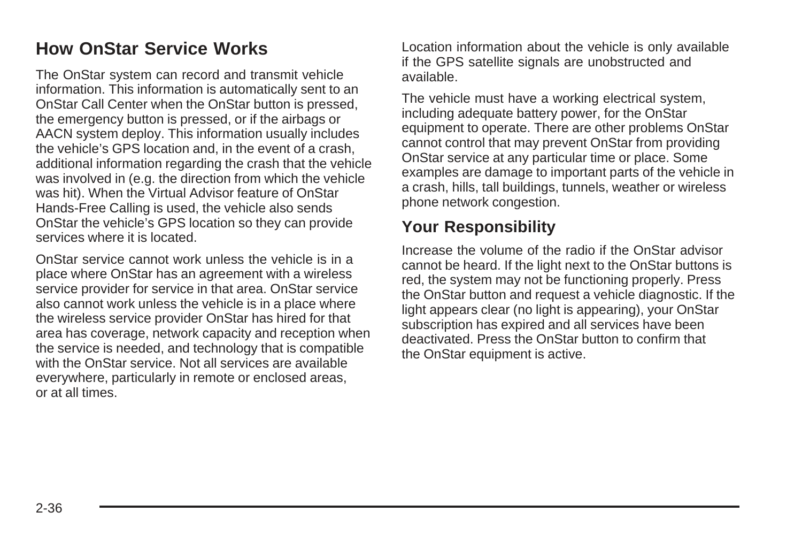### **How OnStar Service Works**

The OnStar system can record and transmit vehicle information. This information is automatically sent to an OnStar Call Center when the OnStar button is pressed, the emergency button is pressed, or if the airbags or AACN system deploy. This information usually includes the vehicle's GPS location and, in the event of a crash, additional information regarding the crash that the vehicle was involved in (e.g. the direction from which the vehicle was hit). When the Virtual Advisor feature of OnStar Hands-Free Calling is used, the vehicle also sends OnStar the vehicle's GPS location so they can provide services where it is located.

OnStar service cannot work unless the vehicle is in a place where OnStar has an agreement with a wireless service provider for service in that area. OnStar service also cannot work unless the vehicle is in a place where the wireless service provider OnStar has hired for that area has coverage, network capacity and reception when the service is needed, and technology that is compatible with the OnStar service. Not all services are available everywhere, particularly in remote or enclosed areas, or at all times.

Location information about the vehicle is only available if the GPS satellite signals are unobstructed and available.

The vehicle must have a working electrical system, including adequate battery power, for the OnStar equipment to operate. There are other problems OnStar cannot control that may prevent OnStar from providing OnStar service at any particular time or place. Some examples are damage to important parts of the vehicle in a crash, hills, tall buildings, tunnels, weather or wireless phone network congestion.

#### **Your Responsibility**

Increase the volume of the radio if the OnStar advisor cannot be heard. If the light next to the OnStar buttons is red, the system may not be functioning properly. Press the OnStar button and request a vehicle diagnostic. If the light appears clear (no light is appearing), your OnStar subscription has expired and all services have been deactivated. Press the OnStar button to confirm that the OnStar equipment is active.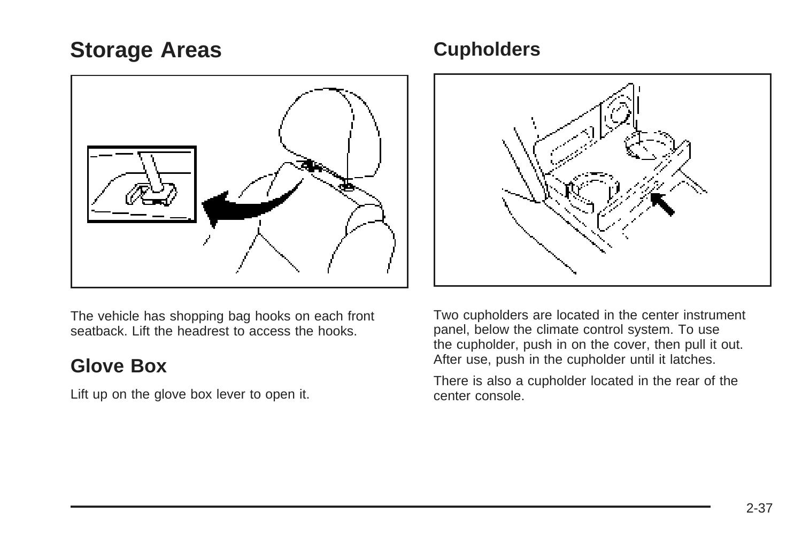## <span id="page-114-0"></span>**Storage Areas**



The vehicle has shopping bag hooks on each front seatback. Lift the headrest to access the hooks.

### **Glove Box**

Lift up on the glove box lever to open it.

### **Cupholders**



Two cupholders are located in the center instrument panel, below the climate control system. To use the cupholder, push in on the cover, then pull it out. After use, push in the cupholder until it latches.

There is also a cupholder located in the rear of the center console.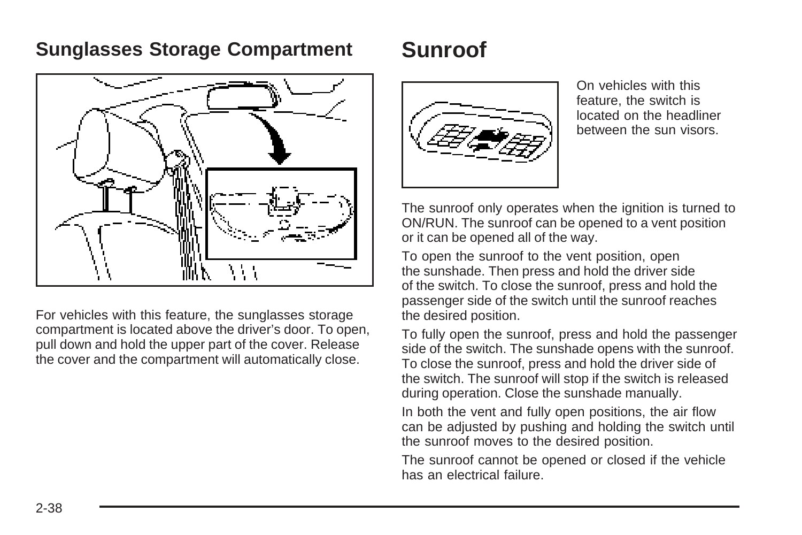### **Sunglasses Storage Compartment**

## **Sunroof**



For vehicles with this feature, the sunglasses storage compartment is located above the driver's door. To open, pull down and hold the upper part of the cover. Release the cover and the compartment will automatically close.



On vehicles with this feature, the switch is located on the headliner between the sun visors.

The sunroof only operates when the ignition is turned to ON/RUN. The sunroof can be opened to a vent position or it can be opened all of the way.

To open the sunroof to the vent position, open the sunshade. Then press and hold the driver side of the switch. To close the sunroof, press and hold the passenger side of the switch until the sunroof reaches the desired position.

To fully open the sunroof, press and hold the passenger side of the switch. The sunshade opens with the sunroof. To close the sunroof, press and hold the driver side of the switch. The sunroof will stop if the switch is released during operation. Close the sunshade manually.

In both the vent and fully open positions, the air flow can be adjusted by pushing and holding the switch until the sunroof moves to the desired position.

The sunroof cannot be opened or closed if the vehicle has an electrical failure.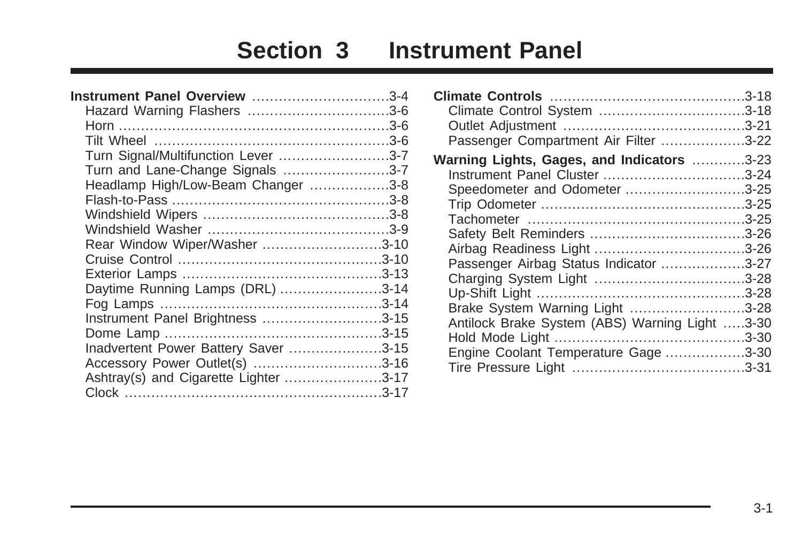# **Section 3 Instrument Panel**

| Instrument Panel Overview 3-4         |  |
|---------------------------------------|--|
| Hazard Warning Flashers 3-6           |  |
|                                       |  |
|                                       |  |
| Turn Signal/Multifunction Lever 3-7   |  |
| Turn and Lane-Change Signals 3-7      |  |
| Headlamp High/Low-Beam Changer 3-8    |  |
|                                       |  |
|                                       |  |
|                                       |  |
| Rear Window Wiper/Washer 3-10         |  |
|                                       |  |
|                                       |  |
| Daytime Running Lamps (DRL) 3-14      |  |
|                                       |  |
| Instrument Panel Brightness 3-15      |  |
|                                       |  |
| Inadvertent Power Battery Saver 3-15  |  |
| Accessory Power Outlet(s) 3-16        |  |
| Ashtray(s) and Cigarette Lighter 3-17 |  |
|                                       |  |

| Passenger Compartment Air Filter 3-22          |  |
|------------------------------------------------|--|
| Warning Lights, Gages, and Indicators 3-23     |  |
|                                                |  |
| Speedometer and Odometer 3-25                  |  |
|                                                |  |
|                                                |  |
|                                                |  |
|                                                |  |
| Passenger Airbag Status Indicator 3-27         |  |
|                                                |  |
|                                                |  |
| Brake System Warning Light 3-28                |  |
| Antilock Brake System (ABS) Warning Light 3-30 |  |
|                                                |  |
| Engine Coolant Temperature Gage 3-30           |  |
|                                                |  |
|                                                |  |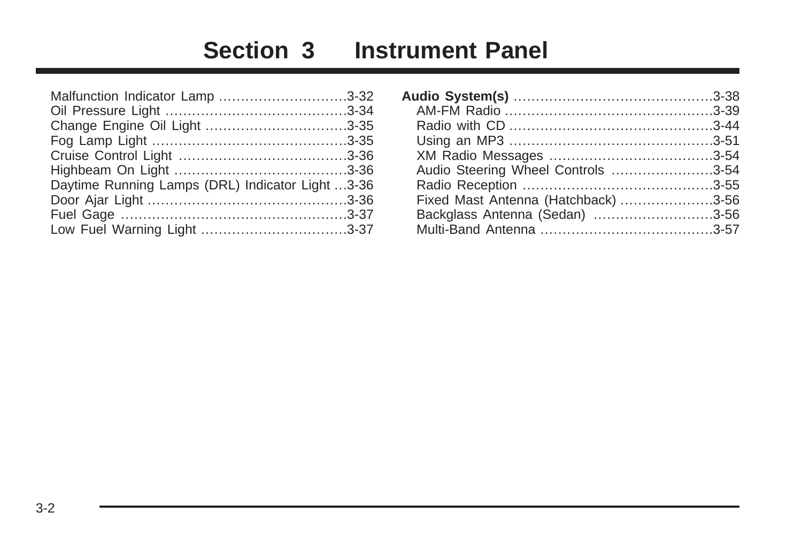# **Section 3 Instrument Panel**

| Malfunction Indicator Lamp 3-32                  |  |
|--------------------------------------------------|--|
|                                                  |  |
|                                                  |  |
|                                                  |  |
|                                                  |  |
|                                                  |  |
| Daytime Running Lamps (DRL) Indicator Light 3-36 |  |
|                                                  |  |
|                                                  |  |
|                                                  |  |
|                                                  |  |

| Audio Steering Wheel Controls 3-54  |  |
|-------------------------------------|--|
|                                     |  |
| Fixed Mast Antenna (Hatchback) 3-56 |  |
| Backglass Antenna (Sedan) 3-56      |  |
|                                     |  |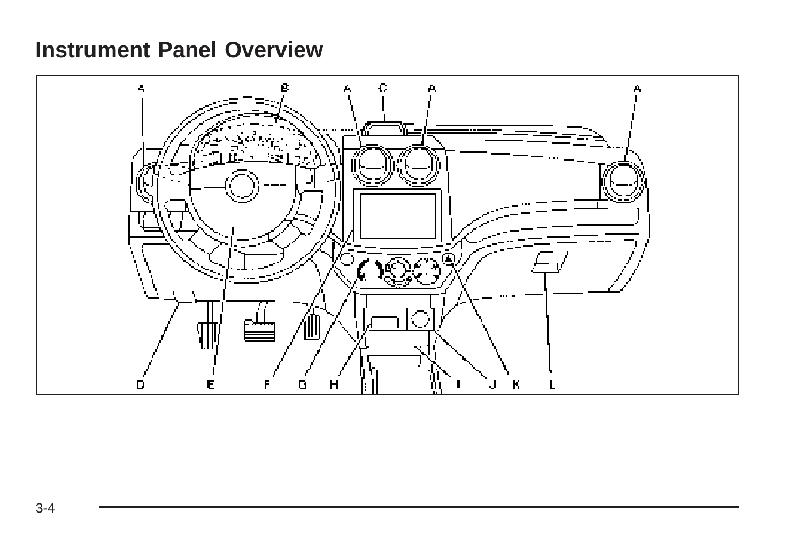## <span id="page-119-0"></span>**Instrument Panel Overview**

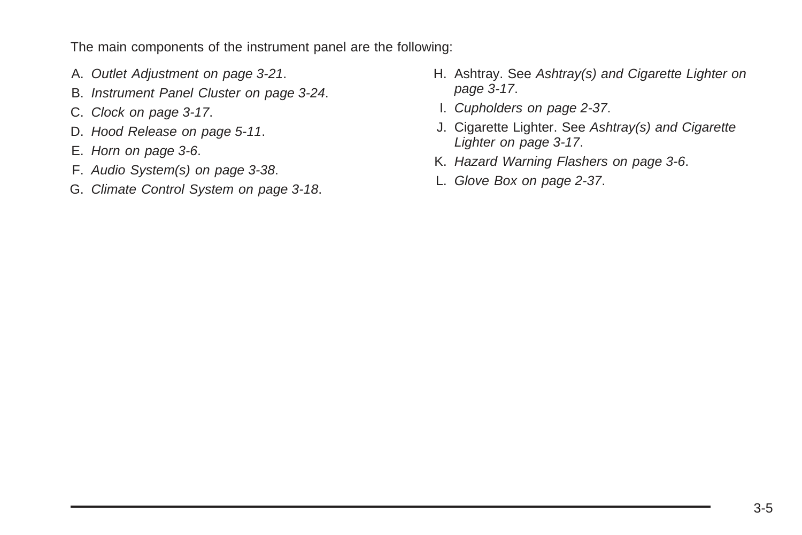The main components of the instrument panel are the following:

- A. [Outlet Adjustment](#page-136-0) on page 3-21.
- B. [Instrument Panel Cluster](#page-139-0) on page 3-24.
- C. [Clock](#page-132-0) on page 3-17.
- D. [Hood Release](#page-214-0) on page 5-11.
- E. [Horn](#page-121-0) on page 3-6.
- F. [Audio System\(s\)](#page-153-0) on page 3-38.
- G. [Climate Control System](#page-133-0) on page 3-18.
- H. Ashtray. See [Ashtray\(s\) and Cigarette Lighter](#page-132-0) on page 3-17.
- I. [Cupholders](#page-114-0) on page 2-37.
- J. Cigarette Lighter. See [Ashtray\(s\) and Cigarette](#page-132-0) [Lighter](#page-132-0) on page 3-17.
- K. [Hazard Warning Flashers](#page-121-0) on page 3-6.
- L. [Glove Box](#page-114-0) on page 2-37.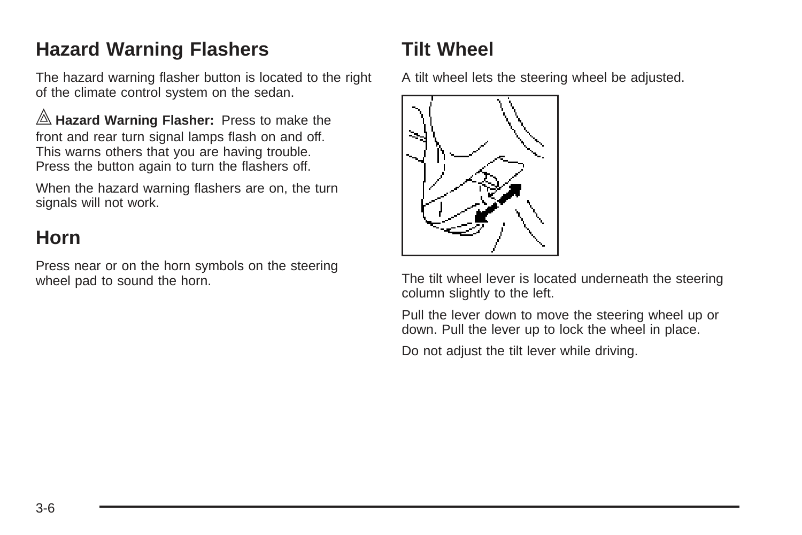## <span id="page-121-0"></span>**Hazard Warning Flashers**

The hazard warning flasher button is located to the right of the climate control system on the sedan.

| **Hazard Warning Flasher:** Press to make the front and rear turn signal lamps flash on and off. This warns others that you are having trouble. Press the button again to turn the flashers off.

When the hazard warning flashers are on, the turn signals will not work.

### **Horn**

Press near or on the horn symbols on the steering wheel pad to sound the horn.

## **Tilt Wheel**

A tilt wheel lets the steering wheel be adjusted.



The tilt wheel lever is located underneath the steering column slightly to the left.

Pull the lever down to move the steering wheel up or down. Pull the lever up to lock the wheel in place.

Do not adjust the tilt lever while driving.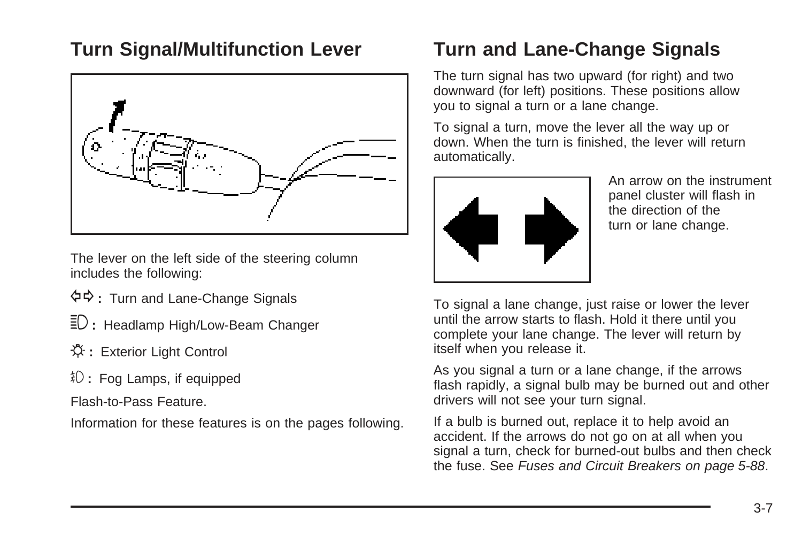### <span id="page-122-0"></span>**Turn Signal/Multifunction Lever**



The lever on the left side of the steering column includes the following:

- G**:** Turn and Lane-Change Signals
- 3 **:** Headlamp High/Low-Beam Changer
- **登**: Exterior Light Control
- # **:** Fog Lamps, if equipped

Flash-to-Pass Feature.

Information for these features is on the pages following.

## **Turn and Lane-Change Signals**

The turn signal has two upward (for right) and two downward (for left) positions. These positions allow you to signal a turn or a lane change.

To signal a turn, move the lever all the way up or down. When the turn is finished, the lever will return automatically.



An arrow on the instrument panel cluster will flash in the direction of the turn or lane change.

To signal a lane change, just raise or lower the lever until the arrow starts to flash. Hold it there until you complete your lane change. The lever will return by itself when you release it.

As you signal a turn or a lane change, if the arrows flash rapidly, a signal bulb may be burned out and other drivers will not see your turn signal.

If a bulb is burned out, replace it to help avoid an accident. If the arrows do not go on at all when you signal a turn, check for burned-out bulbs and then check the fuse. See [Fuses and Circuit Breakers](#page-291-0) on page 5-88.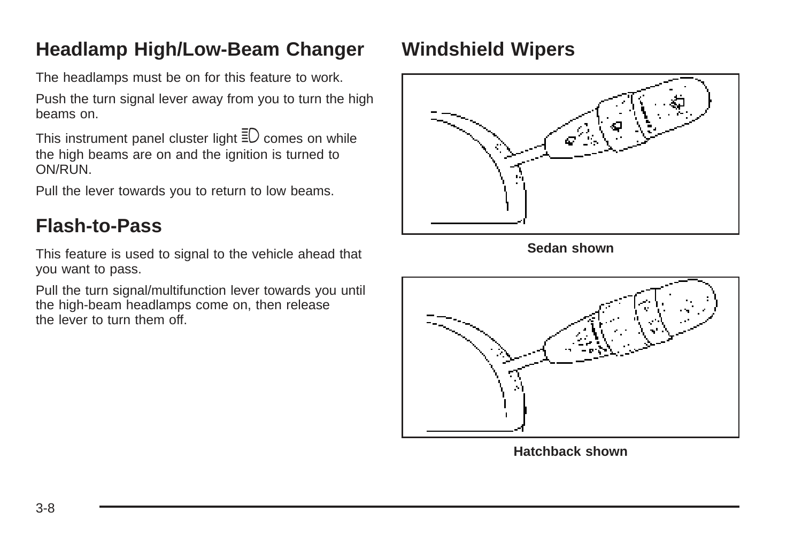## <span id="page-123-0"></span>**Headlamp High/Low-Beam Changer**

The headlamps must be on for this feature to work.

Push the turn signal lever away from you to turn the high beams on.

This instrument panel cluster light  $\bar{\Xi}$  comes on while the high beams are on and the ignition is turned to ON/RUN.

Pull the lever towards you to return to low beams.

## **Flash-to-Pass**

This feature is used to signal to the vehicle ahead that you want to pass.

Pull the turn signal/multifunction lever towards you until the high-beam headlamps come on, then release the lever to turn them off.

## **Windshield Wipers**



**Sedan shown**



**Hatchback shown**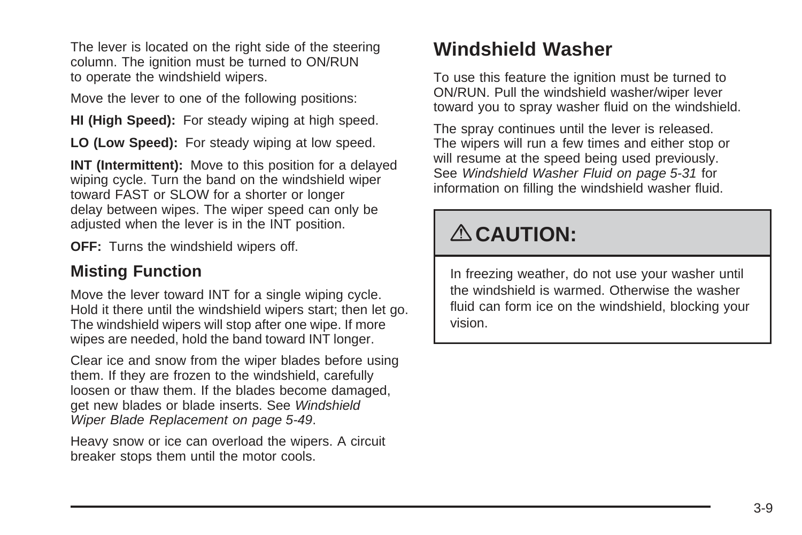<span id="page-124-0"></span>The lever is located on the right side of the steering column. The ignition must be turned to ON/RUN to operate the windshield wipers.

Move the lever to one of the following positions:

**HI (High Speed):** For steady wiping at high speed.

**LO (Low Speed):** For steady wiping at low speed.

**INT (Intermittent):** Move to this position for a delayed wiping cycle. Turn the band on the windshield wiper toward FAST or SLOW for a shorter or longer delay between wipes. The wiper speed can only be adjusted when the lever is in the INT position.

**OFF:** Turns the windshield wipers off.

#### **Misting Function**

Move the lever toward INT for a single wiping cycle. Hold it there until the windshield wipers start; then let go. The windshield wipers will stop after one wipe. If more wipes are needed, hold the band toward INT longer.

Clear ice and snow from the wiper blades before using them. If they are frozen to the windshield, carefully loosen or thaw them. If the blades become damaged, get new blades or blade inserts. See [Windshield](#page-252-0) [Wiper Blade Replacement](#page-252-0) on page 5-49.

Heavy snow or ice can overload the wipers. A circuit breaker stops them until the motor cools.

## **Windshield Washer**

To use this feature the ignition must be turned to ON/RUN. Pull the windshield washer/wiper lever toward you to spray washer fluid on the windshield.

The spray continues until the lever is released. The wipers will run a few times and either stop or will resume at the speed being used previously. See [Windshield Washer Fluid](#page-234-0) on page 5-31 for information on filling the windshield washer fluid.

# { **CAUTION:**

In freezing weather, do not use your washer until the windshield is warmed. Otherwise the washer fluid can form ice on the windshield, blocking your vision.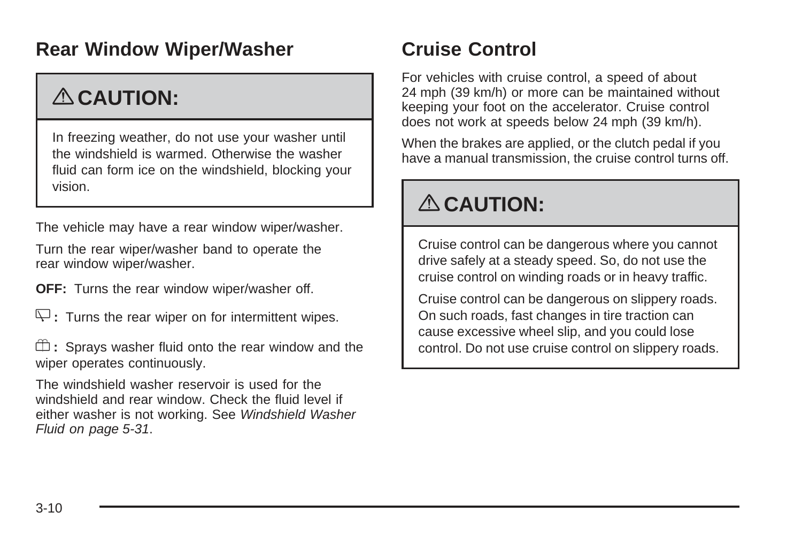## <span id="page-125-0"></span>**Rear Window Wiper/Washer**

# { **CAUTION:**

In freezing weather, do not use your washer until the windshield is warmed. Otherwise the washer fluid can form ice on the windshield, blocking your vision.

The vehicle may have a rear window wiper/washer.

Turn the rear wiper/washer band to operate the rear window wiper/washer.

**OFF:** Turns the rear window wiper/washer off.

 $\overline{\mathcal{L}}$  **:** Turns the rear wiper on for intermittent wipes.

 $\mathbb{D}$ : Sprays washer fluid onto the rear window and the wiper operates continuously.

The windshield washer reservoir is used for the windshield and rear window. Check the fluid level if either washer is not working. See [Windshield Washer](#page-234-0) [Fluid](#page-234-0) on page 5-31.

## **Cruise Control**

For vehicles with cruise control, a speed of about 24 mph (39 km/h) or more can be maintained without keeping your foot on the accelerator. Cruise control does not work at speeds below 24 mph (39 km/h).

When the brakes are applied, or the clutch pedal if you have a manual transmission, the cruise control turns off.

# { **CAUTION:**

Cruise control can be dangerous where you cannot drive safely at a steady speed. So, do not use the cruise control on winding roads or in heavy traffic.

Cruise control can be dangerous on slippery roads. On such roads, fast changes in tire traction can cause excessive wheel slip, and you could lose control. Do not use cruise control on slippery roads.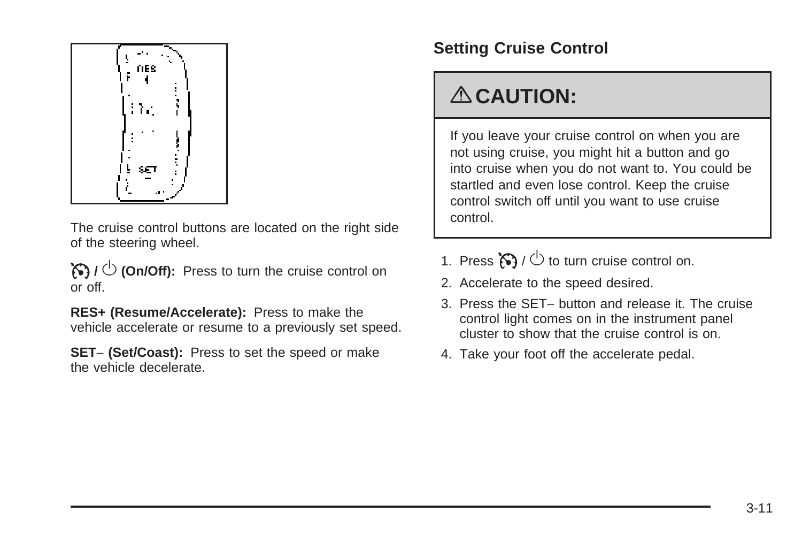

The cruise control buttons are located on the right side of the steering wheel.

 $\mathcal{B}$  /  $\circlearrowleft$  (On/Off): Press to turn the cruise control on or off.

**RES+ (Resume/Accelerate):** Press to make the vehicle accelerate or resume to a previously set speed.

**SET**− **(Set/Coast):** Press to set the speed or make the vehicle decelerate.

### **Setting Cruise Control**

# { **CAUTION:**

If you leave your cruise control on when you are not using cruise, you might hit a button and go into cruise when you do not want to. You could be startled and even lose control. Keep the cruise control switch off until you want to use cruise control.

- 1. Press  $\mathbb{S}$  /  $\circlearrowright$  to turn cruise control on.
- 2. Accelerate to the speed desired.
- 3. Press the SET− button and release it. The cruise control light comes on in the instrument panel cluster to show that the cruise control is on.
- 4. Take your foot off the accelerate pedal.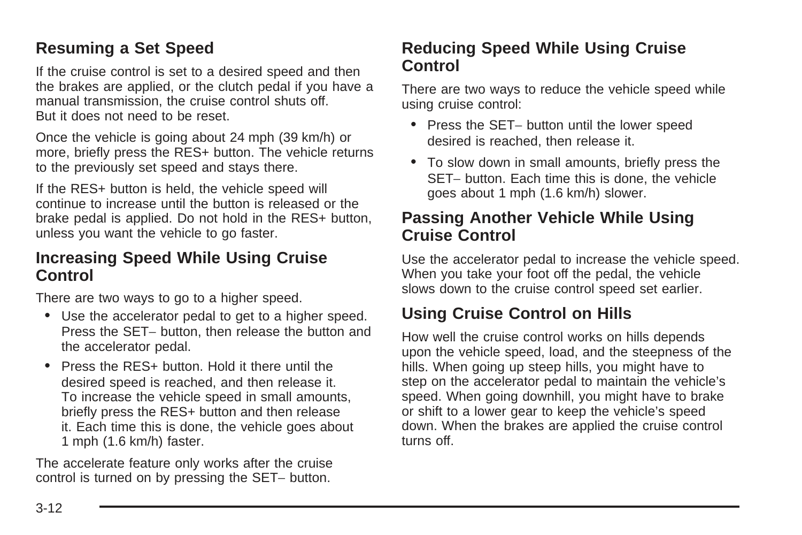#### **Resuming a Set Speed**

If the cruise control is set to a desired speed and then the brakes are applied, or the clutch pedal if you have a manual transmission, the cruise control shuts off. But it does not need to be reset.

Once the vehicle is going about 24 mph (39 km/h) or more, briefly press the RES+ button. The vehicle returns to the previously set speed and stays there.

If the RES+ button is held, the vehicle speed will continue to increase until the button is released or the brake pedal is applied. Do not hold in the RES+ button, unless you want the vehicle to go faster.

#### **Increasing Speed While Using Cruise Control**

There are two ways to go to a higher speed.

- Use the accelerator pedal to get to a higher speed. Press the SET− button, then release the button and the accelerator pedal.
- Press the RES+ button. Hold it there until the desired speed is reached, and then release it. To increase the vehicle speed in small amounts, briefly press the RES+ button and then release it. Each time this is done, the vehicle goes about 1 mph (1.6 km/h) faster.

The accelerate feature only works after the cruise control is turned on by pressing the SET− button.

#### **Reducing Speed While Using Cruise Control**

There are two ways to reduce the vehicle speed while using cruise control:

- Press the SET− button until the lower speed desired is reached, then release it.
- To slow down in small amounts, briefly press the SET− button. Each time this is done, the vehicle goes about 1 mph (1.6 km/h) slower.

#### **Passing Another Vehicle While Using Cruise Control**

Use the accelerator pedal to increase the vehicle speed. When you take your foot off the pedal, the vehicle slows down to the cruise control speed set earlier.

#### **Using Cruise Control on Hills**

How well the cruise control works on hills depends upon the vehicle speed, load, and the steepness of the hills. When going up steep hills, you might have to step on the accelerator pedal to maintain the vehicle's speed. When going downhill, you might have to brake or shift to a lower gear to keep the vehicle's speed down. When the brakes are applied the cruise control turns off.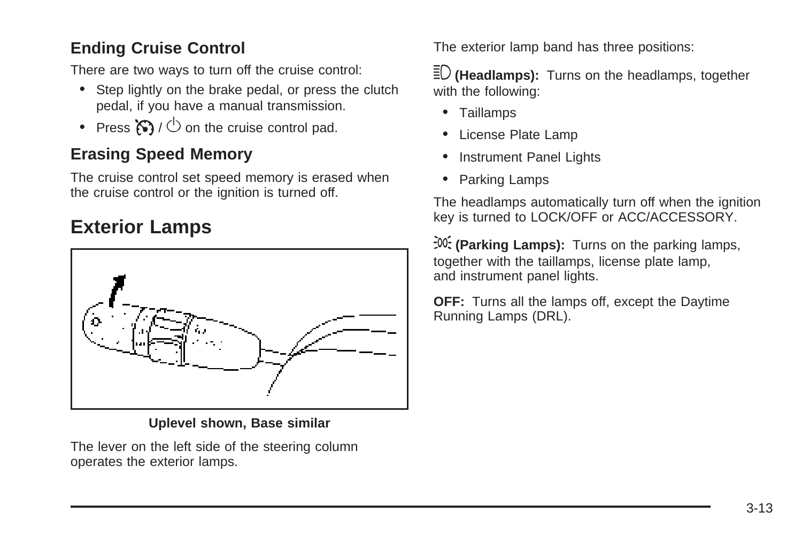### <span id="page-128-0"></span>**Ending Cruise Control**

There are two ways to turn off the cruise control:

- Step lightly on the brake pedal, or press the clutch pedal, if you have a manual transmission.
- Press  $\mathcal{B}$  /  $\circlearrowright$  on the cruise control pad.

#### **Erasing Speed Memory**

The cruise control set speed memory is erased when the cruise control or the ignition is turned off.

### **Exterior Lamps**



**Uplevel shown, Base similar**

The lever on the left side of the steering column operates the exterior lamps.

The exterior lamp band has three positions:

 $\bar{\Xi}$ <sup>D</sup> (Headlamps): Turns on the headlamps, together with the following:

- Taillamps
- License Plate Lamp
- Instrument Panel Lights
- Parking Lamps

The headlamps automatically turn off when the ignition key is turned to LOCK/OFF or ACC/ACCESSORY.

; **(Parking Lamps):** Turns on the parking lamps, together with the taillamps, license plate lamp, and instrument panel lights.

**OFF:** Turns all the lamps off, except the Daytime Running Lamps (DRL).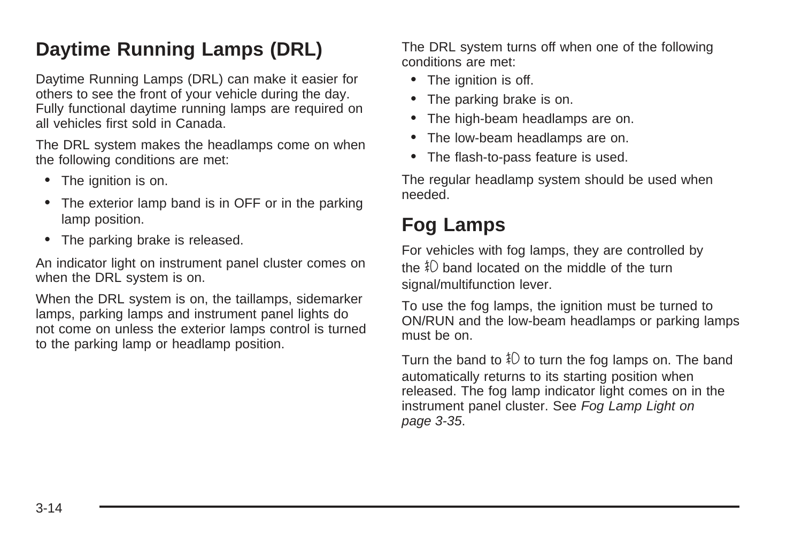## <span id="page-129-0"></span>**Daytime Running Lamps (DRL)**

Daytime Running Lamps (DRL) can make it easier for others to see the front of your vehicle during the day. Fully functional daytime running lamps are required on all vehicles first sold in Canada.

The DRL system makes the headlamps come on when the following conditions are met:

- The ignition is on.
- The exterior lamp band is in OFF or in the parking lamp position.
- The parking brake is released.

An indicator light on instrument panel cluster comes on when the DRL system is on.

When the DRL system is on, the taillamps, sidemarker lamps, parking lamps and instrument panel lights do not come on unless the exterior lamps control is turned to the parking lamp or headlamp position.

The DRL system turns off when one of the following conditions are met:

- The ignition is off.
- The parking brake is on.
- The high-beam headlamps are on.
- The low-beam headlamps are on.
- The flash-to-pass feature is used.

The regular headlamp system should be used when needed.

## **Fog Lamps**

For vehicles with fog lamps, they are controlled by the  $\frac{1}{4}$  band located on the middle of the turn signal/multifunction lever.

To use the fog lamps, the ignition must be turned to ON/RUN and the low-beam headlamps or parking lamps must be on.

Turn the band to  $\text{\$}$  to turn the fog lamps on. The band automatically returns to its starting position when released. The fog lamp indicator light comes on in the instrument panel cluster. See [Fog Lamp Light](#page-150-0) on page 3-35.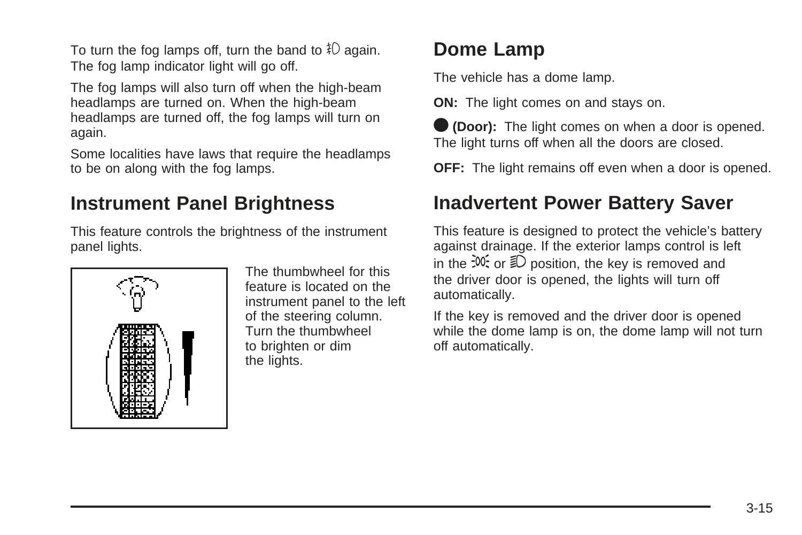<span id="page-130-0"></span>To turn the fog lamps off, turn the band to  $\ddagger$ O again. The fog lamp indicator light will go off.

The fog lamps will also turn off when the high-beam headlamps are turned on. When the high-beam headlamps are turned off, the fog lamps will turn on again.

Some localities have laws that require the headlamps to be on along with the fog lamps.

### **Instrument Panel Brightness**

This feature controls the brightness of the instrument panel lights.



The thumbwheel for this feature is located on the instrument panel to the left of the steering column. Turn the thumbwheel to brighten or dim the lights.

## **Dome Lamp**

The vehicle has a dome lamp.

**ON:** The light comes on and stays on.

O **(Door):** The light comes on when a door is opened. The light turns off when all the doors are closed.

**OFF:** The light remains off even when a door is opened.

## **Inadvertent Power Battery Saver**

This feature is designed to protect the vehicle's battery against drainage. If the exterior lamps control is left in the  $\frac{1}{2}$ . or  $\frac{1}{2}$  position, the key is removed and the driver door is opened, the lights will turn off automatically.

If the key is removed and the driver door is opened while the dome lamp is on, the dome lamp will not turn off automatically.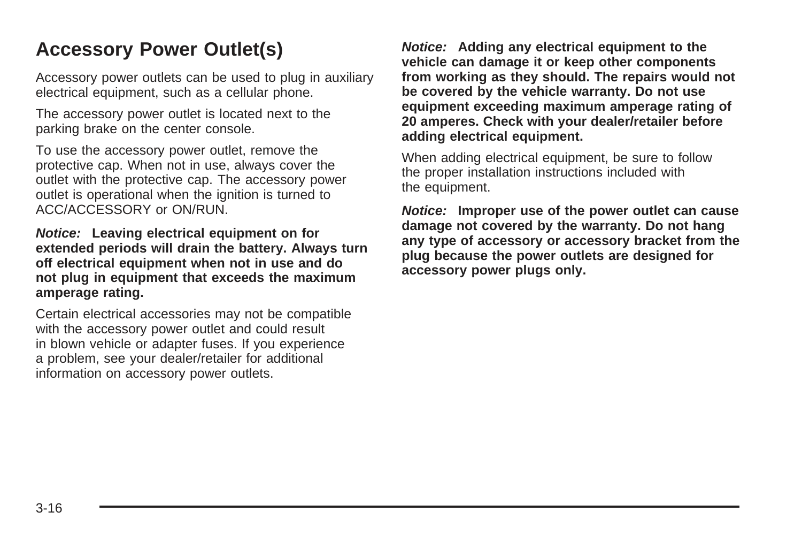## <span id="page-131-0"></span>**Accessory Power Outlet(s)**

Accessory power outlets can be used to plug in auxiliary electrical equipment, such as a cellular phone.

The accessory power outlet is located next to the parking brake on the center console.

To use the accessory power outlet, remove the protective cap. When not in use, always cover the outlet with the protective cap. The accessory power outlet is operational when the ignition is turned to ACC/ACCESSORY or ON/RUN.

**Notice: Leaving electrical equipment on for extended periods will drain the battery. Always turn off electrical equipment when not in use and do not plug in equipment that exceeds the maximum amperage rating.**

Certain electrical accessories may not be compatible with the accessory power outlet and could result in blown vehicle or adapter fuses. If you experience a problem, see your dealer/retailer for additional information on accessory power outlets.

**Notice: Adding any electrical equipment to the vehicle can damage it or keep other components from working as they should. The repairs would not be covered by the vehicle warranty. Do not use equipment exceeding maximum amperage rating of 20 amperes. Check with your dealer/retailer before adding electrical equipment.**

When adding electrical equipment, be sure to follow the proper installation instructions included with the equipment.

**Notice: Improper use of the power outlet can cause damage not covered by the warranty. Do not hang any type of accessory or accessory bracket from the plug because the power outlets are designed for accessory power plugs only.**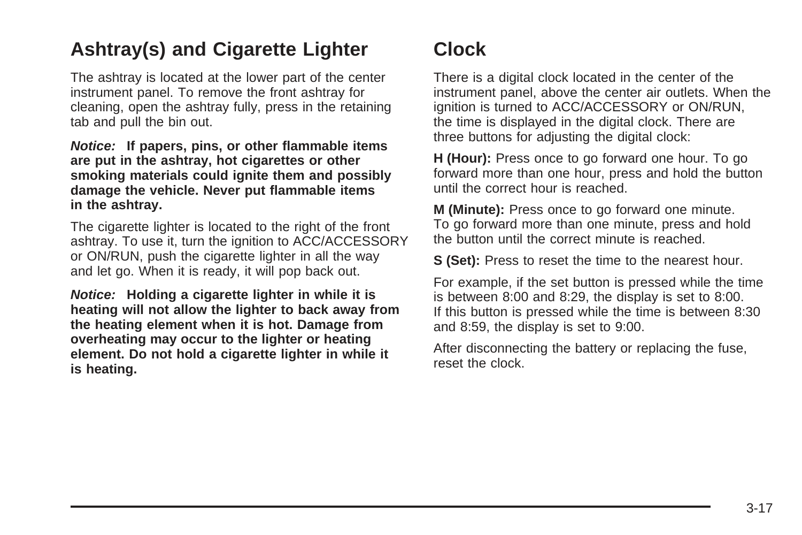## <span id="page-132-0"></span>**Ashtray(s) and Cigarette Lighter**

The ashtray is located at the lower part of the center instrument panel. To remove the front ashtray for cleaning, open the ashtray fully, press in the retaining tab and pull the bin out.

**Notice: If papers, pins, or other flammable items are put in the ashtray, hot cigarettes or other smoking materials could ignite them and possibly damage the vehicle. Never put flammable items in the ashtray.**

The cigarette lighter is located to the right of the front ashtray. To use it, turn the ignition to ACC/ACCESSORY or ON/RUN, push the cigarette lighter in all the way and let go. When it is ready, it will pop back out.

**Notice: Holding a cigarette lighter in while it is heating will not allow the lighter to back away from the heating element when it is hot. Damage from overheating may occur to the lighter or heating element. Do not hold a cigarette lighter in while it is heating.**

## **Clock**

There is a digital clock located in the center of the instrument panel, above the center air outlets. When the ignition is turned to ACC/ACCESSORY or ON/RUN, the time is displayed in the digital clock. There are three buttons for adjusting the digital clock:

**H (Hour):** Press once to go forward one hour. To go forward more than one hour, press and hold the button until the correct hour is reached.

**M (Minute):** Press once to go forward one minute. To go forward more than one minute, press and hold the button until the correct minute is reached.

**S (Set):** Press to reset the time to the nearest hour.

For example, if the set button is pressed while the time is between 8:00 and 8:29, the display is set to 8:00. If this button is pressed while the time is between 8:30 and 8:59, the display is set to 9:00.

After disconnecting the battery or replacing the fuse, reset the clock.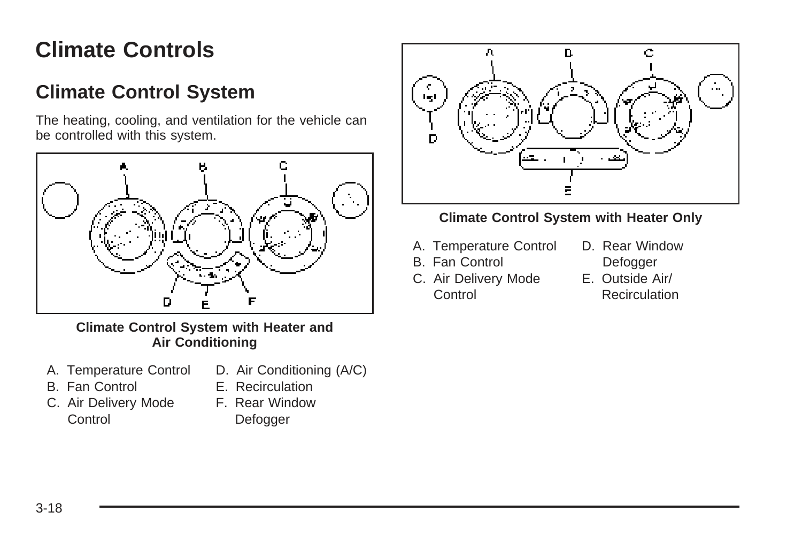# <span id="page-133-0"></span>**Climate Controls**

## **Climate Control System**

The heating, cooling, and ventilation for the vehicle can be controlled with this system.



**Climate Control System with Heater and Air Conditioning**

- A. Temperature Control
- D. Air Conditioning (A/C)
- B. Fan Control
- C. Air Delivery Mode **Control**
- E. Recirculation
- 
- F. Rear Window **Defogger**



#### **Climate Control System with Heater Only**

- A. Temperature Control
- B. Fan Control
- C. Air Delivery Mode **Control**
- D. Rear Window **Defogger**
- E. Outside Air/ **Recirculation**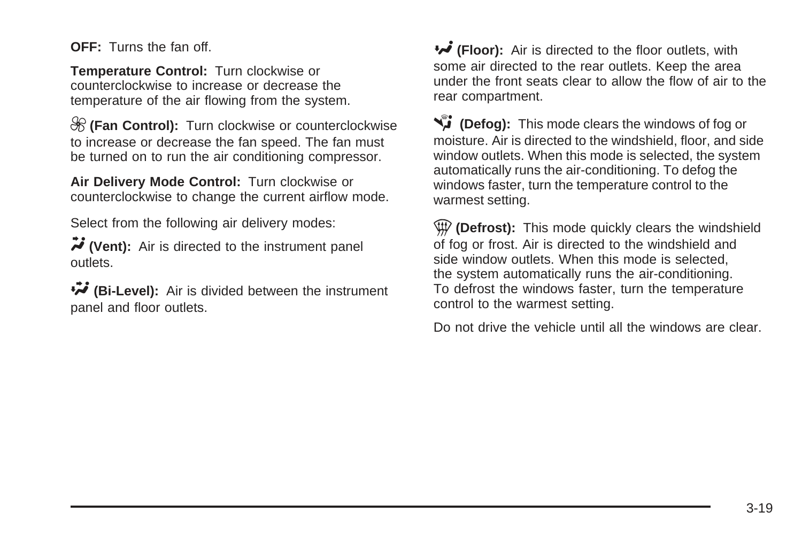**OFF:** Turns the fan off.

**Temperature Control:** Turn clockwise or counterclockwise to increase or decrease the temperature of the air flowing from the system.

9 **(Fan Control):** Turn clockwise or counterclockwise to increase or decrease the fan speed. The fan must be turned on to run the air conditioning compressor.

**Air Delivery Mode Control:** Turn clockwise or counterclockwise to change the current airflow mode.

Select from the following air delivery modes:

Y **(Vent):** Air is directed to the instrument panel outlets.

\ **(Bi-Level):** Air is divided between the instrument panel and floor outlets.

**(Floor):** Air is directed to the floor outlets, with some air directed to the rear outlets. Keep the area under the front seats clear to allow the flow of air to the rear compartment.

**EXALCORED FOR THE MODE CLEARED** FOR **FOR THE CONSTANTING OF STATE OF STATE** moisture. Air is directed to the windshield, floor, and side window outlets. When this mode is selected, the system automatically runs the air-conditioning. To defog the windows faster, turn the temperature control to the warmest setting.

**(Defrost):** This mode quickly clears the windshield of fog or frost. Air is directed to the windshield and side window outlets. When this mode is selected, the system automatically runs the air-conditioning. To defrost the windows faster, turn the temperature control to the warmest setting.

Do not drive the vehicle until all the windows are clear.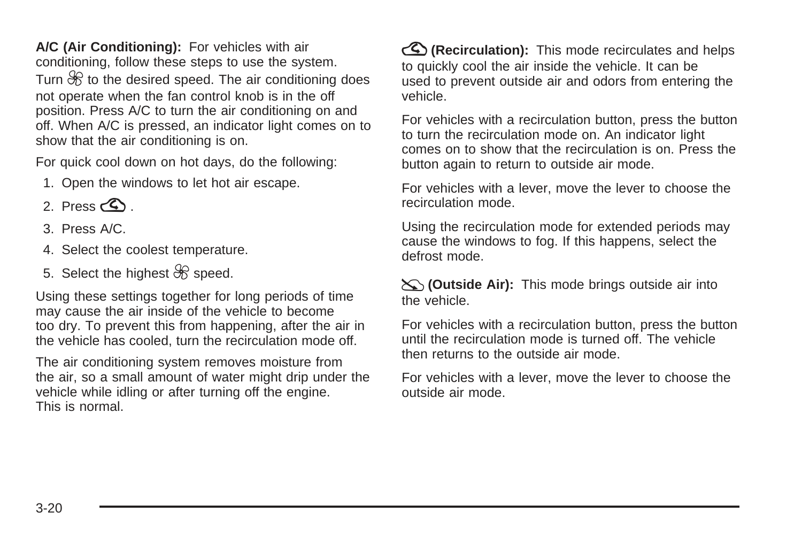**A/C (Air Conditioning):** For vehicles with air conditioning, follow these steps to use the system. Turn  $\mathcal{R}$  to the desired speed. The air conditioning does not operate when the fan control knob is in the off position. Press A/C to turn the air conditioning on and off. When A/C is pressed, an indicator light comes on to show that the air conditioning is on.

For quick cool down on hot days, do the following:

- 1. Open the windows to let hot air escape.
- 2. Press  $\bigotimes$
- 3. Press A/C.
- 4. Select the coolest temperature.
- 5. Select the highest  $\mathcal{R}$  speed.

Using these settings together for long periods of time may cause the air inside of the vehicle to become too dry. To prevent this from happening, after the air in the vehicle has cooled, turn the recirculation mode off.

The air conditioning system removes moisture from the air, so a small amount of water might drip under the vehicle while idling or after turning off the engine. This is normal.

?**(Recirculation):** This mode recirculates and helps to quickly cool the air inside the vehicle. It can be used to prevent outside air and odors from entering the vehicle.

For vehicles with a recirculation button, press the button to turn the recirculation mode on. An indicator light comes on to show that the recirculation is on. Press the button again to return to outside air mode.

For vehicles with a lever, move the lever to choose the recirculation mode.

Using the recirculation mode for extended periods may cause the windows to fog. If this happens, select the defrost mode.

:**(Outside Air):** This mode brings outside air into the vehicle.

For vehicles with a recirculation button, press the button until the recirculation mode is turned off. The vehicle then returns to the outside air mode.

For vehicles with a lever, move the lever to choose the outside air mode.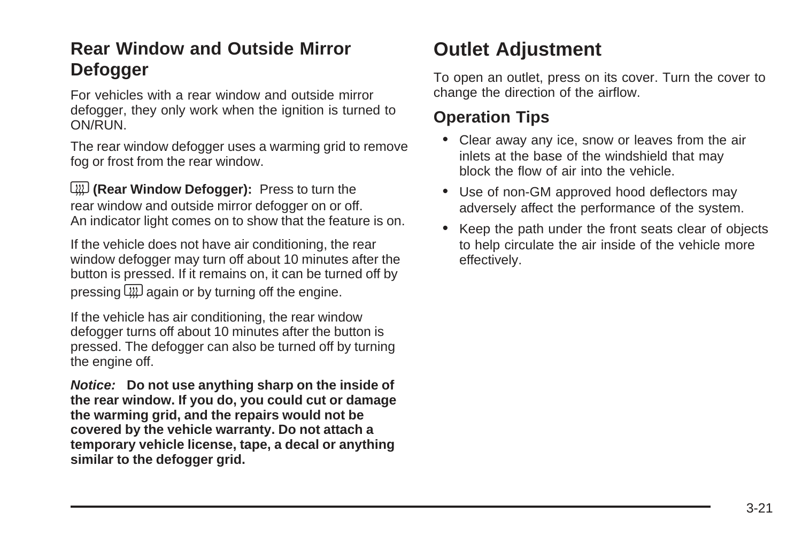### <span id="page-136-0"></span>**Rear Window and Outside Mirror Defogger**

For vehicles with a rear window and outside mirror defogger, they only work when the ignition is turned to ON/RUN.

The rear window defogger uses a warming grid to remove fog or frost from the rear window.

**(W)** (Rear Window Defogger): Press to turn the rear window and outside mirror defogger on or off. An indicator light comes on to show that the feature is on.

If the vehicle does not have air conditioning, the rear window defogger may turn off about 10 minutes after the button is pressed. If it remains on, it can be turned off by pressing  $\square \square$  again or by turning off the engine.

If the vehicle has air conditioning, the rear window defogger turns off about 10 minutes after the button is pressed. The defogger can also be turned off by turning the engine off.

**Notice: Do not use anything sharp on the inside of the rear window. If you do, you could cut or damage the warming grid, and the repairs would not be covered by the vehicle warranty. Do not attach a temporary vehicle license, tape, a decal or anything similar to the defogger grid.**

## **Outlet Adjustment**

To open an outlet, press on its cover. Turn the cover to change the direction of the airflow.

#### **Operation Tips**

- Clear away any ice, snow or leaves from the air inlets at the base of the windshield that may block the flow of air into the vehicle.
- Use of non-GM approved hood deflectors may adversely affect the performance of the system.
- Keep the path under the front seats clear of objects to help circulate the air inside of the vehicle more effectively.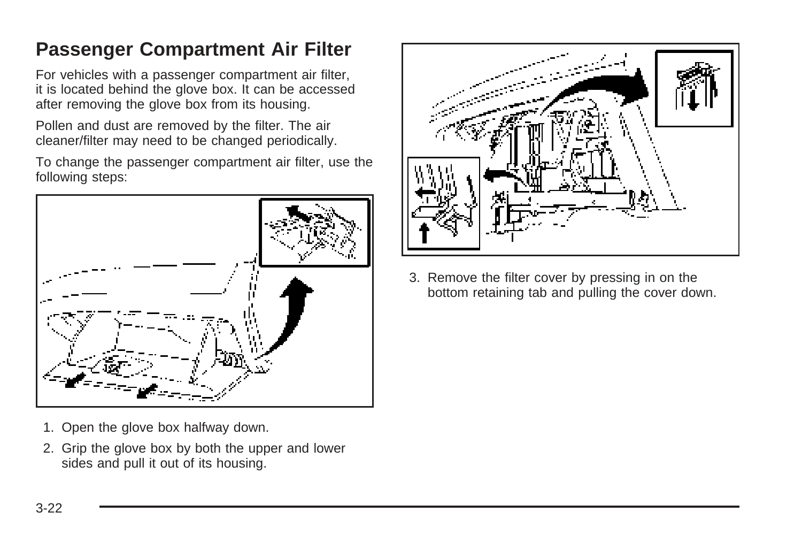## <span id="page-137-0"></span>**Passenger Compartment Air Filter**

For vehicles with a passenger compartment air filter, it is located behind the glove box. It can be accessed after removing the glove box from its housing.

Pollen and dust are removed by the filter. The air cleaner/filter may need to be changed periodically.

To change the passenger compartment air filter, use the following steps:



- 1. Open the glove box halfway down.
- 2. Grip the glove box by both the upper and lower sides and pull it out of its housing.



3. Remove the filter cover by pressing in on the bottom retaining tab and pulling the cover down.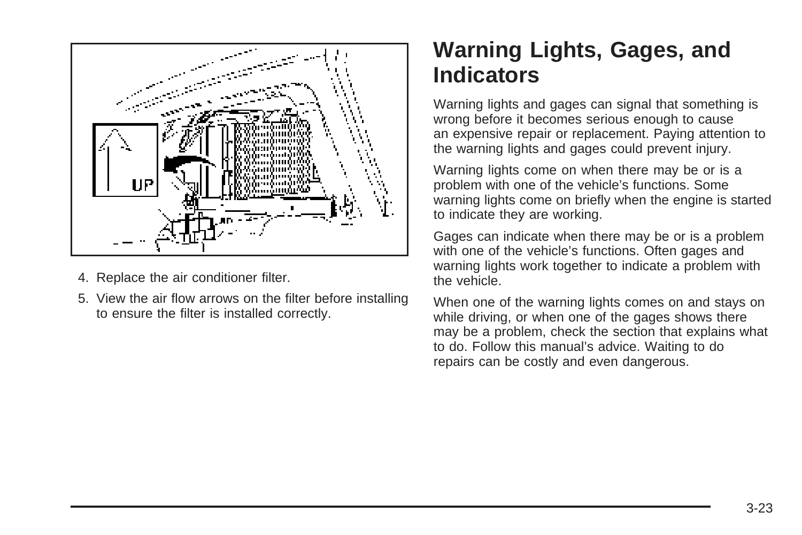<span id="page-138-0"></span>

- 4. Replace the air conditioner filter.
- 5. View the air flow arrows on the filter before installing to ensure the filter is installed correctly.

## **Warning Lights, Gages, and Indicators**

Warning lights and gages can signal that something is wrong before it becomes serious enough to cause an expensive repair or replacement. Paying attention to the warning lights and gages could prevent injury.

Warning lights come on when there may be or is a problem with one of the vehicle's functions. Some warning lights come on briefly when the engine is started to indicate they are working.

Gages can indicate when there may be or is a problem with one of the vehicle's functions. Often gages and warning lights work together to indicate a problem with the vehicle.

When one of the warning lights comes on and stays on while driving, or when one of the gages shows there may be a problem, check the section that explains what to do. Follow this manual's advice. Waiting to do repairs can be costly and even dangerous.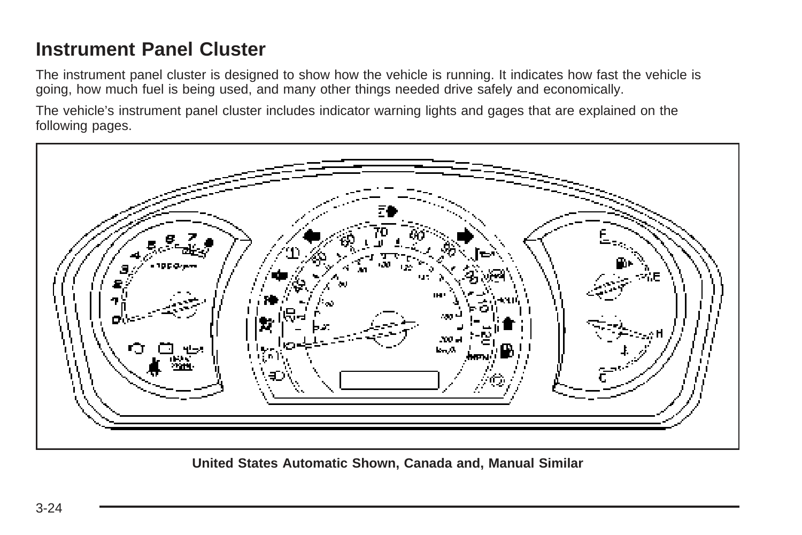## <span id="page-139-0"></span>**Instrument Panel Cluster**

The instrument panel cluster is designed to show how the vehicle is running. It indicates how fast the vehicle is going, how much fuel is being used, and many other things needed drive safely and economically.

The vehicle's instrument panel cluster includes indicator warning lights and gages that are explained on the following pages.



**United States Automatic Shown, Canada and, Manual Similar**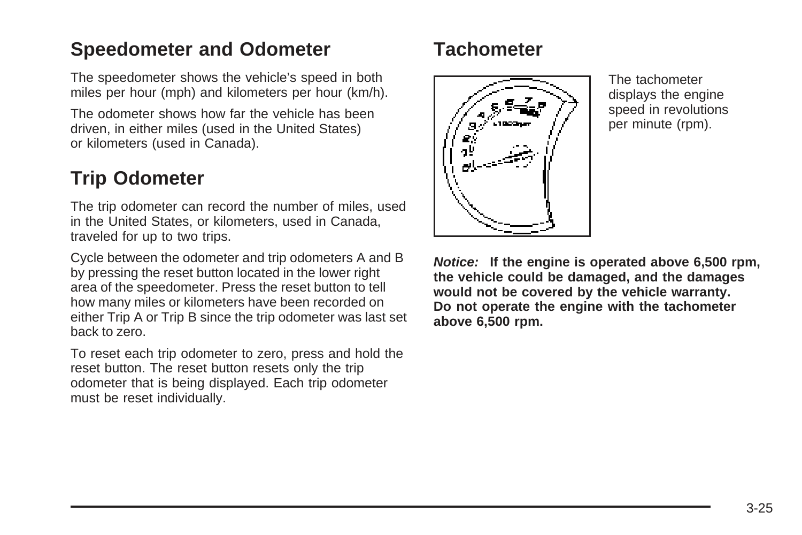### <span id="page-140-0"></span>**Speedometer and Odometer**

The speedometer shows the vehicle's speed in both miles per hour (mph) and kilometers per hour (km/h).

The odometer shows how far the vehicle has been driven, in either miles (used in the United States) or kilometers (used in Canada).

### **Trip Odometer**

The trip odometer can record the number of miles, used in the United States, or kilometers, used in Canada, traveled for up to two trips.

Cycle between the odometer and trip odometers A and B by pressing the reset button located in the lower right area of the speedometer. Press the reset button to tell how many miles or kilometers have been recorded on either Trip A or Trip B since the trip odometer was last set back to zero.

To reset each trip odometer to zero, press and hold the reset button. The reset button resets only the trip odometer that is being displayed. Each trip odometer must be reset individually.

### **Tachometer**



The tachometer displays the engine speed in revolutions per minute (rpm).

**Notice: If the engine is operated above 6,500 rpm, the vehicle could be damaged, and the damages would not be covered by the vehicle warranty. Do not operate the engine with the tachometer above 6,500 rpm.**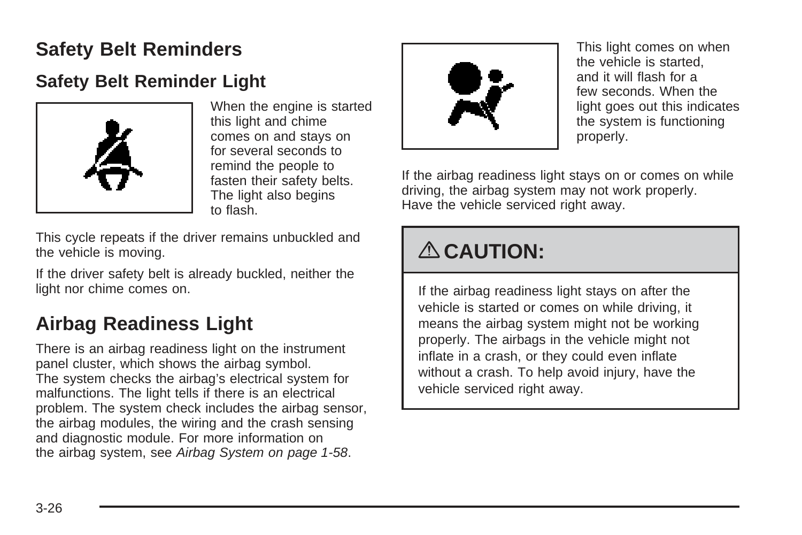## <span id="page-141-0"></span>**Safety Belt Reminders**

### **Safety Belt Reminder Light**



When the engine is started this light and chime comes on and stays on for several seconds to remind the people to fasten their safety belts. The light also begins to flash.

This cycle repeats if the driver remains unbuckled and the vehicle is moving.

If the driver safety belt is already buckled, neither the light nor chime comes on.

## **Airbag Readiness Light**

There is an airbag readiness light on the instrument panel cluster, which shows the airbag symbol. The system checks the airbag's electrical system for malfunctions. The light tells if there is an electrical problem. The system check includes the airbag sensor, the airbag modules, the wiring and the crash sensing and diagnostic module. For more information on the airbag system, see [Airbag System](#page-61-0) on page 1-58.



This light comes on when the vehicle is started, and it will flash for a few seconds. When the light goes out this indicates the system is functioning properly.

If the airbag readiness light stays on or comes on while driving, the airbag system may not work properly. Have the vehicle serviced right away.

# { **CAUTION:**

If the airbag readiness light stays on after the vehicle is started or comes on while driving, it means the airbag system might not be working properly. The airbags in the vehicle might not inflate in a crash, or they could even inflate without a crash. To help avoid injury, have the vehicle serviced right away.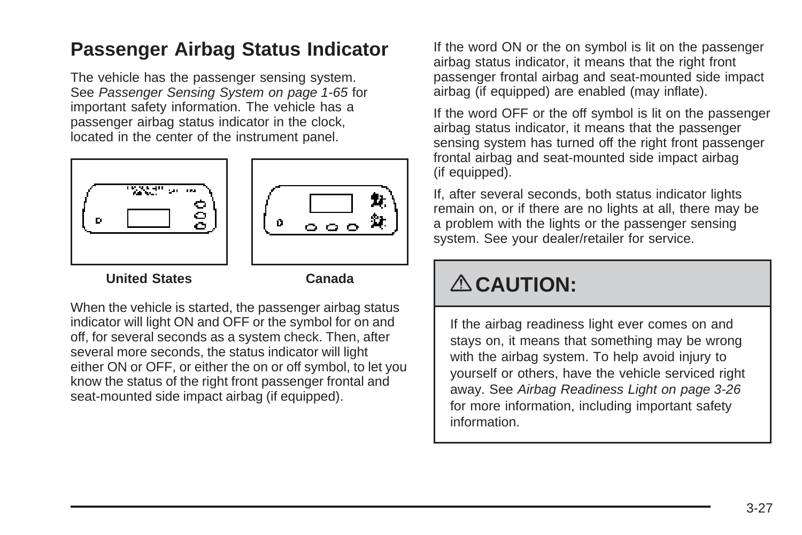### <span id="page-142-0"></span>**Passenger Airbag Status Indicator**

The vehicle has the passenger sensing system. See [Passenger Sensing System](#page-68-0) on page 1-65 for important safety information. The vehicle has a passenger airbag status indicator in the clock, located in the center of the instrument panel.





**United States Canada**

When the vehicle is started, the passenger airbag status indicator will light ON and OFF or the symbol for on and off, for several seconds as a system check. Then, after several more seconds, the status indicator will light either ON or OFF, or either the on or off symbol, to let you know the status of the right front passenger frontal and seat-mounted side impact airbag (if equipped).

If the word ON or the on symbol is lit on the passenger airbag status indicator, it means that the right front passenger frontal airbag and seat-mounted side impact airbag (if equipped) are enabled (may inflate).

If the word OFF or the off symbol is lit on the passenger airbag status indicator, it means that the passenger sensing system has turned off the right front passenger frontal airbag and seat-mounted side impact airbag (if equipped).

If, after several seconds, both status indicator lights remain on, or if there are no lights at all, there may be a problem with the lights or the passenger sensing system. See your dealer/retailer for service.

# { **CAUTION:**

If the airbag readiness light ever comes on and stays on, it means that something may be wrong with the airbag system. To help avoid injury to yourself or others, have the vehicle serviced right away. See [Airbag Readiness Light](#page-141-0) on page 3-26 for more information, including important safety information.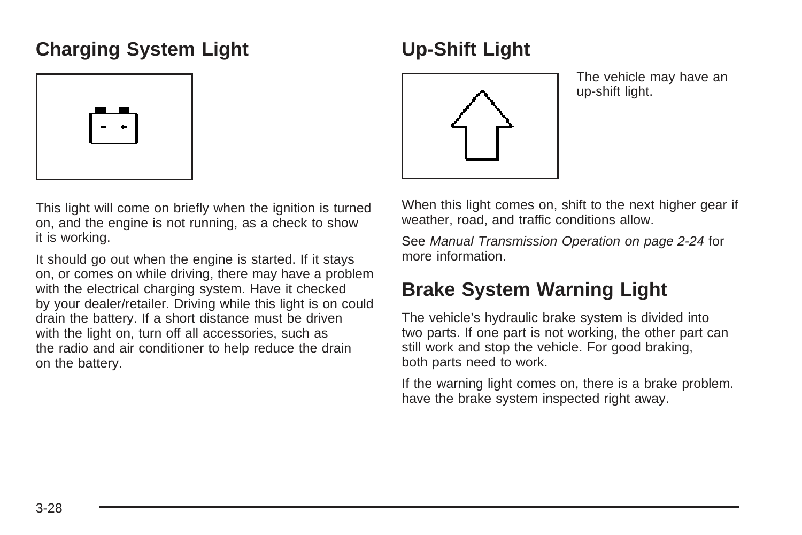### <span id="page-143-0"></span>**Charging System Light**



This light will come on briefly when the ignition is turned on, and the engine is not running, as a check to show it is working.

It should go out when the engine is started. If it stays on, or comes on while driving, there may have a problem with the electrical charging system. Have it checked by your dealer/retailer. Driving while this light is on could drain the battery. If a short distance must be driven with the light on, turn off all accessories, such as the radio and air conditioner to help reduce the drain on the battery.

## **Up-Shift Light**



The vehicle may have an up-shift light.

When this light comes on, shift to the next higher gear if weather, road, and traffic conditions allow.

See [Manual Transmission Operation](#page-101-0) on page 2-24 for more information.

## **Brake System Warning Light**

The vehicle's hydraulic brake system is divided into two parts. If one part is not working, the other part can still work and stop the vehicle. For good braking, both parts need to work.

If the warning light comes on, there is a brake problem. have the brake system inspected right away.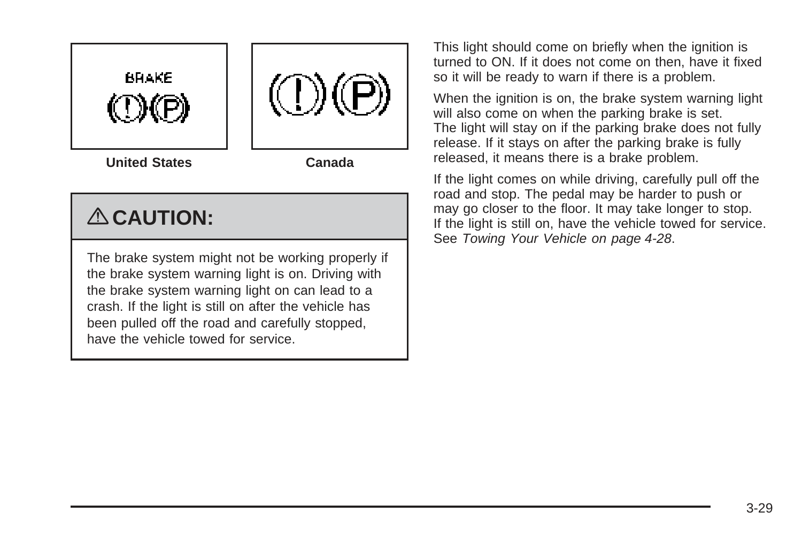

**United States Canada**

# { **CAUTION:**

The brake system might not be working properly if the brake system warning light is on. Driving with the brake system warning light on can lead to a crash. If the light is still on after the vehicle has been pulled off the road and carefully stopped, have the vehicle towed for service.

This light should come on briefly when the ignition is turned to ON. If it does not come on then, have it fixed so it will be ready to warn if there is a problem.

When the ignition is on, the brake system warning light will also come on when the parking brake is set. The light will stay on if the parking brake does not fully release. If it stays on after the parking brake is fully released, it means there is a brake problem.

If the light comes on while driving, carefully pull off the road and stop. The pedal may be harder to push or may go closer to the floor. It may take longer to stop. If the light is still on, have the vehicle towed for service. See [Towing Your Vehicle](#page-201-0) on page 4-28.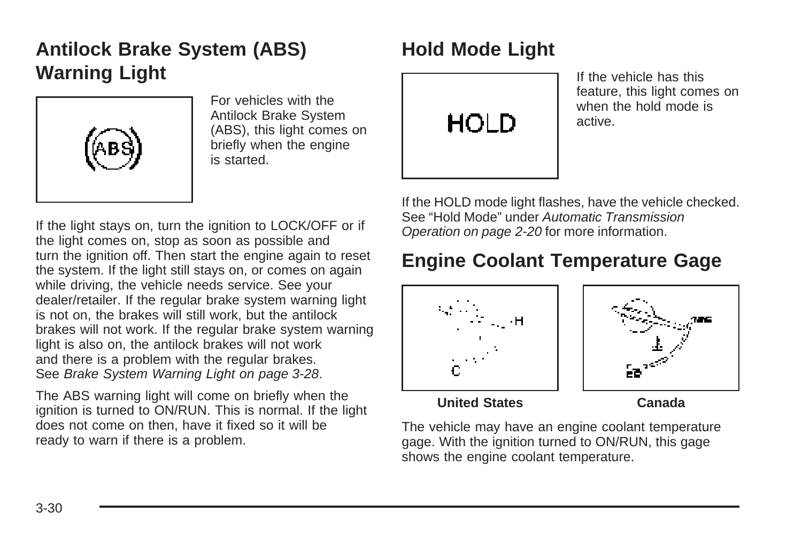# <span id="page-145-0"></span>**Antilock Brake System (ABS) Warning Light**



For vehicles with the Antilock Brake System (ABS), this light comes on briefly when the engine is started.

If the light stays on, turn the ignition to LOCK/OFF or if the light comes on, stop as soon as possible and turn the ignition off. Then start the engine again to reset the system. If the light still stays on, or comes on again while driving, the vehicle needs service. See your dealer/retailer. If the regular brake system warning light is not on, the brakes will still work, but the antilock brakes will not work. If the regular brake system warning light is also on, the antilock brakes will not work and there is a problem with the regular brakes. See [Brake System Warning Light](#page-143-0) on page 3-28.

The ABS warning light will come on briefly when the ignition is turned to ON/RUN. This is normal. If the light does not come on then, have it fixed so it will be ready to warn if there is a problem.

# **Hold Mode Light**



If the vehicle has this feature, this light comes on when the hold mode is active.

If the HOLD mode light flashes, have the vehicle checked. See "Hold Mode" under [Automatic Transmission](#page-97-0) [Operation](#page-97-0) on page 2-20 for more information.

# **Engine Coolant Temperature Gage**





**United States Canada**

The vehicle may have an engine coolant temperature gage. With the ignition turned to ON/RUN, this gage shows the engine coolant temperature.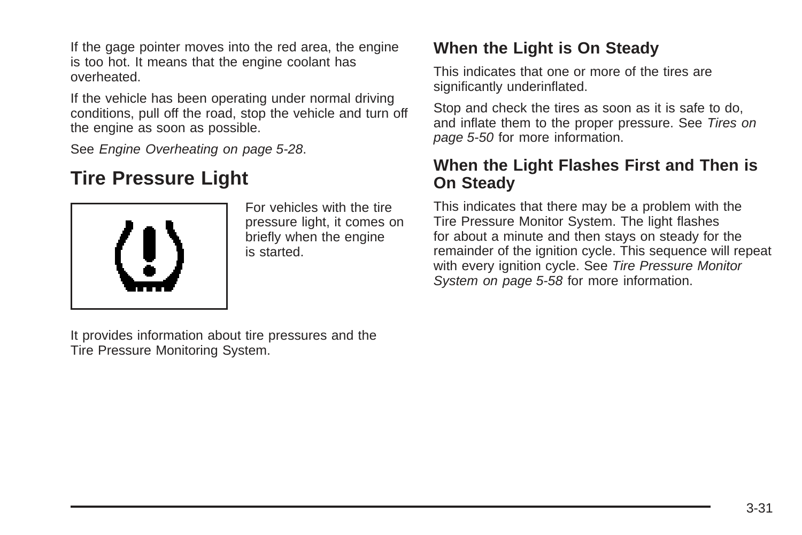If the gage pointer moves into the red area, the engine is too hot. It means that the engine coolant has overheated.

If the vehicle has been operating under normal driving conditions, pull off the road, stop the vehicle and turn off the engine as soon as possible.

See [Engine Overheating](#page-231-0) on page 5-28.

# **Tire Pressure Light**



For vehicles with the tire pressure light, it comes on briefly when the engine is started.

It provides information about tire pressures and the Tire Pressure Monitoring System.

#### **When the Light is On Steady**

This indicates that one or more of the tires are significantly underinflated.

Stop and check the tires as soon as it is safe to do, and inflate them to the proper pressure. See [Tires](#page-253-0) on page 5-50 for more information.

#### **When the Light Flashes First and Then is On Steady**

This indicates that there may be a problem with the Tire Pressure Monitor System. The light flashes for about a minute and then stays on steady for the remainder of the ignition cycle. This sequence will repeat with every ignition cycle. See [Tire Pressure Monitor](#page-261-0) [System](#page-261-0) on page 5-58 for more information.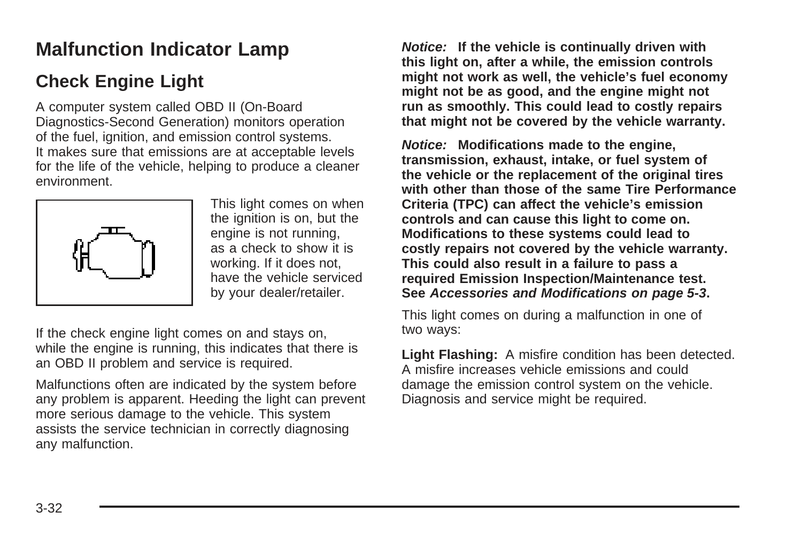# **Malfunction Indicator Lamp**

### **Check Engine Light**

A computer system called OBD II (On-Board Diagnostics-Second Generation) monitors operation of the fuel, ignition, and emission control systems. It makes sure that emissions are at acceptable levels for the life of the vehicle, helping to produce a cleaner environment.



This light comes on when the ignition is on, but the engine is not running, as a check to show it is working. If it does not, have the vehicle serviced by your dealer/retailer.

If the check engine light comes on and stays on, while the engine is running, this indicates that there is an OBD II problem and service is required.

Malfunctions often are indicated by the system before any problem is apparent. Heeding the light can prevent more serious damage to the vehicle. This system assists the service technician in correctly diagnosing any malfunction.

**Notice: If the vehicle is continually driven with this light on, after a while, the emission controls might not work as well, the vehicle's fuel economy might not be as good, and the engine might not run as smoothly. This could lead to costly repairs that might not be covered by the vehicle warranty.**

**Notice: Modifications made to the engine, transmission, exhaust, intake, or fuel system of the vehicle or the replacement of the original tires with other than those of the same Tire Performance Criteria (TPC) can affect the vehicle's emission controls and can cause this light to come on. Modifications to these systems could lead to costly repairs not covered by the vehicle warranty. This could also result in a failure to pass a required Emission Inspection/Maintenance test. See [Accessories and Modifications](#page-206-0) on page 5-3.**

This light comes on during a malfunction in one of two ways:

**Light Flashing:** A misfire condition has been detected. A misfire increases vehicle emissions and could damage the emission control system on the vehicle. Diagnosis and service might be required.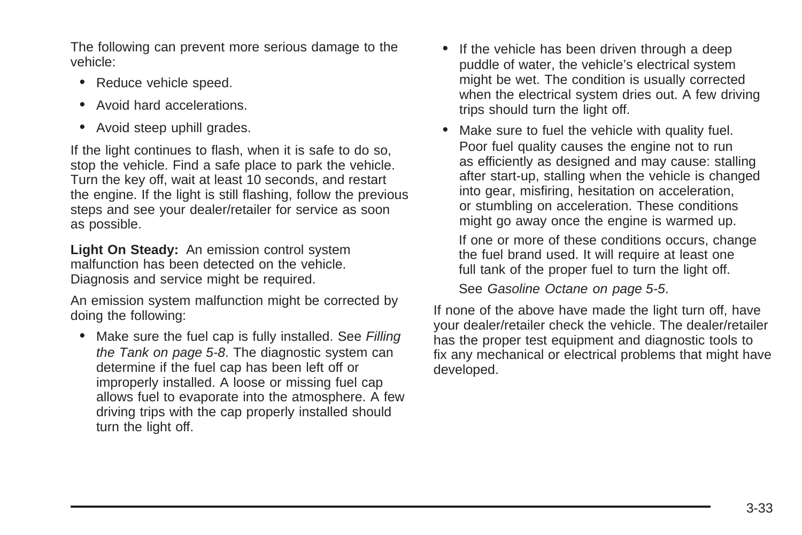The following can prevent more serious damage to the vehicle:

- Reduce vehicle speed.
- Avoid hard accelerations.
- Avoid steep uphill grades.

If the light continues to flash, when it is safe to do so, stop the vehicle. Find a safe place to park the vehicle. Turn the key off, wait at least 10 seconds, and restart the engine. If the light is still flashing, follow the previous steps and see your dealer/retailer for service as soon as possible.

**Light On Steady:** An emission control system malfunction has been detected on the vehicle. Diagnosis and service might be required.

An emission system malfunction might be corrected by doing the following:

• Make sure the fuel cap is fully installed. See [Filling](#page-211-0) [the Tank](#page-211-0) on page 5-8. The diagnostic system can determine if the fuel cap has been left off or improperly installed. A loose or missing fuel cap allows fuel to evaporate into the atmosphere. A few driving trips with the cap properly installed should turn the light off.

- If the vehicle has been driven through a deep puddle of water, the vehicle's electrical system might be wet. The condition is usually corrected when the electrical system dries out. A few driving trips should turn the light off.
- Make sure to fuel the vehicle with quality fuel. Poor fuel quality causes the engine not to run as efficiently as designed and may cause: stalling after start-up, stalling when the vehicle is changed into gear, misfiring, hesitation on acceleration, or stumbling on acceleration. These conditions might go away once the engine is warmed up.

If one or more of these conditions occurs, change the fuel brand used. It will require at least one full tank of the proper fuel to turn the light off.

See [Gasoline Octane](#page-208-0) on page 5-5.

If none of the above have made the light turn off, have your dealer/retailer check the vehicle. The dealer/retailer has the proper test equipment and diagnostic tools to fix any mechanical or electrical problems that might have developed.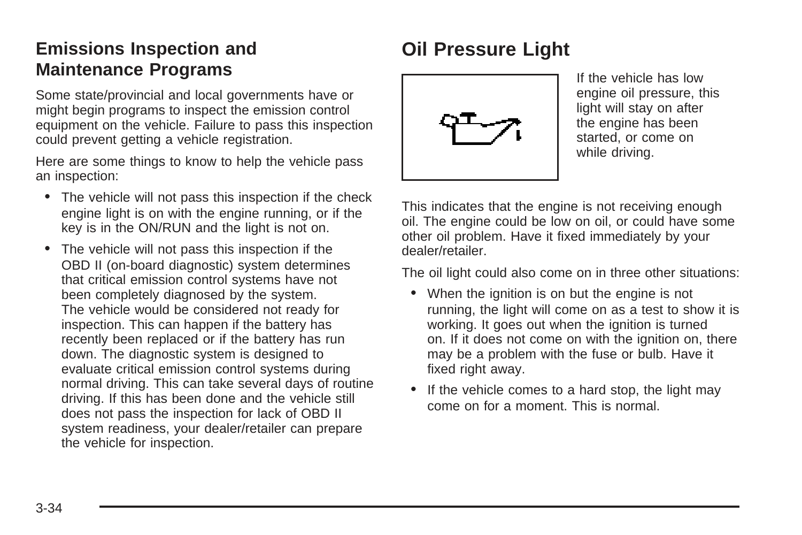#### **Emissions Inspection and Maintenance Programs**

Some state/provincial and local governments have or might begin programs to inspect the emission control equipment on the vehicle. Failure to pass this inspection could prevent getting a vehicle registration.

Here are some things to know to help the vehicle pass an inspection:

- The vehicle will not pass this inspection if the check engine light is on with the engine running, or if the key is in the ON/RUN and the light is not on.
- The vehicle will not pass this inspection if the OBD II (on-board diagnostic) system determines that critical emission control systems have not been completely diagnosed by the system. The vehicle would be considered not ready for inspection. This can happen if the battery has recently been replaced or if the battery has run down. The diagnostic system is designed to evaluate critical emission control systems during normal driving. This can take several days of routine driving. If this has been done and the vehicle still does not pass the inspection for lack of OBD II system readiness, your dealer/retailer can prepare the vehicle for inspection.

# **Oil Pressure Light**



If the vehicle has low engine oil pressure, this light will stay on after the engine has been started, or come on while driving.

This indicates that the engine is not receiving enough oil. The engine could be low on oil, or could have some other oil problem. Have it fixed immediately by your dealer/retailer.

The oil light could also come on in three other situations:

- When the ignition is on but the engine is not running, the light will come on as a test to show it is working. It goes out when the ignition is turned on. If it does not come on with the ignition on, there may be a problem with the fuse or bulb. Have it fixed right away.
- If the vehicle comes to a hard stop, the light may come on for a moment. This is normal.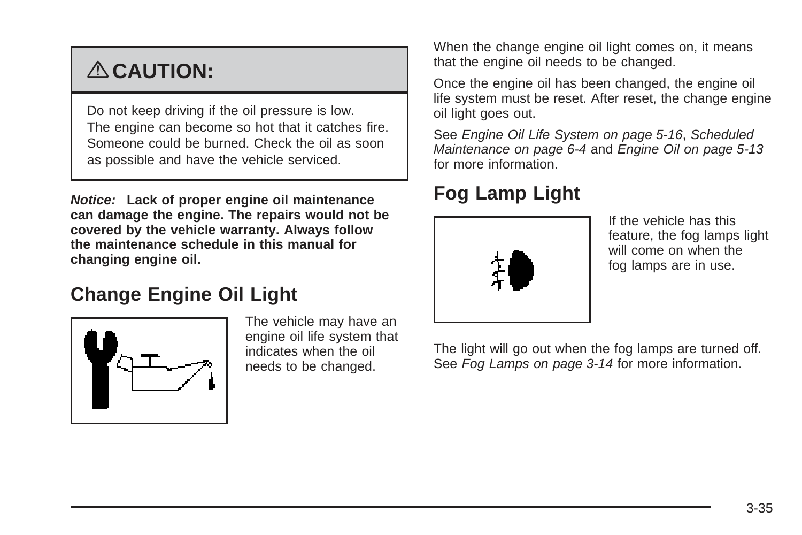# { **CAUTION:**

Do not keep driving if the oil pressure is low. The engine can become so hot that it catches fire. Someone could be burned. Check the oil as soon as possible and have the vehicle serviced.

**Notice: Lack of proper engine oil maintenance can damage the engine. The repairs would not be covered by the vehicle warranty. Always follow the maintenance schedule in this manual for changing engine oil.**

## **Change Engine Oil Light**



The vehicle may have an engine oil life system that indicates when the oil needs to be changed.

When the change engine oil light comes on, it means that the engine oil needs to be changed.

Once the engine oil has been changed, the engine oil life system must be reset. After reset, the change engine oil light goes out.

See [Engine Oil Life System](#page-219-0) on page 5-16, [Scheduled](#page-301-0) [Maintenance](#page-301-0) on page 6-4 and [Engine Oil](#page-216-0) on page 5-13 for more information.

# **Fog Lamp Light**



If the vehicle has this feature, the fog lamps light will come on when the fog lamps are in use.

The light will go out when the fog lamps are turned off. See [Fog Lamps](#page-129-0) on page 3-14 for more information.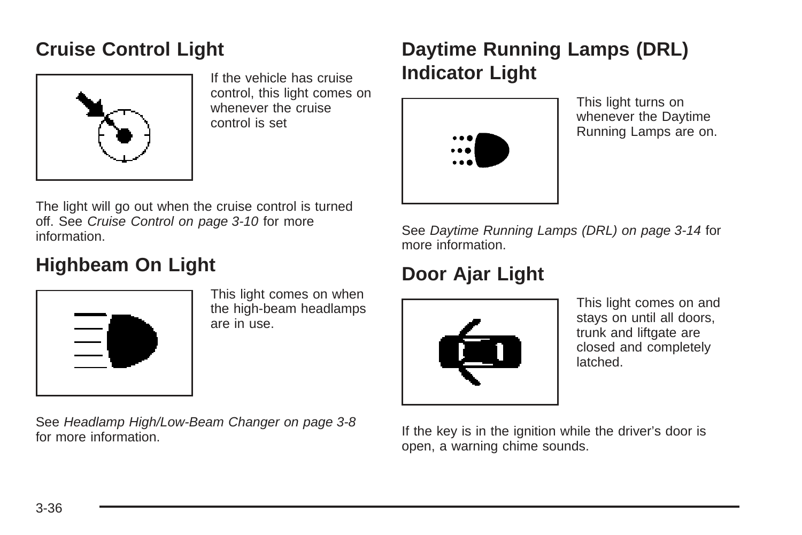# **Cruise Control Light**



If the vehicle has cruise control, this light comes on whenever the cruise control is set

# **Daytime Running Lamps (DRL) Indicator Light**



This light turns on whenever the Daytime Running Lamps are on.

The light will go out when the cruise control is turned off. See [Cruise Control](#page-125-0) on page 3-10 for more information.

# **Highbeam On Light**



This light comes on when the high-beam headlamps are in use.

See [Headlamp High/Low-Beam Changer](#page-123-0) on page 3-8 for more information.

See [Daytime Running Lamps \(DRL\)](#page-129-0) on page 3-14 for more information.

# **Door Ajar Light**



This light comes on and stays on until all doors, trunk and liftgate are closed and completely latched.

If the key is in the ignition while the driver's door is open, a warning chime sounds.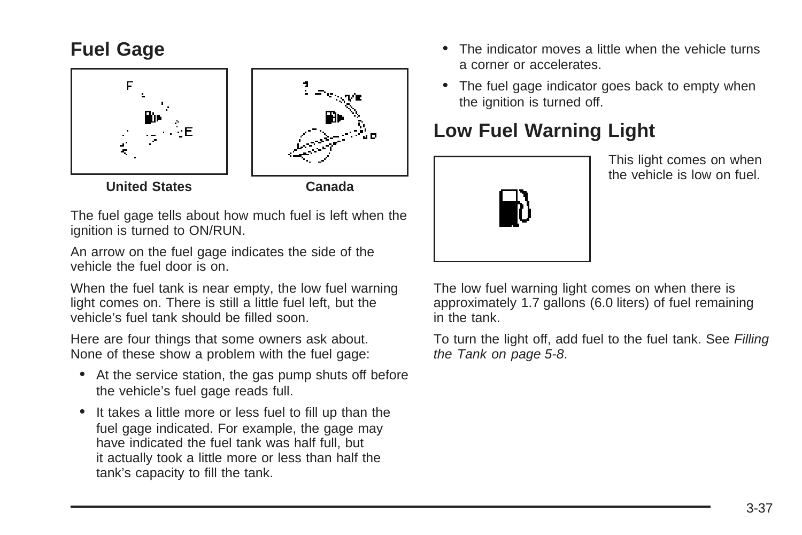# **Fuel Gage**



The fuel gage tells about how much fuel is left when the ignition is turned to ON/RUN.

An arrow on the fuel gage indicates the side of the vehicle the fuel door is on.

When the fuel tank is near empty, the low fuel warning light comes on. There is still a little fuel left, but the vehicle's fuel tank should be filled soon.

Here are four things that some owners ask about. None of these show a problem with the fuel gage:

- At the service station, the gas pump shuts off before the vehicle's fuel gage reads full.
- It takes a little more or less fuel to fill up than the fuel gage indicated. For example, the gage may have indicated the fuel tank was half full, but it actually took a little more or less than half the tank's capacity to fill the tank.
- The indicator moves a little when the vehicle turns a corner or accelerates.
- The fuel gage indicator goes back to empty when the ignition is turned off.

# **Low Fuel Warning Light**



This light comes on when the vehicle is low on fuel.

The low fuel warning light comes on when there is approximately 1.7 gallons (6.0 liters) of fuel remaining in the tank.

To turn the light off, add fuel to the fuel tank. See [Filling](#page-211-0) [the Tank](#page-211-0) on page 5-8.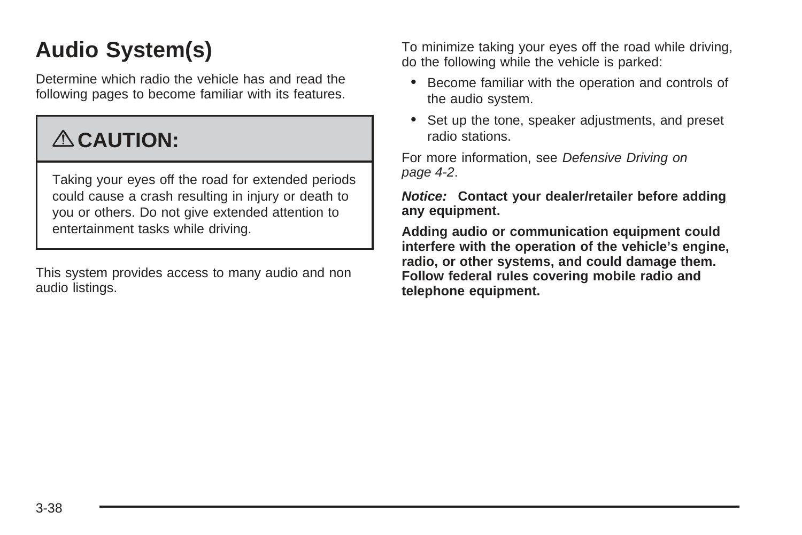# **Audio System(s)**

Determine which radio the vehicle has and read the following pages to become familiar with its features.

# { **CAUTION:**

Taking your eyes off the road for extended periods could cause a crash resulting in injury or death to you or others. Do not give extended attention to entertainment tasks while driving.

This system provides access to many audio and non audio listings.

To minimize taking your eyes off the road while driving, do the following while the vehicle is parked:

- Become familiar with the operation and controls of the audio system.
- Set up the tone, speaker adjustments, and preset radio stations.

For more information, see [Defensive Driving](#page-175-0) on page 4-2.

**Notice: Contact your dealer/retailer before adding any equipment.**

**Adding audio or communication equipment could interfere with the operation of the vehicle's engine, radio, or other systems, and could damage them. Follow federal rules covering mobile radio and telephone equipment.**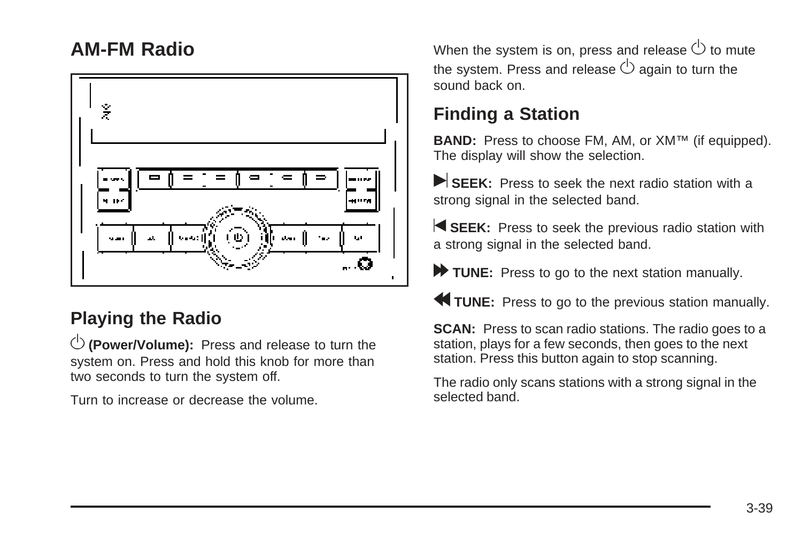### **AM-FM Radio**



### **Playing the Radio**

 $\overline{\mathbb{O}}$  (Power/Volume): Press and release to turn the system on. Press and hold this knob for more than two seconds to turn the system off.

Turn to increase or decrease the volume.

When the system is on, press and release  $\circlearrowright$  to mute the system. Press and release  $\circlearrowright$  again to turn the sound back on

## **Finding a Station**

**BAND:** Press to choose FM, AM, or XM™ (if equipped). The display will show the selection.

SEEK: Press to seek the next radio station with a strong signal in the selected band.

**SEEK:** Press to seek the previous radio station with a strong signal in the selected band.

TUNE: Press to go to the next station manually.

**to TUNE:** Press to go to the previous station manually.

**SCAN:** Press to scan radio stations. The radio goes to a station, plays for a few seconds, then goes to the next station. Press this button again to stop scanning.

The radio only scans stations with a strong signal in the selected band.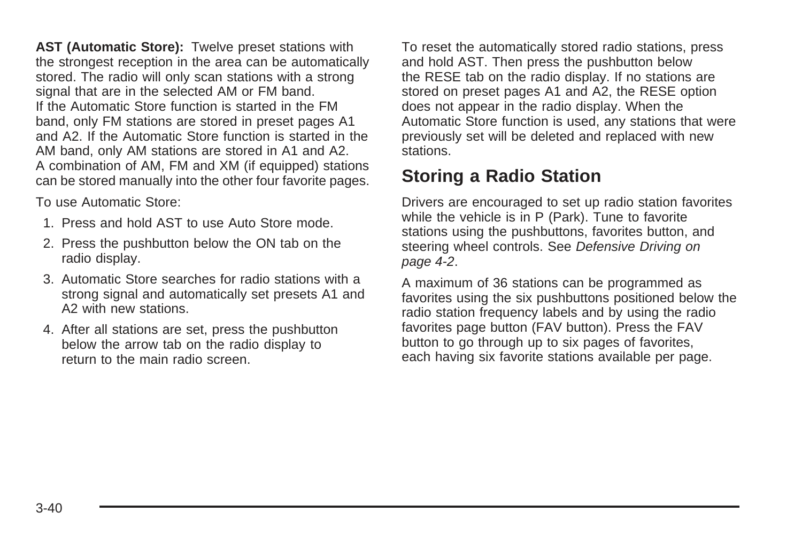**AST (Automatic Store):** Twelve preset stations with the strongest reception in the area can be automatically stored. The radio will only scan stations with a strong signal that are in the selected AM or FM band. If the Automatic Store function is started in the FM band, only FM stations are stored in preset pages A1 and A2. If the Automatic Store function is started in the AM band, only AM stations are stored in A1 and A2. A combination of AM, FM and XM (if equipped) stations can be stored manually into the other four favorite pages.

To use Automatic Store:

- 1. Press and hold AST to use Auto Store mode.
- 2. Press the pushbutton below the ON tab on the radio display.
- 3. Automatic Store searches for radio stations with a strong signal and automatically set presets A1 and A2 with new stations.
- 4. After all stations are set, press the pushbutton below the arrow tab on the radio display to return to the main radio screen.

To reset the automatically stored radio stations, press and hold AST. Then press the pushbutton below the RESE tab on the radio display. If no stations are stored on preset pages A1 and A2, the RESE option does not appear in the radio display. When the Automatic Store function is used, any stations that were previously set will be deleted and replaced with new stations.

### **Storing a Radio Station**

Drivers are encouraged to set up radio station favorites while the vehicle is in P (Park). Tune to favorite stations using the pushbuttons, favorites button, and steering wheel controls. See [Defensive Driving](#page-175-0) on page 4-2.

A maximum of 36 stations can be programmed as favorites using the six pushbuttons positioned below the radio station frequency labels and by using the radio favorites page button (FAV button). Press the FAV button to go through up to six pages of favorites, each having six favorite stations available per page.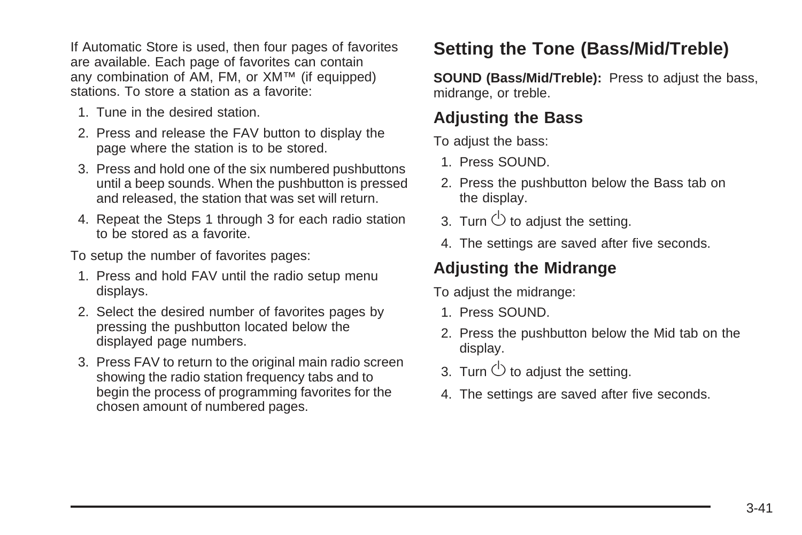If Automatic Store is used, then four pages of favorites are available. Each page of favorites can contain any combination of AM, FM, or XM™ (if equipped) stations. To store a station as a favorite:

- 1. Tune in the desired station.
- 2. Press and release the FAV button to display the page where the station is to be stored.
- 3. Press and hold one of the six numbered pushbuttons until a beep sounds. When the pushbutton is pressed and released, the station that was set will return.
- 4. Repeat the Steps 1 through 3 for each radio station to be stored as a favorite.

To setup the number of favorites pages:

- 1. Press and hold FAV until the radio setup menu displays.
- 2. Select the desired number of favorites pages by pressing the pushbutton located below the displayed page numbers.
- 3. Press FAV to return to the original main radio screen showing the radio station frequency tabs and to begin the process of programming favorites for the chosen amount of numbered pages.

### **Setting the Tone (Bass/Mid/Treble)**

**SOUND (Bass/Mid/Treble):** Press to adjust the bass, midrange, or treble.

#### **Adjusting the Bass**

To adjust the bass:

- 1. Press SOUND.
- 2. Press the pushbutton below the Bass tab on the display.
- 3. Turn  $\circlearrowright$  to adjust the setting.
- 4. The settings are saved after five seconds.

#### **Adjusting the Midrange**

To adjust the midrange:

- 1. Press SOUND.
- 2. Press the pushbutton below the Mid tab on the display.
- 3. Turn  $\circlearrowright$  to adjust the setting.
- 4. The settings are saved after five seconds.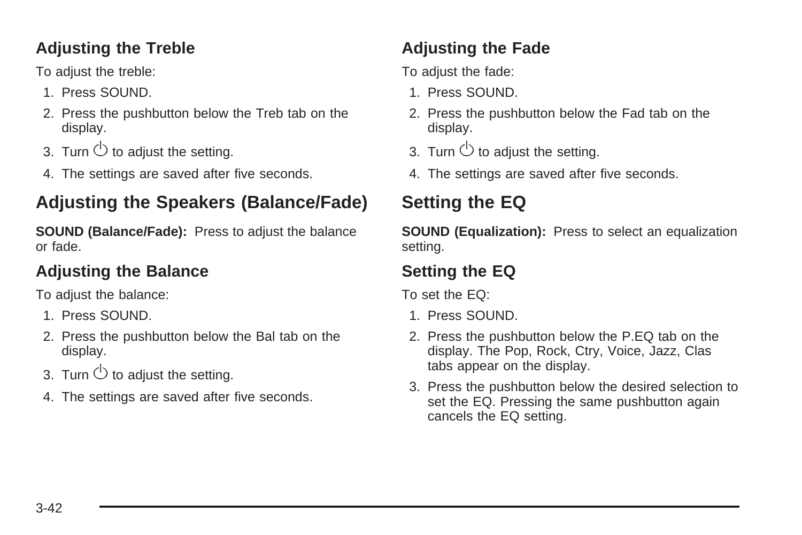#### **Adjusting the Treble**

To adjust the treble:

- 1. Press SOUND.
- 2. Press the pushbutton below the Treb tab on the display.
- 3. Turn  $\circlearrowright$  to adiust the setting.
- 4. The settings are saved after five seconds.

# **Adjusting the Speakers (Balance/Fade)**

**SOUND (Balance/Fade):** Press to adjust the balance or fade.

#### **Adjusting the Balance**

To adjust the balance:

- 1. Press SOUND.
- 2. Press the pushbutton below the Bal tab on the display.
- 3. Turn  $\bigcirc$  to adjust the setting.
- 4. The settings are saved after five seconds.

# **Adjusting the Fade**

To adjust the fade:

- 1. Press SOUND.
- 2. Press the pushbutton below the Fad tab on the display.
- 3. Turn  $\circlearrowright$  to adjust the setting.
- 4. The settings are saved after five seconds.

# **Setting the EQ**

**SOUND (Equalization):** Press to select an equalization setting.

#### **Setting the EQ**

To set the EQ:

- 1. Press SOUND.
- 2. Press the pushbutton below the P.EQ tab on the display. The Pop, Rock, Ctry, Voice, Jazz, Clas tabs appear on the display.
- 3. Press the pushbutton below the desired selection to set the EQ. Pressing the same pushbutton again cancels the EQ setting.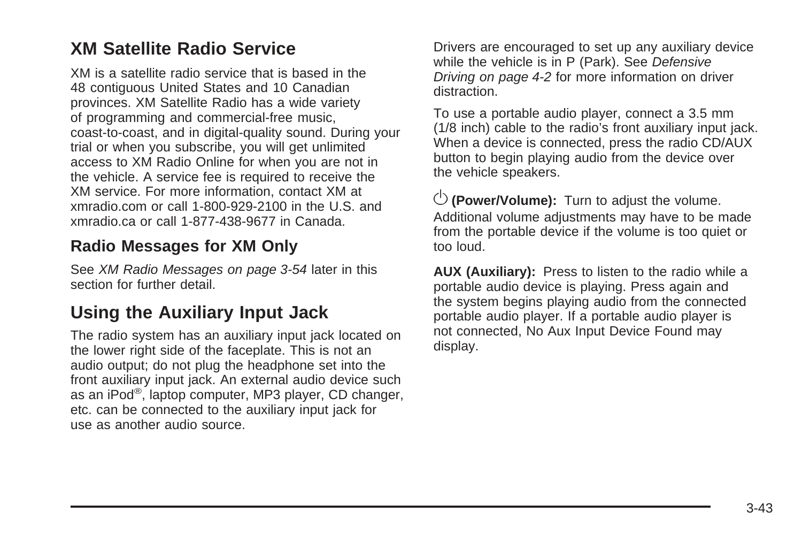#### **XM Satellite Radio Service**

XM is a satellite radio service that is based in the 48 contiguous United States and 10 Canadian provinces. XM Satellite Radio has a wide variety of programming and commercial-free music, coast-to-coast, and in digital-quality sound. During your trial or when you subscribe, you will get unlimited access to XM Radio Online for when you are not in the vehicle. A service fee is required to receive the XM service. For more information, contact XM at xmradio.com or call 1-800-929-2100 in the U.S. and xmradio.ca or call 1-877-438-9677 in Canada.

#### **Radio Messages for XM Only**

See [XM Radio Messages](#page-169-0) on page 3-54 later in this section for further detail

#### **Using the Auxiliary Input Jack**

The radio system has an auxiliary input jack located on the lower right side of the faceplate. This is not an audio output; do not plug the headphone set into the front auxiliary input jack. An external audio device such as an iPod®, laptop computer, MP3 player, CD changer, etc. can be connected to the auxiliary input jack for use as another audio source.

Drivers are encouraged to set up any auxiliary device while the vehicle is in P (Park). See [Defensive](#page-175-0) [Driving](#page-175-0) on page 4-2 for more information on driver distraction.

To use a portable audio player, connect a 3.5 mm (1/8 inch) cable to the radio's front auxiliary input jack. When a device is connected, press the radio CD/AUX button to begin playing audio from the device over the vehicle speakers.

 $\circlearrowleft$  (Power/Volume): Turn to adjust the volume. Additional volume adjustments may have to be made from the portable device if the volume is too quiet or too loud.

**AUX (Auxiliary):** Press to listen to the radio while a portable audio device is playing. Press again and the system begins playing audio from the connected portable audio player. If a portable audio player is not connected, No Aux Input Device Found may display.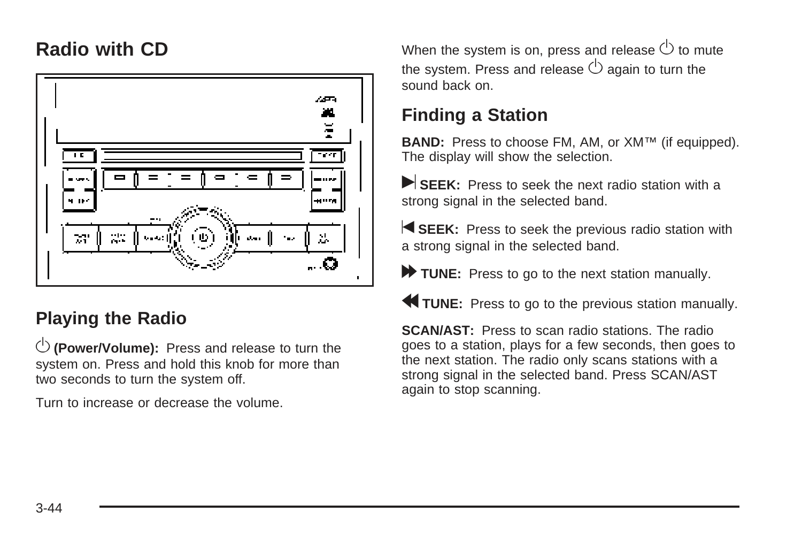#### **Radio with CD**



### **Playing the Radio**

 $\overline{\mathbb{O}}$  (Power/Volume): Press and release to turn the system on. Press and hold this knob for more than two seconds to turn the system off.

Turn to increase or decrease the volume.

When the system is on, press and release  $\circlearrowright$  to mute the system. Press and release  $\circlearrowright$  again to turn the sound back on.

#### **Finding a Station**

**BAND:** Press to choose FM, AM, or XM™ (if equipped). The display will show the selection.

SEEK: Press to seek the next radio station with a strong signal in the selected band.

**SEEK:** Press to seek the previous radio station with a strong signal in the selected band.

TUNE: Press to go to the next station manually.

r **TUNE:** Press to go to the previous station manually.

**SCAN/AST:** Press to scan radio stations. The radio goes to a station, plays for a few seconds, then goes to the next station. The radio only scans stations with a strong signal in the selected band. Press SCAN/AST again to stop scanning.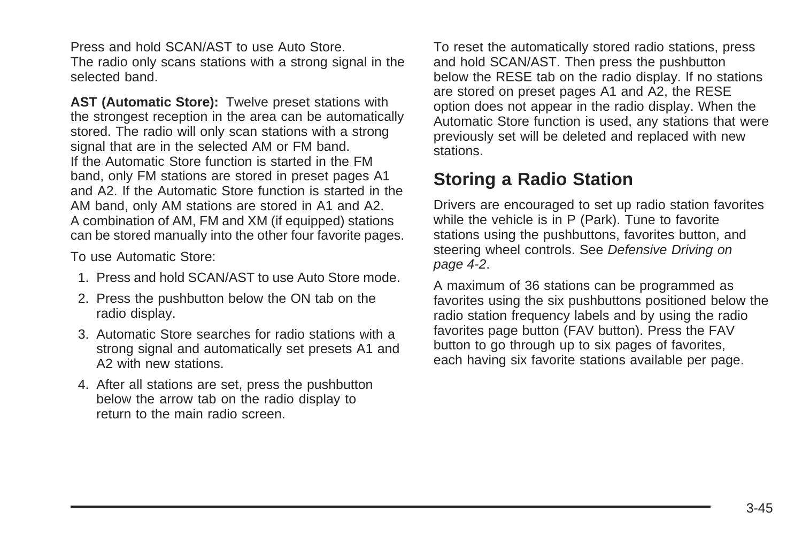Press and hold SCAN/AST to use Auto Store. The radio only scans stations with a strong signal in the selected band.

**AST (Automatic Store):** Twelve preset stations with the strongest reception in the area can be automatically stored. The radio will only scan stations with a strong signal that are in the selected AM or FM band. If the Automatic Store function is started in the FM band, only FM stations are stored in preset pages A1 and A2. If the Automatic Store function is started in the AM band, only AM stations are stored in A1 and A2. A combination of AM, FM and XM (if equipped) stations can be stored manually into the other four favorite pages.

To use Automatic Store:

- 1. Press and hold SCAN/AST to use Auto Store mode.
- 2. Press the pushbutton below the ON tab on the radio display.
- 3. Automatic Store searches for radio stations with a strong signal and automatically set presets A1 and A2 with new stations.
- 4. After all stations are set, press the pushbutton below the arrow tab on the radio display to return to the main radio screen.

To reset the automatically stored radio stations, press and hold SCAN/AST. Then press the pushbutton below the RESE tab on the radio display. If no stations are stored on preset pages A1 and A2, the RESE option does not appear in the radio display. When the Automatic Store function is used, any stations that were previously set will be deleted and replaced with new stations.

#### **Storing a Radio Station**

Drivers are encouraged to set up radio station favorites while the vehicle is in P (Park). Tune to favorite stations using the pushbuttons, favorites button, and steering wheel controls. See [Defensive Driving](#page-175-0) on page 4-2.

A maximum of 36 stations can be programmed as favorites using the six pushbuttons positioned below the radio station frequency labels and by using the radio favorites page button (FAV button). Press the FAV button to go through up to six pages of favorites, each having six favorite stations available per page.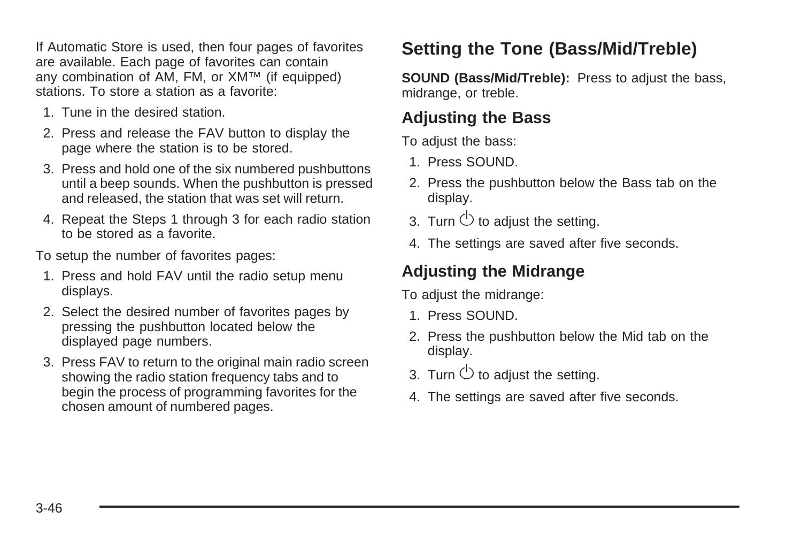If Automatic Store is used, then four pages of favorites are available. Each page of favorites can contain any combination of AM, FM, or XM™ (if equipped) stations. To store a station as a favorite:

- 1. Tune in the desired station.
- 2. Press and release the FAV button to display the page where the station is to be stored.
- 3. Press and hold one of the six numbered pushbuttons until a beep sounds. When the pushbutton is pressed and released, the station that was set will return.
- 4. Repeat the Steps 1 through 3 for each radio station to be stored as a favorite.

To setup the number of favorites pages:

- 1. Press and hold FAV until the radio setup menu displays.
- 2. Select the desired number of favorites pages by pressing the pushbutton located below the displayed page numbers.
- 3. Press FAV to return to the original main radio screen showing the radio station frequency tabs and to begin the process of programming favorites for the chosen amount of numbered pages.

### **Setting the Tone (Bass/Mid/Treble)**

**SOUND (Bass/Mid/Treble):** Press to adjust the bass, midrange, or treble.

#### **Adjusting the Bass**

To adjust the bass:

- 1. Press SOUND.
- 2. Press the pushbutton below the Bass tab on the display.
- 3. Turn  $\circlearrowright$  to adjust the setting.
- 4. The settings are saved after five seconds.

#### **Adjusting the Midrange**

To adjust the midrange:

- 1. Press SOUND.
- 2. Press the pushbutton below the Mid tab on the display.
- 3. Turn  $\bigcirc$  to adjust the setting.
- 4. The settings are saved after five seconds.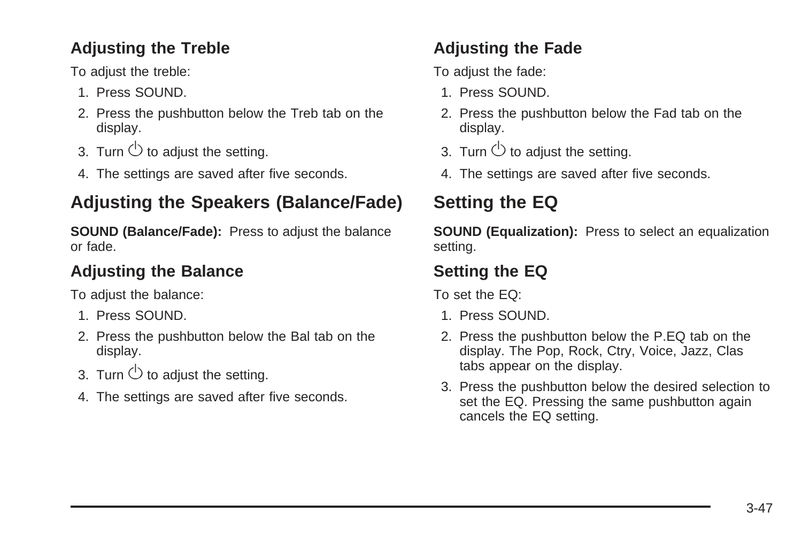#### **Adjusting the Treble**

To adjust the treble:

- 1. Press SOUND.
- 2. Press the pushbutton below the Treb tab on the display.
- 3. Turn  $\circlearrowright$  to adjust the setting.
- 4. The settings are saved after five seconds.

### **Adjusting the Speakers (Balance/Fade)**

**SOUND (Balance/Fade):** Press to adjust the balance or fade.

#### **Adjusting the Balance**

To adjust the balance:

- 1. Press SOUND.
- 2. Press the pushbutton below the Bal tab on the display.
- 3. Turn  $\bigcirc$  to adjust the setting.
- 4. The settings are saved after five seconds.

### **Adjusting the Fade**

To adjust the fade:

- 1. Press SOUND.
- 2. Press the pushbutton below the Fad tab on the display.
- 3. Turn  $\bigcirc$  to adjust the setting.
- 4. The settings are saved after five seconds.

# **Setting the EQ**

**SOUND (Equalization):** Press to select an equalization setting.

### **Setting the EQ**

To set the EQ:

- 1. Press SOUND.
- 2. Press the pushbutton below the P.EQ tab on the display. The Pop, Rock, Ctry, Voice, Jazz, Clas tabs appear on the display.
- 3. Press the pushbutton below the desired selection to set the EQ. Pressing the same pushbutton again cancels the EQ setting.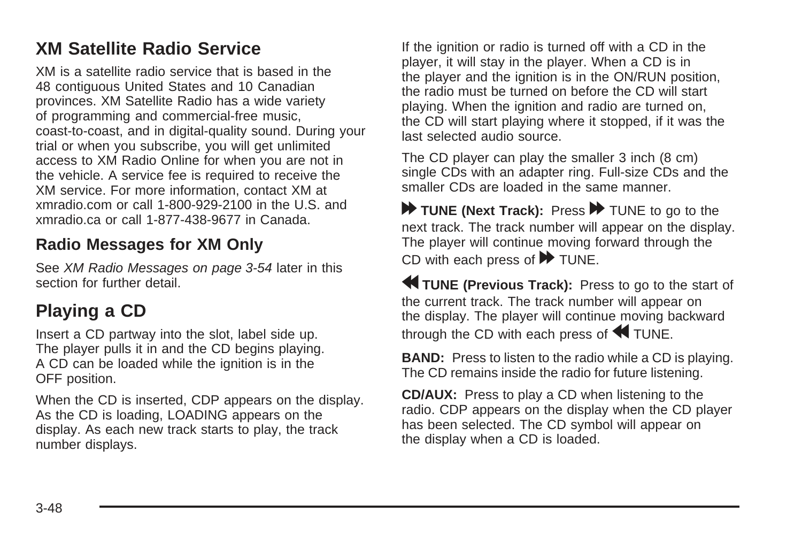#### **XM Satellite Radio Service**

XM is a satellite radio service that is based in the 48 contiguous United States and 10 Canadian provinces. XM Satellite Radio has a wide variety of programming and commercial-free music, coast-to-coast, and in digital-quality sound. During your trial or when you subscribe, you will get unlimited access to XM Radio Online for when you are not in the vehicle. A service fee is required to receive the XM service. For more information, contact XM at xmradio.com or call 1-800-929-2100 in the U.S. and xmradio.ca or call 1-877-438-9677 in Canada.

#### **Radio Messages for XM Only**

See [XM Radio Messages](#page-169-0) on page 3-54 later in this section for further detail.

## **Playing a CD**

Insert a CD partway into the slot, label side up. The player pulls it in and the CD begins playing. A CD can be loaded while the ignition is in the OFF position.

When the CD is inserted, CDP appears on the display. As the CD is loading, LOADING appears on the display. As each new track starts to play, the track number displays.

If the ignition or radio is turned off with a CD in the player, it will stay in the player. When a CD is in the player and the ignition is in the ON/RUN position, the radio must be turned on before the CD will start playing. When the ignition and radio are turned on, the CD will start playing where it stopped, if it was the last selected audio source.

The CD player can play the smaller 3 inch (8 cm) single CDs with an adapter ring. Full-size CDs and the smaller CDs are loaded in the same manner.

TUNE (Next Track): Press **D** TUNE to go to the next track. The track number will appear on the display. The player will continue moving forward through the CD with each press of  $\blacktriangleright$  TUNE.

r **TUNE (Previous Track):** Press to go to the start of the current track. The track number will appear on the display. The player will continue moving backward through the CD with each press of  $\blacktriangleleft$  TUNE.

**BAND:** Press to listen to the radio while a CD is playing. The CD remains inside the radio for future listening.

**CD/AUX:** Press to play a CD when listening to the radio. CDP appears on the display when the CD player has been selected. The CD symbol will appear on the display when a CD is loaded.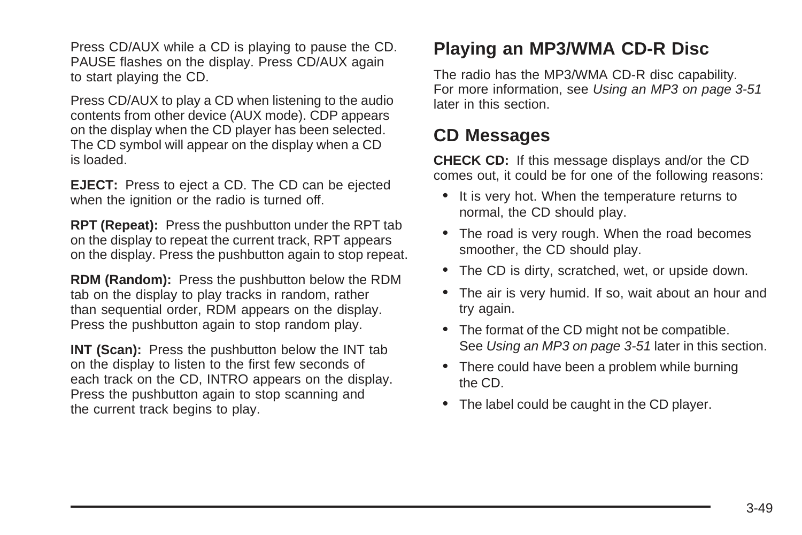Press CD/AUX while a CD is playing to pause the CD. PAUSE flashes on the display. Press CD/AUX again to start playing the CD.

Press CD/AUX to play a CD when listening to the audio contents from other device (AUX mode). CDP appears on the display when the CD player has been selected. The CD symbol will appear on the display when a CD is loaded.

**EJECT:** Press to eject a CD. The CD can be ejected when the ignition or the radio is turned off.

**RPT (Repeat):** Press the pushbutton under the RPT tab on the display to repeat the current track, RPT appears on the display. Press the pushbutton again to stop repeat.

**RDM (Random):** Press the pushbutton below the RDM tab on the display to play tracks in random, rather than sequential order, RDM appears on the display. Press the pushbutton again to stop random play.

**INT (Scan):** Press the pushbutton below the INT tab on the display to listen to the first few seconds of each track on the CD, INTRO appears on the display. Press the pushbutton again to stop scanning and the current track begins to play.

## **Playing an MP3/WMA CD-R Disc**

The radio has the MP3/WMA CD-R disc capability. For more information, see [Using an MP3](#page-166-0) on page 3-51 later in this section.

#### **CD Messages**

**CHECK CD:** If this message displays and/or the CD comes out, it could be for one of the following reasons:

- It is very hot. When the temperature returns to normal, the CD should play.
- The road is very rough. When the road becomes smoother, the CD should play.
- The CD is dirty, scratched, wet, or upside down.
- The air is very humid. If so, wait about an hour and try again.
- The format of the CD might not be compatible. See [Using an MP3](#page-166-0) on page 3-51 later in this section.
- There could have been a problem while burning the CD.
- The label could be caught in the CD player.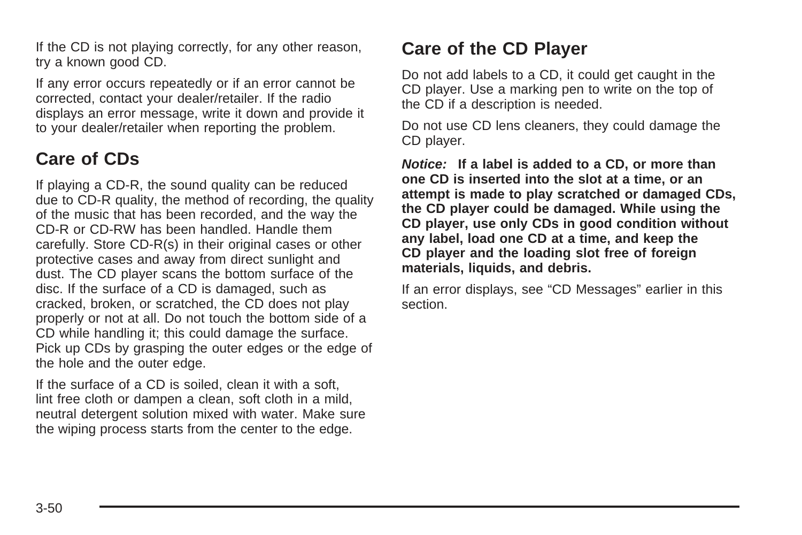If the CD is not playing correctly, for any other reason, try a known good CD.

If any error occurs repeatedly or if an error cannot be corrected, contact your dealer/retailer. If the radio displays an error message, write it down and provide it to your dealer/retailer when reporting the problem.

#### **Care of CDs**

If playing a CD-R, the sound quality can be reduced due to CD-R quality, the method of recording, the quality of the music that has been recorded, and the way the CD-R or CD-RW has been handled. Handle them carefully. Store CD-R(s) in their original cases or other protective cases and away from direct sunlight and dust. The CD player scans the bottom surface of the disc. If the surface of a CD is damaged, such as cracked, broken, or scratched, the CD does not play properly or not at all. Do not touch the bottom side of a CD while handling it; this could damage the surface. Pick up CDs by grasping the outer edges or the edge of the hole and the outer edge.

If the surface of a CD is soiled, clean it with a soft, lint free cloth or dampen a clean, soft cloth in a mild, neutral detergent solution mixed with water. Make sure the wiping process starts from the center to the edge.

#### **Care of the CD Player**

Do not add labels to a CD, it could get caught in the CD player. Use a marking pen to write on the top of the CD if a description is needed.

Do not use CD lens cleaners, they could damage the CD player.

**Notice: If a label is added to a CD, or more than one CD is inserted into the slot at a time, or an attempt is made to play scratched or damaged CDs, the CD player could be damaged. While using the CD player, use only CDs in good condition without any label, load one CD at a time, and keep the CD player and the loading slot free of foreign materials, liquids, and debris.**

If an error displays, see "CD Messages" earlier in this section.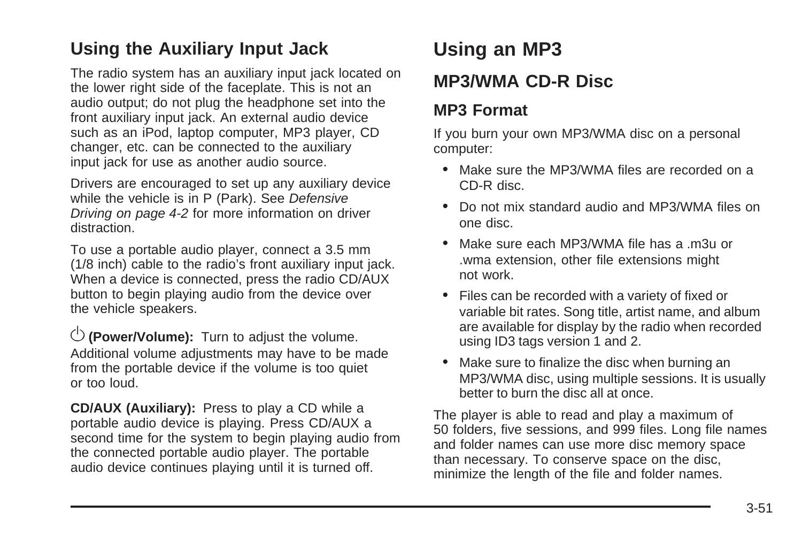#### <span id="page-166-0"></span>**Using the Auxiliary Input Jack**

The radio system has an auxiliary input jack located on the lower right side of the faceplate. This is not an audio output; do not plug the headphone set into the front auxiliary input jack. An external audio device such as an iPod, laptop computer, MP3 player, CD changer, etc. can be connected to the auxiliary input jack for use as another audio source.

Drivers are encouraged to set up any auxiliary device while the vehicle is in P (Park). See [Defensive](#page-175-0) [Driving](#page-175-0) on page 4-2 for more information on driver distraction.

To use a portable audio player, connect a 3.5 mm (1/8 inch) cable to the radio's front auxiliary input jack. When a device is connected, press the radio CD/AUX button to begin playing audio from the device over the vehicle speakers.

 $\circlearrowleft$  (Power/Volume): Turn to adjust the volume. Additional volume adjustments may have to be made from the portable device if the volume is too quiet or too loud.

**CD/AUX (Auxiliary):** Press to play a CD while a portable audio device is playing. Press CD/AUX a second time for the system to begin playing audio from the connected portable audio player. The portable audio device continues playing until it is turned off.

# **Using an MP3**

#### **MP3/WMA CD-R Disc**

#### **MP3 Format**

If you burn your own MP3/WMA disc on a personal computer:

- Make sure the MP3/WMA files are recorded on a CD-R disc.
- Do not mix standard audio and MP3/WMA files on one disc.
- Make sure each MP3/WMA file has a m3u or .wma extension, other file extensions might not work.
- Files can be recorded with a variety of fixed or variable bit rates. Song title, artist name, and album are available for display by the radio when recorded using ID3 tags version 1 and 2.
- Make sure to finalize the disc when burning an MP3/WMA disc, using multiple sessions. It is usually better to burn the disc all at once.

The player is able to read and play a maximum of 50 folders, five sessions, and 999 files. Long file names and folder names can use more disc memory space than necessary. To conserve space on the disc, minimize the length of the file and folder names.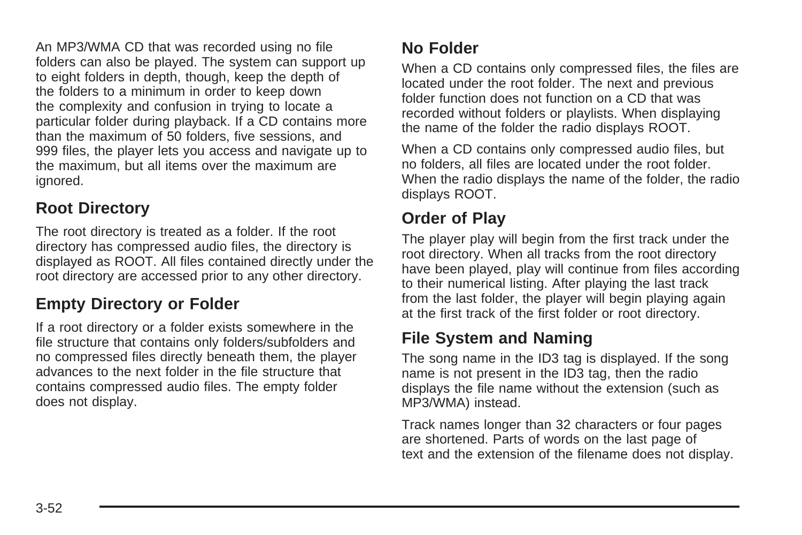An MP3/WMA CD that was recorded using no file folders can also be played. The system can support up to eight folders in depth, though, keep the depth of the folders to a minimum in order to keep down the complexity and confusion in trying to locate a particular folder during playback. If a CD contains more than the maximum of 50 folders, five sessions, and 999 files, the player lets you access and navigate up to the maximum, but all items over the maximum are ignored.

#### **Root Directory**

The root directory is treated as a folder. If the root directory has compressed audio files, the directory is displayed as ROOT. All files contained directly under the root directory are accessed prior to any other directory.

#### **Empty Directory or Folder**

If a root directory or a folder exists somewhere in the file structure that contains only folders/subfolders and no compressed files directly beneath them, the player advances to the next folder in the file structure that contains compressed audio files. The empty folder does not display.

#### **No Folder**

When a CD contains only compressed files, the files are located under the root folder. The next and previous folder function does not function on a CD that was recorded without folders or playlists. When displaying the name of the folder the radio displays ROOT.

When a CD contains only compressed audio files, but no folders, all files are located under the root folder. When the radio displays the name of the folder, the radio displays ROOT.

#### **Order of Play**

The player play will begin from the first track under the root directory. When all tracks from the root directory have been played, play will continue from files according to their numerical listing. After playing the last track from the last folder, the player will begin playing again at the first track of the first folder or root directory.

#### **File System and Naming**

The song name in the ID3 tag is displayed. If the song name is not present in the ID3 tag, then the radio displays the file name without the extension (such as MP3/WMA) instead.

Track names longer than 32 characters or four pages are shortened. Parts of words on the last page of text and the extension of the filename does not display.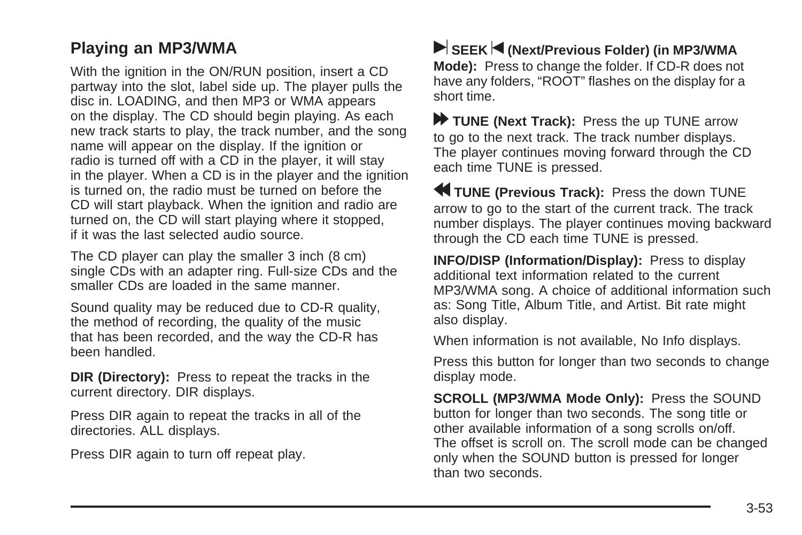#### **Playing an MP3/WMA**

With the ignition in the ON/RUN position, insert a CD partway into the slot, label side up. The player pulls the disc in. LOADING, and then MP3 or WMA appears on the display. The CD should begin playing. As each new track starts to play, the track number, and the song name will appear on the display. If the ignition or radio is turned off with a CD in the player, it will stay in the player. When a CD is in the player and the ignition is turned on, the radio must be turned on before the CD will start playback. When the ignition and radio are turned on, the CD will start playing where it stopped, if it was the last selected audio source.

The CD player can play the smaller 3 inch (8 cm) single CDs with an adapter ring. Full-size CDs and the smaller CDs are loaded in the same manner.

Sound quality may be reduced due to CD-R quality, the method of recording, the quality of the music that has been recorded, and the way the CD-R has been handled.

**DIR (Directory):** Press to repeat the tracks in the current directory. DIR displays.

Press DIR again to repeat the tracks in all of the directories. ALL displays.

Press DIR again to turn off repeat play.

**SEEK < (Next/Previous Folder) (in MP3/WMA Mode):** Press to change the folder. If CD-R does not have any folders, "ROOT" flashes on the display for a short time.

[ **TUNE (Next Track):** Press the up TUNE arrow to go to the next track. The track number displays. The player continues moving forward through the CD each time TUNE is pressed.

r **TUNE (Previous Track):** Press the down TUNE arrow to go to the start of the current track. The track number displays. The player continues moving backward through the CD each time TUNE is pressed.

**INFO/DISP (Information/Display):** Press to display additional text information related to the current MP3/WMA song. A choice of additional information such as: Song Title, Album Title, and Artist. Bit rate might also display.

When information is not available, No Info displays.

Press this button for longer than two seconds to change display mode.

**SCROLL (MP3/WMA Mode Only):** Press the SOUND button for longer than two seconds. The song title or other available information of a song scrolls on/off. The offset is scroll on. The scroll mode can be changed only when the SOUND button is pressed for longer than two seconds.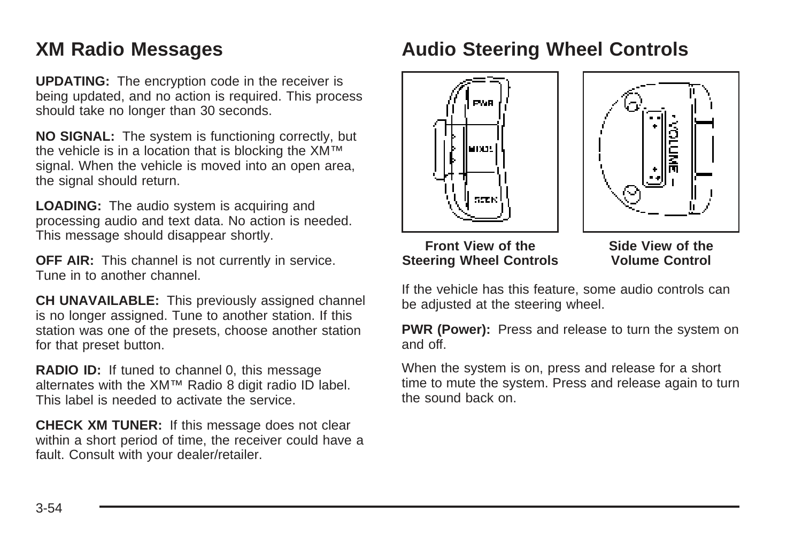### <span id="page-169-0"></span>**XM Radio Messages**

**UPDATING:** The encryption code in the receiver is being updated, and no action is required. This process should take no longer than 30 seconds.

**NO SIGNAL:** The system is functioning correctly, but the vehicle is in a location that is blocking the XM™ signal. When the vehicle is moved into an open area. the signal should return.

**LOADING:** The audio system is acquiring and processing audio and text data. No action is needed. This message should disappear shortly.

**OFF AIR:** This channel is not currently in service. Tune in to another channel.

**CH UNAVAILABLE:** This previously assigned channel is no longer assigned. Tune to another station. If this station was one of the presets, choose another station for that preset button.

**RADIO ID:** If tuned to channel 0, this message alternates with the XM™ Radio 8 digit radio ID label. This label is needed to activate the service.

**CHECK XM TUNER:** If this message does not clear within a short period of time, the receiver could have a fault. Consult with your dealer/retailer.

## **Audio Steering Wheel Controls**





**Front View of the Steering Wheel Controls**

**Side View of the Volume Control**

If the vehicle has this feature, some audio controls can be adjusted at the steering wheel.

**PWR (Power):** Press and release to turn the system on and off.

When the system is on, press and release for a short time to mute the system. Press and release again to turn the sound back on.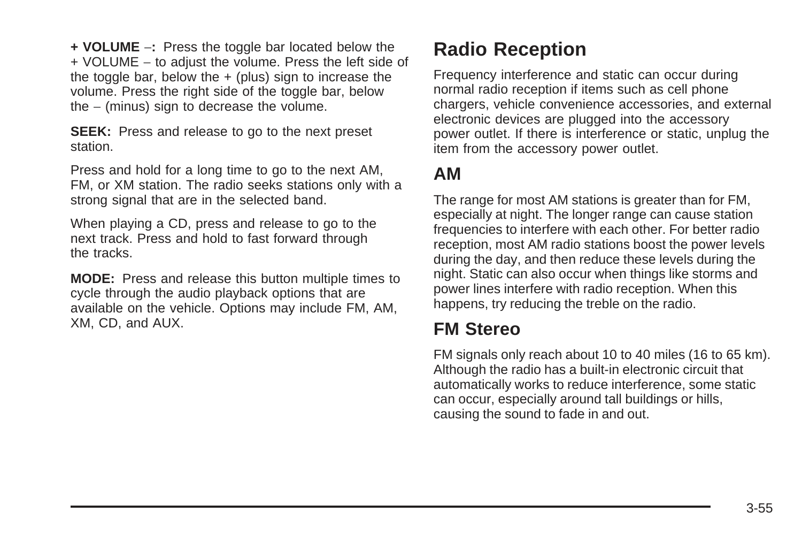**+ VOLUME** −**:** Press the toggle bar located below the + VOLUME − to adjust the volume. Press the left side of the toggle bar, below the  $+$  (plus) sign to increase the volume. Press the right side of the toggle bar, below the − (minus) sign to decrease the volume.

**SEEK:** Press and release to go to the next preset station.

Press and hold for a long time to go to the next AM, FM, or XM station. The radio seeks stations only with a strong signal that are in the selected band.

When playing a CD, press and release to go to the next track. Press and hold to fast forward through the tracks.

**MODE:** Press and release this button multiple times to cycle through the audio playback options that are available on the vehicle. Options may include FM, AM, XM, CD, and AUX.

# **Radio Reception**

Frequency interference and static can occur during normal radio reception if items such as cell phone chargers, vehicle convenience accessories, and external electronic devices are plugged into the accessory power outlet. If there is interference or static, unplug the item from the accessory power outlet.

#### **AM**

The range for most AM stations is greater than for FM, especially at night. The longer range can cause station frequencies to interfere with each other. For better radio reception, most AM radio stations boost the power levels during the day, and then reduce these levels during the night. Static can also occur when things like storms and power lines interfere with radio reception. When this happens, try reducing the treble on the radio.

### **FM Stereo**

FM signals only reach about 10 to 40 miles (16 to 65 km). Although the radio has a built-in electronic circuit that automatically works to reduce interference, some static can occur, especially around tall buildings or hills, causing the sound to fade in and out.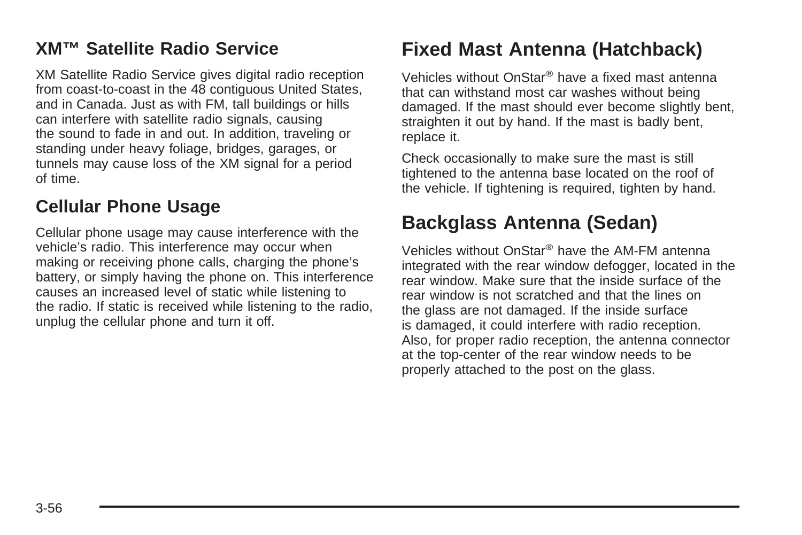#### **XM™ Satellite Radio Service**

XM Satellite Radio Service gives digital radio reception from coast-to-coast in the 48 contiguous United States, and in Canada. Just as with FM, tall buildings or hills can interfere with satellite radio signals, causing the sound to fade in and out. In addition, traveling or standing under heavy foliage, bridges, garages, or tunnels may cause loss of the XM signal for a period of time.

#### **Cellular Phone Usage**

Cellular phone usage may cause interference with the vehicle's radio. This interference may occur when making or receiving phone calls, charging the phone's battery, or simply having the phone on. This interference causes an increased level of static while listening to the radio. If static is received while listening to the radio, unplug the cellular phone and turn it off.

# **Fixed Mast Antenna (Hatchback)**

Vehicles without OnStar® have a fixed mast antenna that can withstand most car washes without being damaged. If the mast should ever become slightly bent, straighten it out by hand. If the mast is badly bent, replace it.

Check occasionally to make sure the mast is still tightened to the antenna base located on the roof of the vehicle. If tightening is required, tighten by hand.

## **Backglass Antenna (Sedan)**

Vehicles without OnStar® have the AM-FM antenna integrated with the rear window defogger, located in the rear window. Make sure that the inside surface of the rear window is not scratched and that the lines on the glass are not damaged. If the inside surface is damaged, it could interfere with radio reception. Also, for proper radio reception, the antenna connector at the top-center of the rear window needs to be properly attached to the post on the glass.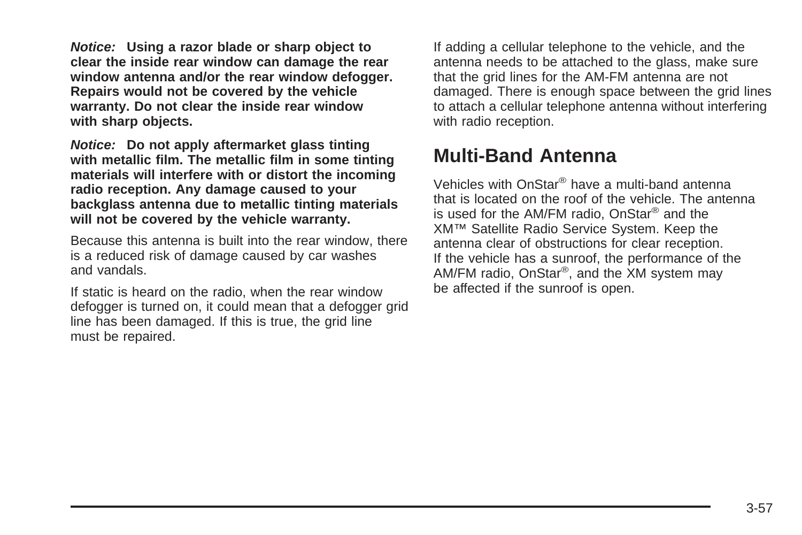**Notice: Using a razor blade or sharp object to clear the inside rear window can damage the rear window antenna and/or the rear window defogger. Repairs would not be covered by the vehicle warranty. Do not clear the inside rear window with sharp objects.**

**Notice: Do not apply aftermarket glass tinting with metallic film. The metallic film in some tinting materials will interfere with or distort the incoming radio reception. Any damage caused to your backglass antenna due to metallic tinting materials will not be covered by the vehicle warranty.**

Because this antenna is built into the rear window, there is a reduced risk of damage caused by car washes and vandals.

If static is heard on the radio, when the rear window defogger is turned on, it could mean that a defogger grid line has been damaged. If this is true, the grid line must be repaired.

If adding a cellular telephone to the vehicle, and the antenna needs to be attached to the glass, make sure that the grid lines for the AM-FM antenna are not damaged. There is enough space between the grid lines to attach a cellular telephone antenna without interfering with radio reception.

## **Multi-Band Antenna**

Vehicles with OnStar® have a multi-band antenna that is located on the roof of the vehicle. The antenna is used for the AM/FM radio, OnStar® and the XM™ Satellite Radio Service System. Keep the antenna clear of obstructions for clear reception. If the vehicle has a sunroof, the performance of the AM/FM radio, OnStar®, and the XM system may be affected if the sunroof is open.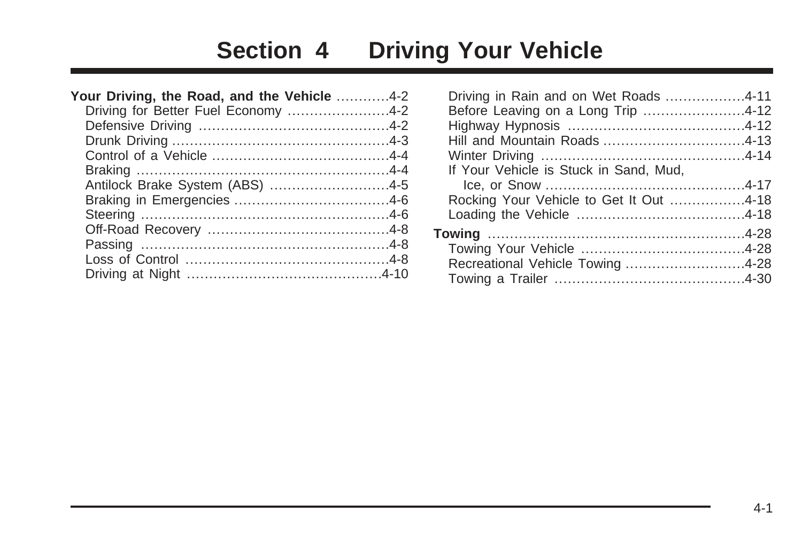# **Section 4 Driving Your Vehicle**

| Your Driving, the Road, and the Vehicle 4-2 |  |
|---------------------------------------------|--|
| Driving for Better Fuel Economy 4-2         |  |
|                                             |  |
|                                             |  |
|                                             |  |
|                                             |  |
| Antilock Brake System (ABS) 4-5             |  |
|                                             |  |
|                                             |  |
|                                             |  |
|                                             |  |
|                                             |  |
|                                             |  |
|                                             |  |

| Driving in Rain and on Wet Roads 4-11<br>Before Leaving on a Long Trip 4-12 |  |
|-----------------------------------------------------------------------------|--|
|                                                                             |  |
|                                                                             |  |
| If Your Vehicle is Stuck in Sand, Mud,                                      |  |
|                                                                             |  |
| Rocking Your Vehicle to Get It Out 4-18                                     |  |
|                                                                             |  |
|                                                                             |  |
|                                                                             |  |
| Recreational Vehicle Towing 4-28                                            |  |
|                                                                             |  |
|                                                                             |  |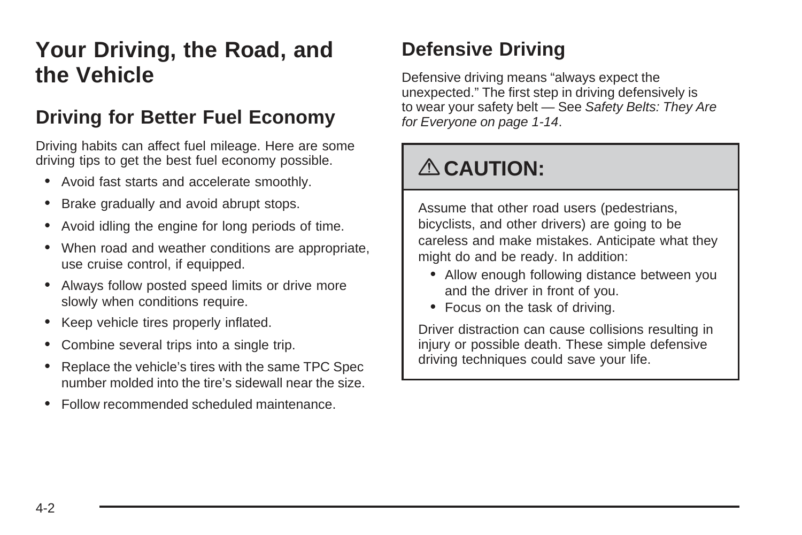# <span id="page-175-0"></span>**Your Driving, the Road, and the Vehicle**

## **Driving for Better Fuel Economy**

Driving habits can affect fuel mileage. Here are some driving tips to get the best fuel economy possible.

- Avoid fast starts and accelerate smoothly.
- Brake gradually and avoid abrupt stops.
- Avoid idling the engine for long periods of time.
- When road and weather conditions are appropriate, use cruise control, if equipped.
- Always follow posted speed limits or drive more slowly when conditions require.
- Keep vehicle tires properly inflated.
- Combine several trips into a single trip.
- Replace the vehicle's tires with the same TPC Spec number molded into the tire's sidewall near the size.
- Follow recommended scheduled maintenance.

# **Defensive Driving**

Defensive driving means "always expect the unexpected." The first step in driving defensively is to wear your safety belt — See [Safety Belts: They Are](#page-17-0) [for Everyone](#page-17-0) on page 1-14.

# { **CAUTION:**

Assume that other road users (pedestrians, bicyclists, and other drivers) are going to be careless and make mistakes. Anticipate what they might do and be ready. In addition:

- Allow enough following distance between you and the driver in front of you.
- Focus on the task of driving.

Driver distraction can cause collisions resulting in injury or possible death. These simple defensive driving techniques could save your life.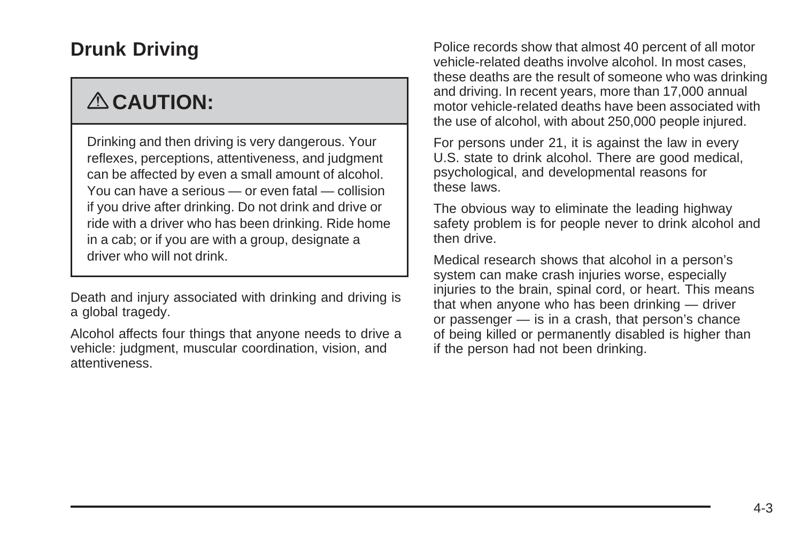# <span id="page-176-0"></span>**Drunk Driving**

# { **CAUTION:**

Drinking and then driving is very dangerous. Your reflexes, perceptions, attentiveness, and judgment can be affected by even a small amount of alcohol. You can have a serious — or even fatal — collision if you drive after drinking. Do not drink and drive or ride with a driver who has been drinking. Ride home in a cab; or if you are with a group, designate a driver who will not drink.

Death and injury associated with drinking and driving is a global tragedy.

Alcohol affects four things that anyone needs to drive a vehicle: judgment, muscular coordination, vision, and attentiveness.

Police records show that almost 40 percent of all motor vehicle-related deaths involve alcohol. In most cases, these deaths are the result of someone who was drinking and driving. In recent years, more than 17,000 annual motor vehicle-related deaths have been associated with the use of alcohol, with about 250,000 people injured.

For persons under 21, it is against the law in every U.S. state to drink alcohol. There are good medical, psychological, and developmental reasons for these laws.

The obvious way to eliminate the leading highway safety problem is for people never to drink alcohol and then drive.

Medical research shows that alcohol in a person's system can make crash injuries worse, especially injuries to the brain, spinal cord, or heart. This means that when anyone who has been drinking — driver or passenger — is in a crash, that person's chance of being killed or permanently disabled is higher than if the person had not been drinking.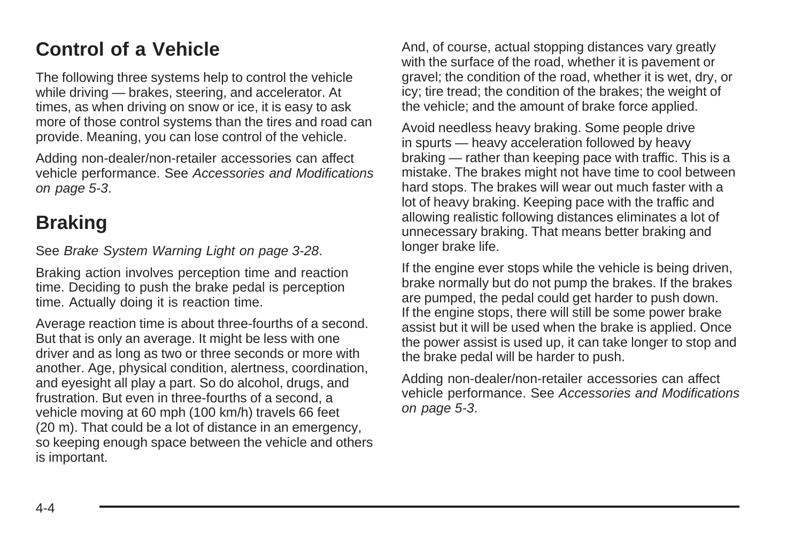# <span id="page-177-0"></span>**Control of a Vehicle**

The following three systems help to control the vehicle while driving — brakes, steering, and accelerator. At times, as when driving on snow or ice, it is easy to ask more of those control systems than the tires and road can provide. Meaning, you can lose control of the vehicle.

Adding non-dealer/non-retailer accessories can affect vehicle performance. See [Accessories and Modifications](#page-206-0) on page 5-3.

# **Braking**

See [Brake System Warning Light](#page-143-0) on page 3-28.

Braking action involves perception time and reaction time. Deciding to push the brake pedal is perception time. Actually doing it is reaction time.

Average reaction time is about three-fourths of a second. But that is only an average. It might be less with one driver and as long as two or three seconds or more with another. Age, physical condition, alertness, coordination, and eyesight all play a part. So do alcohol, drugs, and frustration. But even in three-fourths of a second, a vehicle moving at 60 mph (100 km/h) travels 66 feet (20 m). That could be a lot of distance in an emergency, so keeping enough space between the vehicle and others is important.

And, of course, actual stopping distances vary greatly with the surface of the road, whether it is pavement or gravel; the condition of the road, whether it is wet, dry, or icy; tire tread; the condition of the brakes; the weight of the vehicle; and the amount of brake force applied.

Avoid needless heavy braking. Some people drive in spurts — heavy acceleration followed by heavy braking — rather than keeping pace with traffic. This is a mistake. The brakes might not have time to cool between hard stops. The brakes will wear out much faster with a lot of heavy braking. Keeping pace with the traffic and allowing realistic following distances eliminates a lot of unnecessary braking. That means better braking and longer brake life.

If the engine ever stops while the vehicle is being driven, brake normally but do not pump the brakes. If the brakes are pumped, the pedal could get harder to push down. If the engine stops, there will still be some power brake assist but it will be used when the brake is applied. Once the power assist is used up, it can take longer to stop and the brake pedal will be harder to push.

Adding non-dealer/non-retailer accessories can affect vehicle performance. See [Accessories and Modifications](#page-206-0) on page 5-3.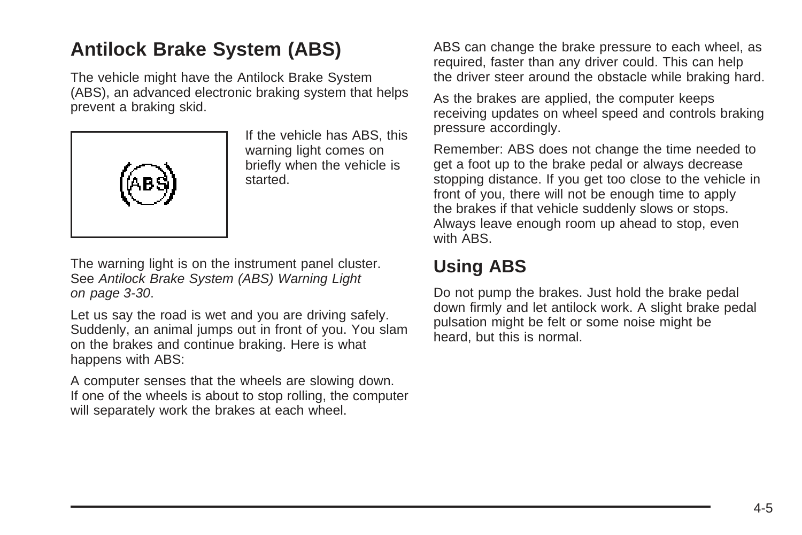# <span id="page-178-0"></span>**Antilock Brake System (ABS)**

The vehicle might have the Antilock Brake System (ABS), an advanced electronic braking system that helps prevent a braking skid.



If the vehicle has ABS, this warning light comes on briefly when the vehicle is started.

The warning light is on the instrument panel cluster. See [Antilock Brake System \(ABS\) Warning Light](#page-145-0) on page 3-30.

Let us say the road is wet and you are driving safely. Suddenly, an animal jumps out in front of you. You slam on the brakes and continue braking. Here is what happens with ABS:

A computer senses that the wheels are slowing down. If one of the wheels is about to stop rolling, the computer will separately work the brakes at each wheel.

ABS can change the brake pressure to each wheel, as required, faster than any driver could. This can help the driver steer around the obstacle while braking hard.

As the brakes are applied, the computer keeps receiving updates on wheel speed and controls braking pressure accordingly.

Remember: ABS does not change the time needed to get a foot up to the brake pedal or always decrease stopping distance. If you get too close to the vehicle in front of you, there will not be enough time to apply the brakes if that vehicle suddenly slows or stops. Always leave enough room up ahead to stop, even with ABS.

### **Using ABS**

Do not pump the brakes. Just hold the brake pedal down firmly and let antilock work. A slight brake pedal pulsation might be felt or some noise might be heard, but this is normal.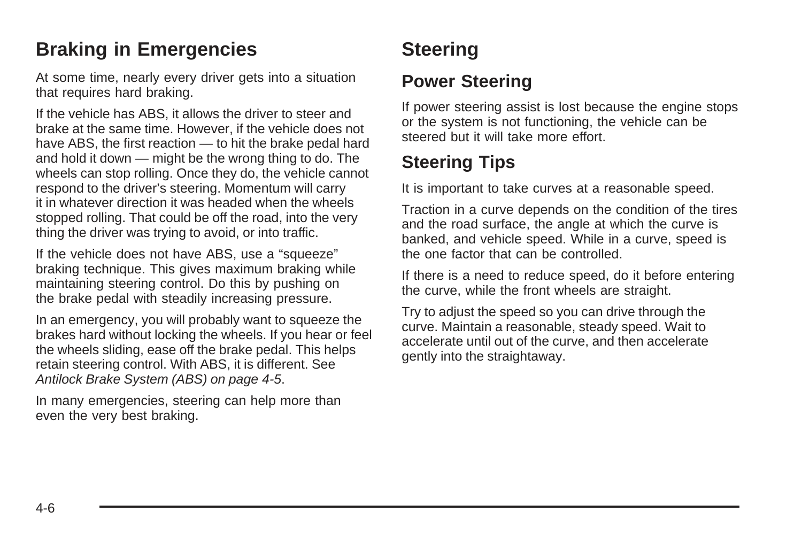# <span id="page-179-0"></span>**Braking in Emergencies**

At some time, nearly every driver gets into a situation that requires hard braking.

If the vehicle has ABS, it allows the driver to steer and brake at the same time. However, if the vehicle does not have ABS, the first reaction — to hit the brake pedal hard and hold it down — might be the wrong thing to do. The wheels can stop rolling. Once they do, the vehicle cannot respond to the driver's steering. Momentum will carry it in whatever direction it was headed when the wheels stopped rolling. That could be off the road, into the very thing the driver was trying to avoid, or into traffic.

If the vehicle does not have ABS, use a "squeeze" braking technique. This gives maximum braking while maintaining steering control. Do this by pushing on the brake pedal with steadily increasing pressure.

In an emergency, you will probably want to squeeze the brakes hard without locking the wheels. If you hear or feel the wheels sliding, ease off the brake pedal. This helps retain steering control. With ABS, it is different. See [Antilock Brake System \(ABS\)](#page-178-0) on page 4-5.

In many emergencies, steering can help more than even the very best braking.

# **Steering**

#### **Power Steering**

If power steering assist is lost because the engine stops or the system is not functioning, the vehicle can be steered but it will take more effort.

# **Steering Tips**

It is important to take curves at a reasonable speed.

Traction in a curve depends on the condition of the tires and the road surface, the angle at which the curve is banked, and vehicle speed. While in a curve, speed is the one factor that can be controlled.

If there is a need to reduce speed, do it before entering the curve, while the front wheels are straight.

Try to adjust the speed so you can drive through the curve. Maintain a reasonable, steady speed. Wait to accelerate until out of the curve, and then accelerate gently into the straightaway.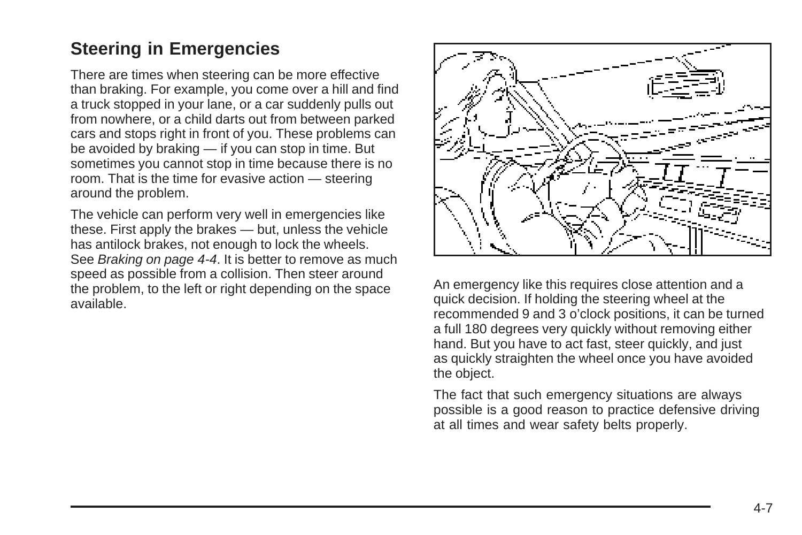#### **Steering in Emergencies**

There are times when steering can be more effective than braking. For example, you come over a hill and find a truck stopped in your lane, or a car suddenly pulls out from nowhere, or a child darts out from between parked cars and stops right in front of you. These problems can be avoided by braking — if you can stop in time. But sometimes you cannot stop in time because there is no room. That is the time for evasive action — steering around the problem.

The vehicle can perform very well in emergencies like these. First apply the brakes — but, unless the vehicle has antilock brakes, not enough to lock the wheels. See [Braking](#page-177-0) on page 4-4. It is better to remove as much speed as possible from a collision. Then steer around the problem, to the left or right depending on the space available.



An emergency like this requires close attention and a quick decision. If holding the steering wheel at the recommended 9 and 3 o'clock positions, it can be turned a full 180 degrees very quickly without removing either hand. But you have to act fast, steer quickly, and just as quickly straighten the wheel once you have avoided the object.

The fact that such emergency situations are always possible is a good reason to practice defensive driving at all times and wear safety belts properly.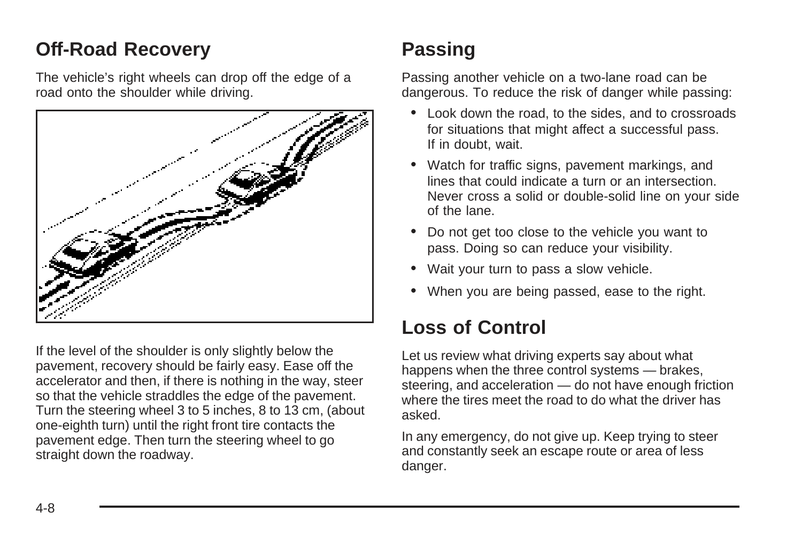### **Off-Road Recovery**

The vehicle's right wheels can drop off the edge of a road onto the shoulder while driving.



If the level of the shoulder is only slightly below the pavement, recovery should be fairly easy. Ease off the accelerator and then, if there is nothing in the way, steer so that the vehicle straddles the edge of the pavement. Turn the steering wheel 3 to 5 inches, 8 to 13 cm, (about one-eighth turn) until the right front tire contacts the pavement edge. Then turn the steering wheel to go straight down the roadway.

## **Passing**

Passing another vehicle on a two-lane road can be dangerous. To reduce the risk of danger while passing:

- Look down the road, to the sides, and to crossroads for situations that might affect a successful pass. If in doubt, wait.
- Watch for traffic signs, pavement markings, and lines that could indicate a turn or an intersection. Never cross a solid or double-solid line on your side of the lane.
- Do not get too close to the vehicle you want to pass. Doing so can reduce your visibility.
- Wait your turn to pass a slow vehicle.
- When you are being passed, ease to the right.

## **Loss of Control**

Let us review what driving experts say about what happens when the three control systems — brakes, steering, and acceleration — do not have enough friction where the tires meet the road to do what the driver has asked.

In any emergency, do not give up. Keep trying to steer and constantly seek an escape route or area of less danger.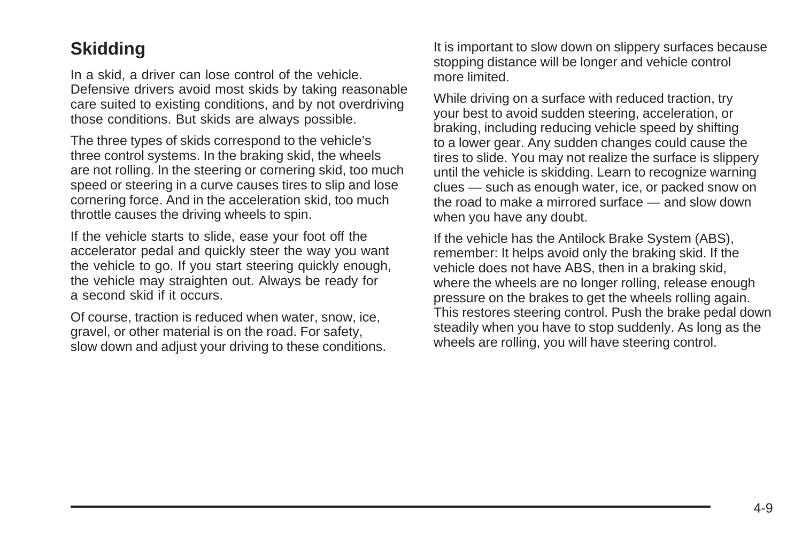#### **Skidding**

In a skid, a driver can lose control of the vehicle. Defensive drivers avoid most skids by taking reasonable care suited to existing conditions, and by not overdriving those conditions. But skids are always possible.

The three types of skids correspond to the vehicle's three control systems. In the braking skid, the wheels are not rolling. In the steering or cornering skid, too much speed or steering in a curve causes tires to slip and lose cornering force. And in the acceleration skid, too much throttle causes the driving wheels to spin.

If the vehicle starts to slide, ease your foot off the accelerator pedal and quickly steer the way you want the vehicle to go. If you start steering quickly enough, the vehicle may straighten out. Always be ready for a second skid if it occurs.

Of course, traction is reduced when water, snow, ice, gravel, or other material is on the road. For safety, slow down and adjust your driving to these conditions. It is important to slow down on slippery surfaces because stopping distance will be longer and vehicle control more limited.

While driving on a surface with reduced traction, try your best to avoid sudden steering, acceleration, or braking, including reducing vehicle speed by shifting to a lower gear. Any sudden changes could cause the tires to slide. You may not realize the surface is slippery until the vehicle is skidding. Learn to recognize warning clues — such as enough water, ice, or packed snow on the road to make a mirrored surface — and slow down when you have any doubt.

If the vehicle has the Antilock Brake System (ABS), remember: It helps avoid only the braking skid. If the vehicle does not have ABS, then in a braking skid, where the wheels are no longer rolling, release enough pressure on the brakes to get the wheels rolling again. This restores steering control. Push the brake pedal down steadily when you have to stop suddenly. As long as the wheels are rolling, you will have steering control.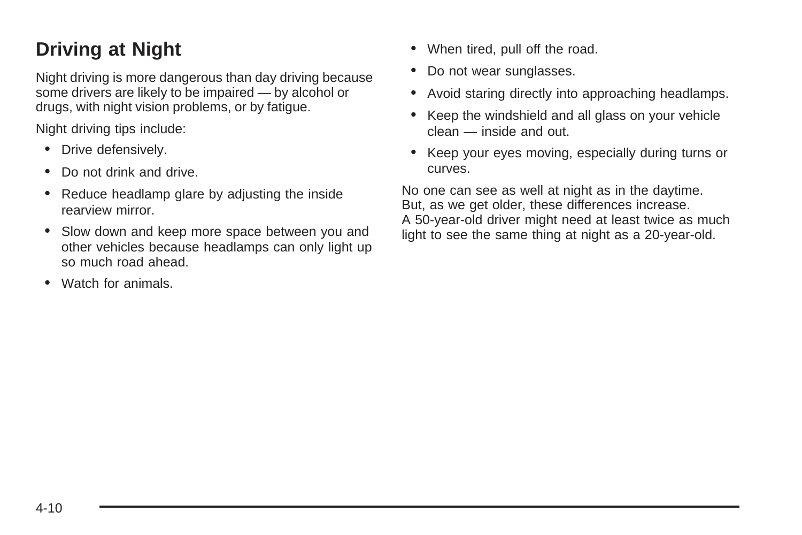## **Driving at Night**

Night driving is more dangerous than day driving because some drivers are likely to be impaired — by alcohol or drugs, with night vision problems, or by fatigue.

Night driving tips include:

- Drive defensively.
- Do not drink and drive.
- Reduce headlamp glare by adjusting the inside rearview mirror.
- Slow down and keep more space between you and other vehicles because headlamps can only light up so much road ahead.
- Watch for animals.
- When tired, pull off the road.
- Do not wear sunglasses.
- Avoid staring directly into approaching headlamps.
- Keep the windshield and all glass on your vehicle clean — inside and out.
- Keep your eyes moving, especially during turns or curves.

No one can see as well at night as in the daytime. But, as we get older, these differences increase. A 50-year-old driver might need at least twice as much light to see the same thing at night as a 20-year-old.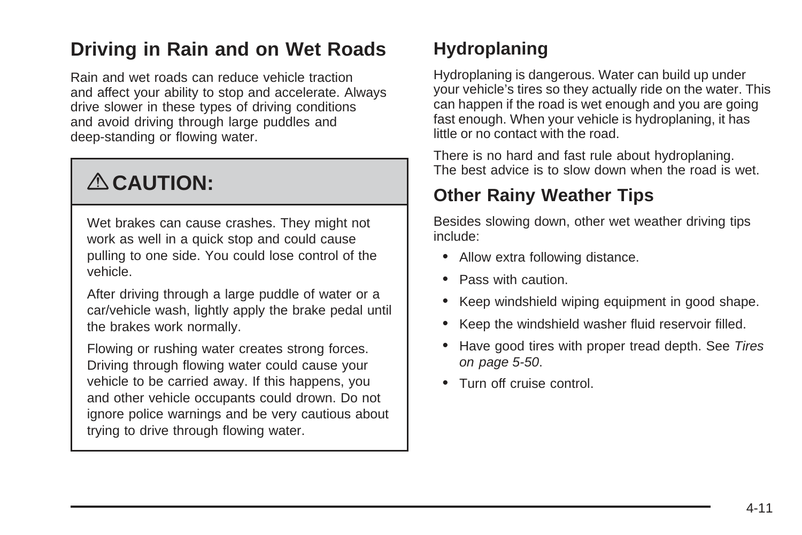### **Driving in Rain and on Wet Roads**

Rain and wet roads can reduce vehicle traction and affect your ability to stop and accelerate. Always drive slower in these types of driving conditions and avoid driving through large puddles and deep-standing or flowing water.

# { **CAUTION:**

Wet brakes can cause crashes. They might not work as well in a quick stop and could cause pulling to one side. You could lose control of the vehicle.

After driving through a large puddle of water or a car/vehicle wash, lightly apply the brake pedal until the brakes work normally.

Flowing or rushing water creates strong forces. Driving through flowing water could cause your vehicle to be carried away. If this happens, you and other vehicle occupants could drown. Do not ignore police warnings and be very cautious about trying to drive through flowing water.

### **Hydroplaning**

Hydroplaning is dangerous. Water can build up under your vehicle's tires so they actually ride on the water. This can happen if the road is wet enough and you are going fast enough. When your vehicle is hydroplaning, it has little or no contact with the road.

There is no hard and fast rule about hydroplaning. The best advice is to slow down when the road is wet.

### **Other Rainy Weather Tips**

Besides slowing down, other wet weather driving tips include:

- Allow extra following distance.
- Pass with caution.
- Keep windshield wiping equipment in good shape.
- Keep the windshield washer fluid reservoir filled.
- Have good tires with proper tread depth. See [Tires](#page-253-0) on page 5-50.
- Turn off cruise control.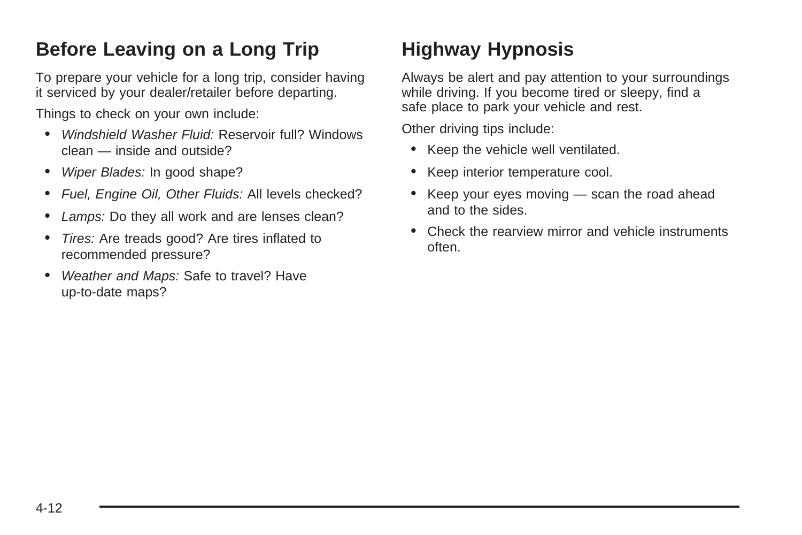## <span id="page-185-0"></span>**Before Leaving on a Long Trip**

To prepare your vehicle for a long trip, consider having it serviced by your dealer/retailer before departing.

Things to check on your own include:

- Windshield Washer Fluid: Reservoir full? Windows clean — inside and outside?
- Wiper Blades: In good shape?
- Fuel, Engine Oil, Other Fluids: All levels checked?
- Lamps: Do they all work and are lenses clean?
- Tires: Are treads good? Are tires inflated to recommended pressure?
- Weather and Maps: Safe to travel? Have up-to-date maps?

## **Highway Hypnosis**

Always be alert and pay attention to your surroundings while driving. If you become tired or sleepy, find a safe place to park your vehicle and rest.

Other driving tips include:

- Keep the vehicle well ventilated.
- Keep interior temperature cool.
- Keep your eyes moving scan the road ahead and to the sides.
- Check the rearview mirror and vehicle instruments often.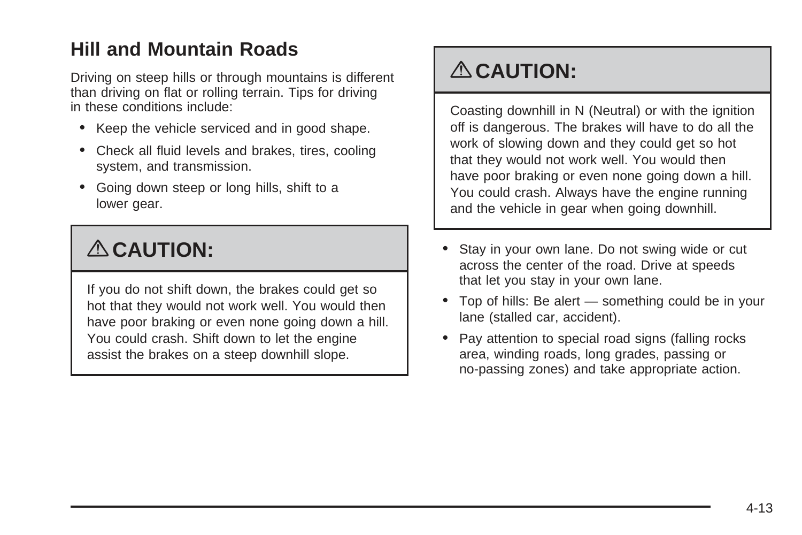### **Hill and Mountain Roads**

Driving on steep hills or through mountains is different than driving on flat or rolling terrain. Tips for driving in these conditions include:

- Keep the vehicle serviced and in good shape.
- Check all fluid levels and brakes, tires, cooling system, and transmission.
- Going down steep or long hills, shift to a lower gear.

# { **CAUTION:**

If you do not shift down, the brakes could get so hot that they would not work well. You would then have poor braking or even none going down a hill. You could crash. Shift down to let the engine assist the brakes on a steep downhill slope.

## { **CAUTION:**

Coasting downhill in N (Neutral) or with the ignition off is dangerous. The brakes will have to do all the work of slowing down and they could get so hot that they would not work well. You would then have poor braking or even none going down a hill. You could crash. Always have the engine running and the vehicle in gear when going downhill.

- Stay in your own lane. Do not swing wide or cut across the center of the road. Drive at speeds that let you stay in your own lane.
- Top of hills: Be alert something could be in your lane (stalled car, accident).
- Pay attention to special road signs (falling rocks area, winding roads, long grades, passing or no-passing zones) and take appropriate action.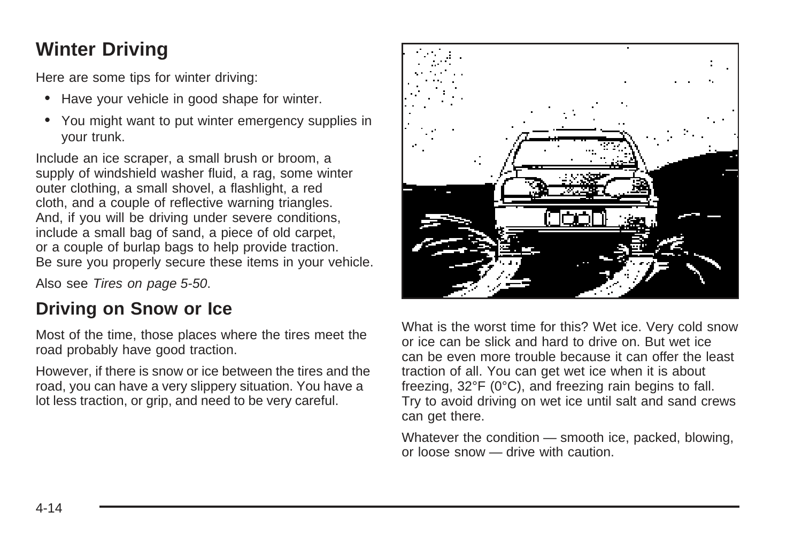## **Winter Driving**

Here are some tips for winter driving:

- Have your vehicle in good shape for winter.
- You might want to put winter emergency supplies in your trunk.

Include an ice scraper, a small brush or broom, a supply of windshield washer fluid, a rag, some winter outer clothing, a small shovel, a flashlight, a red cloth, and a couple of reflective warning triangles. And, if you will be driving under severe conditions, include a small bag of sand, a piece of old carpet, or a couple of burlap bags to help provide traction. Be sure you properly secure these items in your vehicle.

Also see [Tires](#page-253-0) on page 5-50.

#### **Driving on Snow or Ice**

Most of the time, those places where the tires meet the road probably have good traction.

However, if there is snow or ice between the tires and the road, you can have a very slippery situation. You have a lot less traction, or grip, and need to be very careful.



What is the worst time for this? Wet ice. Very cold snow or ice can be slick and hard to drive on. But wet ice can be even more trouble because it can offer the least traction of all. You can get wet ice when it is about freezing, 32°F (0°C), and freezing rain begins to fall. Try to avoid driving on wet ice until salt and sand crews can get there.

Whatever the condition — smooth ice, packed, blowing, or loose snow — drive with caution.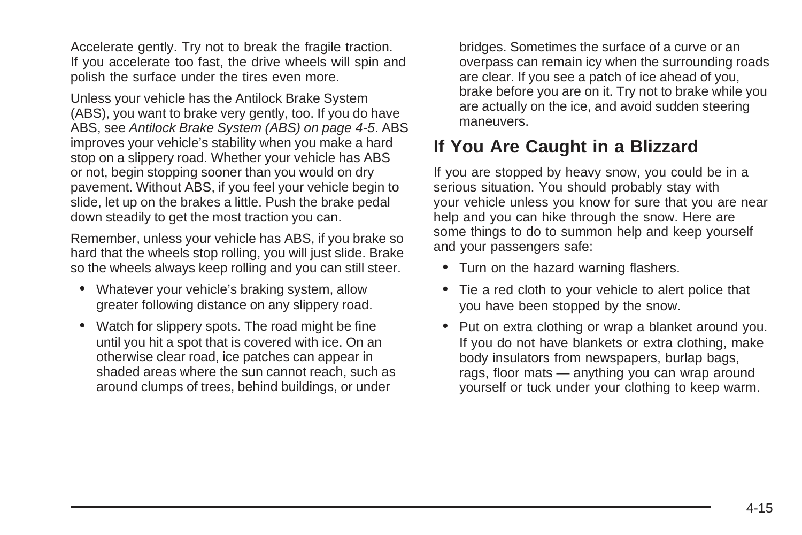Accelerate gently. Try not to break the fragile traction. If you accelerate too fast, the drive wheels will spin and polish the surface under the tires even more.

Unless your vehicle has the Antilock Brake System (ABS), you want to brake very gently, too. If you do have ABS, see [Antilock Brake System \(ABS\)](#page-178-0) on page 4-5. ABS improves your vehicle's stability when you make a hard stop on a slippery road. Whether your vehicle has ABS or not, begin stopping sooner than you would on dry pavement. Without ABS, if you feel your vehicle begin to slide, let up on the brakes a little. Push the brake pedal down steadily to get the most traction you can.

Remember, unless your vehicle has ABS, if you brake so hard that the wheels stop rolling, you will just slide. Brake so the wheels always keep rolling and you can still steer.

- Whatever your vehicle's braking system, allow greater following distance on any slippery road.
- Watch for slippery spots. The road might be fine until you hit a spot that is covered with ice. On an otherwise clear road, ice patches can appear in shaded areas where the sun cannot reach, such as around clumps of trees, behind buildings, or under

bridges. Sometimes the surface of a curve or an overpass can remain icy when the surrounding roads are clear. If you see a patch of ice ahead of you, brake before you are on it. Try not to brake while you are actually on the ice, and avoid sudden steering maneuvers.

#### **If You Are Caught in a Blizzard**

If you are stopped by heavy snow, you could be in a serious situation. You should probably stay with your vehicle unless you know for sure that you are near help and you can hike through the snow. Here are some things to do to summon help and keep yourself and your passengers safe:

- Turn on the hazard warning flashers.
- Tie a red cloth to your vehicle to alert police that you have been stopped by the snow.
- Put on extra clothing or wrap a blanket around you. If you do not have blankets or extra clothing, make body insulators from newspapers, burlap bags, rags, floor mats — anything you can wrap around yourself or tuck under your clothing to keep warm.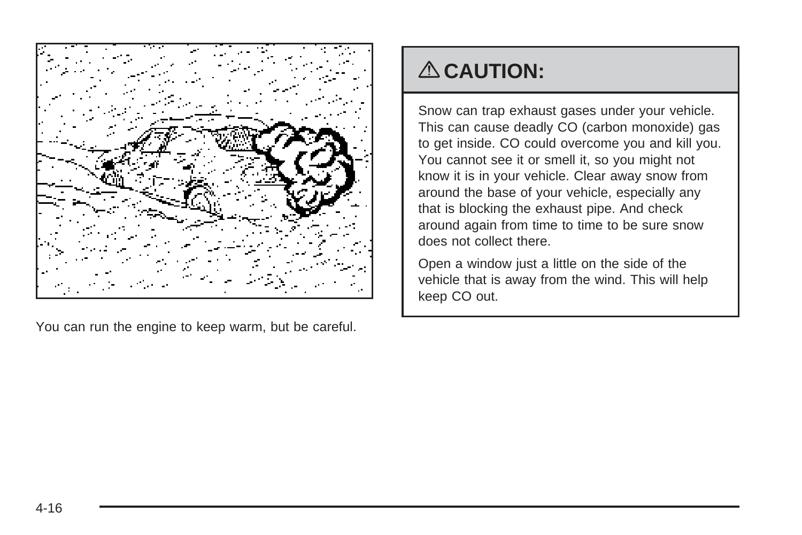

You can run the engine to keep warm, but be careful.

## { **CAUTION:**

Snow can trap exhaust gases under your vehicle. This can cause deadly CO (carbon monoxide) gas to get inside. CO could overcome you and kill you. You cannot see it or smell it, so you might not know it is in your vehicle. Clear away snow from around the base of your vehicle, especially any that is blocking the exhaust pipe. And check around again from time to time to be sure snow does not collect there.

Open a window just a little on the side of the vehicle that is away from the wind. This will help keep CO out.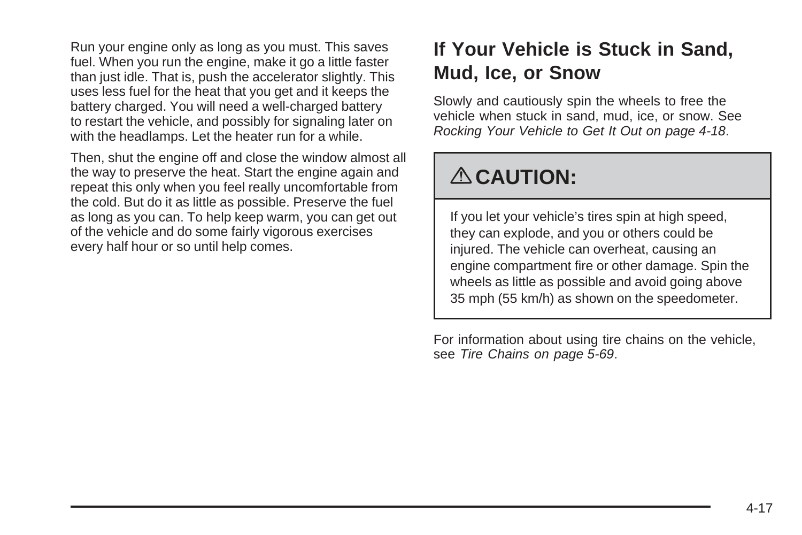Run your engine only as long as you must. This saves fuel. When you run the engine, make it go a little faster than just idle. That is, push the accelerator slightly. This uses less fuel for the heat that you get and it keeps the battery charged. You will need a well-charged battery to restart the vehicle, and possibly for signaling later on with the headlamps. Let the heater run for a while.

Then, shut the engine off and close the window almost all the way to preserve the heat. Start the engine again and repeat this only when you feel really uncomfortable from the cold. But do it as little as possible. Preserve the fuel as long as you can. To help keep warm, you can get out of the vehicle and do some fairly vigorous exercises every half hour or so until help comes.

### **If Your Vehicle is Stuck in Sand, Mud, Ice, or Snow**

Slowly and cautiously spin the wheels to free the vehicle when stuck in sand, mud, ice, or snow. See [Rocking Your Vehicle to Get It Out](#page-191-0) on page 4-18.

## { **CAUTION:**

If you let your vehicle's tires spin at high speed, they can explode, and you or others could be injured. The vehicle can overheat, causing an engine compartment fire or other damage. Spin the wheels as little as possible and avoid going above 35 mph (55 km/h) as shown on the speedometer.

For information about using tire chains on the vehicle, see [Tire Chains](#page-272-0) on page 5-69.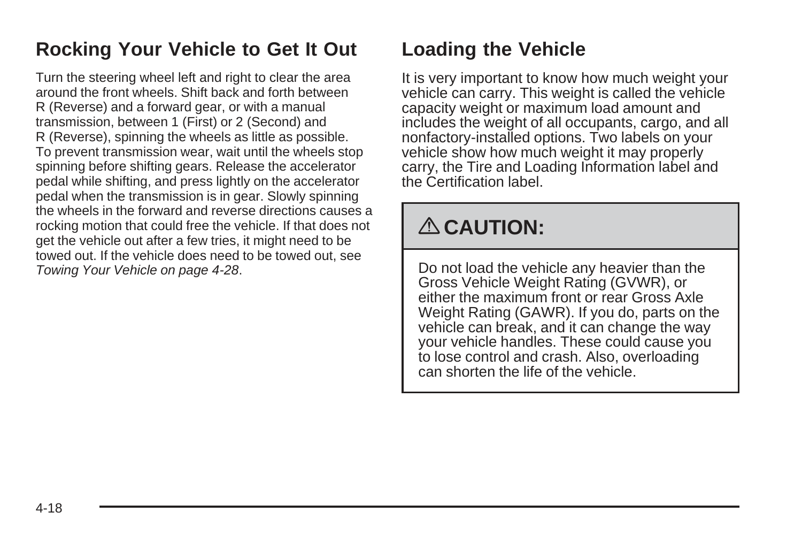### <span id="page-191-0"></span>**Rocking Your Vehicle to Get It Out**

Turn the steering wheel left and right to clear the area around the front wheels. Shift back and forth between R (Reverse) and a forward gear, or with a manual transmission, between 1 (First) or 2 (Second) and R (Reverse), spinning the wheels as little as possible. To prevent transmission wear, wait until the wheels stop spinning before shifting gears. Release the accelerator pedal while shifting, and press lightly on the accelerator pedal when the transmission is in gear. Slowly spinning the wheels in the forward and reverse directions causes a rocking motion that could free the vehicle. If that does not get the vehicle out after a few tries, it might need to be towed out. If the vehicle does need to be towed out, see [Towing Your Vehicle](#page-201-0) on page 4-28.

## **Loading the Vehicle**

It is very important to know how much weight your vehicle can carry. This weight is called the vehicle capacity weight or maximum load amount and includes the weight of all occupants, cargo, and all nonfactory-installed options. Two labels on your vehicle show how much weight it may properly carry, the Tire and Loading Information label and the Certification label.

# { **CAUTION:**

Do not load the vehicle any heavier than the Gross Vehicle Weight Rating (GVWR), or either the maximum front or rear Gross Axle Weight Rating (GAWR). If you do, parts on the vehicle can break, and it can change the way your vehicle handles. These could cause you to lose control and crash. Also, overloading can shorten the life of the vehicle.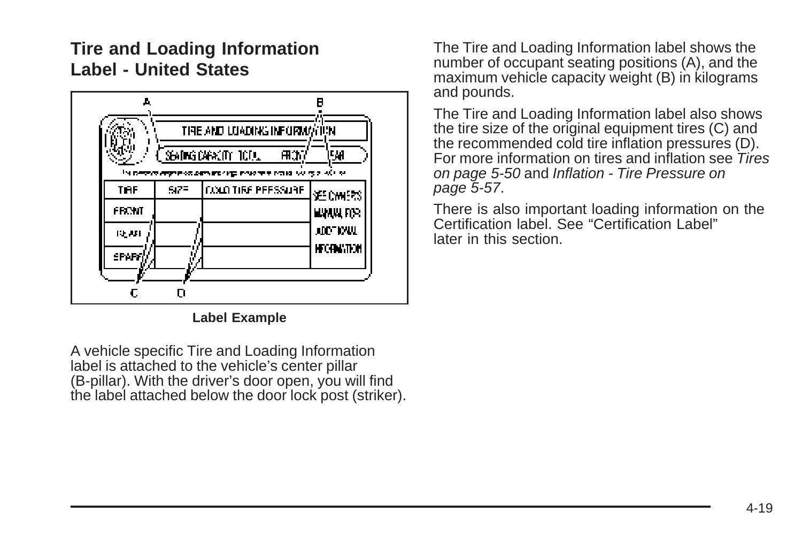#### **Tire and Loading Information Label - United States**



**Label Example**

A vehicle specific Tire and Loading Information label is attached to the vehicle's center pillar (B-pillar). With the driver's door open, you will find the label attached below the door lock post (striker). The Tire and Loading Information label shows the number of occupant seating positions (A), and the maximum vehicle capacity weight (B) in kilograms and pounds.

The Tire and Loading Information label also shows the tire size of the original equipment tires (C) and the recommended cold tire inflation pressures (D). For more information on tires and inflation see [Tires](#page-253-0) on page 5-50 and [Inflation - Tire Pressure](#page-260-0) on page 5-57.

There is also important loading information on the Certification label. See "Certification Label" later in this section.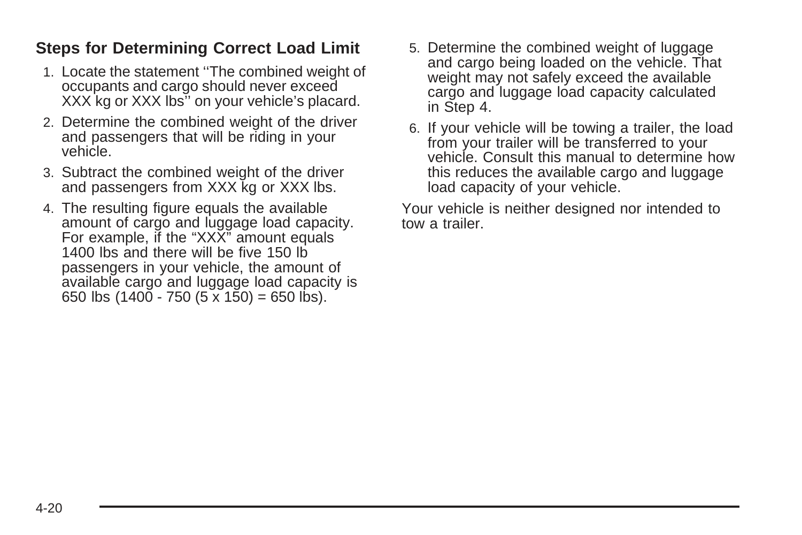#### **Steps for Determining Correct Load Limit**

- 1. Locate the statement ''The combined weight of occupants and cargo should never exceed XXX kg or XXX lbs'' on your vehicle's placard.
- 2. Determine the combined weight of the driver and passengers that will be riding in your vehicle.
- 3. Subtract the combined weight of the driver and passengers from XXX kg or XXX lbs.
- 4. The resulting figure equals the available amount of cargo and luggage load capacity. For example, if the "XXX" amount equals 1400 lbs and there will be five 150 lb passengers in your vehicle, the amount of available cargo and luggage load capacity is 650 lbs  $(1400 - 750 (5 \times 150) = 650$  lbs).
- 5. Determine the combined weight of luggage and cargo being loaded on the vehicle. That weight may not safely exceed the available cargo and luggage load capacity calculated in Step 4.
- 6. If your vehicle will be towing a trailer, the load from your trailer will be transferred to your vehicle. Consult this manual to determine how this reduces the available cargo and luggage load capacity of your vehicle.

Your vehicle is neither designed nor intended to tow a trailer.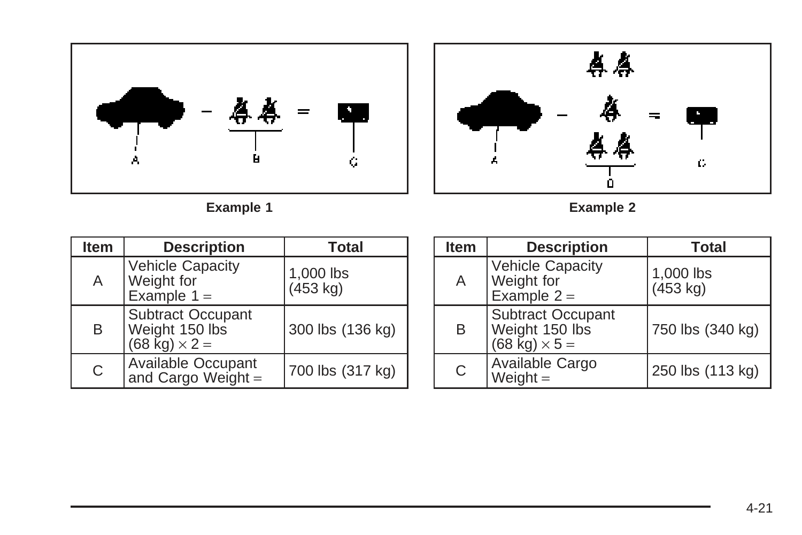



**Example 1 Example 2**

| <b>Item</b> | <b>Description</b>                                                         | <b>Total</b>                    |
|-------------|----------------------------------------------------------------------------|---------------------------------|
| A           | <b>Vehicle Capacity</b><br>Weight for<br>Example $1 =$                     | 1,000 lbs<br>$(453 \text{ kg})$ |
| B           | <b>Subtract Occupant</b><br>Weight 150 lbs<br>$(68 \text{ kg}) \times 2 =$ | 300 lbs (136 kg)                |
| C           | <b>Available Occupant</b><br>and Cargo Weight =                            | 700 lbs (317 kg)                |

| <b>Item</b> | <b>Description</b>                                                         | <b>Total</b>                    |
|-------------|----------------------------------------------------------------------------|---------------------------------|
| Α           | <b>Vehicle Capacity</b><br>Weight for<br>Example $2 =$                     | 1,000 lbs<br>$(453 \text{ kg})$ |
| В           | <b>Subtract Occupant</b><br>Weight 150 lbs<br>$(68 \text{ kg}) \times 5 =$ | 750 lbs (340 kg)                |
| C           | Available Cargo<br>Weight $=$                                              | 250 lbs (113 kg)                |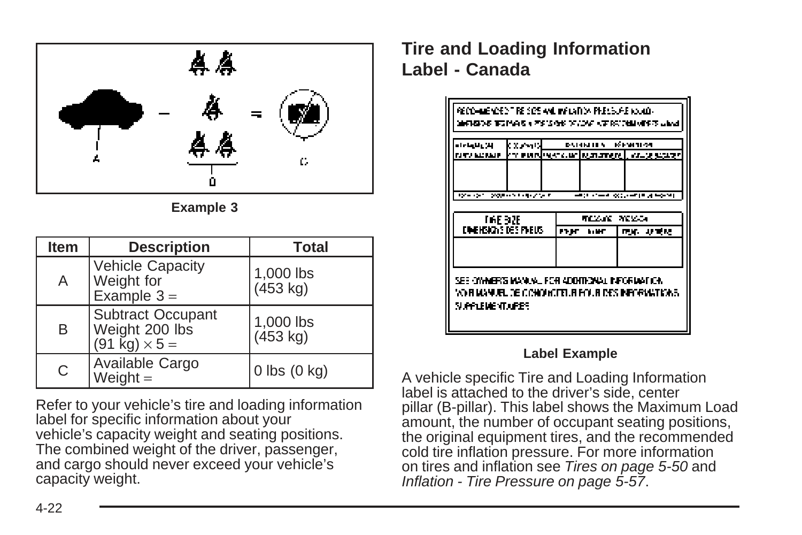



| <b>Item</b> | <b>Description</b>                                          | <b>Total</b>          |
|-------------|-------------------------------------------------------------|-----------------------|
| А           | <b>Vehicle Capacity</b><br>Weight for<br>Example $3 =$      | 1,000 lbs<br>(453 kg) |
| B           | Subtract Occupant<br>Weight 200 lbs<br>(91 kg) $\times$ 5 = | 1,000 lbs<br>(453 kg) |
| C           | Available Cargo<br>Weight $=$                               | $0$ lbs $(0$ kg)      |

Refer to your vehicle's tire and loading information label for specific information about your vehicle's capacity weight and seating positions. The combined weight of the driver, passenger, and cargo should never exceed your vehicle's capacity weight.

#### **Tire and Loading Information Label - Canada**

| والارواء الماداة<br><b>NEV MONEY</b>                               | kxevul | <b>DAINHEN</b>                                | <b>REPORTED</b><br>kry word werk.art symmetre), www.gradegy |
|--------------------------------------------------------------------|--------|-----------------------------------------------|-------------------------------------------------------------|
| リアー・シャー アクリック しょうアウトア                                              |        |                                               | 구분이 너무 잘 주었다구나. 제 누어요!                                      |
| THE 92E<br>EDIENSICHS DES PREUS                                    |        | MEZANE PIEZADA<br>inger av elect<br>ngan suan |                                                             |
|                                                                    |        |                                               |                                                             |
| SEE OVAMERIS MANUAL FOR ADDITIONAL INFORMATION.<br>SUPPLEMENT UPES |        |                                               | VO RIANA ALEL DE CONQUISTELRI POLRIDES INFORMATIONS.        |

#### **Label Example**

A vehicle specific Tire and Loading Information label is attached to the driver's side, center pillar (B-pillar). This label shows the Maximum Load amount, the number of occupant seating positions, the original equipment tires, and the recommended cold tire inflation pressure. For more information on tires and inflation see [Tires](#page-253-0) on page 5-50 and [Inflation - Tire Pressure](#page-260-0) on page 5-57.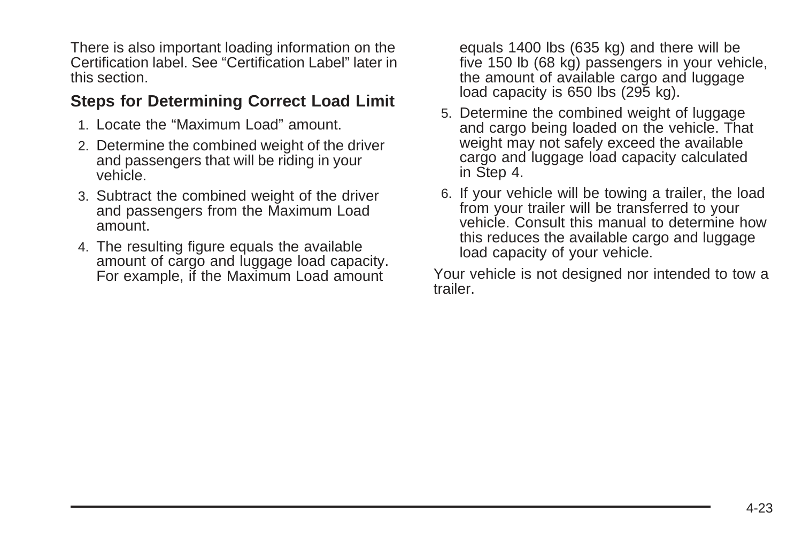There is also important loading information on the Certification label. See "Certification Label" later in this section.

#### **Steps for Determining Correct Load Limit**

- 1. Locate the "Maximum Load" amount.
- 2. Determine the combined weight of the driver and passengers that will be riding in your vehicle.
- 3. Subtract the combined weight of the driver and passengers from the Maximum Load amount.
- 4. The resulting figure equals the available amount of cargo and luggage load capacity. For example, if the Maximum Load amount

equals 1400 lbs (635 kg) and there will be five 150 lb (68 kg) passengers in your vehicle, the amount of available cargo and luggage load capacity is 650 lbs (295 kg).

- 5. Determine the combined weight of luggage and cargo being loaded on the vehicle. That weight may not safely exceed the available cargo and luggage load capacity calculated in Step 4.
- 6. If your vehicle will be towing a trailer, the load from your trailer will be transferred to your vehicle. Consult this manual to determine how this reduces the available cargo and luggage load capacity of your vehicle.

Your vehicle is not designed nor intended to tow a trailer.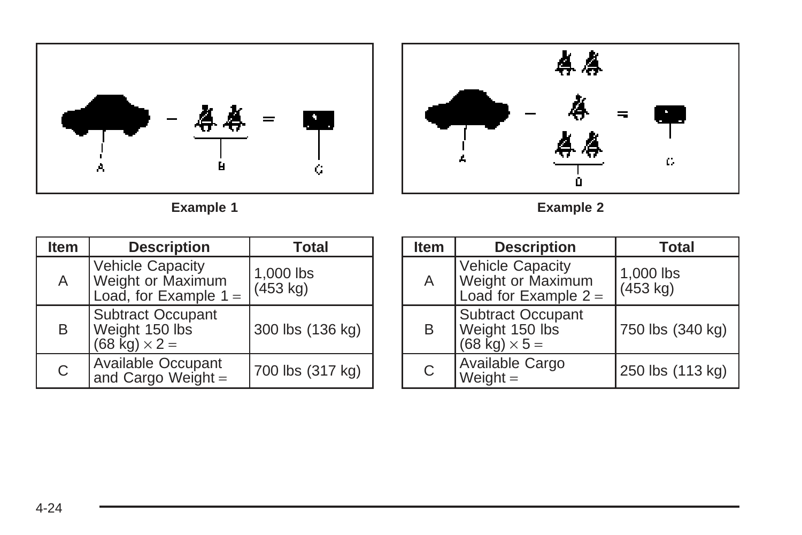



**Example 1 Example 2**

| <b>Item</b> | <b>Description</b>                                                                      | <b>Total</b>                    |
|-------------|-----------------------------------------------------------------------------------------|---------------------------------|
| A           | <b>Vehicle Capacity</b><br>Weight or Maximum<br>Load, for Example $1 =$                 | 1,000 lbs<br>$(453 \text{ kg})$ |
| B           | <b>Subtract Occupant</b><br>Weight 150 lbs<br>$(68 \text{ \textcircled{k}}) \times 2 =$ | 300 lbs (136 kg)                |
| C           | Available Occupant<br>and Cargo Weight =                                                | 700 lbs (317 kg)                |

| <b>Item</b> | <b>Description</b>                                                         | <b>Total</b>                    |
|-------------|----------------------------------------------------------------------------|---------------------------------|
| A           | Vehicle Capacity<br>Weight or Maximum<br>Load for Example $2 =$            | 1,000 lbs<br>$(453 \text{ kg})$ |
| B           | <b>Subtract Occupant</b><br>Weight 150 lbs<br>$(68 \text{ kg}) \times 5 =$ | 750 lbs (340 kg)                |
| C           | Available Cargo<br>Weight $=$                                              | 250 lbs (113 kg)                |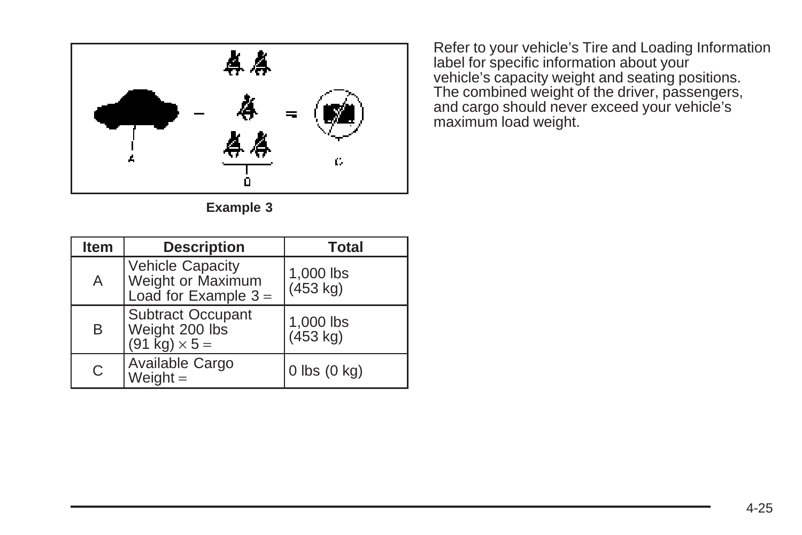

**Example 3**

Refer to your vehicle's Tire and Loading Information label for specific information about your vehicle's capacity weight and seating positions. The combined weight of the driver, passengers, and cargo should never exceed your vehicle's maximum load weight.

| <b>Item</b> | <b>Description</b>                                                         | <b>Total</b>          |
|-------------|----------------------------------------------------------------------------|-----------------------|
| Α           | <b>Vehicle Capacity</b><br>Weight or Maximum<br>Load for Example $3 =$     | 1,000 lbs<br>(453 kg) |
| B           | <b>Subtract Occupant</b><br>Weight 200 lbs<br>$(91 \text{ kg}) \times 5 =$ | 1,000 lbs<br>(453 kg) |
| С           | Available Cargo<br>Weight $=$                                              | $0$ lbs $(0$ kg)      |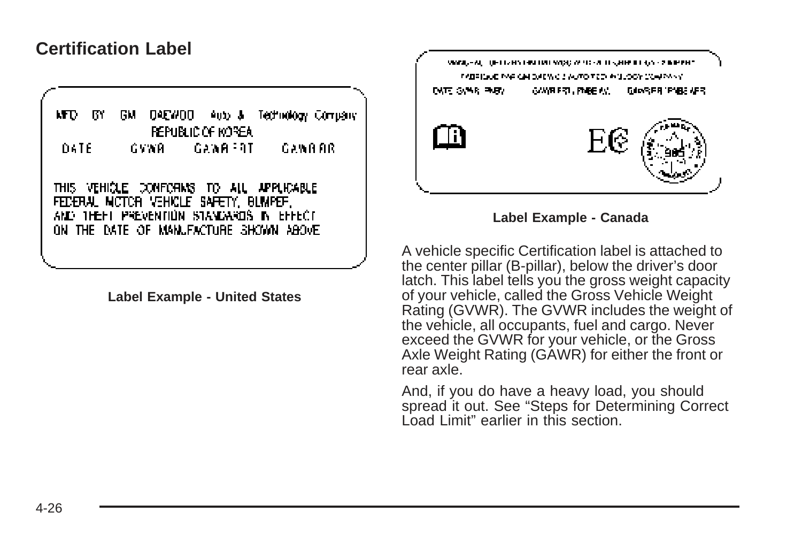#### **Certification Label**

NT D ß۲ GМ **DAEWOO** Auto & Technology Company **REPUBLIC OF KOREA** DATE GYWR. GAWA FRI GAWARR THIS VEHICLE CONFORMS TO ALL APPLICABLE FEDERAL NICTOR VEHICLE SAFETY, BUMPEF, AND THEFT PREVENTION STANDARDS IN EFFECT ON THE DATE OF MANUFACTURE SHOWN ABOVE

**Label Example - United States**



**Label Example - Canada**

A vehicle specific Certification label is attached to the center pillar (B-pillar), below the driver's door latch. This label tells you the gross weight capacity of your vehicle, called the Gross Vehicle Weight Rating (GVWR). The GVWR includes the weight of the vehicle, all occupants, fuel and cargo. Never exceed the GVWR for your vehicle, or the Gross Axle Weight Rating (GAWR) for either the front or rear axle.

And, if you do have a heavy load, you should spread it out. See "Steps for Determining Correct Load Limit" earlier in this section.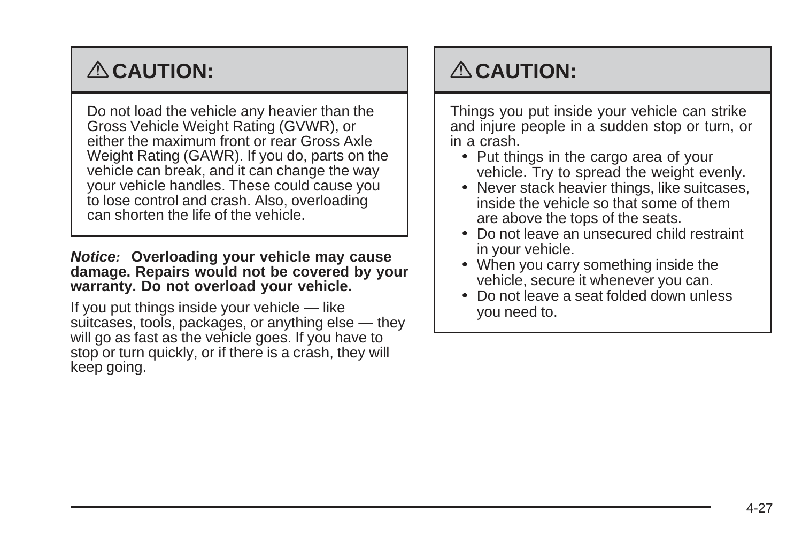# { **CAUTION:**

Do not load the vehicle any heavier than the Gross Vehicle Weight Rating (GVWR), or either the maximum front or rear Gross Axle Weight Rating (GAWR). If you do, parts on the vehicle can break, and it can change the way your vehicle handles. These could cause you to lose control and crash. Also, overloading can shorten the life of the vehicle.

#### **Notice: Overloading your vehicle may cause damage. Repairs would not be covered by your warranty. Do not overload your vehicle.**

If you put things inside your vehicle — like suitcases, tools, packages, or anything else — they will go as fast as the vehicle goes. If you have to stop or turn quickly, or if there is a crash, they will keep going.

## { **CAUTION:**

Things you put inside your vehicle can strike and injure people in a sudden stop or turn, or in a crash.

- Put things in the cargo area of your vehicle. Try to spread the weight evenly.
- Never stack heavier things, like suitcases, inside the vehicle so that some of them are above the tops of the seats.
- Do not leave an unsecured child restraint in your vehicle.
- When you carry something inside the vehicle, secure it whenever you can.
- Do not leave a seat folded down unless you need to.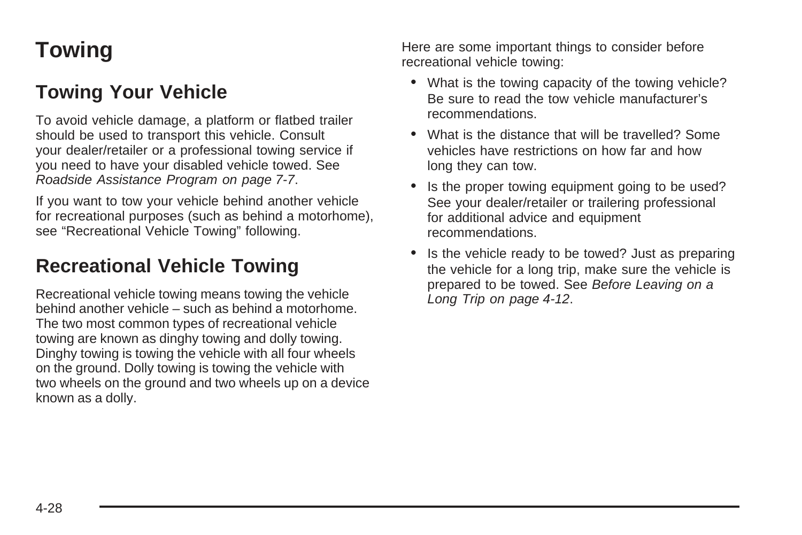## <span id="page-201-0"></span>**Towing**

## **Towing Your Vehicle**

To avoid vehicle damage, a platform or flatbed trailer should be used to transport this vehicle. Consult your dealer/retailer or a professional towing service if you need to have your disabled vehicle towed. See [Roadside Assistance Program](#page-322-0) on page 7-7.

If you want to tow your vehicle behind another vehicle for recreational purposes (such as behind a motorhome), see "Recreational Vehicle Towing" following.

### **Recreational Vehicle Towing**

Recreational vehicle towing means towing the vehicle behind another vehicle – such as behind a motorhome. The two most common types of recreational vehicle towing are known as dinghy towing and dolly towing. Dinghy towing is towing the vehicle with all four wheels on the ground. Dolly towing is towing the vehicle with two wheels on the ground and two wheels up on a device known as a dolly.

Here are some important things to consider before recreational vehicle towing:

- What is the towing capacity of the towing vehicle? Be sure to read the tow vehicle manufacturer's recommendations.
- What is the distance that will be travelled? Some vehicles have restrictions on how far and how long they can tow.
- Is the proper towing equipment going to be used? See your dealer/retailer or trailering professional for additional advice and equipment recommendations.
- Is the vehicle ready to be towed? Just as preparing the vehicle for a long trip, make sure the vehicle is prepared to be towed. See [Before Leaving on a](#page-185-0) [Long Trip](#page-185-0) on page 4-12.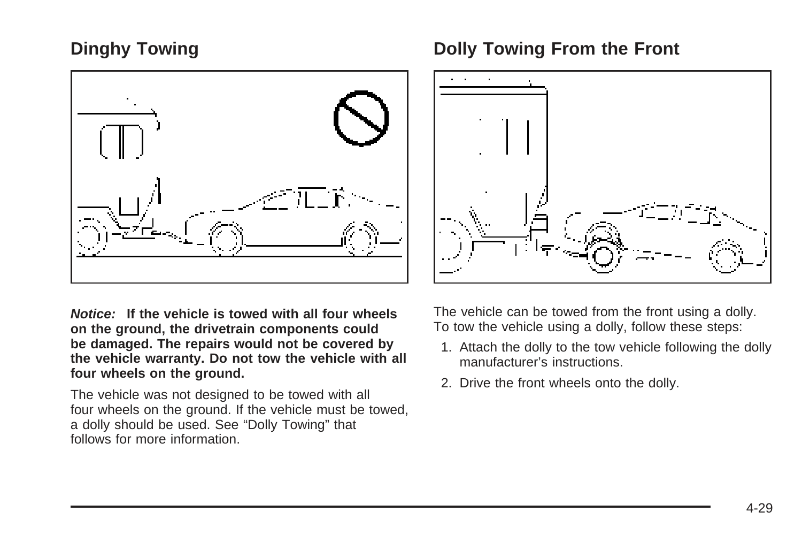#### **Dinghy Towing**



**Notice: If the vehicle is towed with all four wheels on the ground, the drivetrain components could be damaged. The repairs would not be covered by the vehicle warranty. Do not tow the vehicle with all four wheels on the ground.**

The vehicle was not designed to be towed with all four wheels on the ground. If the vehicle must be towed, a dolly should be used. See "Dolly Towing" that follows for more information.

#### **Dolly Towing From the Front**



The vehicle can be towed from the front using a dolly. To tow the vehicle using a dolly, follow these steps:

- 1. Attach the dolly to the tow vehicle following the dolly manufacturer's instructions.
- 2. Drive the front wheels onto the dolly.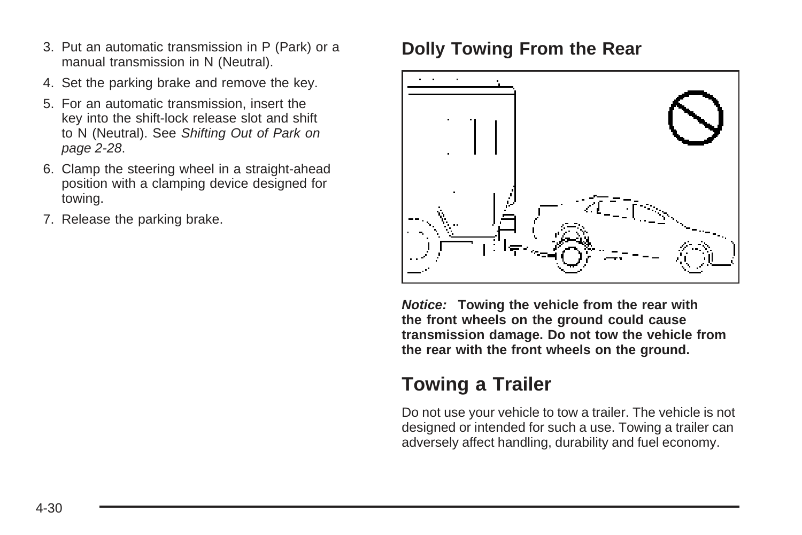- 3. Put an automatic transmission in P (Park) or a manual transmission in N (Neutral).
- 4. Set the parking brake and remove the key.
- 5. For an automatic transmission, insert the key into the shift-lock release slot and shift to N (Neutral). See [Shifting Out of Park](#page-105-0) on page 2-28.
- 6. Clamp the steering wheel in a straight-ahead position with a clamping device designed for towing.
- 7. Release the parking brake.

### **Dolly Towing From the Rear**



**Notice: Towing the vehicle from the rear with the front wheels on the ground could cause transmission damage. Do not tow the vehicle from the rear with the front wheels on the ground.**

### **Towing a Trailer**

Do not use your vehicle to tow a trailer. The vehicle is not designed or intended for such a use. Towing a trailer can adversely affect handling, durability and fuel economy.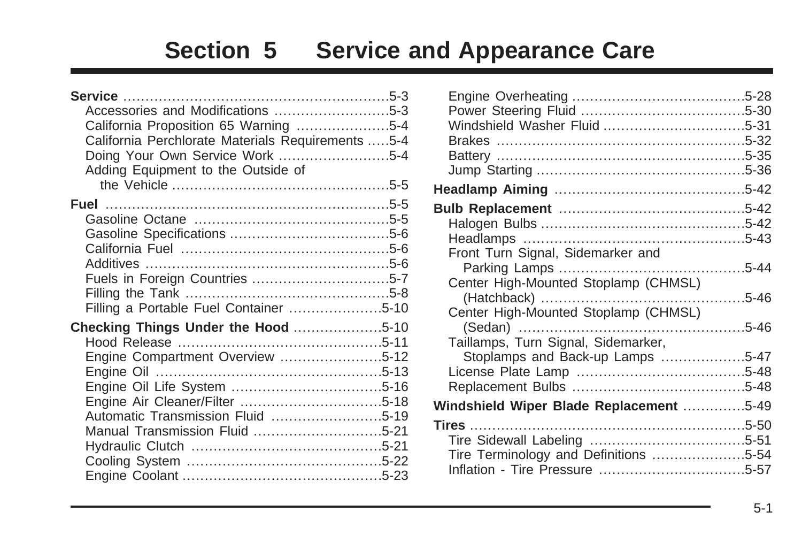# **Section 5 Service and Appearance Care**

| Accessories and Modifications 5-3                 |  |
|---------------------------------------------------|--|
| California Proposition 65 Warning 5-4             |  |
| California Perchlorate Materials Requirements 5-4 |  |
| Doing Your Own Service Work 5-4                   |  |
| Adding Equipment to the Outside of                |  |
|                                                   |  |
|                                                   |  |
|                                                   |  |
|                                                   |  |
|                                                   |  |
|                                                   |  |
| Fuels in Foreign Countries 5-7                    |  |
|                                                   |  |
| Filling a Portable Fuel Container 5-10            |  |
| Checking Things Under the Hood 5-10               |  |
|                                                   |  |
| Engine Compartment Overview 5-12                  |  |
|                                                   |  |
|                                                   |  |
|                                                   |  |
| Automatic Transmission Fluid 5-19                 |  |
| Manual Transmission Fluid 5-21                    |  |
|                                                   |  |
|                                                   |  |
|                                                   |  |

| Front Turn Signal, Sidemarker and       |  |
|-----------------------------------------|--|
|                                         |  |
| Center High-Mounted Stoplamp (CHMSL)    |  |
|                                         |  |
| Center High-Mounted Stoplamp (CHMSL)    |  |
|                                         |  |
| Taillamps, Turn Signal, Sidemarker,     |  |
| Stoplamps and Back-up Lamps 5-47        |  |
|                                         |  |
|                                         |  |
| Windshield Wiper Blade Replacement 5-49 |  |
|                                         |  |
|                                         |  |
| Tire Terminology and Definitions 5-54   |  |
|                                         |  |
|                                         |  |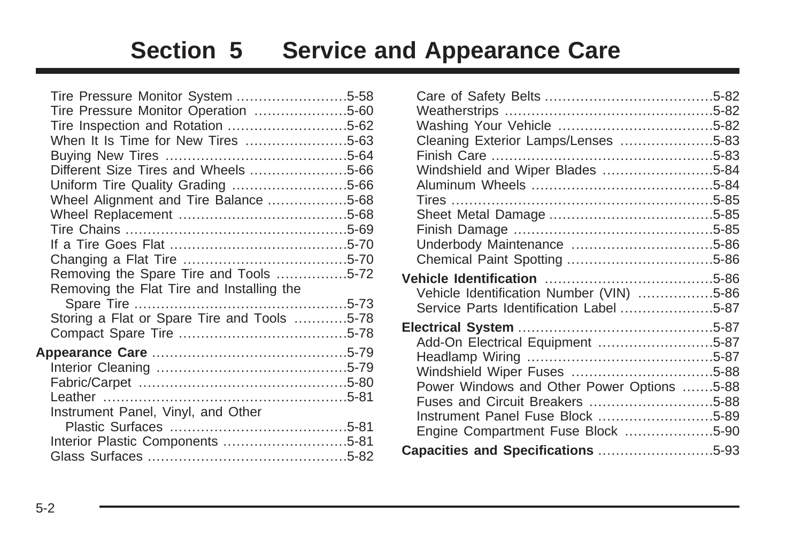# **Section 5 Service and Appearance Care**

| Tire Pressure Monitor System 5-58           |  |
|---------------------------------------------|--|
| Tire Pressure Monitor Operation 5-60        |  |
|                                             |  |
| When It Is Time for New Tires 5-63          |  |
|                                             |  |
| Different Size Tires and Wheels 5-66        |  |
| Uniform Tire Quality Grading 5-66           |  |
| Wheel Alignment and Tire Balance 5-68       |  |
|                                             |  |
|                                             |  |
|                                             |  |
|                                             |  |
| Removing the Spare Tire and Tools 5-72      |  |
| Removing the Flat Tire and Installing the   |  |
|                                             |  |
| Storing a Flat or Spare Tire and Tools 5-78 |  |
|                                             |  |
|                                             |  |
|                                             |  |
|                                             |  |
|                                             |  |
| Instrument Panel, Vinyl, and Other          |  |
|                                             |  |
| Interior Plastic Components 5-81            |  |
|                                             |  |
|                                             |  |

| Cleaning Exterior Lamps/Lenses 5-83                                                 |  |
|-------------------------------------------------------------------------------------|--|
|                                                                                     |  |
| Windshield and Wiper Blades 5-84                                                    |  |
|                                                                                     |  |
|                                                                                     |  |
|                                                                                     |  |
|                                                                                     |  |
|                                                                                     |  |
|                                                                                     |  |
| Vehicle Identification Number (VIN) 5-86<br>Service Parts Identification Label 5-87 |  |
|                                                                                     |  |
| Add-On Electrical Equipment 5-87                                                    |  |
|                                                                                     |  |
|                                                                                     |  |
| Power Windows and Other Power Options 5-88                                          |  |
| Fuses and Circuit Breakers 5-88                                                     |  |
| Instrument Panel Fuse Block 5-89                                                    |  |
| Engine Compartment Fuse Block 5-90                                                  |  |
| Capacities and Specifications 5-93                                                  |  |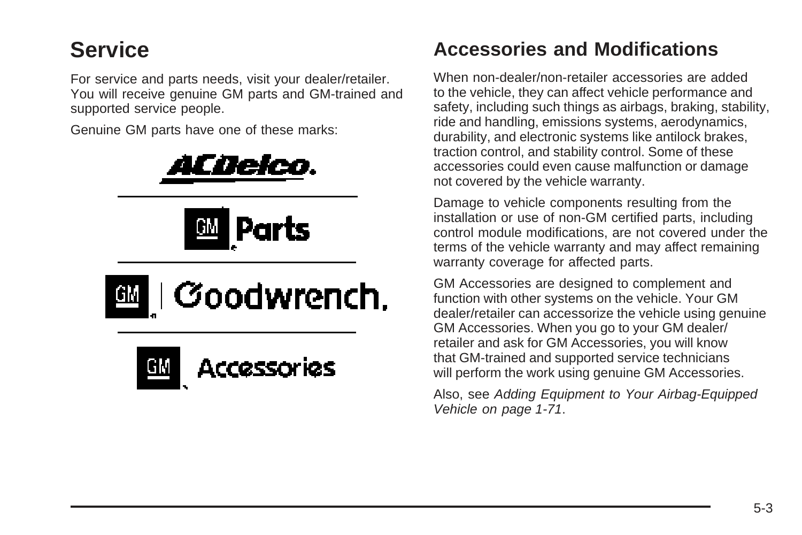## <span id="page-206-0"></span>**Service**

For service and parts needs, visit your dealer/retailer. You will receive genuine GM parts and GM-trained and supported service people.

Genuine GM parts have one of these marks:









## **Accessories and Modifications**

When non-dealer/non-retailer accessories are added to the vehicle, they can affect vehicle performance and safety, including such things as airbags, braking, stability, ride and handling, emissions systems, aerodynamics, durability, and electronic systems like antilock brakes, traction control, and stability control. Some of these accessories could even cause malfunction or damage not covered by the vehicle warranty.

Damage to vehicle components resulting from the installation or use of non-GM certified parts, including control module modifications, are not covered under the terms of the vehicle warranty and may affect remaining warranty coverage for affected parts.

GM Accessories are designed to complement and function with other systems on the vehicle. Your GM dealer/retailer can accessorize the vehicle using genuine GM Accessories. When you go to your GM dealer/ retailer and ask for GM Accessories, you will know that GM-trained and supported service technicians will perform the work using genuine GM Accessories.

Also, see [Adding Equipment to Your Airbag-Equipped](#page-74-0) [Vehicle](#page-74-0) on page 1-71.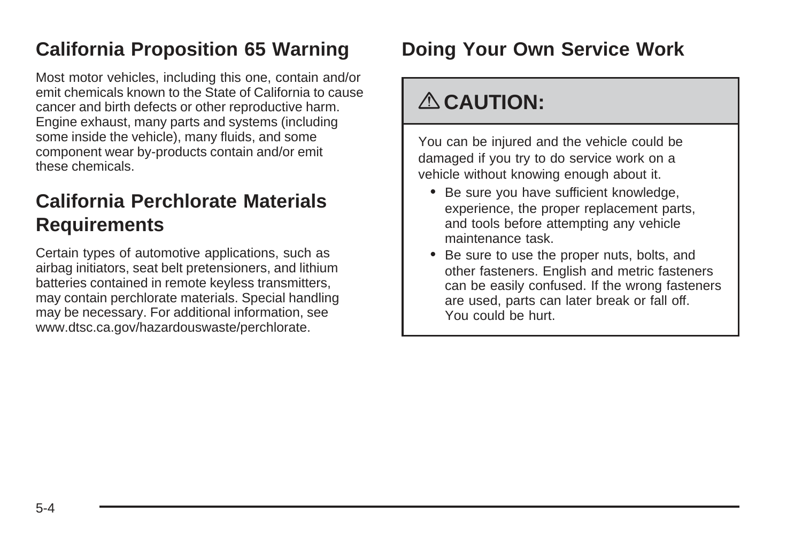### <span id="page-207-0"></span>**California Proposition 65 Warning**

Most motor vehicles, including this one, contain and/or emit chemicals known to the State of California to cause cancer and birth defects or other reproductive harm. Engine exhaust, many parts and systems (including some inside the vehicle), many fluids, and some component wear by-products contain and/or emit these chemicals.

## **California Perchlorate Materials Requirements**

Certain types of automotive applications, such as airbag initiators, seat belt pretensioners, and lithium batteries contained in remote keyless transmitters, may contain perchlorate materials. Special handling may be necessary. For additional information, see www.dtsc.ca.gov/hazardouswaste/perchlorate.

## **Doing Your Own Service Work**

## { **CAUTION:**

You can be injured and the vehicle could be damaged if you try to do service work on a vehicle without knowing enough about it.

- Be sure you have sufficient knowledge, experience, the proper replacement parts, and tools before attempting any vehicle maintenance task.
- Be sure to use the proper nuts, bolts, and other fasteners. English and metric fasteners can be easily confused. If the wrong fasteners are used, parts can later break or fall off. You could be hurt.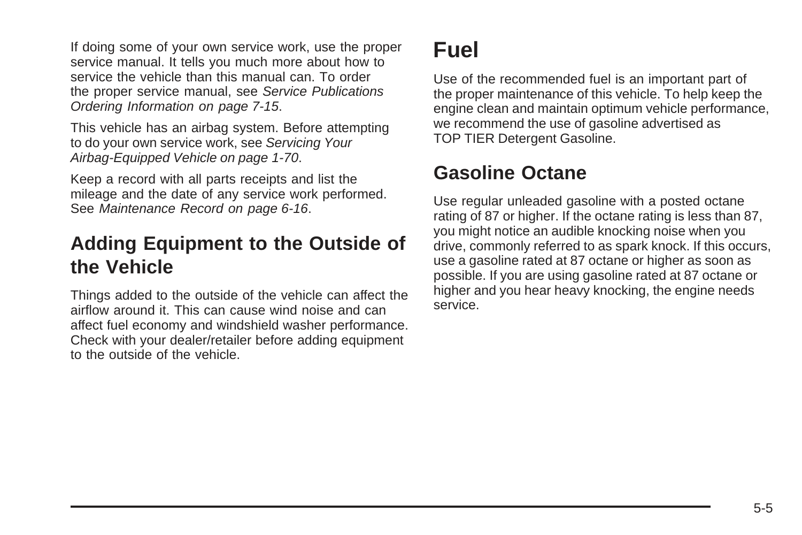<span id="page-208-0"></span>If doing some of your own service work, use the proper service manual. It tells you much more about how to service the vehicle than this manual can. To order the proper service manual, see [Service Publications](#page-330-0) [Ordering Information](#page-330-0) on page 7-15.

This vehicle has an airbag system. Before attempting to do your own service work, see [Servicing Your](#page-73-0) [Airbag-Equipped Vehicle](#page-73-0) on page 1-70.

Keep a record with all parts receipts and list the mileage and the date of any service work performed. See [Maintenance Record](#page-313-0) on page 6-16.

### **Adding Equipment to the Outside of the Vehicle**

Things added to the outside of the vehicle can affect the airflow around it. This can cause wind noise and can affect fuel economy and windshield washer performance. Check with your dealer/retailer before adding equipment to the outside of the vehicle.

## **Fuel**

Use of the recommended fuel is an important part of the proper maintenance of this vehicle. To help keep the engine clean and maintain optimum vehicle performance, we recommend the use of gasoline advertised as TOP TIER Detergent Gasoline.

## **Gasoline Octane**

Use regular unleaded gasoline with a posted octane rating of 87 or higher. If the octane rating is less than 87, you might notice an audible knocking noise when you drive, commonly referred to as spark knock. If this occurs, use a gasoline rated at 87 octane or higher as soon as possible. If you are using gasoline rated at 87 octane or higher and you hear heavy knocking, the engine needs service.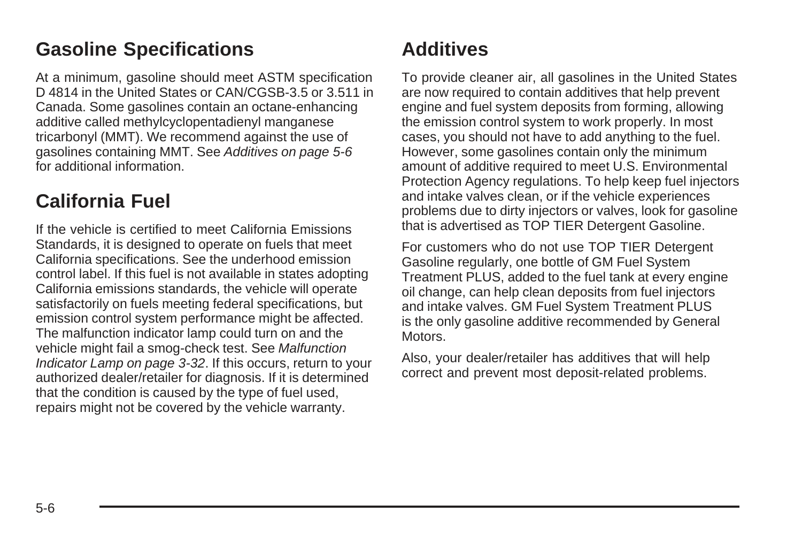### <span id="page-209-0"></span>**Gasoline Specifications**

At a minimum, gasoline should meet ASTM specification D 4814 in the United States or CAN/CGSB-3.5 or 3.511 in Canada. Some gasolines contain an octane-enhancing additive called methylcyclopentadienyl manganese tricarbonyl (MMT). We recommend against the use of gasolines containing MMT. See Additives on page 5-6 for additional information.

### **California Fuel**

If the vehicle is certified to meet California Emissions Standards, it is designed to operate on fuels that meet California specifications. See the underhood emission control label. If this fuel is not available in states adopting California emissions standards, the vehicle will operate satisfactorily on fuels meeting federal specifications, but emission control system performance might be affected. The malfunction indicator lamp could turn on and the vehicle might fail a smog-check test. See [Malfunction](#page-147-0) [Indicator Lamp](#page-147-0) on page 3-32. If this occurs, return to your authorized dealer/retailer for diagnosis. If it is determined that the condition is caused by the type of fuel used, repairs might not be covered by the vehicle warranty.

### **Additives**

To provide cleaner air, all gasolines in the United States are now required to contain additives that help prevent engine and fuel system deposits from forming, allowing the emission control system to work properly. In most cases, you should not have to add anything to the fuel. However, some gasolines contain only the minimum amount of additive required to meet U.S. Environmental Protection Agency regulations. To help keep fuel injectors and intake valves clean, or if the vehicle experiences problems due to dirty injectors or valves, look for gasoline that is advertised as TOP TIER Detergent Gasoline.

For customers who do not use TOP TIER Detergent Gasoline regularly, one bottle of GM Fuel System Treatment PLUS, added to the fuel tank at every engine oil change, can help clean deposits from fuel injectors and intake valves. GM Fuel System Treatment PLUS is the only gasoline additive recommended by General Motors.

Also, your dealer/retailer has additives that will help correct and prevent most deposit-related problems.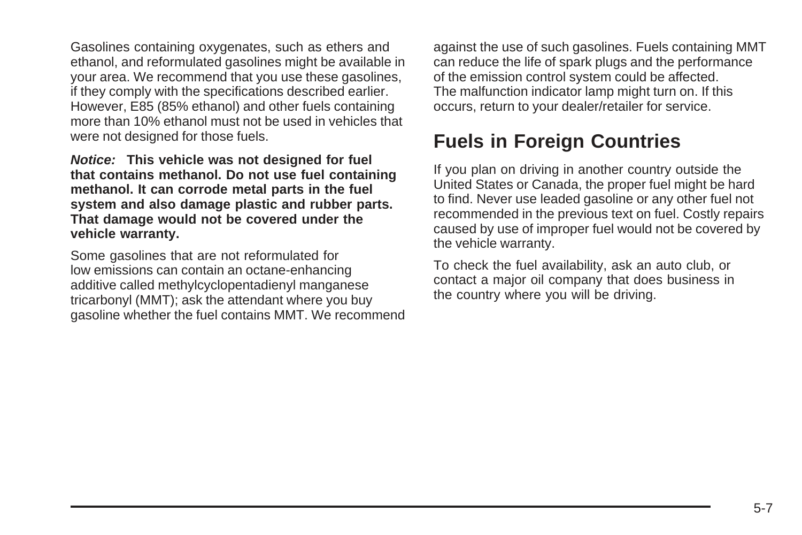<span id="page-210-0"></span>Gasolines containing oxygenates, such as ethers and ethanol, and reformulated gasolines might be available in your area. We recommend that you use these gasolines, if they comply with the specifications described earlier. However, E85 (85% ethanol) and other fuels containing more than 10% ethanol must not be used in vehicles that were not designed for those fuels.

**Notice: This vehicle was not designed for fuel that contains methanol. Do not use fuel containing methanol. It can corrode metal parts in the fuel system and also damage plastic and rubber parts. That damage would not be covered under the vehicle warranty.**

Some gasolines that are not reformulated for low emissions can contain an octane-enhancing additive called methylcyclopentadienyl manganese tricarbonyl (MMT); ask the attendant where you buy gasoline whether the fuel contains MMT. We recommend against the use of such gasolines. Fuels containing MMT can reduce the life of spark plugs and the performance of the emission control system could be affected. The malfunction indicator lamp might turn on. If this occurs, return to your dealer/retailer for service.

### **Fuels in Foreign Countries**

If you plan on driving in another country outside the United States or Canada, the proper fuel might be hard to find. Never use leaded gasoline or any other fuel not recommended in the previous text on fuel. Costly repairs caused by use of improper fuel would not be covered by the vehicle warranty.

To check the fuel availability, ask an auto club, or contact a major oil company that does business in the country where you will be driving.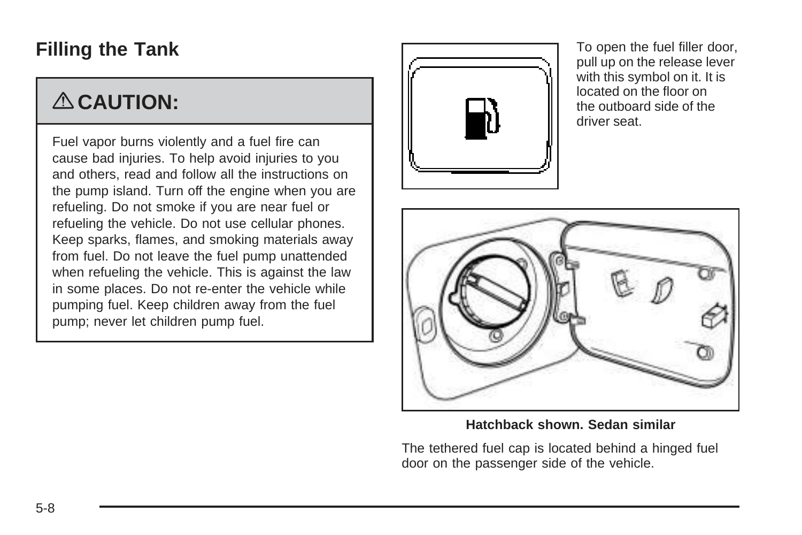### <span id="page-211-0"></span>**Filling the Tank**

## { **CAUTION:**

Fuel vapor burns violently and a fuel fire can cause bad injuries. To help avoid injuries to you and others, read and follow all the instructions on the pump island. Turn off the engine when you are refueling. Do not smoke if you are near fuel or refueling the vehicle. Do not use cellular phones. Keep sparks, flames, and smoking materials away from fuel. Do not leave the fuel pump unattended when refueling the vehicle. This is against the law in some places. Do not re-enter the vehicle while pumping fuel. Keep children away from the fuel pump; never let children pump fuel.



To open the fuel filler door, pull up on the release lever with this symbol on it. It is located on the floor on the outboard side of the driver seat.



**Hatchback shown. Sedan similar**

The tethered fuel cap is located behind a hinged fuel door on the passenger side of the vehicle.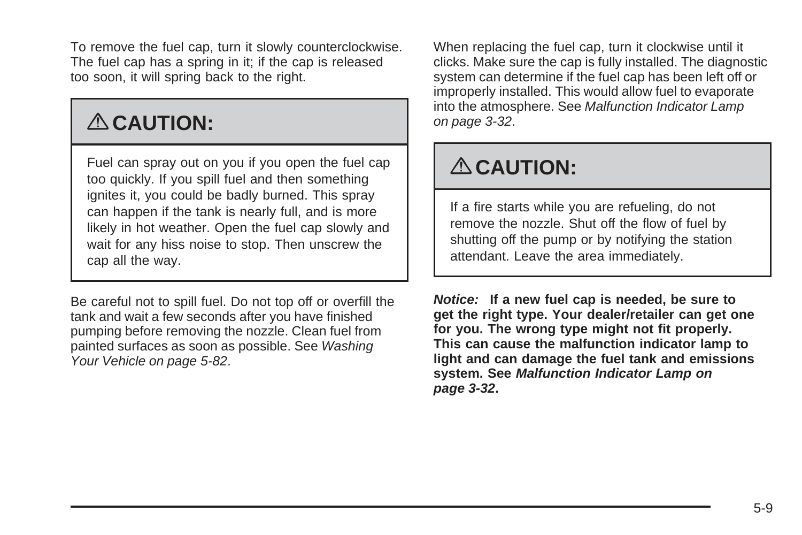To remove the fuel cap, turn it slowly counterclockwise. The fuel cap has a spring in it; if the cap is released too soon, it will spring back to the right.

# { **CAUTION:**

Fuel can spray out on you if you open the fuel cap too quickly. If you spill fuel and then something ignites it, you could be badly burned. This spray can happen if the tank is nearly full, and is more likely in hot weather. Open the fuel cap slowly and wait for any hiss noise to stop. Then unscrew the cap all the way.

Be careful not to spill fuel. Do not top off or overfill the tank and wait a few seconds after you have finished pumping before removing the nozzle. Clean fuel from painted surfaces as soon as possible. See [Washing](#page-285-0) [Your Vehicle](#page-285-0) on page 5-82.

When replacing the fuel cap, turn it clockwise until it clicks. Make sure the cap is fully installed. The diagnostic system can determine if the fuel cap has been left off or improperly installed. This would allow fuel to evaporate into the atmosphere. See [Malfunction Indicator Lamp](#page-147-0) on page 3-32.

# { **CAUTION:**

If a fire starts while you are refueling, do not remove the nozzle. Shut off the flow of fuel by shutting off the pump or by notifying the station attendant. Leave the area immediately.

**Notice: If a new fuel cap is needed, be sure to get the right type. Your dealer/retailer can get one for you. The wrong type might not fit properly. This can cause the malfunction indicator lamp to light and can damage the fuel tank and emissions system. See [Malfunction Indicator Lamp](#page-147-0) on page 3-32.**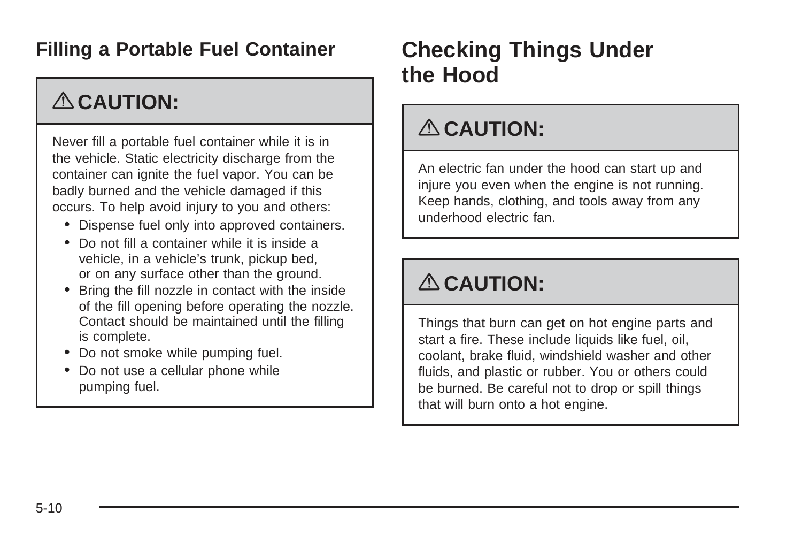### <span id="page-213-0"></span>**Filling a Portable Fuel Container**

## { **CAUTION:**

Never fill a portable fuel container while it is in the vehicle. Static electricity discharge from the container can ignite the fuel vapor. You can be badly burned and the vehicle damaged if this occurs. To help avoid injury to you and others:

- Dispense fuel only into approved containers.
- Do not fill a container while it is inside a vehicle, in a vehicle's trunk, pickup bed, or on any surface other than the ground.
- Bring the fill nozzle in contact with the inside of the fill opening before operating the nozzle. Contact should be maintained until the filling is complete.
- Do not smoke while pumping fuel.
- Do not use a cellular phone while pumping fuel.

## **Checking Things Under the Hood**

## { **CAUTION:**

An electric fan under the hood can start up and injure you even when the engine is not running. Keep hands, clothing, and tools away from any underhood electric fan.

## { **CAUTION:**

Things that burn can get on hot engine parts and start a fire. These include liquids like fuel, oil, coolant, brake fluid, windshield washer and other fluids, and plastic or rubber. You or others could be burned. Be careful not to drop or spill things that will burn onto a hot engine.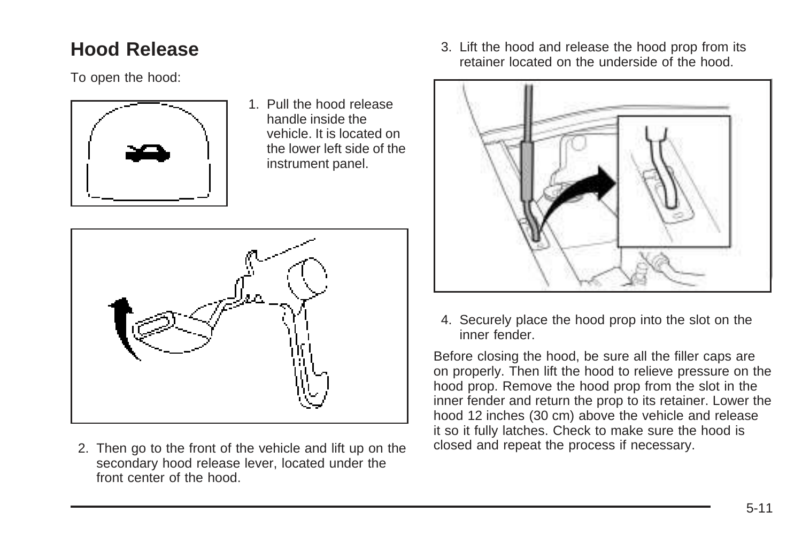## <span id="page-214-0"></span>**Hood Release**

To open the hood:



1. Pull the hood release handle inside the vehicle. It is located on the lower left side of the instrument panel.



2. Then go to the front of the vehicle and lift up on the secondary hood release lever, located under the front center of the hood.

3. Lift the hood and release the hood prop from its retainer located on the underside of the hood.



4. Securely place the hood prop into the slot on the inner fender.

Before closing the hood, be sure all the filler caps are on properly. Then lift the hood to relieve pressure on the hood prop. Remove the hood prop from the slot in the inner fender and return the prop to its retainer. Lower the hood 12 inches (30 cm) above the vehicle and release it so it fully latches. Check to make sure the hood is closed and repeat the process if necessary.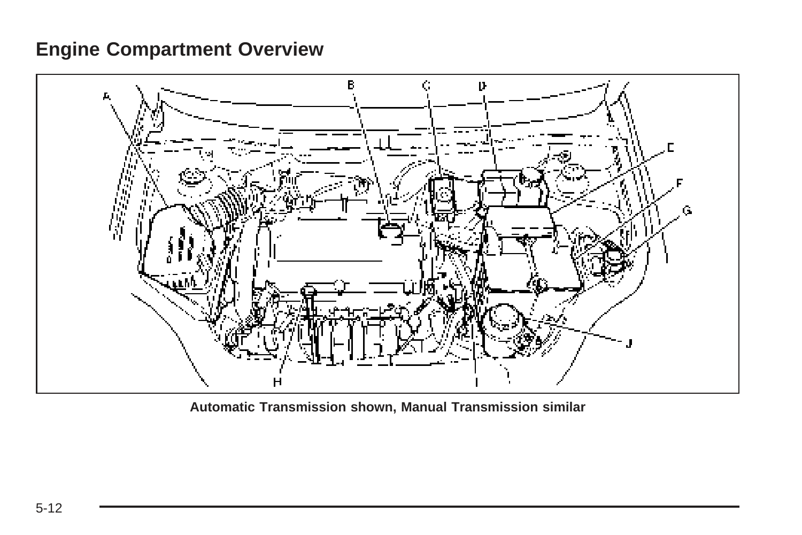### <span id="page-215-0"></span>**Engine Compartment Overview**



**Automatic Transmission shown, Manual Transmission similar**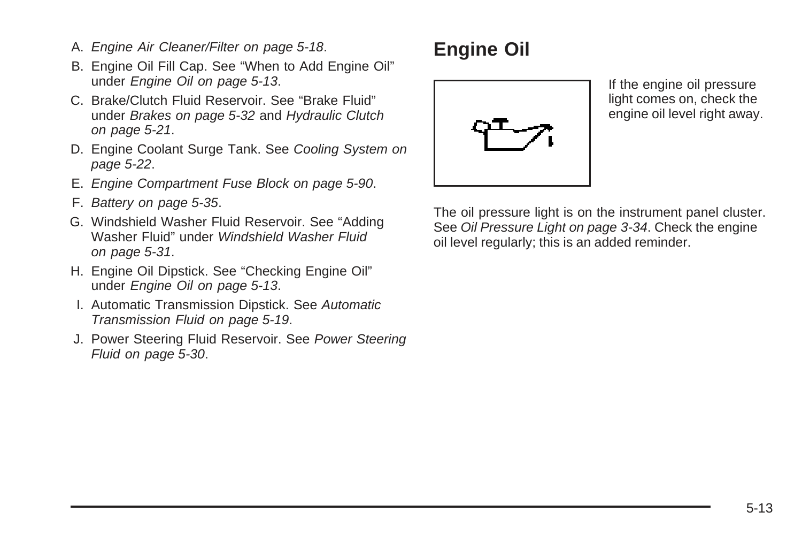- A. [Engine Air Cleaner/Filter](#page-221-0) on page 5-18.
- B. Engine Oil Fill Cap. See "When to Add Engine Oil" under Engine Oil on page 5-13.
- C. Brake/Clutch Fluid Reservoir. See "Brake Fluid" under [Brakes](#page-235-0) on page 5-32 and [Hydraulic Clutch](#page-224-0) on page 5-21.
- D. Engine Coolant Surge Tank. See [Cooling System](#page-225-0) on page 5-22.
- E. [Engine Compartment Fuse Block](#page-293-0) on page 5-90.
- F. [Battery](#page-238-0) on page 5-35.
- G. Windshield Washer Fluid Reservoir. See "Adding Washer Fluid" under [Windshield Washer Fluid](#page-234-0) on page 5-31.
- H. Engine Oil Dipstick. See "Checking Engine Oil" under Engine Oil on page 5-13.
- I. Automatic Transmission Dipstick. See [Automatic](#page-222-0) [Transmission Fluid](#page-222-0) on page 5-19.
- J. Power Steering Fluid Reservoir. See [Power Steering](#page-233-0) [Fluid](#page-233-0) on page 5-30.

# **Engine Oil**



If the engine oil pressure light comes on, check the engine oil level right away.

The oil pressure light is on the instrument panel cluster. See [Oil Pressure Light](#page-149-0) on page 3-34. Check the engine oil level regularly; this is an added reminder.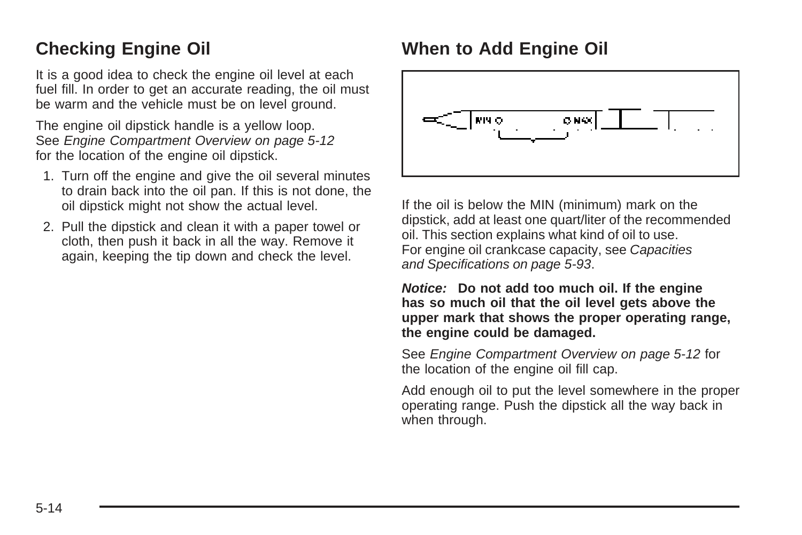### **Checking Engine Oil**

It is a good idea to check the engine oil level at each fuel fill. In order to get an accurate reading, the oil must be warm and the vehicle must be on level ground.

The engine oil dipstick handle is a yellow loop. See [Engine Compartment Overview](#page-215-0) on page 5-12 for the location of the engine oil dipstick.

- 1. Turn off the engine and give the oil several minutes to drain back into the oil pan. If this is not done, the oil dipstick might not show the actual level.
- 2. Pull the dipstick and clean it with a paper towel or cloth, then push it back in all the way. Remove it again, keeping the tip down and check the level.

## **When to Add Engine Oil**



If the oil is below the MIN (minimum) mark on the dipstick, add at least one quart/liter of the recommended oil. This section explains what kind of oil to use. For engine oil crankcase capacity, see [Capacities](#page-296-0) [and Specifications](#page-296-0) on page 5-93.

**Notice: Do not add too much oil. If the engine has so much oil that the oil level gets above the upper mark that shows the proper operating range, the engine could be damaged.**

See [Engine Compartment Overview](#page-215-0) on page 5-12 for the location of the engine oil fill cap.

Add enough oil to put the level somewhere in the proper operating range. Push the dipstick all the way back in when through.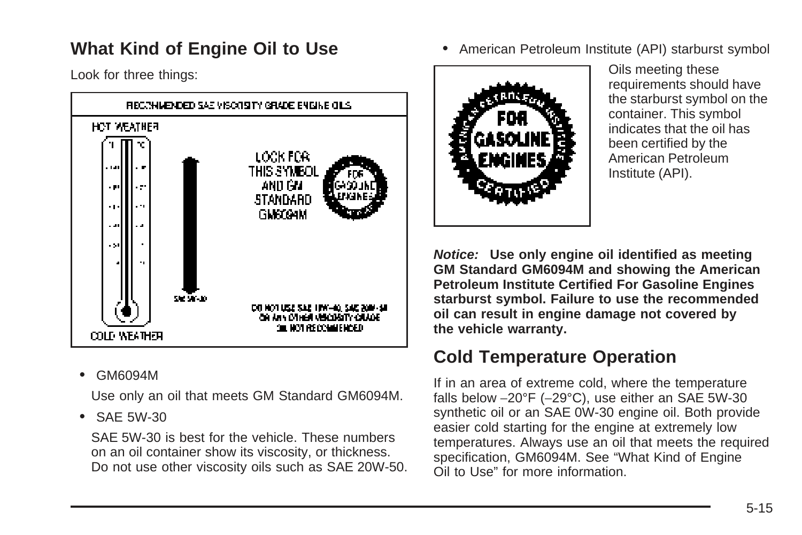### **What Kind of Engine Oil to Use**

Look for three things:



• GM6094M

Use only an oil that meets GM Standard GM6094M.

• SAE 5W-30

SAE 5W-30 is best for the vehicle. These numbers on an oil container show its viscosity, or thickness. Do not use other viscosity oils such as SAE 20W-50. • American Petroleum Institute (API) starburst symbol



Oils meeting these requirements should have the starburst symbol on the container. This symbol indicates that the oil has been certified by the American Petroleum Institute (API).

**Notice: Use only engine oil identified as meeting GM Standard GM6094M and showing the American Petroleum Institute Certified For Gasoline Engines starburst symbol. Failure to use the recommended oil can result in engine damage not covered by the vehicle warranty.**

### **Cold Temperature Operation**

If in an area of extreme cold, where the temperature falls below −20°F (−29°C), use either an SAE 5W-30 synthetic oil or an SAE 0W-30 engine oil. Both provide easier cold starting for the engine at extremely low temperatures. Always use an oil that meets the required specification, GM6094M. See "What Kind of Engine Oil to Use" for more information.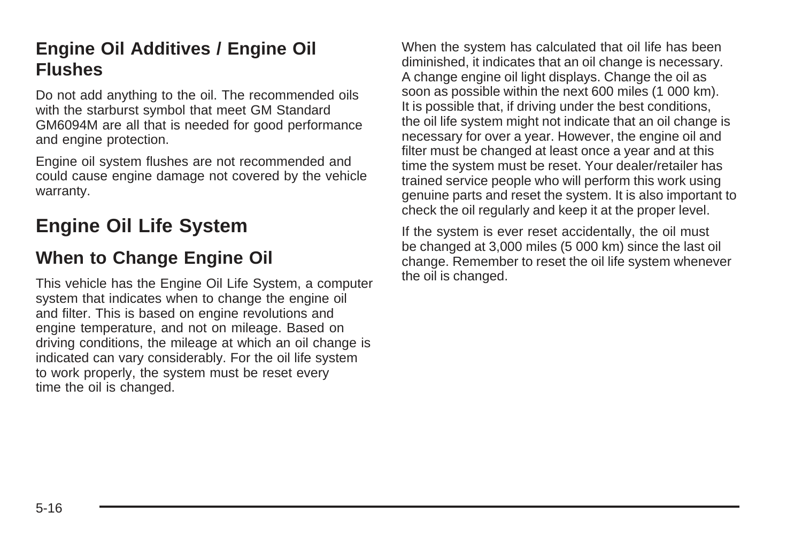### **Engine Oil Additives / Engine Oil Flushes**

Do not add anything to the oil. The recommended oils with the starburst symbol that meet GM Standard GM6094M are all that is needed for good performance and engine protection.

Engine oil system flushes are not recommended and could cause engine damage not covered by the vehicle warranty.

# **Engine Oil Life System**

#### **When to Change Engine Oil**

This vehicle has the Engine Oil Life System, a computer system that indicates when to change the engine oil and filter. This is based on engine revolutions and engine temperature, and not on mileage. Based on driving conditions, the mileage at which an oil change is indicated can vary considerably. For the oil life system to work properly, the system must be reset every time the oil is changed.

When the system has calculated that oil life has been diminished, it indicates that an oil change is necessary. A change engine oil light displays. Change the oil as soon as possible within the next 600 miles (1 000 km). It is possible that, if driving under the best conditions, the oil life system might not indicate that an oil change is necessary for over a year. However, the engine oil and filter must be changed at least once a year and at this time the system must be reset. Your dealer/retailer has trained service people who will perform this work using genuine parts and reset the system. It is also important to check the oil regularly and keep it at the proper level.

If the system is ever reset accidentally, the oil must be changed at 3,000 miles (5 000 km) since the last oil change. Remember to reset the oil life system whenever the oil is changed.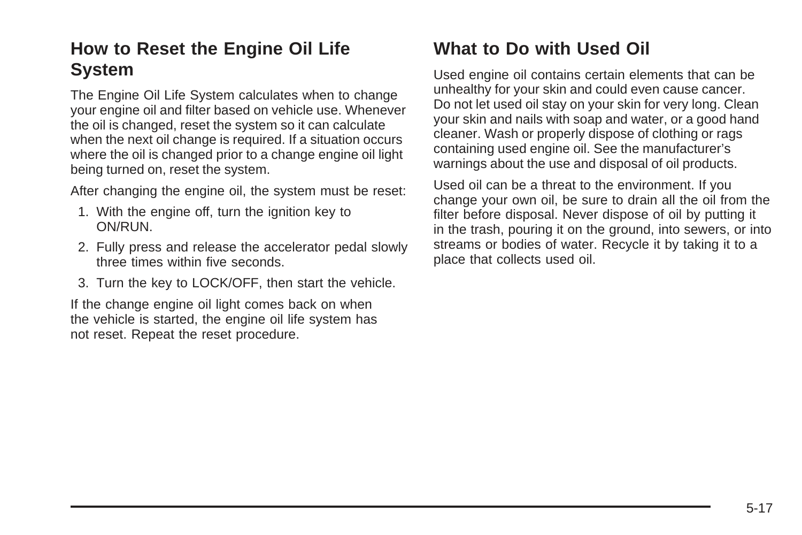### **How to Reset the Engine Oil Life System**

The Engine Oil Life System calculates when to change your engine oil and filter based on vehicle use. Whenever the oil is changed, reset the system so it can calculate when the next oil change is required. If a situation occurs where the oil is changed prior to a change engine oil light being turned on, reset the system.

After changing the engine oil, the system must be reset:

- 1. With the engine off, turn the ignition key to ON/RUN.
- 2. Fully press and release the accelerator pedal slowly three times within five seconds.
- 3. Turn the key to LOCK/OFF, then start the vehicle.

If the change engine oil light comes back on when the vehicle is started, the engine oil life system has not reset. Repeat the reset procedure.

### **What to Do with Used Oil**

Used engine oil contains certain elements that can be unhealthy for your skin and could even cause cancer. Do not let used oil stay on your skin for very long. Clean your skin and nails with soap and water, or a good hand cleaner. Wash or properly dispose of clothing or rags containing used engine oil. See the manufacturer's warnings about the use and disposal of oil products.

Used oil can be a threat to the environment. If you change your own oil, be sure to drain all the oil from the filter before disposal. Never dispose of oil by putting it in the trash, pouring it on the ground, into sewers, or into streams or bodies of water. Recycle it by taking it to a place that collects used oil.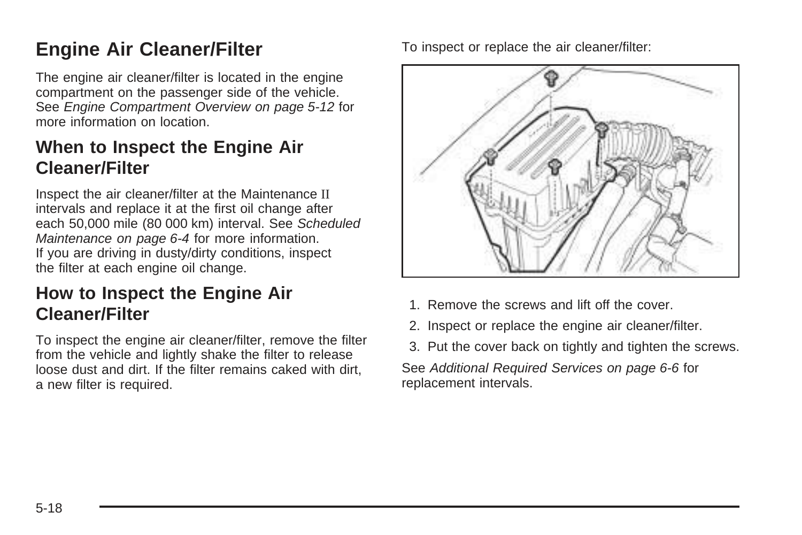# <span id="page-221-0"></span>**Engine Air Cleaner/Filter**

The engine air cleaner/filter is located in the engine compartment on the passenger side of the vehicle. See [Engine Compartment Overview](#page-215-0) on page 5-12 for more information on location.

### **When to Inspect the Engine Air Cleaner/Filter**

Inspect the air cleaner/filter at the Maintenance II intervals and replace it at the first oil change after each 50,000 mile (80 000 km) interval. See [Scheduled](#page-301-0) [Maintenance](#page-301-0) on page 6-4 for more information. If you are driving in dusty/dirty conditions, inspect the filter at each engine oil change.

### **How to Inspect the Engine Air Cleaner/Filter**

To inspect the engine air cleaner/filter, remove the filter from the vehicle and lightly shake the filter to release loose dust and dirt. If the filter remains caked with dirt, a new filter is required.

To inspect or replace the air cleaner/filter:



- 1. Remove the screws and lift off the cover.
- 2. Inspect or replace the engine air cleaner/filter.
- 3. Put the cover back on tightly and tighten the screws.

See [Additional Required Services](#page-303-0) on page 6-6 for replacement intervals.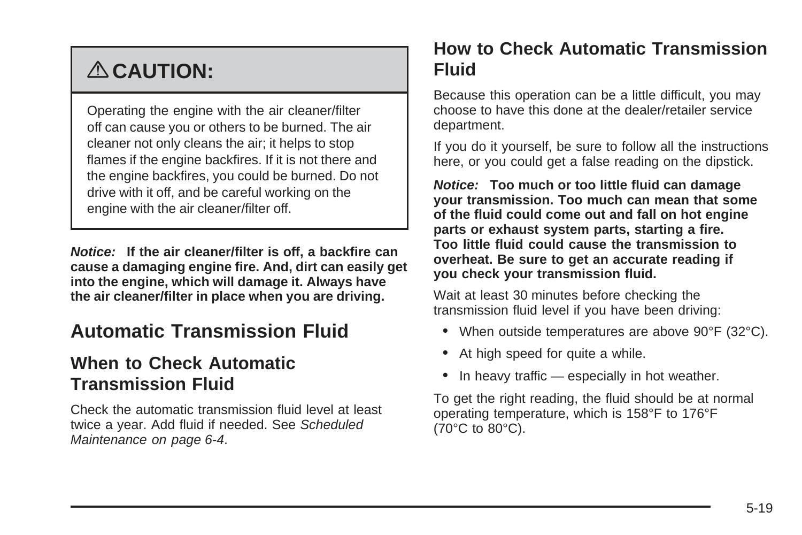# <span id="page-222-0"></span>{ **CAUTION:**

Operating the engine with the air cleaner/filter off can cause you or others to be burned. The air cleaner not only cleans the air; it helps to stop flames if the engine backfires. If it is not there and the engine backfires, you could be burned. Do not drive with it off, and be careful working on the engine with the air cleaner/filter off.

**Notice: If the air cleaner/filter is off, a backfire can cause a damaging engine fire. And, dirt can easily get into the engine, which will damage it. Always have the air cleaner/filter in place when you are driving.**

## **Automatic Transmission Fluid**

#### **When to Check Automatic Transmission Fluid**

Check the automatic transmission fluid level at least twice a year. Add fluid if needed. See [Scheduled](#page-301-0) [Maintenance](#page-301-0) on page 6-4.

#### **How to Check Automatic Transmission Fluid**

Because this operation can be a little difficult, you may choose to have this done at the dealer/retailer service department.

If you do it yourself, be sure to follow all the instructions here, or you could get a false reading on the dipstick.

**Notice: Too much or too little fluid can damage your transmission. Too much can mean that some of the fluid could come out and fall on hot engine parts or exhaust system parts, starting a fire. Too little fluid could cause the transmission to overheat. Be sure to get an accurate reading if you check your transmission fluid.**

Wait at least 30 minutes before checking the transmission fluid level if you have been driving:

- When outside temperatures are above 90°F (32°C).
- At high speed for quite a while.
- In heavy traffic  $-$  especially in hot weather.

To get the right reading, the fluid should be at normal operating temperature, which is 158°F to 176°F (70°C to 80°C).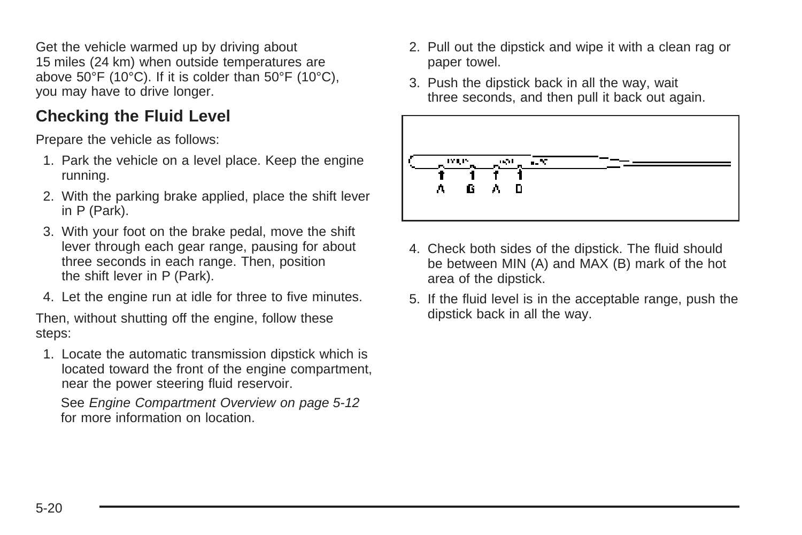Get the vehicle warmed up by driving about 15 miles (24 km) when outside temperatures are above 50°F (10°C). If it is colder than 50°F (10°C), you may have to drive longer.

#### **Checking the Fluid Level**

Prepare the vehicle as follows:

- 1. Park the vehicle on a level place. Keep the engine running.
- 2. With the parking brake applied, place the shift lever in P (Park).
- 3. With your foot on the brake pedal, move the shift lever through each gear range, pausing for about three seconds in each range. Then, position the shift lever in P (Park).
- 4. Let the engine run at idle for three to five minutes.

Then, without shutting off the engine, follow these steps:

1. Locate the automatic transmission dipstick which is located toward the front of the engine compartment, near the power steering fluid reservoir.

See [Engine Compartment Overview](#page-215-0) on page 5-12 for more information on location.

- 2. Pull out the dipstick and wipe it with a clean rag or paper towel.
- 3. Push the dipstick back in all the way, wait three seconds, and then pull it back out again.



- 4. Check both sides of the dipstick. The fluid should be between MIN (A) and MAX (B) mark of the hot area of the dipstick.
- 5. If the fluid level is in the acceptable range, push the dipstick back in all the way.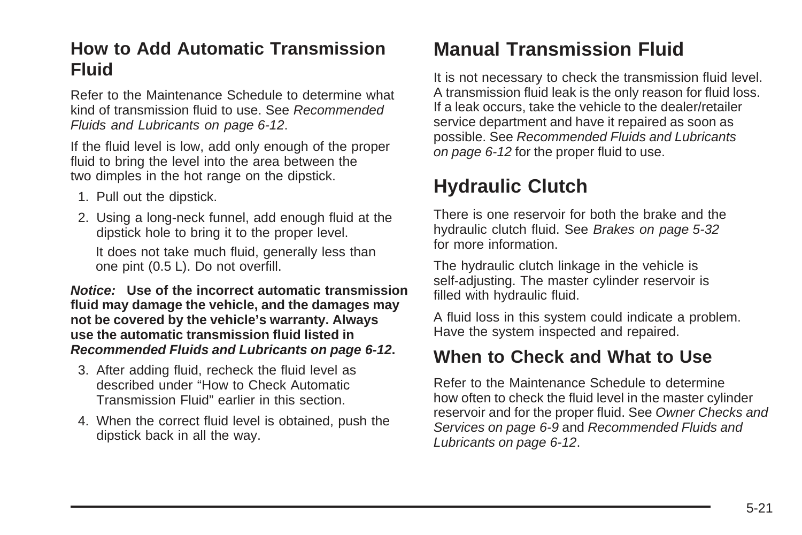#### <span id="page-224-0"></span>**How to Add Automatic Transmission Fluid**

Refer to the Maintenance Schedule to determine what kind of transmission fluid to use. See [Recommended](#page-309-0) [Fluids and Lubricants](#page-309-0) on page 6-12.

If the fluid level is low, add only enough of the proper fluid to bring the level into the area between the two dimples in the hot range on the dipstick.

- 1. Pull out the dipstick.
- 2. Using a long-neck funnel, add enough fluid at the dipstick hole to bring it to the proper level.

It does not take much fluid, generally less than one pint (0.5 L). Do not overfill.

**Notice: Use of the incorrect automatic transmission fluid may damage the vehicle, and the damages may not be covered by the vehicle's warranty. Always use the automatic transmission fluid listed in [Recommended Fluids and Lubricants](#page-309-0) on page 6-12.**

- 3. After adding fluid, recheck the fluid level as described under "How to Check Automatic Transmission Fluid" earlier in this section.
- 4. When the correct fluid level is obtained, push the dipstick back in all the way.

# **Manual Transmission Fluid**

It is not necessary to check the transmission fluid level. A transmission fluid leak is the only reason for fluid loss. If a leak occurs, take the vehicle to the dealer/retailer service department and have it repaired as soon as possible. See [Recommended Fluids and Lubricants](#page-309-0) on page 6-12 for the proper fluid to use.

# **Hydraulic Clutch**

There is one reservoir for both the brake and the hydraulic clutch fluid. See [Brakes](#page-235-0) on page 5-32 for more information.

The hydraulic clutch linkage in the vehicle is self-adjusting. The master cylinder reservoir is filled with hydraulic fluid.

A fluid loss in this system could indicate a problem. Have the system inspected and repaired.

#### **When to Check and What to Use**

Refer to the Maintenance Schedule to determine how often to check the fluid level in the master cylinder reservoir and for the proper fluid. See [Owner Checks and](#page-306-0) [Services](#page-306-0) on page 6-9 and [Recommended Fluids and](#page-309-0) [Lubricants](#page-309-0) on page 6-12.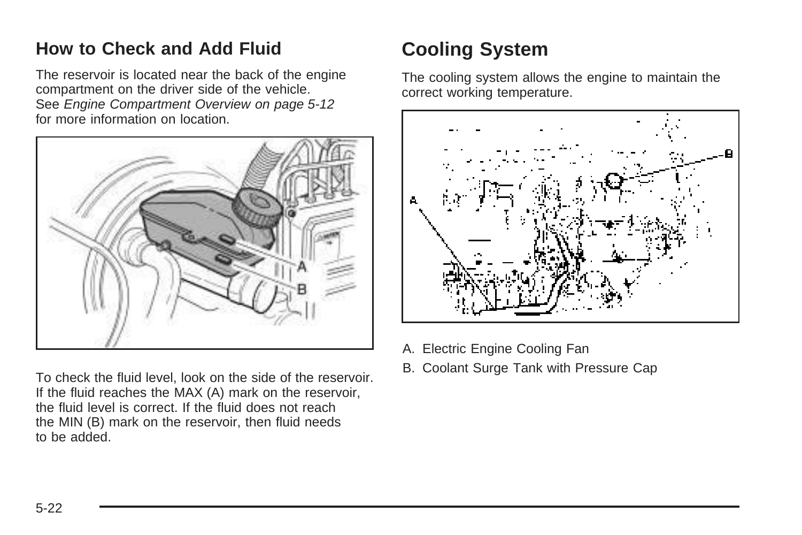### <span id="page-225-0"></span>**How to Check and Add Fluid**

The reservoir is located near the back of the engine compartment on the driver side of the vehicle. See [Engine Compartment Overview](#page-215-0) on page 5-12 for more information on location.



To check the fluid level, look on the side of the reservoir. If the fluid reaches the MAX (A) mark on the reservoir, the fluid level is correct. If the fluid does not reach the MIN (B) mark on the reservoir, then fluid needs to be added.

# **Cooling System**

The cooling system allows the engine to maintain the correct working temperature.



- A. Electric Engine Cooling Fan
- B. Coolant Surge Tank with Pressure Cap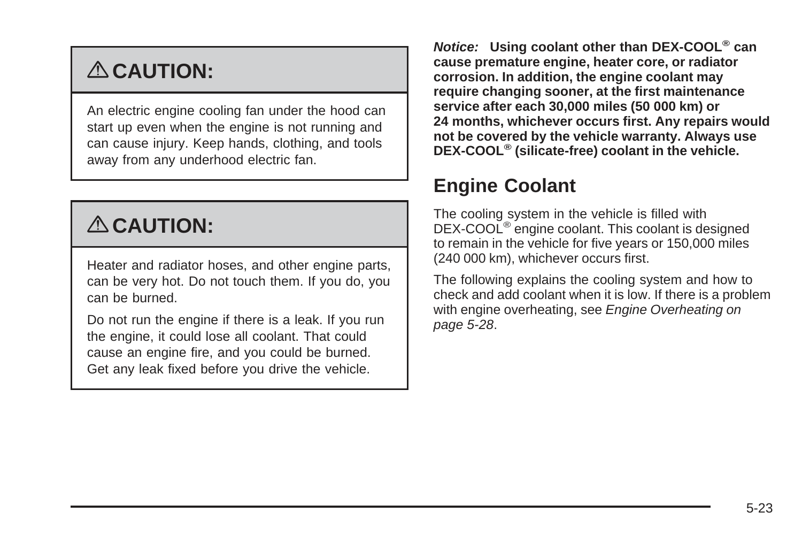# <span id="page-226-0"></span>{ **CAUTION:**

An electric engine cooling fan under the hood can start up even when the engine is not running and can cause injury. Keep hands, clothing, and tools away from any underhood electric fan.

# { **CAUTION:**

Heater and radiator hoses, and other engine parts, can be very hot. Do not touch them. If you do, you can be burned.

Do not run the engine if there is a leak. If you run the engine, it could lose all coolant. That could cause an engine fire, and you could be burned. Get any leak fixed before you drive the vehicle.

**Notice: Using coolant other than DEX-COOL® can cause premature engine, heater core, or radiator corrosion. In addition, the engine coolant may require changing sooner, at the first maintenance service after each 30,000 miles (50 000 km) or 24 months, whichever occurs first. Any repairs would not be covered by the vehicle warranty. Always use DEX-COOL® (silicate-free) coolant in the vehicle.**

# **Engine Coolant**

The cooling system in the vehicle is filled with DEX-COOL<sup>®</sup> engine coolant. This coolant is designed to remain in the vehicle for five years or 150,000 miles (240 000 km), whichever occurs first.

The following explains the cooling system and how to check and add coolant when it is low. If there is a problem with engine overheating, see [Engine Overheating](#page-231-0) on page 5-28.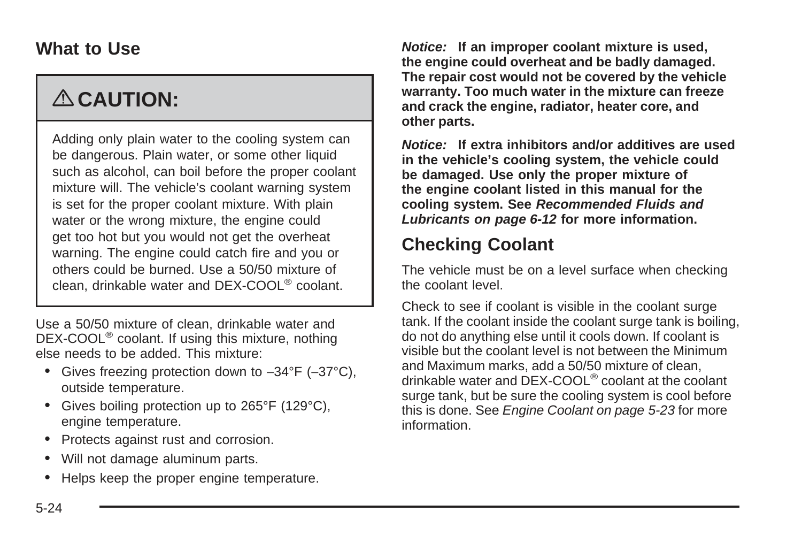#### **What to Use**

# { **CAUTION:**

Adding only plain water to the cooling system can be dangerous. Plain water, or some other liquid such as alcohol, can boil before the proper coolant mixture will. The vehicle's coolant warning system is set for the proper coolant mixture. With plain water or the wrong mixture, the engine could get too hot but you would not get the overheat warning. The engine could catch fire and you or others could be burned. Use a 50/50 mixture of clean, drinkable water and DEX-COOL® coolant.

Use a 50/50 mixture of clean, drinkable water and DEX-COOL<sup>®</sup> coolant. If using this mixture, nothing else needs to be added. This mixture:

- Gives freezing protection down to −34°F (−37°C), outside temperature.
- Gives boiling protection up to 265°F (129°C), engine temperature.
- Protects against rust and corrosion.
- Will not damage aluminum parts.
- Helps keep the proper engine temperature.

**Notice: If an improper coolant mixture is used, the engine could overheat and be badly damaged. The repair cost would not be covered by the vehicle warranty. Too much water in the mixture can freeze and crack the engine, radiator, heater core, and other parts.**

**Notice: If extra inhibitors and/or additives are used in the vehicle's cooling system, the vehicle could be damaged. Use only the proper mixture of the engine coolant listed in this manual for the cooling system. See [Recommended Fluids and](#page-309-0) [Lubricants](#page-309-0) on page 6-12 for more information.**

### **Checking Coolant**

The vehicle must be on a level surface when checking the coolant level.

Check to see if coolant is visible in the coolant surge tank. If the coolant inside the coolant surge tank is boiling, do not do anything else until it cools down. If coolant is visible but the coolant level is not between the Minimum and Maximum marks, add a 50/50 mixture of clean, drinkable water and DEX-COOL® coolant at the coolant surge tank, but be sure the cooling system is cool before this is done. See [Engine Coolant](#page-226-0) on page 5-23 for more information.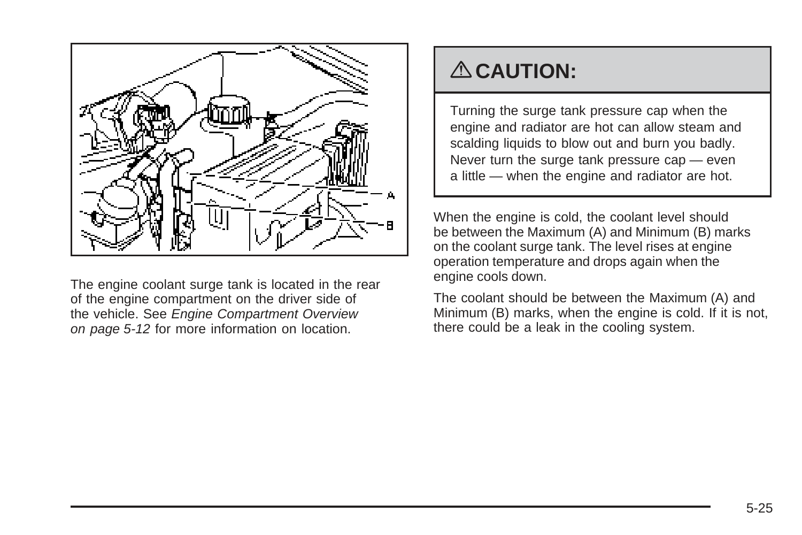

The engine coolant surge tank is located in the rear of the engine compartment on the driver side of the vehicle. See [Engine Compartment Overview](#page-215-0) on page 5-12 for more information on location.

# { **CAUTION:**

Turning the surge tank pressure cap when the engine and radiator are hot can allow steam and scalding liquids to blow out and burn you badly. Never turn the surge tank pressure cap — even a little — when the engine and radiator are hot.

When the engine is cold, the coolant level should be between the Maximum (A) and Minimum (B) marks on the coolant surge tank. The level rises at engine operation temperature and drops again when the engine cools down.

The coolant should be between the Maximum (A) and Minimum (B) marks, when the engine is cold. If it is not, there could be a leak in the cooling system.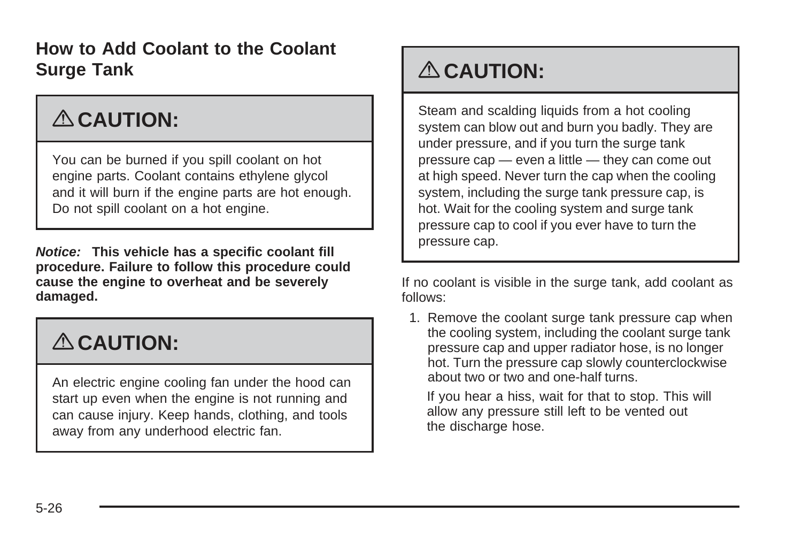### **How to Add Coolant to the Coolant Surge Tank**

# { **CAUTION:**

You can be burned if you spill coolant on hot engine parts. Coolant contains ethylene glycol and it will burn if the engine parts are hot enough. Do not spill coolant on a hot engine.

**Notice: This vehicle has a specific coolant fill procedure. Failure to follow this procedure could cause the engine to overheat and be severely damaged.**

# { **CAUTION:**

An electric engine cooling fan under the hood can start up even when the engine is not running and can cause injury. Keep hands, clothing, and tools away from any underhood electric fan.

# { **CAUTION:**

Steam and scalding liquids from a hot cooling system can blow out and burn you badly. They are under pressure, and if you turn the surge tank pressure cap — even a little — they can come out at high speed. Never turn the cap when the cooling system, including the surge tank pressure cap, is hot. Wait for the cooling system and surge tank pressure cap to cool if you ever have to turn the pressure cap.

If no coolant is visible in the surge tank, add coolant as follows:

1. Remove the coolant surge tank pressure cap when the cooling system, including the coolant surge tank pressure cap and upper radiator hose, is no longer hot. Turn the pressure cap slowly counterclockwise about two or two and one-half turns.

If you hear a hiss, wait for that to stop. This will allow any pressure still left to be vented out the discharge hose.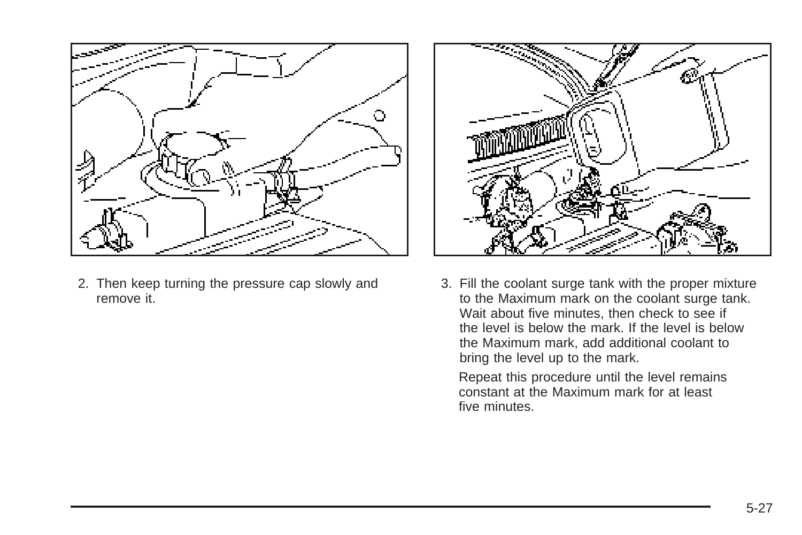

2. Then keep turning the pressure cap slowly and remove it.



3. Fill the coolant surge tank with the proper mixture to the Maximum mark on the coolant surge tank. Wait about five minutes, then check to see if the level is below the mark. If the level is below the Maximum mark, add additional coolant to bring the level up to the mark.

Repeat this procedure until the level remains constant at the Maximum mark for at least five minutes.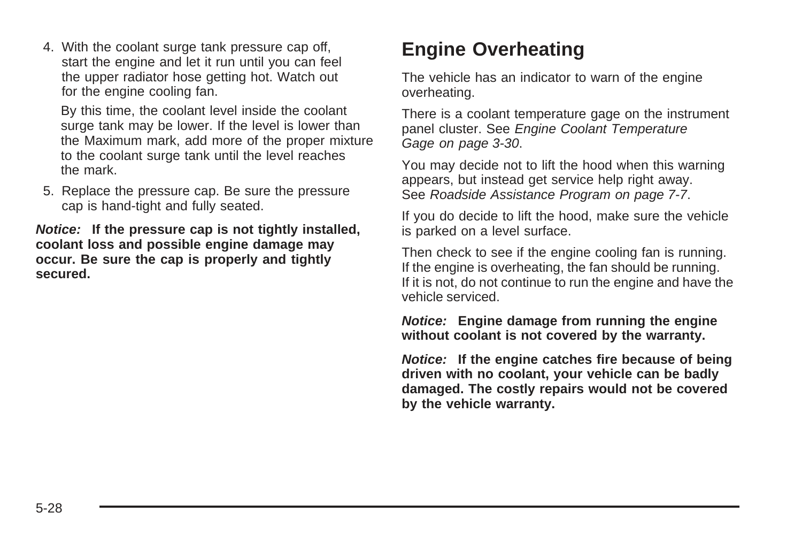<span id="page-231-0"></span>4. With the coolant surge tank pressure cap off, start the engine and let it run until you can feel the upper radiator hose getting hot. Watch out for the engine cooling fan.

By this time, the coolant level inside the coolant surge tank may be lower. If the level is lower than the Maximum mark, add more of the proper mixture to the coolant surge tank until the level reaches the mark.

5. Replace the pressure cap. Be sure the pressure cap is hand-tight and fully seated.

**Notice: If the pressure cap is not tightly installed, coolant loss and possible engine damage may occur. Be sure the cap is properly and tightly secured.**

# **Engine Overheating**

The vehicle has an indicator to warn of the engine overheating.

There is a coolant temperature gage on the instrument panel cluster. See [Engine Coolant Temperature](#page-145-0) [Gage](#page-145-0) on page 3-30.

You may decide not to lift the hood when this warning appears, but instead get service help right away. See [Roadside Assistance Program](#page-322-0) on page 7-7.

If you do decide to lift the hood, make sure the vehicle is parked on a level surface.

Then check to see if the engine cooling fan is running. If the engine is overheating, the fan should be running. If it is not, do not continue to run the engine and have the vehicle serviced.

**Notice: Engine damage from running the engine without coolant is not covered by the warranty.**

**Notice: If the engine catches fire because of being driven with no coolant, your vehicle can be badly damaged. The costly repairs would not be covered by the vehicle warranty.**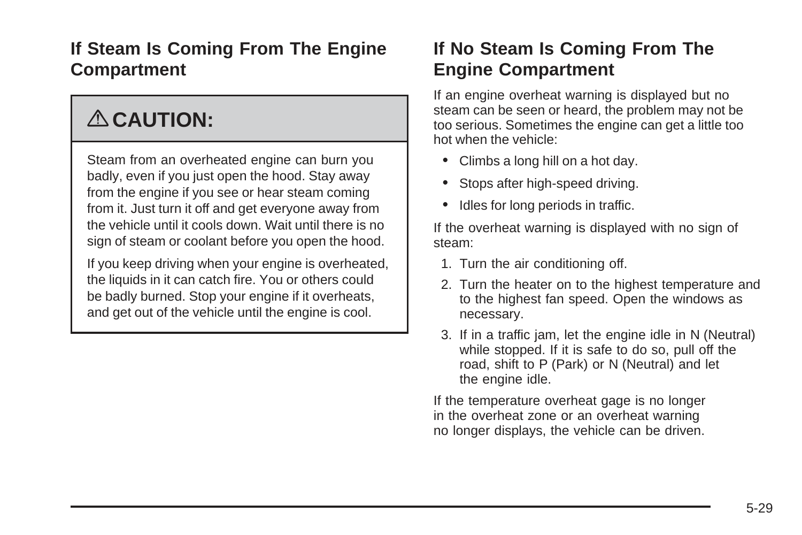### **If Steam Is Coming From The Engine Compartment**

# { **CAUTION:**

Steam from an overheated engine can burn you badly, even if you just open the hood. Stay away from the engine if you see or hear steam coming from it. Just turn it off and get everyone away from the vehicle until it cools down. Wait until there is no sign of steam or coolant before you open the hood.

If you keep driving when your engine is overheated, the liquids in it can catch fire. You or others could be badly burned. Stop your engine if it overheats, and get out of the vehicle until the engine is cool.

### **If No Steam Is Coming From The Engine Compartment**

If an engine overheat warning is displayed but no steam can be seen or heard, the problem may not be too serious. Sometimes the engine can get a little too hot when the vehicle:

- Climbs a long hill on a hot day.
- Stops after high-speed driving.
- Idles for long periods in traffic.

If the overheat warning is displayed with no sign of steam:

- 1. Turn the air conditioning off.
- 2. Turn the heater on to the highest temperature and to the highest fan speed. Open the windows as necessary.
- 3. If in a traffic jam, let the engine idle in N (Neutral) while stopped. If it is safe to do so, pull off the road, shift to P (Park) or N (Neutral) and let the engine idle.

If the temperature overheat gage is no longer in the overheat zone or an overheat warning no longer displays, the vehicle can be driven.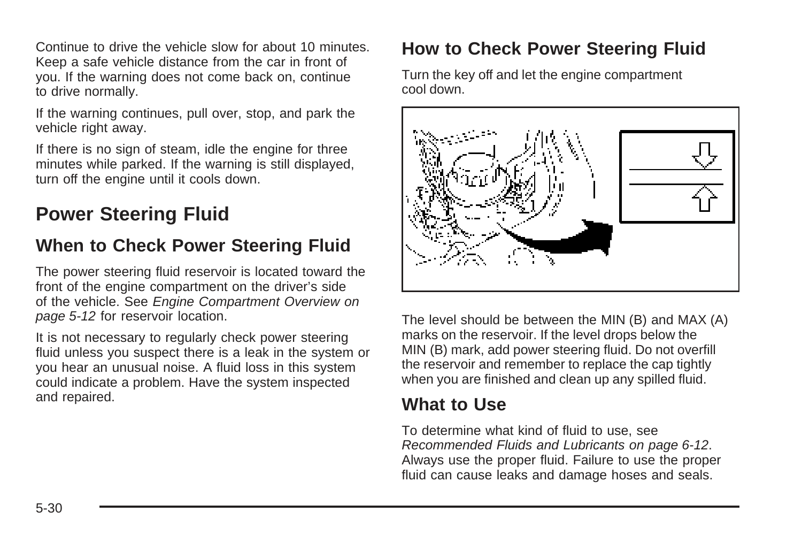<span id="page-233-0"></span>Continue to drive the vehicle slow for about 10 minutes. Keep a safe vehicle distance from the car in front of you. If the warning does not come back on, continue to drive normally.

If the warning continues, pull over, stop, and park the vehicle right away.

If there is no sign of steam, idle the engine for three minutes while parked. If the warning is still displayed, turn off the engine until it cools down.

## **Power Steering Fluid**

#### **When to Check Power Steering Fluid**

The power steering fluid reservoir is located toward the front of the engine compartment on the driver's side of the vehicle. See [Engine Compartment Overview](#page-215-0) on page 5-12 for reservoir location.

It is not necessary to regularly check power steering fluid unless you suspect there is a leak in the system or you hear an unusual noise. A fluid loss in this system could indicate a problem. Have the system inspected and repaired.

### **How to Check Power Steering Fluid**

Turn the key off and let the engine compartment cool down.



The level should be between the MIN (B) and MAX (A) marks on the reservoir. If the level drops below the MIN (B) mark, add power steering fluid. Do not overfill the reservoir and remember to replace the cap tightly when you are finished and clean up any spilled fluid.

### **What to Use**

To determine what kind of fluid to use, see [Recommended Fluids and Lubricants](#page-309-0) on page 6-12. Always use the proper fluid. Failure to use the proper fluid can cause leaks and damage hoses and seals.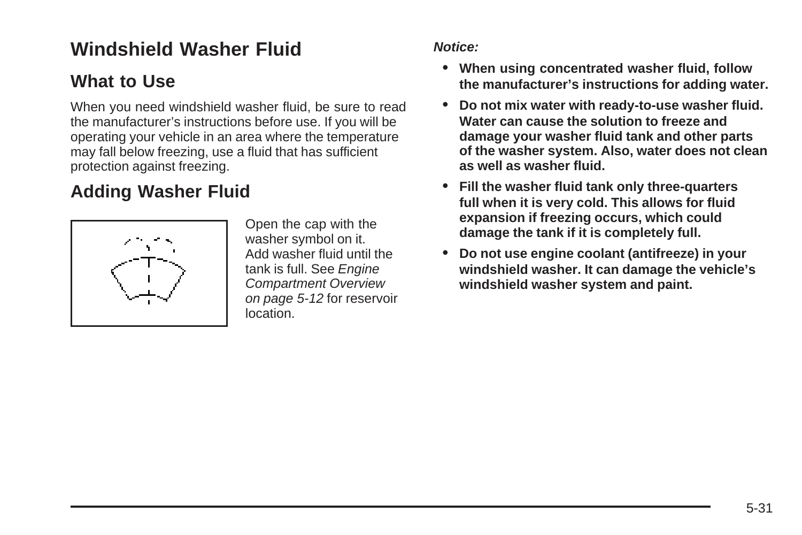# <span id="page-234-0"></span>**Windshield Washer Fluid**

### **What to Use**

When you need windshield washer fluid, be sure to read the manufacturer's instructions before use. If you will be operating your vehicle in an area where the temperature may fall below freezing, use a fluid that has sufficient protection against freezing.

## **Adding Washer Fluid**



Open the cap with the washer symbol on it. Add washer fluid until the tank is full. See [Engine](#page-215-0) [Compartment Overview](#page-215-0) on page 5-12 for reservoir location.

#### **Notice:**

- **• When using concentrated washer fluid, follow the manufacturer's instructions for adding water.**
- **• Do not mix water with ready-to-use washer fluid. Water can cause the solution to freeze and damage your washer fluid tank and other parts of the washer system. Also, water does not clean as well as washer fluid.**
- **• Fill the washer fluid tank only three-quarters full when it is very cold. This allows for fluid expansion if freezing occurs, which could damage the tank if it is completely full.**
- **• Do not use engine coolant (antifreeze) in your windshield washer. It can damage the vehicle's windshield washer system and paint.**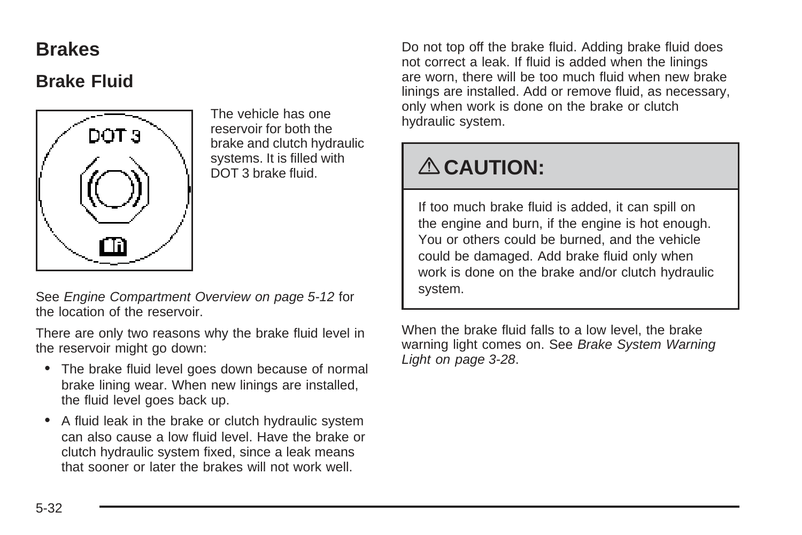### <span id="page-235-0"></span>**Brakes**

### **Brake Fluid**



The vehicle has one reservoir for both the brake and clutch hydraulic systems. It is filled with DOT 3 brake fluid.

See [Engine Compartment Overview](#page-215-0) on page 5-12 for the location of the reservoir.

There are only two reasons why the brake fluid level in the reservoir might go down:

- The brake fluid level goes down because of normal brake lining wear. When new linings are installed, the fluid level goes back up.
- A fluid leak in the brake or clutch hydraulic system can also cause a low fluid level. Have the brake or clutch hydraulic system fixed, since a leak means that sooner or later the brakes will not work well.

Do not top off the brake fluid. Adding brake fluid does not correct a leak. If fluid is added when the linings are worn, there will be too much fluid when new brake linings are installed. Add or remove fluid, as necessary, only when work is done on the brake or clutch hydraulic system.

# { **CAUTION:**

If too much brake fluid is added, it can spill on the engine and burn, if the engine is hot enough. You or others could be burned, and the vehicle could be damaged. Add brake fluid only when work is done on the brake and/or clutch hydraulic system.

When the brake fluid falls to a low level, the brake warning light comes on. See [Brake System Warning](#page-143-0) [Light](#page-143-0) on page 3-28.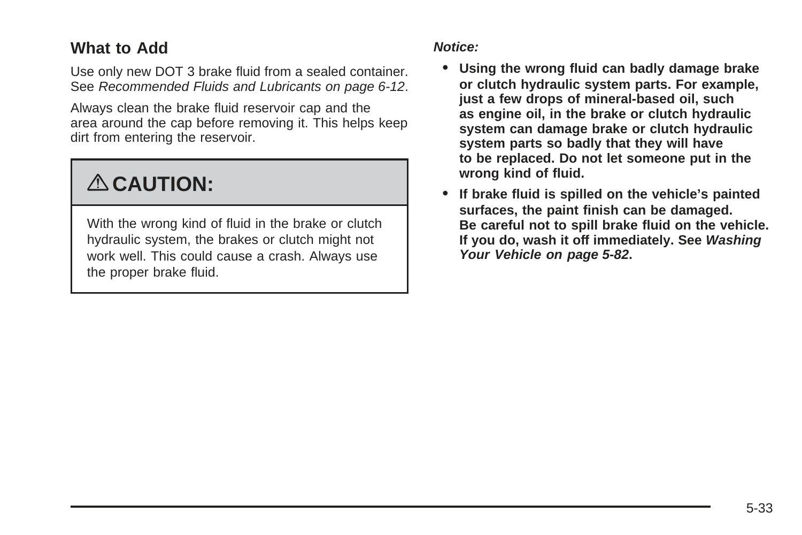#### **What to Add**

Use only new DOT 3 brake fluid from a sealed container. See [Recommended Fluids and Lubricants](#page-309-0) on page 6-12.

Always clean the brake fluid reservoir cap and the area around the cap before removing it. This helps keep dirt from entering the reservoir.

# { **CAUTION:**

With the wrong kind of fluid in the brake or clutch hydraulic system, the brakes or clutch might not work well. This could cause a crash. Always use the proper brake fluid.

#### **Notice:**

- **• Using the wrong fluid can badly damage brake or clutch hydraulic system parts. For example, just a few drops of mineral-based oil, such as engine oil, in the brake or clutch hydraulic system can damage brake or clutch hydraulic system parts so badly that they will have to be replaced. Do not let someone put in the wrong kind of fluid.**
- **• If brake fluid is spilled on the vehicle's painted surfaces, the paint finish can be damaged. Be careful not to spill brake fluid on the vehicle. If you do, wash it off immediately. See [Washing](#page-285-0) [Your Vehicle](#page-285-0) on page 5-82.**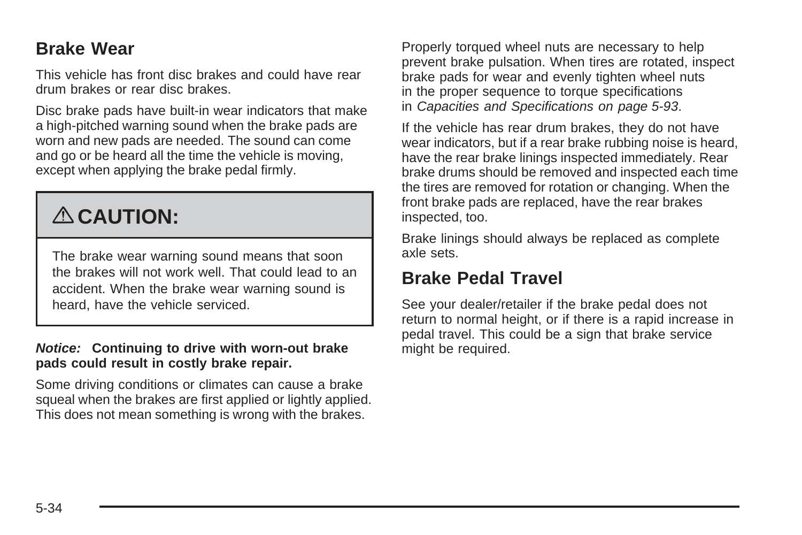#### **Brake Wear**

This vehicle has front disc brakes and could have rear drum brakes or rear disc brakes.

Disc brake pads have built-in wear indicators that make a high-pitched warning sound when the brake pads are worn and new pads are needed. The sound can come and go or be heard all the time the vehicle is moving, except when applying the brake pedal firmly.

# { **CAUTION:**

The brake wear warning sound means that soon the brakes will not work well. That could lead to an accident. When the brake wear warning sound is heard, have the vehicle serviced.

#### **Notice: Continuing to drive with worn-out brake pads could result in costly brake repair.**

Some driving conditions or climates can cause a brake squeal when the brakes are first applied or lightly applied. This does not mean something is wrong with the brakes.

Properly torqued wheel nuts are necessary to help prevent brake pulsation. When tires are rotated, inspect brake pads for wear and evenly tighten wheel nuts in the proper sequence to torque specifications in [Capacities and Specifications](#page-296-0) on page 5-93.

If the vehicle has rear drum brakes, they do not have wear indicators, but if a rear brake rubbing noise is heard, have the rear brake linings inspected immediately. Rear brake drums should be removed and inspected each time the tires are removed for rotation or changing. When the front brake pads are replaced, have the rear brakes inspected, too.

Brake linings should always be replaced as complete axle sets.

#### **Brake Pedal Travel**

See your dealer/retailer if the brake pedal does not return to normal height, or if there is a rapid increase in pedal travel. This could be a sign that brake service might be required.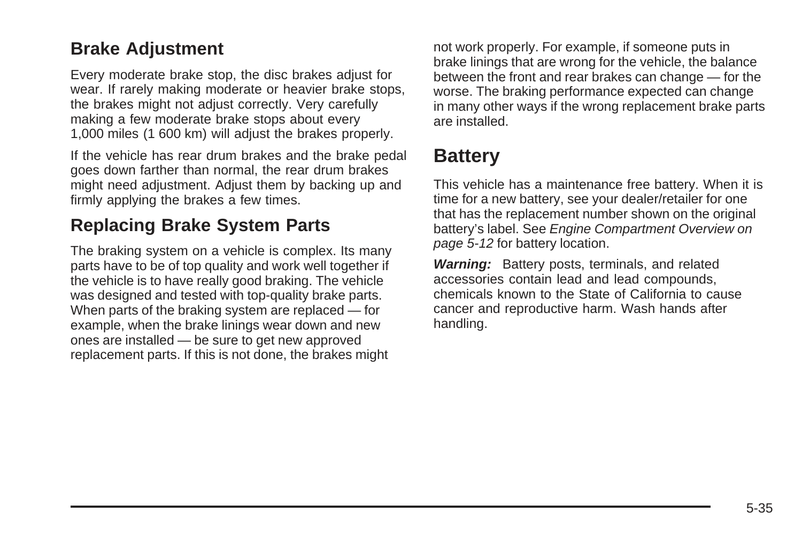#### <span id="page-238-0"></span>**Brake Adjustment**

Every moderate brake stop, the disc brakes adjust for wear. If rarely making moderate or heavier brake stops, the brakes might not adjust correctly. Very carefully making a few moderate brake stops about every 1,000 miles (1 600 km) will adjust the brakes properly.

If the vehicle has rear drum brakes and the brake pedal goes down farther than normal, the rear drum brakes might need adjustment. Adjust them by backing up and firmly applying the brakes a few times.

### **Replacing Brake System Parts**

The braking system on a vehicle is complex. Its many parts have to be of top quality and work well together if the vehicle is to have really good braking. The vehicle was designed and tested with top-quality brake parts. When parts of the braking system are replaced — for example, when the brake linings wear down and new ones are installed — be sure to get new approved replacement parts. If this is not done, the brakes might

not work properly. For example, if someone puts in brake linings that are wrong for the vehicle, the balance between the front and rear brakes can change — for the worse. The braking performance expected can change in many other ways if the wrong replacement brake parts are installed.

# **Battery**

This vehicle has a maintenance free battery. When it is time for a new battery, see your dealer/retailer for one that has the replacement number shown on the original battery's label. See [Engine Compartment Overview](#page-215-0) on page 5-12 for battery location.

**Warning:** Battery posts, terminals, and related accessories contain lead and lead compounds, chemicals known to the State of California to cause cancer and reproductive harm. Wash hands after handling.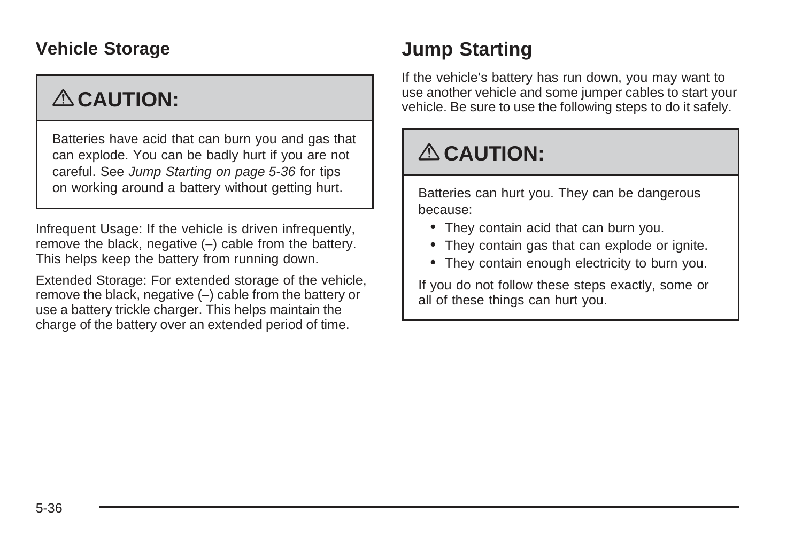### **Vehicle Storage**

# { **CAUTION:**

Batteries have acid that can burn you and gas that can explode. You can be badly hurt if you are not careful. See Jump Starting on page 5-36 for tips on working around a battery without getting hurt.

Infrequent Usage: If the vehicle is driven infrequently, remove the black, negative (−) cable from the battery. This helps keep the battery from running down.

Extended Storage: For extended storage of the vehicle, remove the black, negative (−) cable from the battery or use a battery trickle charger. This helps maintain the charge of the battery over an extended period of time.

# **Jump Starting**

If the vehicle's battery has run down, you may want to use another vehicle and some jumper cables to start your vehicle. Be sure to use the following steps to do it safely.

# { **CAUTION:**

Batteries can hurt you. They can be dangerous because:

- They contain acid that can burn you.
- They contain gas that can explode or ignite.
- They contain enough electricity to burn you.

If you do not follow these steps exactly, some or all of these things can hurt you.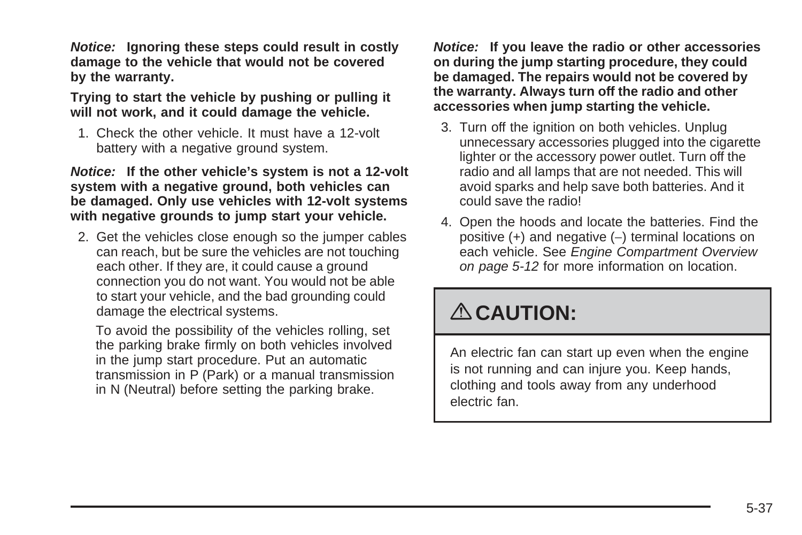**Notice: Ignoring these steps could result in costly damage to the vehicle that would not be covered by the warranty.**

#### **Trying to start the vehicle by pushing or pulling it will not work, and it could damage the vehicle.**

1. Check the other vehicle. It must have a 12-volt battery with a negative ground system.

**Notice: If the other vehicle's system is not a 12-volt system with a negative ground, both vehicles can be damaged. Only use vehicles with 12-volt systems with negative grounds to jump start your vehicle.**

2. Get the vehicles close enough so the jumper cables can reach, but be sure the vehicles are not touching each other. If they are, it could cause a ground connection you do not want. You would not be able to start your vehicle, and the bad grounding could damage the electrical systems.

To avoid the possibility of the vehicles rolling, set the parking brake firmly on both vehicles involved in the jump start procedure. Put an automatic transmission in P (Park) or a manual transmission in N (Neutral) before setting the parking brake.

**Notice: If you leave the radio or other accessories on during the jump starting procedure, they could be damaged. The repairs would not be covered by the warranty. Always turn off the radio and other accessories when jump starting the vehicle.**

- 3. Turn off the ignition on both vehicles. Unplug unnecessary accessories plugged into the cigarette lighter or the accessory power outlet. Turn off the radio and all lamps that are not needed. This will avoid sparks and help save both batteries. And it could save the radio!
- 4. Open the hoods and locate the batteries. Find the positive (+) and negative (−) terminal locations on each vehicle. See [Engine Compartment Overview](#page-215-0) on page 5-12 for more information on location.

# { **CAUTION:**

An electric fan can start up even when the engine is not running and can injure you. Keep hands, clothing and tools away from any underhood electric fan.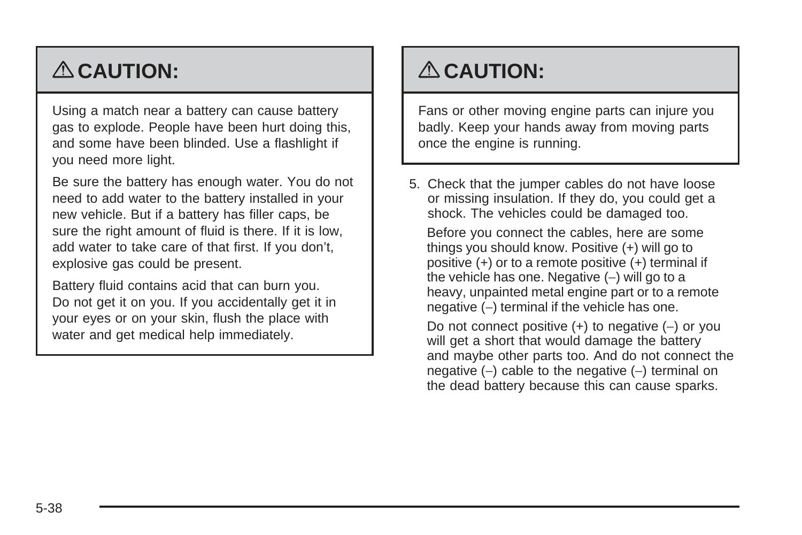# { **CAUTION:**

Using a match near a battery can cause battery gas to explode. People have been hurt doing this, and some have been blinded. Use a flashlight if you need more light.

Be sure the battery has enough water. You do not need to add water to the battery installed in your new vehicle. But if a battery has filler caps, be sure the right amount of fluid is there. If it is low, add water to take care of that first. If you don't, explosive gas could be present.

Battery fluid contains acid that can burn you. Do not get it on you. If you accidentally get it in your eyes or on your skin, flush the place with water and get medical help immediately.

# { **CAUTION:**

Fans or other moving engine parts can injure you badly. Keep your hands away from moving parts once the engine is running.

5. Check that the jumper cables do not have loose or missing insulation. If they do, you could get a shock. The vehicles could be damaged too.

Before you connect the cables, here are some things you should know. Positive (+) will go to positive (+) or to a remote positive (+) terminal if the vehicle has one. Negative (−) will go to a heavy, unpainted metal engine part or to a remote negative (-) terminal if the vehicle has one.

Do not connect positive (+) to negative (−) or you will get a short that would damage the battery and maybe other parts too. And do not connect the negative (−) cable to the negative (−) terminal on the dead battery because this can cause sparks.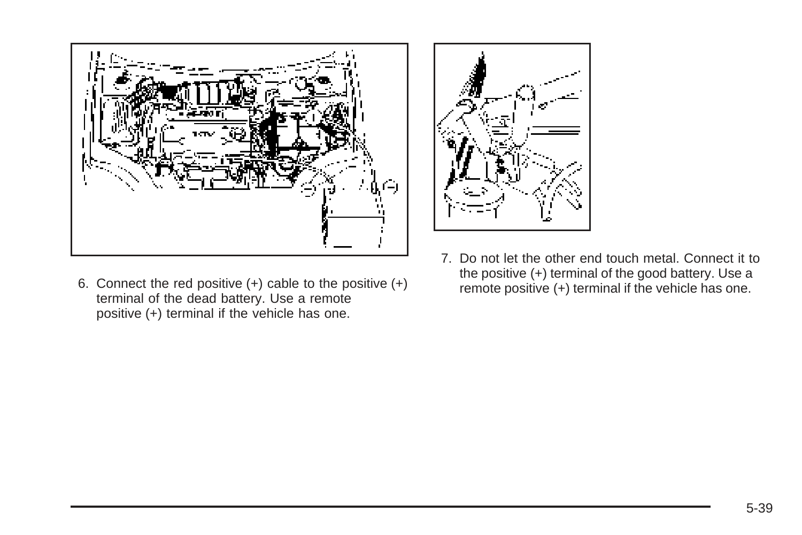

6. Connect the red positive (+) cable to the positive (+) terminal of the dead battery. Use a remote positive (+) terminal if the vehicle has one.



7. Do not let the other end touch metal. Connect it to the positive (+) terminal of the good battery. Use a remote positive (+) terminal if the vehicle has one.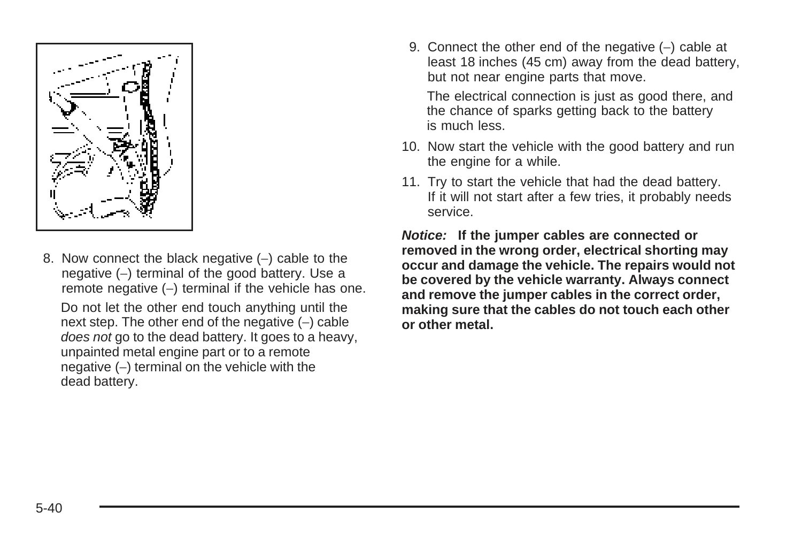

8. Now connect the black negative (–) cable to the negative (−) terminal of the good battery. Use a remote negative (−) terminal if the vehicle has one.

Do not let the other end touch anything until the next step. The other end of the negative (−) cable does not go to the dead battery. It goes to a heavy, unpainted metal engine part or to a remote negative (−) terminal on the vehicle with the dead battery.

9. Connect the other end of the negative (–) cable at least 18 inches (45 cm) away from the dead battery, but not near engine parts that move.

The electrical connection is just as good there, and the chance of sparks getting back to the battery is much less.

- 10. Now start the vehicle with the good battery and run the engine for a while.
- 11. Try to start the vehicle that had the dead battery. If it will not start after a few tries, it probably needs service.

**Notice: If the jumper cables are connected or removed in the wrong order, electrical shorting may occur and damage the vehicle. The repairs would not be covered by the vehicle warranty. Always connect and remove the jumper cables in the correct order, making sure that the cables do not touch each other or other metal.**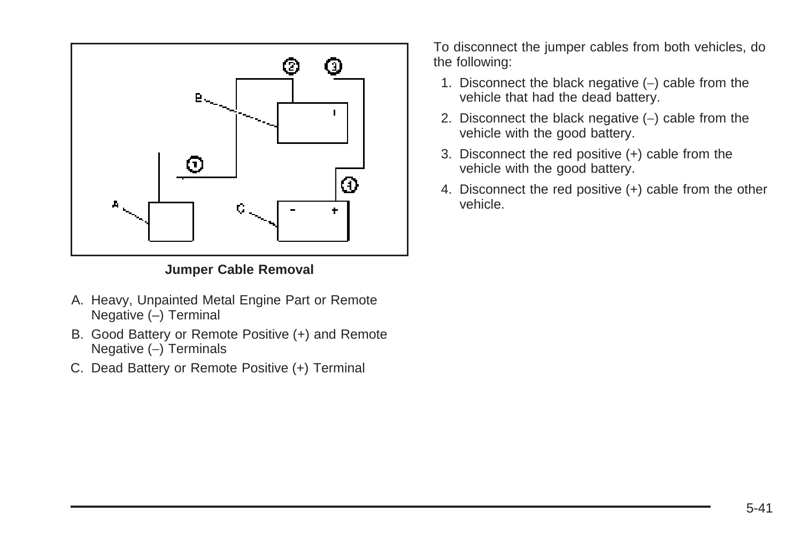

#### **Jumper Cable Removal**

- A. Heavy, Unpainted Metal Engine Part or Remote Negative (–) Terminal
- B. Good Battery or Remote Positive (+) and Remote Negative (−) Terminals
- C. Dead Battery or Remote Positive (+) Terminal

To disconnect the jumper cables from both vehicles, do the following:

- 1. Disconnect the black negative (−) cable from the vehicle that had the dead battery.
- 2. Disconnect the black negative (–) cable from the vehicle with the good battery.
- 3. Disconnect the red positive (+) cable from the vehicle with the good battery.
- 4. Disconnect the red positive (+) cable from the other vehicle.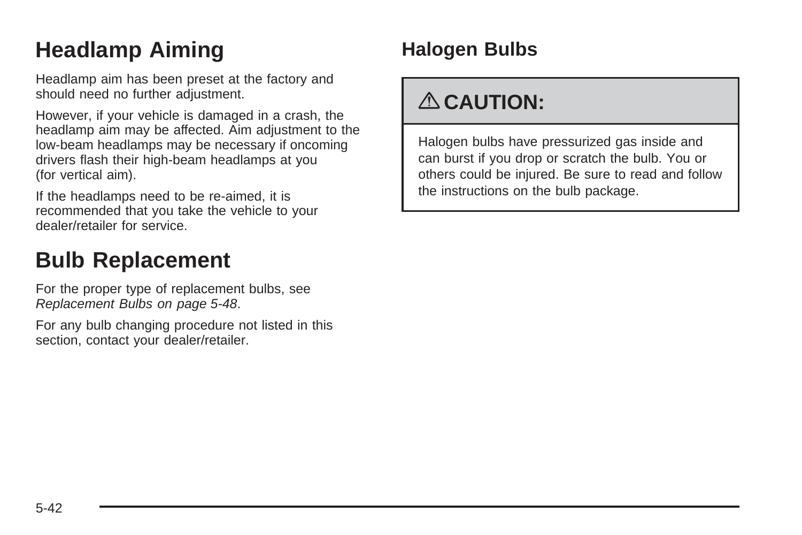# **Headlamp Aiming**

Headlamp aim has been preset at the factory and should need no further adjustment.

However, if your vehicle is damaged in a crash, the headlamp aim may be affected. Aim adjustment to the low-beam headlamps may be necessary if oncoming drivers flash their high-beam headlamps at you (for vertical aim).

If the headlamps need to be re-aimed, it is recommended that you take the vehicle to your dealer/retailer for service.

# **Bulb Replacement**

For the proper type of replacement bulbs, see [Replacement Bulbs](#page-251-0) on page 5-48.

For any bulb changing procedure not listed in this section, contact your dealer/retailer.

# **Halogen Bulbs**

# { **CAUTION:**

Halogen bulbs have pressurized gas inside and can burst if you drop or scratch the bulb. You or others could be injured. Be sure to read and follow the instructions on the bulb package.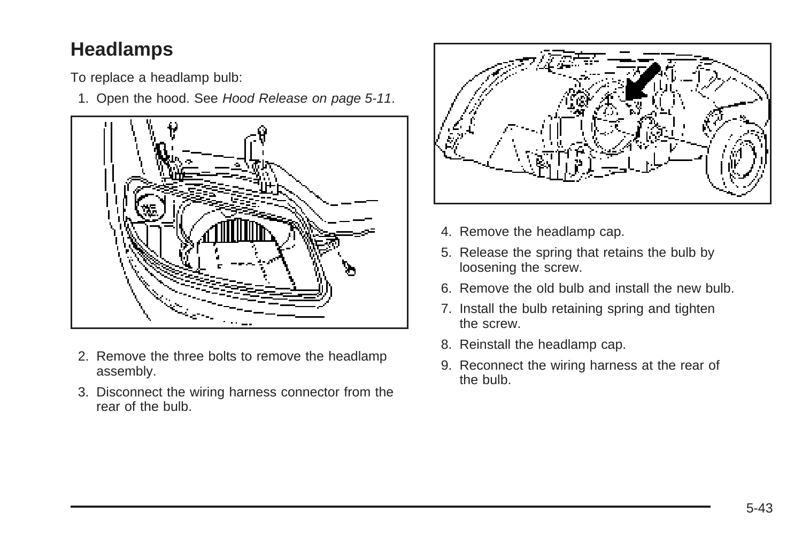# **Headlamps**

To replace a headlamp bulb:

1. Open the hood. See [Hood Release](#page-214-0) on page 5-11.



- 2. Remove the three bolts to remove the headlamp assembly.
- 3. Disconnect the wiring harness connector from the rear of the bulb.



- 4. Remove the headlamp cap.
- 5. Release the spring that retains the bulb by loosening the screw.
- 6. Remove the old bulb and install the new bulb.
- 7. Install the bulb retaining spring and tighten the screw.
- 8. Reinstall the headlamp cap.
- 9. Reconnect the wiring harness at the rear of the bulb.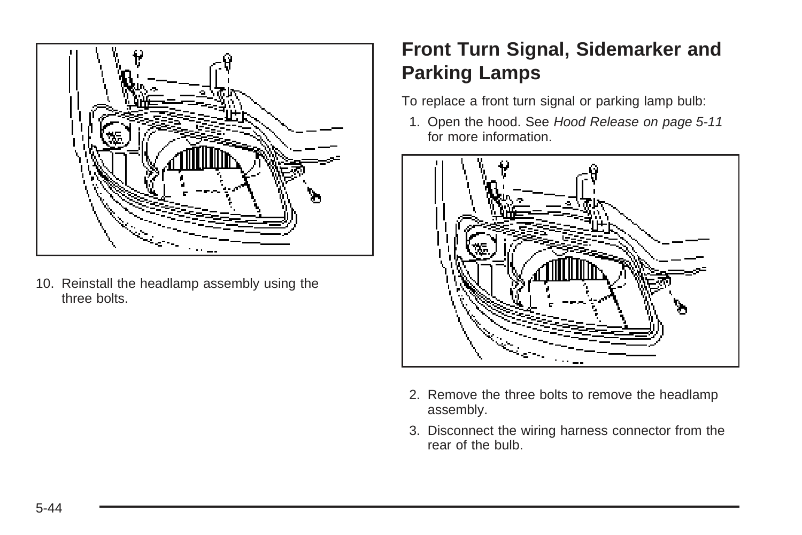

10. Reinstall the headlamp assembly using the three bolts.

# **Front Turn Signal, Sidemarker and Parking Lamps**

To replace a front turn signal or parking lamp bulb:

1. Open the hood. See [Hood Release](#page-214-0) on page 5-11 for more information.



- 2. Remove the three bolts to remove the headlamp assembly.
- 3. Disconnect the wiring harness connector from the rear of the bulb.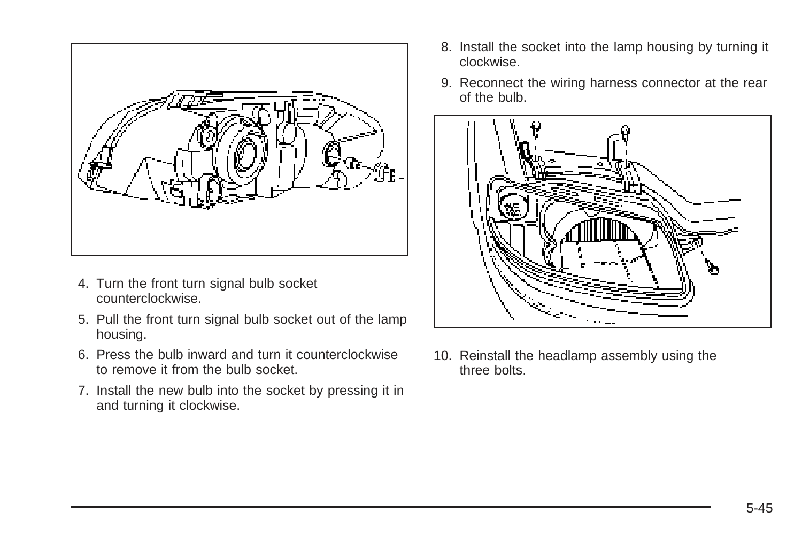

- 4. Turn the front turn signal bulb socket counterclockwise.
- 5. Pull the front turn signal bulb socket out of the lamp housing.
- 6. Press the bulb inward and turn it counterclockwise to remove it from the bulb socket.
- 7. Install the new bulb into the socket by pressing it in and turning it clockwise.
- 8. Install the socket into the lamp housing by turning it clockwise.
- 9. Reconnect the wiring harness connector at the rear of the bulb.



10. Reinstall the headlamp assembly using the three bolts.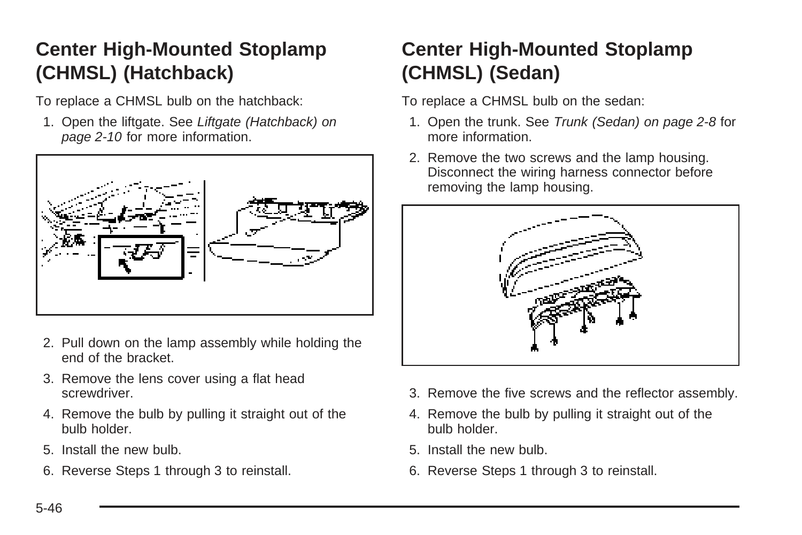# **Center High-Mounted Stoplamp (CHMSL) (Hatchback)**

To replace a CHMSL bulb on the hatchback:

1. Open the liftgate. See [Liftgate \(Hatchback\)](#page-87-0) on page 2-10 for more information.



- 2. Pull down on the lamp assembly while holding the end of the bracket.
- 3. Remove the lens cover using a flat head screwdriver.
- 4. Remove the bulb by pulling it straight out of the bulb holder.
- 5. Install the new bulb.
- 6. Reverse Steps 1 through 3 to reinstall.

# **Center High-Mounted Stoplamp (CHMSL) (Sedan)**

To replace a CHMSL bulb on the sedan:

- 1. Open the trunk. See [Trunk \(Sedan\)](#page-85-0) on page 2-8 for more information.
- 2. Remove the two screws and the lamp housing. Disconnect the wiring harness connector before removing the lamp housing.



- 3. Remove the five screws and the reflector assembly.
- 4. Remove the bulb by pulling it straight out of the bulb holder.
- 5. Install the new bulb.
- 6. Reverse Steps 1 through 3 to reinstall.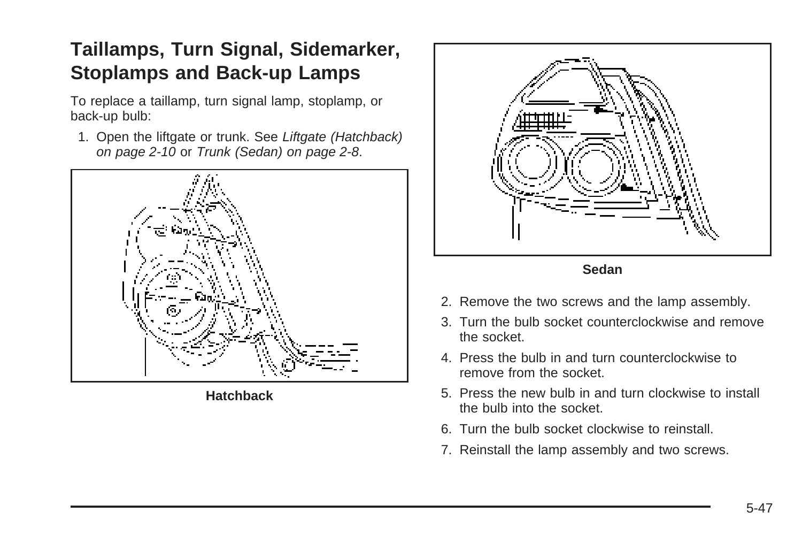# **Taillamps, Turn Signal, Sidemarker, Stoplamps and Back-up Lamps**

To replace a taillamp, turn signal lamp, stoplamp, or back-up bulb:

1. Open the liftgate or trunk. See [Liftgate \(Hatchback\)](#page-87-0) on page 2-10 or [Trunk \(Sedan\)](#page-85-0) on page 2-8.



**Hatchback**



**Sedan**

- 2. Remove the two screws and the lamp assembly.
- 3. Turn the bulb socket counterclockwise and remove the socket.
- 4. Press the bulb in and turn counterclockwise to remove from the socket.
- 5. Press the new bulb in and turn clockwise to install the bulb into the socket.
- 6. Turn the bulb socket clockwise to reinstall.
- 7. Reinstall the lamp assembly and two screws.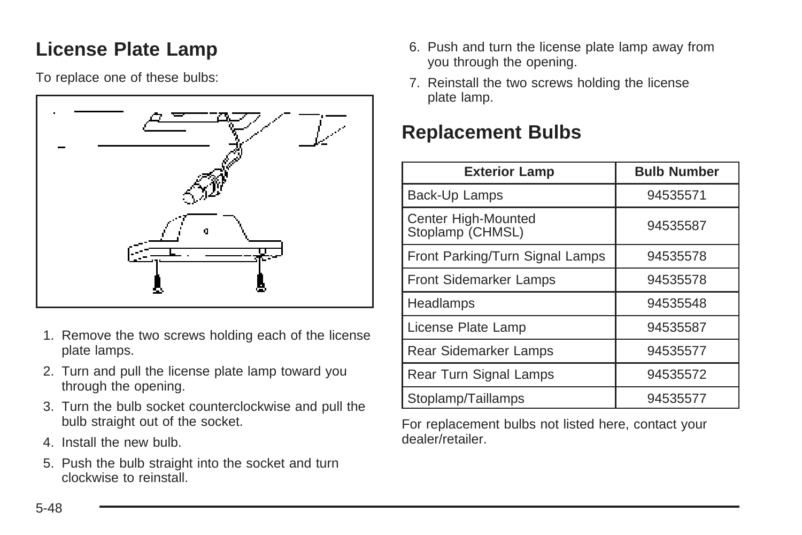# <span id="page-251-0"></span>**License Plate Lamp**

To replace one of these bulbs:



- 1. Remove the two screws holding each of the license plate lamps.
- 2. Turn and pull the license plate lamp toward you through the opening.
- 3. Turn the bulb socket counterclockwise and pull the bulb straight out of the socket.
- 4. Install the new bulb.
- 5. Push the bulb straight into the socket and turn clockwise to reinstall.
- 6. Push and turn the license plate lamp away from you through the opening.
- 7. Reinstall the two screws holding the license plate lamp.

## **Replacement Bulbs**

| <b>Exterior Lamp</b>                    | <b>Bulb Number</b> |
|-----------------------------------------|--------------------|
| Back-Up Lamps                           | 94535571           |
| Center High-Mounted<br>Stoplamp (CHMSL) | 94535587           |
| Front Parking/Turn Signal Lamps         | 94535578           |
| <b>Front Sidemarker Lamps</b>           | 94535578           |
| Headlamps                               | 94535548           |
| License Plate Lamp                      | 94535587           |
| Rear Sidemarker Lamps                   | 94535577           |
| Rear Turn Signal Lamps                  | 94535572           |
| Stoplamp/Taillamps                      | 94535577           |

For replacement bulbs not listed here, contact your dealer/retailer.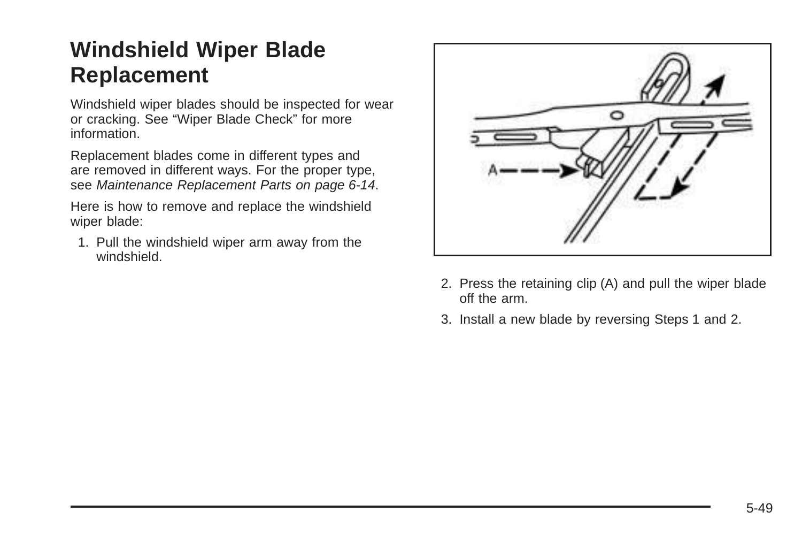## **Windshield Wiper Blade Replacement**

Windshield wiper blades should be inspected for wear or cracking. See "Wiper Blade Check" for more information.

Replacement blades come in different types and are removed in different ways. For the proper type, see [Maintenance Replacement Parts](#page-311-0) on page 6-14.

Here is how to remove and replace the windshield wiper blade:

1. Pull the windshield wiper arm away from the windshield.



- 2. Press the retaining clip (A) and pull the wiper blade off the arm.
- 3. Install a new blade by reversing Steps 1 and 2.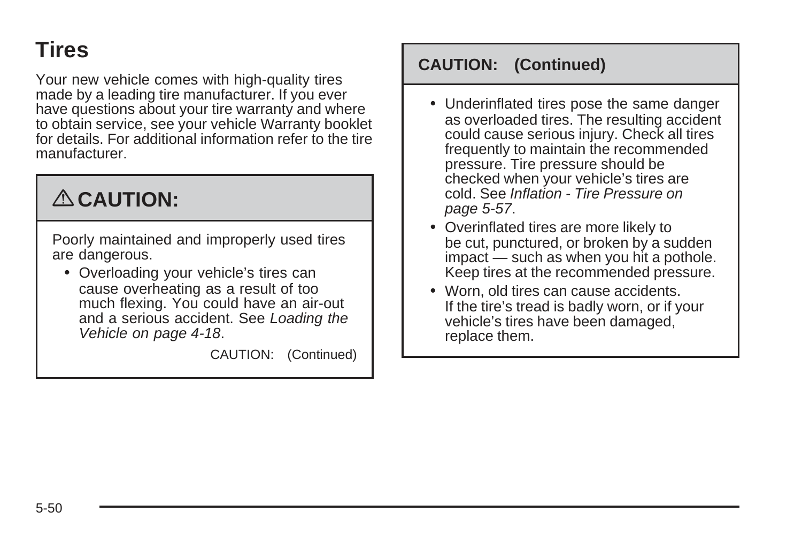## <span id="page-253-0"></span>**Tires**

Your new vehicle comes with high-quality tires made by a leading tire manufacturer. If you ever have questions about your tire warranty and where to obtain service, see your vehicle Warranty booklet for details. For additional information refer to the tire manufacturer.

# { **CAUTION:**

Poorly maintained and improperly used tires are dangerous.

• Overloading your vehicle's tires can cause overheating as a result of too much flexing. You could have an air-out and a serious accident. See [Loading the](#page-191-0) [Vehicle](#page-191-0) on page 4-18.

CAUTION: (Continued)

#### **CAUTION: (Continued)**

- Underinflated tires pose the same danger as overloaded tires. The resulting accident could cause serious injury. Check all tires frequently to maintain the recommended pressure. Tire pressure should be checked when your vehicle's tires are cold. See [Inflation - Tire Pressure](#page-260-0) on page 5-57.
- Overinflated tires are more likely to be cut, punctured, or broken by a sudden impact — such as when you hit a pothole. Keep tires at the recommended pressure.
- Worn, old tires can cause accidents. If the tire's tread is badly worn, or if your vehicle's tires have been damaged, replace them.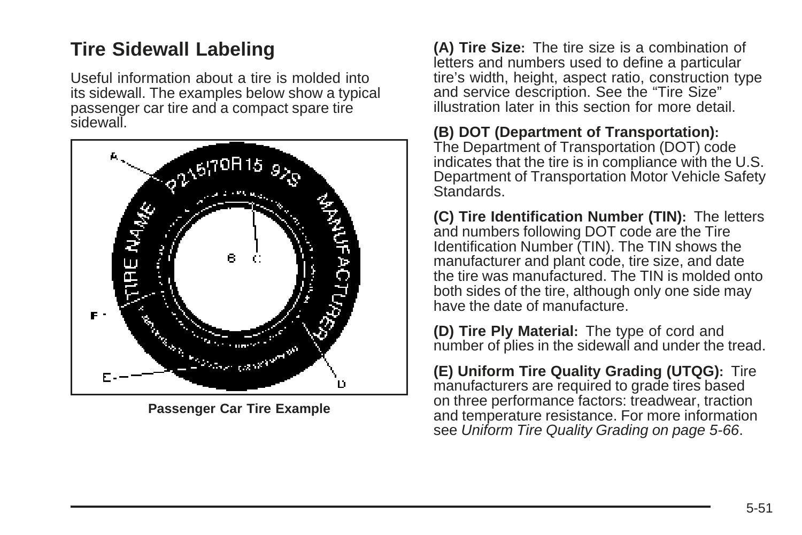### <span id="page-254-0"></span>**Tire Sidewall Labeling**

Useful information about a tire is molded into its sidewall. The examples below show a typical passenger car tire and a compact spare tire sidewall.



**Passenger Car Tire Example**

**(A) Tire Size:** The tire size is a combination of letters and numbers used to define a particular tire's width, height, aspect ratio, construction type and service description. See the "Tire Size" illustration later in this section for more detail.

#### **(B) DOT (Department of Transportation):**

The Department of Transportation (DOT) code indicates that the tire is in compliance with the U.S. Department of Transportation Motor Vehicle Safety **Standards** 

**(C) Tire Identification Number (TIN):** The letters and numbers following DOT code are the Tire Identification Number (TIN). The TIN shows the manufacturer and plant code, tire size, and date the tire was manufactured. The TIN is molded onto both sides of the tire, although only one side may have the date of manufacture.

**(D) Tire Ply Material:** The type of cord and number of plies in the sidewall and under the tread.

**(E) Uniform Tire Quality Grading (UTQG):** Tire manufacturers are required to grade tires based on three performance factors: treadwear, traction and temperature resistance. For more information see [Uniform Tire Quality Grading](#page-269-0) on page 5-66.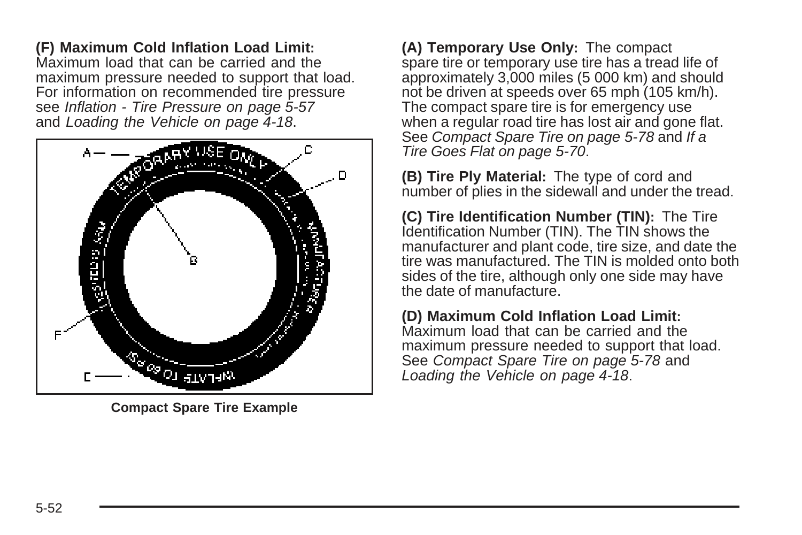**(F) Maximum Cold Inflation Load Limit:** Maximum load that can be carried and the maximum pressure needed to support that load. For information on recommended tire pressure see [Inflation - Tire Pressure](#page-260-0) on page 5-57 and [Loading the Vehicle](#page-191-0) on page 4-18.



**Compact Spare Tire Example**

**(A) Temporary Use Only:** The compact spare tire or temporary use tire has a tread life of approximately 3,000 miles (5 000 km) and should not be driven at speeds over 65 mph (105 km/h). The compact spare tire is for emergency use when a regular road tire has lost air and gone flat. See [Compact Spare Tire](#page-281-0) on page 5-78 and [If a](#page-273-0) [Tire Goes Flat](#page-273-0) on page 5-70.

**(B) Tire Ply Material:** The type of cord and number of plies in the sidewall and under the tread.

**(C) Tire Identification Number (TIN):** The Tire Identification Number (TIN). The TIN shows the manufacturer and plant code, tire size, and date the tire was manufactured. The TIN is molded onto both sides of the tire, although only one side may have the date of manufacture.

**(D) Maximum Cold Inflation Load Limit:** Maximum load that can be carried and the maximum pressure needed to support that load. See [Compact Spare Tire](#page-281-0) on page 5-78 and [Loading the Vehicle](#page-191-0) on page 4-18.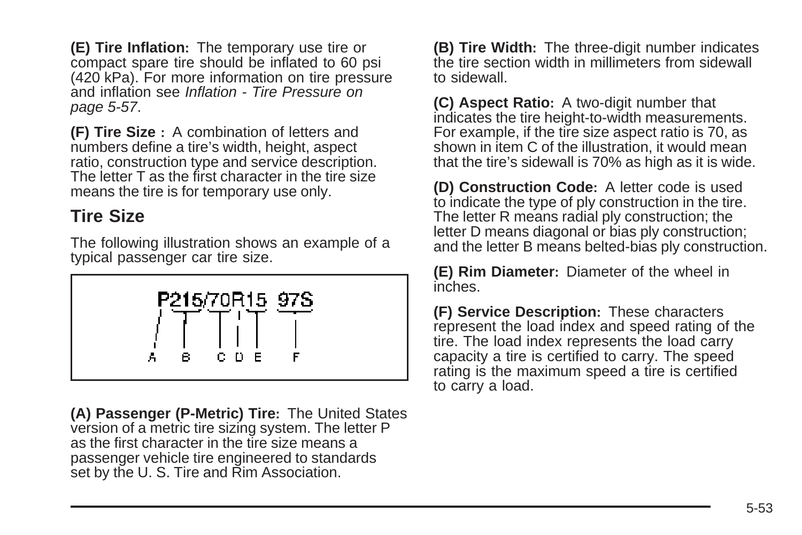**(E) Tire Inflation:** The temporary use tire or compact spare tire should be inflated to 60 psi (420 kPa). For more information on tire pressure and inflation see [Inflation - Tire Pressure](#page-260-0) on page 5-57.

**(F) Tire Size :** A combination of letters and numbers define a tire's width, height, aspect ratio, construction type and service description. The letter T as the first character in the tire size means the tire is for temporary use only.

#### **Tire Size**

The following illustration shows an example of a typical passenger car tire size.



**(A) Passenger (P-Metric) Tire:** The United States version of a metric tire sizing system. The letter P as the first character in the tire size means a passenger vehicle tire engineered to standards set by the U.S. Tire and Rim Association.

**(B) Tire Width:** The three-digit number indicates the tire section width in millimeters from sidewall to sidewall.

**(C) Aspect Ratio:** A two-digit number that indicates the tire height-to-width measurements. For example, if the tire size aspect ratio is 70, as shown in item C of the illustration, it would mean that the tire's sidewall is 70% as high as it is wide.

**(D) Construction Code:** A letter code is used to indicate the type of ply construction in the tire. The letter R means radial ply construction; the letter D means diagonal or bias ply construction; and the letter B means belted-bias ply construction.

**(E) Rim Diameter:** Diameter of the wheel in inches.

**(F) Service Description:** These characters represent the load index and speed rating of the tire. The load index represents the load carry capacity a tire is certified to carry. The speed rating is the maximum speed a tire is certified to carry a load.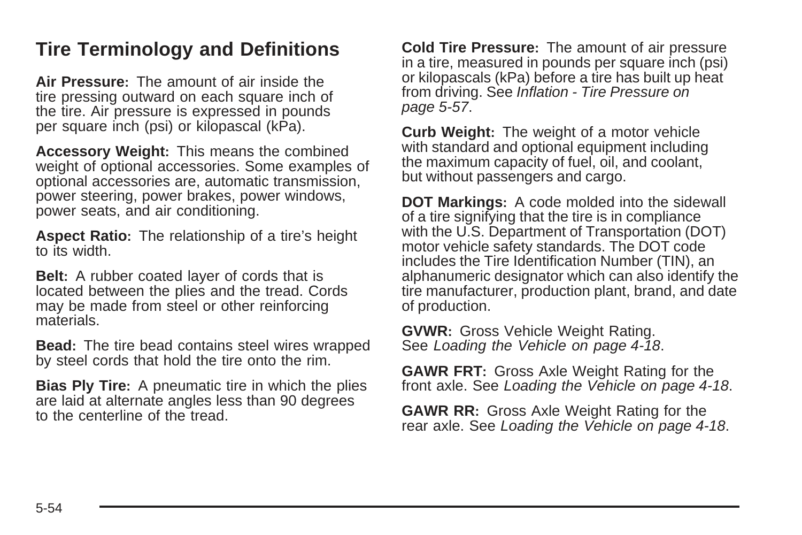#### **Tire Terminology and Definitions**

**Air Pressure:** The amount of air inside the tire pressing outward on each square inch of the tire. Air pressure is expressed in pounds per square inch (psi) or kilopascal (kPa).

**Accessory Weight:** This means the combined weight of optional accessories. Some examples of optional accessories are, automatic transmission, power steering, power brakes, power windows, power seats, and air conditioning.

**Aspect Ratio:** The relationship of a tire's height to its width.

**Belt:** A rubber coated layer of cords that is located between the plies and the tread. Cords may be made from steel or other reinforcing materials.

**Bead:** The tire bead contains steel wires wrapped by steel cords that hold the tire onto the rim.

**Bias Ply Tire:** A pneumatic tire in which the plies are laid at alternate angles less than 90 degrees to the centerline of the tread.

**Cold Tire Pressure:** The amount of air pressure in a tire, measured in pounds per square inch (psi) or kilopascals (kPa) before a tire has built up heat from driving. See [Inflation - Tire Pressure](#page-260-0) on page 5-57.

**Curb Weight:** The weight of a motor vehicle with standard and optional equipment including the maximum capacity of fuel, oil, and coolant, but without passengers and cargo.

**DOT Markings:** A code molded into the sidewall of a tire signifying that the tire is in compliance with the U.S. Department of Transportation (DOT) motor vehicle safety standards. The DOT code includes the Tire Identification Number (TIN), an alphanumeric designator which can also identify the tire manufacturer, production plant, brand, and date of production.

**GVWR:** Gross Vehicle Weight Rating. See [Loading the Vehicle](#page-191-0) on page 4-18.

**GAWR FRT:** Gross Axle Weight Rating for the front axle. See [Loading the Vehicle](#page-191-0) on page 4-18.

**GAWR RR:** Gross Axle Weight Rating for the rear axle. See [Loading the Vehicle](#page-191-0) on page 4-18.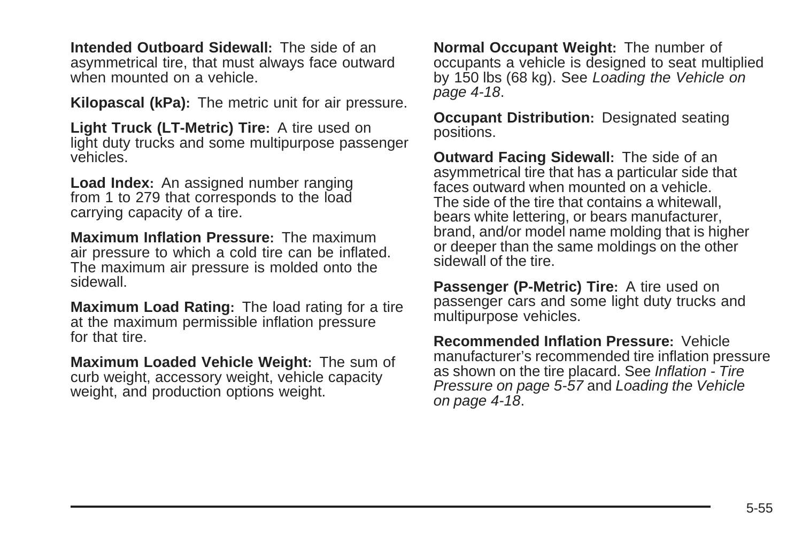**Intended Outboard Sidewall:** The side of an asymmetrical tire, that must always face outward when mounted on a vehicle.

**Kilopascal (kPa):** The metric unit for air pressure.

**Light Truck (LT-Metric) Tire:** A tire used on light duty trucks and some multipurpose passenger vehicles.

**Load Index:** An assigned number ranging from 1 to 279 that corresponds to the load carrying capacity of a tire.

**Maximum Inflation Pressure:** The maximum air pressure to which a cold tire can be inflated. The maximum air pressure is molded onto the sidewall.

**Maximum Load Rating:** The load rating for a tire at the maximum permissible inflation pressure for that tire.

**Maximum Loaded Vehicle Weight:** The sum of curb weight, accessory weight, vehicle capacity weight, and production options weight.

**Normal Occupant Weight:** The number of occupants a vehicle is designed to seat multiplied by 150 lbs (68 kg). See [Loading the Vehicle](#page-191-0) on page 4-18.

**Occupant Distribution:** Designated seating positions.

**Outward Facing Sidewall:** The side of an asymmetrical tire that has a particular side that faces outward when mounted on a vehicle. The side of the tire that contains a whitewall, bears white lettering, or bears manufacturer, brand, and/or model name molding that is higher or deeper than the same moldings on the other sidewall of the tire.

**Passenger (P-Metric) Tire:** A tire used on passenger cars and some light duty trucks and multipurpose vehicles.

**Recommended Inflation Pressure:** Vehicle manufacturer's recommended tire inflation pressure as shown on the tire placard. See [Inflation - Tire](#page-260-0) [Pressure](#page-260-0) on page 5-57 and [Loading the Vehicle](#page-191-0) on page 4-18.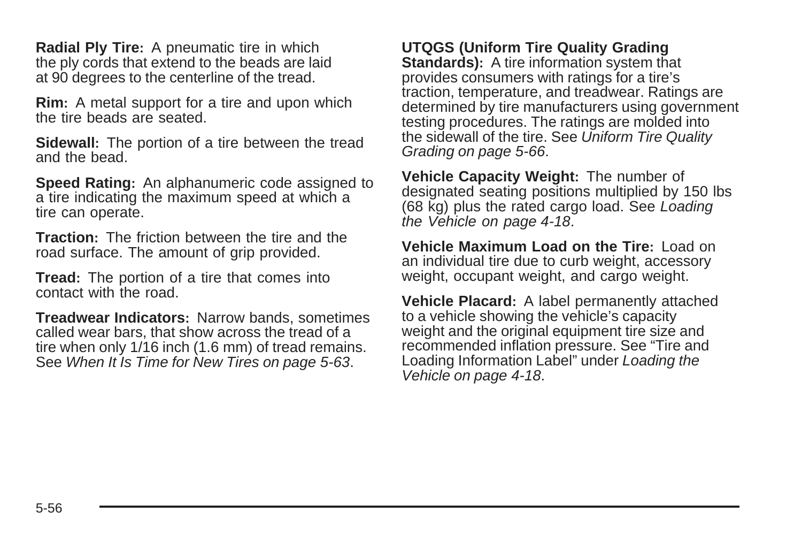**Radial Ply Tire:** A pneumatic tire in which the ply cords that extend to the beads are laid at 90 degrees to the centerline of the tread.

**Rim:** A metal support for a tire and upon which the tire beads are seated.

**Sidewall:** The portion of a tire between the tread and the bead.

**Speed Rating:** An alphanumeric code assigned to a tire indicating the maximum speed at which a tire can operate.

**Traction:** The friction between the tire and the road surface. The amount of grip provided.

**Tread:** The portion of a tire that comes into contact with the road.

**Treadwear Indicators:** Narrow bands, sometimes called wear bars, that show across the tread of a tire when only 1/16 inch (1.6 mm) of tread remains. See [When It Is Time for New Tires](#page-266-0) on page 5-63.

**UTQGS (Uniform Tire Quality Grading Standards):** A tire information system that provides consumers with ratings for a tire's traction, temperature, and treadwear. Ratings are determined by tire manufacturers using government testing procedures. The ratings are molded into the sidewall of the tire. See [Uniform Tire Quality](#page-269-0) [Grading](#page-269-0) on page 5-66.

**Vehicle Capacity Weight:** The number of designated seating positions multiplied by 150 lbs (68 kg) plus the rated cargo load. See [Loading](#page-191-0) [the Vehicle](#page-191-0) on page 4-18.

**Vehicle Maximum Load on the Tire:** Load on an individual tire due to curb weight, accessory weight, occupant weight, and cargo weight.

**Vehicle Placard:** A label permanently attached to a vehicle showing the vehicle's capacity weight and the original equipment tire size and recommended inflation pressure. See "Tire and Loading Information Label" under [Loading the](#page-191-0) [Vehicle](#page-191-0) on page 4-18.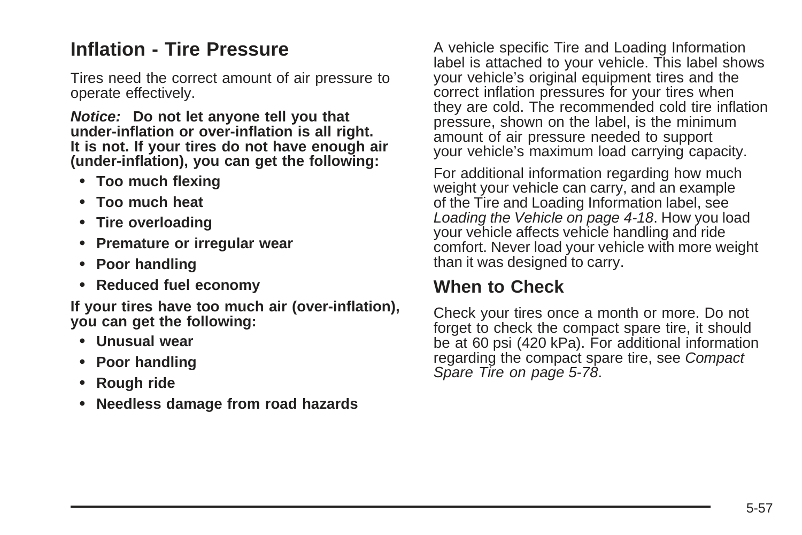### <span id="page-260-0"></span>**Inflation - Tire Pressure**

Tires need the correct amount of air pressure to operate effectively.

**Notice: Do not let anyone tell you that under-inflation or over-inflation is all right. It is not. If your tires do not have enough air (under-inflation), you can get the following:**

- **• Too much flexing**
- **• Too much heat**
- **• Tire overloading**
- **• Premature or irregular wear**
- **• Poor handling**
- **• Reduced fuel economy**

**If your tires have too much air (over-inflation), you can get the following:**

- **• Unusual wear**
- **• Poor handling**
- **• Rough ride**
- **• Needless damage from road hazards**

A vehicle specific Tire and Loading Information label is attached to your vehicle. This label shows your vehicle's original equipment tires and the correct inflation pressures for your tires when they are cold. The recommended cold tire inflation pressure, shown on the label, is the minimum amount of air pressure needed to support your vehicle's maximum load carrying capacity.

For additional information regarding how much weight your vehicle can carry, and an example of the Tire and Loading Information label, see [Loading the Vehicle](#page-191-0) on page 4-18. How you load your vehicle affects vehicle handling and ride comfort. Never load your vehicle with more weight than it was designed to carry.

#### **When to Check**

Check your tires once a month or more. Do not forget to check the compact spare tire, it should be at 60 psi (420 kPa). For additional information regarding the compact spare tire, see [Compact](#page-281-0) [Spare Tire](#page-281-0) on page 5-78.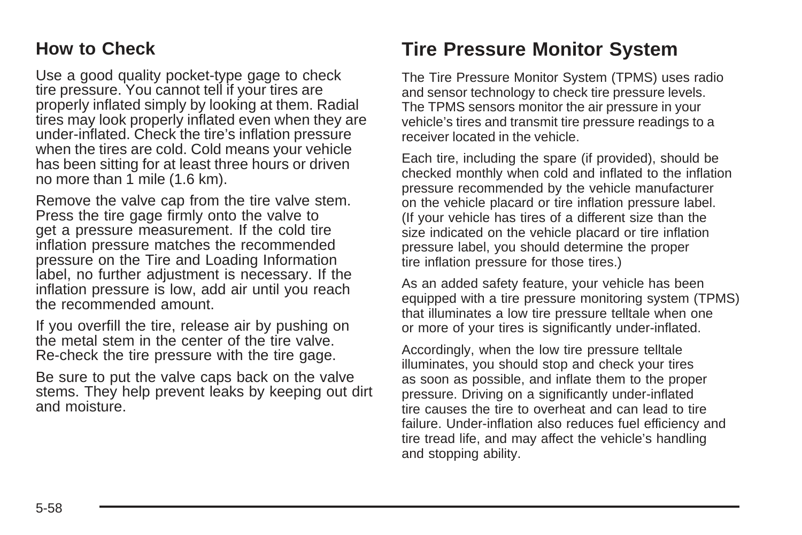#### <span id="page-261-0"></span>**How to Check**

Use a good quality pocket-type gage to check tire pressure. You cannot tell if your tires are properly inflated simply by looking at them. Radial tires may look properly inflated even when they are under-inflated. Check the tire's inflation pressure when the tires are cold. Cold means your vehicle has been sitting for at least three hours or driven no more than 1 mile (1.6 km).

Remove the valve cap from the tire valve stem. Press the tire gage firmly onto the valve to get a pressure measurement. If the cold tire inflation pressure matches the recommended pressure on the Tire and Loading Information label, no further adjustment is necessary. If the inflation pressure is low, add air until you reach the recommended amount.

If you overfill the tire, release air by pushing on the metal stem in the center of the tire valve. Re-check the tire pressure with the tire gage.

Be sure to put the valve caps back on the valve stems. They help prevent leaks by keeping out dirt and moisture.

### **Tire Pressure Monitor System**

The Tire Pressure Monitor System (TPMS) uses radio and sensor technology to check tire pressure levels. The TPMS sensors monitor the air pressure in your vehicle's tires and transmit tire pressure readings to a receiver located in the vehicle.

Each tire, including the spare (if provided), should be checked monthly when cold and inflated to the inflation pressure recommended by the vehicle manufacturer on the vehicle placard or tire inflation pressure label. (If your vehicle has tires of a different size than the size indicated on the vehicle placard or tire inflation pressure label, you should determine the proper tire inflation pressure for those tires.)

As an added safety feature, your vehicle has been equipped with a tire pressure monitoring system (TPMS) that illuminates a low tire pressure telltale when one or more of your tires is significantly under-inflated.

Accordingly, when the low tire pressure telltale illuminates, you should stop and check your tires as soon as possible, and inflate them to the proper pressure. Driving on a significantly under-inflated tire causes the tire to overheat and can lead to tire failure. Under-inflation also reduces fuel efficiency and tire tread life, and may affect the vehicle's handling and stopping ability.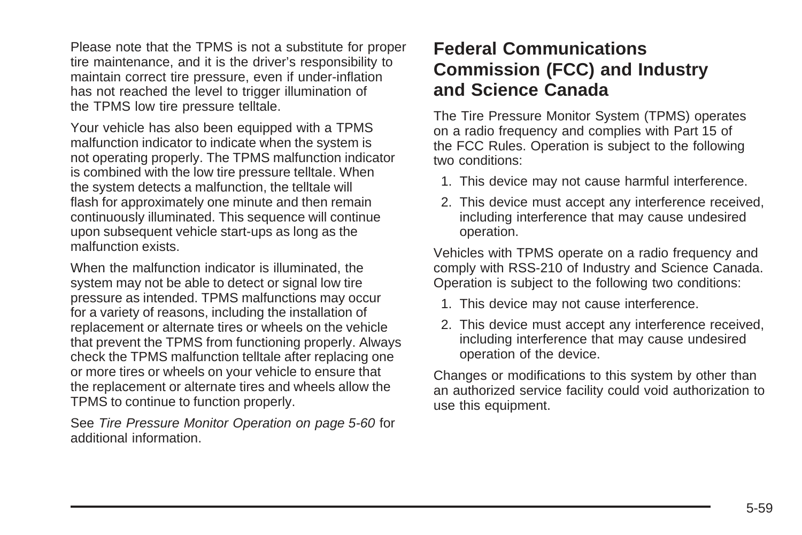Please note that the TPMS is not a substitute for proper tire maintenance, and it is the driver's responsibility to maintain correct tire pressure, even if under-inflation has not reached the level to trigger illumination of the TPMS low tire pressure telltale.

Your vehicle has also been equipped with a TPMS malfunction indicator to indicate when the system is not operating properly. The TPMS malfunction indicator is combined with the low tire pressure telltale. When the system detects a malfunction, the telltale will flash for approximately one minute and then remain continuously illuminated. This sequence will continue upon subsequent vehicle start-ups as long as the malfunction exists.

When the malfunction indicator is illuminated, the system may not be able to detect or signal low tire pressure as intended. TPMS malfunctions may occur for a variety of reasons, including the installation of replacement or alternate tires or wheels on the vehicle that prevent the TPMS from functioning properly. Always check the TPMS malfunction telltale after replacing one or more tires or wheels on your vehicle to ensure that the replacement or alternate tires and wheels allow the TPMS to continue to function properly.

See [Tire Pressure Monitor Operation](#page-263-0) on page 5-60 for additional information.

#### **Federal Communications Commission (FCC) and Industry and Science Canada**

The Tire Pressure Monitor System (TPMS) operates on a radio frequency and complies with Part 15 of the FCC Rules. Operation is subject to the following two conditions:

- 1. This device may not cause harmful interference.
- 2. This device must accept any interference received, including interference that may cause undesired operation.

Vehicles with TPMS operate on a radio frequency and comply with RSS-210 of Industry and Science Canada. Operation is subject to the following two conditions:

- 1. This device may not cause interference.
- 2. This device must accept any interference received, including interference that may cause undesired operation of the device.

Changes or modifications to this system by other than an authorized service facility could void authorization to use this equipment.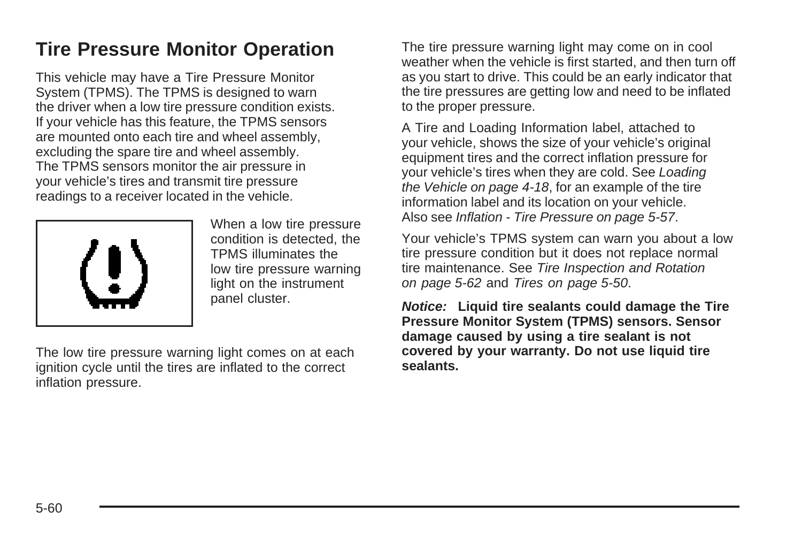### <span id="page-263-0"></span>**Tire Pressure Monitor Operation**

This vehicle may have a Tire Pressure Monitor System (TPMS). The TPMS is designed to warn the driver when a low tire pressure condition exists. If your vehicle has this feature, the TPMS sensors are mounted onto each tire and wheel assembly, excluding the spare tire and wheel assembly. The TPMS sensors monitor the air pressure in your vehicle's tires and transmit tire pressure readings to a receiver located in the vehicle.



When a low tire pressure condition is detected, the TPMS illuminates the low tire pressure warning light on the instrument panel cluster.

The low tire pressure warning light comes on at each ignition cycle until the tires are inflated to the correct inflation pressure.

The tire pressure warning light may come on in cool weather when the vehicle is first started, and then turn off as you start to drive. This could be an early indicator that the tire pressures are getting low and need to be inflated to the proper pressure.

A Tire and Loading Information label, attached to your vehicle, shows the size of your vehicle's original equipment tires and the correct inflation pressure for your vehicle's tires when they are cold. See [Loading](#page-191-0) [the Vehicle](#page-191-0) on page 4-18, for an example of the tire information label and its location on your vehicle. Also see [Inflation - Tire Pressure](#page-260-0) on page 5-57.

Your vehicle's TPMS system can warn you about a low tire pressure condition but it does not replace normal tire maintenance. See [Tire Inspection and Rotation](#page-265-0) on page 5-62 and [Tires](#page-253-0) on page 5-50.

**Notice: Liquid tire sealants could damage the Tire Pressure Monitor System (TPMS) sensors. Sensor damage caused by using a tire sealant is not covered by your warranty. Do not use liquid tire sealants.**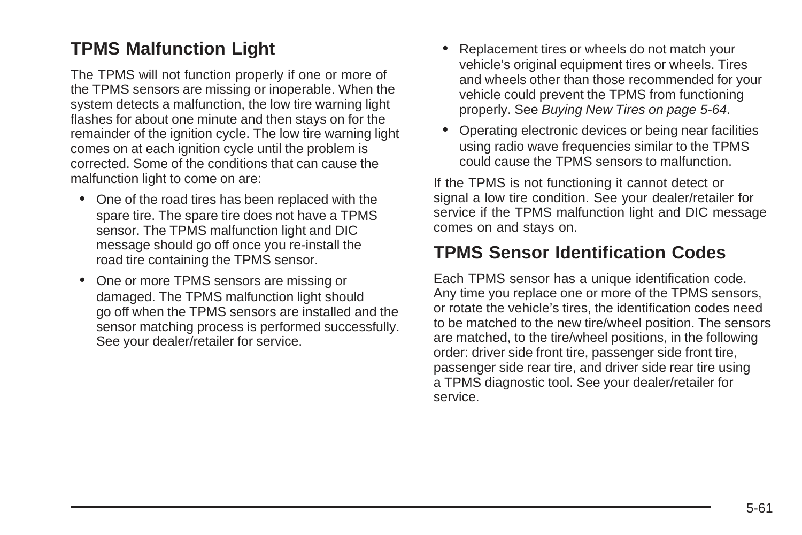#### **TPMS Malfunction Light**

The TPMS will not function properly if one or more of the TPMS sensors are missing or inoperable. When the system detects a malfunction, the low tire warning light flashes for about one minute and then stays on for the remainder of the ignition cycle. The low tire warning light comes on at each ignition cycle until the problem is corrected. Some of the conditions that can cause the malfunction light to come on are:

- One of the road tires has been replaced with the spare tire. The spare tire does not have a TPMS sensor. The TPMS malfunction light and DIC message should go off once you re-install the road tire containing the TPMS sensor.
- One or more TPMS sensors are missing or damaged. The TPMS malfunction light should go off when the TPMS sensors are installed and the sensor matching process is performed successfully. See your dealer/retailer for service.
- Replacement tires or wheels do not match your vehicle's original equipment tires or wheels. Tires and wheels other than those recommended for your vehicle could prevent the TPMS from functioning properly. See [Buying New Tires](#page-267-0) on page 5-64.
- Operating electronic devices or being near facilities using radio wave frequencies similar to the TPMS could cause the TPMS sensors to malfunction.

If the TPMS is not functioning it cannot detect or signal a low tire condition. See your dealer/retailer for service if the TPMS malfunction light and DIC message comes on and stays on.

#### **TPMS Sensor Identification Codes**

Each TPMS sensor has a unique identification code. Any time you replace one or more of the TPMS sensors, or rotate the vehicle's tires, the identification codes need to be matched to the new tire/wheel position. The sensors are matched, to the tire/wheel positions, in the following order: driver side front tire, passenger side front tire, passenger side rear tire, and driver side rear tire using a TPMS diagnostic tool. See your dealer/retailer for service.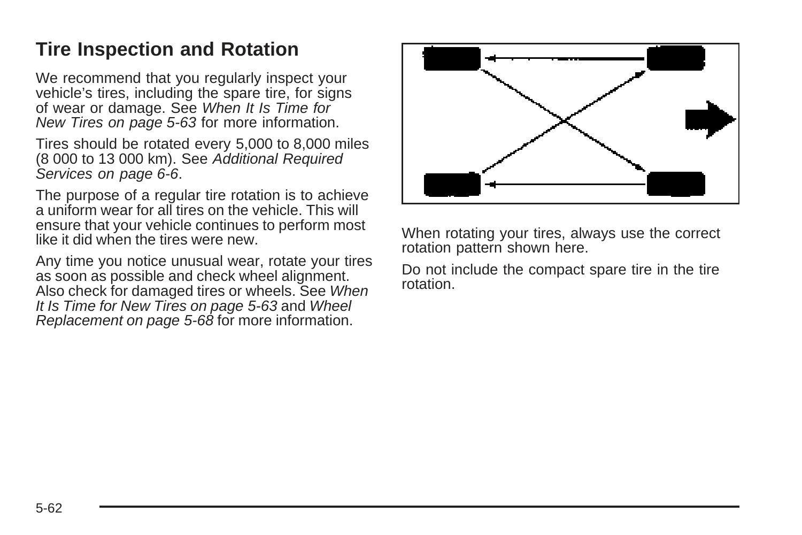### <span id="page-265-0"></span>**Tire Inspection and Rotation**

We recommend that you regularly inspect your vehicle's tires, including the spare tire, for signs of wear or damage. See [When It Is Time for](#page-266-0) [New Tires](#page-266-0) on page 5-63 for more information.

Tires should be rotated every 5,000 to 8,000 miles (8 000 to 13 000 km). See [Additional Required](#page-303-0) [Services](#page-303-0) on page 6-6.

The purpose of a regular tire rotation is to achieve a uniform wear for all tires on the vehicle. This will ensure that your vehicle continues to perform most like it did when the tires were new.

Any time you notice unusual wear, rotate your tires as soon as possible and check wheel alignment. Also check for damaged tires or wheels. See [When](#page-266-0) [It Is Time for New Tires](#page-266-0) on page 5-63 and [Wheel](#page-271-0) [Replacement](#page-271-0) on page 5-68 for more information.



When rotating your tires, always use the correct rotation pattern shown here.

Do not include the compact spare tire in the tire rotation.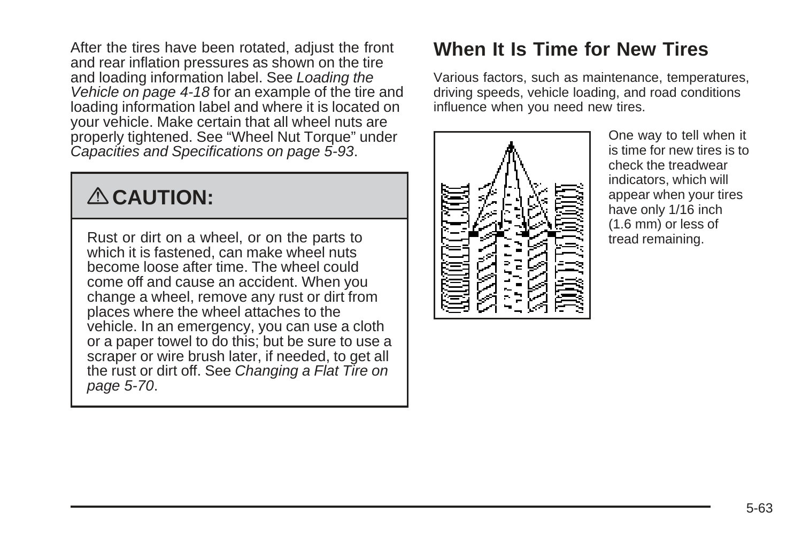<span id="page-266-0"></span>After the tires have been rotated, adjust the front and rear inflation pressures as shown on the tire and loading information label. See [Loading the](#page-191-0) [Vehicle](#page-191-0) on page 4-18 for an example of the tire and loading information label and where it is located on your vehicle. Make certain that all wheel nuts are properly tightened. See "Wheel Nut Torque" under [Capacities and Specifications](#page-296-0) on page 5-93.

# { **CAUTION:**

Rust or dirt on a wheel, or on the parts to which it is fastened, can make wheel nuts become loose after time. The wheel could come off and cause an accident. When you change a wheel, remove any rust or dirt from places where the wheel attaches to the vehicle. In an emergency, you can use a cloth or a paper towel to do this; but be sure to use a scraper or wire brush later, if needed, to get all the rust or dirt off. See [Changing a Flat Tire](#page-273-0) on page 5-70.

### **When It Is Time for New Tires**

Various factors, such as maintenance, temperatures, driving speeds, vehicle loading, and road conditions influence when you need new tires.



One way to tell when it is time for new tires is to check the treadwear indicators, which will appear when your tires have only 1/16 inch (1.6 mm) or less of tread remaining.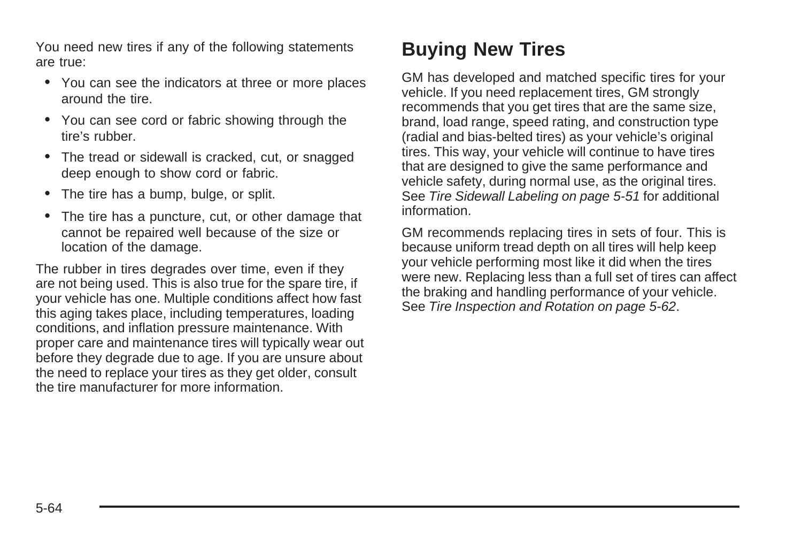<span id="page-267-0"></span>You need new tires if any of the following statements are true:

- You can see the indicators at three or more places around the tire.
- You can see cord or fabric showing through the tire's rubber.
- The tread or sidewall is cracked, cut, or snagged deep enough to show cord or fabric.
- The tire has a bump, bulge, or split.
- The tire has a puncture, cut, or other damage that cannot be repaired well because of the size or location of the damage.

The rubber in tires degrades over time, even if they are not being used. This is also true for the spare tire, if your vehicle has one. Multiple conditions affect how fast this aging takes place, including temperatures, loading conditions, and inflation pressure maintenance. With proper care and maintenance tires will typically wear out before they degrade due to age. If you are unsure about the need to replace your tires as they get older, consult the tire manufacturer for more information.

### **Buying New Tires**

GM has developed and matched specific tires for your vehicle. If you need replacement tires, GM strongly recommends that you get tires that are the same size, brand, load range, speed rating, and construction type (radial and bias-belted tires) as your vehicle's original tires. This way, your vehicle will continue to have tires that are designed to give the same performance and vehicle safety, during normal use, as the original tires. See [Tire Sidewall Labeling](#page-254-0) on page 5-51 for additional information.

GM recommends replacing tires in sets of four. This is because uniform tread depth on all tires will help keep your vehicle performing most like it did when the tires were new. Replacing less than a full set of tires can affect the braking and handling performance of your vehicle. See [Tire Inspection and Rotation](#page-265-0) on page 5-62.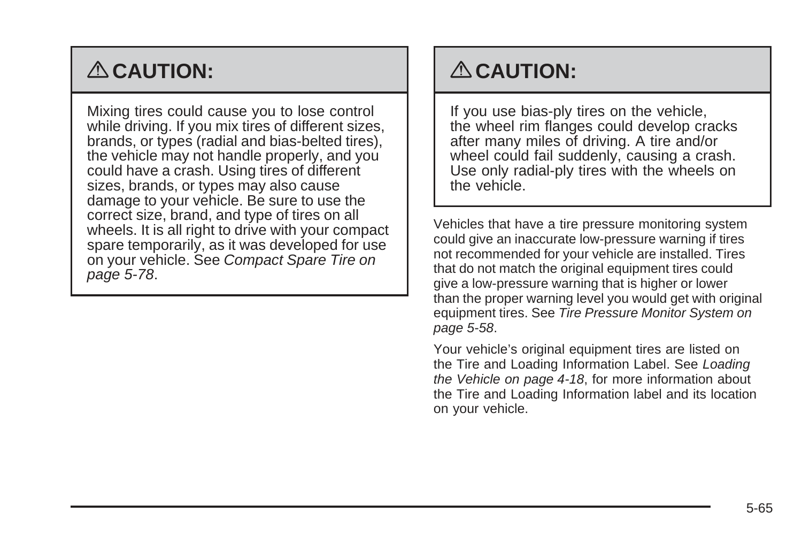# { **CAUTION:**

Mixing tires could cause you to lose control while driving. If you mix tires of different sizes, brands, or types (radial and bias-belted tires), the vehicle may not handle properly, and you could have a crash. Using tires of different sizes, brands, or types may also cause damage to your vehicle. Be sure to use the correct size, brand, and type of tires on all wheels. It is all right to drive with your compact spare temporarily, as it was developed for use on your vehicle. See [Compact Spare Tire](#page-281-0) on page 5-78.

# { **CAUTION:**

If you use bias-ply tires on the vehicle, the wheel rim flanges could develop cracks after many miles of driving. A tire and/or wheel could fail suddenly, causing a crash. Use only radial-ply tires with the wheels on the vehicle.

Vehicles that have a tire pressure monitoring system could give an inaccurate low-pressure warning if tires not recommended for your vehicle are installed. Tires that do not match the original equipment tires could give a low-pressure warning that is higher or lower than the proper warning level you would get with original equipment tires. See [Tire Pressure Monitor System](#page-261-0) on page 5-58.

Your vehicle's original equipment tires are listed on the Tire and Loading Information Label. See [Loading](#page-191-0) [the Vehicle](#page-191-0) on page 4-18, for more information about the Tire and Loading Information label and its location on your vehicle.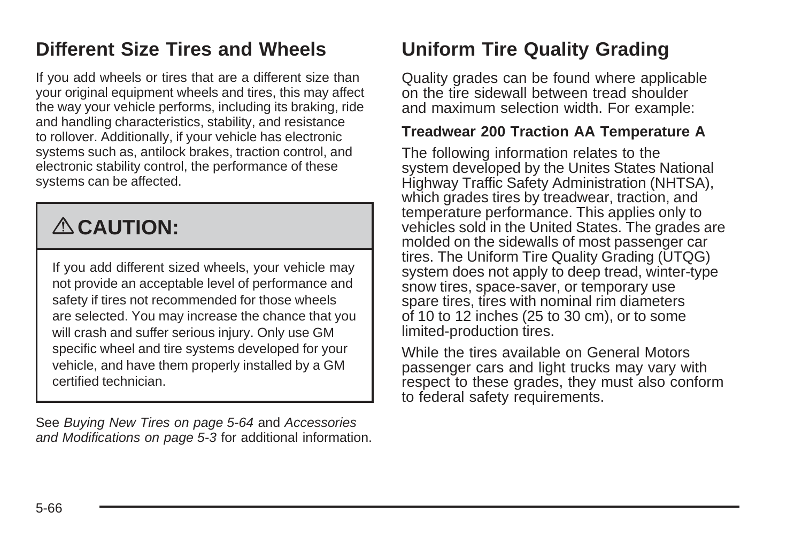### <span id="page-269-0"></span>**Different Size Tires and Wheels**

If you add wheels or tires that are a different size than your original equipment wheels and tires, this may affect the way your vehicle performs, including its braking, ride and handling characteristics, stability, and resistance to rollover. Additionally, if your vehicle has electronic systems such as, antilock brakes, traction control, and electronic stability control, the performance of these systems can be affected.

# { **CAUTION:**

If you add different sized wheels, your vehicle may not provide an acceptable level of performance and safety if tires not recommended for those wheels are selected. You may increase the chance that you will crash and suffer serious injury. Only use GM specific wheel and tire systems developed for your vehicle, and have them properly installed by a GM certified technician.

See [Buying New Tires](#page-267-0) on page 5-64 and [Accessories](#page-206-0) [and Modifications](#page-206-0) on page 5-3 for additional information.

### **Uniform Tire Quality Grading**

Quality grades can be found where applicable on the tire sidewall between tread shoulder and maximum selection width. For example:

#### **Treadwear 200 Traction AA Temperature A**

The following information relates to the system developed by the Unites States National Highway Traffic Safety Administration (NHTSA), which grades tires by treadwear, traction, and temperature performance. This applies only to vehicles sold in the United States. The grades are molded on the sidewalls of most passenger car tires. The Uniform Tire Quality Grading (UTQG) system does not apply to deep tread, winter-type snow tires, space-saver, or temporary use spare tires, tires with nominal rim diameters of 10 to 12 inches (25 to 30 cm), or to some limited-production tires.

While the tires available on General Motors passenger cars and light trucks may vary with respect to these grades, they must also conform to federal safety requirements.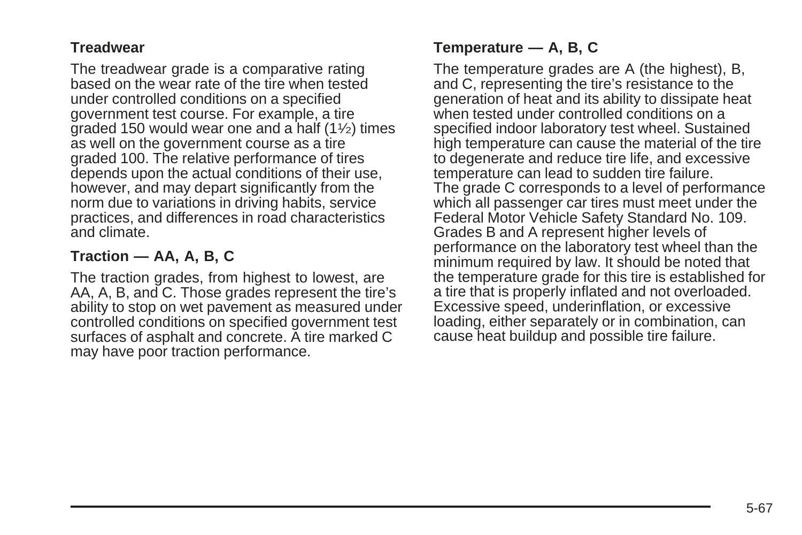#### **Treadwear**

The treadwear grade is a comparative rating based on the wear rate of the tire when tested under controlled conditions on a specified government test course. For example, a tire graded 150 would wear one and a half  $(11/2)$  times as well on the government course as a tire graded 100. The relative performance of tires depends upon the actual conditions of their use, however, and may depart significantly from the norm due to variations in driving habits, service practices, and differences in road characteristics and climate.

#### **Traction — AA, A, B, C**

The traction grades, from highest to lowest, are AA, A, B, and C. Those grades represent the tire's ability to stop on wet pavement as measured under controlled conditions on specified government test surfaces of asphalt and concrete. A tire marked C may have poor traction performance.

#### **Temperature — A, B, C**

The temperature grades are A (the highest), B, and C, representing the tire's resistance to the generation of heat and its ability to dissipate heat when tested under controlled conditions on a specified indoor laboratory test wheel. Sustained high temperature can cause the material of the tire to degenerate and reduce tire life, and excessive temperature can lead to sudden tire failure. The grade C corresponds to a level of performance which all passenger car tires must meet under the Federal Motor Vehicle Safety Standard No. 109. Grades B and A represent higher levels of performance on the laboratory test wheel than the minimum required by law. It should be noted that the temperature grade for this tire is established for a tire that is properly inflated and not overloaded. Excessive speed, underinflation, or excessive loading, either separately or in combination, can cause heat buildup and possible tire failure.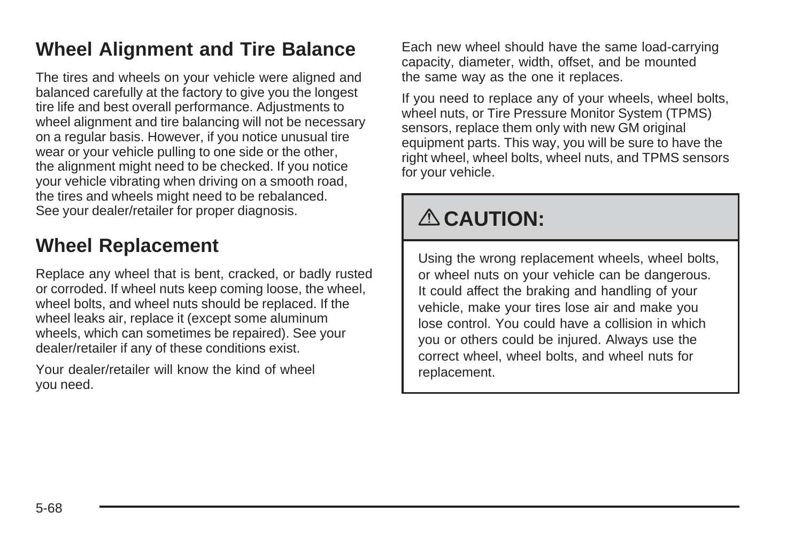### <span id="page-271-0"></span>**Wheel Alignment and Tire Balance**

The tires and wheels on your vehicle were aligned and balanced carefully at the factory to give you the longest tire life and best overall performance. Adjustments to wheel alignment and tire balancing will not be necessary on a regular basis. However, if you notice unusual tire wear or your vehicle pulling to one side or the other, the alignment might need to be checked. If you notice your vehicle vibrating when driving on a smooth road, the tires and wheels might need to be rebalanced. See your dealer/retailer for proper diagnosis.

#### **Wheel Replacement**

Replace any wheel that is bent, cracked, or badly rusted or corroded. If wheel nuts keep coming loose, the wheel, wheel bolts, and wheel nuts should be replaced. If the wheel leaks air, replace it (except some aluminum wheels, which can sometimes be repaired). See your dealer/retailer if any of these conditions exist.

Your dealer/retailer will know the kind of wheel you need.

Each new wheel should have the same load-carrying capacity, diameter, width, offset, and be mounted the same way as the one it replaces.

If you need to replace any of your wheels, wheel bolts, wheel nuts, or Tire Pressure Monitor System (TPMS) sensors, replace them only with new GM original equipment parts. This way, you will be sure to have the right wheel, wheel bolts, wheel nuts, and TPMS sensors for your vehicle.

# { **CAUTION:**

Using the wrong replacement wheels, wheel bolts, or wheel nuts on your vehicle can be dangerous. It could affect the braking and handling of your vehicle, make your tires lose air and make you lose control. You could have a collision in which you or others could be injured. Always use the correct wheel, wheel bolts, and wheel nuts for replacement.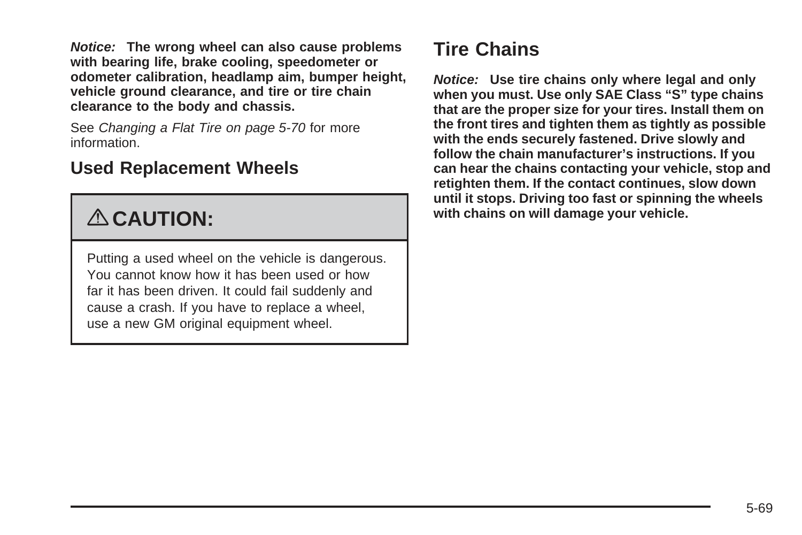**Notice: The wrong wheel can also cause problems with bearing life, brake cooling, speedometer or odometer calibration, headlamp aim, bumper height, vehicle ground clearance, and tire or tire chain clearance to the body and chassis.**

See [Changing a Flat Tire](#page-273-0) on page 5-70 for more information.

#### **Used Replacement Wheels**

# { **CAUTION:**

Putting a used wheel on the vehicle is dangerous. You cannot know how it has been used or how far it has been driven. It could fail suddenly and cause a crash. If you have to replace a wheel, use a new GM original equipment wheel.

### **Tire Chains**

**Notice: Use tire chains only where legal and only when you must. Use only SAE Class "S" type chains that are the proper size for your tires. Install them on the front tires and tighten them as tightly as possible with the ends securely fastened. Drive slowly and follow the chain manufacturer's instructions. If you can hear the chains contacting your vehicle, stop and retighten them. If the contact continues, slow down until it stops. Driving too fast or spinning the wheels with chains on will damage your vehicle.**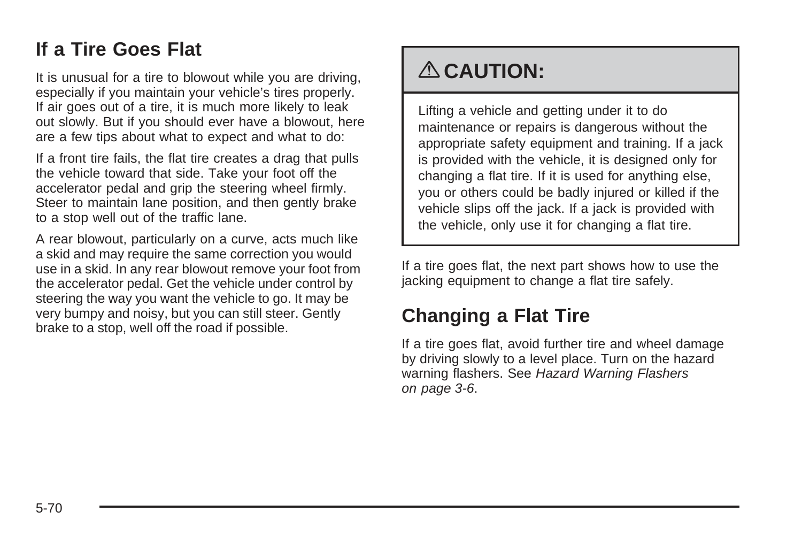#### <span id="page-273-0"></span>**If a Tire Goes Flat**

It is unusual for a tire to blowout while you are driving, especially if you maintain your vehicle's tires properly. If air goes out of a tire, it is much more likely to leak out slowly. But if you should ever have a blowout, here are a few tips about what to expect and what to do:

If a front tire fails, the flat tire creates a drag that pulls the vehicle toward that side. Take your foot off the accelerator pedal and grip the steering wheel firmly. Steer to maintain lane position, and then gently brake to a stop well out of the traffic lane.

A rear blowout, particularly on a curve, acts much like a skid and may require the same correction you would use in a skid. In any rear blowout remove your foot from the accelerator pedal. Get the vehicle under control by steering the way you want the vehicle to go. It may be very bumpy and noisy, but you can still steer. Gently brake to a stop, well off the road if possible.

# { **CAUTION:**

Lifting a vehicle and getting under it to do maintenance or repairs is dangerous without the appropriate safety equipment and training. If a jack is provided with the vehicle, it is designed only for changing a flat tire. If it is used for anything else, you or others could be badly injured or killed if the vehicle slips off the jack. If a jack is provided with the vehicle, only use it for changing a flat tire.

If a tire goes flat, the next part shows how to use the jacking equipment to change a flat tire safely.

### **Changing a Flat Tire**

If a tire goes flat, avoid further tire and wheel damage by driving slowly to a level place. Turn on the hazard warning flashers. See [Hazard Warning Flashers](#page-121-0) on page 3-6.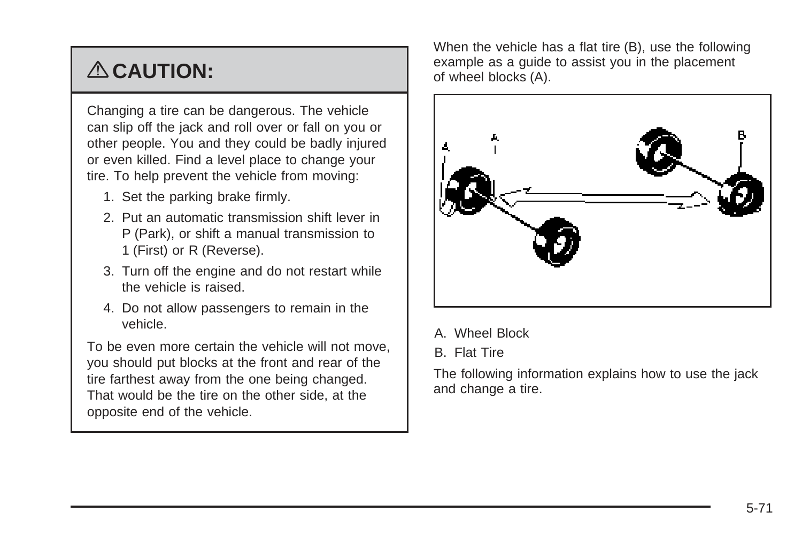# { **CAUTION:**

Changing a tire can be dangerous. The vehicle can slip off the jack and roll over or fall on you or other people. You and they could be badly injured or even killed. Find a level place to change your tire. To help prevent the vehicle from moving:

- 1. Set the parking brake firmly.
- 2. Put an automatic transmission shift lever in P (Park), or shift a manual transmission to 1 (First) or R (Reverse).
- 3. Turn off the engine and do not restart while the vehicle is raised.
- 4. Do not allow passengers to remain in the vehicle.

To be even more certain the vehicle will not move, you should put blocks at the front and rear of the tire farthest away from the one being changed. That would be the tire on the other side, at the opposite end of the vehicle.

When the vehicle has a flat tire (B), use the following example as a guide to assist you in the placement of wheel blocks (A).



- A. Wheel Block
- B. Flat Tire

The following information explains how to use the jack and change a tire.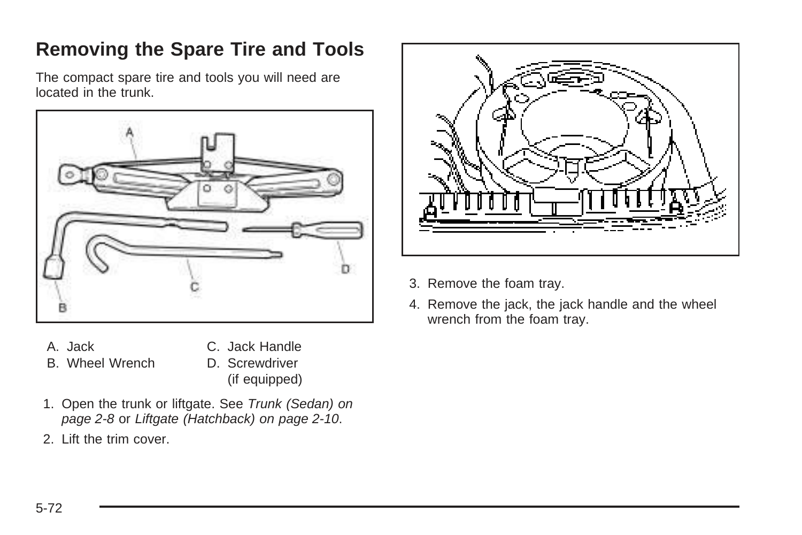## **Removing the Spare Tire and Tools**

The compact spare tire and tools you will need are located in the trunk.



- A. Jack B. Wheel Wrench
- C. Jack Handle
- D. Screwdriver (if equipped)
- 1. Open the trunk or liftgate. See [Trunk \(Sedan\)](#page-85-0) on page 2-8 or [Liftgate \(Hatchback\)](#page-87-0) on page 2-10.
- 2. Lift the trim cover.



- 3. Remove the foam tray.
- 4. Remove the jack, the jack handle and the wheel wrench from the foam tray.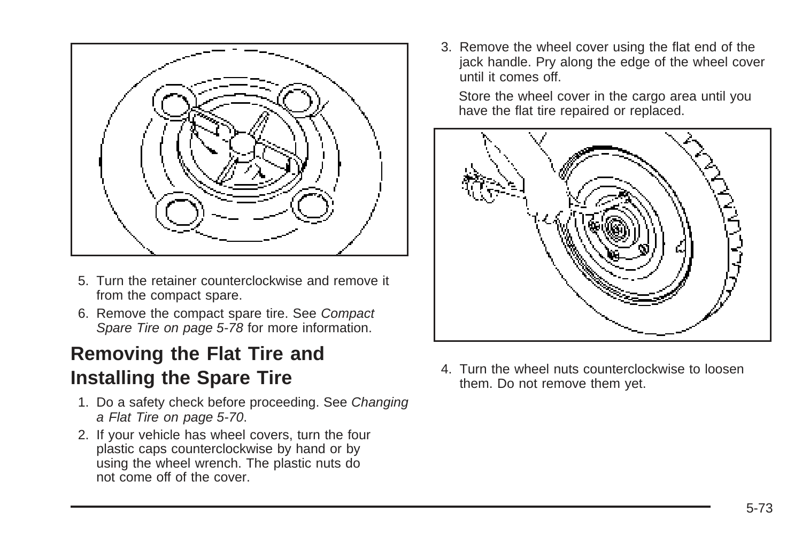

- 5. Turn the retainer counterclockwise and remove it from the compact spare.
- 6. Remove the compact spare tire. See [Compact](#page-281-0) [Spare Tire](#page-281-0) on page 5-78 for more information.

### **Removing the Flat Tire and Installing the Spare Tire**

- 1. Do a safety check before proceeding. See [Changing](#page-273-0) [a Flat Tire](#page-273-0) on page 5-70.
- 2. If your vehicle has wheel covers, turn the four plastic caps counterclockwise by hand or by using the wheel wrench. The plastic nuts do not come off of the cover.

3. Remove the wheel cover using the flat end of the jack handle. Pry along the edge of the wheel cover until it comes off.

Store the wheel cover in the cargo area until you have the flat tire repaired or replaced.



4. Turn the wheel nuts counterclockwise to loosen them. Do not remove them yet.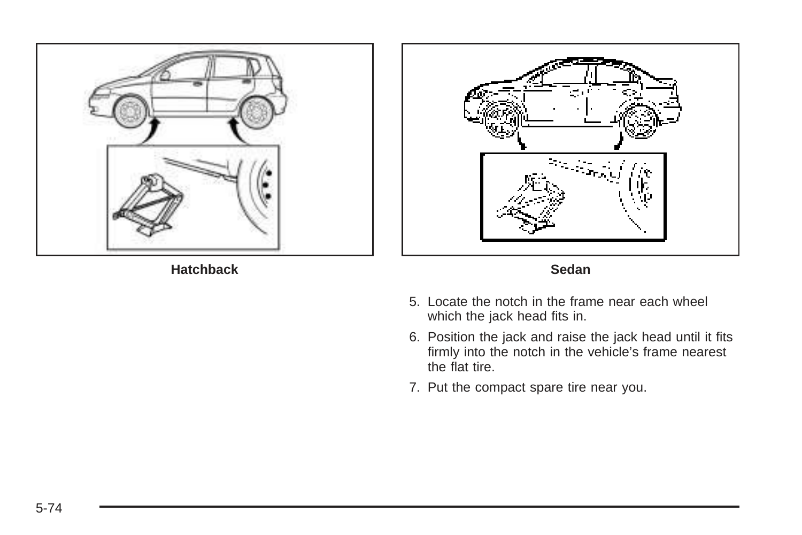

**Hatchback Sedan**





- 5. Locate the notch in the frame near each wheel which the jack head fits in.
- 6. Position the jack and raise the jack head until it fits firmly into the notch in the vehicle's frame nearest the flat tire.
- 7. Put the compact spare tire near you.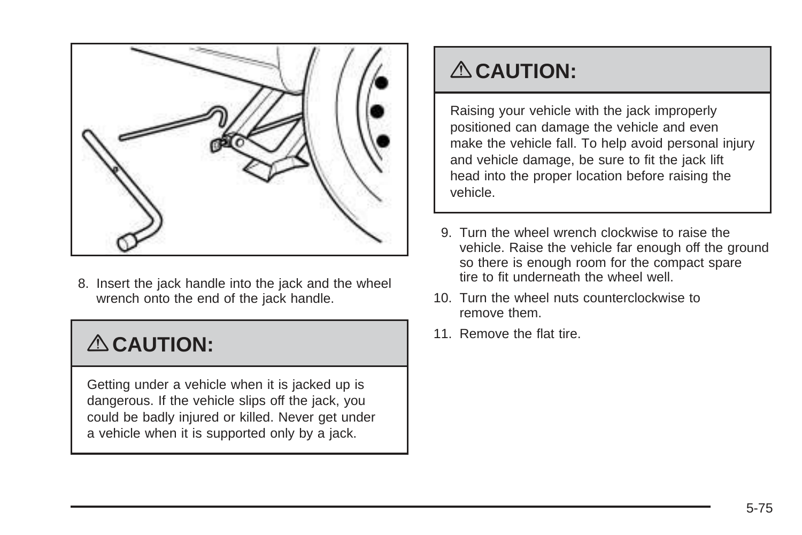

8. Insert the jack handle into the jack and the wheel wrench onto the end of the jack handle.

# { **CAUTION:**

Getting under a vehicle when it is jacked up is dangerous. If the vehicle slips off the jack, you could be badly injured or killed. Never get under a vehicle when it is supported only by a jack.

## { **CAUTION:**

Raising your vehicle with the jack improperly positioned can damage the vehicle and even make the vehicle fall. To help avoid personal injury and vehicle damage, be sure to fit the jack lift head into the proper location before raising the vehicle.

- 9. Turn the wheel wrench clockwise to raise the vehicle. Raise the vehicle far enough off the ground so there is enough room for the compact spare tire to fit underneath the wheel well.
- 10. Turn the wheel nuts counterclockwise to remove them.
- 11. Remove the flat tire.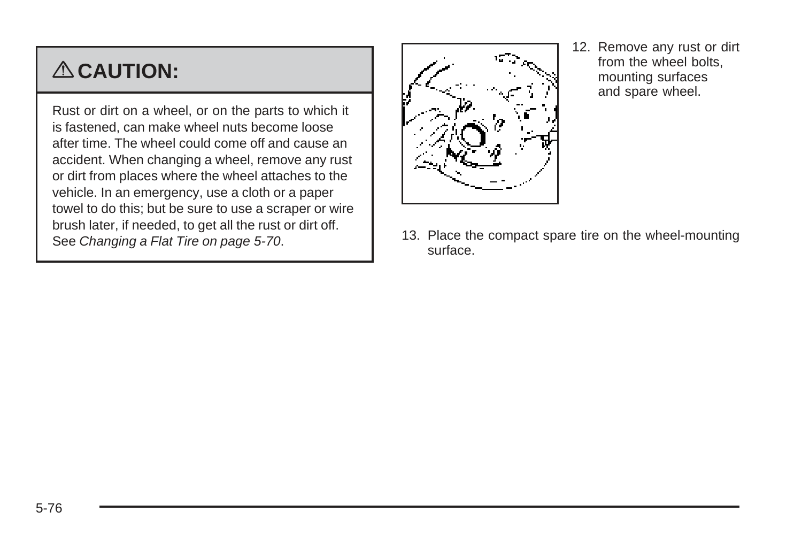# { **CAUTION:**

Rust or dirt on a wheel, or on the parts to which it is fastened, can make wheel nuts become loose after time. The wheel could come off and cause an accident. When changing a wheel, remove any rust or dirt from places where the wheel attaches to the vehicle. In an emergency, use a cloth or a paper towel to do this; but be sure to use a scraper or wire brush later, if needed, to get all the rust or dirt off. See [Changing a Flat Tire](#page-273-0) on page 5-70.

- 
- 12. Remove any rust or dirt from the wheel bolts, mounting surfaces and spare wheel.

13. Place the compact spare tire on the wheel-mounting surface.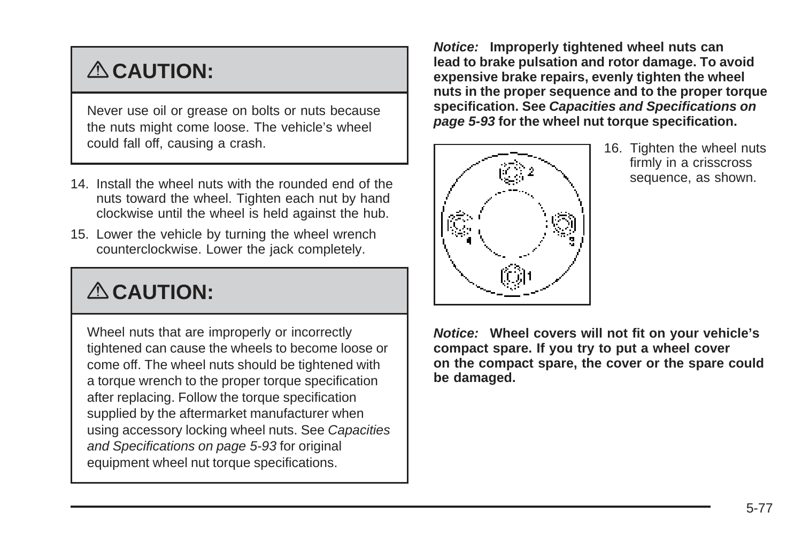# { **CAUTION:**

Never use oil or grease on bolts or nuts because the nuts might come loose. The vehicle's wheel could fall off, causing a crash.

- 14. Install the wheel nuts with the rounded end of the nuts toward the wheel. Tighten each nut by hand clockwise until the wheel is held against the hub.
- 15. Lower the vehicle by turning the wheel wrench counterclockwise. Lower the jack completely.

# { **CAUTION:**

Wheel nuts that are improperly or incorrectly tightened can cause the wheels to become loose or come off. The wheel nuts should be tightened with a torque wrench to the proper torque specification after replacing. Follow the torque specification supplied by the aftermarket manufacturer when using accessory locking wheel nuts. See [Capacities](#page-296-0) [and Specifications](#page-296-0) on page 5-93 for original equipment wheel nut torque specifications.

**Notice: Improperly tightened wheel nuts can lead to brake pulsation and rotor damage. To avoid expensive brake repairs, evenly tighten the wheel nuts in the proper sequence and to the proper torque specification. See [Capacities and Specifications](#page-296-0) on page 5-93 for the wheel nut torque specification.**



16. Tighten the wheel nuts firmly in a crisscross sequence, as shown.

**Notice: Wheel covers will not fit on your vehicle's compact spare. If you try to put a wheel cover on the compact spare, the cover or the spare could be damaged.**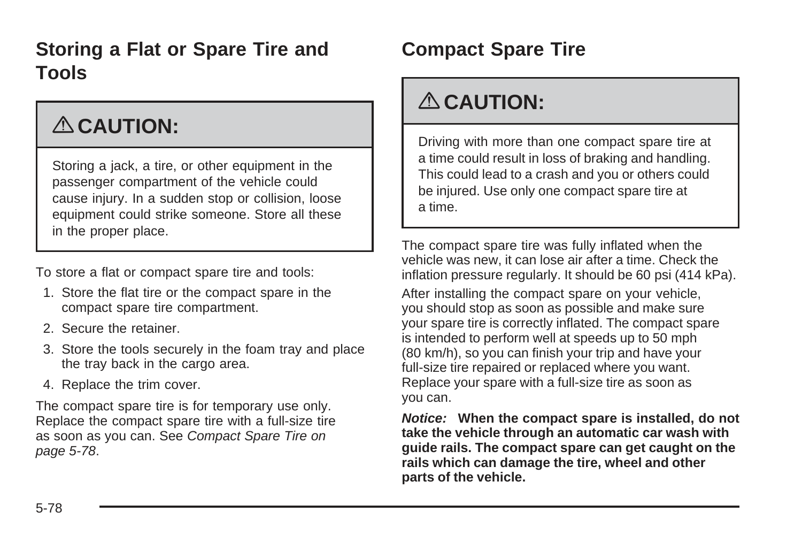### <span id="page-281-0"></span>**Storing a Flat or Spare Tire and Tools**

# { **CAUTION:**

Storing a jack, a tire, or other equipment in the passenger compartment of the vehicle could cause injury. In a sudden stop or collision, loose equipment could strike someone. Store all these in the proper place.

To store a flat or compact spare tire and tools:

- 1. Store the flat tire or the compact spare in the compact spare tire compartment.
- 2. Secure the retainer.
- 3. Store the tools securely in the foam tray and place the tray back in the cargo area.
- 4. Replace the trim cover.

The compact spare tire is for temporary use only. Replace the compact spare tire with a full-size tire as soon as you can. See Compact Spare Tire on page 5-78.

### **Compact Spare Tire**

# { **CAUTION:**

Driving with more than one compact spare tire at a time could result in loss of braking and handling. This could lead to a crash and you or others could be injured. Use only one compact spare tire at a time.

The compact spare tire was fully inflated when the vehicle was new, it can lose air after a time. Check the inflation pressure regularly. It should be 60 psi (414 kPa). After installing the compact spare on your vehicle, you should stop as soon as possible and make sure your spare tire is correctly inflated. The compact spare is intended to perform well at speeds up to 50 mph (80 km/h), so you can finish your trip and have your full-size tire repaired or replaced where you want. Replace your spare with a full-size tire as soon as you can.

**Notice: When the compact spare is installed, do not take the vehicle through an automatic car wash with guide rails. The compact spare can get caught on the rails which can damage the tire, wheel and other parts of the vehicle.**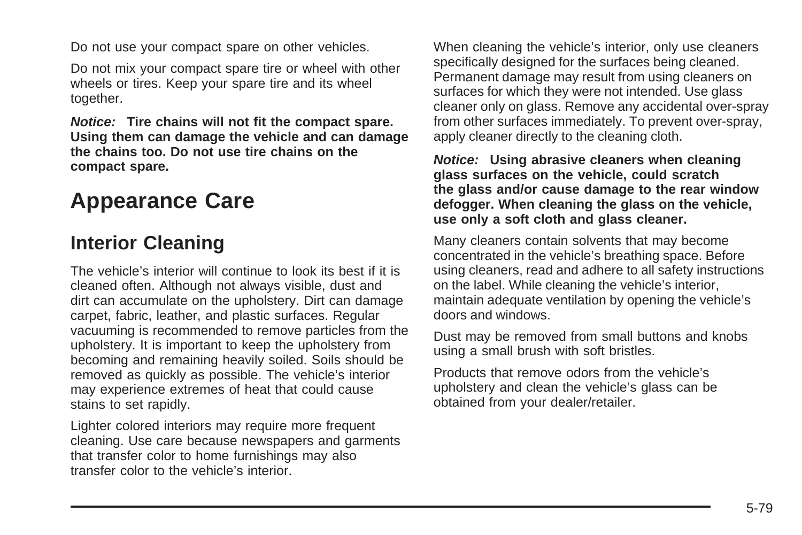Do not use your compact spare on other vehicles.

Do not mix your compact spare tire or wheel with other wheels or tires. Keep your spare tire and its wheel together.

**Notice: Tire chains will not fit the compact spare. Using them can damage the vehicle and can damage the chains too. Do not use tire chains on the compact spare.**

## **Appearance Care**

#### **Interior Cleaning**

The vehicle's interior will continue to look its best if it is cleaned often. Although not always visible, dust and dirt can accumulate on the upholstery. Dirt can damage carpet, fabric, leather, and plastic surfaces. Regular vacuuming is recommended to remove particles from the upholstery. It is important to keep the upholstery from becoming and remaining heavily soiled. Soils should be removed as quickly as possible. The vehicle's interior may experience extremes of heat that could cause stains to set rapidly.

Lighter colored interiors may require more frequent cleaning. Use care because newspapers and garments that transfer color to home furnishings may also transfer color to the vehicle's interior.

When cleaning the vehicle's interior, only use cleaners specifically designed for the surfaces being cleaned. Permanent damage may result from using cleaners on surfaces for which they were not intended. Use glass cleaner only on glass. Remove any accidental over-spray from other surfaces immediately. To prevent over-spray, apply cleaner directly to the cleaning cloth.

#### **Notice: Using abrasive cleaners when cleaning glass surfaces on the vehicle, could scratch the glass and/or cause damage to the rear window defogger. When cleaning the glass on the vehicle, use only a soft cloth and glass cleaner.**

Many cleaners contain solvents that may become concentrated in the vehicle's breathing space. Before using cleaners, read and adhere to all safety instructions on the label. While cleaning the vehicle's interior, maintain adequate ventilation by opening the vehicle's doors and windows.

Dust may be removed from small buttons and knobs using a small brush with soft bristles.

Products that remove odors from the vehicle's upholstery and clean the vehicle's glass can be obtained from your dealer/retailer.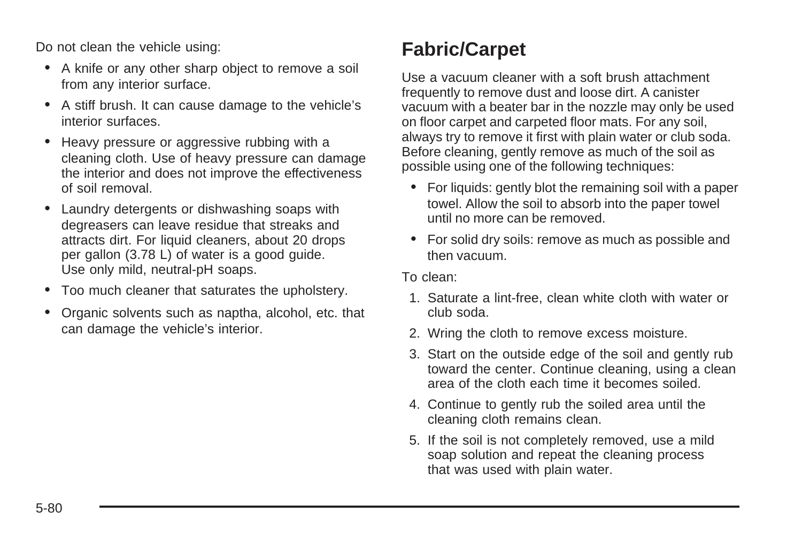Do not clean the vehicle using:

- A knife or any other sharp object to remove a soil from any interior surface.
- A stiff brush. It can cause damage to the vehicle's interior surfaces.
- Heavy pressure or aggressive rubbing with a cleaning cloth. Use of heavy pressure can damage the interior and does not improve the effectiveness of soil removal.
- Laundry detergents or dishwashing soaps with degreasers can leave residue that streaks and attracts dirt. For liquid cleaners, about 20 drops per gallon (3.78 L) of water is a good guide. Use only mild, neutral-pH soaps.
- Too much cleaner that saturates the upholstery.
- Organic solvents such as naptha, alcohol, etc. that can damage the vehicle's interior.

## **Fabric/Carpet**

Use a vacuum cleaner with a soft brush attachment frequently to remove dust and loose dirt. A canister vacuum with a beater bar in the nozzle may only be used on floor carpet and carpeted floor mats. For any soil, always try to remove it first with plain water or club soda. Before cleaning, gently remove as much of the soil as possible using one of the following techniques:

- For liquids: gently blot the remaining soil with a paper towel. Allow the soil to absorb into the paper towel until no more can be removed.
- For solid dry soils: remove as much as possible and then vacuum.

To clean:

- 1. Saturate a lint-free, clean white cloth with water or club soda.
- 2. Wring the cloth to remove excess moisture.
- 3. Start on the outside edge of the soil and gently rub toward the center. Continue cleaning, using a clean area of the cloth each time it becomes soiled.
- 4. Continue to gently rub the soiled area until the cleaning cloth remains clean.
- 5. If the soil is not completely removed, use a mild soap solution and repeat the cleaning process that was used with plain water.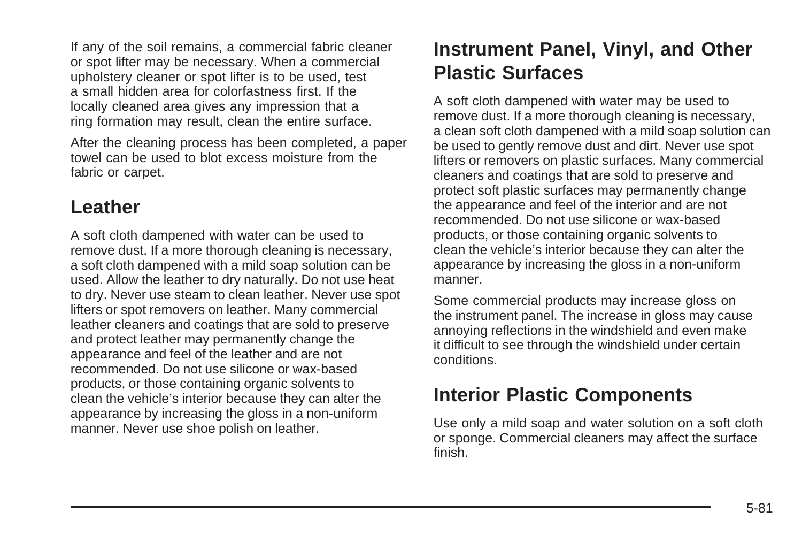If any of the soil remains, a commercial fabric cleaner or spot lifter may be necessary. When a commercial upholstery cleaner or spot lifter is to be used, test a small hidden area for colorfastness first. If the locally cleaned area gives any impression that a ring formation may result, clean the entire surface.

After the cleaning process has been completed, a paper towel can be used to blot excess moisture from the fabric or carpet.

#### **Leather**

A soft cloth dampened with water can be used to remove dust. If a more thorough cleaning is necessary, a soft cloth dampened with a mild soap solution can be used. Allow the leather to dry naturally. Do not use heat to dry. Never use steam to clean leather. Never use spot lifters or spot removers on leather. Many commercial leather cleaners and coatings that are sold to preserve and protect leather may permanently change the appearance and feel of the leather and are not recommended. Do not use silicone or wax-based products, or those containing organic solvents to clean the vehicle's interior because they can alter the appearance by increasing the gloss in a non-uniform manner. Never use shoe polish on leather.

### **Instrument Panel, Vinyl, and Other Plastic Surfaces**

A soft cloth dampened with water may be used to remove dust. If a more thorough cleaning is necessary, a clean soft cloth dampened with a mild soap solution can be used to gently remove dust and dirt. Never use spot lifters or removers on plastic surfaces. Many commercial cleaners and coatings that are sold to preserve and protect soft plastic surfaces may permanently change the appearance and feel of the interior and are not recommended. Do not use silicone or wax-based products, or those containing organic solvents to clean the vehicle's interior because they can alter the appearance by increasing the gloss in a non-uniform manner.

Some commercial products may increase gloss on the instrument panel. The increase in gloss may cause annoying reflections in the windshield and even make it difficult to see through the windshield under certain conditions.

#### **Interior Plastic Components**

Use only a mild soap and water solution on a soft cloth or sponge. Commercial cleaners may affect the surface finish.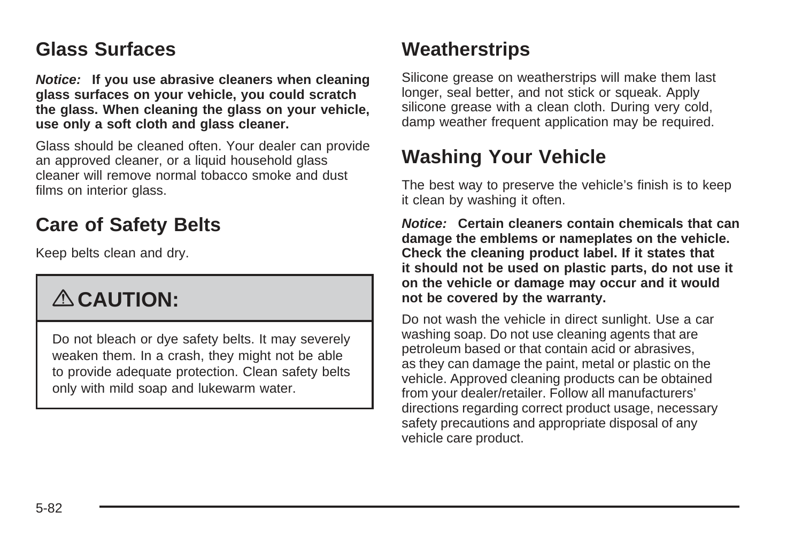#### <span id="page-285-0"></span>**Glass Surfaces**

**Notice: If you use abrasive cleaners when cleaning glass surfaces on your vehicle, you could scratch the glass. When cleaning the glass on your vehicle, use only a soft cloth and glass cleaner.**

Glass should be cleaned often. Your dealer can provide an approved cleaner, or a liquid household glass cleaner will remove normal tobacco smoke and dust films on interior glass.

### **Care of Safety Belts**

Keep belts clean and dry.

# { **CAUTION:**

Do not bleach or dye safety belts. It may severely weaken them. In a crash, they might not be able to provide adequate protection. Clean safety belts only with mild soap and lukewarm water.

### **Weatherstrips**

Silicone grease on weatherstrips will make them last longer, seal better, and not stick or squeak. Apply silicone grease with a clean cloth. During very cold, damp weather frequent application may be required.

#### **Washing Your Vehicle**

The best way to preserve the vehicle's finish is to keep it clean by washing it often.

**Notice: Certain cleaners contain chemicals that can damage the emblems or nameplates on the vehicle. Check the cleaning product label. If it states that it should not be used on plastic parts, do not use it on the vehicle or damage may occur and it would not be covered by the warranty.**

Do not wash the vehicle in direct sunlight. Use a car washing soap. Do not use cleaning agents that are petroleum based or that contain acid or abrasives, as they can damage the paint, metal or plastic on the vehicle. Approved cleaning products can be obtained from your dealer/retailer. Follow all manufacturers' directions regarding correct product usage, necessary safety precautions and appropriate disposal of any vehicle care product.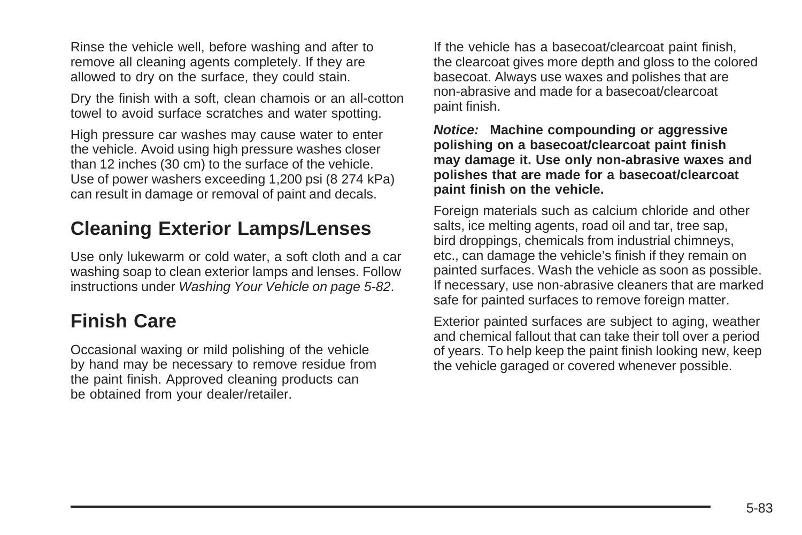Rinse the vehicle well, before washing and after to remove all cleaning agents completely. If they are allowed to dry on the surface, they could stain.

Dry the finish with a soft, clean chamois or an all-cotton towel to avoid surface scratches and water spotting.

High pressure car washes may cause water to enter the vehicle. Avoid using high pressure washes closer than 12 inches (30 cm) to the surface of the vehicle. Use of power washers exceeding 1,200 psi (8 274 kPa) can result in damage or removal of paint and decals.

### **Cleaning Exterior Lamps/Lenses**

Use only lukewarm or cold water, a soft cloth and a car washing soap to clean exterior lamps and lenses. Follow instructions under [Washing Your Vehicle](#page-285-0) on page 5-82.

#### **Finish Care**

Occasional waxing or mild polishing of the vehicle by hand may be necessary to remove residue from the paint finish. Approved cleaning products can be obtained from your dealer/retailer.

If the vehicle has a basecoat/clearcoat paint finish, the clearcoat gives more depth and gloss to the colored basecoat. Always use waxes and polishes that are non-abrasive and made for a basecoat/clearcoat paint finish.

**Notice: Machine compounding or aggressive polishing on a basecoat/clearcoat paint finish may damage it. Use only non-abrasive waxes and polishes that are made for a basecoat/clearcoat paint finish on the vehicle.**

Foreign materials such as calcium chloride and other salts, ice melting agents, road oil and tar, tree sap, bird droppings, chemicals from industrial chimneys, etc., can damage the vehicle's finish if they remain on painted surfaces. Wash the vehicle as soon as possible. If necessary, use non-abrasive cleaners that are marked safe for painted surfaces to remove foreign matter.

Exterior painted surfaces are subject to aging, weather and chemical fallout that can take their toll over a period of years. To help keep the paint finish looking new, keep the vehicle garaged or covered whenever possible.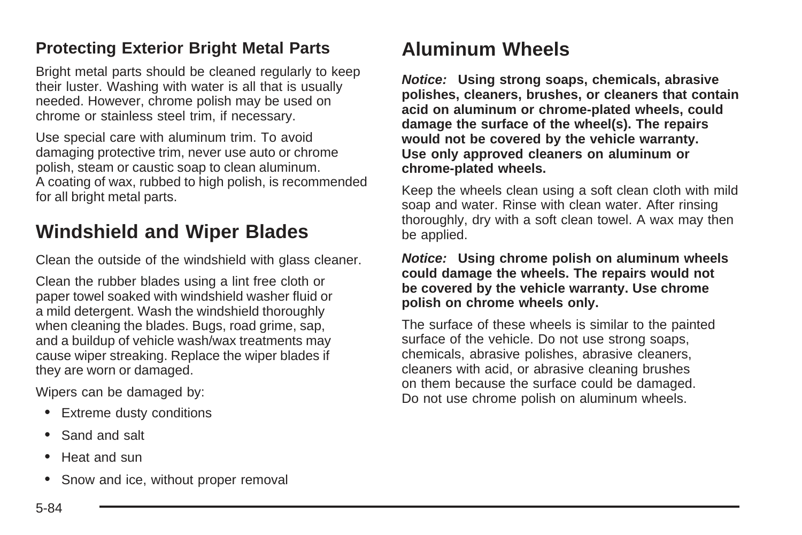#### **Protecting Exterior Bright Metal Parts**

Bright metal parts should be cleaned regularly to keep their luster. Washing with water is all that is usually needed. However, chrome polish may be used on chrome or stainless steel trim, if necessary.

Use special care with aluminum trim. To avoid damaging protective trim, never use auto or chrome polish, steam or caustic soap to clean aluminum. A coating of wax, rubbed to high polish, is recommended for all bright metal parts.

#### **Windshield and Wiper Blades**

Clean the outside of the windshield with glass cleaner.

Clean the rubber blades using a lint free cloth or paper towel soaked with windshield washer fluid or a mild detergent. Wash the windshield thoroughly when cleaning the blades. Bugs, road grime, sap, and a buildup of vehicle wash/wax treatments may cause wiper streaking. Replace the wiper blades if they are worn or damaged.

Wipers can be damaged by:

- Extreme dusty conditions
- Sand and salt
- Heat and sun
- Snow and ice, without proper removal

#### **Aluminum Wheels**

**Notice: Using strong soaps, chemicals, abrasive polishes, cleaners, brushes, or cleaners that contain acid on aluminum or chrome-plated wheels, could damage the surface of the wheel(s). The repairs would not be covered by the vehicle warranty. Use only approved cleaners on aluminum or chrome-plated wheels.**

Keep the wheels clean using a soft clean cloth with mild soap and water. Rinse with clean water. After rinsing thoroughly, dry with a soft clean towel. A wax may then be applied.

#### **Notice: Using chrome polish on aluminum wheels could damage the wheels. The repairs would not be covered by the vehicle warranty. Use chrome polish on chrome wheels only.**

The surface of these wheels is similar to the painted surface of the vehicle. Do not use strong soaps, chemicals, abrasive polishes, abrasive cleaners, cleaners with acid, or abrasive cleaning brushes on them because the surface could be damaged. Do not use chrome polish on aluminum wheels.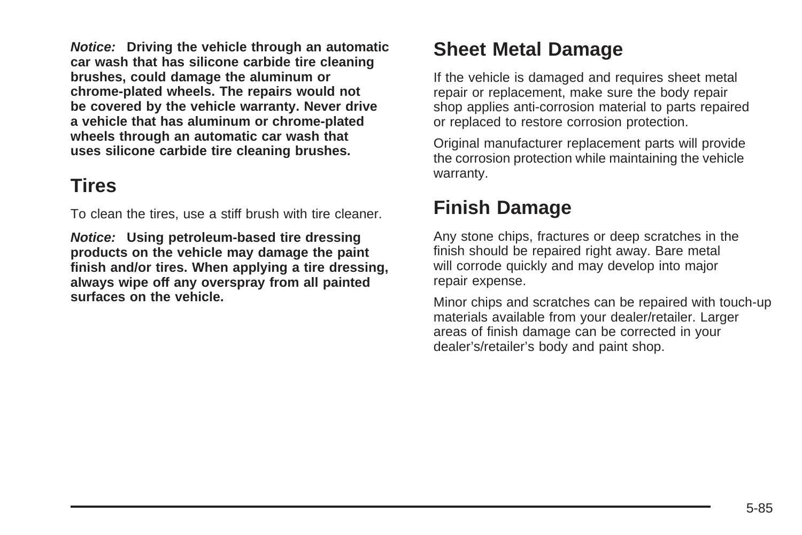**Notice: Driving the vehicle through an automatic car wash that has silicone carbide tire cleaning brushes, could damage the aluminum or chrome-plated wheels. The repairs would not be covered by the vehicle warranty. Never drive a vehicle that has aluminum or chrome-plated wheels through an automatic car wash that uses silicone carbide tire cleaning brushes.**

## **Tires**

To clean the tires, use a stiff brush with tire cleaner.

**Notice: Using petroleum-based tire dressing products on the vehicle may damage the paint finish and/or tires. When applying a tire dressing, always wipe off any overspray from all painted surfaces on the vehicle.**

# **Sheet Metal Damage**

If the vehicle is damaged and requires sheet metal repair or replacement, make sure the body repair shop applies anti-corrosion material to parts repaired or replaced to restore corrosion protection.

Original manufacturer replacement parts will provide the corrosion protection while maintaining the vehicle warranty.

# **Finish Damage**

Any stone chips, fractures or deep scratches in the finish should be repaired right away. Bare metal will corrode quickly and may develop into major repair expense.

Minor chips and scratches can be repaired with touch-up materials available from your dealer/retailer. Larger areas of finish damage can be corrected in your dealer's/retailer's body and paint shop.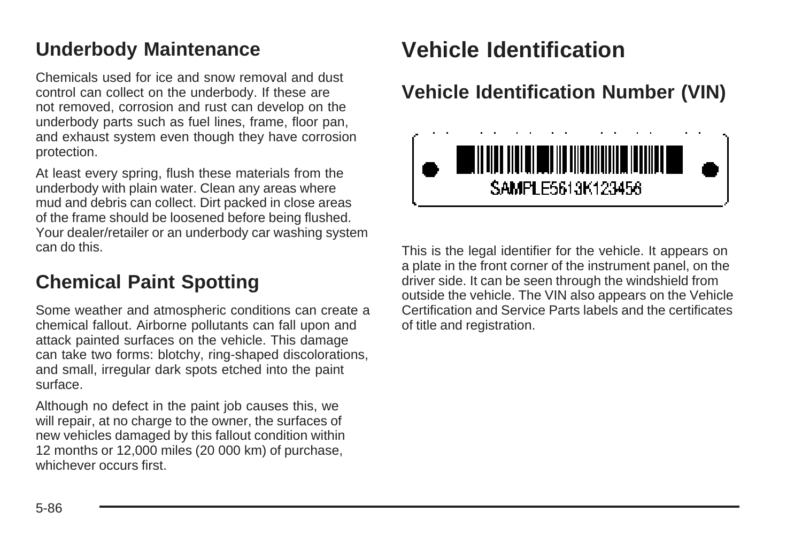# **Underbody Maintenance**

Chemicals used for ice and snow removal and dust control can collect on the underbody. If these are not removed, corrosion and rust can develop on the underbody parts such as fuel lines, frame, floor pan, and exhaust system even though they have corrosion protection.

At least every spring, flush these materials from the underbody with plain water. Clean any areas where mud and debris can collect. Dirt packed in close areas of the frame should be loosened before being flushed. Your dealer/retailer or an underbody car washing system can do this.

## **Chemical Paint Spotting**

Some weather and atmospheric conditions can create a chemical fallout. Airborne pollutants can fall upon and attack painted surfaces on the vehicle. This damage can take two forms: blotchy, ring-shaped discolorations, and small, irregular dark spots etched into the paint surface.

Although no defect in the paint job causes this, we will repair, at no charge to the owner, the surfaces of new vehicles damaged by this fallout condition within 12 months or 12,000 miles (20 000 km) of purchase, whichever occurs first.

# **Vehicle Identification**

# **Vehicle Identification Number (VIN)**



This is the legal identifier for the vehicle. It appears on a plate in the front corner of the instrument panel, on the driver side. It can be seen through the windshield from outside the vehicle. The VIN also appears on the Vehicle Certification and Service Parts labels and the certificates of title and registration.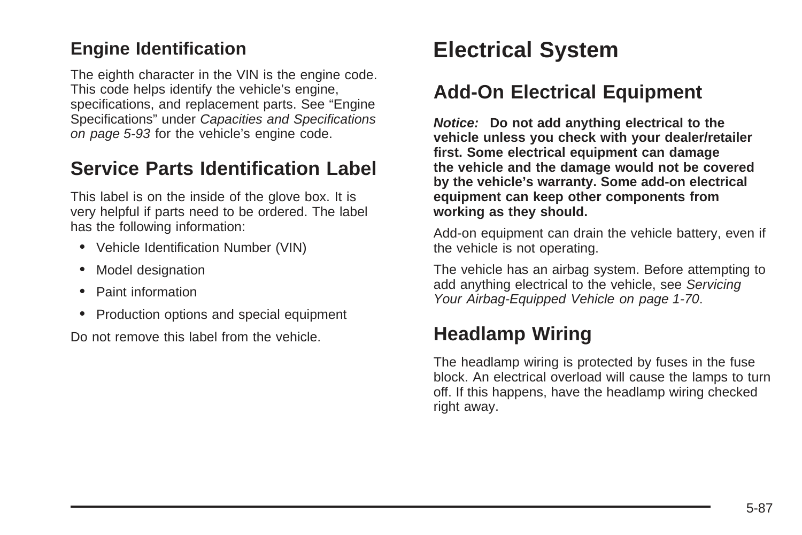#### **Engine Identification**

The eighth character in the VIN is the engine code. This code helps identify the vehicle's engine, specifications, and replacement parts. See "Engine Specifications" under [Capacities and Specifications](#page-296-0) on page 5-93 for the vehicle's engine code.

## **Service Parts Identification Label**

This label is on the inside of the glove box. It is very helpful if parts need to be ordered. The label has the following information:

- Vehicle Identification Number (VIN)
- Model designation
- Paint information
- Production options and special equipment

Do not remove this label from the vehicle.

# **Electrical System**

# **Add-On Electrical Equipment**

**Notice: Do not add anything electrical to the vehicle unless you check with your dealer/retailer first. Some electrical equipment can damage the vehicle and the damage would not be covered by the vehicle's warranty. Some add-on electrical equipment can keep other components from working as they should.**

Add-on equipment can drain the vehicle battery, even if the vehicle is not operating.

The vehicle has an airbag system. Before attempting to add anything electrical to the vehicle, see [Servicing](#page-73-0) [Your Airbag-Equipped Vehicle](#page-73-0) on page 1-70.

# **Headlamp Wiring**

The headlamp wiring is protected by fuses in the fuse block. An electrical overload will cause the lamps to turn off. If this happens, have the headlamp wiring checked right away.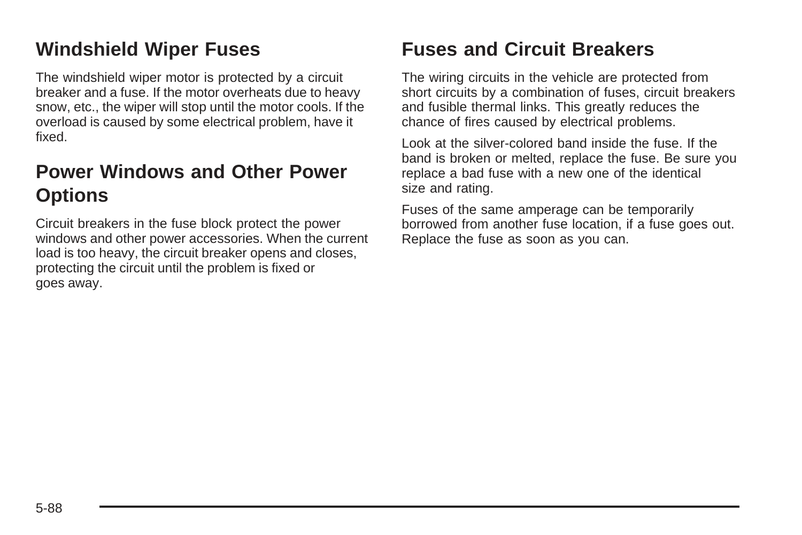# **Windshield Wiper Fuses**

The windshield wiper motor is protected by a circuit breaker and a fuse. If the motor overheats due to heavy snow, etc., the wiper will stop until the motor cools. If the overload is caused by some electrical problem, have it fixed.

# **Power Windows and Other Power Options**

Circuit breakers in the fuse block protect the power windows and other power accessories. When the current load is too heavy, the circuit breaker opens and closes, protecting the circuit until the problem is fixed or goes away.

# **Fuses and Circuit Breakers**

The wiring circuits in the vehicle are protected from short circuits by a combination of fuses, circuit breakers and fusible thermal links. This greatly reduces the chance of fires caused by electrical problems.

Look at the silver-colored band inside the fuse. If the band is broken or melted, replace the fuse. Be sure you replace a bad fuse with a new one of the identical size and rating.

Fuses of the same amperage can be temporarily borrowed from another fuse location, if a fuse goes out. Replace the fuse as soon as you can.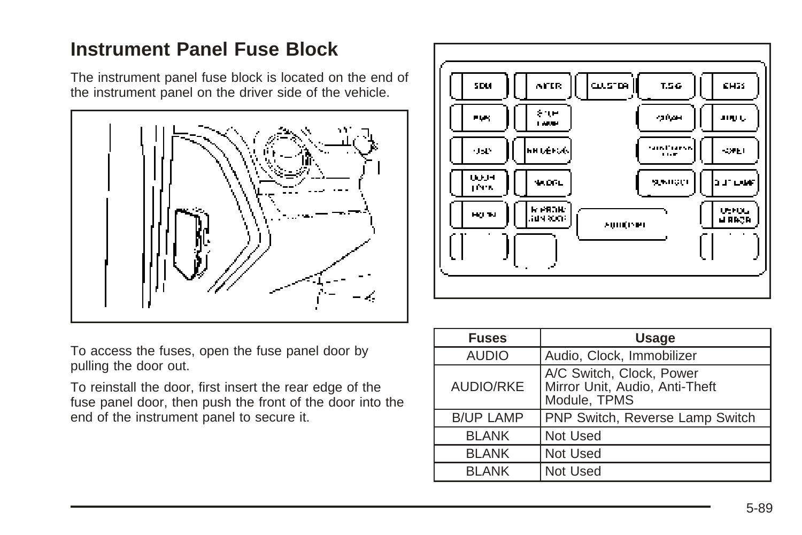# **Instrument Panel Fuse Block**

The instrument panel fuse block is located on the end of the instrument panel on the driver side of the vehicle.





To access the fuses, open the fuse panel door by pulling the door out.

To reinstall the door, first insert the rear edge of the fuse panel door, then push the front of the door into the end of the instrument panel to secure it.

| <b>Fuses</b>     | <b>Usage</b>                                                               |  |  |  |
|------------------|----------------------------------------------------------------------------|--|--|--|
| <b>AUDIO</b>     | Audio, Clock, Immobilizer                                                  |  |  |  |
| <b>AUDIO/RKE</b> | A/C Switch, Clock, Power<br>Mirror Unit, Audio, Anti-Theft<br>Module, TPMS |  |  |  |
| <b>B/UP LAMP</b> | <b>PNP Switch, Reverse Lamp Switch</b>                                     |  |  |  |
| <b>BLANK</b>     | Not Used                                                                   |  |  |  |
| <b>BLANK</b>     | Not Used                                                                   |  |  |  |
| <b>BI ANK</b>    | Not Used                                                                   |  |  |  |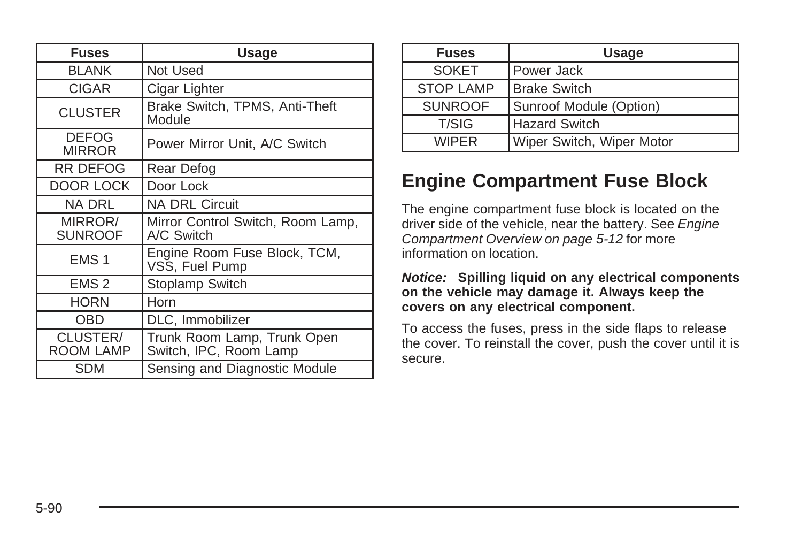| <b>Fuses</b>                  | <b>Usage</b>                                          |  |  |
|-------------------------------|-------------------------------------------------------|--|--|
| <b>BLANK</b>                  | Not Used                                              |  |  |
| <b>CIGAR</b>                  | Cigar Lighter                                         |  |  |
| <b>CLUSTER</b>                | Brake Switch, TPMS, Anti-Theft<br>Module              |  |  |
| <b>DEFOG</b><br><b>MIRROR</b> | Power Mirror Unit, A/C Switch                         |  |  |
| <b>RR DEFOG</b>               | Rear Defog                                            |  |  |
| DOOR LOCK                     | Door Lock                                             |  |  |
| NA DRL                        | <b>NA DRL Circuit</b>                                 |  |  |
| MIRROR/<br><b>SUNROOF</b>     | Mirror Control Switch, Room Lamp,<br>A/C Switch       |  |  |
| EMS <sub>1</sub>              | Engine Room Fuse Block, TCM,<br>VSS, Fuel Pump        |  |  |
| EMS <sub>2</sub>              | Stoplamp Switch                                       |  |  |
| <b>HORN</b>                   | Horn                                                  |  |  |
| OBD                           | DLC, Immobilizer                                      |  |  |
| CLUSTER/<br>ROOM LAMP         | Trunk Room Lamp, Trunk Open<br>Switch, IPC, Room Lamp |  |  |
| <b>SDM</b>                    | Sensing and Diagnostic Module                         |  |  |

| <b>Fuses</b>     | <b>Usage</b>              |  |
|------------------|---------------------------|--|
| <b>SOKET</b>     | <b>Power Jack</b>         |  |
| <b>STOP LAMP</b> | <b>Brake Switch</b>       |  |
| <b>SUNROOF</b>   | Sunroof Module (Option)   |  |
| T/SIG            | <b>Hazard Switch</b>      |  |
| <b>WIPFR</b>     | Wiper Switch, Wiper Motor |  |

# **Engine Compartment Fuse Block**

The engine compartment fuse block is located on the driver side of the vehicle, near the battery. See [Engine](#page-215-0) [Compartment Overview](#page-215-0) on page 5-12 for more information on location.

#### **Notice: Spilling liquid on any electrical components on the vehicle may damage it. Always keep the covers on any electrical component.**

To access the fuses, press in the side flaps to release the cover. To reinstall the cover, push the cover until it is secure.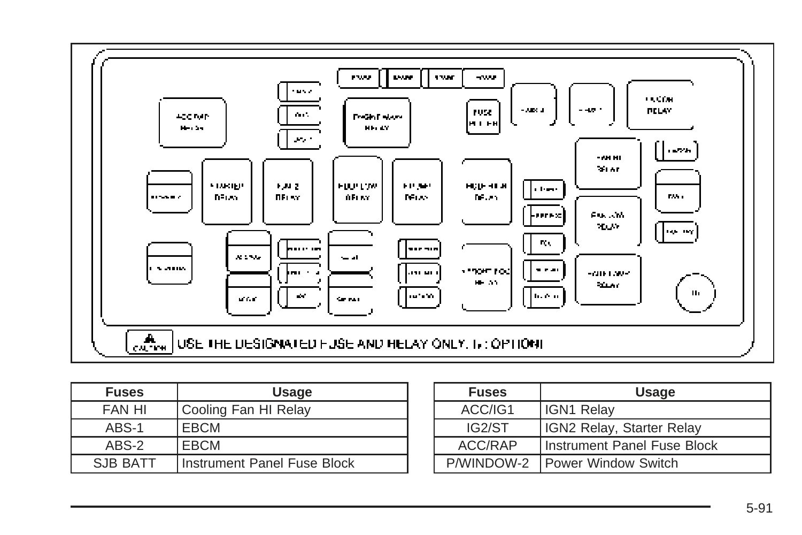

| <b>Fuses</b>  | <b>Usage</b>                |
|---------------|-----------------------------|
| <b>FAN HI</b> | Cooling Fan HI Relay        |
| ABS-1         | <b>EBCM</b>                 |
| ABS-2         | EBCM                        |
| SJB BATT      | Instrument Panel Fuse Block |

| <b>Fuses</b> | <b>Usage</b>                |
|--------------|-----------------------------|
| ACC/IG1      | IGN1 Relay                  |
| IG2/ST       | IGN2 Relay, Starter Relay   |
| ACC/RAP      | Instrument Panel Fuse Block |
| P/WINDOW-2   | Power Window Switch         |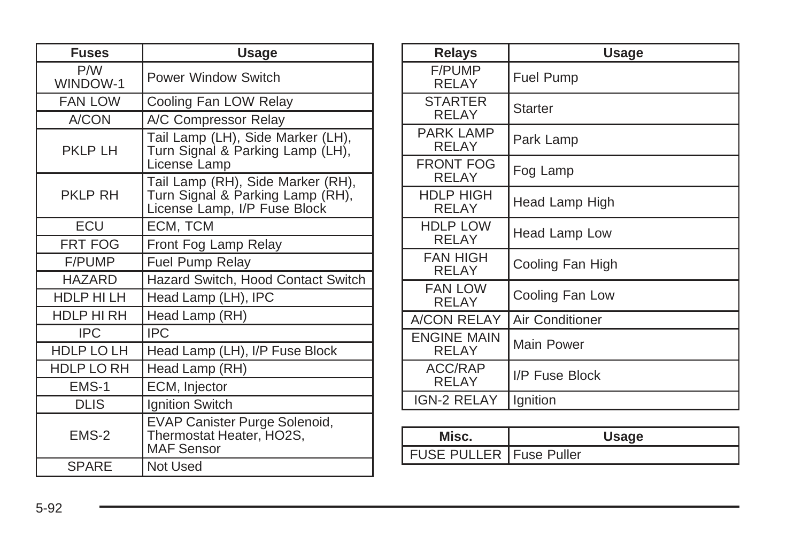| <b>Fuses</b>     | <b>Usage</b>                                                                                          |  |  |  |  |
|------------------|-------------------------------------------------------------------------------------------------------|--|--|--|--|
| P/W<br>WINDOW-1  | Power Window Switch                                                                                   |  |  |  |  |
| <b>FAN LOW</b>   | Cooling Fan LOW Relay                                                                                 |  |  |  |  |
| A/CON            | A/C Compressor Relay                                                                                  |  |  |  |  |
| <b>PKLP LH</b>   | Tail Lamp (LH), Side Marker (LH),<br>Turn Signal & Parking Lamp (LH),<br>License Lamp                 |  |  |  |  |
| <b>PKLP RH</b>   | Tail Lamp (RH), Side Marker (RH),<br>Turn Signal & Parking Lamp (RH),<br>License Lamp, I/P Fuse Block |  |  |  |  |
| <b>FCU</b>       | ECM, TCM                                                                                              |  |  |  |  |
| <b>FRT FOG</b>   | Front Fog Lamp Relay                                                                                  |  |  |  |  |
| F/PUMP           | <b>Fuel Pump Relay</b>                                                                                |  |  |  |  |
| <b>HAZARD</b>    | Hazard Switch, Hood Contact Switch                                                                    |  |  |  |  |
| <b>HDLP HILH</b> | Head Lamp (LH), IPC                                                                                   |  |  |  |  |
| HDLP HI RH       | Head Lamp (RH)                                                                                        |  |  |  |  |
| <b>IPC</b>       | IPC                                                                                                   |  |  |  |  |
| HDLP LO LH       | Head Lamp (LH), I/P Fuse Block                                                                        |  |  |  |  |
| HDLP LO RH       | Head Lamp (RH)                                                                                        |  |  |  |  |
| EMS-1            | ECM, Injector                                                                                         |  |  |  |  |
| <b>DLIS</b>      | Ignition Switch                                                                                       |  |  |  |  |
| EMS-2            | EVAP Canister Purge Solenoid,<br>Thermostat Heater, HO2S,<br><b>MAF Sensor</b>                        |  |  |  |  |
| <b>SPARE</b>     | Not Used                                                                                              |  |  |  |  |

| <b>Relays</b>                   | <b>Usage</b>     |  |  |
|---------------------------------|------------------|--|--|
| <b>F/PUMP</b><br>RFI AY         | <b>Fuel Pump</b> |  |  |
| <b>STARTER</b><br>RELAY         | Starter          |  |  |
| <b>PARK LAMP</b><br>RELAY       | Park Lamp        |  |  |
| FRONT FOG<br><b>RELAY</b>       | Fog Lamp         |  |  |
| HDLP HIGH<br>RELAY              | Head Lamp High   |  |  |
| <b>HDLP LOW</b><br><b>RELAY</b> | Head Lamp Low    |  |  |
| <b>FAN HIGH</b><br>RFI AY       | Cooling Fan High |  |  |
| <b>FAN LOW</b><br>RELAY         | Cooling Fan Low  |  |  |
| A/CON RELAY                     | Air Conditioner  |  |  |
| <b>ENGINE MAIN</b><br>RELAY     | Main Power       |  |  |
| <b>ACC/RAP</b><br><b>RELAY</b>  | I/P Fuse Block   |  |  |
| <b>IGN-2 RELAY</b>              | Ignition         |  |  |

| Misc.                            |  |
|----------------------------------|--|
| <b>FUSE PULLER   Fuse Puller</b> |  |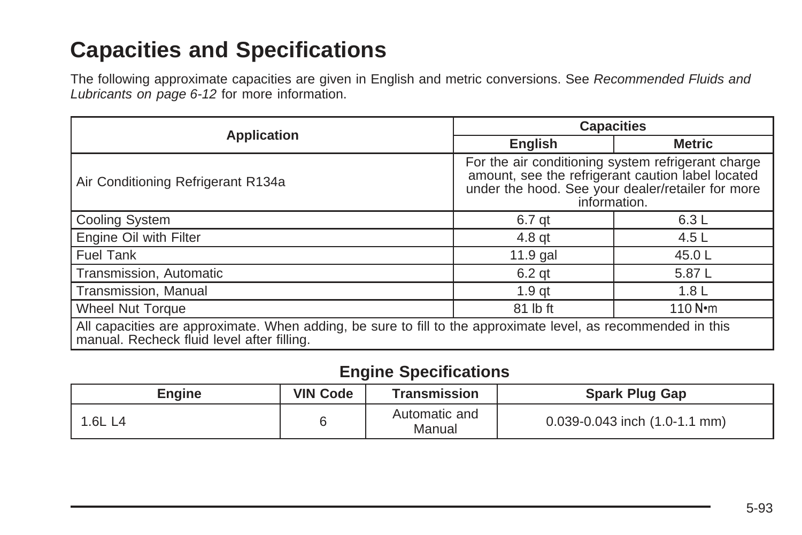# <span id="page-296-0"></span>**Capacities and Specifications**

The following approximate capacities are given in English and metric conversions. See [Recommended Fluids and](#page-309-0) [Lubricants](#page-309-0) on page 6-12 for more information.

| <b>Application</b>                                                                                                                                          | <b>Capacities</b>                                                                                                                                                            |                  |  |
|-------------------------------------------------------------------------------------------------------------------------------------------------------------|------------------------------------------------------------------------------------------------------------------------------------------------------------------------------|------------------|--|
|                                                                                                                                                             | <b>English</b>                                                                                                                                                               | <b>Metric</b>    |  |
| Air Conditioning Refrigerant R134a                                                                                                                          | For the air conditioning system refrigerant charge<br>amount, see the refrigerant caution label located<br>under the hood. See your dealer/retailer for more<br>information. |                  |  |
| Cooling System                                                                                                                                              | 6.7 qt                                                                                                                                                                       | 6.3L             |  |
| Engine Oil with Filter                                                                                                                                      | $4.8$ qt                                                                                                                                                                     | 4.5 $\lfloor$    |  |
| <b>Fuel Tank</b>                                                                                                                                            | $11.9$ gal                                                                                                                                                                   | 45.0L            |  |
| Transmission, Automatic                                                                                                                                     | $6.2$ qt                                                                                                                                                                     | 5.87 L           |  |
| Transmission, Manual                                                                                                                                        | $1.9$ qt                                                                                                                                                                     | 1.8 <sub>L</sub> |  |
| Wheel Nut Torque                                                                                                                                            | 81 lb ft                                                                                                                                                                     | 110 $N$ • m      |  |
| All capacities are approximate. When adding, be sure to fill to the approximate level, as recommended in this<br>manual. Recheck fluid level after filling. |                                                                                                                                                                              |                  |  |

#### **Engine Specifications**

| <b>Engine</b> | <b>VIN Code</b> | Transmission            | <b>Spark Plug Gap</b>                 |
|---------------|-----------------|-------------------------|---------------------------------------|
| 1.6L L4       |                 | Automatic and<br>Manual | $0.039 - 0.043$ inch $(1.0 - 1.1$ mm) |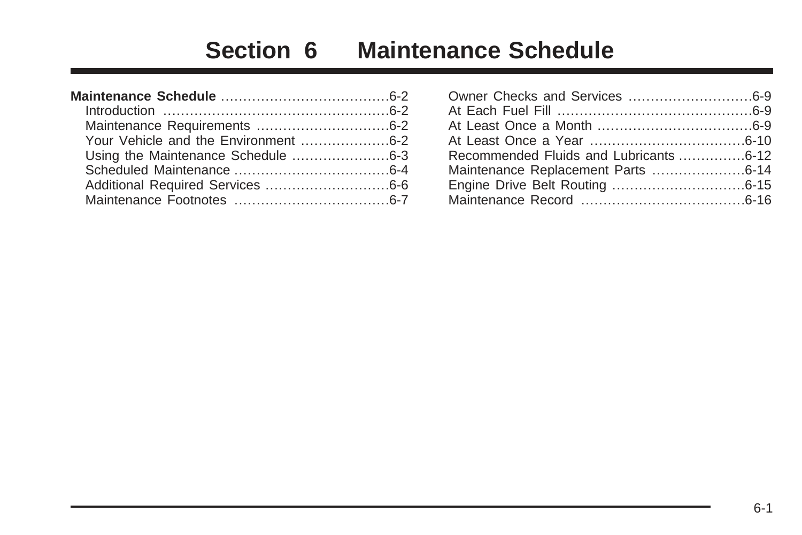# **Section 6 Maintenance Schedule**

| Your Vehicle and the Environment 6-2 |  |
|--------------------------------------|--|
|                                      |  |
|                                      |  |
|                                      |  |
|                                      |  |

| Recommended Fluids and Lubricants 6-12 |  |
|----------------------------------------|--|
|                                        |  |
|                                        |  |
|                                        |  |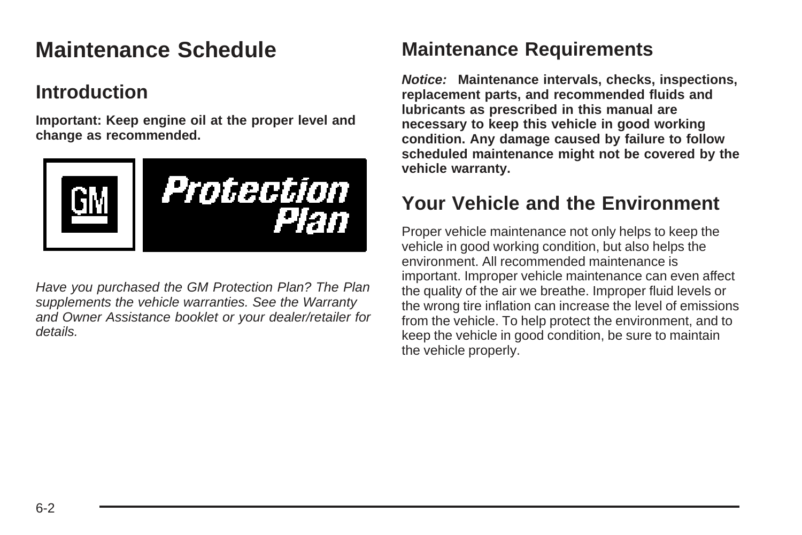# <span id="page-299-0"></span>**Maintenance Schedule**

# **Introduction**

**Important: Keep engine oil at the proper level and change as recommended.**



Have you purchased the GM Protection Plan? The Plan supplements the vehicle warranties. See the Warranty and Owner Assistance booklet or your dealer/retailer for details.

# **Maintenance Requirements**

**Notice: Maintenance intervals, checks, inspections, replacement parts, and recommended fluids and lubricants as prescribed in this manual are necessary to keep this vehicle in good working condition. Any damage caused by failure to follow scheduled maintenance might not be covered by the vehicle warranty.**

# **Your Vehicle and the Environment**

Proper vehicle maintenance not only helps to keep the vehicle in good working condition, but also helps the environment. All recommended maintenance is important. Improper vehicle maintenance can even affect the quality of the air we breathe. Improper fluid levels or the wrong tire inflation can increase the level of emissions from the vehicle. To help protect the environment, and to keep the vehicle in good condition, be sure to maintain the vehicle properly.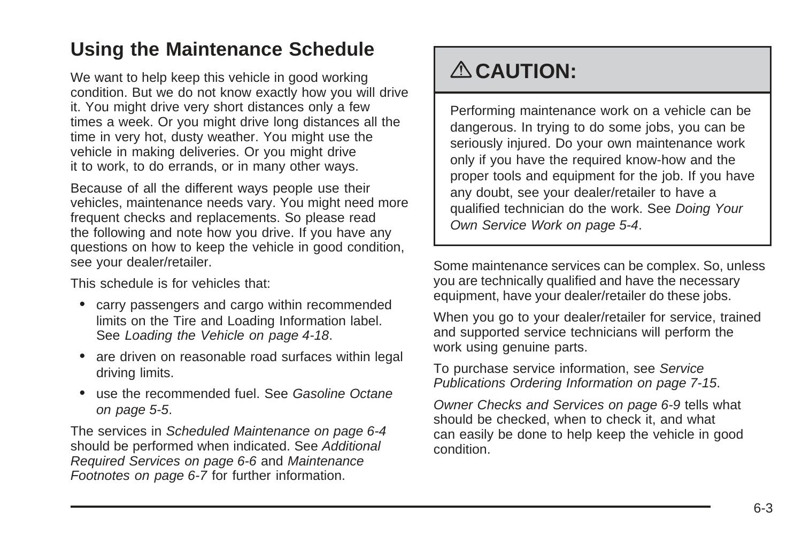# <span id="page-300-0"></span>**Using the Maintenance Schedule**

We want to help keep this vehicle in good working condition. But we do not know exactly how you will drive it. You might drive very short distances only a few times a week. Or you might drive long distances all the time in very hot, dusty weather. You might use the vehicle in making deliveries. Or you might drive it to work, to do errands, or in many other ways.

Because of all the different ways people use their vehicles, maintenance needs vary. You might need more frequent checks and replacements. So please read the following and note how you drive. If you have any questions on how to keep the vehicle in good condition, see your dealer/retailer.

This schedule is for vehicles that:

- carry passengers and cargo within recommended limits on the Tire and Loading Information label. See [Loading the Vehicle](#page-191-0) on page 4-18.
- are driven on reasonable road surfaces within legal driving limits.
- use the recommended fuel. See [Gasoline Octane](#page-208-0) on page 5-5.

The services in [Scheduled Maintenance](#page-301-0) on page 6-4 should be performed when indicated. See [Additional](#page-303-0) [Required Services](#page-303-0) on page 6-6 and [Maintenance](#page-304-0) [Footnotes](#page-304-0) on page 6-7 for further information.

# { **CAUTION:**

Performing maintenance work on a vehicle can be dangerous. In trying to do some jobs, you can be seriously injured. Do your own maintenance work only if you have the required know-how and the proper tools and equipment for the job. If you have any doubt, see your dealer/retailer to have a qualified technician do the work. See [Doing Your](#page-207-0) [Own Service Work](#page-207-0) on page 5-4.

Some maintenance services can be complex. So, unless you are technically qualified and have the necessary equipment, have your dealer/retailer do these jobs.

When you go to your dealer/retailer for service, trained and supported service technicians will perform the work using genuine parts.

To purchase service information, see [Service](#page-330-0) [Publications Ordering Information](#page-330-0) on page 7-15.

[Owner Checks and Services](#page-306-0) on page 6-9 tells what should be checked, when to check it, and what can easily be done to help keep the vehicle in good condition.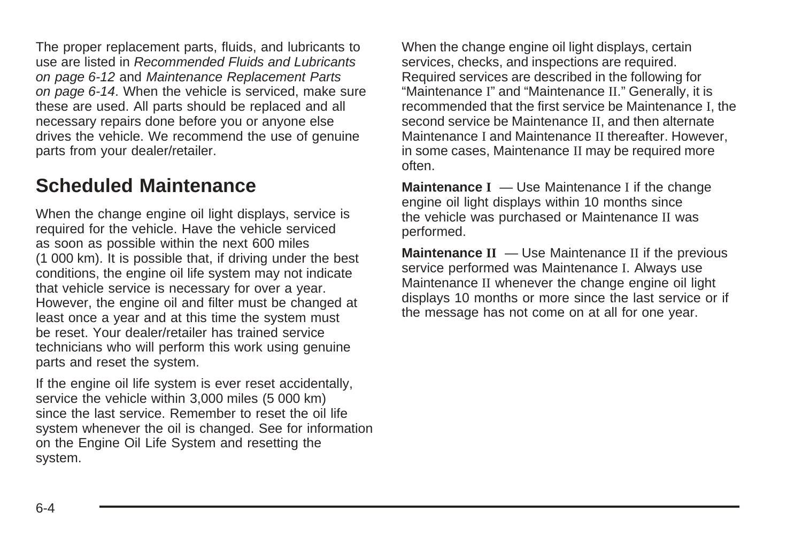<span id="page-301-0"></span>The proper replacement parts, fluids, and lubricants to use are listed in [Recommended Fluids and Lubricants](#page-309-0) on page 6-12 and [Maintenance Replacement Parts](#page-311-0) on page 6-14. When the vehicle is serviced, make sure these are used. All parts should be replaced and all necessary repairs done before you or anyone else drives the vehicle. We recommend the use of genuine parts from your dealer/retailer.

## **Scheduled Maintenance**

When the change engine oil light displays, service is required for the vehicle. Have the vehicle serviced as soon as possible within the next 600 miles (1 000 km). It is possible that, if driving under the best conditions, the engine oil life system may not indicate that vehicle service is necessary for over a year. However, the engine oil and filter must be changed at least once a year and at this time the system must be reset. Your dealer/retailer has trained service technicians who will perform this work using genuine parts and reset the system.

If the engine oil life system is ever reset accidentally, service the vehicle within 3,000 miles (5 000 km) since the last service. Remember to reset the oil life system whenever the oil is changed. See for information on the Engine Oil Life System and resetting the system.

When the change engine oil light displays, certain services, checks, and inspections are required. Required services are described in the following for "Maintenance I" and "Maintenance II." Generally, it is recommended that the first service be Maintenance I, the second service be Maintenance II, and then alternate Maintenance I and Maintenance II thereafter. However, in some cases, Maintenance II may be required more often.

**Maintenance I** — Use Maintenance I if the change engine oil light displays within 10 months since the vehicle was purchased or Maintenance II was performed.

**Maintenance II** — Use Maintenance II if the previous service performed was Maintenance I. Always use Maintenance II whenever the change engine oil light displays 10 months or more since the last service or if the message has not come on at all for one year.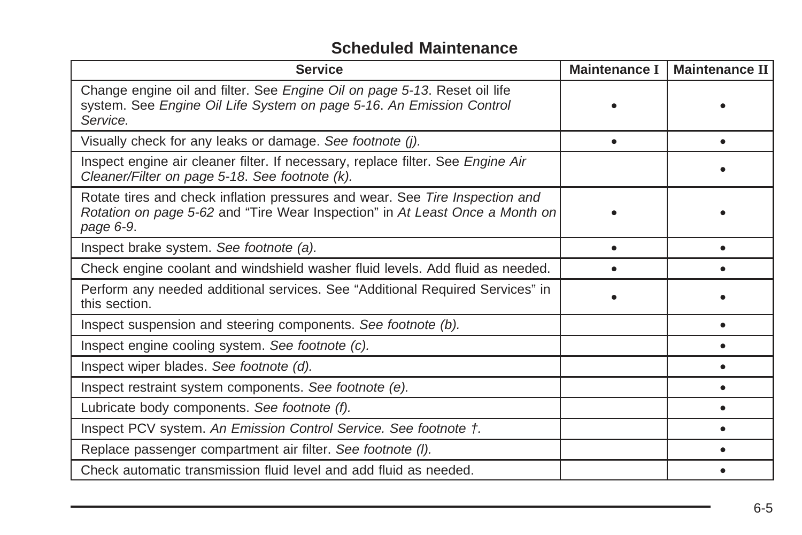#### **Scheduled Maintenance**

| <b>Service</b>                                                                                                                                                            | <b>Maintenance I</b> | <b>Maintenance II</b> |
|---------------------------------------------------------------------------------------------------------------------------------------------------------------------------|----------------------|-----------------------|
| Change engine oil and filter. See Engine Oil on page 5-13. Reset oil life<br>system. See Engine Oil Life System on page 5-16. An Emission Control<br>Service.             |                      |                       |
| Visually check for any leaks or damage. See footnote (j).                                                                                                                 |                      |                       |
| Inspect engine air cleaner filter. If necessary, replace filter. See Engine Air<br>Cleaner/Filter on page 5-18. See footnote (k).                                         |                      |                       |
| Rotate tires and check inflation pressures and wear. See Tire Inspection and<br>Rotation on page 5-62 and "Tire Wear Inspection" in At Least Once a Month on<br>page 6-9. |                      |                       |
| Inspect brake system. See footnote (a).                                                                                                                                   |                      |                       |
| Check engine coolant and windshield washer fluid levels. Add fluid as needed.                                                                                             |                      |                       |
| Perform any needed additional services. See "Additional Required Services" in<br>this section.                                                                            |                      |                       |
| Inspect suspension and steering components. See footnote (b).                                                                                                             |                      |                       |
| Inspect engine cooling system. See footnote (c).                                                                                                                          |                      |                       |
| Inspect wiper blades. See footnote (d).                                                                                                                                   |                      |                       |
| Inspect restraint system components. See footnote (e).                                                                                                                    |                      |                       |
| Lubricate body components. See footnote (f).                                                                                                                              |                      |                       |
| Inspect PCV system. An Emission Control Service. See footnote t.                                                                                                          |                      |                       |
| Replace passenger compartment air filter. See footnote (I).                                                                                                               |                      |                       |
| Check automatic transmission fluid level and add fluid as needed.                                                                                                         |                      |                       |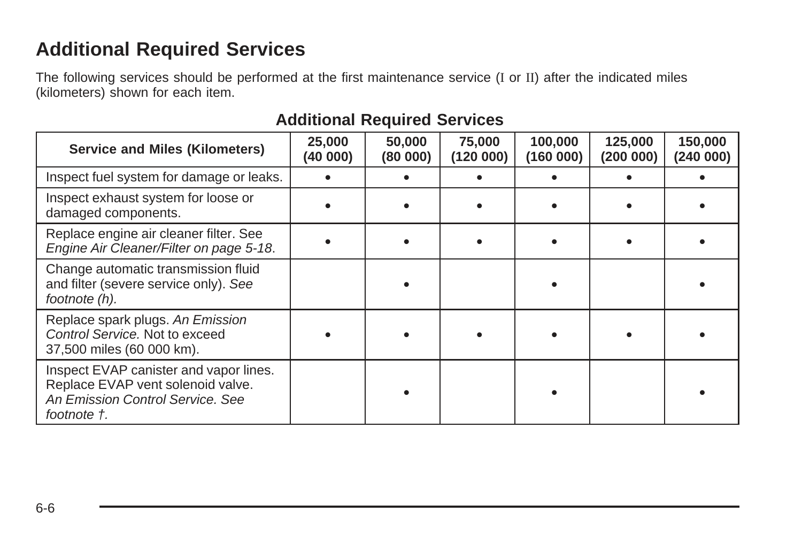# <span id="page-303-0"></span>**Additional Required Services**

The following services should be performed at the first maintenance service (I or II) after the indicated miles (kilometers) shown for each item.

| <b>Service and Miles (Kilometers)</b>                                                                                          | 25,000<br>(40 000) | 50,000<br>(80 000) | 75,000<br>(120000) | 100,000<br>(160000) | 125,000<br>(200 000) | 150,000<br>(240000) |
|--------------------------------------------------------------------------------------------------------------------------------|--------------------|--------------------|--------------------|---------------------|----------------------|---------------------|
| Inspect fuel system for damage or leaks.                                                                                       |                    |                    |                    |                     |                      |                     |
| Inspect exhaust system for loose or<br>damaged components.                                                                     |                    |                    |                    |                     |                      |                     |
| Replace engine air cleaner filter. See<br>Engine Air Cleaner/Filter on page 5-18.                                              |                    |                    |                    |                     |                      |                     |
| Change automatic transmission fluid<br>and filter (severe service only). See<br>footnote (h).                                  |                    |                    |                    |                     |                      |                     |
| Replace spark plugs. An Emission<br>Control Service. Not to exceed<br>37,500 miles (60 000 km).                                |                    |                    |                    |                     |                      |                     |
| Inspect EVAP canister and vapor lines.<br>Replace EVAP vent solenoid valve.<br>An Emission Control Service, See<br>footnote †. |                    |                    |                    |                     |                      |                     |

#### **Additional Required Services**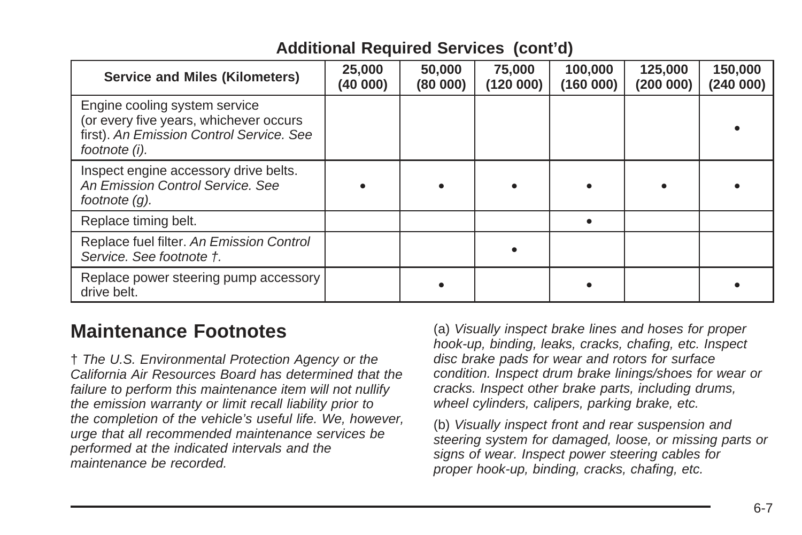<span id="page-304-0"></span>

| <b>Service and Miles (Kilometers)</b>                                                                                                | 25,000<br>(40 000) | 50,000<br>(80000) | 75,000<br>(120 000) | 100,000<br>(160 000) | 125,000<br>(200000) | 150,000<br>(240 000) |
|--------------------------------------------------------------------------------------------------------------------------------------|--------------------|-------------------|---------------------|----------------------|---------------------|----------------------|
| Engine cooling system service<br>(or every five years, whichever occurs<br>first). An Emission Control Service. See<br>footnote (i). |                    |                   |                     |                      |                     |                      |
| Inspect engine accessory drive belts.<br>An Emission Control Service, See<br>footnote $(q)$ .                                        |                    |                   |                     |                      |                     |                      |
| Replace timing belt.                                                                                                                 |                    |                   |                     |                      |                     |                      |
| Replace fuel filter. An Emission Control<br>Service. See footnote t.                                                                 |                    |                   |                     |                      |                     |                      |
| Replace power steering pump accessory<br>drive belt.                                                                                 |                    |                   |                     |                      |                     |                      |

#### **Additional Required Services (cont'd)**

## **Maintenance Footnotes**

† The U.S. Environmental Protection Agency or the California Air Resources Board has determined that the failure to perform this maintenance item will not nullify the emission warranty or limit recall liability prior to the completion of the vehicle's useful life. We, however, urge that all recommended maintenance services be performed at the indicated intervals and the maintenance be recorded.

(a) Visually inspect brake lines and hoses for proper hook-up, binding, leaks, cracks, chafing, etc. Inspect disc brake pads for wear and rotors for surface condition. Inspect drum brake linings/shoes for wear or cracks. Inspect other brake parts, including drums, wheel cylinders, calipers, parking brake, etc.

(b) Visually inspect front and rear suspension and steering system for damaged, loose, or missing parts or signs of wear. Inspect power steering cables for proper hook-up, binding, cracks, chafing, etc.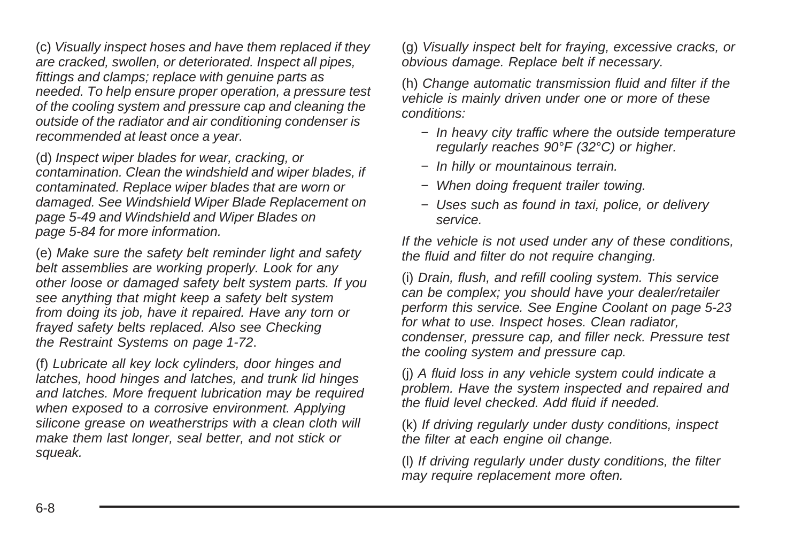(c) Visually inspect hoses and have them replaced if they are cracked, swollen, or deteriorated. Inspect all pipes, fittings and clamps; replace with genuine parts as needed. To help ensure proper operation, a pressure test of the cooling system and pressure cap and cleaning the outside of the radiator and air conditioning condenser is recommended at least once a year.

(d) Inspect wiper blades for wear, cracking, or contamination. Clean the windshield and wiper blades, if contaminated. Replace wiper blades that are worn or damaged. See [Windshield Wiper Blade Replacement](#page-252-0) on page 5-49 and [Windshield and Wiper Blades](#page-287-0) on page 5-84 for more information.

(e) Make sure the safety belt reminder light and safety belt assemblies are working properly. Look for any other loose or damaged safety belt system parts. If you see anything that might keep a safety belt system from doing its job, have it repaired. Have any torn or frayed safety belts replaced. Also see [Checking](#page-75-0) [the Restraint Systems](#page-75-0) on page 1-72.

(f) Lubricate all key lock cylinders, door hinges and latches, hood hinges and latches, and trunk lid hinges and latches. More frequent lubrication may be required when exposed to a corrosive environment. Applying silicone grease on weatherstrips with a clean cloth will make them last longer, seal better, and not stick or squeak.

(g) Visually inspect belt for fraying, excessive cracks, or obvious damage. Replace belt if necessary.

(h) Change automatic transmission fluid and filter if the vehicle is mainly driven under one or more of these conditions:

- − In heavy city traffic where the outside temperature regularly reaches 90°F (32°C) or higher.
- − In hilly or mountainous terrain.
- − When doing frequent trailer towing.
- − Uses such as found in taxi, police, or delivery service.

If the vehicle is not used under any of these conditions, the fluid and filter do not require changing.

(i) Drain, flush, and refill cooling system. This service can be complex; you should have your dealer/retailer perform this service. See [Engine Coolant](#page-226-0) on page 5-23 for what to use. Inspect hoses. Clean radiator, condenser, pressure cap, and filler neck. Pressure test the cooling system and pressure cap.

(j) A fluid loss in any vehicle system could indicate a problem. Have the system inspected and repaired and the fluid level checked. Add fluid if needed.

(k) If driving regularly under dusty conditions, inspect the filter at each engine oil change.

(l) If driving regularly under dusty conditions, the filter may require replacement more often.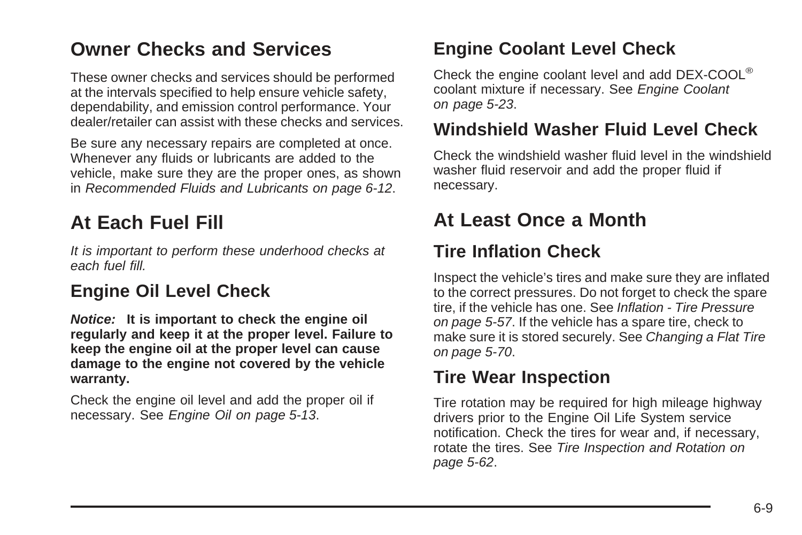## <span id="page-306-0"></span>**Owner Checks and Services**

These owner checks and services should be performed at the intervals specified to help ensure vehicle safety, dependability, and emission control performance. Your dealer/retailer can assist with these checks and services.

Be sure any necessary repairs are completed at once. Whenever any fluids or lubricants are added to the vehicle, make sure they are the proper ones, as shown in [Recommended Fluids and Lubricants](#page-309-0) on page 6-12.

# **At Each Fuel Fill**

It is important to perform these underhood checks at each fuel fill.

#### **Engine Oil Level Check**

**Notice: It is important to check the engine oil regularly and keep it at the proper level. Failure to keep the engine oil at the proper level can cause damage to the engine not covered by the vehicle warranty.**

Check the engine oil level and add the proper oil if necessary. See [Engine Oil](#page-216-0) on page 5-13.

#### **Engine Coolant Level Check**

Check the engine coolant level and add DEX-COOL® coolant mixture if necessary. See [Engine Coolant](#page-226-0) on page 5-23.

#### **Windshield Washer Fluid Level Check**

Check the windshield washer fluid level in the windshield washer fluid reservoir and add the proper fluid if necessary.

## **At Least Once a Month**

#### **Tire Inflation Check**

Inspect the vehicle's tires and make sure they are inflated to the correct pressures. Do not forget to check the spare tire, if the vehicle has one. See [Inflation - Tire Pressure](#page-260-0) on page 5-57. If the vehicle has a spare tire, check to make sure it is stored securely. See [Changing a Flat Tire](#page-273-0) on page 5-70.

#### **Tire Wear Inspection**

Tire rotation may be required for high mileage highway drivers prior to the Engine Oil Life System service notification. Check the tires for wear and, if necessary, rotate the tires. See [Tire Inspection and Rotation](#page-265-0) on page 5-62.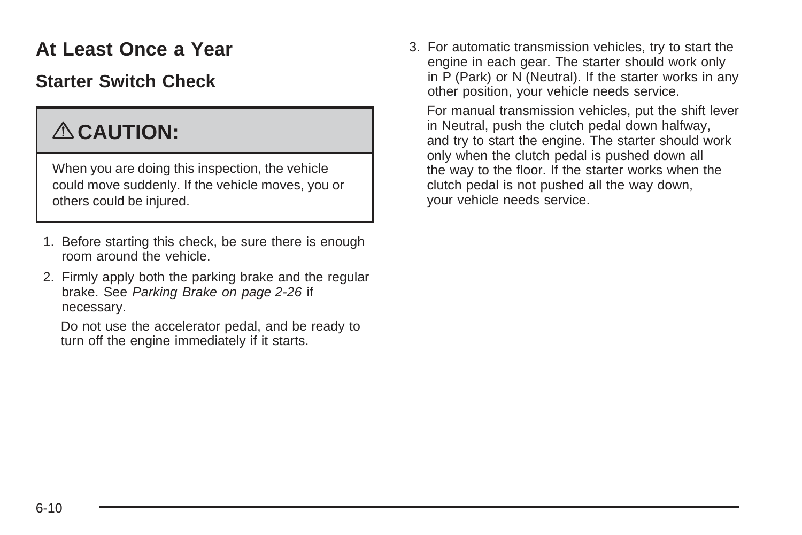# <span id="page-307-0"></span>**At Least Once a Year**

#### **Starter Switch Check**

# { **CAUTION:**

When you are doing this inspection, the vehicle could move suddenly. If the vehicle moves, you or others could be injured.

- 1. Before starting this check, be sure there is enough room around the vehicle.
- 2. Firmly apply both the parking brake and the regular brake. See [Parking Brake](#page-103-0) on page 2-26 if necessary.

Do not use the accelerator pedal, and be ready to turn off the engine immediately if it starts.

3. For automatic transmission vehicles, try to start the engine in each gear. The starter should work only in P (Park) or N (Neutral). If the starter works in any other position, your vehicle needs service.

For manual transmission vehicles, put the shift lever in Neutral, push the clutch pedal down halfway, and try to start the engine. The starter should work only when the clutch pedal is pushed down all the way to the floor. If the starter works when the clutch pedal is not pushed all the way down, your vehicle needs service.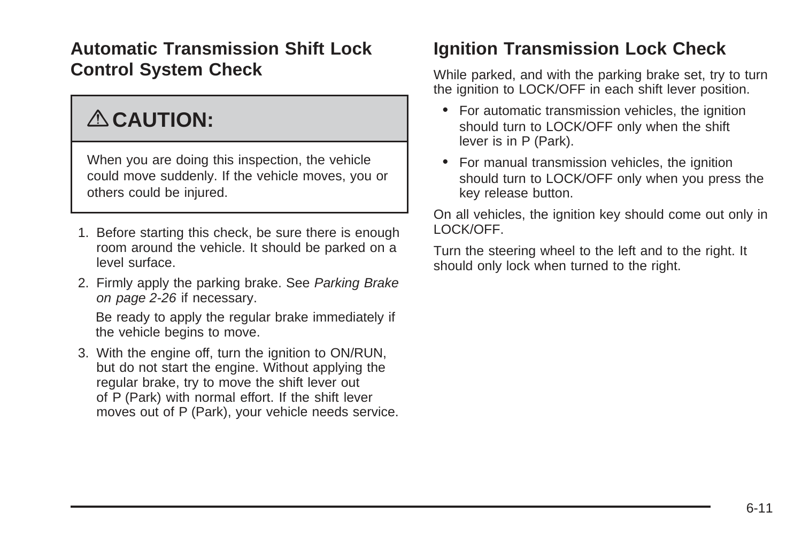#### **Automatic Transmission Shift Lock Control System Check**

# { **CAUTION:**

When you are doing this inspection, the vehicle could move suddenly. If the vehicle moves, you or others could be injured.

- 1. Before starting this check, be sure there is enough room around the vehicle. It should be parked on a level surface.
- 2. Firmly apply the parking brake. See [Parking Brake](#page-103-0) on page 2-26 if necessary.

Be ready to apply the regular brake immediately if the vehicle begins to move.

3. With the engine off, turn the ignition to ON/RUN, but do not start the engine. Without applying the regular brake, try to move the shift lever out of P (Park) with normal effort. If the shift lever moves out of P (Park), your vehicle needs service.

#### **Ignition Transmission Lock Check**

While parked, and with the parking brake set, try to turn the ignition to LOCK/OFF in each shift lever position.

- For automatic transmission vehicles, the ignition should turn to LOCK/OFF only when the shift lever is in P (Park).
- For manual transmission vehicles, the ignition should turn to LOCK/OFF only when you press the key release button.

On all vehicles, the ignition key should come out only in LOCK/OFF.

Turn the steering wheel to the left and to the right. It should only lock when turned to the right.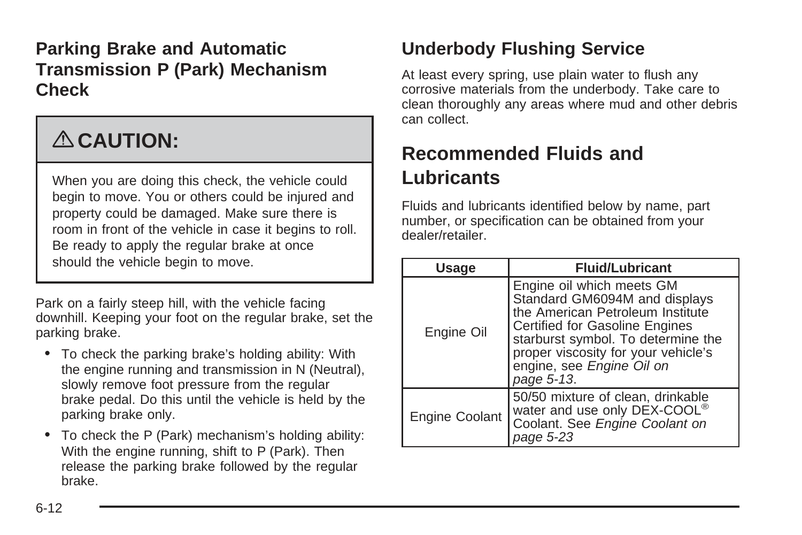#### <span id="page-309-0"></span>**Parking Brake and Automatic Transmission P (Park) Mechanism Check**

# { **CAUTION:**

When you are doing this check, the vehicle could begin to move. You or others could be injured and property could be damaged. Make sure there is room in front of the vehicle in case it begins to roll. Be ready to apply the regular brake at once should the vehicle begin to move.

Park on a fairly steep hill, with the vehicle facing downhill. Keeping your foot on the regular brake, set the parking brake.

- To check the parking brake's holding ability: With the engine running and transmission in N (Neutral), slowly remove foot pressure from the regular brake pedal. Do this until the vehicle is held by the parking brake only.
- To check the P (Park) mechanism's holding ability: With the engine running, shift to P (Park). Then release the parking brake followed by the regular brake.

# **Underbody Flushing Service**

At least every spring, use plain water to flush any corrosive materials from the underbody. Take care to clean thoroughly any areas where mud and other debris can collect.

# **Recommended Fluids and Lubricants**

Fluids and lubricants identified below by name, part number, or specification can be obtained from your dealer/retailer.

| <b>Usage</b>   | <b>Fluid/Lubricant</b>                                                                                                                                                                                                                                   |
|----------------|----------------------------------------------------------------------------------------------------------------------------------------------------------------------------------------------------------------------------------------------------------|
| Engine Oil     | Engine oil which meets GM<br>Standard GM6094M and displays<br>the American Petroleum Institute<br>Certified for Gasoline Engines<br>starburst symbol. To determine the<br>proper viscosity for your vehicle's<br>engine, see Engine Oil on<br>page 5-13. |
| Engine Coolant | 50/50 mixture of clean, drinkable<br>water and use only DEX-COOL®<br>Coolant. See Engine Coolant on<br>page 5-23                                                                                                                                         |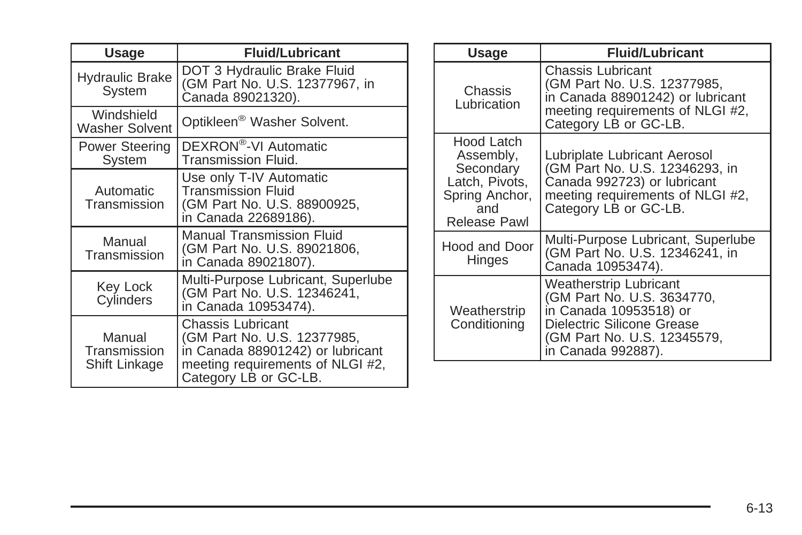| Usage                                   | <b>Fluid/Lubricant</b>                                                                                                                            |              | Usage                                                   | <b>Fluid/Lubricant</b>                                                                    |
|-----------------------------------------|---------------------------------------------------------------------------------------------------------------------------------------------------|--------------|---------------------------------------------------------|-------------------------------------------------------------------------------------------|
| <b>Hydraulic Brake</b><br>System        | DOT 3 Hydraulic Brake Fluid<br>(GM Part No. U.S. 12377967, in<br>Canada 89021320).                                                                |              | <b>Chassis</b><br>Lubrication                           | Chassis Lubricant<br>(GM Part No. U.S. 12377985,<br>in Canada 88901242) or lubricant      |
| Windshield<br><b>Washer Solvent</b>     | Optikleen <sup>®</sup> Washer Solvent.                                                                                                            |              |                                                         | meeting requirements of NLGI #2,<br>Category LB or GC-LB.                                 |
| Power Steering<br>System                | DEXRON <sup>®</sup> -VI Automatic<br>Transmission Fluid.                                                                                          |              | Hood Latch<br>Assembly,<br>Secondary                    | Lubriplate Lubricant Aerosol<br>(GM Part No. U.S. 12346293, in                            |
| Automatic<br>Transmission               | Use only T-IV Automatic<br><b>Transmission Fluid</b><br>(GM Part No. U.S. 88900925,<br>in Canada 22689186).                                       |              | Latch, Pivots,<br>Spring Anchor,<br>and<br>Release Pawl | Canada 992723) or lubricant<br>meeting requirements of NLGI #2,<br>Category LB or GC-LB.  |
| Manual<br>Transmission                  | <b>Manual Transmission Fluid</b><br>(GM Part No. U.S. 89021806,<br>in Canada 89021807).                                                           |              | Hood and Door<br><b>Hinges</b>                          | Multi-Purpose Lubricant, Superlube<br>(GM Part No. U.S. 12346241, in<br>Canada 10953474). |
| Key Lock<br>Cylinders                   | Multi-Purpose Lubricant, Superlube<br>(GM Part No. U.S. 12346241,<br>in Canada 10953474).                                                         | Weatherstrip |                                                         | Weatherstrip Lubricant<br>(GM Part No. U.S. 3634770,<br>in Canada 10953518) or            |
| Manual<br>Transmission<br>Shift Linkage | Chassis Lubricant<br>(GM Part No. U.S. 12377985,<br>in Canada 88901242) or lubricant<br>meeting requirements of NLGI #2,<br>Category LB or GC-LB. |              | Conditioning                                            | Dielectric Silicone Grease<br>(GM Part No. U.S. 12345579,<br>in Canada 992887).           |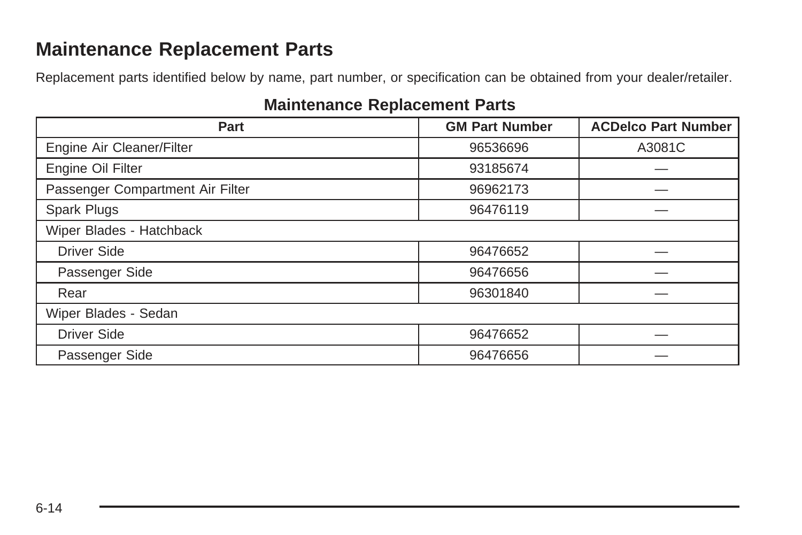## <span id="page-311-0"></span>**Maintenance Replacement Parts**

Replacement parts identified below by name, part number, or specification can be obtained from your dealer/retailer.

#### **Maintenance Replacement Parts**

| Part                             | <b>GM Part Number</b> | <b>ACDelco Part Number</b> |
|----------------------------------|-----------------------|----------------------------|
| Engine Air Cleaner/Filter        | 96536696              | A3081C                     |
| Engine Oil Filter                | 93185674              |                            |
| Passenger Compartment Air Filter | 96962173              |                            |
| Spark Plugs                      | 96476119              |                            |
| Wiper Blades - Hatchback         |                       |                            |
| <b>Driver Side</b>               | 96476652              |                            |
| Passenger Side                   | 96476656              |                            |
| Rear                             | 96301840              |                            |
| Wiper Blades - Sedan             |                       |                            |
| <b>Driver Side</b>               | 96476652              |                            |
| Passenger Side                   | 96476656              |                            |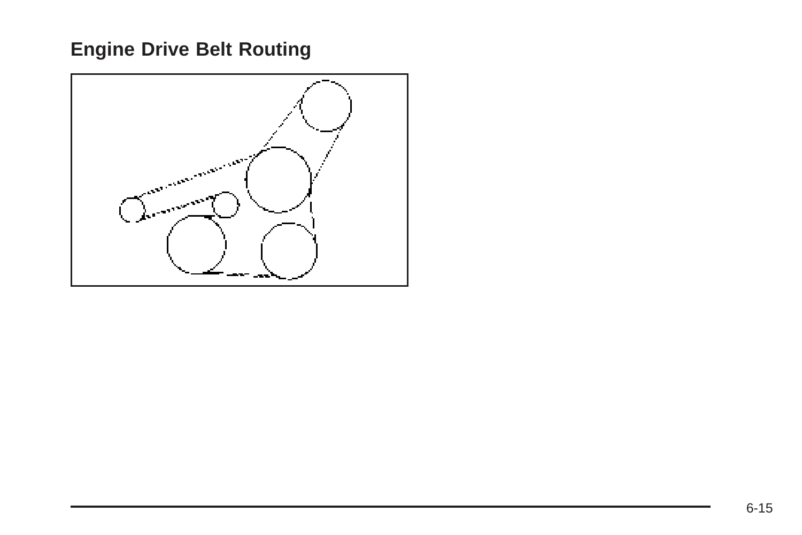# <span id="page-312-0"></span>**Engine Drive Belt Routing**

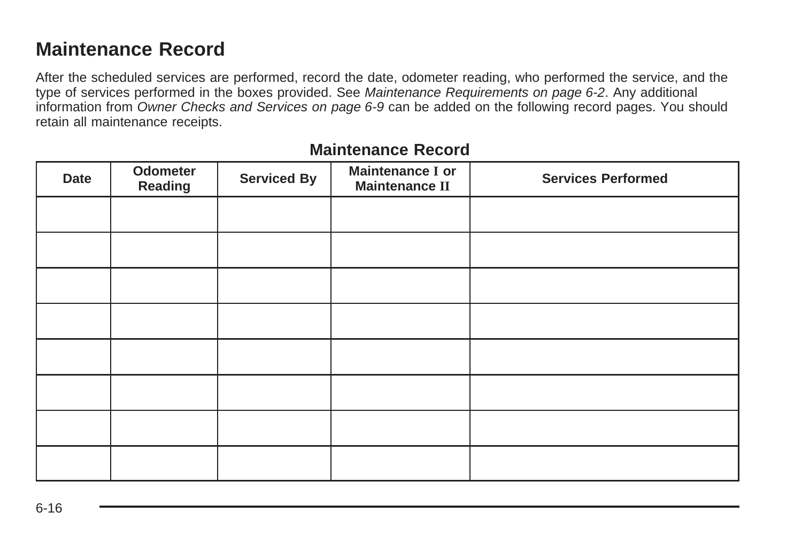#### <span id="page-313-0"></span>**Maintenance Record**

After the scheduled services are performed, record the date, odometer reading, who performed the service, and the type of services performed in the boxes provided. See [Maintenance Requirements](#page-299-0) on page 6-2. Any additional information from [Owner Checks and Services](#page-306-0) on page 6-9 can be added on the following record pages. You should retain all maintenance receipts.

| Date | Odometer<br>Reading | <b>Serviced By</b> | Maintenance I or<br><b>Maintenance II</b> | <b>Services Performed</b> |
|------|---------------------|--------------------|-------------------------------------------|---------------------------|
|      |                     |                    |                                           |                           |
|      |                     |                    |                                           |                           |
|      |                     |                    |                                           |                           |
|      |                     |                    |                                           |                           |
|      |                     |                    |                                           |                           |
|      |                     |                    |                                           |                           |
|      |                     |                    |                                           |                           |
|      |                     |                    |                                           |                           |

#### **Maintenance Record**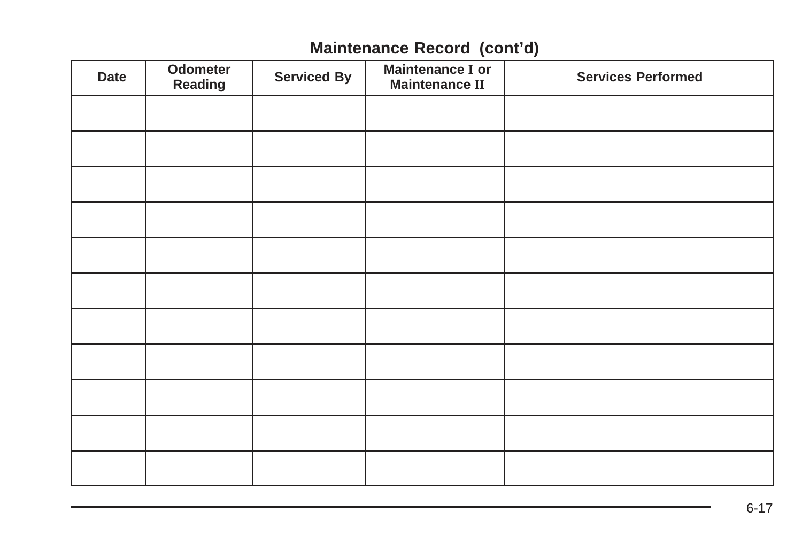#### **Maintenance Record (cont'd)**

| <b>Date</b> | Odometer<br>Reading | <b>Serviced By</b> | <b>Maintenance I or</b><br><b>Maintenance II</b> | <b>Services Performed</b> |
|-------------|---------------------|--------------------|--------------------------------------------------|---------------------------|
|             |                     |                    |                                                  |                           |
|             |                     |                    |                                                  |                           |
|             |                     |                    |                                                  |                           |
|             |                     |                    |                                                  |                           |
|             |                     |                    |                                                  |                           |
|             |                     |                    |                                                  |                           |
|             |                     |                    |                                                  |                           |
|             |                     |                    |                                                  |                           |
|             |                     |                    |                                                  |                           |
|             |                     |                    |                                                  |                           |
|             |                     |                    |                                                  |                           |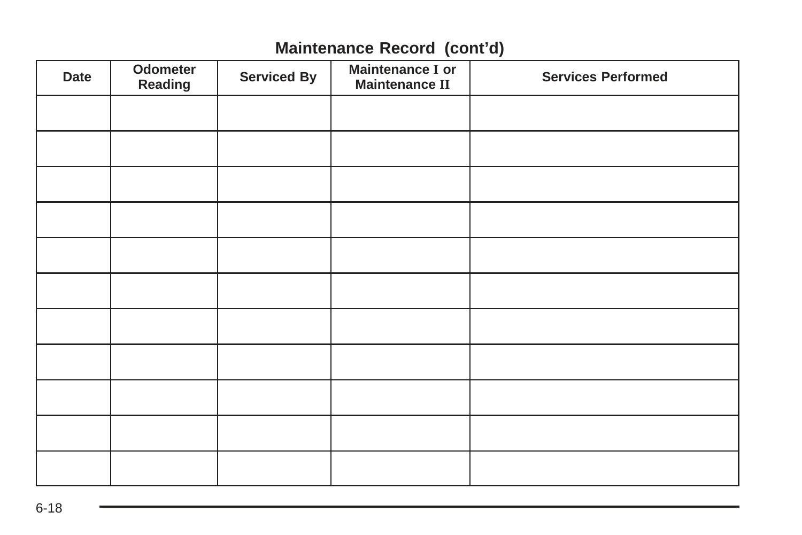#### **Maintenance Record (cont'd)**

| Date | Odometer<br>Reading | <b>Serviced By</b> | Maintenance I or<br><b>Maintenance II</b> | <b>Services Performed</b> |
|------|---------------------|--------------------|-------------------------------------------|---------------------------|
|      |                     |                    |                                           |                           |
|      |                     |                    |                                           |                           |
|      |                     |                    |                                           |                           |
|      |                     |                    |                                           |                           |
|      |                     |                    |                                           |                           |
|      |                     |                    |                                           |                           |
|      |                     |                    |                                           |                           |
|      |                     |                    |                                           |                           |
|      |                     |                    |                                           |                           |
|      |                     |                    |                                           |                           |
|      |                     |                    |                                           |                           |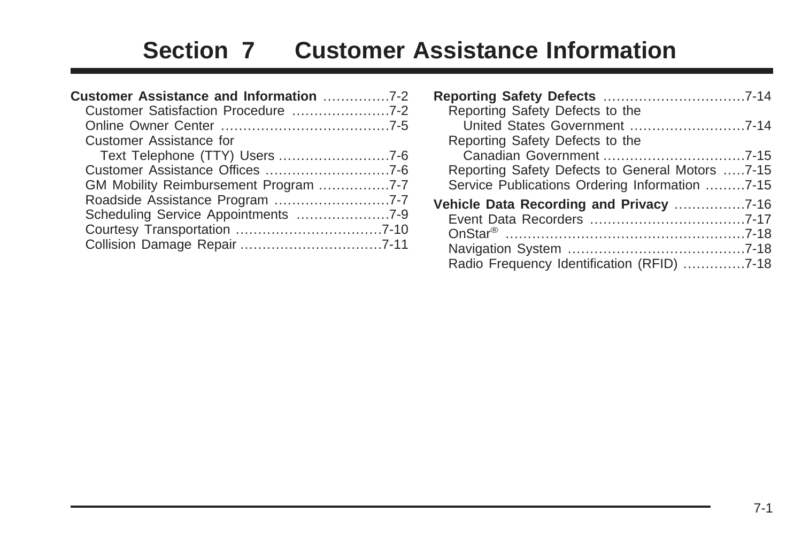# **Section 7 Customer Assistance Information**

| Customer Assistance and Information 7-2 |  |
|-----------------------------------------|--|
|                                         |  |
|                                         |  |
| Customer Assistance for                 |  |
|                                         |  |
|                                         |  |
| GM Mobility Reimbursement Program 7-7   |  |
|                                         |  |
|                                         |  |
|                                         |  |
|                                         |  |

| Reporting Safety Defects to the                                                                   |  |
|---------------------------------------------------------------------------------------------------|--|
| Reporting Safety Defects to the                                                                   |  |
| Reporting Safety Defects to General Motors 7-15<br>Service Publications Ordering Information 7-15 |  |
| Radio Frequency Identification (RFID) 7-18                                                        |  |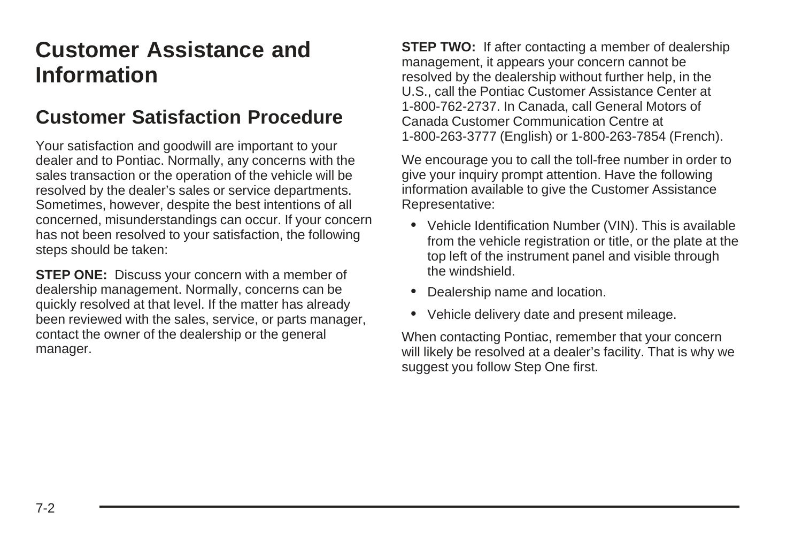# <span id="page-317-0"></span>**Customer Assistance and Information**

#### **Customer Satisfaction Procedure**

Your satisfaction and goodwill are important to your dealer and to Pontiac. Normally, any concerns with the sales transaction or the operation of the vehicle will be resolved by the dealer's sales or service departments. Sometimes, however, despite the best intentions of all concerned, misunderstandings can occur. If your concern has not been resolved to your satisfaction, the following steps should be taken:

**STEP ONE:** Discuss your concern with a member of dealership management. Normally, concerns can be quickly resolved at that level. If the matter has already been reviewed with the sales, service, or parts manager, contact the owner of the dealership or the general manager.

**STEP TWO:** If after contacting a member of dealership management, it appears your concern cannot be resolved by the dealership without further help, in the U.S., call the Pontiac Customer Assistance Center at 1-800-762-2737. In Canada, call General Motors of Canada Customer Communication Centre at 1-800-263-3777 (English) or 1-800-263-7854 (French).

We encourage you to call the toll-free number in order to give your inquiry prompt attention. Have the following information available to give the Customer Assistance Representative:

- Vehicle Identification Number (VIN). This is available from the vehicle registration or title, or the plate at the top left of the instrument panel and visible through the windshield.
- Dealership name and location.
- Vehicle delivery date and present mileage.

When contacting Pontiac, remember that your concern will likely be resolved at a dealer's facility. That is why we suggest you follow Step One first.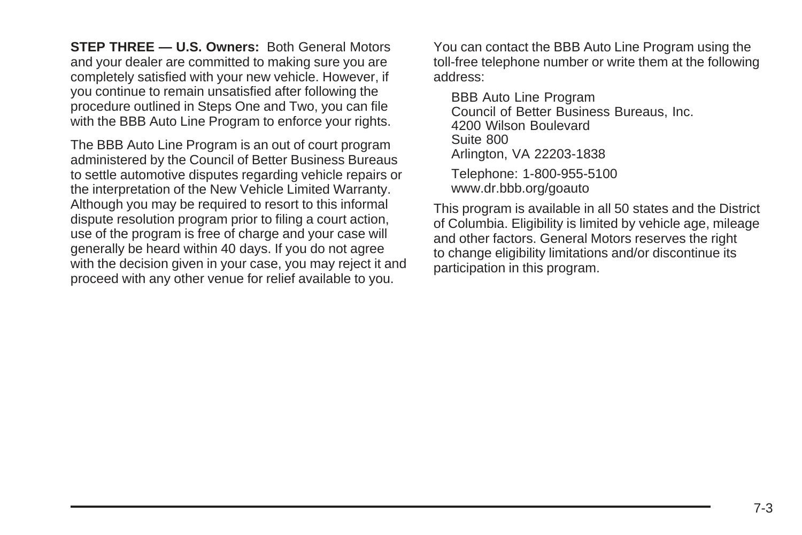**STEP THREE — U.S. Owners:** Both General Motors and your dealer are committed to making sure you are completely satisfied with your new vehicle. However, if you continue to remain unsatisfied after following the procedure outlined in Steps One and Two, you can file with the BBB Auto Line Program to enforce your rights.

The BBB Auto Line Program is an out of court program administered by the Council of Better Business Bureaus to settle automotive disputes regarding vehicle repairs or the interpretation of the New Vehicle Limited Warranty. Although you may be required to resort to this informal dispute resolution program prior to filing a court action, use of the program is free of charge and your case will generally be heard within 40 days. If you do not agree with the decision given in your case, you may reject it and proceed with any other venue for relief available to you.

You can contact the BBB Auto Line Program using the toll-free telephone number or write them at the following address:

BBB Auto Line Program Council of Better Business Bureaus, Inc. 4200 Wilson Boulevard Suite 800 Arlington, VA 22203-1838 Telephone: 1-800-955-5100 www.dr.bbb.org/goauto

This program is available in all 50 states and the District of Columbia. Eligibility is limited by vehicle age, mileage and other factors. General Motors reserves the right to change eligibility limitations and/or discontinue its participation in this program.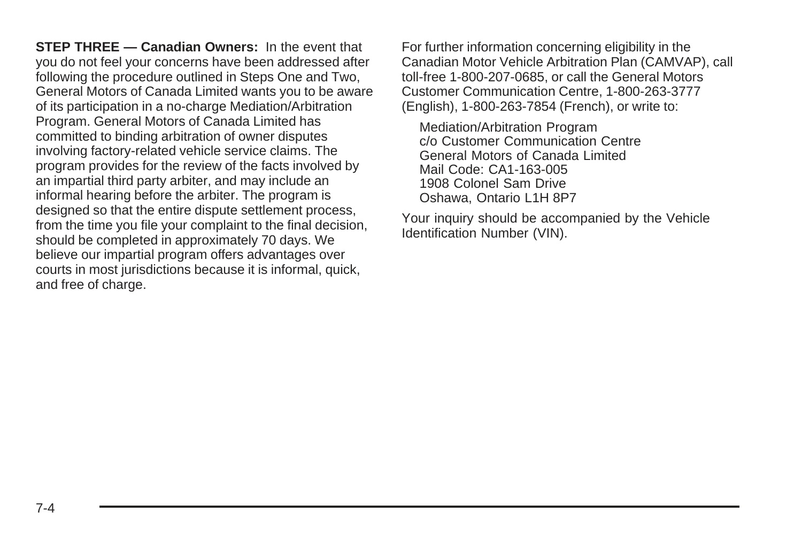**STEP THREE — Canadian Owners:** In the event that you do not feel your concerns have been addressed after following the procedure outlined in Steps One and Two, General Motors of Canada Limited wants you to be aware of its participation in a no-charge Mediation/Arbitration Program. General Motors of Canada Limited has committed to binding arbitration of owner disputes involving factory-related vehicle service claims. The program provides for the review of the facts involved by an impartial third party arbiter, and may include an informal hearing before the arbiter. The program is designed so that the entire dispute settlement process, from the time you file your complaint to the final decision, should be completed in approximately 70 days. We believe our impartial program offers advantages over courts in most jurisdictions because it is informal, quick, and free of charge.

For further information concerning eligibility in the Canadian Motor Vehicle Arbitration Plan (CAMVAP), call toll-free 1-800-207-0685, or call the General Motors Customer Communication Centre, 1-800-263-3777 (English), 1-800-263-7854 (French), or write to:

Mediation/Arbitration Program c/o Customer Communication Centre General Motors of Canada Limited Mail Code: CA1-163-005 1908 Colonel Sam Drive Oshawa, Ontario L1H 8P7

Your inquiry should be accompanied by the Vehicle Identification Number (VIN).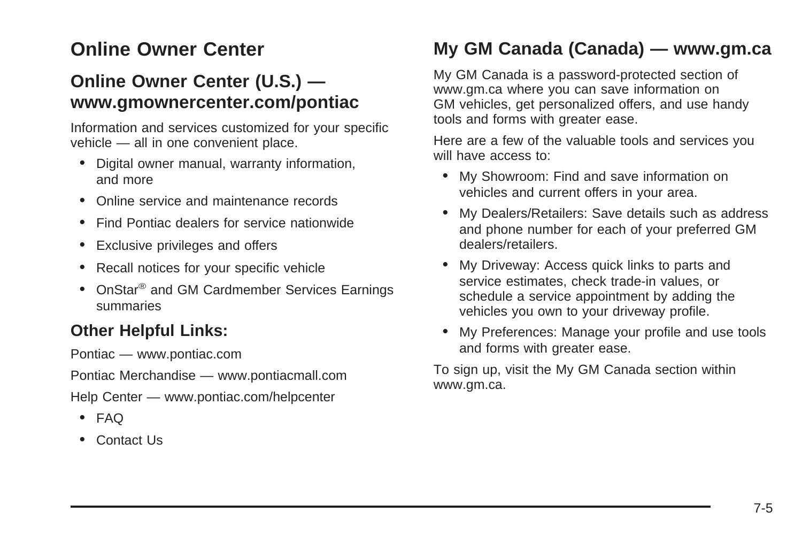# <span id="page-320-0"></span>**Online Owner Center**

#### **Online Owner Center (U.S.) www.gmownercenter.com/pontiac**

Information and services customized for your specific vehicle — all in one convenient place.

- Digital owner manual, warranty information, and more
- Online service and maintenance records
- Find Pontiac dealers for service nationwide
- Exclusive privileges and offers
- Recall notices for your specific vehicle
- OnStar<sup>®</sup> and GM Cardmember Services Earnings summaries

#### **Other Helpful Links:**

Pontiac — www.pontiac.com

Pontiac Merchandise — www.pontiacmall.com

Help Center — www.pontiac.com/helpcenter

- FAQ
- Contact Us

#### **My GM Canada (Canada) — www.gm.ca**

My GM Canada is a password-protected section of www.gm.ca where you can save information on GM vehicles, get personalized offers, and use handy tools and forms with greater ease.

Here are a few of the valuable tools and services you will have access to:

- My Showroom: Find and save information on vehicles and current offers in your area.
- My Dealers/Retailers: Save details such as address and phone number for each of your preferred GM dealers/retailers.
- My Driveway: Access quick links to parts and service estimates, check trade-in values, or schedule a service appointment by adding the vehicles you own to your driveway profile.
- My Preferences: Manage your profile and use tools and forms with greater ease.

To sign up, visit the My GM Canada section within www.gm.ca.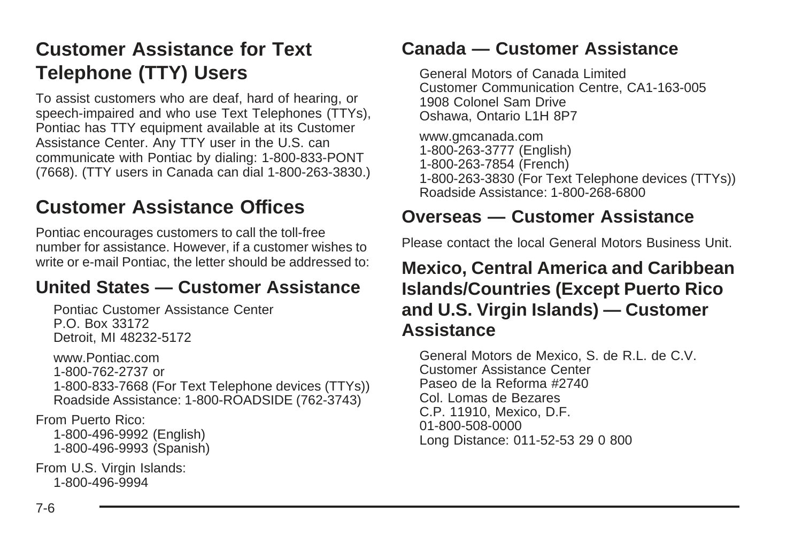# <span id="page-321-0"></span>**Customer Assistance for Text Telephone (TTY) Users**

To assist customers who are deaf, hard of hearing, or speech-impaired and who use Text Telephones (TTYs), Pontiac has TTY equipment available at its Customer Assistance Center. Any TTY user in the U.S. can communicate with Pontiac by dialing: 1-800-833-PONT (7668). (TTY users in Canada can dial 1-800-263-3830.)

# **Customer Assistance Offices**

Pontiac encourages customers to call the toll-free number for assistance. However, if a customer wishes to write or e-mail Pontiac, the letter should be addressed to:

#### **United States — Customer Assistance**

Pontiac Customer Assistance Center P.O. Box 33172 Detroit, MI 48232-5172

www.Pontiac.com 1-800-762-2737 or 1-800-833-7668 (For Text Telephone devices (TTYs)) Roadside Assistance: 1-800-ROADSIDE (762-3743)

From Puerto Rico: 1-800-496-9992 (English) 1-800-496-9993 (Spanish)

From U.S. Virgin Islands: 1-800-496-9994

#### **Canada — Customer Assistance**

General Motors of Canada Limited Customer Communication Centre, CA1-163-005 1908 Colonel Sam Drive Oshawa, Ontario L1H 8P7

www.gmcanada.com 1-800-263-3777 (English) 1-800-263-7854 (French) 1-800-263-3830 (For Text Telephone devices (TTYs)) Roadside Assistance: 1-800-268-6800

#### **Overseas — Customer Assistance**

Please contact the local General Motors Business Unit.

#### **Mexico, Central America and Caribbean Islands/Countries (Except Puerto Rico and U.S. Virgin Islands) — Customer Assistance**

General Motors de Mexico, S. de R.L. de C.V. Customer Assistance Center Paseo de la Reforma #2740 Col. Lomas de Bezares C.P. 11910, Mexico, D.F. 01-800-508-0000 Long Distance: 011-52-53 29 0 800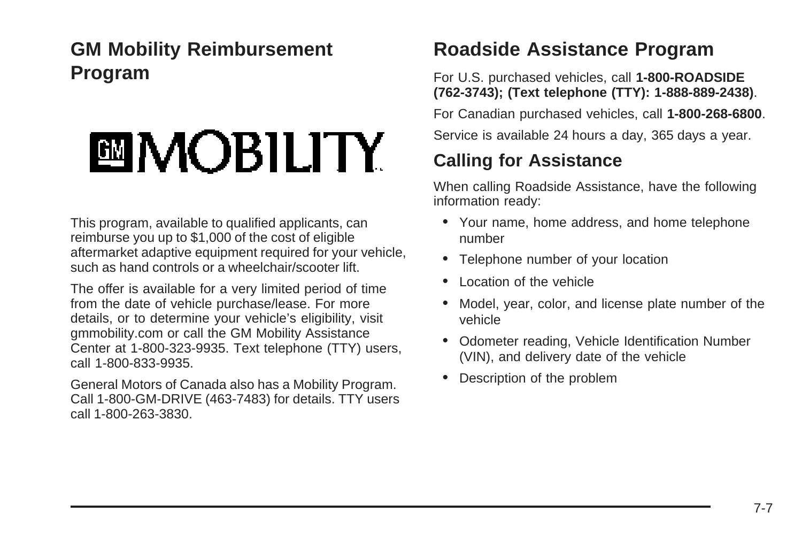# <span id="page-322-0"></span>**GM Mobility Reimbursement Program**

# **圖MOBILITY**

This program, available to qualified applicants, can reimburse you up to \$1,000 of the cost of eligible aftermarket adaptive equipment required for your vehicle, such as hand controls or a wheelchair/scooter lift.

The offer is available for a very limited period of time from the date of vehicle purchase/lease. For more details, or to determine your vehicle's eligibility, visit gmmobility.com or call the GM Mobility Assistance Center at 1-800-323-9935. Text telephone (TTY) users, call 1-800-833-9935.

General Motors of Canada also has a Mobility Program. Call 1-800-GM-DRIVE (463-7483) for details. TTY users call 1-800-263-3830.

## **Roadside Assistance Program**

For U.S. purchased vehicles, call **1-800-ROADSIDE (762-3743); (Text telephone (TTY): 1-888-889-2438)**.

For Canadian purchased vehicles, call **1-800-268-6800**.

Service is available 24 hours a day, 365 days a year.

# **Calling for Assistance**

When calling Roadside Assistance, have the following information ready:

- Your name, home address, and home telephone number
- Telephone number of your location
- Location of the vehicle
- Model, year, color, and license plate number of the vehicle
- Odometer reading, Vehicle Identification Number (VIN), and delivery date of the vehicle
- Description of the problem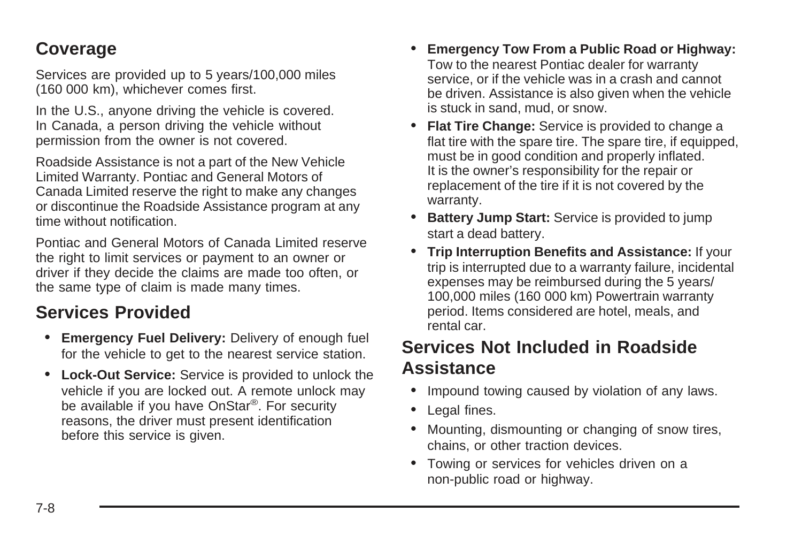#### **Coverage**

Services are provided up to 5 years/100,000 miles (160 000 km), whichever comes first.

In the U.S., anyone driving the vehicle is covered. In Canada, a person driving the vehicle without permission from the owner is not covered.

Roadside Assistance is not a part of the New Vehicle Limited Warranty. Pontiac and General Motors of Canada Limited reserve the right to make any changes or discontinue the Roadside Assistance program at any time without notification.

Pontiac and General Motors of Canada Limited reserve the right to limit services or payment to an owner or driver if they decide the claims are made too often, or the same type of claim is made many times.

## **Services Provided**

- **Emergency Fuel Delivery:** Delivery of enough fuel for the vehicle to get to the nearest service station.
- **Lock-Out Service:** Service is provided to unlock the vehicle if you are locked out. A remote unlock may be available if you have OnStar®. For security reasons, the driver must present identification before this service is given.
- **Emergency Tow From a Public Road or Highway:** Tow to the nearest Pontiac dealer for warranty service, or if the vehicle was in a crash and cannot be driven. Assistance is also given when the vehicle is stuck in sand, mud, or snow.
- **Flat Tire Change:** Service is provided to change a flat tire with the spare tire. The spare tire, if equipped. must be in good condition and properly inflated. It is the owner's responsibility for the repair or replacement of the tire if it is not covered by the warranty.
- **Battery Jump Start:** Service is provided to jump start a dead battery.
- **Trip Interruption Benefits and Assistance:** If your trip is interrupted due to a warranty failure, incidental expenses may be reimbursed during the 5 years/ 100,000 miles (160 000 km) Powertrain warranty period. Items considered are hotel, meals, and rental car.

#### **Services Not Included in Roadside Assistance**

- Impound towing caused by violation of any laws.
- Legal fines.
- Mounting, dismounting or changing of snow tires, chains, or other traction devices.
- Towing or services for vehicles driven on a non-public road or highway.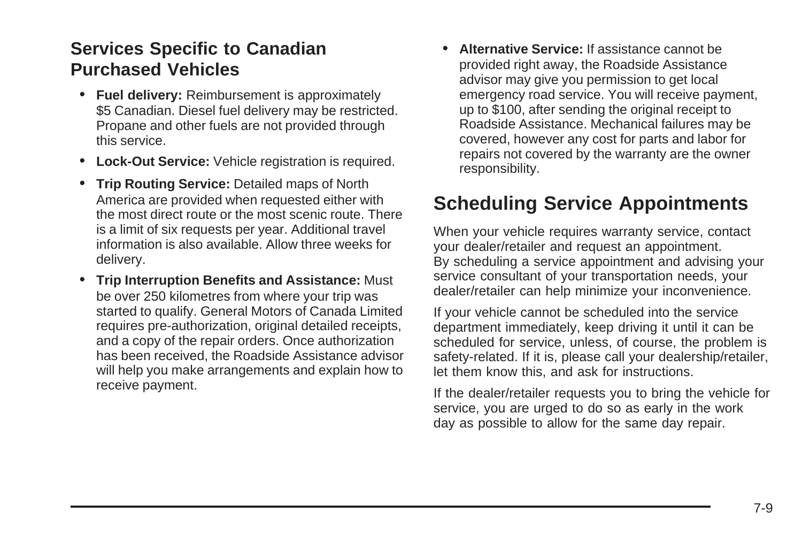### <span id="page-324-0"></span>**Services Specific to Canadian Purchased Vehicles**

- **Fuel delivery:** Reimbursement is approximately \$5 Canadian. Diesel fuel delivery may be restricted. Propane and other fuels are not provided through this service.
- **Lock-Out Service:** Vehicle registration is required.
- **Trip Routing Service:** Detailed maps of North America are provided when requested either with the most direct route or the most scenic route. There is a limit of six requests per year. Additional travel information is also available. Allow three weeks for delivery.
- **Trip Interruption Benefits and Assistance:** Must be over 250 kilometres from where your trip was started to qualify. General Motors of Canada Limited requires pre-authorization, original detailed receipts, and a copy of the repair orders. Once authorization has been received, the Roadside Assistance advisor will help you make arrangements and explain how to receive payment.

• **Alternative Service:** If assistance cannot be provided right away, the Roadside Assistance advisor may give you permission to get local emergency road service. You will receive payment, up to \$100, after sending the original receipt to Roadside Assistance. Mechanical failures may be covered, however any cost for parts and labor for repairs not covered by the warranty are the owner responsibility.

## **Scheduling Service Appointments**

When your vehicle requires warranty service, contact your dealer/retailer and request an appointment. By scheduling a service appointment and advising your service consultant of your transportation needs, your dealer/retailer can help minimize your inconvenience.

If your vehicle cannot be scheduled into the service department immediately, keep driving it until it can be scheduled for service, unless, of course, the problem is safety-related. If it is, please call your dealership/retailer, let them know this, and ask for instructions.

If the dealer/retailer requests you to bring the vehicle for service, you are urged to do so as early in the work day as possible to allow for the same day repair.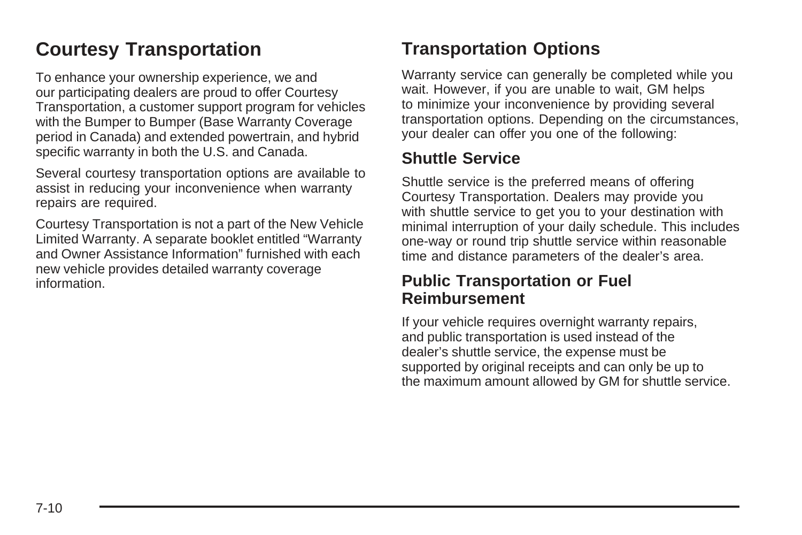# <span id="page-325-0"></span>**Courtesy Transportation**

To enhance your ownership experience, we and our participating dealers are proud to offer Courtesy Transportation, a customer support program for vehicles with the Bumper to Bumper (Base Warranty Coverage period in Canada) and extended powertrain, and hybrid specific warranty in both the U.S. and Canada.

Several courtesy transportation options are available to assist in reducing your inconvenience when warranty repairs are required.

Courtesy Transportation is not a part of the New Vehicle Limited Warranty. A separate booklet entitled "Warranty and Owner Assistance Information" furnished with each new vehicle provides detailed warranty coverage information.

### **Transportation Options**

Warranty service can generally be completed while you wait. However, if you are unable to wait, GM helps to minimize your inconvenience by providing several transportation options. Depending on the circumstances, your dealer can offer you one of the following:

#### **Shuttle Service**

Shuttle service is the preferred means of offering Courtesy Transportation. Dealers may provide you with shuttle service to get you to your destination with minimal interruption of your daily schedule. This includes one-way or round trip shuttle service within reasonable time and distance parameters of the dealer's area.

#### **Public Transportation or Fuel Reimbursement**

If your vehicle requires overnight warranty repairs, and public transportation is used instead of the dealer's shuttle service, the expense must be supported by original receipts and can only be up to the maximum amount allowed by GM for shuttle service.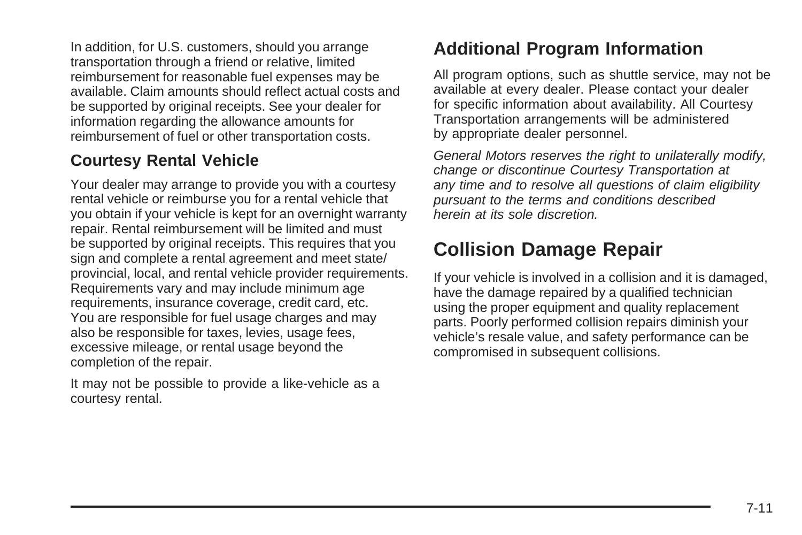<span id="page-326-0"></span>In addition, for U.S. customers, should you arrange transportation through a friend or relative, limited reimbursement for reasonable fuel expenses may be available. Claim amounts should reflect actual costs and be supported by original receipts. See your dealer for information regarding the allowance amounts for reimbursement of fuel or other transportation costs.

#### **Courtesy Rental Vehicle**

Your dealer may arrange to provide you with a courtesy rental vehicle or reimburse you for a rental vehicle that you obtain if your vehicle is kept for an overnight warranty repair. Rental reimbursement will be limited and must be supported by original receipts. This requires that you sign and complete a rental agreement and meet state/ provincial, local, and rental vehicle provider requirements. Requirements vary and may include minimum age requirements, insurance coverage, credit card, etc. You are responsible for fuel usage charges and may also be responsible for taxes, levies, usage fees, excessive mileage, or rental usage beyond the completion of the repair.

It may not be possible to provide a like-vehicle as a courtesy rental.

## **Additional Program Information**

All program options, such as shuttle service, may not be available at every dealer. Please contact your dealer for specific information about availability. All Courtesy Transportation arrangements will be administered by appropriate dealer personnel.

General Motors reserves the right to unilaterally modify, change or discontinue Courtesy Transportation at any time and to resolve all questions of claim eligibility pursuant to the terms and conditions described herein at its sole discretion.

# **Collision Damage Repair**

If your vehicle is involved in a collision and it is damaged, have the damage repaired by a qualified technician using the proper equipment and quality replacement parts. Poorly performed collision repairs diminish your vehicle's resale value, and safety performance can be compromised in subsequent collisions.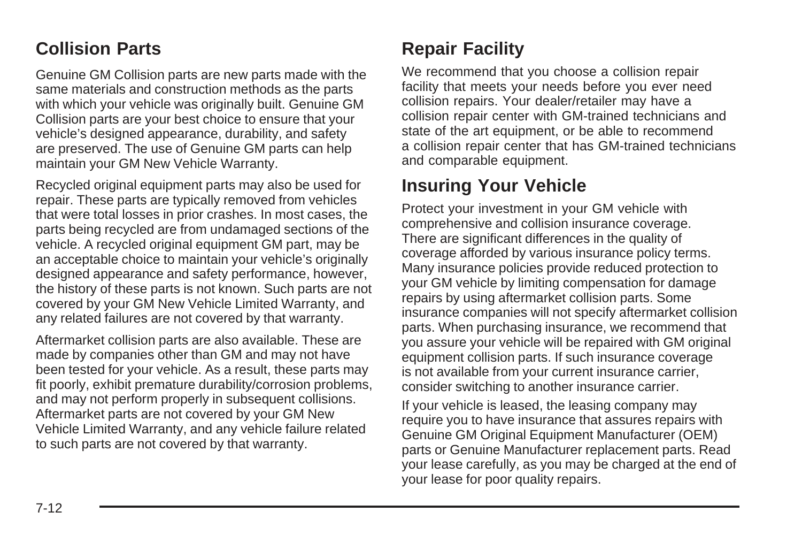### **Collision Parts**

Genuine GM Collision parts are new parts made with the same materials and construction methods as the parts with which your vehicle was originally built. Genuine GM Collision parts are your best choice to ensure that your vehicle's designed appearance, durability, and safety are preserved. The use of Genuine GM parts can help maintain your GM New Vehicle Warranty.

Recycled original equipment parts may also be used for repair. These parts are typically removed from vehicles that were total losses in prior crashes. In most cases, the parts being recycled are from undamaged sections of the vehicle. A recycled original equipment GM part, may be an acceptable choice to maintain your vehicle's originally designed appearance and safety performance, however, the history of these parts is not known. Such parts are not covered by your GM New Vehicle Limited Warranty, and any related failures are not covered by that warranty.

Aftermarket collision parts are also available. These are made by companies other than GM and may not have been tested for your vehicle. As a result, these parts may fit poorly, exhibit premature durability/corrosion problems, and may not perform properly in subsequent collisions. Aftermarket parts are not covered by your GM New Vehicle Limited Warranty, and any vehicle failure related to such parts are not covered by that warranty.

# **Repair Facility**

We recommend that you choose a collision repair facility that meets your needs before you ever need collision repairs. Your dealer/retailer may have a collision repair center with GM-trained technicians and state of the art equipment, or be able to recommend a collision repair center that has GM-trained technicians and comparable equipment.

### **Insuring Your Vehicle**

Protect your investment in your GM vehicle with comprehensive and collision insurance coverage. There are significant differences in the quality of coverage afforded by various insurance policy terms. Many insurance policies provide reduced protection to your GM vehicle by limiting compensation for damage repairs by using aftermarket collision parts. Some insurance companies will not specify aftermarket collision parts. When purchasing insurance, we recommend that you assure your vehicle will be repaired with GM original equipment collision parts. If such insurance coverage is not available from your current insurance carrier, consider switching to another insurance carrier.

If your vehicle is leased, the leasing company may require you to have insurance that assures repairs with Genuine GM Original Equipment Manufacturer (OEM) parts or Genuine Manufacturer replacement parts. Read your lease carefully, as you may be charged at the end of your lease for poor quality repairs.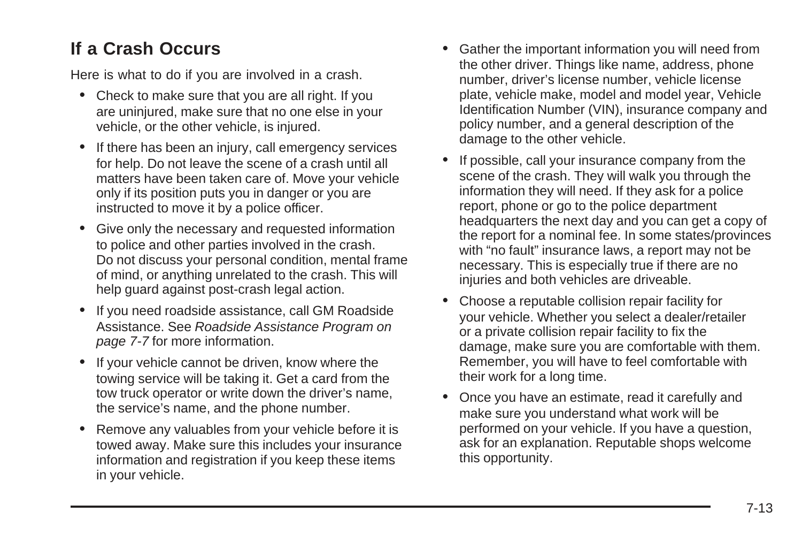### **If a Crash Occurs**

Here is what to do if you are involved in a crash.

- Check to make sure that you are all right. If you are uninjured, make sure that no one else in your vehicle, or the other vehicle, is injured.
- If there has been an injury, call emergency services for help. Do not leave the scene of a crash until all matters have been taken care of. Move your vehicle only if its position puts you in danger or you are instructed to move it by a police officer.
- Give only the necessary and requested information to police and other parties involved in the crash. Do not discuss your personal condition, mental frame of mind, or anything unrelated to the crash. This will help guard against post-crash legal action.
- If you need roadside assistance, call GM Roadside Assistance. See [Roadside Assistance Program](#page-322-0) on page 7-7 for more information.
- If your vehicle cannot be driven, know where the towing service will be taking it. Get a card from the tow truck operator or write down the driver's name, the service's name, and the phone number.
- Remove any valuables from your vehicle before it is towed away. Make sure this includes your insurance information and registration if you keep these items in your vehicle.
- Gather the important information you will need from the other driver. Things like name, address, phone number, driver's license number, vehicle license plate, vehicle make, model and model year, Vehicle Identification Number (VIN), insurance company and policy number, and a general description of the damage to the other vehicle.
- If possible, call your insurance company from the scene of the crash. They will walk you through the information they will need. If they ask for a police report, phone or go to the police department headquarters the next day and you can get a copy of the report for a nominal fee. In some states/provinces with "no fault" insurance laws, a report may not be necessary. This is especially true if there are no injuries and both vehicles are driveable.
- Choose a reputable collision repair facility for your vehicle. Whether you select a dealer/retailer or a private collision repair facility to fix the damage, make sure you are comfortable with them. Remember, you will have to feel comfortable with their work for a long time.
- Once you have an estimate, read it carefully and make sure you understand what work will be performed on your vehicle. If you have a question, ask for an explanation. Reputable shops welcome this opportunity.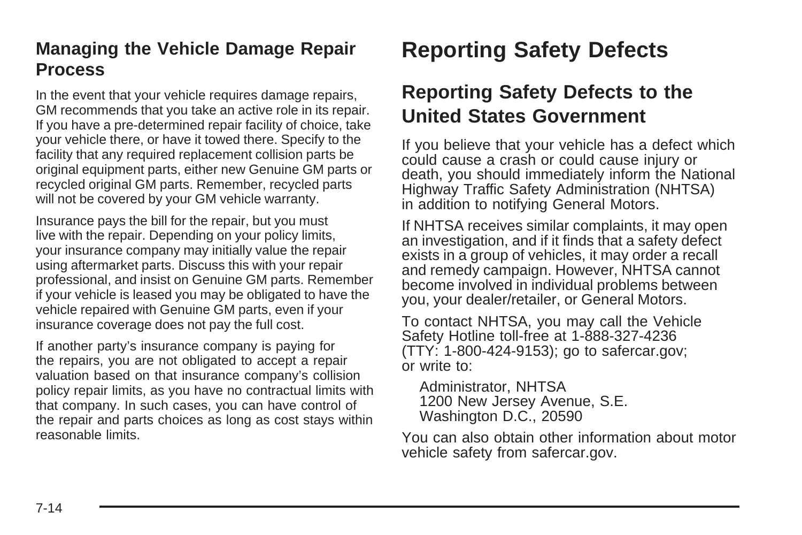### <span id="page-329-0"></span>**Managing the Vehicle Damage Repair Process**

In the event that your vehicle requires damage repairs, GM recommends that you take an active role in its repair. If you have a pre-determined repair facility of choice, take your vehicle there, or have it towed there. Specify to the facility that any required replacement collision parts be original equipment parts, either new Genuine GM parts or recycled original GM parts. Remember, recycled parts will not be covered by your GM vehicle warranty.

Insurance pays the bill for the repair, but you must live with the repair. Depending on your policy limits, your insurance company may initially value the repair using aftermarket parts. Discuss this with your repair professional, and insist on Genuine GM parts. Remember if your vehicle is leased you may be obligated to have the vehicle repaired with Genuine GM parts, even if your insurance coverage does not pay the full cost.

If another party's insurance company is paying for the repairs, you are not obligated to accept a repair valuation based on that insurance company's collision policy repair limits, as you have no contractual limits with that company. In such cases, you can have control of the repair and parts choices as long as cost stays within reasonable limits.

# **Reporting Safety Defects**

## **Reporting Safety Defects to the United States Government**

If you believe that your vehicle has a defect which could cause a crash or could cause injury or death, you should immediately inform the National Highway Traffic Safety Administration (NHTSA) in addition to notifying General Motors.

If NHTSA receives similar complaints, it may open an investigation, and if it finds that a safety defect exists in a group of vehicles, it may order a recall and remedy campaign. However, NHTSA cannot become involved in individual problems between you, your dealer/retailer, or General Motors.

To contact NHTSA, you may call the Vehicle Safety Hotline toll-free at 1-888-327-4236 (TTY: 1-800-424-9153); go to safercar.gov; or write to:

Administrator, NHTSA 1200 New Jersey Avenue, S.E. Washington D.C., 20590

You can also obtain other information about motor vehicle safety from safercar.gov.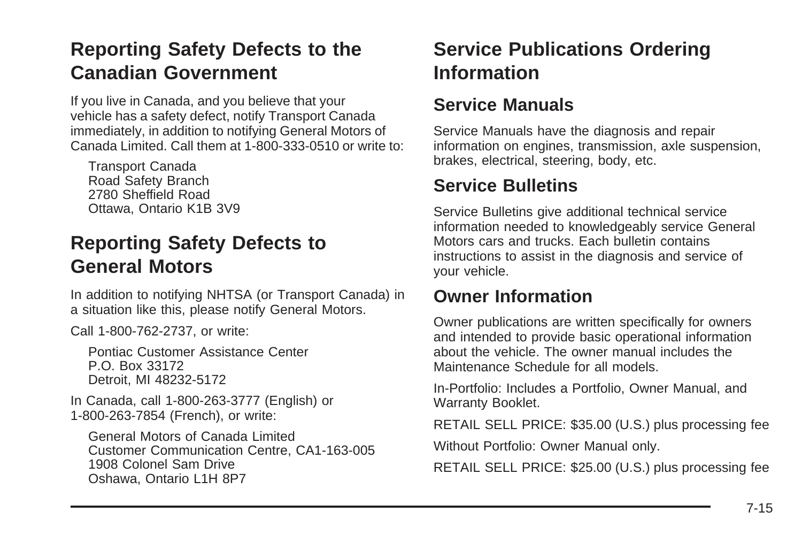# <span id="page-330-0"></span>**Reporting Safety Defects to the Canadian Government**

If you live in Canada, and you believe that your vehicle has a safety defect, notify Transport Canada immediately, in addition to notifying General Motors of Canada Limited. Call them at 1-800-333-0510 or write to:

Transport Canada Road Safety Branch 2780 Sheffield Road Ottawa, Ontario K1B 3V9

### **Reporting Safety Defects to General Motors**

In addition to notifying NHTSA (or Transport Canada) in a situation like this, please notify General Motors.

Call 1-800-762-2737, or write:

Pontiac Customer Assistance Center P.O. Box 33172 Detroit, MI 48232-5172

In Canada, call 1-800-263-3777 (English) or 1-800-263-7854 (French), or write:

General Motors of Canada Limited Customer Communication Centre, CA1-163-005 1908 Colonel Sam Drive Oshawa, Ontario L1H 8P7

# **Service Publications Ordering Information**

#### **Service Manuals**

Service Manuals have the diagnosis and repair information on engines, transmission, axle suspension, brakes, electrical, steering, body, etc.

### **Service Bulletins**

Service Bulletins give additional technical service information needed to knowledgeably service General Motors cars and trucks. Each bulletin contains instructions to assist in the diagnosis and service of your vehicle.

#### **Owner Information**

Owner publications are written specifically for owners and intended to provide basic operational information about the vehicle. The owner manual includes the Maintenance Schedule for all models.

In-Portfolio: Includes a Portfolio, Owner Manual, and Warranty Booklet.

RETAIL SELL PRICE: \$35.00 (U.S.) plus processing fee

Without Portfolio: Owner Manual only.

RETAIL SELL PRICE: \$25.00 (U.S.) plus processing fee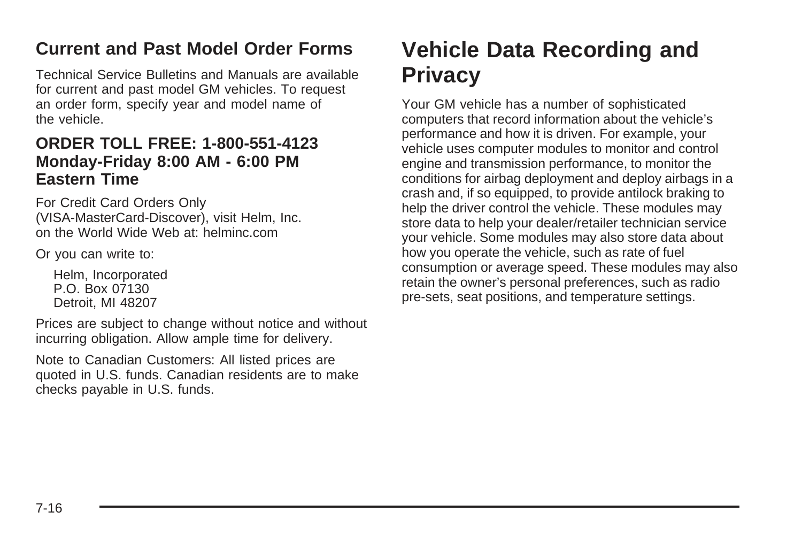### <span id="page-331-0"></span>**Current and Past Model Order Forms**

Technical Service Bulletins and Manuals are available for current and past model GM vehicles. To request an order form, specify year and model name of the vehicle.

#### **ORDER TOLL FREE: 1-800-551-4123 Monday-Friday 8:00 AM - 6:00 PM Eastern Time**

For Credit Card Orders Only (VISA-MasterCard-Discover), visit Helm, Inc. on the World Wide Web at: helminc.com

Or you can write to:

Helm, Incorporated P.O. Box 07130 Detroit, MI 48207

Prices are subject to change without notice and without incurring obligation. Allow ample time for delivery.

Note to Canadian Customers: All listed prices are quoted in U.S. funds. Canadian residents are to make checks payable in U.S. funds.

# **Vehicle Data Recording and Privacy**

Your GM vehicle has a number of sophisticated computers that record information about the vehicle's performance and how it is driven. For example, your vehicle uses computer modules to monitor and control engine and transmission performance, to monitor the conditions for airbag deployment and deploy airbags in a crash and, if so equipped, to provide antilock braking to help the driver control the vehicle. These modules may store data to help your dealer/retailer technician service your vehicle. Some modules may also store data about how you operate the vehicle, such as rate of fuel consumption or average speed. These modules may also retain the owner's personal preferences, such as radio pre-sets, seat positions, and temperature settings.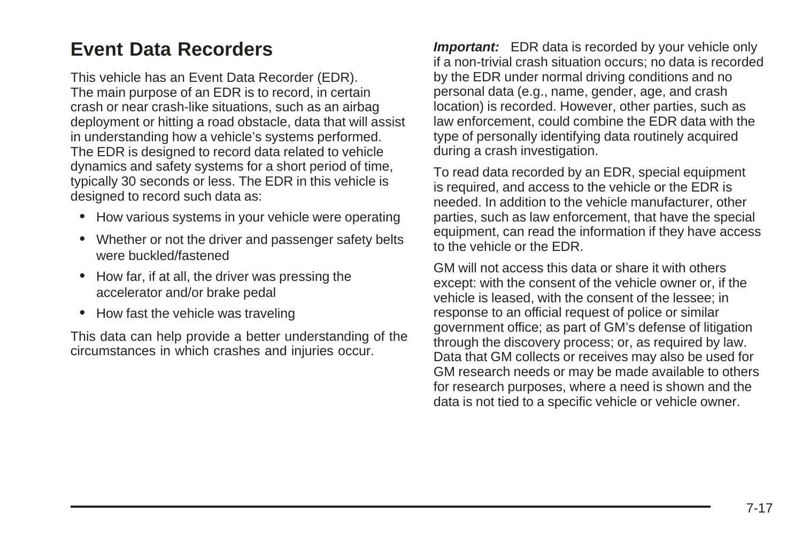## <span id="page-332-0"></span>**Event Data Recorders**

This vehicle has an Event Data Recorder (EDR). The main purpose of an EDR is to record, in certain crash or near crash-like situations, such as an airbag deployment or hitting a road obstacle, data that will assist in understanding how a vehicle's systems performed. The EDR is designed to record data related to vehicle dynamics and safety systems for a short period of time, typically 30 seconds or less. The EDR in this vehicle is designed to record such data as:

- How various systems in your vehicle were operating
- Whether or not the driver and passenger safety belts were buckled/fastened
- How far, if at all, the driver was pressing the accelerator and/or brake pedal
- How fast the vehicle was traveling

This data can help provide a better understanding of the circumstances in which crashes and injuries occur.

**Important:** EDR data is recorded by your vehicle only if a non-trivial crash situation occurs; no data is recorded by the EDR under normal driving conditions and no personal data (e.g., name, gender, age, and crash location) is recorded. However, other parties, such as law enforcement, could combine the EDR data with the type of personally identifying data routinely acquired during a crash investigation.

To read data recorded by an EDR, special equipment is required, and access to the vehicle or the EDR is needed. In addition to the vehicle manufacturer, other parties, such as law enforcement, that have the special equipment, can read the information if they have access to the vehicle or the EDR.

GM will not access this data or share it with others except: with the consent of the vehicle owner or, if the vehicle is leased, with the consent of the lessee; in response to an official request of police or similar government office; as part of GM's defense of litigation through the discovery process; or, as required by law. Data that GM collects or receives may also be used for GM research needs or may be made available to others for research purposes, where a need is shown and the data is not tied to a specific vehicle or vehicle owner.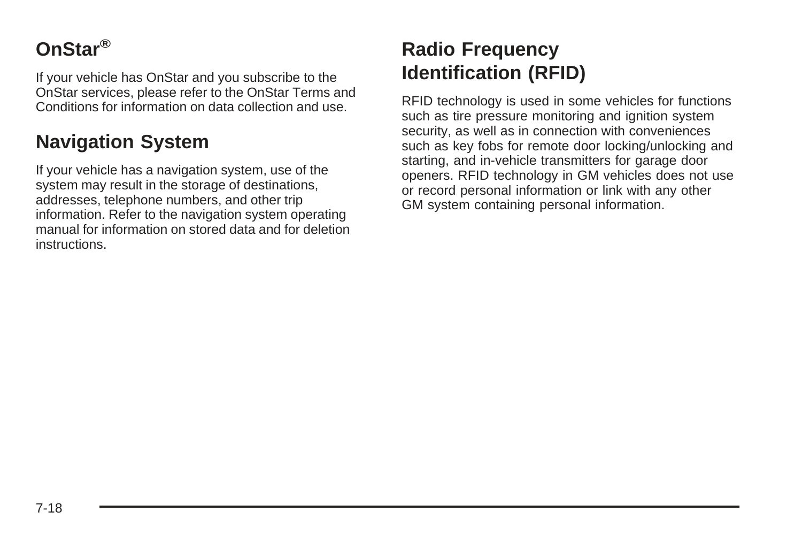# <span id="page-333-0"></span>**OnStar®**

If your vehicle has OnStar and you subscribe to the OnStar services, please refer to the OnStar Terms and Conditions for information on data collection and use.

## **Navigation System**

If your vehicle has a navigation system, use of the system may result in the storage of destinations, addresses, telephone numbers, and other trip information. Refer to the navigation system operating manual for information on stored data and for deletion instructions.

# **Radio Frequency Identification (RFID)**

RFID technology is used in some vehicles for functions such as tire pressure monitoring and ignition system security, as well as in connection with conveniences such as key fobs for remote door locking/unlocking and starting, and in-vehicle transmitters for garage door openers. RFID technology in GM vehicles does not use or record personal information or link with any other GM system containing personal information.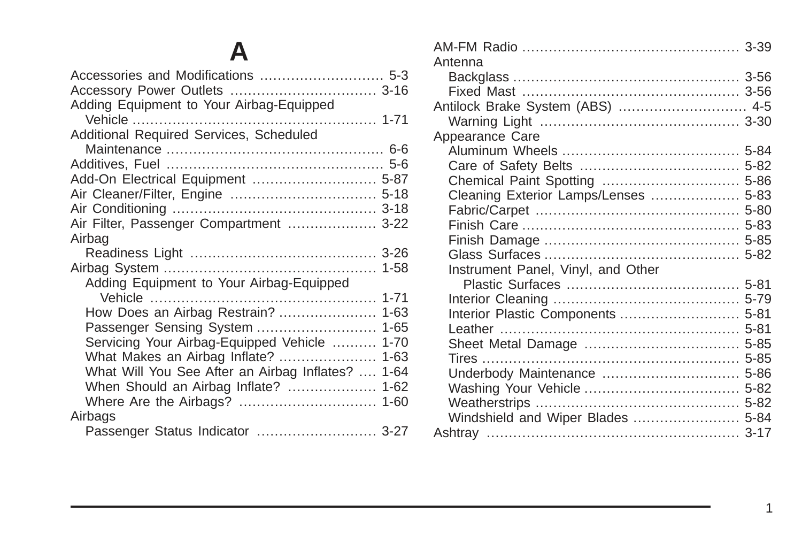### **[A](#page-206-0)**

| Adding Equipment to Your Airbag-Equipped                |  |
|---------------------------------------------------------|--|
|                                                         |  |
| Additional Required Services, Scheduled                 |  |
|                                                         |  |
|                                                         |  |
| Add-On Electrical Equipment  5-87                       |  |
|                                                         |  |
|                                                         |  |
| Air Filter, Passenger Compartment  3-22                 |  |
| Airbag                                                  |  |
|                                                         |  |
|                                                         |  |
| Adding Equipment to Your Airbag-Equipped                |  |
|                                                         |  |
|                                                         |  |
| Passenger Sensing System<br>$1 - 65$                    |  |
| Servicing Your Airbag-Equipped Vehicle<br>$1 - 70$      |  |
| What Makes an Airbag Inflate?<br>$1 - 63$               |  |
| What Will You See After an Airbag Inflates?<br>$1 - 64$ |  |
| When Should an Airbag Inflate?<br>$1 - 62$              |  |
|                                                         |  |
| Airbags                                                 |  |
| Passenger Status Indicator  3-27                        |  |

| Antenna                              |  |
|--------------------------------------|--|
|                                      |  |
|                                      |  |
| Antilock Brake System (ABS)  4-5     |  |
|                                      |  |
| Appearance Care                      |  |
|                                      |  |
|                                      |  |
|                                      |  |
| Cleaning Exterior Lamps/Lenses  5-83 |  |
|                                      |  |
|                                      |  |
|                                      |  |
|                                      |  |
| Instrument Panel, Vinyl, and Other   |  |
|                                      |  |
|                                      |  |
|                                      |  |
|                                      |  |
|                                      |  |
|                                      |  |
|                                      |  |
| Underbody Maintenance  5-86          |  |
|                                      |  |
|                                      |  |
| Windshield and Wiper Blades  5-84    |  |
|                                      |  |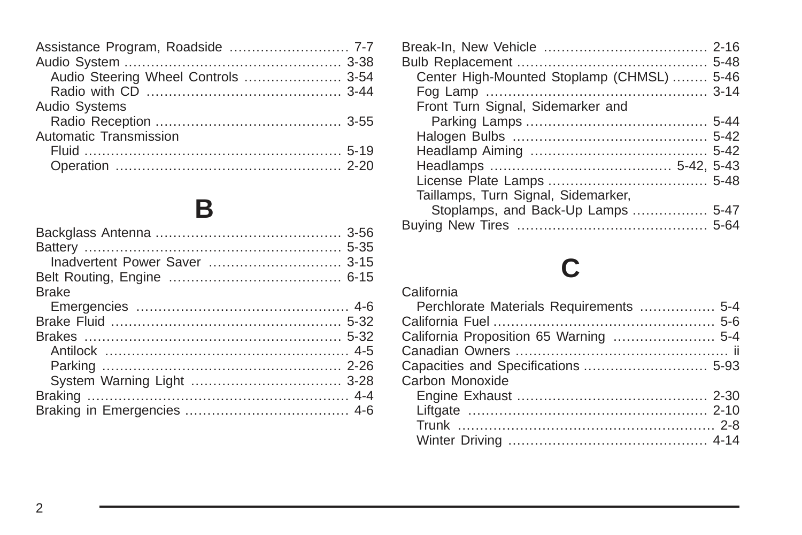| Assistance Program, Roadside  7-7   |  |
|-------------------------------------|--|
|                                     |  |
| Audio Steering Wheel Controls  3-54 |  |
|                                     |  |
| Audio Systems                       |  |
|                                     |  |
| Automatic Transmission              |  |
|                                     |  |
|                                     |  |
|                                     |  |

## **[B](#page-171-0)**

| Center High-Mounted Stoplamp (CHMSL)  5-46 |  |
|--------------------------------------------|--|
|                                            |  |
| Front Turn Signal, Sidemarker and          |  |
|                                            |  |
|                                            |  |
|                                            |  |
|                                            |  |
|                                            |  |
| Taillamps, Turn Signal, Sidemarker,        |  |
| Stoplamps, and Back-Up Lamps  5-47         |  |
|                                            |  |
|                                            |  |

# **[C](#page-207-0)**

#### [California](#page-207-0) [Perchlorate Materials Requirements](#page-207-0) [................. 5-4](#page-207-0) [California Fuel](#page-209-0) [.................................................. 5-6](#page-209-0) [California Proposition 65 Warning](#page-207-0) [....................... 5-4](#page-207-0) [Canadian Owners](#page-1-0) [................................................ ii](#page-1-0) [Capacities and Specifications](#page-296-0) [............................](#page-296-0) 5-93 [Carbon Monoxide](#page-107-0) [Engine Exhaust](#page-107-0) [...........................................](#page-107-0) 2-30 [Liftgate](#page-87-0) [......................................................](#page-87-0) 2-10 [Trunk](#page-85-0) [.......................................................... 2-8](#page-85-0) [Winter Driving](#page-187-0) [.............................................](#page-187-0) 4-14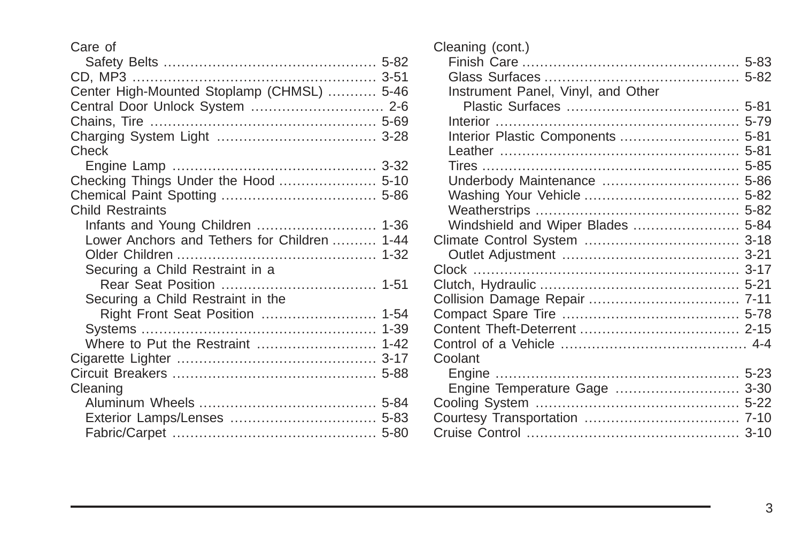#### [Care of](#page-285-0)

| Center High-Mounted Stoplamp (CHMSL)  5-46   |  |
|----------------------------------------------|--|
| Central Door Unlock System  2-6              |  |
|                                              |  |
|                                              |  |
| Check                                        |  |
|                                              |  |
| Checking Things Under the Hood  5-10         |  |
|                                              |  |
| <b>Child Restraints</b>                      |  |
| Infants and Young Children  1-36             |  |
| Lower Anchors and Tethers for Children  1-44 |  |
|                                              |  |
| Securing a Child Restraint in a              |  |
|                                              |  |
| Securing a Child Restraint in the            |  |
|                                              |  |
|                                              |  |
| Where to Put the Restraint  1-42             |  |
|                                              |  |
|                                              |  |
| Cleaning                                     |  |
|                                              |  |
|                                              |  |
|                                              |  |
|                                              |  |

| Cleaning (cont.)                   |  |
|------------------------------------|--|
|                                    |  |
|                                    |  |
| Instrument Panel, Vinyl, and Other |  |
|                                    |  |
|                                    |  |
| Interior Plastic Components  5-81  |  |
|                                    |  |
|                                    |  |
| Underbody Maintenance  5-86        |  |
|                                    |  |
|                                    |  |
| Windshield and Wiper Blades  5-84  |  |
|                                    |  |
|                                    |  |
|                                    |  |
|                                    |  |
|                                    |  |
|                                    |  |
|                                    |  |
|                                    |  |
| Coolant                            |  |
|                                    |  |
| Engine Temperature Gage  3-30      |  |
|                                    |  |
|                                    |  |
|                                    |  |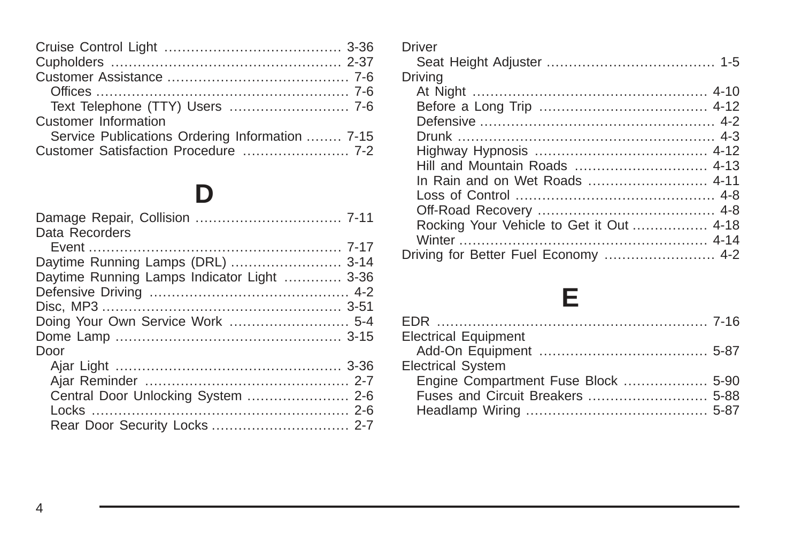| Text Telephone (TTY) Users  7-6                 |
|-------------------------------------------------|
| Customer Information                            |
| Service Publications Ordering Information  7-15 |
|                                                 |

# **[D](#page-326-0)**

| Data Recorders                              |  |
|---------------------------------------------|--|
|                                             |  |
| Daytime Running Lamps (DRL)  3-14           |  |
| Daytime Running Lamps Indicator Light  3-36 |  |
|                                             |  |
|                                             |  |
|                                             |  |
|                                             |  |
| Door                                        |  |
|                                             |  |
|                                             |  |
|                                             |  |
|                                             |  |
|                                             |  |

| 6              | <b>Driver</b>                            |  |
|----------------|------------------------------------------|--|
| 7              |                                          |  |
| 6              | Drivina                                  |  |
| 6              |                                          |  |
| 6              |                                          |  |
|                |                                          |  |
| 5              |                                          |  |
| 2              |                                          |  |
|                | Hill and Mountain Roads  4-13            |  |
|                | In Rain and on Wet Roads  4-11           |  |
|                |                                          |  |
|                |                                          |  |
|                | Rocking Your Vehicle to Get it Out  4-18 |  |
| $\overline{7}$ |                                          |  |
|                | Driving for Better Fuel Economy  4-2     |  |
| 4              |                                          |  |

# **[E](#page-331-0)**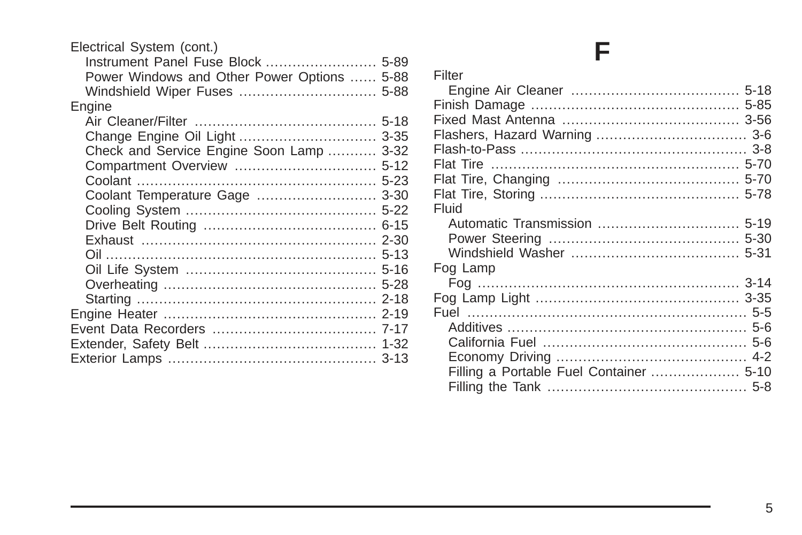| Electrical System (cont.)                   |          |
|---------------------------------------------|----------|
| Instrument Panel Fuse Block  5-89           |          |
| Power Windows and Other Power Options  5-88 |          |
|                                             |          |
| Engine                                      |          |
|                                             |          |
| Change Engine Oil Light  3-35               |          |
| Check and Service Engine Soon Lamp          | $3 - 32$ |
|                                             |          |
|                                             | $5 - 23$ |
| Coolant Temperature Gage                    | $3 - 30$ |
|                                             |          |
|                                             |          |
|                                             | $2 - 30$ |
|                                             |          |
|                                             | $5 - 16$ |
|                                             |          |
|                                             | $2 - 18$ |
|                                             |          |
|                                             |          |
|                                             |          |
|                                             |          |
|                                             |          |

# **[F](#page-221-0)**

| Filter   |  |
|----------|--|
|          |  |
|          |  |
|          |  |
|          |  |
|          |  |
|          |  |
|          |  |
|          |  |
| Fluid    |  |
|          |  |
|          |  |
|          |  |
| Fog Lamp |  |
|          |  |
|          |  |
|          |  |
|          |  |
|          |  |
|          |  |
|          |  |
|          |  |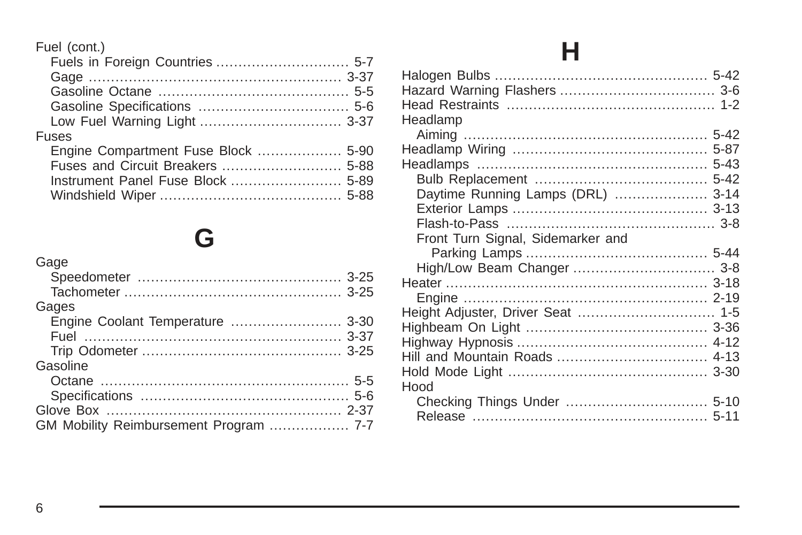#### Fuel (cont.)

| .     |  |
|-------|--|
|       |  |
|       |  |
|       |  |
|       |  |
|       |  |
| Fuses |  |
|       |  |
|       |  |
|       |  |
|       |  |
|       |  |

# **[G](#page-140-0)**

| Gages<br>Engine Coolant Temperature  3-30<br>Gasoline |
|-------------------------------------------------------|
|                                                       |
|                                                       |
|                                                       |
|                                                       |
|                                                       |
|                                                       |
|                                                       |
|                                                       |
|                                                       |
|                                                       |
| GM Mobility Reimbursement Program  7-7                |

# **[H](#page-245-0)**

| Headlamp                          |  |
|-----------------------------------|--|
|                                   |  |
|                                   |  |
|                                   |  |
|                                   |  |
| Daytime Running Lamps (DRL)  3-14 |  |
|                                   |  |
|                                   |  |
| Front Turn Signal, Sidemarker and |  |
|                                   |  |
| High/Low Beam Changer  3-8        |  |
|                                   |  |
|                                   |  |
| Height Adjuster, Driver Seat  1-5 |  |
|                                   |  |
|                                   |  |
|                                   |  |
|                                   |  |
| Hood                              |  |
|                                   |  |
|                                   |  |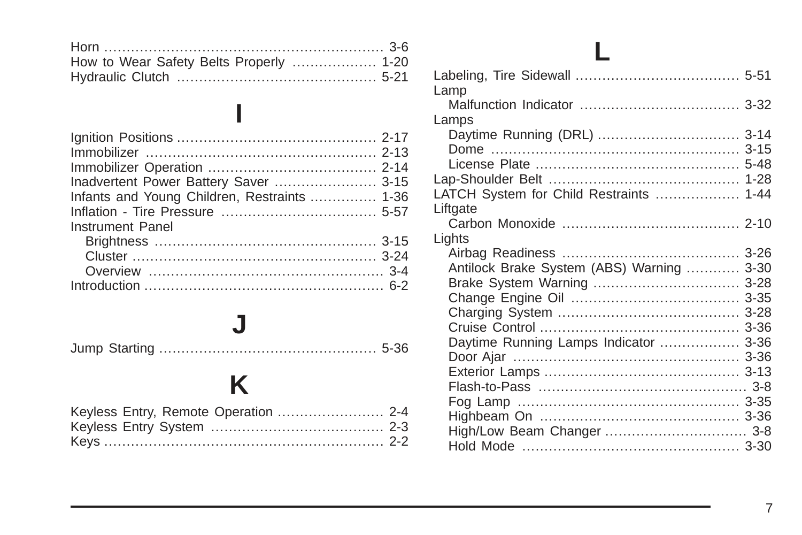| How to Wear Safety Belts Properly  1-20 |  |
|-----------------------------------------|--|
|                                         |  |

**[I](#page-94-0)**

| Inadvertent Power Battery Saver  3-15        |  |
|----------------------------------------------|--|
| Infants and Young Children, Restraints  1-36 |  |
|                                              |  |
| Instrument Panel                             |  |
|                                              |  |
|                                              |  |
|                                              |  |
|                                              |  |

#### **[J](#page-239-0)**

[Jump Starting](#page-239-0) [.................................................](#page-239-0) 5-36

# **[K](#page-81-0)**

| Lamp                                                                                   |                                              |
|----------------------------------------------------------------------------------------|----------------------------------------------|
|                                                                                        |                                              |
| Lamps<br>Daytime Running (DRL)  3-14                                                   | $5 - 48$<br>$1 - 28$                         |
| LATCH System for Child Restraints  1-44                                                |                                              |
| Liftgate                                                                               |                                              |
| Lights<br>Antilock Brake System (ABS) Warning<br>Daytime Running Lamps Indicator  3-36 | $3 - 30$<br>$3 - 28$<br>$3 - 36$<br>$3 - 36$ |
|                                                                                        |                                              |
| High/Low Beam Changer  3-8                                                             |                                              |
|                                                                                        |                                              |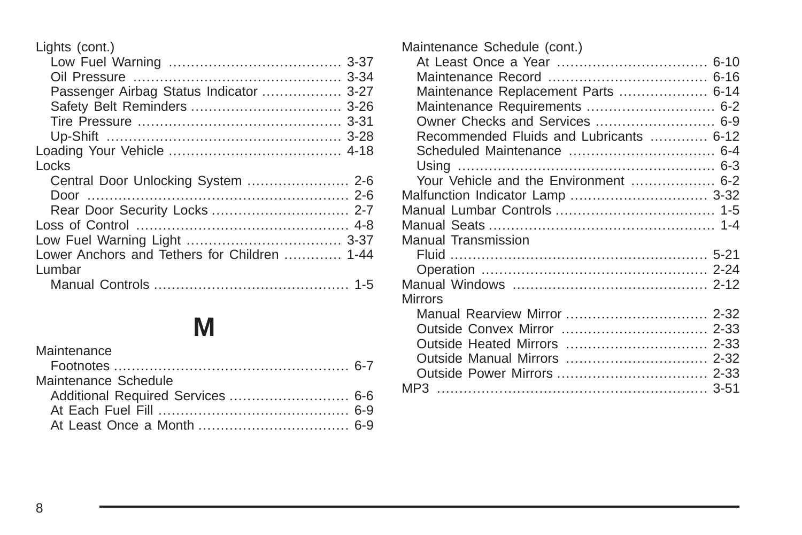Lights (cont.)

| Passenger Airbag Status Indicator  3-27      |  |
|----------------------------------------------|--|
|                                              |  |
|                                              |  |
|                                              |  |
|                                              |  |
| Locks                                        |  |
|                                              |  |
|                                              |  |
| Rear Door Security Locks  2-7                |  |
|                                              |  |
|                                              |  |
| Lower Anchors and Tethers for Children  1-44 |  |
| Lumbar                                       |  |
|                                              |  |

# **[M](#page-304-0)**

| Maintenance          |  |
|----------------------|--|
|                      |  |
| Maintenance Schedule |  |
|                      |  |
|                      |  |
|                      |  |

| Maintenance Schedule (cont.)<br>Maintenance Replacement Parts  6-14<br>Maintenance Requirements  6-2<br>Owner Checks and Services  6-9<br>Recommended Fluids and Lubricants  6-12 |  |
|-----------------------------------------------------------------------------------------------------------------------------------------------------------------------------------|--|
|                                                                                                                                                                                   |  |
| Your Vehicle and the Environment  6-2                                                                                                                                             |  |
| Malfunction Indicator Lamp  3-32                                                                                                                                                  |  |
|                                                                                                                                                                                   |  |
|                                                                                                                                                                                   |  |
| Manual Transmission                                                                                                                                                               |  |
|                                                                                                                                                                                   |  |
|                                                                                                                                                                                   |  |
|                                                                                                                                                                                   |  |
| <b>Mirrors</b>                                                                                                                                                                    |  |
|                                                                                                                                                                                   |  |
|                                                                                                                                                                                   |  |
|                                                                                                                                                                                   |  |
|                                                                                                                                                                                   |  |
|                                                                                                                                                                                   |  |
|                                                                                                                                                                                   |  |
|                                                                                                                                                                                   |  |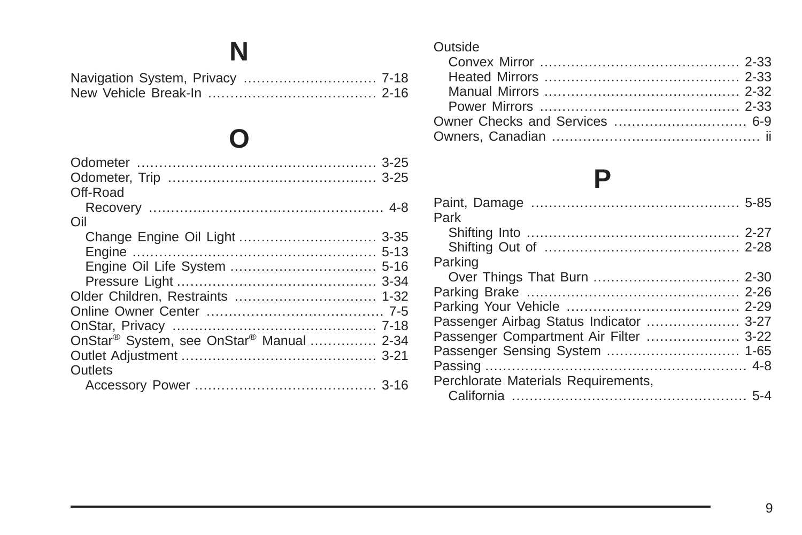**N**

# **[O](#page-140-0)**

| Off-Road                                                         |  |
|------------------------------------------------------------------|--|
|                                                                  |  |
| Oil                                                              |  |
|                                                                  |  |
|                                                                  |  |
|                                                                  |  |
|                                                                  |  |
|                                                                  |  |
|                                                                  |  |
|                                                                  |  |
| OnStar <sup>®</sup> System, see OnStar <sup>®</sup> Manual  2-34 |  |
|                                                                  |  |
| Outlets                                                          |  |
|                                                                  |  |
|                                                                  |  |

#### [Outside](#page-110-0)

# **[P](#page-288-0)**

| Park                                    |  |
|-----------------------------------------|--|
|                                         |  |
|                                         |  |
| Parking                                 |  |
|                                         |  |
|                                         |  |
|                                         |  |
| Passenger Airbag Status Indicator  3-27 |  |
| Passenger Compartment Air Filter  3-22  |  |
| Passenger Sensing System  1-65          |  |
|                                         |  |
| Perchlorate Materials Requirements,     |  |
|                                         |  |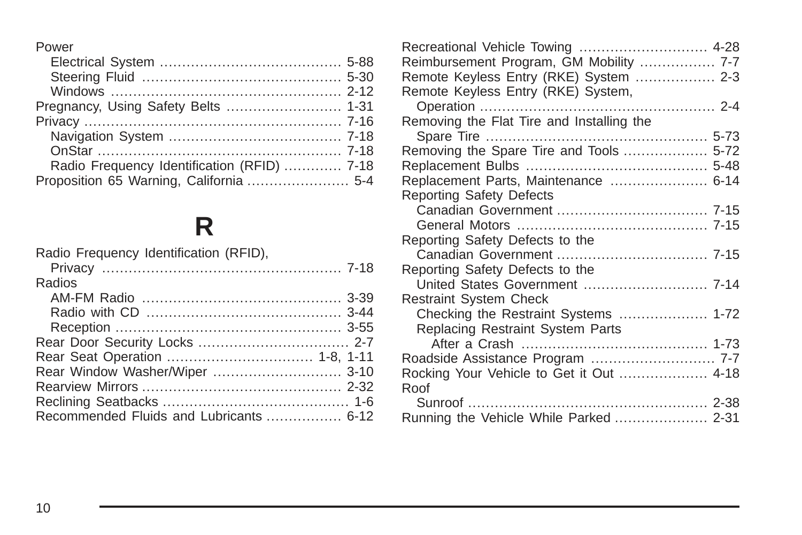#### [Power](#page-291-0)

| Pregnancy, Using Safety Belts  1-31         |
|---------------------------------------------|
|                                             |
|                                             |
|                                             |
| Radio Frequency Identification (RFID)  7-18 |
| Proposition 65 Warning, California  5-4     |
|                                             |

# **[R](#page-333-0)**

| Radio Frequency Identification (RFID),  |  |
|-----------------------------------------|--|
|                                         |  |
| Radios                                  |  |
|                                         |  |
|                                         |  |
|                                         |  |
|                                         |  |
|                                         |  |
|                                         |  |
|                                         |  |
|                                         |  |
| Recommended Fluids and Lubricants  6-12 |  |

| Recreational Vehicle Towing  4-28         |  |
|-------------------------------------------|--|
| Reimbursement Program, GM Mobility  7-7   |  |
| Remote Keyless Entry (RKE) System  2-3    |  |
| Remote Keyless Entry (RKE) System,        |  |
|                                           |  |
| Removing the Flat Tire and Installing the |  |
|                                           |  |
| Removing the Spare Tire and Tools  5-72   |  |
|                                           |  |
| Replacement Parts, Maintenance  6-14      |  |
| <b>Reporting Safety Defects</b>           |  |
|                                           |  |
|                                           |  |
| Reporting Safety Defects to the           |  |
|                                           |  |
| Reporting Safety Defects to the           |  |
| United States Government  7-14            |  |
| <b>Restraint System Check</b>             |  |
| Checking the Restraint Systems  1-72      |  |
| Replacing Restraint System Parts          |  |
|                                           |  |
| Roadside Assistance Program  7-7          |  |
| Rocking Your Vehicle to Get it Out  4-18  |  |
| Roof                                      |  |
|                                           |  |
| Running the Vehicle While Parked  2-31    |  |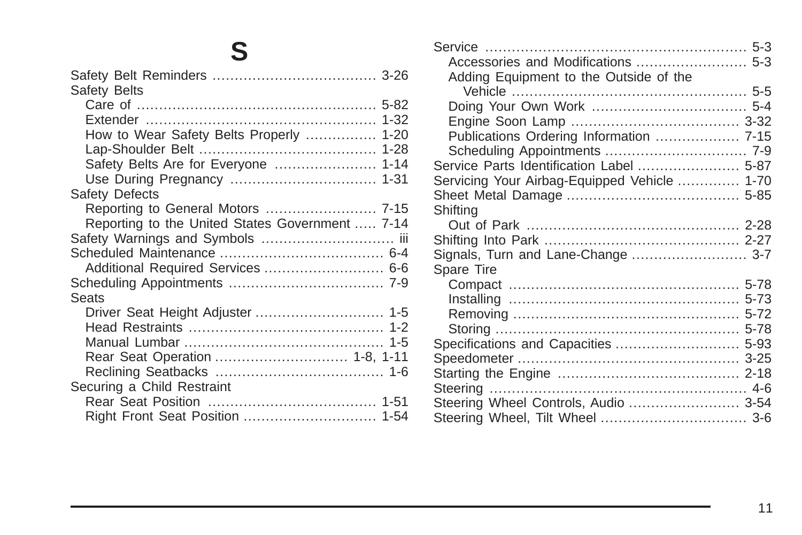# **S**

| Safety Belts                                    |  |
|-------------------------------------------------|--|
|                                                 |  |
|                                                 |  |
| How to Wear Safety Belts Properly  1-20         |  |
|                                                 |  |
| Safety Belts Are for Everyone  1-14             |  |
|                                                 |  |
| Safety Defects                                  |  |
| Reporting to General Motors  7-15               |  |
| Reporting to the United States Government  7-14 |  |
| Safety Warnings and Symbols  iii                |  |
|                                                 |  |
| Additional Required Services  6-6               |  |
|                                                 |  |
| Seats                                           |  |
| Driver Seat Height Adjuster  1-5                |  |
|                                                 |  |
|                                                 |  |
| Rear Seat Operation  1-8, 1-11                  |  |
|                                                 |  |
| Securing a Child Restraint                      |  |
|                                                 |  |
|                                                 |  |
|                                                 |  |

| Accessories and Modifications  5-3           |  |
|----------------------------------------------|--|
| Adding Equipment to the Outside of the       |  |
|                                              |  |
|                                              |  |
|                                              |  |
|                                              |  |
| Publications Ordering Information  7-15      |  |
|                                              |  |
| Service Parts Identification Label  5-87     |  |
| Servicing Your Airbag-Equipped Vehicle  1-70 |  |
|                                              |  |
| Shiftina                                     |  |
|                                              |  |
|                                              |  |
| Signals, Turn and Lane-Change  3-7           |  |
| Spare Tire                                   |  |
|                                              |  |
|                                              |  |
|                                              |  |
|                                              |  |
|                                              |  |
| Specifications and Capacities  5-93          |  |
|                                              |  |
|                                              |  |
| Steering ………………………………………………… 4-6             |  |
| Steering Wheel Controls, Audio  3-54         |  |
|                                              |  |
|                                              |  |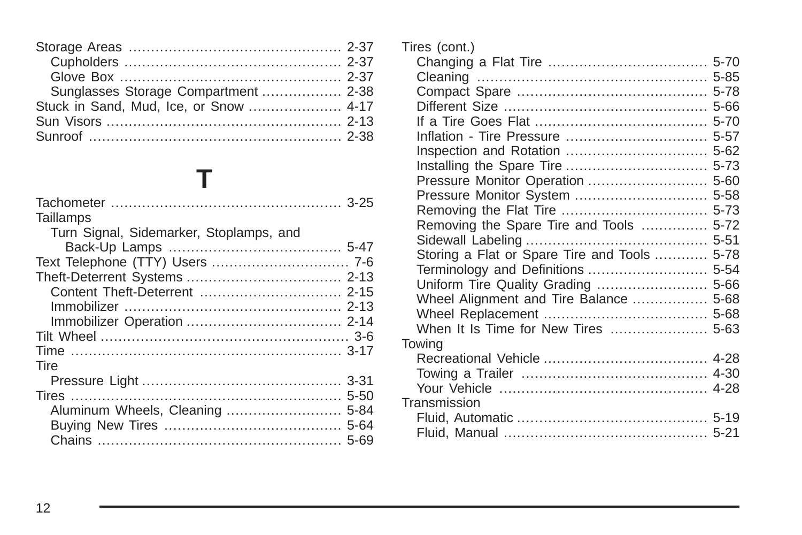| Sunglasses Storage Compartment  2-38   |  |
|----------------------------------------|--|
| Stuck in Sand, Mud, Ice, or Snow  4-17 |  |
|                                        |  |
|                                        |  |

# **[T](#page-140-0)**

| Taillamps                               |  |
|-----------------------------------------|--|
| Turn Signal, Sidemarker, Stoplamps, and |  |
|                                         |  |
|                                         |  |
|                                         |  |
|                                         |  |
|                                         |  |
|                                         |  |
|                                         |  |
|                                         |  |
| Tire                                    |  |
|                                         |  |
|                                         |  |
| Aluminum Wheels, Cleaning  5-84         |  |
|                                         |  |
|                                         |  |

| Tires (cont.)                                |  |
|----------------------------------------------|--|
|                                              |  |
|                                              |  |
|                                              |  |
|                                              |  |
|                                              |  |
|                                              |  |
|                                              |  |
|                                              |  |
|                                              |  |
| Pressure Monitor System  5-58                |  |
|                                              |  |
| Removing the Spare Tire and Tools  5-72      |  |
|                                              |  |
| Storing a Flat or Spare Tire and Tools  5-78 |  |
| Terminology and Definitions  5-54            |  |
|                                              |  |
| Wheel Alignment and Tire Balance  5-68       |  |
|                                              |  |
| When It Is Time for New Tires  5-63          |  |
| Towing                                       |  |
|                                              |  |
|                                              |  |
|                                              |  |
| Transmission                                 |  |
|                                              |  |
|                                              |  |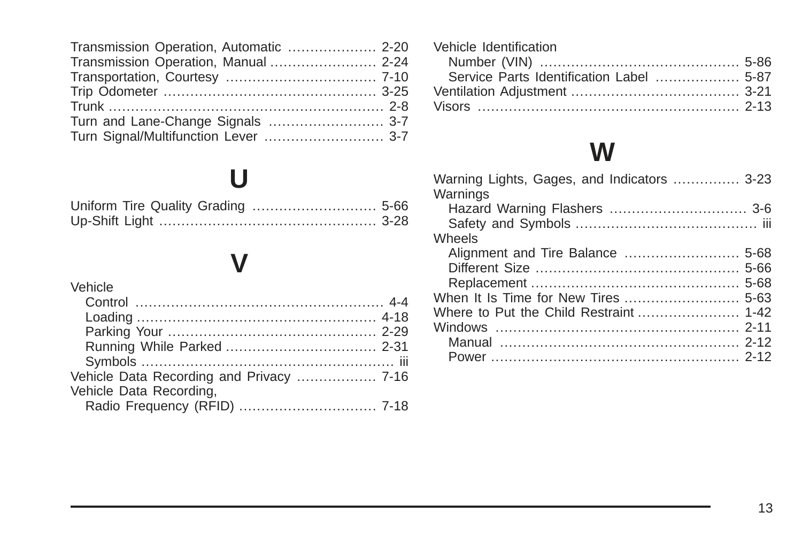| Transmission Operation, Automatic  2-20 |  |
|-----------------------------------------|--|
| Transmission Operation, Manual  2-24    |  |
|                                         |  |
|                                         |  |
|                                         |  |
| Turn and Lane-Change Signals  3-7       |  |
| Turn Signal/Multifunction Lever  3-7    |  |

# **[U](#page-269-0)**

# **[V](#page-177-0)**

#### [Vehicle](#page-177-0) [Control](#page-177-0) [........................................................ 4-4](#page-177-0) [Loading](#page-191-0) [......................................................](#page-191-0) 4-18 [Parking Your](#page-106-0) [...............................................](#page-106-0) 2-29 [Running While Parked](#page-108-0) [..................................](#page-108-0) 2-31 [Symbols](#page-2-0) [......................................................... iii](#page-2-0) [Vehicle Data Recording and Privacy](#page-331-0) [..................](#page-331-0) 7-16 [Vehicle Data Recording,](#page-333-0) [Radio Frequency \(RFID\)](#page-333-0) [...............................](#page-333-0) 7-18

| Vehicle Identification |  |
|------------------------|--|
|                        |  |
|                        |  |
|                        |  |
|                        |  |

# **[W](#page-138-0)**

| Warning Lights, Gages, and Indicators  3-23 |  |
|---------------------------------------------|--|
| Warnings                                    |  |
|                                             |  |
|                                             |  |
| Wheels                                      |  |
|                                             |  |
|                                             |  |
|                                             |  |
| When It Is Time for New Tires  5-63         |  |
| Where to Put the Child Restraint  1-42      |  |
|                                             |  |
|                                             |  |
|                                             |  |